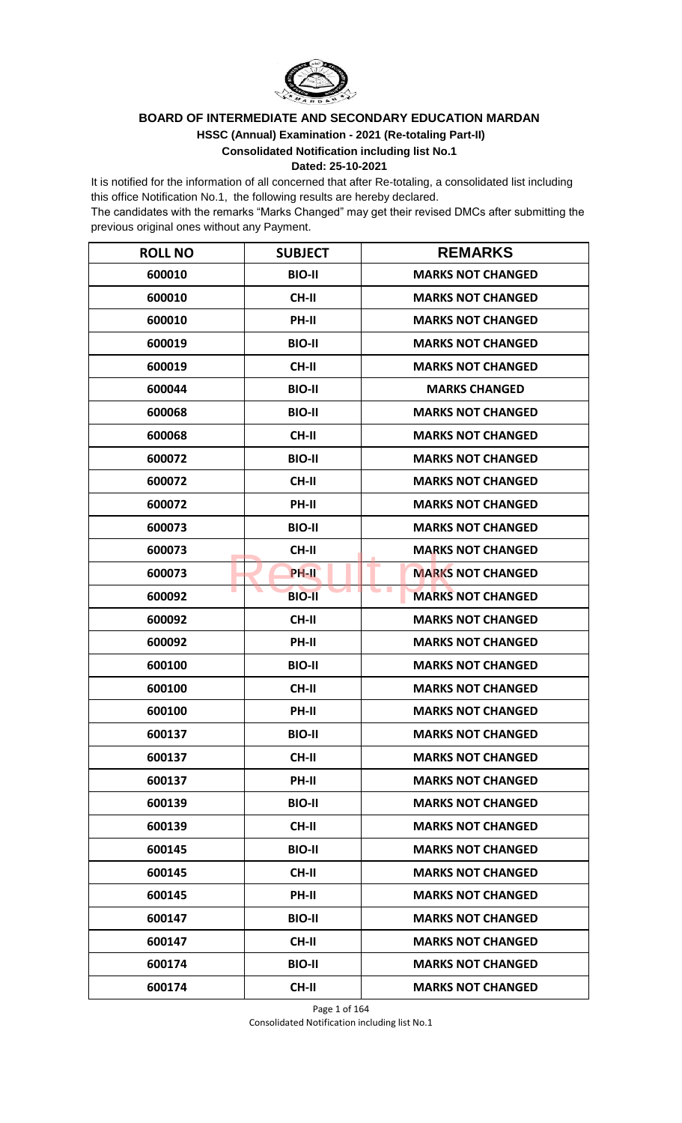

## **HSSC (Annual) Examination - 2021 (Re-totaling Part-II) BOARD OF INTERMEDIATE AND SECONDARY EDUCATION MARDAN**

**Consolidated Notification including list No.1**

## **Dated: 25-10-2021**

It is notified for the information of all concerned that after Re-totaling, a consolidated list including this office Notification No.1, the following results are hereby declared.

The candidates with the remarks "Marks Changed" may get their revised DMCs after submitting the previous original ones without any Payment.

| <b>ROLL NO</b> | <b>SUBJECT</b> | <b>REMARKS</b>                  |
|----------------|----------------|---------------------------------|
| 600010         | <b>BIO-II</b>  | <b>MARKS NOT CHANGED</b>        |
| 600010         | CH-II          | <b>MARKS NOT CHANGED</b>        |
| 600010         | PH-II          | <b>MARKS NOT CHANGED</b>        |
| 600019         | <b>BIO-II</b>  | <b>MARKS NOT CHANGED</b>        |
| 600019         | <b>CH-II</b>   | <b>MARKS NOT CHANGED</b>        |
| 600044         | <b>BIO-II</b>  | <b>MARKS CHANGED</b>            |
| 600068         | <b>BIO-II</b>  | <b>MARKS NOT CHANGED</b>        |
| 600068         | <b>CH-II</b>   | <b>MARKS NOT CHANGED</b>        |
| 600072         | <b>BIO-II</b>  | <b>MARKS NOT CHANGED</b>        |
| 600072         | CH-II          | <b>MARKS NOT CHANGED</b>        |
| 600072         | PH-II          | <b>MARKS NOT CHANGED</b>        |
| 600073         | <b>BIO-II</b>  | <b>MARKS NOT CHANGED</b>        |
| 600073         | <b>CH-II</b>   | <b>MARKS NOT CHANGED</b>        |
| 600073         | <b>PH-II</b>   | د ک<br><b>MARKS NOT CHANGED</b> |
| 600092         | <b>BIO-II</b>  | <b>MARKS NOT CHANGED</b>        |
| 600092         | <b>CH-II</b>   | <b>MARKS NOT CHANGED</b>        |
| 600092         | PH-II          | <b>MARKS NOT CHANGED</b>        |
| 600100         | <b>BIO-II</b>  | <b>MARKS NOT CHANGED</b>        |
| 600100         | <b>CH-II</b>   | <b>MARKS NOT CHANGED</b>        |
| 600100         | PH-II          | <b>MARKS NOT CHANGED</b>        |
| 600137         | <b>BIO-II</b>  | <b>MARKS NOT CHANGED</b>        |
| 600137         | <b>CH-II</b>   | <b>MARKS NOT CHANGED</b>        |
| 600137         | PH-II          | <b>MARKS NOT CHANGED</b>        |
| 600139         | <b>BIO-II</b>  | <b>MARKS NOT CHANGED</b>        |
| 600139         | CH-II          | <b>MARKS NOT CHANGED</b>        |
| 600145         | <b>BIO-II</b>  | <b>MARKS NOT CHANGED</b>        |
| 600145         | CH-II          | <b>MARKS NOT CHANGED</b>        |
| 600145         | PH-II          | <b>MARKS NOT CHANGED</b>        |
| 600147         | <b>BIO-II</b>  | <b>MARKS NOT CHANGED</b>        |
| 600147         | <b>CH-II</b>   | <b>MARKS NOT CHANGED</b>        |
| 600174         | <b>BIO-II</b>  | <b>MARKS NOT CHANGED</b>        |
| 600174         | CH-II          | <b>MARKS NOT CHANGED</b>        |

Page 1 of 164 Consolidated Notification including list No.1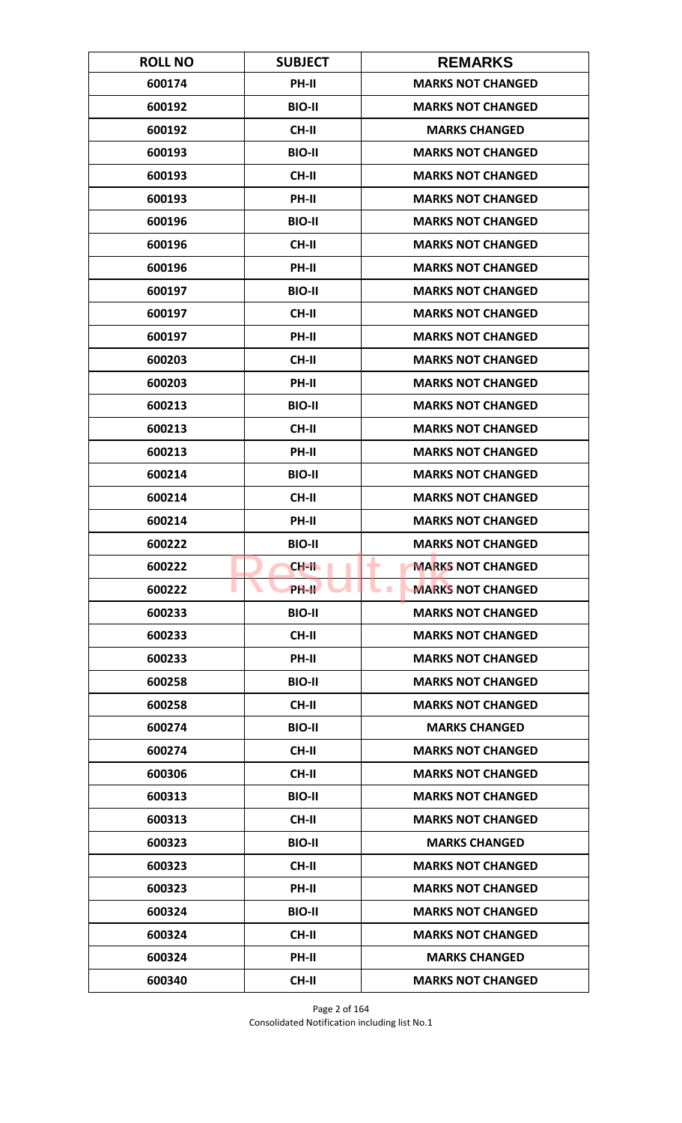| <b>ROLL NO</b> | <b>SUBJECT</b> | <b>REMARKS</b>                               |
|----------------|----------------|----------------------------------------------|
| 600174         | PH-II          | <b>MARKS NOT CHANGED</b>                     |
| 600192         | <b>BIO-II</b>  | <b>MARKS NOT CHANGED</b>                     |
| 600192         | <b>CH-II</b>   | <b>MARKS CHANGED</b>                         |
| 600193         | <b>BIO-II</b>  | <b>MARKS NOT CHANGED</b>                     |
| 600193         | <b>CH-II</b>   | <b>MARKS NOT CHANGED</b>                     |
| 600193         | PH-II          | <b>MARKS NOT CHANGED</b>                     |
| 600196         | <b>BIO-II</b>  | <b>MARKS NOT CHANGED</b>                     |
| 600196         | CH-II          | <b>MARKS NOT CHANGED</b>                     |
| 600196         | PH-II          | <b>MARKS NOT CHANGED</b>                     |
| 600197         | <b>BIO-II</b>  | <b>MARKS NOT CHANGED</b>                     |
| 600197         | <b>CH-II</b>   | <b>MARKS NOT CHANGED</b>                     |
| 600197         | <b>PH-II</b>   | <b>MARKS NOT CHANGED</b>                     |
| 600203         | CH-II          | <b>MARKS NOT CHANGED</b>                     |
| 600203         | PH-II          | <b>MARKS NOT CHANGED</b>                     |
| 600213         | <b>BIO-II</b>  | <b>MARKS NOT CHANGED</b>                     |
| 600213         | <b>CH-II</b>   | <b>MARKS NOT CHANGED</b>                     |
| 600213         | PH-II          | <b>MARKS NOT CHANGED</b>                     |
| 600214         | <b>BIO-II</b>  | <b>MARKS NOT CHANGED</b>                     |
| 600214         | <b>CH-II</b>   | <b>MARKS NOT CHANGED</b>                     |
| 600214         | PH-II          | <b>MARKS NOT CHANGED</b>                     |
| 600222         | <b>BIO-II</b>  | <b>MARKS NOT CHANGED</b>                     |
| 600222         | CH-II          | <b>MARKS NOT CHANGED</b><br>٠                |
| 600222         | PH-II          | <b>MARKS NOT CHANGED</b><br><b>The State</b> |
| 600233         | <b>BIO-II</b>  | <b>MARKS NOT CHANGED</b>                     |
| 600233         | <b>CH-II</b>   | <b>MARKS NOT CHANGED</b>                     |
| 600233         | PH-II          | <b>MARKS NOT CHANGED</b>                     |
| 600258         | <b>BIO-II</b>  | <b>MARKS NOT CHANGED</b>                     |
| 600258         | <b>CH-II</b>   | <b>MARKS NOT CHANGED</b>                     |
| 600274         | <b>BIO-II</b>  | <b>MARKS CHANGED</b>                         |
| 600274         | CH-II          | <b>MARKS NOT CHANGED</b>                     |
| 600306         | <b>CH-II</b>   | <b>MARKS NOT CHANGED</b>                     |
| 600313         | <b>BIO-II</b>  | <b>MARKS NOT CHANGED</b>                     |
| 600313         | CH-II          | <b>MARKS NOT CHANGED</b>                     |
| 600323         | <b>BIO-II</b>  | <b>MARKS CHANGED</b>                         |
| 600323         | <b>CH-II</b>   | <b>MARKS NOT CHANGED</b>                     |
| 600323         | PH-II          | <b>MARKS NOT CHANGED</b>                     |
| 600324         | <b>BIO-II</b>  | <b>MARKS NOT CHANGED</b>                     |
| 600324         | <b>CH-II</b>   | <b>MARKS NOT CHANGED</b>                     |
| 600324         | <b>PH-II</b>   | <b>MARKS CHANGED</b>                         |
| 600340         | CH-II          | <b>MARKS NOT CHANGED</b>                     |

Page 2 of 164 Consolidated Notification including list No.1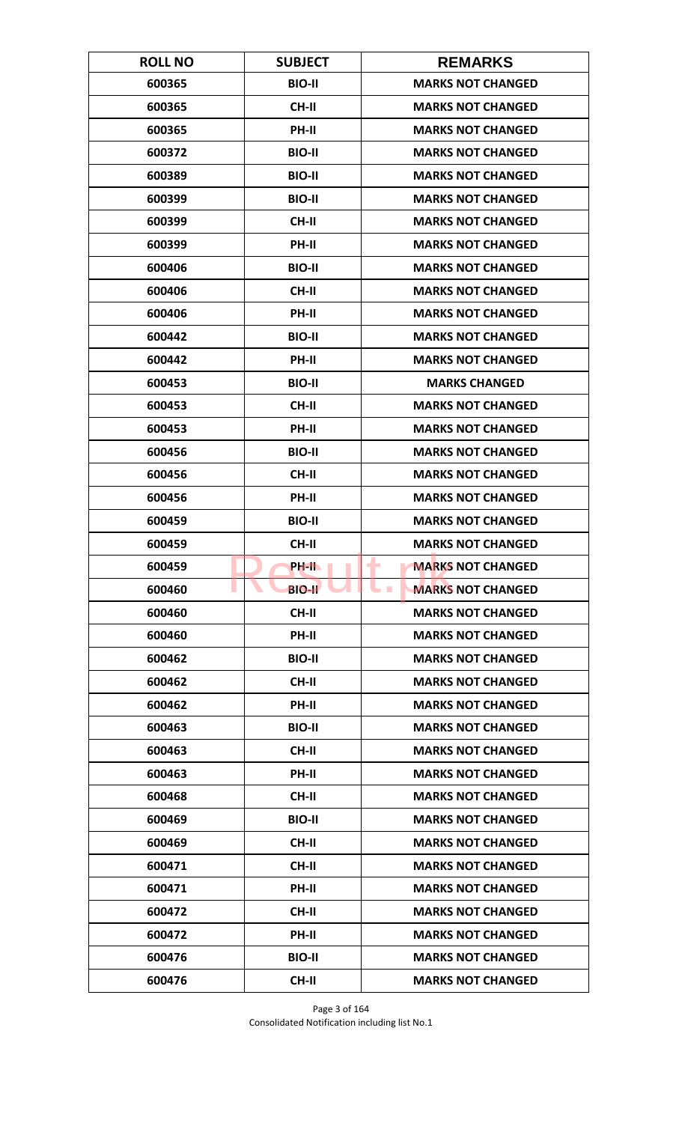| <b>ROLL NO</b> | <b>SUBJECT</b> | <b>REMARKS</b>                         |
|----------------|----------------|----------------------------------------|
| 600365         | <b>BIO-II</b>  | <b>MARKS NOT CHANGED</b>               |
| 600365         | <b>CH-II</b>   | <b>MARKS NOT CHANGED</b>               |
| 600365         | PH-II          | <b>MARKS NOT CHANGED</b>               |
| 600372         | <b>BIO-II</b>  | <b>MARKS NOT CHANGED</b>               |
| 600389         | <b>BIO-II</b>  | <b>MARKS NOT CHANGED</b>               |
| 600399         | <b>BIO-II</b>  | <b>MARKS NOT CHANGED</b>               |
| 600399         | <b>CH-II</b>   | <b>MARKS NOT CHANGED</b>               |
| 600399         | <b>PH-II</b>   | <b>MARKS NOT CHANGED</b>               |
| 600406         | <b>BIO-II</b>  | <b>MARKS NOT CHANGED</b>               |
| 600406         | <b>CH-II</b>   | <b>MARKS NOT CHANGED</b>               |
| 600406         | PH-II          | <b>MARKS NOT CHANGED</b>               |
| 600442         | <b>BIO-II</b>  | <b>MARKS NOT CHANGED</b>               |
| 600442         | PH-II          | <b>MARKS NOT CHANGED</b>               |
| 600453         | <b>BIO-II</b>  | <b>MARKS CHANGED</b>                   |
| 600453         | CH-II          | <b>MARKS NOT CHANGED</b>               |
| 600453         | PH-II          | <b>MARKS NOT CHANGED</b>               |
| 600456         | <b>BIO-II</b>  | <b>MARKS NOT CHANGED</b>               |
| 600456         | <b>CH-II</b>   | <b>MARKS NOT CHANGED</b>               |
| 600456         | PH-II          | <b>MARKS NOT CHANGED</b>               |
| 600459         | <b>BIO-II</b>  | <b>MARKS NOT CHANGED</b>               |
| 600459         | <b>CH-II</b>   | <b>MARKS NOT CHANGED</b>               |
| 600459         | PH-II          | <b>MARKS NOT CHANGED</b><br>٠          |
| 600460         | <b>BIO-II</b>  | <b>MARKS NOT CHANGED</b><br><b>COL</b> |
| 600460         | <b>CH-II</b>   | <b>MARKS NOT CHANGED</b>               |
| 600460         | PH-II          | <b>MARKS NOT CHANGED</b>               |
| 600462         | <b>BIO-II</b>  | <b>MARKS NOT CHANGED</b>               |
| 600462         | <b>CH-II</b>   | <b>MARKS NOT CHANGED</b>               |
| 600462         | <b>PH-II</b>   | <b>MARKS NOT CHANGED</b>               |
| 600463         | <b>BIO-II</b>  | <b>MARKS NOT CHANGED</b>               |
| 600463         | CH-II          | <b>MARKS NOT CHANGED</b>               |
| 600463         | PH-II          | <b>MARKS NOT CHANGED</b>               |
| 600468         | CH-II          | <b>MARKS NOT CHANGED</b>               |
| 600469         | <b>BIO-II</b>  | <b>MARKS NOT CHANGED</b>               |
| 600469         | CH-II          | <b>MARKS NOT CHANGED</b>               |
| 600471         | CH-II          | <b>MARKS NOT CHANGED</b>               |
| 600471         | PH-II          | <b>MARKS NOT CHANGED</b>               |
| 600472         | CH-II          | <b>MARKS NOT CHANGED</b>               |
| 600472         | PH-II          | <b>MARKS NOT CHANGED</b>               |
| 600476         | <b>BIO-II</b>  | <b>MARKS NOT CHANGED</b>               |
| 600476         | <b>CH-II</b>   | <b>MARKS NOT CHANGED</b>               |

Page 3 of 164 Consolidated Notification including list No.1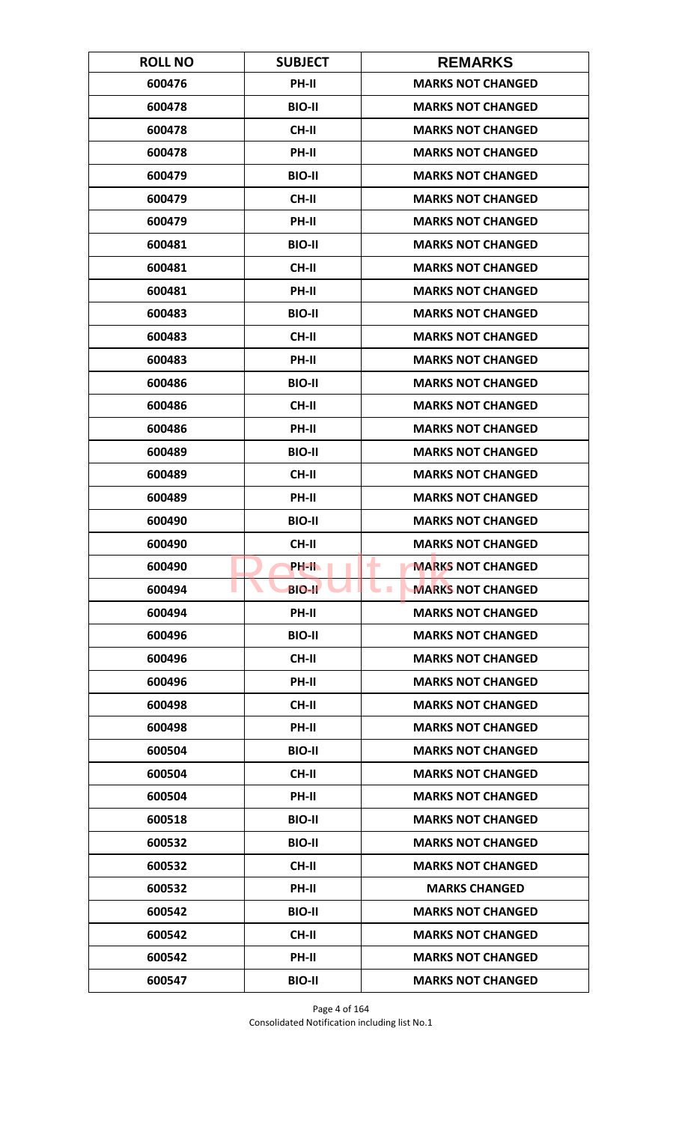| <b>ROLL NO</b> | <b>SUBJECT</b> | <b>REMARKS</b>                       |
|----------------|----------------|--------------------------------------|
| 600476         | PH-II          | <b>MARKS NOT CHANGED</b>             |
| 600478         | <b>BIO-II</b>  | <b>MARKS NOT CHANGED</b>             |
| 600478         | <b>CH-II</b>   | <b>MARKS NOT CHANGED</b>             |
| 600478         | <b>PH-II</b>   | <b>MARKS NOT CHANGED</b>             |
| 600479         | <b>BIO-II</b>  | <b>MARKS NOT CHANGED</b>             |
| 600479         | CH-II          | <b>MARKS NOT CHANGED</b>             |
| 600479         | <b>PH-II</b>   | <b>MARKS NOT CHANGED</b>             |
| 600481         | <b>BIO-II</b>  | <b>MARKS NOT CHANGED</b>             |
| 600481         | <b>CH-II</b>   | <b>MARKS NOT CHANGED</b>             |
| 600481         | PH-II          | <b>MARKS NOT CHANGED</b>             |
| 600483         | <b>BIO-II</b>  | <b>MARKS NOT CHANGED</b>             |
| 600483         | <b>CH-II</b>   | <b>MARKS NOT CHANGED</b>             |
| 600483         | PH-II          | <b>MARKS NOT CHANGED</b>             |
| 600486         | <b>BIO-II</b>  | <b>MARKS NOT CHANGED</b>             |
| 600486         | CH-II          | <b>MARKS NOT CHANGED</b>             |
| 600486         | PH-II          | <b>MARKS NOT CHANGED</b>             |
| 600489         | <b>BIO-II</b>  | <b>MARKS NOT CHANGED</b>             |
| 600489         | <b>CH-II</b>   | <b>MARKS NOT CHANGED</b>             |
| 600489         | PH-II          | <b>MARKS NOT CHANGED</b>             |
| 600490         | <b>BIO-II</b>  | <b>MARKS NOT CHANGED</b>             |
| 600490         | <b>CH-II</b>   | <b>MARKS NOT CHANGED</b>             |
| 600490         | PH-IL          | <b>MARKS NOT CHANGED</b><br>٠        |
| 600494         | <b>BIO-II</b>  | <b>MARKS NOT CHANGED</b><br><b>I</b> |
| 600494         | PH-II          | <b>MARKS NOT CHANGED</b>             |
| 600496         | <b>BIO-II</b>  | <b>MARKS NOT CHANGED</b>             |
| 600496         | CH-II          | <b>MARKS NOT CHANGED</b>             |
| 600496         | PH-II          | <b>MARKS NOT CHANGED</b>             |
| 600498         | <b>CH-II</b>   | <b>MARKS NOT CHANGED</b>             |
| 600498         | PH-II          | <b>MARKS NOT CHANGED</b>             |
| 600504         | <b>BIO-II</b>  | <b>MARKS NOT CHANGED</b>             |
| 600504         | <b>CH-II</b>   | <b>MARKS NOT CHANGED</b>             |
| 600504         | PH-II          | <b>MARKS NOT CHANGED</b>             |
| 600518         | <b>BIO-II</b>  | <b>MARKS NOT CHANGED</b>             |
| 600532         | <b>BIO-II</b>  | <b>MARKS NOT CHANGED</b>             |
| 600532         | <b>CH-II</b>   | <b>MARKS NOT CHANGED</b>             |
| 600532         | PH-II          | <b>MARKS CHANGED</b>                 |
| 600542         | <b>BIO-II</b>  | <b>MARKS NOT CHANGED</b>             |
| 600542         | <b>CH-II</b>   | <b>MARKS NOT CHANGED</b>             |
| 600542         | <b>PH-II</b>   | <b>MARKS NOT CHANGED</b>             |
| 600547         | <b>BIO-II</b>  | <b>MARKS NOT CHANGED</b>             |

Page 4 of 164 Consolidated Notification including list No.1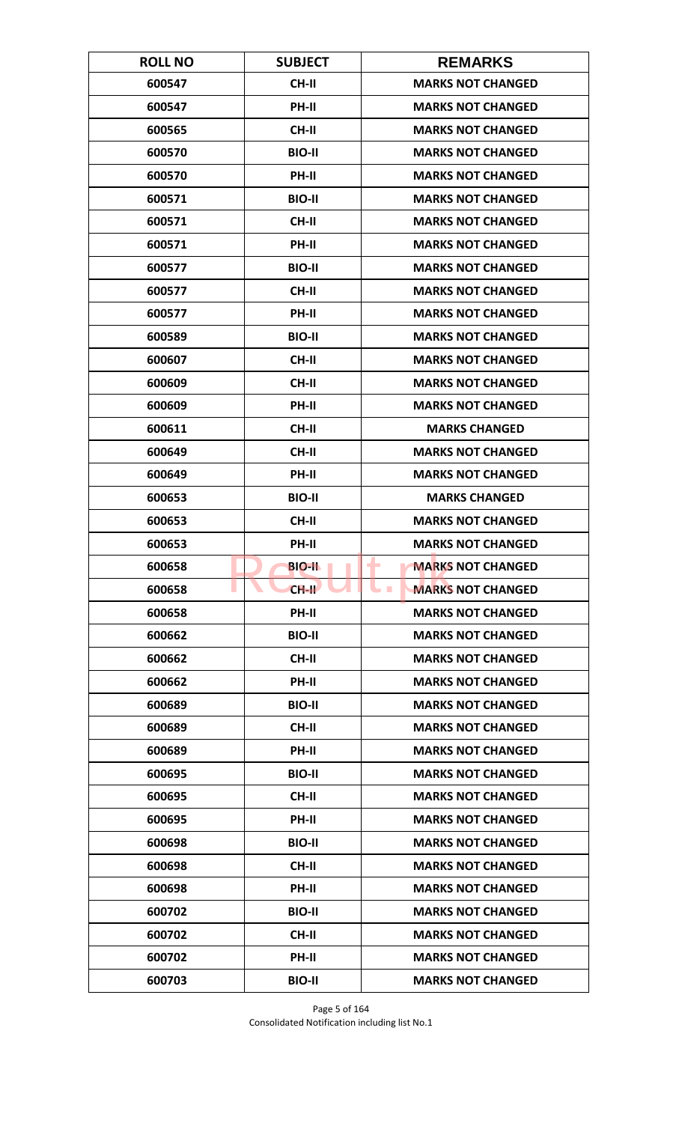| <b>ROLL NO</b> | <b>SUBJECT</b> | <b>REMARKS</b>                         |
|----------------|----------------|----------------------------------------|
| 600547         | CH-II          | <b>MARKS NOT CHANGED</b>               |
| 600547         | PH-II          | <b>MARKS NOT CHANGED</b>               |
| 600565         | <b>CH-II</b>   | <b>MARKS NOT CHANGED</b>               |
| 600570         | <b>BIO-II</b>  | <b>MARKS NOT CHANGED</b>               |
| 600570         | PH-II          | <b>MARKS NOT CHANGED</b>               |
| 600571         | <b>BIO-II</b>  | <b>MARKS NOT CHANGED</b>               |
| 600571         | <b>CH-II</b>   | <b>MARKS NOT CHANGED</b>               |
| 600571         | PH-II          | <b>MARKS NOT CHANGED</b>               |
| 600577         | <b>BIO-II</b>  | <b>MARKS NOT CHANGED</b>               |
| 600577         | CH-II          | <b>MARKS NOT CHANGED</b>               |
| 600577         | PH-II          | <b>MARKS NOT CHANGED</b>               |
| 600589         | <b>BIO-II</b>  | <b>MARKS NOT CHANGED</b>               |
| 600607         | CH-II          | <b>MARKS NOT CHANGED</b>               |
| 600609         | <b>CH-II</b>   | <b>MARKS NOT CHANGED</b>               |
| 600609         | <b>PH-II</b>   | <b>MARKS NOT CHANGED</b>               |
| 600611         | <b>CH-II</b>   | <b>MARKS CHANGED</b>                   |
| 600649         | <b>CH-II</b>   | <b>MARKS NOT CHANGED</b>               |
| 600649         | PH-II          | <b>MARKS NOT CHANGED</b>               |
| 600653         | <b>BIO-II</b>  | <b>MARKS CHANGED</b>                   |
| 600653         | <b>CH-II</b>   | <b>MARKS NOT CHANGED</b>               |
| 600653         | PH-II          | <b>MARKS NOT CHANGED</b>               |
| 600658         | <b>BIO-II</b>  | ٠<br><b>MARKS NOT CHANGED</b>          |
| 600658         | $CH-H$         | <b>MARKS NOT CHANGED</b><br><b>COL</b> |
| 600658         | <b>PH-II</b>   | <b>MARKS NOT CHANGED</b>               |
| 600662         | <b>BIO-II</b>  | <b>MARKS NOT CHANGED</b>               |
| 600662         | CH-II          | <b>MARKS NOT CHANGED</b>               |
| 600662         | PH-II          | <b>MARKS NOT CHANGED</b>               |
| 600689         | <b>BIO-II</b>  | <b>MARKS NOT CHANGED</b>               |
| 600689         | <b>CH-II</b>   | <b>MARKS NOT CHANGED</b>               |
| 600689         | <b>PH-II</b>   | <b>MARKS NOT CHANGED</b>               |
| 600695         | <b>BIO-II</b>  | <b>MARKS NOT CHANGED</b>               |
| 600695         | CH-II          | <b>MARKS NOT CHANGED</b>               |
| 600695         | PH-II          | <b>MARKS NOT CHANGED</b>               |
| 600698         | <b>BIO-II</b>  | <b>MARKS NOT CHANGED</b>               |
| 600698         | <b>CH-II</b>   | <b>MARKS NOT CHANGED</b>               |
| 600698         | PH-II          | <b>MARKS NOT CHANGED</b>               |
| 600702         | <b>BIO-II</b>  | <b>MARKS NOT CHANGED</b>               |
| 600702         | <b>CH-II</b>   | <b>MARKS NOT CHANGED</b>               |
| 600702         | <b>PH-II</b>   | <b>MARKS NOT CHANGED</b>               |
| 600703         | <b>BIO-II</b>  | <b>MARKS NOT CHANGED</b>               |

Page 5 of 164 Consolidated Notification including list No.1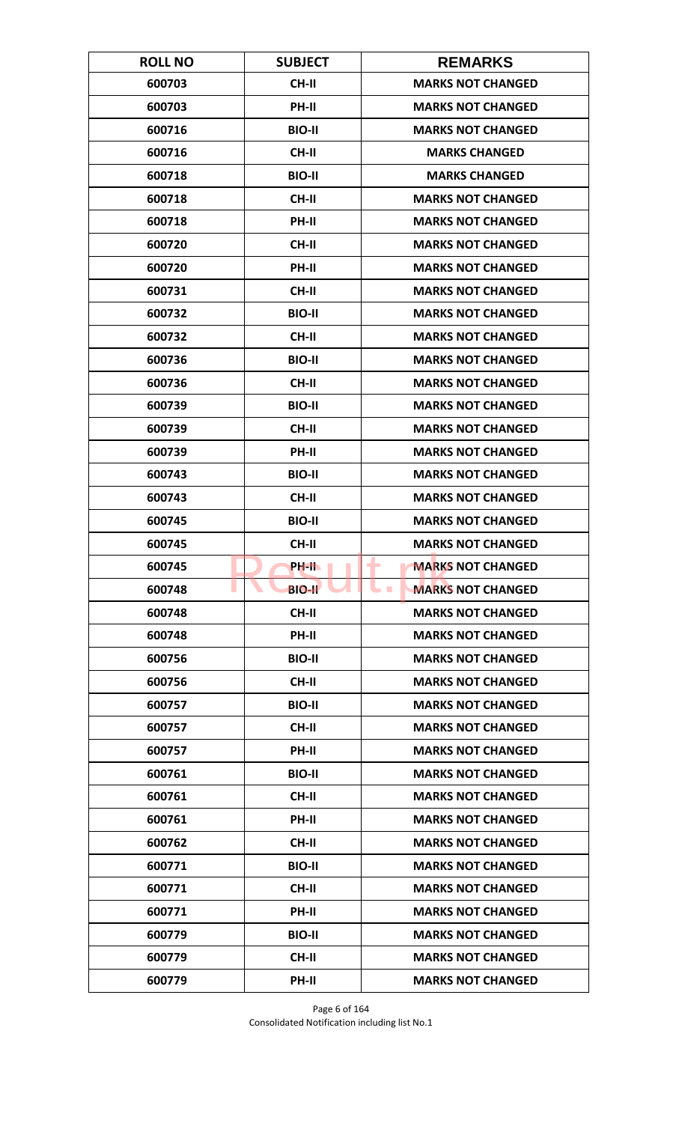| <b>ROLL NO</b> | <b>SUBJECT</b> | <b>REMARKS</b>                             |
|----------------|----------------|--------------------------------------------|
| 600703         | CH-II          | <b>MARKS NOT CHANGED</b>                   |
| 600703         | PH-II          | <b>MARKS NOT CHANGED</b>                   |
| 600716         | <b>BIO-II</b>  | <b>MARKS NOT CHANGED</b>                   |
| 600716         | <b>CH-II</b>   | <b>MARKS CHANGED</b>                       |
| 600718         | <b>BIO-II</b>  | <b>MARKS CHANGED</b>                       |
| 600718         | CH-II          | <b>MARKS NOT CHANGED</b>                   |
| 600718         | <b>PH-II</b>   | <b>MARKS NOT CHANGED</b>                   |
| 600720         | CH-II          | <b>MARKS NOT CHANGED</b>                   |
| 600720         | PH-II          | <b>MARKS NOT CHANGED</b>                   |
| 600731         | CH-II          | <b>MARKS NOT CHANGED</b>                   |
| 600732         | <b>BIO-II</b>  | <b>MARKS NOT CHANGED</b>                   |
| 600732         | <b>CH-II</b>   | <b>MARKS NOT CHANGED</b>                   |
| 600736         | <b>BIO-II</b>  | <b>MARKS NOT CHANGED</b>                   |
| 600736         | <b>CH-II</b>   | <b>MARKS NOT CHANGED</b>                   |
| 600739         | <b>BIO-II</b>  | <b>MARKS NOT CHANGED</b>                   |
| 600739         | CH-II          | <b>MARKS NOT CHANGED</b>                   |
| 600739         | PH-II          | <b>MARKS NOT CHANGED</b>                   |
| 600743         | <b>BIO-II</b>  | <b>MARKS NOT CHANGED</b>                   |
| 600743         | CH-II          | <b>MARKS NOT CHANGED</b>                   |
| 600745         | <b>BIO-II</b>  | <b>MARKS NOT CHANGED</b>                   |
| 600745         | CH-II          | <b>MARKS NOT CHANGED</b>                   |
| 600745         | PH-II.         | ٠<br><b>MARKS NOT CHANGED</b>              |
| 600748         | <b>BIO-II</b>  | <b>MARKS NOT CHANGED</b><br><b>College</b> |
| 600748         | CH-II          | <b>MARKS NOT CHANGED</b>                   |
| 600748         | PH-II          | <b>MARKS NOT CHANGED</b>                   |
| 600756         | <b>BIO-II</b>  | <b>MARKS NOT CHANGED</b>                   |
| 600756         | <b>CH-II</b>   | <b>MARKS NOT CHANGED</b>                   |
| 600757         | <b>BIO-II</b>  | <b>MARKS NOT CHANGED</b>                   |
| 600757         | <b>CH-II</b>   | <b>MARKS NOT CHANGED</b>                   |
| 600757         | <b>PH-II</b>   | <b>MARKS NOT CHANGED</b>                   |
| 600761         | <b>BIO-II</b>  | <b>MARKS NOT CHANGED</b>                   |
| 600761         | CH-II          | <b>MARKS NOT CHANGED</b>                   |
| 600761         | PH-II          | <b>MARKS NOT CHANGED</b>                   |
| 600762         | CH-II          | <b>MARKS NOT CHANGED</b>                   |
| 600771         | <b>BIO-II</b>  | <b>MARKS NOT CHANGED</b>                   |
| 600771         | CH-II          | <b>MARKS NOT CHANGED</b>                   |
| 600771         | PH-II          | <b>MARKS NOT CHANGED</b>                   |
| 600779         | <b>BIO-II</b>  | <b>MARKS NOT CHANGED</b>                   |
| 600779         | <b>CH-II</b>   | <b>MARKS NOT CHANGED</b>                   |
| 600779         | PH-II          | <b>MARKS NOT CHANGED</b>                   |

Page 6 of 164 Consolidated Notification including list No.1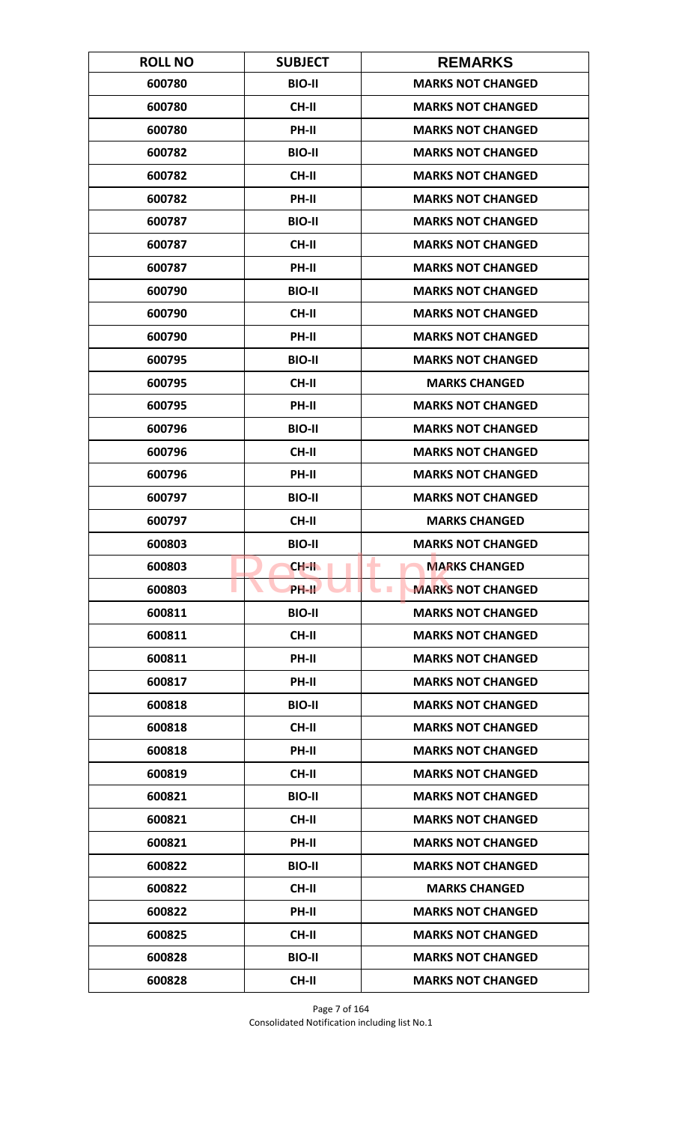| <b>ROLL NO</b> | <b>SUBJECT</b>     | <b>REMARKS</b>                         |
|----------------|--------------------|----------------------------------------|
| 600780         | <b>BIO-II</b>      | <b>MARKS NOT CHANGED</b>               |
| 600780         | <b>CH-II</b>       | <b>MARKS NOT CHANGED</b>               |
| 600780         | PH-II              | <b>MARKS NOT CHANGED</b>               |
| 600782         | <b>BIO-II</b>      | <b>MARKS NOT CHANGED</b>               |
| 600782         | <b>CH-II</b>       | <b>MARKS NOT CHANGED</b>               |
| 600782         | PH-II              | <b>MARKS NOT CHANGED</b>               |
| 600787         | <b>BIO-II</b>      | <b>MARKS NOT CHANGED</b>               |
| 600787         | CH-II              | <b>MARKS NOT CHANGED</b>               |
| 600787         | PH-II              | <b>MARKS NOT CHANGED</b>               |
| 600790         | <b>BIO-II</b>      | <b>MARKS NOT CHANGED</b>               |
| 600790         | <b>CH-II</b>       | <b>MARKS NOT CHANGED</b>               |
| 600790         | <b>PH-II</b>       | <b>MARKS NOT CHANGED</b>               |
| 600795         | <b>BIO-II</b>      | <b>MARKS NOT CHANGED</b>               |
| 600795         | <b>CH-II</b>       | <b>MARKS CHANGED</b>                   |
| 600795         | <b>PH-II</b>       | <b>MARKS NOT CHANGED</b>               |
| 600796         | <b>BIO-II</b>      | <b>MARKS NOT CHANGED</b>               |
| 600796         | CH-II              | <b>MARKS NOT CHANGED</b>               |
| 600796         | PH-II              | <b>MARKS NOT CHANGED</b>               |
| 600797         | <b>BIO-II</b>      | <b>MARKS NOT CHANGED</b>               |
| 600797         | <b>CH-II</b>       | <b>MARKS CHANGED</b>                   |
| 600803         | <b>BIO-II</b>      | <b>MARKS NOT CHANGED</b>               |
| 600803         | CH-II              | <b>MARKS CHANGED</b><br>٠              |
| 600803         | PH-II <sup>T</sup> | <b>MARKS NOT CHANGED</b><br><b>COL</b> |
| 600811         | <b>BIO-II</b>      | <b>MARKS NOT CHANGED</b>               |
| 600811         | CH-II              | <b>MARKS NOT CHANGED</b>               |
| 600811         | PH-II              | <b>MARKS NOT CHANGED</b>               |
| 600817         | PH-II              | <b>MARKS NOT CHANGED</b>               |
| 600818         | <b>BIO-II</b>      | <b>MARKS NOT CHANGED</b>               |
| 600818         | CH-II              | <b>MARKS NOT CHANGED</b>               |
| 600818         | <b>PH-II</b>       | <b>MARKS NOT CHANGED</b>               |
| 600819         | CH-II              | <b>MARKS NOT CHANGED</b>               |
| 600821         | <b>BIO-II</b>      | <b>MARKS NOT CHANGED</b>               |
| 600821         | CH-II              | <b>MARKS NOT CHANGED</b>               |
| 600821         | PH-II              | <b>MARKS NOT CHANGED</b>               |
| 600822         | <b>BIO-II</b>      | <b>MARKS NOT CHANGED</b>               |
| 600822         | CH-II              | <b>MARKS CHANGED</b>                   |
| 600822         | PH-II              | <b>MARKS NOT CHANGED</b>               |
| 600825         | <b>CH-II</b>       | <b>MARKS NOT CHANGED</b>               |
| 600828         | <b>BIO-II</b>      | <b>MARKS NOT CHANGED</b>               |
| 600828         | CH-II              | <b>MARKS NOT CHANGED</b>               |

Page 7 of 164 Consolidated Notification including list No.1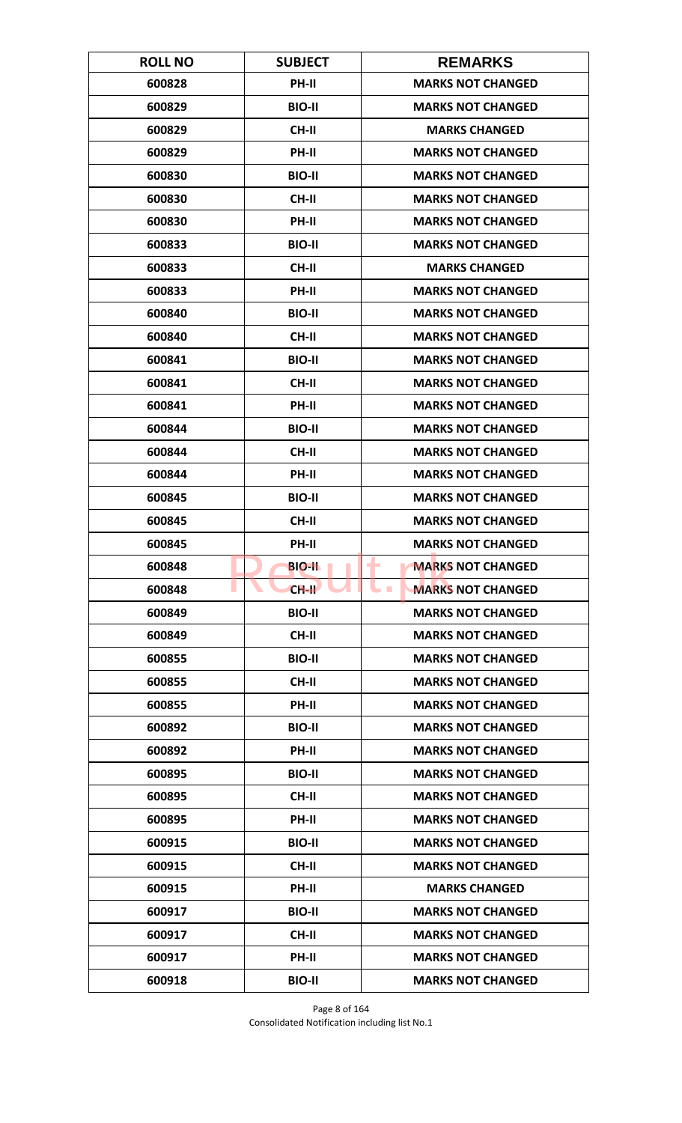| <b>ROLL NO</b> | <b>SUBJECT</b> | <b>REMARKS</b>                       |
|----------------|----------------|--------------------------------------|
| 600828         | PH-II          | <b>MARKS NOT CHANGED</b>             |
| 600829         | <b>BIO-II</b>  | <b>MARKS NOT CHANGED</b>             |
| 600829         | CH-II          | <b>MARKS CHANGED</b>                 |
| 600829         | <b>PH-II</b>   | <b>MARKS NOT CHANGED</b>             |
| 600830         | <b>BIO-II</b>  | <b>MARKS NOT CHANGED</b>             |
| 600830         | CH-II          | <b>MARKS NOT CHANGED</b>             |
| 600830         | <b>PH-II</b>   | <b>MARKS NOT CHANGED</b>             |
| 600833         | <b>BIO-II</b>  | <b>MARKS NOT CHANGED</b>             |
| 600833         | CH-II          | <b>MARKS CHANGED</b>                 |
| 600833         | PH-II          | <b>MARKS NOT CHANGED</b>             |
| 600840         | <b>BIO-II</b>  | <b>MARKS NOT CHANGED</b>             |
| 600840         | <b>CH-II</b>   | <b>MARKS NOT CHANGED</b>             |
| 600841         | <b>BIO-II</b>  | <b>MARKS NOT CHANGED</b>             |
| 600841         | <b>CH-II</b>   | <b>MARKS NOT CHANGED</b>             |
| 600841         | <b>PH-II</b>   | <b>MARKS NOT CHANGED</b>             |
| 600844         | <b>BIO-II</b>  | <b>MARKS NOT CHANGED</b>             |
| 600844         | CH-II          | <b>MARKS NOT CHANGED</b>             |
| 600844         | PH-II          | <b>MARKS NOT CHANGED</b>             |
| 600845         | <b>BIO-II</b>  | <b>MARKS NOT CHANGED</b>             |
| 600845         | <b>CH-II</b>   | <b>MARKS NOT CHANGED</b>             |
| 600845         | PH-II          | <b>MARKS NOT CHANGED</b>             |
| 600848         | <b>BIO-II</b>  | <b>MARKS NOT CHANGED</b><br>۰        |
| 600848         | $CH-H$         | <b>MARKS NOT CHANGED</b><br><b>I</b> |
| 600849         | <b>BIO-II</b>  | <b>MARKS NOT CHANGED</b>             |
| 600849         | CH-II          | <b>MARKS NOT CHANGED</b>             |
| 600855         | <b>BIO-II</b>  | <b>MARKS NOT CHANGED</b>             |
| 600855         | <b>CH-II</b>   | <b>MARKS NOT CHANGED</b>             |
| 600855         | PH-II          | <b>MARKS NOT CHANGED</b>             |
| 600892         | <b>BIO-II</b>  | <b>MARKS NOT CHANGED</b>             |
| 600892         | <b>PH-II</b>   | <b>MARKS NOT CHANGED</b>             |
| 600895         | <b>BIO-II</b>  | <b>MARKS NOT CHANGED</b>             |
| 600895         | CH-II          | <b>MARKS NOT CHANGED</b>             |
| 600895         | PH-II          | <b>MARKS NOT CHANGED</b>             |
| 600915         | <b>BIO-II</b>  | <b>MARKS NOT CHANGED</b>             |
| 600915         | CH-II          | <b>MARKS NOT CHANGED</b>             |
| 600915         | PH-II          | <b>MARKS CHANGED</b>                 |
| 600917         | <b>BIO-II</b>  | <b>MARKS NOT CHANGED</b>             |
| 600917         | <b>CH-II</b>   | <b>MARKS NOT CHANGED</b>             |
| 600917         | <b>PH-II</b>   | <b>MARKS NOT CHANGED</b>             |
| 600918         | <b>BIO-II</b>  | <b>MARKS NOT CHANGED</b>             |

Page 8 of 164 Consolidated Notification including list No.1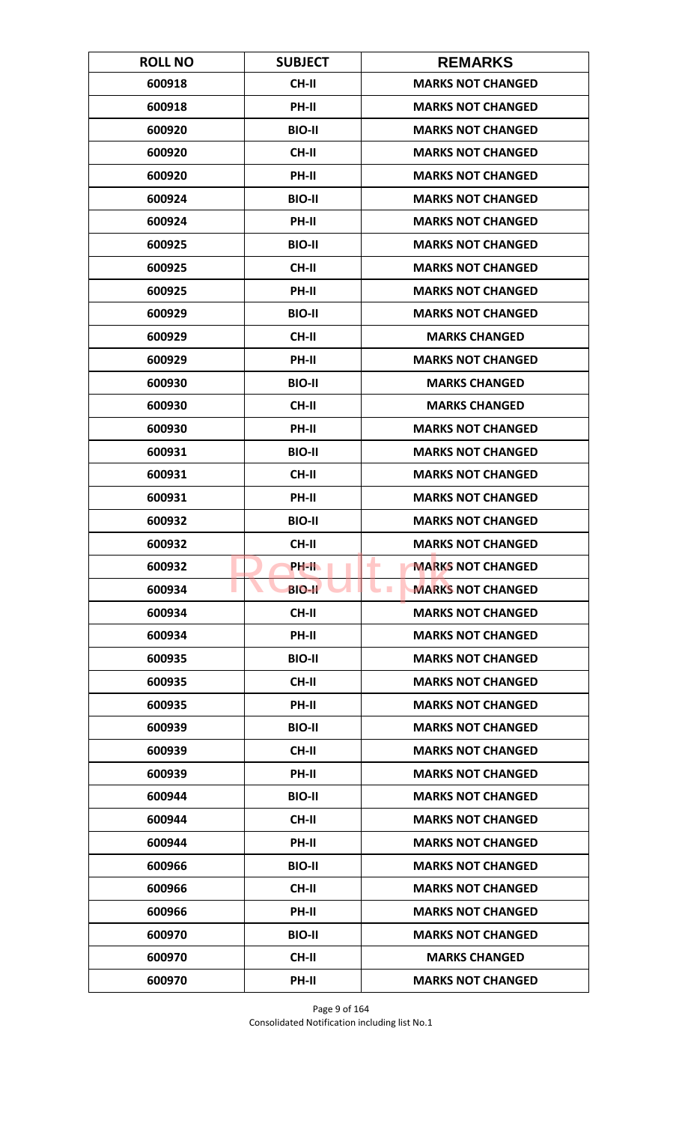| <b>ROLL NO</b> | <b>SUBJECT</b> | <b>REMARKS</b>                       |
|----------------|----------------|--------------------------------------|
| 600918         | <b>CH-II</b>   | <b>MARKS NOT CHANGED</b>             |
| 600918         | PH-II          | <b>MARKS NOT CHANGED</b>             |
| 600920         | <b>BIO-II</b>  | <b>MARKS NOT CHANGED</b>             |
| 600920         | <b>CH-II</b>   | <b>MARKS NOT CHANGED</b>             |
| 600920         | PH-II          | <b>MARKS NOT CHANGED</b>             |
| 600924         | <b>BIO-II</b>  | <b>MARKS NOT CHANGED</b>             |
| 600924         | <b>PH-II</b>   | <b>MARKS NOT CHANGED</b>             |
| 600925         | <b>BIO-II</b>  | <b>MARKS NOT CHANGED</b>             |
| 600925         | CH-II          | <b>MARKS NOT CHANGED</b>             |
| 600925         | PH-II          | <b>MARKS NOT CHANGED</b>             |
| 600929         | <b>BIO-II</b>  | <b>MARKS NOT CHANGED</b>             |
| 600929         | <b>CH-II</b>   | <b>MARKS CHANGED</b>                 |
| 600929         | PH-II          | <b>MARKS NOT CHANGED</b>             |
| 600930         | <b>BIO-II</b>  | <b>MARKS CHANGED</b>                 |
| 600930         | <b>CH-II</b>   | <b>MARKS CHANGED</b>                 |
| 600930         | PH-II          | <b>MARKS NOT CHANGED</b>             |
| 600931         | <b>BIO-II</b>  | <b>MARKS NOT CHANGED</b>             |
| 600931         | CH-II          | <b>MARKS NOT CHANGED</b>             |
| 600931         | PH-II          | <b>MARKS NOT CHANGED</b>             |
| 600932         | <b>BIO-II</b>  | <b>MARKS NOT CHANGED</b>             |
| 600932         | <b>CH-II</b>   | <b>MARKS NOT CHANGED</b>             |
| 600932         | PH-IL          | <b>MARKS NOT CHANGED</b><br>۰        |
| 600934         | <b>BIO-II</b>  | <b>MARKS NOT CHANGED</b><br><b>I</b> |
| 600934         | <b>CH-II</b>   | <b>MARKS NOT CHANGED</b>             |
| 600934         | PH-II          | <b>MARKS NOT CHANGED</b>             |
| 600935         | <b>BIO-II</b>  | <b>MARKS NOT CHANGED</b>             |
| 600935         | <b>CH-II</b>   | <b>MARKS NOT CHANGED</b>             |
| 600935         | PH-II          | <b>MARKS NOT CHANGED</b>             |
| 600939         | <b>BIO-II</b>  | <b>MARKS NOT CHANGED</b>             |
| 600939         | <b>CH-II</b>   | <b>MARKS NOT CHANGED</b>             |
| 600939         | <b>PH-II</b>   | <b>MARKS NOT CHANGED</b>             |
| 600944         | <b>BIO-II</b>  | <b>MARKS NOT CHANGED</b>             |
| 600944         | CH-II          | <b>MARKS NOT CHANGED</b>             |
| 600944         | PH-II          | <b>MARKS NOT CHANGED</b>             |
| 600966         | <b>BIO-II</b>  | <b>MARKS NOT CHANGED</b>             |
| 600966         | <b>CH-II</b>   | <b>MARKS NOT CHANGED</b>             |
| 600966         | PH-II          | <b>MARKS NOT CHANGED</b>             |
| 600970         | <b>BIO-II</b>  | <b>MARKS NOT CHANGED</b>             |
| 600970         | CH-II          | <b>MARKS CHANGED</b>                 |
| 600970         | PH-II          | <b>MARKS NOT CHANGED</b>             |

Page 9 of 164 Consolidated Notification including list No.1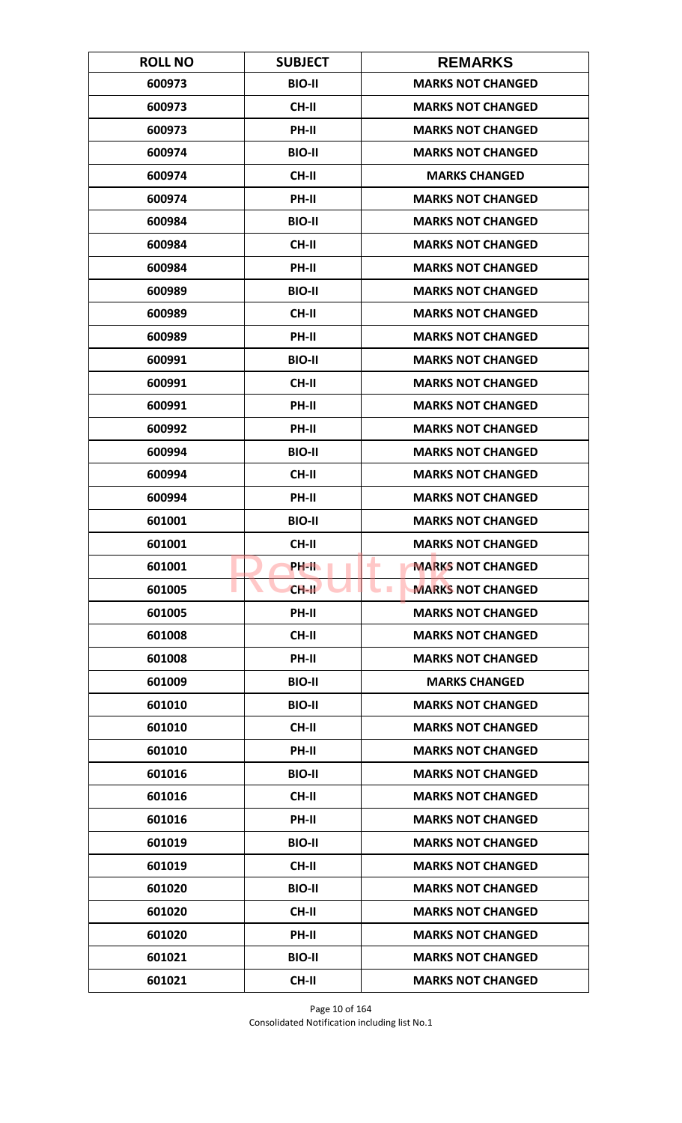| <b>ROLL NO</b> | <b>SUBJECT</b> | <b>REMARKS</b>                       |
|----------------|----------------|--------------------------------------|
| 600973         | <b>BIO-II</b>  | <b>MARKS NOT CHANGED</b>             |
| 600973         | <b>CH-II</b>   | <b>MARKS NOT CHANGED</b>             |
| 600973         | PH-II          | <b>MARKS NOT CHANGED</b>             |
| 600974         | <b>BIO-II</b>  | <b>MARKS NOT CHANGED</b>             |
| 600974         | <b>CH-II</b>   | <b>MARKS CHANGED</b>                 |
| 600974         | PH-II          | <b>MARKS NOT CHANGED</b>             |
| 600984         | <b>BIO-II</b>  | <b>MARKS NOT CHANGED</b>             |
| 600984         | <b>CH-II</b>   | <b>MARKS NOT CHANGED</b>             |
| 600984         | PH-II          | <b>MARKS NOT CHANGED</b>             |
| 600989         | <b>BIO-II</b>  | <b>MARKS NOT CHANGED</b>             |
| 600989         | <b>CH-II</b>   | <b>MARKS NOT CHANGED</b>             |
| 600989         | <b>PH-II</b>   | <b>MARKS NOT CHANGED</b>             |
| 600991         | <b>BIO-II</b>  | <b>MARKS NOT CHANGED</b>             |
| 600991         | <b>CH-II</b>   | <b>MARKS NOT CHANGED</b>             |
| 600991         | <b>PH-II</b>   | <b>MARKS NOT CHANGED</b>             |
| 600992         | PH-II          | <b>MARKS NOT CHANGED</b>             |
| 600994         | <b>BIO-II</b>  | <b>MARKS NOT CHANGED</b>             |
| 600994         | <b>CH-II</b>   | <b>MARKS NOT CHANGED</b>             |
| 600994         | PH-II          | <b>MARKS NOT CHANGED</b>             |
| 601001         | <b>BIO-II</b>  | <b>MARKS NOT CHANGED</b>             |
| 601001         | <b>CH-II</b>   | <b>MARKS NOT CHANGED</b>             |
| 601001         | PH-II.         | <b>MARKS NOT CHANGED</b><br>۰        |
| 601005         | $CH-H$         | <b>MARKS NOT CHANGED</b><br><b>I</b> |
| 601005         | <b>PH-II</b>   | <b>MARKS NOT CHANGED</b>             |
| 601008         | <b>CH-II</b>   | <b>MARKS NOT CHANGED</b>             |
| 601008         | PH-II          | <b>MARKS NOT CHANGED</b>             |
| 601009         | <b>BIO-II</b>  | <b>MARKS CHANGED</b>                 |
| 601010         | <b>BIO-II</b>  | <b>MARKS NOT CHANGED</b>             |
| 601010         | CH-II          | <b>MARKS NOT CHANGED</b>             |
| 601010         | <b>PH-II</b>   | <b>MARKS NOT CHANGED</b>             |
| 601016         | <b>BIO-II</b>  | <b>MARKS NOT CHANGED</b>             |
| 601016         | CH-II          | <b>MARKS NOT CHANGED</b>             |
| 601016         | PH-II          | <b>MARKS NOT CHANGED</b>             |
| 601019         | <b>BIO-II</b>  | <b>MARKS NOT CHANGED</b>             |
| 601019         | CH-II          | <b>MARKS NOT CHANGED</b>             |
| 601020         | <b>BIO-II</b>  | <b>MARKS NOT CHANGED</b>             |
| 601020         | CH-II          | <b>MARKS NOT CHANGED</b>             |
| 601020         | PH-II          | <b>MARKS NOT CHANGED</b>             |
| 601021         | <b>BIO-II</b>  | <b>MARKS NOT CHANGED</b>             |
| 601021         | CH-II          | <b>MARKS NOT CHANGED</b>             |

Page 10 of 164 Consolidated Notification including list No.1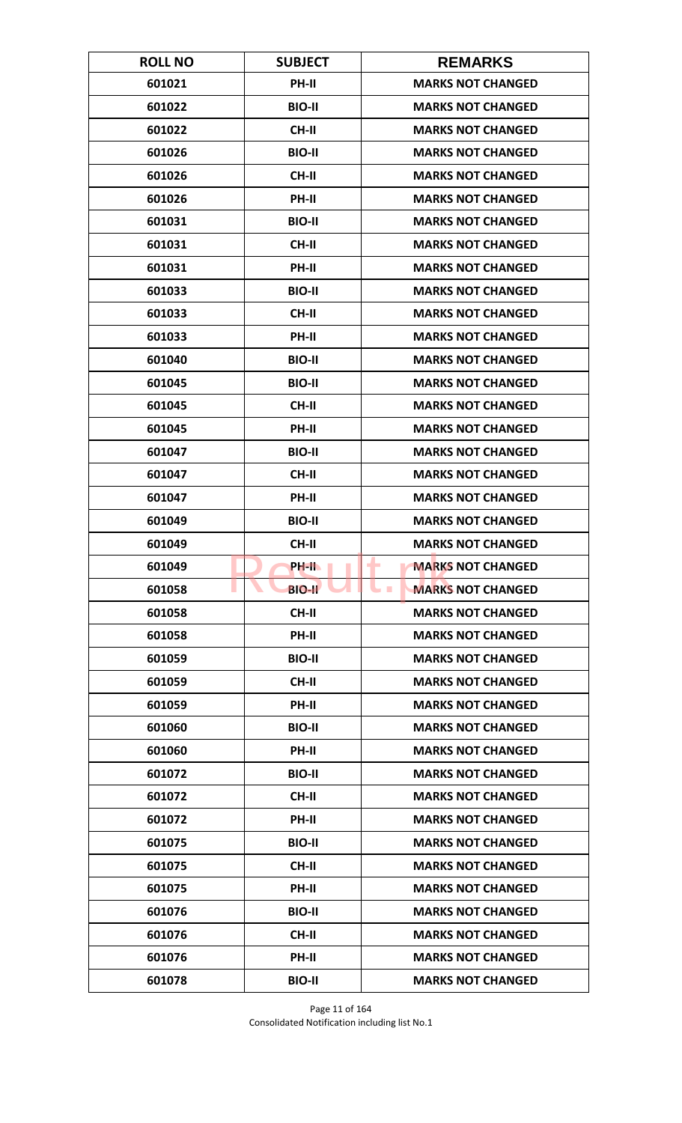| <b>ROLL NO</b> | <b>SUBJECT</b> | <b>REMARKS</b>                       |
|----------------|----------------|--------------------------------------|
| 601021         | PH-II          | <b>MARKS NOT CHANGED</b>             |
| 601022         | <b>BIO-II</b>  | <b>MARKS NOT CHANGED</b>             |
| 601022         | <b>CH-II</b>   | <b>MARKS NOT CHANGED</b>             |
| 601026         | <b>BIO-II</b>  | <b>MARKS NOT CHANGED</b>             |
| 601026         | <b>CH-II</b>   | <b>MARKS NOT CHANGED</b>             |
| 601026         | PH-II          | <b>MARKS NOT CHANGED</b>             |
| 601031         | <b>BIO-II</b>  | <b>MARKS NOT CHANGED</b>             |
| 601031         | <b>CH-II</b>   | <b>MARKS NOT CHANGED</b>             |
| 601031         | PH-II          | <b>MARKS NOT CHANGED</b>             |
| 601033         | <b>BIO-II</b>  | <b>MARKS NOT CHANGED</b>             |
| 601033         | <b>CH-II</b>   | <b>MARKS NOT CHANGED</b>             |
| 601033         | <b>PH-II</b>   | <b>MARKS NOT CHANGED</b>             |
| 601040         | <b>BIO-II</b>  | <b>MARKS NOT CHANGED</b>             |
| 601045         | <b>BIO-II</b>  | <b>MARKS NOT CHANGED</b>             |
| 601045         | <b>CH-II</b>   | <b>MARKS NOT CHANGED</b>             |
| 601045         | PH-II          | <b>MARKS NOT CHANGED</b>             |
| 601047         | <b>BIO-II</b>  | <b>MARKS NOT CHANGED</b>             |
| 601047         | <b>CH-II</b>   | <b>MARKS NOT CHANGED</b>             |
| 601047         | PH-II          | <b>MARKS NOT CHANGED</b>             |
| 601049         | <b>BIO-II</b>  | <b>MARKS NOT CHANGED</b>             |
| 601049         | <b>CH-II</b>   | <b>MARKS NOT CHANGED</b>             |
| 601049         | PH-IL          | <b>MARKS NOT CHANGED</b><br>۰        |
| 601058         | <b>BIO-II</b>  | <b>MARKS NOT CHANGED</b><br><b>I</b> |
| 601058         | <b>CH-II</b>   | <b>MARKS NOT CHANGED</b>             |
| 601058         | PH-II          | <b>MARKS NOT CHANGED</b>             |
| 601059         | <b>BIO-II</b>  | <b>MARKS NOT CHANGED</b>             |
| 601059         | CH-II          | <b>MARKS NOT CHANGED</b>             |
| 601059         | PH-II          | <b>MARKS NOT CHANGED</b>             |
| 601060         | <b>BIO-II</b>  | <b>MARKS NOT CHANGED</b>             |
| 601060         | <b>PH-II</b>   | <b>MARKS NOT CHANGED</b>             |
| 601072         | <b>BIO-II</b>  | <b>MARKS NOT CHANGED</b>             |
| 601072         | CH-II          | <b>MARKS NOT CHANGED</b>             |
| 601072         | PH-II          | <b>MARKS NOT CHANGED</b>             |
| 601075         | <b>BIO-II</b>  | <b>MARKS NOT CHANGED</b>             |
| 601075         | <b>CH-II</b>   | <b>MARKS NOT CHANGED</b>             |
| 601075         | PH-II          | <b>MARKS NOT CHANGED</b>             |
| 601076         | <b>BIO-II</b>  | <b>MARKS NOT CHANGED</b>             |
| 601076         | <b>CH-II</b>   | <b>MARKS NOT CHANGED</b>             |
| 601076         | <b>PH-II</b>   | <b>MARKS NOT CHANGED</b>             |
| 601078         | <b>BIO-II</b>  | <b>MARKS NOT CHANGED</b>             |

Page 11 of 164 Consolidated Notification including list No.1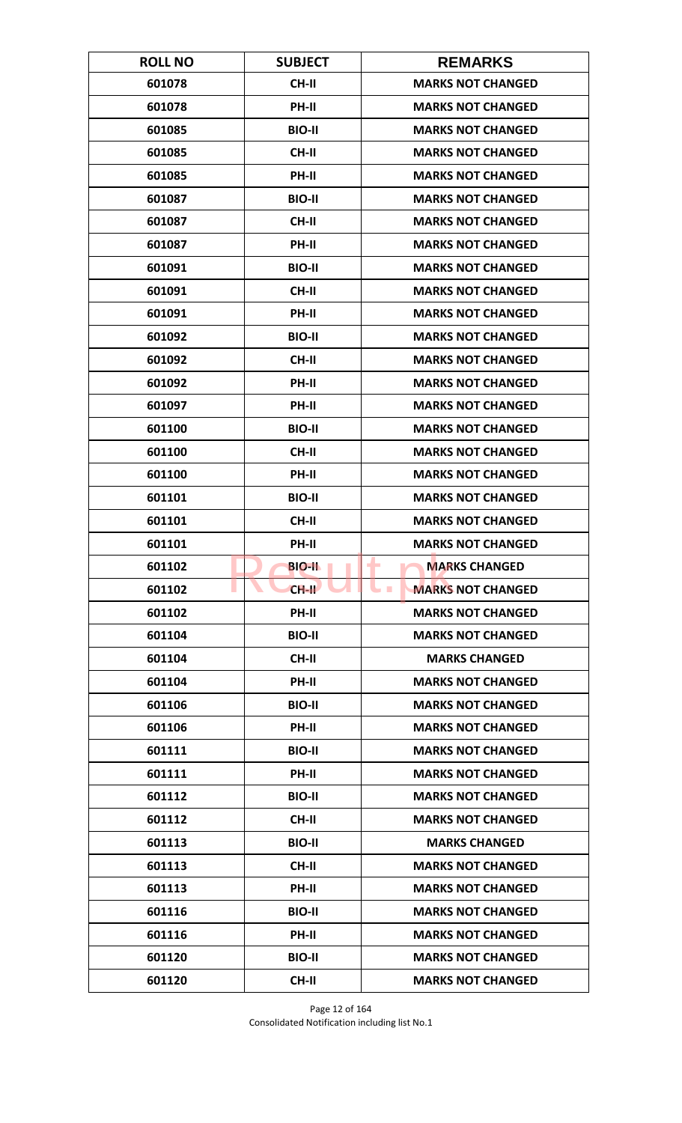| <b>ROLL NO</b> | <b>SUBJECT</b> | <b>REMARKS</b>                         |
|----------------|----------------|----------------------------------------|
| 601078         | <b>CH-II</b>   | <b>MARKS NOT CHANGED</b>               |
| 601078         | PH-II          | <b>MARKS NOT CHANGED</b>               |
| 601085         | <b>BIO-II</b>  | <b>MARKS NOT CHANGED</b>               |
| 601085         | <b>CH-II</b>   | <b>MARKS NOT CHANGED</b>               |
| 601085         | PH-II          | <b>MARKS NOT CHANGED</b>               |
| 601087         | <b>BIO-II</b>  | <b>MARKS NOT CHANGED</b>               |
| 601087         | <b>CH-II</b>   | <b>MARKS NOT CHANGED</b>               |
| 601087         | PH-II          | <b>MARKS NOT CHANGED</b>               |
| 601091         | <b>BIO-II</b>  | <b>MARKS NOT CHANGED</b>               |
| 601091         | CH-II          | <b>MARKS NOT CHANGED</b>               |
| 601091         | PH-II          | <b>MARKS NOT CHANGED</b>               |
| 601092         | <b>BIO-II</b>  | <b>MARKS NOT CHANGED</b>               |
| 601092         | <b>CH-II</b>   | <b>MARKS NOT CHANGED</b>               |
| 601092         | PH-II          | <b>MARKS NOT CHANGED</b>               |
| 601097         | <b>PH-II</b>   | <b>MARKS NOT CHANGED</b>               |
| 601100         | <b>BIO-II</b>  | <b>MARKS NOT CHANGED</b>               |
| 601100         | <b>CH-II</b>   | <b>MARKS NOT CHANGED</b>               |
| 601100         | PH-II          | <b>MARKS NOT CHANGED</b>               |
| 601101         | <b>BIO-II</b>  | <b>MARKS NOT CHANGED</b>               |
| 601101         | <b>CH-II</b>   | <b>MARKS NOT CHANGED</b>               |
| 601101         | PH-II          | <b>MARKS NOT CHANGED</b>               |
| 601102         | <b>BIO-II</b>  | <b>MARKS CHANGED</b><br>٠              |
| 601102         | $CH-H$         | <b>MARKS NOT CHANGED</b><br><b>COL</b> |
| 601102         | PH-II          | <b>MARKS NOT CHANGED</b>               |
| 601104         | <b>BIO-II</b>  | <b>MARKS NOT CHANGED</b>               |
| 601104         | CH-II          | <b>MARKS CHANGED</b>                   |
| 601104         | PH-II          | <b>MARKS NOT CHANGED</b>               |
| 601106         | <b>BIO-II</b>  | <b>MARKS NOT CHANGED</b>               |
| 601106         | PH-II          | <b>MARKS NOT CHANGED</b>               |
| 601111         | <b>BIO-II</b>  | <b>MARKS NOT CHANGED</b>               |
| 601111         | PH-II          | <b>MARKS NOT CHANGED</b>               |
| 601112         | <b>BIO-II</b>  | <b>MARKS NOT CHANGED</b>               |
| 601112         | CH-II          | <b>MARKS NOT CHANGED</b>               |
| 601113         | <b>BIO-II</b>  | <b>MARKS CHANGED</b>                   |
| 601113         | CH-II          | <b>MARKS NOT CHANGED</b>               |
| 601113         | PH-II          | <b>MARKS NOT CHANGED</b>               |
| 601116         | <b>BIO-II</b>  | <b>MARKS NOT CHANGED</b>               |
| 601116         | PH-II          | <b>MARKS NOT CHANGED</b>               |
| 601120         | <b>BIO-II</b>  | <b>MARKS NOT CHANGED</b>               |
| 601120         | CH-II          | <b>MARKS NOT CHANGED</b>               |

Page 12 of 164 Consolidated Notification including list No.1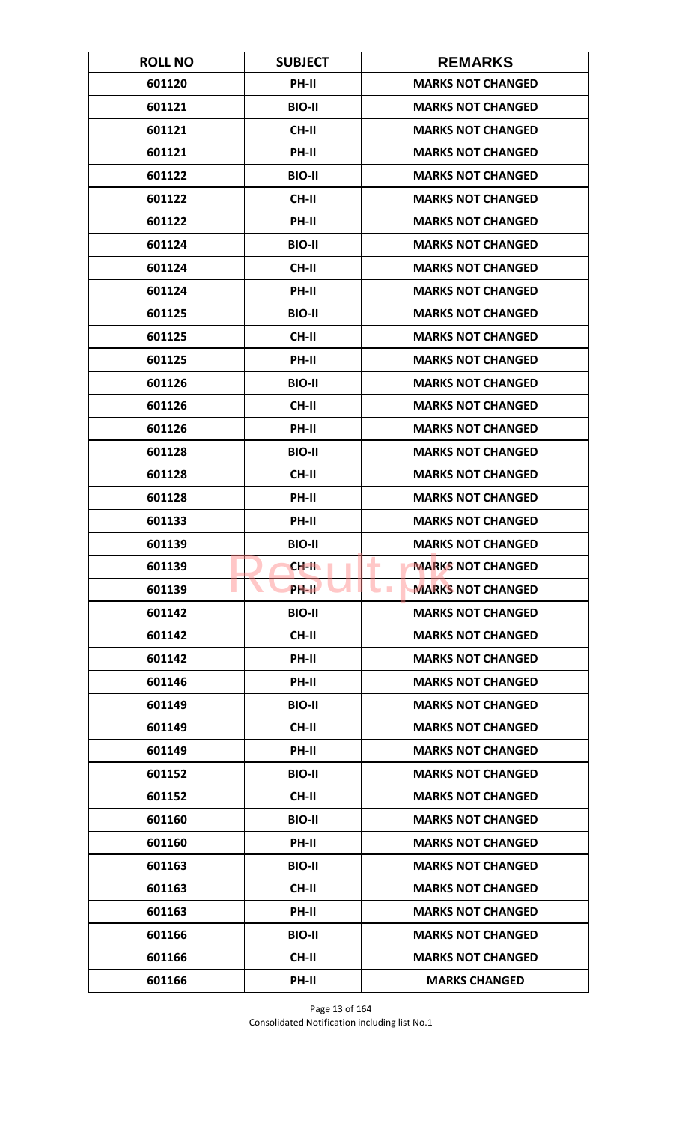| <b>ROLL NO</b> | <b>SUBJECT</b> | <b>REMARKS</b>                               |
|----------------|----------------|----------------------------------------------|
| 601120         | <b>PH-II</b>   | <b>MARKS NOT CHANGED</b>                     |
| 601121         | <b>BIO-II</b>  | <b>MARKS NOT CHANGED</b>                     |
| 601121         | <b>CH-II</b>   | <b>MARKS NOT CHANGED</b>                     |
| 601121         | <b>PH-II</b>   | <b>MARKS NOT CHANGED</b>                     |
| 601122         | <b>BIO-II</b>  | <b>MARKS NOT CHANGED</b>                     |
| 601122         | <b>CH-II</b>   | <b>MARKS NOT CHANGED</b>                     |
| 601122         | <b>PH-II</b>   | <b>MARKS NOT CHANGED</b>                     |
| 601124         | <b>BIO-II</b>  | <b>MARKS NOT CHANGED</b>                     |
| 601124         | <b>CH-II</b>   | <b>MARKS NOT CHANGED</b>                     |
| 601124         | PH-II          | <b>MARKS NOT CHANGED</b>                     |
| 601125         | <b>BIO-II</b>  | <b>MARKS NOT CHANGED</b>                     |
| 601125         | <b>CH-II</b>   | <b>MARKS NOT CHANGED</b>                     |
| 601125         | PH-II          | <b>MARKS NOT CHANGED</b>                     |
| 601126         | <b>BIO-II</b>  | <b>MARKS NOT CHANGED</b>                     |
| 601126         | <b>CH-II</b>   | <b>MARKS NOT CHANGED</b>                     |
| 601126         | PH-II          | <b>MARKS NOT CHANGED</b>                     |
| 601128         | <b>BIO-II</b>  | <b>MARKS NOT CHANGED</b>                     |
| 601128         | <b>CH-II</b>   | <b>MARKS NOT CHANGED</b>                     |
| 601128         | PH-II          | <b>MARKS NOT CHANGED</b>                     |
| 601133         | PH-II          | <b>MARKS NOT CHANGED</b>                     |
| 601139         | <b>BIO-II</b>  | <b>MARKS NOT CHANGED</b>                     |
| 601139         | CH-II          | <b>MARKS NOT CHANGED</b><br>۰                |
| 601139         | PH-II          | <b>MARKS NOT CHANGED</b><br><b>The State</b> |
| 601142         | <b>BIO-II</b>  | <b>MARKS NOT CHANGED</b>                     |
| 601142         | CH-II          | <b>MARKS NOT CHANGED</b>                     |
| 601142         | PH-II          | <b>MARKS NOT CHANGED</b>                     |
| 601146         | PH-II          | <b>MARKS NOT CHANGED</b>                     |
| 601149         | <b>BIO-II</b>  | <b>MARKS NOT CHANGED</b>                     |
| 601149         | CH-II          | <b>MARKS NOT CHANGED</b>                     |
| 601149         | <b>PH-II</b>   | <b>MARKS NOT CHANGED</b>                     |
| 601152         | <b>BIO-II</b>  | <b>MARKS NOT CHANGED</b>                     |
| 601152         | CH-II          | <b>MARKS NOT CHANGED</b>                     |
| 601160         | <b>BIO-II</b>  | <b>MARKS NOT CHANGED</b>                     |
| 601160         | PH-II          | <b>MARKS NOT CHANGED</b>                     |
| 601163         | <b>BIO-II</b>  | <b>MARKS NOT CHANGED</b>                     |
| 601163         | CH-II          | <b>MARKS NOT CHANGED</b>                     |
| 601163         | PH-II          | <b>MARKS NOT CHANGED</b>                     |
| 601166         | <b>BIO-II</b>  | <b>MARKS NOT CHANGED</b>                     |
| 601166         | <b>CH-II</b>   | <b>MARKS NOT CHANGED</b>                     |
| 601166         | PH-II          | <b>MARKS CHANGED</b>                         |

Page 13 of 164 Consolidated Notification including list No.1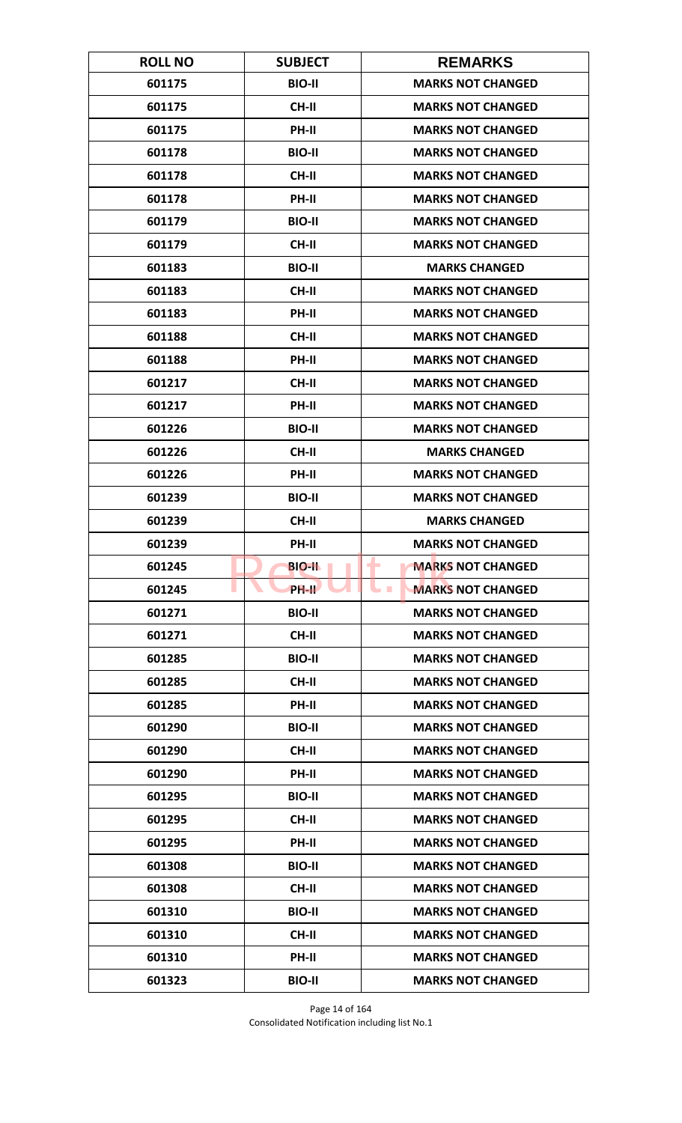| <b>ROLL NO</b> | <b>SUBJECT</b>     | <b>REMARKS</b>                       |
|----------------|--------------------|--------------------------------------|
| 601175         | <b>BIO-II</b>      | <b>MARKS NOT CHANGED</b>             |
| 601175         | <b>CH-II</b>       | <b>MARKS NOT CHANGED</b>             |
| 601175         | PH-II              | <b>MARKS NOT CHANGED</b>             |
| 601178         | <b>BIO-II</b>      | <b>MARKS NOT CHANGED</b>             |
| 601178         | <b>CH-II</b>       | <b>MARKS NOT CHANGED</b>             |
| 601178         | PH-II              | <b>MARKS NOT CHANGED</b>             |
| 601179         | <b>BIO-II</b>      | <b>MARKS NOT CHANGED</b>             |
| 601179         | <b>CH-II</b>       | <b>MARKS NOT CHANGED</b>             |
| 601183         | <b>BIO-II</b>      | <b>MARKS CHANGED</b>                 |
| 601183         | CH-II              | <b>MARKS NOT CHANGED</b>             |
| 601183         | PH-II              | <b>MARKS NOT CHANGED</b>             |
| 601188         | <b>CH-II</b>       | <b>MARKS NOT CHANGED</b>             |
| 601188         | PH-II              | <b>MARKS NOT CHANGED</b>             |
| 601217         | <b>CH-II</b>       | <b>MARKS NOT CHANGED</b>             |
| 601217         | <b>PH-II</b>       | <b>MARKS NOT CHANGED</b>             |
| 601226         | <b>BIO-II</b>      | <b>MARKS NOT CHANGED</b>             |
| 601226         | <b>CH-II</b>       | <b>MARKS CHANGED</b>                 |
| 601226         | PH-II              | <b>MARKS NOT CHANGED</b>             |
| 601239         | <b>BIO-II</b>      | <b>MARKS NOT CHANGED</b>             |
| 601239         | <b>CH-II</b>       | <b>MARKS CHANGED</b>                 |
| 601239         | PH-II              | <b>MARKS NOT CHANGED</b>             |
| 601245         | <b>BIO-II</b>      | <b>MARKS NOT CHANGED</b><br>۰        |
| 601245         | PH-II <sup>T</sup> | <b>MARKS NOT CHANGED</b><br><b>I</b> |
| 601271         | <b>BIO-II</b>      | <b>MARKS NOT CHANGED</b>             |
| 601271         | CH-II              | <b>MARKS NOT CHANGED</b>             |
| 601285         | <b>BIO-II</b>      | <b>MARKS NOT CHANGED</b>             |
| 601285         | <b>CH-II</b>       | <b>MARKS NOT CHANGED</b>             |
| 601285         | PH-II              | <b>MARKS NOT CHANGED</b>             |
| 601290         | <b>BIO-II</b>      | <b>MARKS NOT CHANGED</b>             |
| 601290         | <b>CH-II</b>       | <b>MARKS NOT CHANGED</b>             |
| 601290         | PH-II              | <b>MARKS NOT CHANGED</b>             |
| 601295         | <b>BIO-II</b>      | <b>MARKS NOT CHANGED</b>             |
| 601295         | CH-II              | <b>MARKS NOT CHANGED</b>             |
| 601295         | PH-II              | <b>MARKS NOT CHANGED</b>             |
| 601308         | <b>BIO-II</b>      | <b>MARKS NOT CHANGED</b>             |
| 601308         | CH-II              | <b>MARKS NOT CHANGED</b>             |
| 601310         | <b>BIO-II</b>      | <b>MARKS NOT CHANGED</b>             |
| 601310         | <b>CH-II</b>       | <b>MARKS NOT CHANGED</b>             |
| 601310         | <b>PH-II</b>       | <b>MARKS NOT CHANGED</b>             |
| 601323         | <b>BIO-II</b>      | <b>MARKS NOT CHANGED</b>             |

Page 14 of 164 Consolidated Notification including list No.1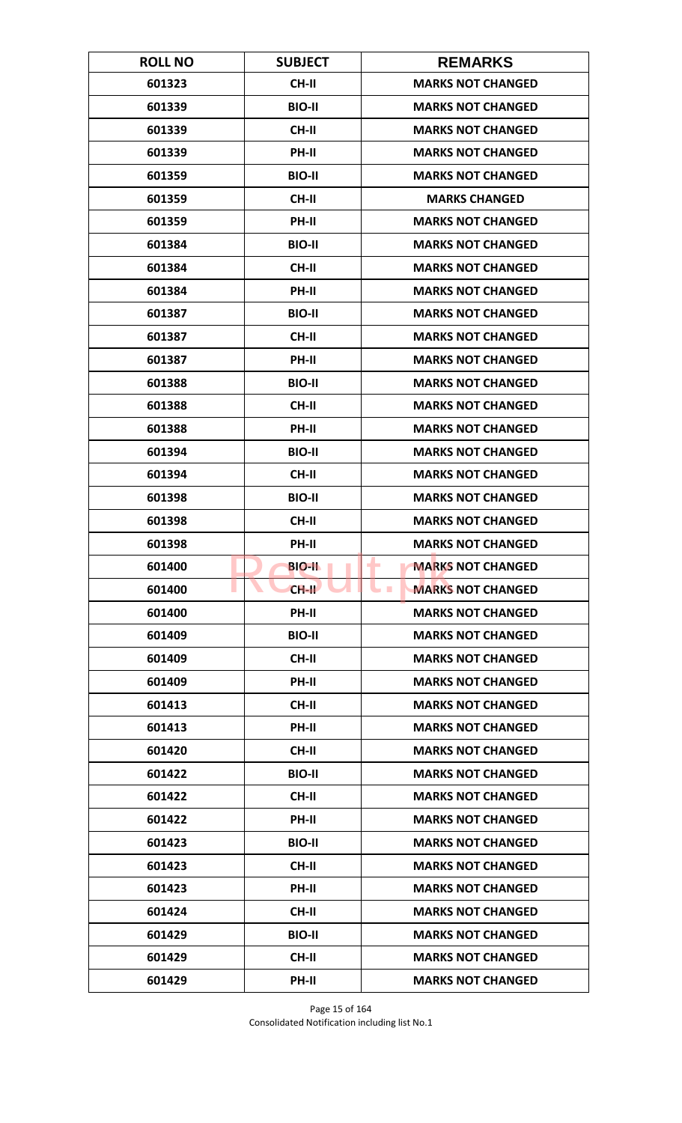| <b>ROLL NO</b> | <b>SUBJECT</b> | <b>REMARKS</b>                       |
|----------------|----------------|--------------------------------------|
| 601323         | <b>CH-II</b>   | <b>MARKS NOT CHANGED</b>             |
| 601339         | <b>BIO-II</b>  | <b>MARKS NOT CHANGED</b>             |
| 601339         | <b>CH-II</b>   | <b>MARKS NOT CHANGED</b>             |
| 601339         | PH-II          | <b>MARKS NOT CHANGED</b>             |
| 601359         | <b>BIO-II</b>  | <b>MARKS NOT CHANGED</b>             |
| 601359         | <b>CH-II</b>   | <b>MARKS CHANGED</b>                 |
| 601359         | <b>PH-II</b>   | <b>MARKS NOT CHANGED</b>             |
| 601384         | <b>BIO-II</b>  | <b>MARKS NOT CHANGED</b>             |
| 601384         | <b>CH-II</b>   | <b>MARKS NOT CHANGED</b>             |
| 601384         | PH-II          | <b>MARKS NOT CHANGED</b>             |
| 601387         | <b>BIO-II</b>  | <b>MARKS NOT CHANGED</b>             |
| 601387         | <b>CH-II</b>   | <b>MARKS NOT CHANGED</b>             |
| 601387         | PH-II          | <b>MARKS NOT CHANGED</b>             |
| 601388         | <b>BIO-II</b>  | <b>MARKS NOT CHANGED</b>             |
| 601388         | <b>CH-II</b>   | <b>MARKS NOT CHANGED</b>             |
| 601388         | PH-II          | <b>MARKS NOT CHANGED</b>             |
| 601394         | <b>BIO-II</b>  | <b>MARKS NOT CHANGED</b>             |
| 601394         | <b>CH-II</b>   | <b>MARKS NOT CHANGED</b>             |
| 601398         | <b>BIO-II</b>  | <b>MARKS NOT CHANGED</b>             |
| 601398         | <b>CH-II</b>   | <b>MARKS NOT CHANGED</b>             |
| 601398         | PH-II          | <b>MARKS NOT CHANGED</b>             |
| 601400         | <b>BIO-II</b>  | <b>MARKS NOT CHANGED</b><br>۰        |
| 601400         | $CH-H$         | <b>MARKS NOT CHANGED</b><br><b>I</b> |
| 601400         | PH-II          | <b>MARKS NOT CHANGED</b>             |
| 601409         | <b>BIO-II</b>  | <b>MARKS NOT CHANGED</b>             |
| 601409         | CH-II          | <b>MARKS NOT CHANGED</b>             |
| 601409         | PH-II          | <b>MARKS NOT CHANGED</b>             |
| 601413         | <b>CH-II</b>   | <b>MARKS NOT CHANGED</b>             |
| 601413         | PH-II          | <b>MARKS NOT CHANGED</b>             |
| 601420         | <b>CH-II</b>   | <b>MARKS NOT CHANGED</b>             |
| 601422         | <b>BIO-II</b>  | <b>MARKS NOT CHANGED</b>             |
| 601422         | CH-II          | <b>MARKS NOT CHANGED</b>             |
| 601422         | PH-II          | <b>MARKS NOT CHANGED</b>             |
| 601423         | <b>BIO-II</b>  | <b>MARKS NOT CHANGED</b>             |
| 601423         | CH-II          | <b>MARKS NOT CHANGED</b>             |
| 601423         | PH-II          | <b>MARKS NOT CHANGED</b>             |
| 601424         | CH-II          | <b>MARKS NOT CHANGED</b>             |
| 601429         | <b>BIO-II</b>  | <b>MARKS NOT CHANGED</b>             |
| 601429         | CH-II          | <b>MARKS NOT CHANGED</b>             |
| 601429         | PH-II          | <b>MARKS NOT CHANGED</b>             |

Page 15 of 164 Consolidated Notification including list No.1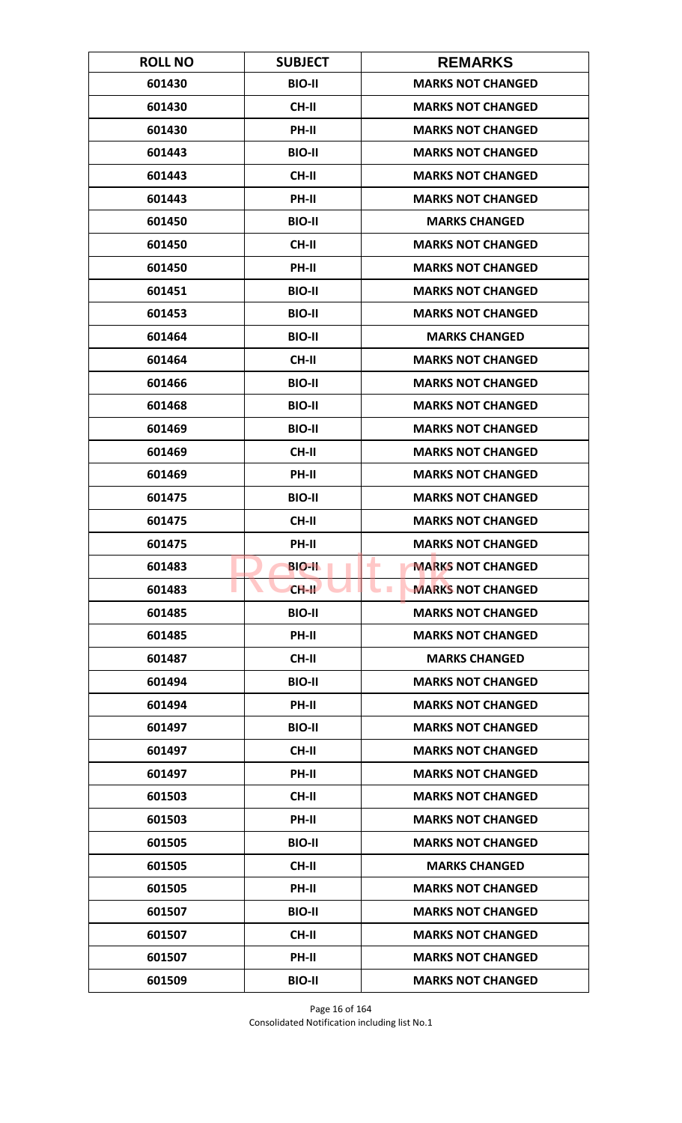| <b>ROLL NO</b> | <b>SUBJECT</b> | <b>REMARKS</b>                         |
|----------------|----------------|----------------------------------------|
| 601430         | <b>BIO-II</b>  | <b>MARKS NOT CHANGED</b>               |
| 601430         | <b>CH-II</b>   | <b>MARKS NOT CHANGED</b>               |
| 601430         | <b>PH-II</b>   | <b>MARKS NOT CHANGED</b>               |
| 601443         | <b>BIO-II</b>  | <b>MARKS NOT CHANGED</b>               |
| 601443         | <b>CH-II</b>   | <b>MARKS NOT CHANGED</b>               |
| 601443         | PH-II          | <b>MARKS NOT CHANGED</b>               |
| 601450         | <b>BIO-II</b>  | <b>MARKS CHANGED</b>                   |
| 601450         | <b>CH-II</b>   | <b>MARKS NOT CHANGED</b>               |
| 601450         | PH-II          | <b>MARKS NOT CHANGED</b>               |
| 601451         | <b>BIO-II</b>  | <b>MARKS NOT CHANGED</b>               |
| 601453         | <b>BIO-II</b>  | <b>MARKS NOT CHANGED</b>               |
| 601464         | <b>BIO-II</b>  | <b>MARKS CHANGED</b>                   |
| 601464         | CH-II          | <b>MARKS NOT CHANGED</b>               |
| 601466         | <b>BIO-II</b>  | <b>MARKS NOT CHANGED</b>               |
| 601468         | <b>BIO-II</b>  | <b>MARKS NOT CHANGED</b>               |
| 601469         | <b>BIO-II</b>  | <b>MARKS NOT CHANGED</b>               |
| 601469         | <b>CH-II</b>   | <b>MARKS NOT CHANGED</b>               |
| 601469         | PH-II          | <b>MARKS NOT CHANGED</b>               |
| 601475         | <b>BIO-II</b>  | <b>MARKS NOT CHANGED</b>               |
| 601475         | <b>CH-II</b>   | <b>MARKS NOT CHANGED</b>               |
| 601475         | PH-II          | <b>MARKS NOT CHANGED</b>               |
| 601483         | <b>BIO-II</b>  | <b>MARKS NOT CHANGED</b><br>٠          |
| 601483         | $CH-H$         | <b>MARKS NOT CHANGED</b><br><b>COL</b> |
| 601485         | <b>BIO-II</b>  | <b>MARKS NOT CHANGED</b>               |
| 601485         | PH-II          | <b>MARKS NOT CHANGED</b>               |
| 601487         | CH-II          | <b>MARKS CHANGED</b>                   |
| 601494         | <b>BIO-II</b>  | <b>MARKS NOT CHANGED</b>               |
| 601494         | <b>PH-II</b>   | <b>MARKS NOT CHANGED</b>               |
| 601497         | <b>BIO-II</b>  | <b>MARKS NOT CHANGED</b>               |
| 601497         | CH-II          | <b>MARKS NOT CHANGED</b>               |
| 601497         | PH-II          | <b>MARKS NOT CHANGED</b>               |
| 601503         | CH-II          | <b>MARKS NOT CHANGED</b>               |
| 601503         | PH-II          | <b>MARKS NOT CHANGED</b>               |
| 601505         | <b>BIO-II</b>  | <b>MARKS NOT CHANGED</b>               |
| 601505         | CH-II          | <b>MARKS CHANGED</b>                   |
| 601505         | PH-II          | <b>MARKS NOT CHANGED</b>               |
| 601507         | <b>BIO-II</b>  | <b>MARKS NOT CHANGED</b>               |
| 601507         | <b>CH-II</b>   | <b>MARKS NOT CHANGED</b>               |
| 601507         | PH-II          | <b>MARKS NOT CHANGED</b>               |
| 601509         | <b>BIO-II</b>  | <b>MARKS NOT CHANGED</b>               |

Page 16 of 164 Consolidated Notification including list No.1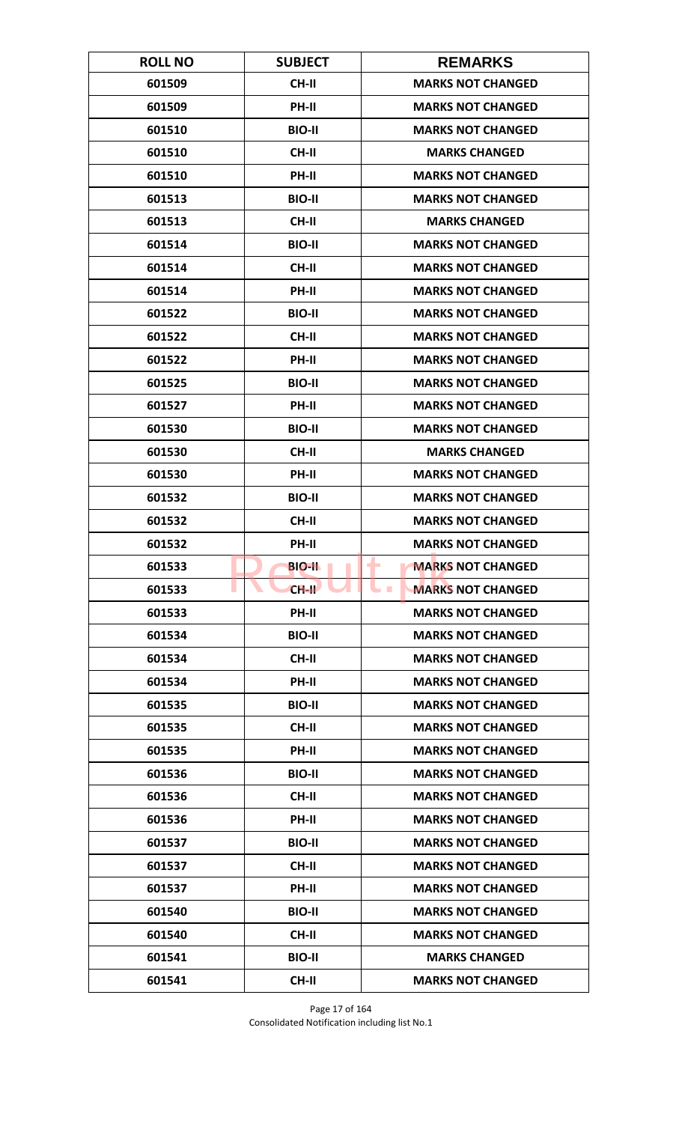| <b>ROLL NO</b> | <b>SUBJECT</b> | <b>REMARKS</b>                             |
|----------------|----------------|--------------------------------------------|
| 601509         | CH-II          | <b>MARKS NOT CHANGED</b>                   |
| 601509         | PH-II          | <b>MARKS NOT CHANGED</b>                   |
| 601510         | <b>BIO-II</b>  | <b>MARKS NOT CHANGED</b>                   |
| 601510         | <b>CH-II</b>   | <b>MARKS CHANGED</b>                       |
| 601510         | PH-II          | <b>MARKS NOT CHANGED</b>                   |
| 601513         | <b>BIO-II</b>  | <b>MARKS NOT CHANGED</b>                   |
| 601513         | <b>CH-II</b>   | <b>MARKS CHANGED</b>                       |
| 601514         | <b>BIO-II</b>  | <b>MARKS NOT CHANGED</b>                   |
| 601514         | <b>CH-II</b>   | <b>MARKS NOT CHANGED</b>                   |
| 601514         | PH-II          | <b>MARKS NOT CHANGED</b>                   |
| 601522         | <b>BIO-II</b>  | <b>MARKS NOT CHANGED</b>                   |
| 601522         | <b>CH-II</b>   | <b>MARKS NOT CHANGED</b>                   |
| 601522         | PH-II          | <b>MARKS NOT CHANGED</b>                   |
| 601525         | <b>BIO-II</b>  | <b>MARKS NOT CHANGED</b>                   |
| 601527         | PH-II          | <b>MARKS NOT CHANGED</b>                   |
| 601530         | <b>BIO-II</b>  | <b>MARKS NOT CHANGED</b>                   |
| 601530         | <b>CH-II</b>   | <b>MARKS CHANGED</b>                       |
| 601530         | PH-II          | <b>MARKS NOT CHANGED</b>                   |
| 601532         | <b>BIO-II</b>  | <b>MARKS NOT CHANGED</b>                   |
| 601532         | <b>CH-II</b>   | <b>MARKS NOT CHANGED</b>                   |
| 601532         | PH-II          | <b>MARKS NOT CHANGED</b>                   |
| 601533         | <b>BIO-IL</b>  | ۰<br><b>MARKS NOT CHANGED</b>              |
| 601533         | $CH-H$         | <b>MARKS NOT CHANGED</b><br><b>College</b> |
| 601533         | PH-II          | <b>MARKS NOT CHANGED</b>                   |
| 601534         | <b>BIO-II</b>  | <b>MARKS NOT CHANGED</b>                   |
| 601534         | CH-II          | <b>MARKS NOT CHANGED</b>                   |
| 601534         | PH-II          | <b>MARKS NOT CHANGED</b>                   |
| 601535         | <b>BIO-II</b>  | <b>MARKS NOT CHANGED</b>                   |
| 601535         | CH-II          | <b>MARKS NOT CHANGED</b>                   |
| 601535         | PH-II          | <b>MARKS NOT CHANGED</b>                   |
| 601536         | <b>BIO-II</b>  | <b>MARKS NOT CHANGED</b>                   |
| 601536         | CH-II          | <b>MARKS NOT CHANGED</b>                   |
| 601536         | PH-II          | <b>MARKS NOT CHANGED</b>                   |
| 601537         | <b>BIO-II</b>  | <b>MARKS NOT CHANGED</b>                   |
| 601537         | <b>CH-II</b>   | <b>MARKS NOT CHANGED</b>                   |
| 601537         | PH-II          | <b>MARKS NOT CHANGED</b>                   |
| 601540         | <b>BIO-II</b>  | <b>MARKS NOT CHANGED</b>                   |
| 601540         | CH-II          | <b>MARKS NOT CHANGED</b>                   |
| 601541         | <b>BIO-II</b>  | <b>MARKS CHANGED</b>                       |
| 601541         | CH-II          | <b>MARKS NOT CHANGED</b>                   |

Page 17 of 164 Consolidated Notification including list No.1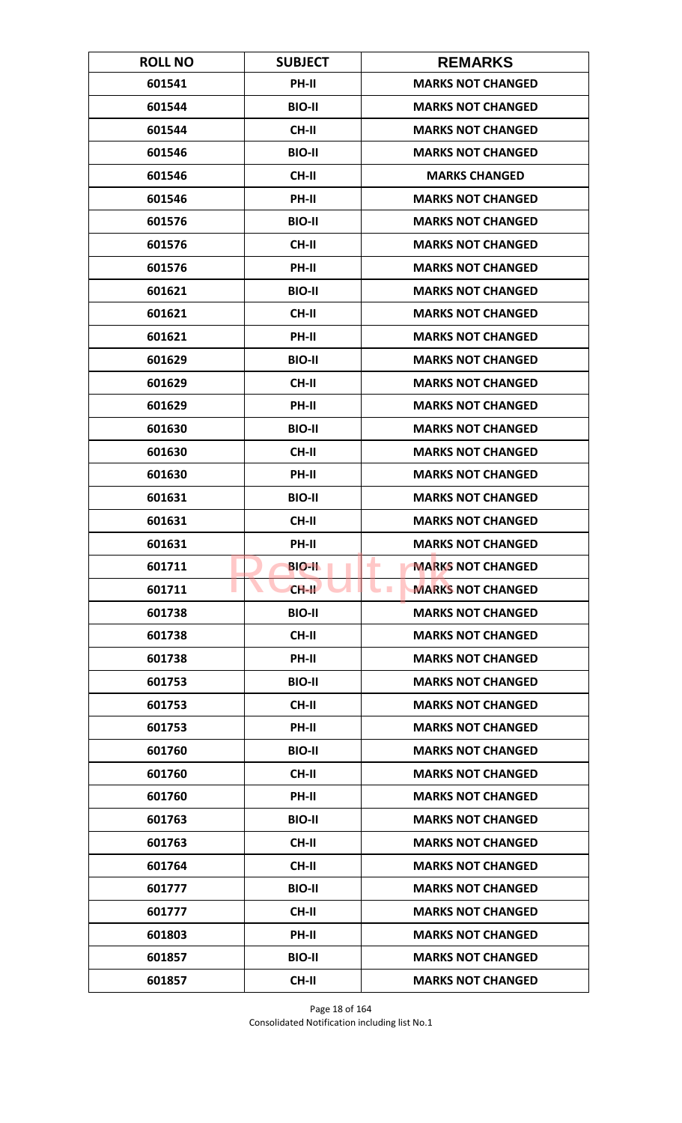| <b>ROLL NO</b> | <b>SUBJECT</b> | <b>REMARKS</b>                       |
|----------------|----------------|--------------------------------------|
| 601541         | PH-II          | <b>MARKS NOT CHANGED</b>             |
| 601544         | <b>BIO-II</b>  | <b>MARKS NOT CHANGED</b>             |
| 601544         | <b>CH-II</b>   | <b>MARKS NOT CHANGED</b>             |
| 601546         | <b>BIO-II</b>  | <b>MARKS NOT CHANGED</b>             |
| 601546         | <b>CH-II</b>   | <b>MARKS CHANGED</b>                 |
| 601546         | PH-II          | <b>MARKS NOT CHANGED</b>             |
| 601576         | <b>BIO-II</b>  | <b>MARKS NOT CHANGED</b>             |
| 601576         | <b>CH-II</b>   | <b>MARKS NOT CHANGED</b>             |
| 601576         | PH-II          | <b>MARKS NOT CHANGED</b>             |
| 601621         | <b>BIO-II</b>  | <b>MARKS NOT CHANGED</b>             |
| 601621         | <b>CH-II</b>   | <b>MARKS NOT CHANGED</b>             |
| 601621         | <b>PH-II</b>   | <b>MARKS NOT CHANGED</b>             |
| 601629         | <b>BIO-II</b>  | <b>MARKS NOT CHANGED</b>             |
| 601629         | <b>CH-II</b>   | <b>MARKS NOT CHANGED</b>             |
| 601629         | PH-II          | <b>MARKS NOT CHANGED</b>             |
| 601630         | <b>BIO-II</b>  | <b>MARKS NOT CHANGED</b>             |
| 601630         | <b>CH-II</b>   | <b>MARKS NOT CHANGED</b>             |
| 601630         | PH-II          | <b>MARKS NOT CHANGED</b>             |
| 601631         | <b>BIO-II</b>  | <b>MARKS NOT CHANGED</b>             |
| 601631         | <b>CH-II</b>   | <b>MARKS NOT CHANGED</b>             |
| 601631         | PH-II          | <b>MARKS NOT CHANGED</b>             |
| 601711         | <b>BIO-II</b>  | <b>MARKS NOT CHANGED</b><br>۰        |
| 601711         | $CH-H$         | <b>MARKS NOT CHANGED</b><br><b>I</b> |
| 601738         | <b>BIO-II</b>  | <b>MARKS NOT CHANGED</b>             |
| 601738         | CH-II          | <b>MARKS NOT CHANGED</b>             |
| 601738         | PH-II          | <b>MARKS NOT CHANGED</b>             |
| 601753         | <b>BIO-II</b>  | <b>MARKS NOT CHANGED</b>             |
| 601753         | <b>CH-II</b>   | <b>MARKS NOT CHANGED</b>             |
| 601753         | PH-II          | <b>MARKS NOT CHANGED</b>             |
| 601760         | <b>BIO-II</b>  | <b>MARKS NOT CHANGED</b>             |
| 601760         | <b>CH-II</b>   | <b>MARKS NOT CHANGED</b>             |
| 601760         | PH-II          | <b>MARKS NOT CHANGED</b>             |
| 601763         | <b>BIO-II</b>  | <b>MARKS NOT CHANGED</b>             |
| 601763         | CH-II          | <b>MARKS NOT CHANGED</b>             |
| 601764         | CH-II          | <b>MARKS NOT CHANGED</b>             |
| 601777         | <b>BIO-II</b>  | <b>MARKS NOT CHANGED</b>             |
| 601777         | CH-II          | <b>MARKS NOT CHANGED</b>             |
| 601803         | PH-II          | <b>MARKS NOT CHANGED</b>             |
| 601857         | <b>BIO-II</b>  | <b>MARKS NOT CHANGED</b>             |
| 601857         | CH-II          | <b>MARKS NOT CHANGED</b>             |

Page 18 of 164 Consolidated Notification including list No.1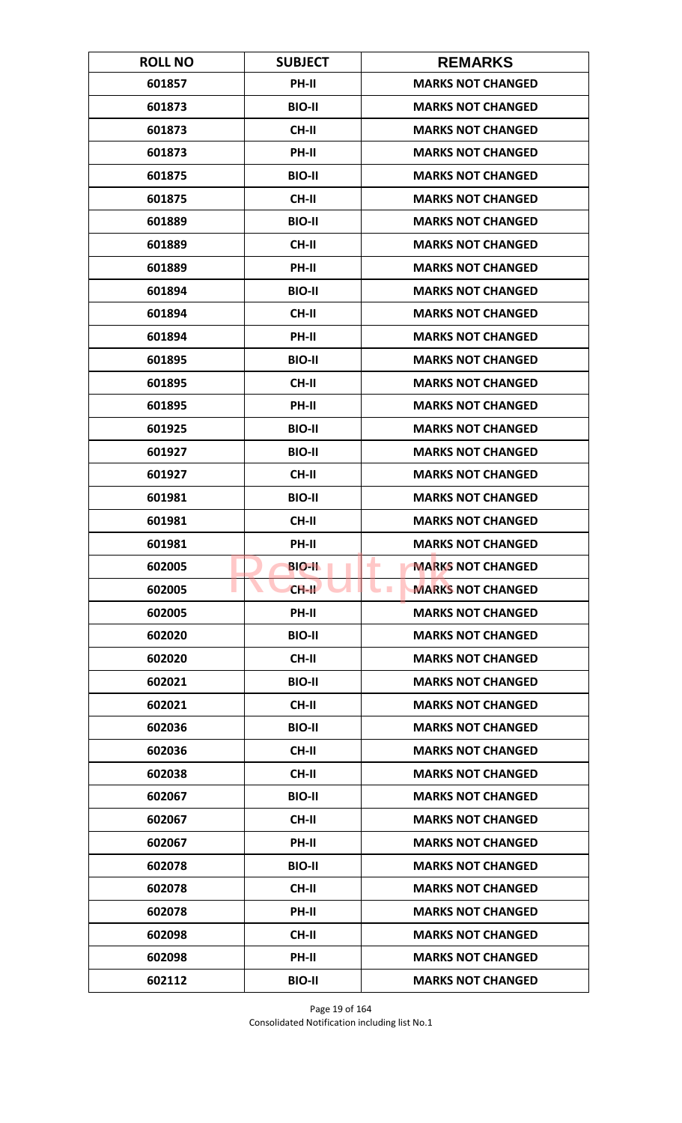| <b>ROLL NO</b> | <b>SUBJECT</b> | <b>REMARKS</b>                       |
|----------------|----------------|--------------------------------------|
| 601857         | PH-II          | <b>MARKS NOT CHANGED</b>             |
| 601873         | <b>BIO-II</b>  | <b>MARKS NOT CHANGED</b>             |
| 601873         | <b>CH-II</b>   | <b>MARKS NOT CHANGED</b>             |
| 601873         | PH-II          | <b>MARKS NOT CHANGED</b>             |
| 601875         | <b>BIO-II</b>  | <b>MARKS NOT CHANGED</b>             |
| 601875         | <b>CH-II</b>   | <b>MARKS NOT CHANGED</b>             |
| 601889         | <b>BIO-II</b>  | <b>MARKS NOT CHANGED</b>             |
| 601889         | <b>CH-II</b>   | <b>MARKS NOT CHANGED</b>             |
| 601889         | PH-II          | <b>MARKS NOT CHANGED</b>             |
| 601894         | <b>BIO-II</b>  | <b>MARKS NOT CHANGED</b>             |
| 601894         | <b>CH-II</b>   | <b>MARKS NOT CHANGED</b>             |
| 601894         | <b>PH-II</b>   | <b>MARKS NOT CHANGED</b>             |
| 601895         | <b>BIO-II</b>  | <b>MARKS NOT CHANGED</b>             |
| 601895         | <b>CH-II</b>   | <b>MARKS NOT CHANGED</b>             |
| 601895         | <b>PH-II</b>   | <b>MARKS NOT CHANGED</b>             |
| 601925         | <b>BIO-II</b>  | <b>MARKS NOT CHANGED</b>             |
| 601927         | <b>BIO-II</b>  | <b>MARKS NOT CHANGED</b>             |
| 601927         | CH-II          | <b>MARKS NOT CHANGED</b>             |
| 601981         | <b>BIO-II</b>  | <b>MARKS NOT CHANGED</b>             |
| 601981         | <b>CH-II</b>   | <b>MARKS NOT CHANGED</b>             |
| 601981         | PH-II          | <b>MARKS NOT CHANGED</b>             |
| 602005         | <b>BIO-II</b>  | ۰<br><b>MARKS NOT CHANGED</b>        |
| 602005         | $CH-H$         | <b>MARKS NOT CHANGED</b><br><b>I</b> |
| 602005         | <b>PH-II</b>   | <b>MARKS NOT CHANGED</b>             |
| 602020         | <b>BIO-II</b>  | <b>MARKS NOT CHANGED</b>             |
| 602020         | CH-II          | <b>MARKS NOT CHANGED</b>             |
| 602021         | <b>BIO-II</b>  | <b>MARKS NOT CHANGED</b>             |
| 602021         | <b>CH-II</b>   | <b>MARKS NOT CHANGED</b>             |
| 602036         | <b>BIO-II</b>  | <b>MARKS NOT CHANGED</b>             |
| 602036         | <b>CH-II</b>   | <b>MARKS NOT CHANGED</b>             |
| 602038         | <b>CH-II</b>   | <b>MARKS NOT CHANGED</b>             |
| 602067         | <b>BIO-II</b>  | <b>MARKS NOT CHANGED</b>             |
| 602067         | CH-II          | <b>MARKS NOT CHANGED</b>             |
| 602067         | PH-II          | <b>MARKS NOT CHANGED</b>             |
| 602078         | <b>BIO-II</b>  | <b>MARKS NOT CHANGED</b>             |
| 602078         | <b>CH-II</b>   | <b>MARKS NOT CHANGED</b>             |
| 602078         | PH-II          | <b>MARKS NOT CHANGED</b>             |
| 602098         | <b>CH-II</b>   | <b>MARKS NOT CHANGED</b>             |
| 602098         | <b>PH-II</b>   | <b>MARKS NOT CHANGED</b>             |
| 602112         | <b>BIO-II</b>  | <b>MARKS NOT CHANGED</b>             |

Page 19 of 164 Consolidated Notification including list No.1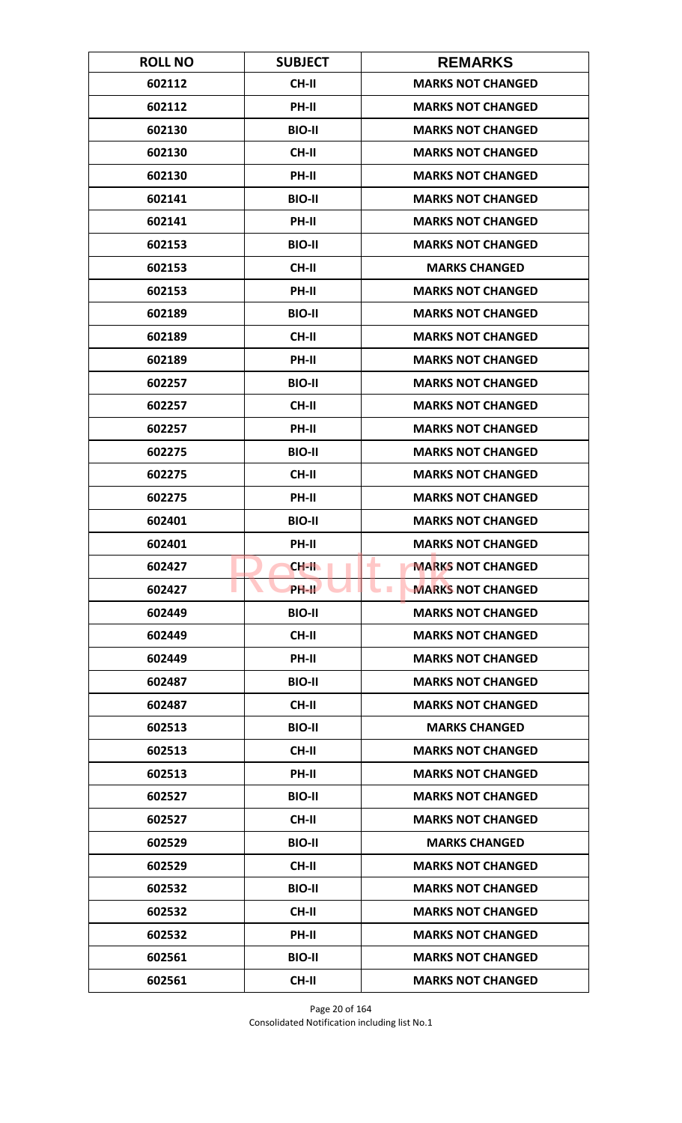| <b>ROLL NO</b> | <b>SUBJECT</b> | <b>REMARKS</b>                       |
|----------------|----------------|--------------------------------------|
| 602112         | <b>CH-II</b>   | <b>MARKS NOT CHANGED</b>             |
| 602112         | PH-II          | <b>MARKS NOT CHANGED</b>             |
| 602130         | <b>BIO-II</b>  | <b>MARKS NOT CHANGED</b>             |
| 602130         | <b>CH-II</b>   | <b>MARKS NOT CHANGED</b>             |
| 602130         | PH-II          | <b>MARKS NOT CHANGED</b>             |
| 602141         | <b>BIO-II</b>  | <b>MARKS NOT CHANGED</b>             |
| 602141         | PH-II          | <b>MARKS NOT CHANGED</b>             |
| 602153         | <b>BIO-II</b>  | <b>MARKS NOT CHANGED</b>             |
| 602153         | <b>CH-II</b>   | <b>MARKS CHANGED</b>                 |
| 602153         | PH-II          | <b>MARKS NOT CHANGED</b>             |
| 602189         | <b>BIO-II</b>  | <b>MARKS NOT CHANGED</b>             |
| 602189         | <b>CH-II</b>   | <b>MARKS NOT CHANGED</b>             |
| 602189         | PH-II          | <b>MARKS NOT CHANGED</b>             |
| 602257         | <b>BIO-II</b>  | <b>MARKS NOT CHANGED</b>             |
| 602257         | <b>CH-II</b>   | <b>MARKS NOT CHANGED</b>             |
| 602257         | PH-II          | <b>MARKS NOT CHANGED</b>             |
| 602275         | <b>BIO-II</b>  | <b>MARKS NOT CHANGED</b>             |
| 602275         | <b>CH-II</b>   | <b>MARKS NOT CHANGED</b>             |
| 602275         | PH-II          | <b>MARKS NOT CHANGED</b>             |
| 602401         | <b>BIO-II</b>  | <b>MARKS NOT CHANGED</b>             |
| 602401         | PH-II          | <b>MARKS NOT CHANGED</b>             |
| 602427         | CH-II          | <b>MARKS NOT CHANGED</b><br>۰        |
| 602427         | PH-II          | <b>MARKS NOT CHANGED</b><br><b>I</b> |
| 602449         | <b>BIO-II</b>  | <b>MARKS NOT CHANGED</b>             |
| 602449         | CH-II          | <b>MARKS NOT CHANGED</b>             |
| 602449         | PH-II          | <b>MARKS NOT CHANGED</b>             |
| 602487         | <b>BIO-II</b>  | <b>MARKS NOT CHANGED</b>             |
| 602487         | <b>CH-II</b>   | <b>MARKS NOT CHANGED</b>             |
| 602513         | <b>BIO-II</b>  | <b>MARKS CHANGED</b>                 |
| 602513         | <b>CH-II</b>   | <b>MARKS NOT CHANGED</b>             |
| 602513         | PH-II          | <b>MARKS NOT CHANGED</b>             |
| 602527         | <b>BIO-II</b>  | <b>MARKS NOT CHANGED</b>             |
| 602527         | CH-II          | <b>MARKS NOT CHANGED</b>             |
| 602529         | <b>BIO-II</b>  | <b>MARKS CHANGED</b>                 |
| 602529         | CH-II          | <b>MARKS NOT CHANGED</b>             |
| 602532         | <b>BIO-II</b>  | <b>MARKS NOT CHANGED</b>             |
| 602532         | CH-II          | <b>MARKS NOT CHANGED</b>             |
| 602532         | PH-II          | <b>MARKS NOT CHANGED</b>             |
| 602561         | <b>BIO-II</b>  | <b>MARKS NOT CHANGED</b>             |
| 602561         | <b>CH-II</b>   | <b>MARKS NOT CHANGED</b>             |

Page 20 of 164 Consolidated Notification including list No.1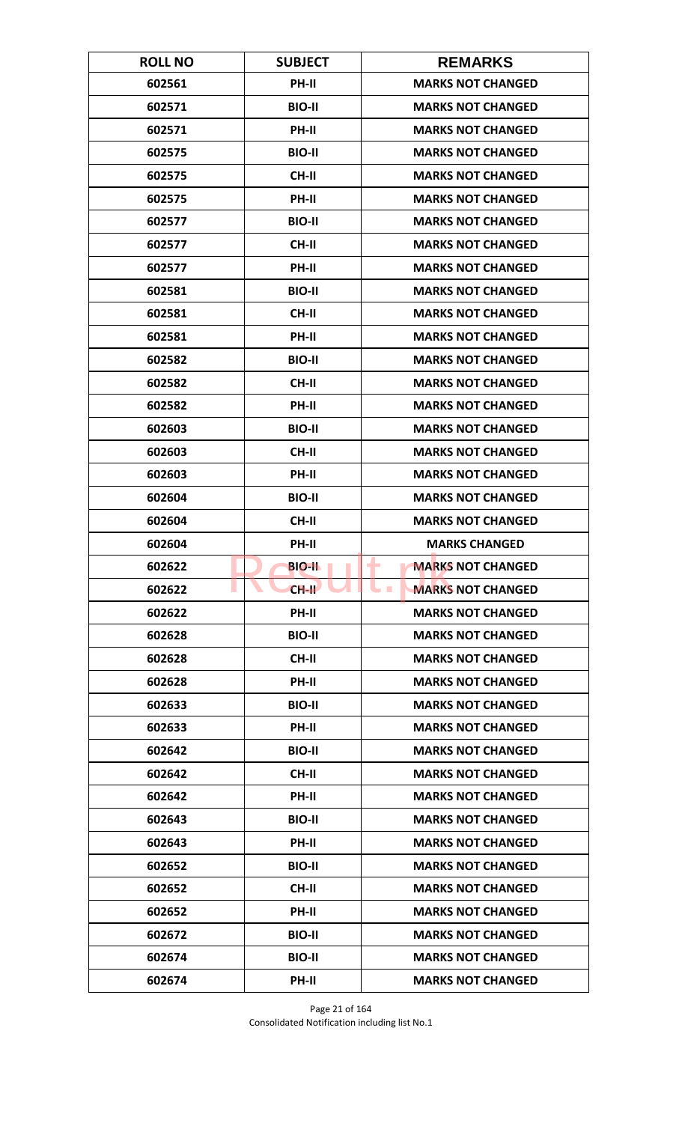| <b>ROLL NO</b> | <b>SUBJECT</b> | <b>REMARKS</b>                       |
|----------------|----------------|--------------------------------------|
| 602561         | <b>PH-II</b>   | <b>MARKS NOT CHANGED</b>             |
| 602571         | <b>BIO-II</b>  | <b>MARKS NOT CHANGED</b>             |
| 602571         | PH-II          | <b>MARKS NOT CHANGED</b>             |
| 602575         | <b>BIO-II</b>  | <b>MARKS NOT CHANGED</b>             |
| 602575         | <b>CH-II</b>   | <b>MARKS NOT CHANGED</b>             |
| 602575         | PH-II          | <b>MARKS NOT CHANGED</b>             |
| 602577         | <b>BIO-II</b>  | <b>MARKS NOT CHANGED</b>             |
| 602577         | <b>CH-II</b>   | <b>MARKS NOT CHANGED</b>             |
| 602577         | PH-II          | <b>MARKS NOT CHANGED</b>             |
| 602581         | <b>BIO-II</b>  | <b>MARKS NOT CHANGED</b>             |
| 602581         | <b>CH-II</b>   | <b>MARKS NOT CHANGED</b>             |
| 602581         | <b>PH-II</b>   | <b>MARKS NOT CHANGED</b>             |
| 602582         | <b>BIO-II</b>  | <b>MARKS NOT CHANGED</b>             |
| 602582         | <b>CH-II</b>   | <b>MARKS NOT CHANGED</b>             |
| 602582         | <b>PH-II</b>   | <b>MARKS NOT CHANGED</b>             |
| 602603         | <b>BIO-II</b>  | <b>MARKS NOT CHANGED</b>             |
| 602603         | <b>CH-II</b>   | <b>MARKS NOT CHANGED</b>             |
| 602603         | PH-II          | <b>MARKS NOT CHANGED</b>             |
| 602604         | <b>BIO-II</b>  | <b>MARKS NOT CHANGED</b>             |
| 602604         | <b>CH-II</b>   | <b>MARKS NOT CHANGED</b>             |
| 602604         | PH-II          | <b>MARKS CHANGED</b>                 |
| 602622         | <b>BIO-II</b>  | ۰<br><b>MARKS NOT CHANGED</b>        |
| 602622         | $CH-H$         | <b>MARKS NOT CHANGED</b><br><b>I</b> |
| 602622         | PH-II          | <b>MARKS NOT CHANGED</b>             |
| 602628         | <b>BIO-II</b>  | <b>MARKS NOT CHANGED</b>             |
| 602628         | CH-II          | <b>MARKS NOT CHANGED</b>             |
| 602628         | PH-II          | <b>MARKS NOT CHANGED</b>             |
| 602633         | <b>BIO-II</b>  | <b>MARKS NOT CHANGED</b>             |
| 602633         | PH-II          | <b>MARKS NOT CHANGED</b>             |
| 602642         | <b>BIO-II</b>  | <b>MARKS NOT CHANGED</b>             |
| 602642         | <b>CH-II</b>   | <b>MARKS NOT CHANGED</b>             |
| 602642         | PH-II          | <b>MARKS NOT CHANGED</b>             |
| 602643         | <b>BIO-II</b>  | <b>MARKS NOT CHANGED</b>             |
| 602643         | PH-II          | <b>MARKS NOT CHANGED</b>             |
| 602652         | <b>BIO-II</b>  | <b>MARKS NOT CHANGED</b>             |
| 602652         | CH-II          | <b>MARKS NOT CHANGED</b>             |
| 602652         | PH-II          | <b>MARKS NOT CHANGED</b>             |
| 602672         | <b>BIO-II</b>  | <b>MARKS NOT CHANGED</b>             |
| 602674         | <b>BIO-II</b>  | <b>MARKS NOT CHANGED</b>             |
| 602674         | PH-II          | <b>MARKS NOT CHANGED</b>             |

Page 21 of 164 Consolidated Notification including list No.1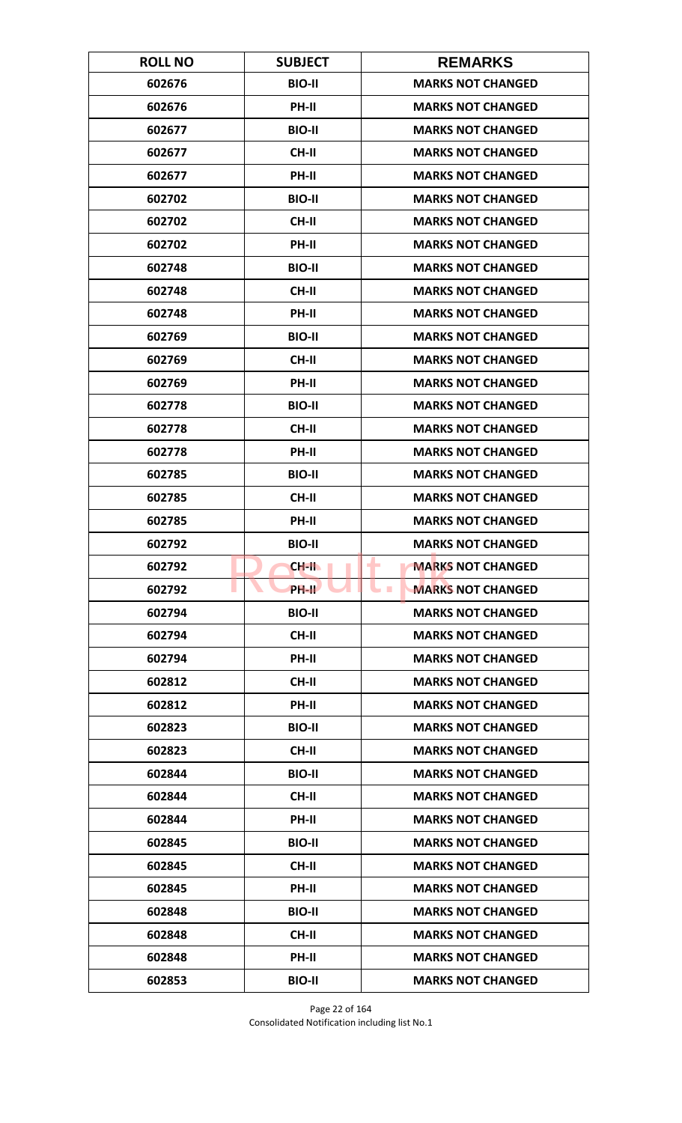| <b>ROLL NO</b> | <b>SUBJECT</b>     | <b>REMARKS</b>                               |
|----------------|--------------------|----------------------------------------------|
| 602676         | <b>BIO-II</b>      | <b>MARKS NOT CHANGED</b>                     |
| 602676         | PH-II              | <b>MARKS NOT CHANGED</b>                     |
| 602677         | <b>BIO-II</b>      | <b>MARKS NOT CHANGED</b>                     |
| 602677         | <b>CH-II</b>       | <b>MARKS NOT CHANGED</b>                     |
| 602677         | PH-II              | <b>MARKS NOT CHANGED</b>                     |
| 602702         | <b>BIO-II</b>      | <b>MARKS NOT CHANGED</b>                     |
| 602702         | <b>CH-II</b>       | <b>MARKS NOT CHANGED</b>                     |
| 602702         | PH-II              | <b>MARKS NOT CHANGED</b>                     |
| 602748         | <b>BIO-II</b>      | <b>MARKS NOT CHANGED</b>                     |
| 602748         | CH-II              | <b>MARKS NOT CHANGED</b>                     |
| 602748         | PH-II              | <b>MARKS NOT CHANGED</b>                     |
| 602769         | <b>BIO-II</b>      | <b>MARKS NOT CHANGED</b>                     |
| 602769         | <b>CH-II</b>       | <b>MARKS NOT CHANGED</b>                     |
| 602769         | PH-II              | <b>MARKS NOT CHANGED</b>                     |
| 602778         | <b>BIO-II</b>      | <b>MARKS NOT CHANGED</b>                     |
| 602778         | <b>CH-II</b>       | <b>MARKS NOT CHANGED</b>                     |
| 602778         | PH-II              | <b>MARKS NOT CHANGED</b>                     |
| 602785         | <b>BIO-II</b>      | <b>MARKS NOT CHANGED</b>                     |
| 602785         | <b>CH-II</b>       | <b>MARKS NOT CHANGED</b>                     |
| 602785         | PH-II              | <b>MARKS NOT CHANGED</b>                     |
| 602792         | <b>BIO-II</b>      | <b>MARKS NOT CHANGED</b>                     |
| 602792         | <b>CH-II</b>       | <b>MARKS NOT CHANGED</b><br>۰                |
| 602792         | PH-II <sup>D</sup> | <b>MARKS NOT CHANGED</b><br><b>The State</b> |
| 602794         | <b>BIO-II</b>      | <b>MARKS NOT CHANGED</b>                     |
| 602794         | CH-II              | <b>MARKS NOT CHANGED</b>                     |
| 602794         | PH-II              | <b>MARKS NOT CHANGED</b>                     |
| 602812         | CH-II              | <b>MARKS NOT CHANGED</b>                     |
| 602812         | PH-II              | <b>MARKS NOT CHANGED</b>                     |
| 602823         | <b>BIO-II</b>      | <b>MARKS NOT CHANGED</b>                     |
| 602823         | <b>CH-II</b>       | <b>MARKS NOT CHANGED</b>                     |
| 602844         | <b>BIO-II</b>      | <b>MARKS NOT CHANGED</b>                     |
| 602844         | <b>CH-II</b>       | <b>MARKS NOT CHANGED</b>                     |
| 602844         | PH-II              | <b>MARKS NOT CHANGED</b>                     |
| 602845         | <b>BIO-II</b>      | <b>MARKS NOT CHANGED</b>                     |
| 602845         | CH-II              | <b>MARKS NOT CHANGED</b>                     |
| 602845         | PH-II              | <b>MARKS NOT CHANGED</b>                     |
| 602848         | <b>BIO-II</b>      | <b>MARKS NOT CHANGED</b>                     |
| 602848         | <b>CH-II</b>       | <b>MARKS NOT CHANGED</b>                     |
| 602848         | <b>PH-II</b>       | <b>MARKS NOT CHANGED</b>                     |
| 602853         | <b>BIO-II</b>      | <b>MARKS NOT CHANGED</b>                     |

Page 22 of 164 Consolidated Notification including list No.1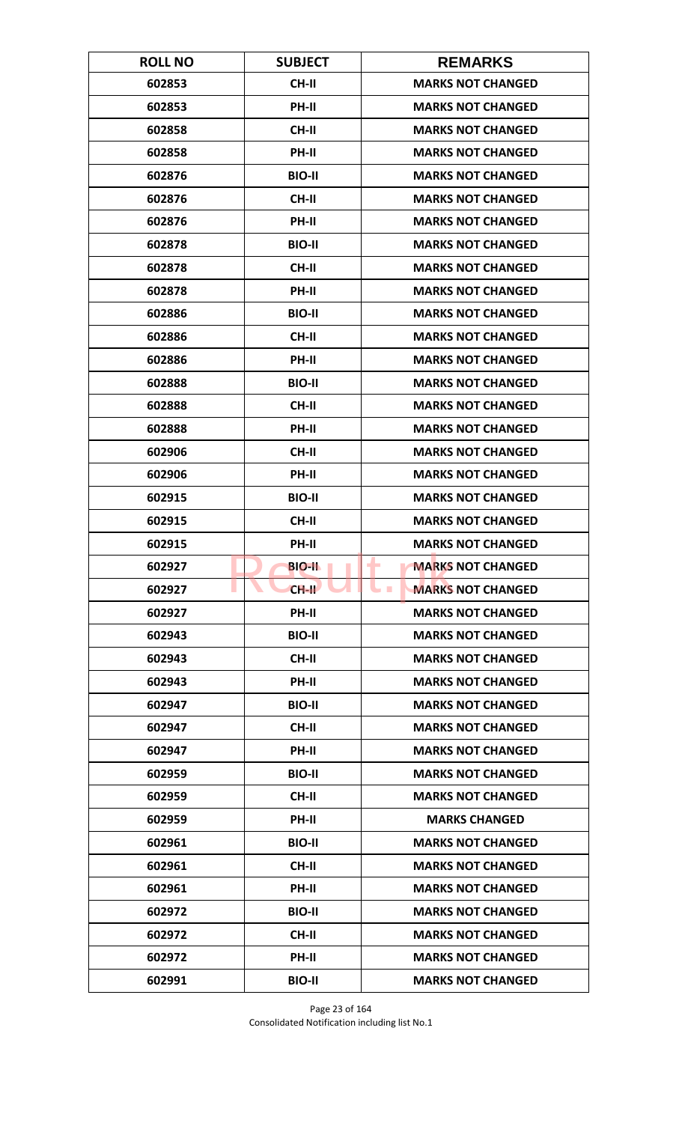| <b>ROLL NO</b> | <b>SUBJECT</b> | <b>REMARKS</b>                       |
|----------------|----------------|--------------------------------------|
| 602853         | <b>CH-II</b>   | <b>MARKS NOT CHANGED</b>             |
| 602853         | PH-II          | <b>MARKS NOT CHANGED</b>             |
| 602858         | <b>CH-II</b>   | <b>MARKS NOT CHANGED</b>             |
| 602858         | PH-II          | <b>MARKS NOT CHANGED</b>             |
| 602876         | <b>BIO-II</b>  | <b>MARKS NOT CHANGED</b>             |
| 602876         | <b>CH-II</b>   | <b>MARKS NOT CHANGED</b>             |
| 602876         | <b>PH-II</b>   | <b>MARKS NOT CHANGED</b>             |
| 602878         | <b>BIO-II</b>  | <b>MARKS NOT CHANGED</b>             |
| 602878         | <b>CH-II</b>   | <b>MARKS NOT CHANGED</b>             |
| 602878         | PH-II          | <b>MARKS NOT CHANGED</b>             |
| 602886         | <b>BIO-II</b>  | <b>MARKS NOT CHANGED</b>             |
| 602886         | <b>CH-II</b>   | <b>MARKS NOT CHANGED</b>             |
| 602886         | PH-II          | <b>MARKS NOT CHANGED</b>             |
| 602888         | <b>BIO-II</b>  | <b>MARKS NOT CHANGED</b>             |
| 602888         | <b>CH-II</b>   | <b>MARKS NOT CHANGED</b>             |
| 602888         | PH-II          | <b>MARKS NOT CHANGED</b>             |
| 602906         | <b>CH-II</b>   | <b>MARKS NOT CHANGED</b>             |
| 602906         | PH-II          | <b>MARKS NOT CHANGED</b>             |
| 602915         | <b>BIO-II</b>  | <b>MARKS NOT CHANGED</b>             |
| 602915         | <b>CH-II</b>   | <b>MARKS NOT CHANGED</b>             |
| 602915         | PH-II          | <b>MARKS NOT CHANGED</b>             |
| 602927         | <b>BIO-II</b>  | <b>MARKS NOT CHANGED</b><br>۰        |
| 602927         | $CH-H$         | <b>MARKS NOT CHANGED</b><br><b>I</b> |
| 602927         | <b>PH-II</b>   | <b>MARKS NOT CHANGED</b>             |
| 602943         | <b>BIO-II</b>  | <b>MARKS NOT CHANGED</b>             |
| 602943         | CH-II          | <b>MARKS NOT CHANGED</b>             |
| 602943         | PH-II          | <b>MARKS NOT CHANGED</b>             |
| 602947         | <b>BIO-II</b>  | <b>MARKS NOT CHANGED</b>             |
| 602947         | <b>CH-II</b>   | <b>MARKS NOT CHANGED</b>             |
| 602947         | <b>PH-II</b>   | <b>MARKS NOT CHANGED</b>             |
| 602959         | <b>BIO-II</b>  | <b>MARKS NOT CHANGED</b>             |
| 602959         | CH-II          | <b>MARKS NOT CHANGED</b>             |
| 602959         | PH-II          | <b>MARKS CHANGED</b>                 |
| 602961         | <b>BIO-II</b>  | <b>MARKS NOT CHANGED</b>             |
| 602961         | <b>CH-II</b>   | <b>MARKS NOT CHANGED</b>             |
| 602961         | PH-II          | <b>MARKS NOT CHANGED</b>             |
| 602972         | <b>BIO-II</b>  | <b>MARKS NOT CHANGED</b>             |
| 602972         | CH-II          | <b>MARKS NOT CHANGED</b>             |
| 602972         | <b>PH-II</b>   | <b>MARKS NOT CHANGED</b>             |
| 602991         | <b>BIO-II</b>  | <b>MARKS NOT CHANGED</b>             |

Page 23 of 164 Consolidated Notification including list No.1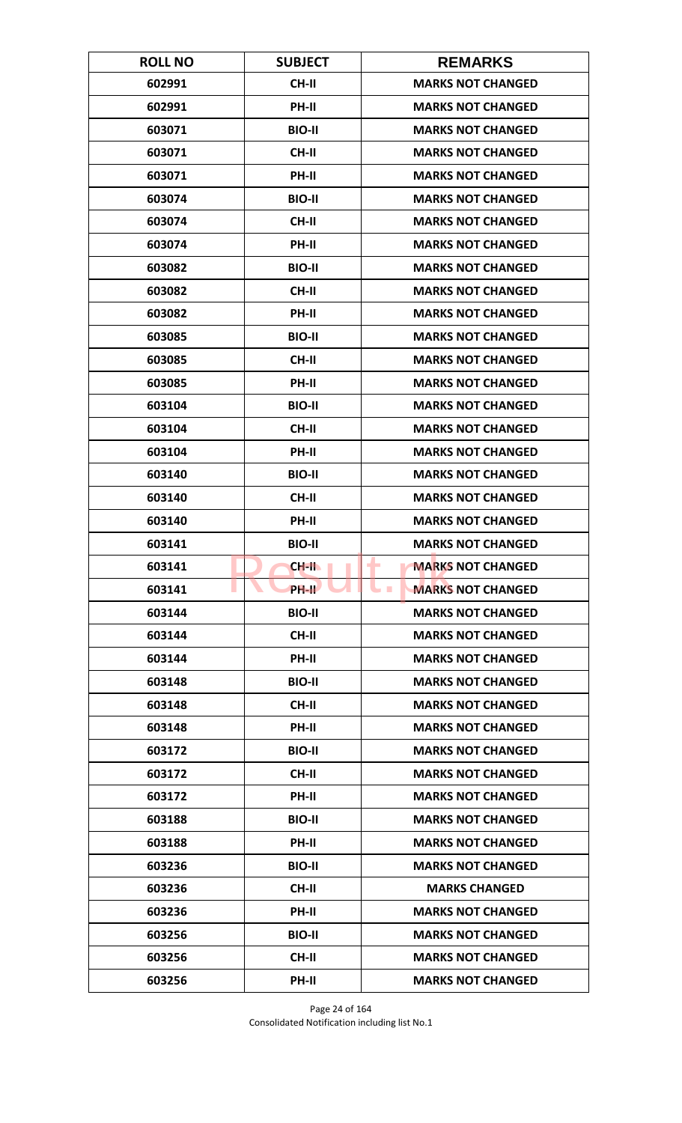| <b>ROLL NO</b> | <b>SUBJECT</b> | <b>REMARKS</b>                               |
|----------------|----------------|----------------------------------------------|
| 602991         | <b>CH-II</b>   | <b>MARKS NOT CHANGED</b>                     |
| 602991         | PH-II          | <b>MARKS NOT CHANGED</b>                     |
| 603071         | <b>BIO-II</b>  | <b>MARKS NOT CHANGED</b>                     |
| 603071         | <b>CH-II</b>   | <b>MARKS NOT CHANGED</b>                     |
| 603071         | PH-II          | <b>MARKS NOT CHANGED</b>                     |
| 603074         | <b>BIO-II</b>  | <b>MARKS NOT CHANGED</b>                     |
| 603074         | <b>CH-II</b>   | <b>MARKS NOT CHANGED</b>                     |
| 603074         | PH-II          | <b>MARKS NOT CHANGED</b>                     |
| 603082         | <b>BIO-II</b>  | <b>MARKS NOT CHANGED</b>                     |
| 603082         | CH-II          | <b>MARKS NOT CHANGED</b>                     |
| 603082         | PH-II          | <b>MARKS NOT CHANGED</b>                     |
| 603085         | <b>BIO-II</b>  | <b>MARKS NOT CHANGED</b>                     |
| 603085         | <b>CH-II</b>   | <b>MARKS NOT CHANGED</b>                     |
| 603085         | PH-II          | <b>MARKS NOT CHANGED</b>                     |
| 603104         | <b>BIO-II</b>  | <b>MARKS NOT CHANGED</b>                     |
| 603104         | <b>CH-II</b>   | <b>MARKS NOT CHANGED</b>                     |
| 603104         | PH-II          | <b>MARKS NOT CHANGED</b>                     |
| 603140         | <b>BIO-II</b>  | <b>MARKS NOT CHANGED</b>                     |
| 603140         | <b>CH-II</b>   | <b>MARKS NOT CHANGED</b>                     |
| 603140         | PH-II          | <b>MARKS NOT CHANGED</b>                     |
| 603141         | <b>BIO-II</b>  | <b>MARKS NOT CHANGED</b>                     |
| 603141         | CH-II          | <b>MARKS NOT CHANGED</b><br>٠                |
| 603141         | <b>PH-IL</b>   | <b>MARKS NOT CHANGED</b><br><b>The State</b> |
| 603144         | <b>BIO-II</b>  | <b>MARKS NOT CHANGED</b>                     |
| 603144         | CH-II          | <b>MARKS NOT CHANGED</b>                     |
| 603144         | PH-II          | <b>MARKS NOT CHANGED</b>                     |
| 603148         | <b>BIO-II</b>  | <b>MARKS NOT CHANGED</b>                     |
| 603148         | <b>CH-II</b>   | <b>MARKS NOT CHANGED</b>                     |
| 603148         | PH-II          | <b>MARKS NOT CHANGED</b>                     |
| 603172         | <b>BIO-II</b>  | <b>MARKS NOT CHANGED</b>                     |
| 603172         | <b>CH-II</b>   | <b>MARKS NOT CHANGED</b>                     |
| 603172         | PH-II          | <b>MARKS NOT CHANGED</b>                     |
| 603188         | <b>BIO-II</b>  | <b>MARKS NOT CHANGED</b>                     |
| 603188         | PH-II          | <b>MARKS NOT CHANGED</b>                     |
| 603236         | <b>BIO-II</b>  | <b>MARKS NOT CHANGED</b>                     |
| 603236         | CH-II          | <b>MARKS CHANGED</b>                         |
| 603236         | PH-II          | <b>MARKS NOT CHANGED</b>                     |
| 603256         | <b>BIO-II</b>  | <b>MARKS NOT CHANGED</b>                     |
| 603256         | CH-II          | <b>MARKS NOT CHANGED</b>                     |
| 603256         | PH-II          | <b>MARKS NOT CHANGED</b>                     |

Page 24 of 164 Consolidated Notification including list No.1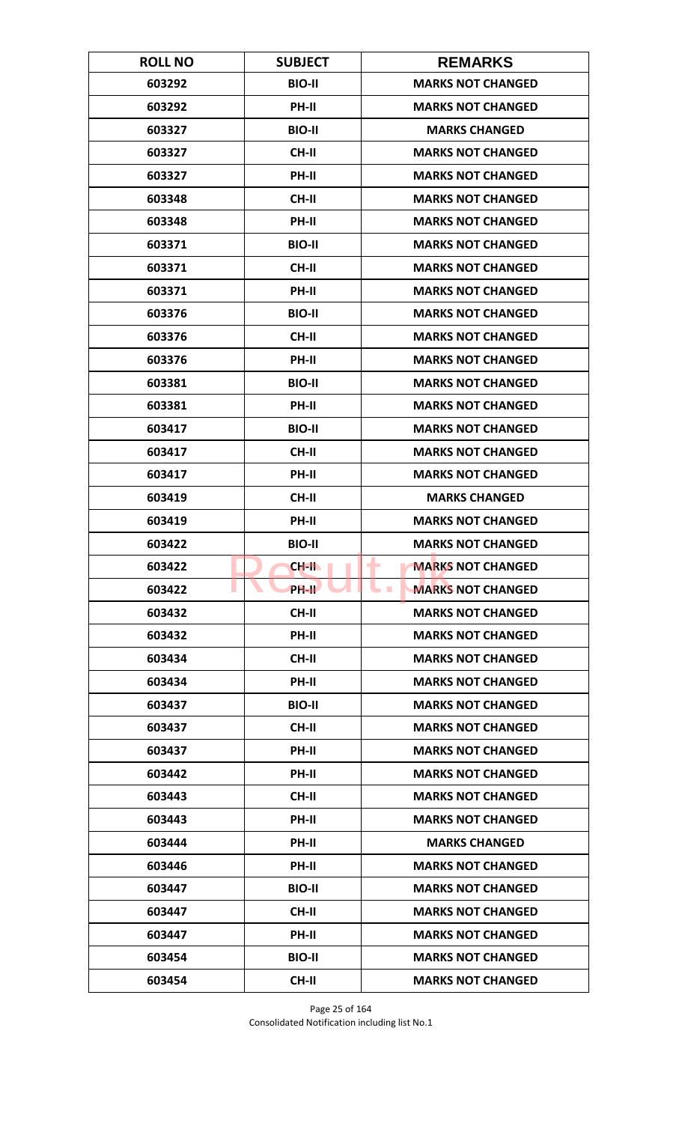| <b>ROLL NO</b> | <b>SUBJECT</b> | <b>REMARKS</b>                       |
|----------------|----------------|--------------------------------------|
| 603292         | <b>BIO-II</b>  | <b>MARKS NOT CHANGED</b>             |
| 603292         | PH-II          | <b>MARKS NOT CHANGED</b>             |
| 603327         | <b>BIO-II</b>  | <b>MARKS CHANGED</b>                 |
| 603327         | <b>CH-II</b>   | <b>MARKS NOT CHANGED</b>             |
| 603327         | PH-II          | <b>MARKS NOT CHANGED</b>             |
| 603348         | <b>CH-II</b>   | <b>MARKS NOT CHANGED</b>             |
| 603348         | <b>PH-II</b>   | <b>MARKS NOT CHANGED</b>             |
| 603371         | <b>BIO-II</b>  | <b>MARKS NOT CHANGED</b>             |
| 603371         | <b>CH-II</b>   | <b>MARKS NOT CHANGED</b>             |
| 603371         | PH-II          | <b>MARKS NOT CHANGED</b>             |
| 603376         | <b>BIO-II</b>  | <b>MARKS NOT CHANGED</b>             |
| 603376         | <b>CH-II</b>   | <b>MARKS NOT CHANGED</b>             |
| 603376         | PH-II          | <b>MARKS NOT CHANGED</b>             |
| 603381         | <b>BIO-II</b>  | <b>MARKS NOT CHANGED</b>             |
| 603381         | PH-II          | <b>MARKS NOT CHANGED</b>             |
| 603417         | <b>BIO-II</b>  | <b>MARKS NOT CHANGED</b>             |
| 603417         | <b>CH-II</b>   | <b>MARKS NOT CHANGED</b>             |
| 603417         | PH-II          | <b>MARKS NOT CHANGED</b>             |
| 603419         | <b>CH-II</b>   | <b>MARKS CHANGED</b>                 |
| 603419         | PH-II          | <b>MARKS NOT CHANGED</b>             |
| 603422         | <b>BIO-II</b>  | <b>MARKS NOT CHANGED</b>             |
| 603422         | CH-II          | <b>MARKS NOT CHANGED</b><br>٠        |
| 603422         | <b>PH-II</b>   | <b>MARKS NOT CHANGED</b><br><b>I</b> |
| 603432         | <b>CH-II</b>   | <b>MARKS NOT CHANGED</b>             |
| 603432         | PH-II          | <b>MARKS NOT CHANGED</b>             |
| 603434         | CH-II          | <b>MARKS NOT CHANGED</b>             |
| 603434         | PH-II          | <b>MARKS NOT CHANGED</b>             |
| 603437         | <b>BIO-II</b>  | <b>MARKS NOT CHANGED</b>             |
| 603437         | CH-II          | <b>MARKS NOT CHANGED</b>             |
| 603437         | <b>PH-II</b>   | <b>MARKS NOT CHANGED</b>             |
| 603442         | <b>PH-II</b>   | <b>MARKS NOT CHANGED</b>             |
| 603443         | CH-II          | <b>MARKS NOT CHANGED</b>             |
| 603443         | PH-II          | <b>MARKS NOT CHANGED</b>             |
| 603444         | PH-II          | <b>MARKS CHANGED</b>                 |
| 603446         | <b>PH-II</b>   | <b>MARKS NOT CHANGED</b>             |
| 603447         | <b>BIO-II</b>  | <b>MARKS NOT CHANGED</b>             |
| 603447         | CH-II          | <b>MARKS NOT CHANGED</b>             |
| 603447         | PH-II          | <b>MARKS NOT CHANGED</b>             |
| 603454         | <b>BIO-II</b>  | <b>MARKS NOT CHANGED</b>             |
| 603454         | <b>CH-II</b>   | <b>MARKS NOT CHANGED</b>             |

Page 25 of 164 Consolidated Notification including list No.1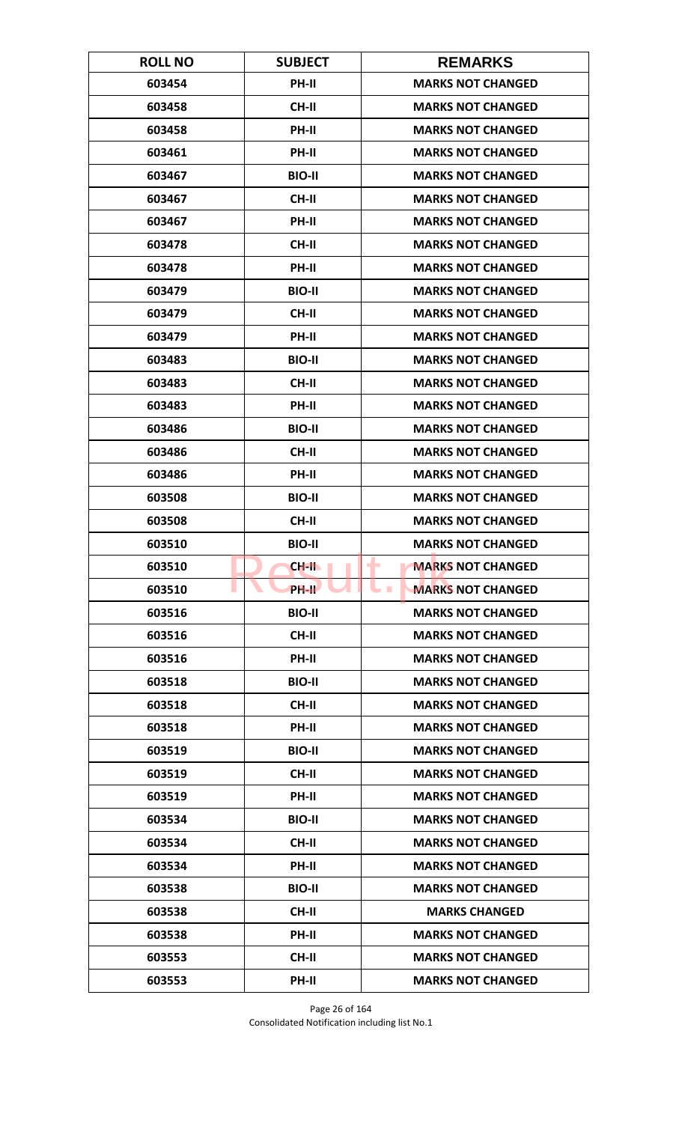| <b>ROLL NO</b> | <b>SUBJECT</b> | <b>REMARKS</b>                               |
|----------------|----------------|----------------------------------------------|
| 603454         | PH-II          | <b>MARKS NOT CHANGED</b>                     |
| 603458         | <b>CH-II</b>   | <b>MARKS NOT CHANGED</b>                     |
| 603458         | PH-II          | <b>MARKS NOT CHANGED</b>                     |
| 603461         | PH-II          | <b>MARKS NOT CHANGED</b>                     |
| 603467         | <b>BIO-II</b>  | <b>MARKS NOT CHANGED</b>                     |
| 603467         | <b>CH-II</b>   | <b>MARKS NOT CHANGED</b>                     |
| 603467         | <b>PH-II</b>   | <b>MARKS NOT CHANGED</b>                     |
| 603478         | <b>CH-II</b>   | <b>MARKS NOT CHANGED</b>                     |
| 603478         | PH-II          | <b>MARKS NOT CHANGED</b>                     |
| 603479         | <b>BIO-II</b>  | <b>MARKS NOT CHANGED</b>                     |
| 603479         | <b>CH-II</b>   | <b>MARKS NOT CHANGED</b>                     |
| 603479         | <b>PH-II</b>   | <b>MARKS NOT CHANGED</b>                     |
| 603483         | <b>BIO-II</b>  | <b>MARKS NOT CHANGED</b>                     |
| 603483         | <b>CH-II</b>   | <b>MARKS NOT CHANGED</b>                     |
| 603483         | PH-II          | <b>MARKS NOT CHANGED</b>                     |
| 603486         | <b>BIO-II</b>  | <b>MARKS NOT CHANGED</b>                     |
| 603486         | <b>CH-II</b>   | <b>MARKS NOT CHANGED</b>                     |
| 603486         | PH-II          | <b>MARKS NOT CHANGED</b>                     |
| 603508         | <b>BIO-II</b>  | <b>MARKS NOT CHANGED</b>                     |
| 603508         | <b>CH-II</b>   | <b>MARKS NOT CHANGED</b>                     |
| 603510         | <b>BIO-II</b>  | <b>MARKS NOT CHANGED</b>                     |
| 603510         | CH-II          | <b>MARKS NOT CHANGED</b><br>٠                |
| 603510         | PH-II          | <b>MARKS NOT CHANGED</b><br><b>The State</b> |
| 603516         | <b>BIO-II</b>  | <b>MARKS NOT CHANGED</b>                     |
| 603516         | CH-II          | <b>MARKS NOT CHANGED</b>                     |
| 603516         | PH-II          | <b>MARKS NOT CHANGED</b>                     |
| 603518         | <b>BIO-II</b>  | <b>MARKS NOT CHANGED</b>                     |
| 603518         | <b>CH-II</b>   | <b>MARKS NOT CHANGED</b>                     |
| 603518         | PH-II          | <b>MARKS NOT CHANGED</b>                     |
| 603519         | <b>BIO-II</b>  | <b>MARKS NOT CHANGED</b>                     |
| 603519         | <b>CH-II</b>   | <b>MARKS NOT CHANGED</b>                     |
| 603519         | PH-II          | <b>MARKS NOT CHANGED</b>                     |
| 603534         | <b>BIO-II</b>  | <b>MARKS NOT CHANGED</b>                     |
| 603534         | CH-II          | <b>MARKS NOT CHANGED</b>                     |
| 603534         | PH-II          | <b>MARKS NOT CHANGED</b>                     |
| 603538         | <b>BIO-II</b>  | <b>MARKS NOT CHANGED</b>                     |
| 603538         | CH-II          | <b>MARKS CHANGED</b>                         |
| 603538         | PH-II          | <b>MARKS NOT CHANGED</b>                     |
| 603553         | CH-II          | <b>MARKS NOT CHANGED</b>                     |
| 603553         | PH-II          | <b>MARKS NOT CHANGED</b>                     |

Page 26 of 164 Consolidated Notification including list No.1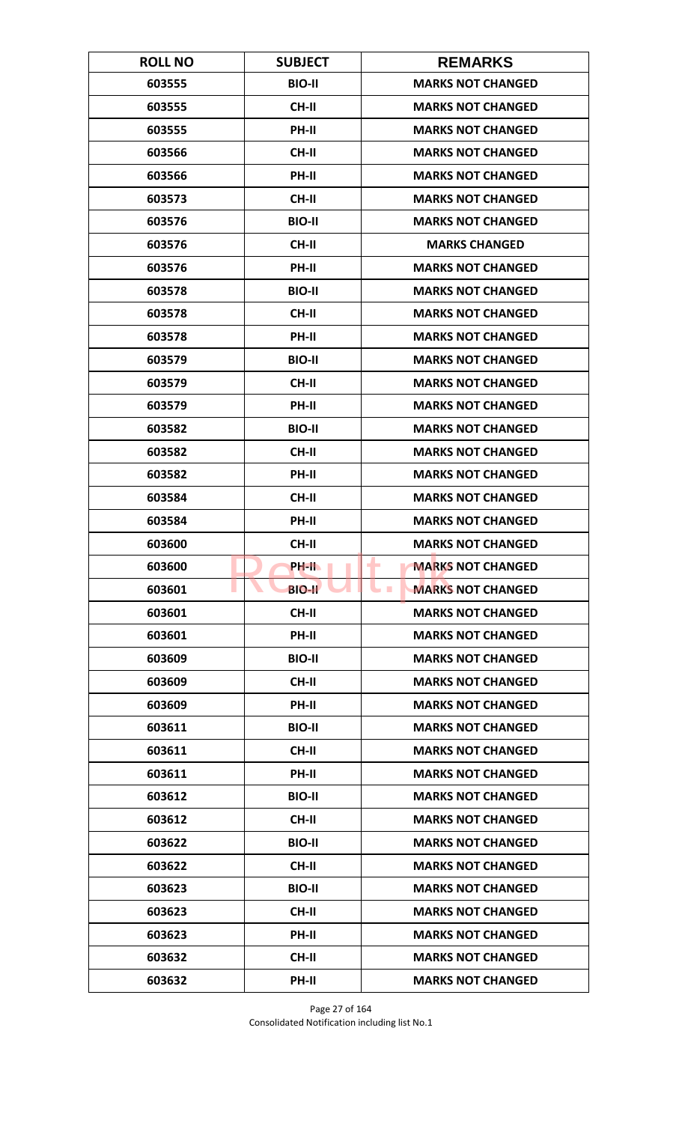| <b>ROLL NO</b> | <b>SUBJECT</b> | <b>REMARKS</b>                       |
|----------------|----------------|--------------------------------------|
| 603555         | <b>BIO-II</b>  | <b>MARKS NOT CHANGED</b>             |
| 603555         | <b>CH-II</b>   | <b>MARKS NOT CHANGED</b>             |
| 603555         | PH-II          | <b>MARKS NOT CHANGED</b>             |
| 603566         | <b>CH-II</b>   | <b>MARKS NOT CHANGED</b>             |
| 603566         | PH-II          | <b>MARKS NOT CHANGED</b>             |
| 603573         | <b>CH-II</b>   | <b>MARKS NOT CHANGED</b>             |
| 603576         | <b>BIO-II</b>  | <b>MARKS NOT CHANGED</b>             |
| 603576         | <b>CH-II</b>   | <b>MARKS CHANGED</b>                 |
| 603576         | PH-II          | <b>MARKS NOT CHANGED</b>             |
| 603578         | <b>BIO-II</b>  | <b>MARKS NOT CHANGED</b>             |
| 603578         | <b>CH-II</b>   | <b>MARKS NOT CHANGED</b>             |
| 603578         | <b>PH-II</b>   | <b>MARKS NOT CHANGED</b>             |
| 603579         | <b>BIO-II</b>  | <b>MARKS NOT CHANGED</b>             |
| 603579         | <b>CH-II</b>   | <b>MARKS NOT CHANGED</b>             |
| 603579         | <b>PH-II</b>   | <b>MARKS NOT CHANGED</b>             |
| 603582         | <b>BIO-II</b>  | <b>MARKS NOT CHANGED</b>             |
| 603582         | <b>CH-II</b>   | <b>MARKS NOT CHANGED</b>             |
| 603582         | PH-II          | <b>MARKS NOT CHANGED</b>             |
| 603584         | <b>CH-II</b>   | <b>MARKS NOT CHANGED</b>             |
| 603584         | PH-II          | <b>MARKS NOT CHANGED</b>             |
| 603600         | <b>CH-II</b>   | <b>MARKS NOT CHANGED</b>             |
| 603600         | PH-II.         | <b>MARKS NOT CHANGED</b><br>٠        |
| 603601         | <b>BIO-II</b>  | <b>MARKS NOT CHANGED</b><br><b>I</b> |
| 603601         | CH-II          | <b>MARKS NOT CHANGED</b>             |
| 603601         | PH-II          | <b>MARKS NOT CHANGED</b>             |
| 603609         | <b>BIO-II</b>  | <b>MARKS NOT CHANGED</b>             |
| 603609         | <b>CH-II</b>   | <b>MARKS NOT CHANGED</b>             |
| 603609         | PH-II          | <b>MARKS NOT CHANGED</b>             |
| 603611         | <b>BIO-II</b>  | <b>MARKS NOT CHANGED</b>             |
| 603611         | <b>CH-II</b>   | <b>MARKS NOT CHANGED</b>             |
| 603611         | <b>PH-II</b>   | <b>MARKS NOT CHANGED</b>             |
| 603612         | <b>BIO-II</b>  | <b>MARKS NOT CHANGED</b>             |
| 603612         | CH-II          | <b>MARKS NOT CHANGED</b>             |
| 603622         | <b>BIO-II</b>  | <b>MARKS NOT CHANGED</b>             |
| 603622         | CH-II          | <b>MARKS NOT CHANGED</b>             |
| 603623         | <b>BIO-II</b>  | <b>MARKS NOT CHANGED</b>             |
| 603623         | CH-II          | <b>MARKS NOT CHANGED</b>             |
| 603623         | PH-II          | <b>MARKS NOT CHANGED</b>             |
| 603632         | <b>CH-II</b>   | <b>MARKS NOT CHANGED</b>             |
| 603632         | PH-II          | <b>MARKS NOT CHANGED</b>             |

Page 27 of 164 Consolidated Notification including list No.1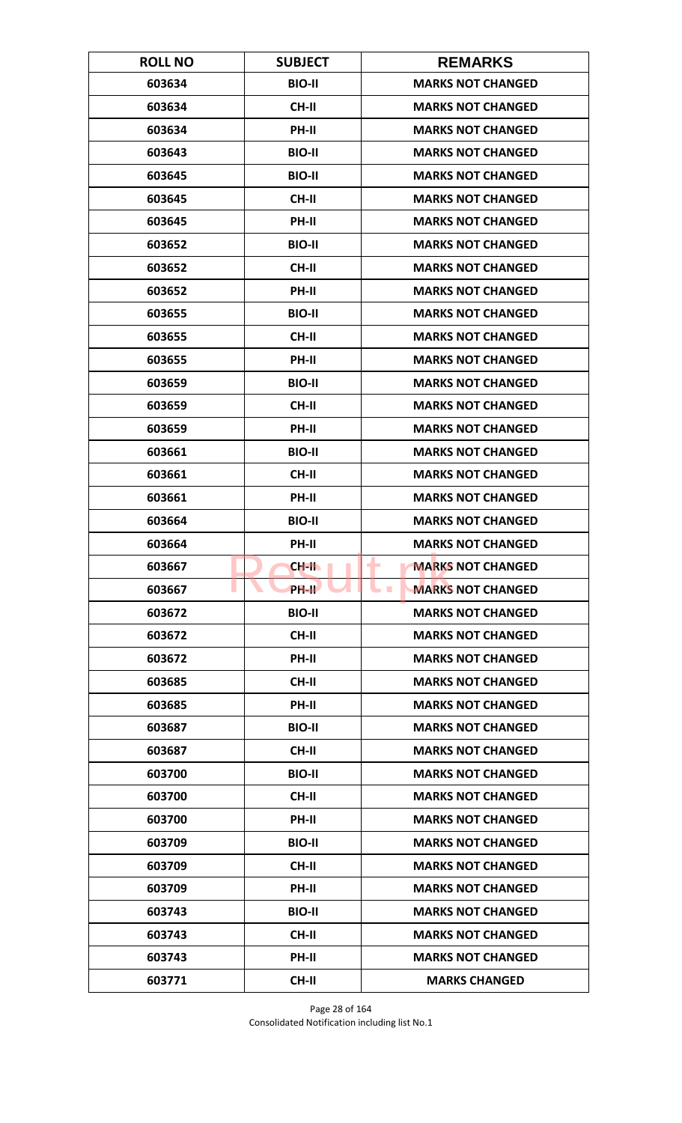| <b>ROLL NO</b> | <b>SUBJECT</b>     | <b>REMARKS</b>                       |
|----------------|--------------------|--------------------------------------|
| 603634         | <b>BIO-II</b>      | <b>MARKS NOT CHANGED</b>             |
| 603634         | <b>CH-II</b>       | <b>MARKS NOT CHANGED</b>             |
| 603634         | PH-II              | <b>MARKS NOT CHANGED</b>             |
| 603643         | <b>BIO-II</b>      | <b>MARKS NOT CHANGED</b>             |
| 603645         | <b>BIO-II</b>      | <b>MARKS NOT CHANGED</b>             |
| 603645         | <b>CH-II</b>       | <b>MARKS NOT CHANGED</b>             |
| 603645         | <b>PH-II</b>       | <b>MARKS NOT CHANGED</b>             |
| 603652         | <b>BIO-II</b>      | <b>MARKS NOT CHANGED</b>             |
| 603652         | <b>CH-II</b>       | <b>MARKS NOT CHANGED</b>             |
| 603652         | PH-II              | <b>MARKS NOT CHANGED</b>             |
| 603655         | <b>BIO-II</b>      | <b>MARKS NOT CHANGED</b>             |
| 603655         | <b>CH-II</b>       | <b>MARKS NOT CHANGED</b>             |
| 603655         | PH-II              | <b>MARKS NOT CHANGED</b>             |
| 603659         | <b>BIO-II</b>      | <b>MARKS NOT CHANGED</b>             |
| 603659         | <b>CH-II</b>       | <b>MARKS NOT CHANGED</b>             |
| 603659         | PH-II              | <b>MARKS NOT CHANGED</b>             |
| 603661         | <b>BIO-II</b>      | <b>MARKS NOT CHANGED</b>             |
| 603661         | <b>CH-II</b>       | <b>MARKS NOT CHANGED</b>             |
| 603661         | PH-II              | <b>MARKS NOT CHANGED</b>             |
| 603664         | <b>BIO-II</b>      | <b>MARKS NOT CHANGED</b>             |
| 603664         | PH-II              | <b>MARKS NOT CHANGED</b>             |
| 603667         | CH-II              | <b>MARKS NOT CHANGED</b><br>٠        |
| 603667         | PH-II <sup>T</sup> | <b>MARKS NOT CHANGED</b><br><b>I</b> |
| 603672         | <b>BIO-II</b>      | <b>MARKS NOT CHANGED</b>             |
| 603672         | <b>CH-II</b>       | <b>MARKS NOT CHANGED</b>             |
| 603672         | PH-II              | <b>MARKS NOT CHANGED</b>             |
| 603685         | CH-II              | <b>MARKS NOT CHANGED</b>             |
| 603685         | PH-II              | <b>MARKS NOT CHANGED</b>             |
| 603687         | <b>BIO-II</b>      | <b>MARKS NOT CHANGED</b>             |
| 603687         | CH-II              | <b>MARKS NOT CHANGED</b>             |
| 603700         | <b>BIO-II</b>      | <b>MARKS NOT CHANGED</b>             |
| 603700         | CH-II              | <b>MARKS NOT CHANGED</b>             |
| 603700         | PH-II              | <b>MARKS NOT CHANGED</b>             |
| 603709         | <b>BIO-II</b>      | <b>MARKS NOT CHANGED</b>             |
| 603709         | <b>CH-II</b>       | <b>MARKS NOT CHANGED</b>             |
| 603709         | PH-II              | <b>MARKS NOT CHANGED</b>             |
| 603743         | <b>BIO-II</b>      | <b>MARKS NOT CHANGED</b>             |
| 603743         | CH-II              | <b>MARKS NOT CHANGED</b>             |
| 603743         | <b>PH-II</b>       | <b>MARKS NOT CHANGED</b>             |
| 603771         | <b>CH-II</b>       | <b>MARKS CHANGED</b>                 |

Page 28 of 164 Consolidated Notification including list No.1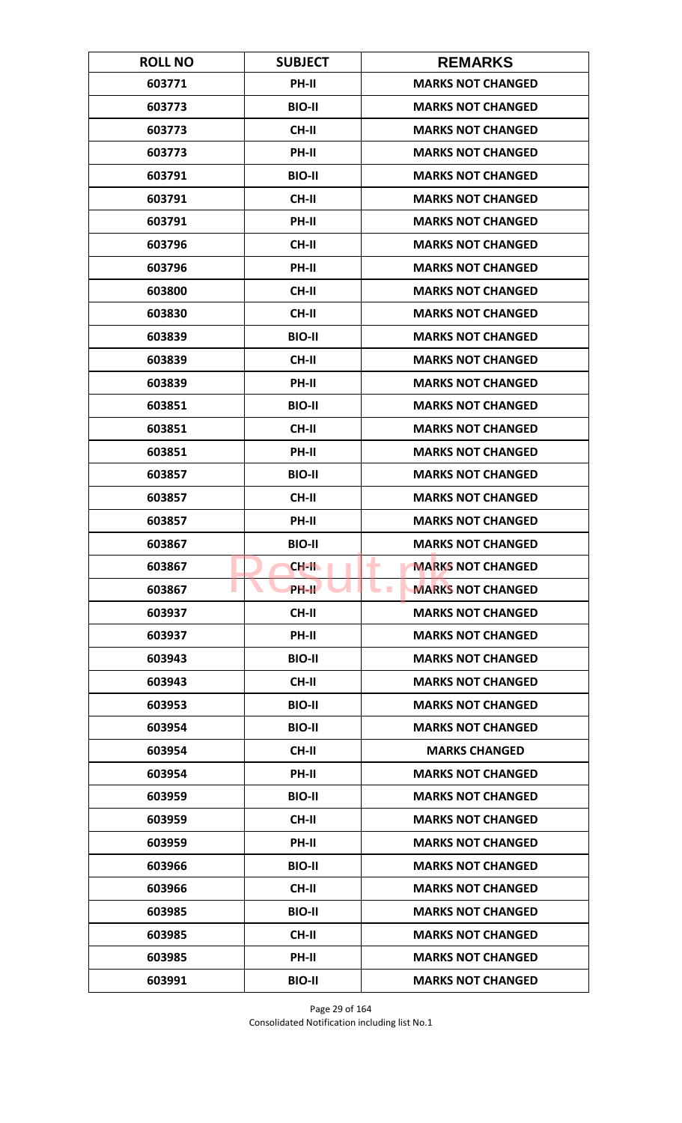| <b>ROLL NO</b> | <b>SUBJECT</b>     | <b>REMARKS</b>                             |
|----------------|--------------------|--------------------------------------------|
| 603771         | PH-II              | <b>MARKS NOT CHANGED</b>                   |
| 603773         | <b>BIO-II</b>      | <b>MARKS NOT CHANGED</b>                   |
| 603773         | CH-II              | <b>MARKS NOT CHANGED</b>                   |
| 603773         | PH-II              | <b>MARKS NOT CHANGED</b>                   |
| 603791         | <b>BIO-II</b>      | <b>MARKS NOT CHANGED</b>                   |
| 603791         | <b>CH-II</b>       | <b>MARKS NOT CHANGED</b>                   |
| 603791         | PH-II              | <b>MARKS NOT CHANGED</b>                   |
| 603796         | <b>CH-II</b>       | <b>MARKS NOT CHANGED</b>                   |
| 603796         | PH-II              | <b>MARKS NOT CHANGED</b>                   |
| 603800         | <b>CH-II</b>       | <b>MARKS NOT CHANGED</b>                   |
| 603830         | <b>CH-II</b>       | <b>MARKS NOT CHANGED</b>                   |
| 603839         | <b>BIO-II</b>      | <b>MARKS NOT CHANGED</b>                   |
| 603839         | <b>CH-II</b>       | <b>MARKS NOT CHANGED</b>                   |
| 603839         | PH-II              | <b>MARKS NOT CHANGED</b>                   |
| 603851         | <b>BIO-II</b>      | <b>MARKS NOT CHANGED</b>                   |
| 603851         | <b>CH-II</b>       | <b>MARKS NOT CHANGED</b>                   |
| 603851         | PH-II              | <b>MARKS NOT CHANGED</b>                   |
| 603857         | <b>BIO-II</b>      | <b>MARKS NOT CHANGED</b>                   |
| 603857         | <b>CH-II</b>       | <b>MARKS NOT CHANGED</b>                   |
| 603857         | PH-II              | <b>MARKS NOT CHANGED</b>                   |
| 603867         | <b>BIO-II</b>      | <b>MARKS NOT CHANGED</b>                   |
| 603867         | CH-II              | <b>MARKS NOT CHANGED</b><br>۰              |
| 603867         | PH-II <sup>T</sup> | <b>MARKS NOT CHANGED</b><br><b>College</b> |
| 603937         | <b>CH-II</b>       | <b>MARKS NOT CHANGED</b>                   |
| 603937         | PH-II              | <b>MARKS NOT CHANGED</b>                   |
| 603943         | <b>BIO-II</b>      | <b>MARKS NOT CHANGED</b>                   |
| 603943         | <b>CH-II</b>       | <b>MARKS NOT CHANGED</b>                   |
| 603953         | <b>BIO-II</b>      | <b>MARKS NOT CHANGED</b>                   |
| 603954         | <b>BIO-II</b>      | <b>MARKS NOT CHANGED</b>                   |
| 603954         | <b>CH-II</b>       | <b>MARKS CHANGED</b>                       |
| 603954         | <b>PH-II</b>       | <b>MARKS NOT CHANGED</b>                   |
| 603959         | <b>BIO-II</b>      | <b>MARKS NOT CHANGED</b>                   |
| 603959         | CH-II              | <b>MARKS NOT CHANGED</b>                   |
| 603959         | PH-II              | <b>MARKS NOT CHANGED</b>                   |
| 603966         | <b>BIO-II</b>      | <b>MARKS NOT CHANGED</b>                   |
| 603966         | CH-II              | <b>MARKS NOT CHANGED</b>                   |
| 603985         | <b>BIO-II</b>      | <b>MARKS NOT CHANGED</b>                   |
| 603985         | <b>CH-II</b>       | <b>MARKS NOT CHANGED</b>                   |
| 603985         | <b>PH-II</b>       | <b>MARKS NOT CHANGED</b>                   |
| 603991         | <b>BIO-II</b>      | <b>MARKS NOT CHANGED</b>                   |

Page 29 of 164 Consolidated Notification including list No.1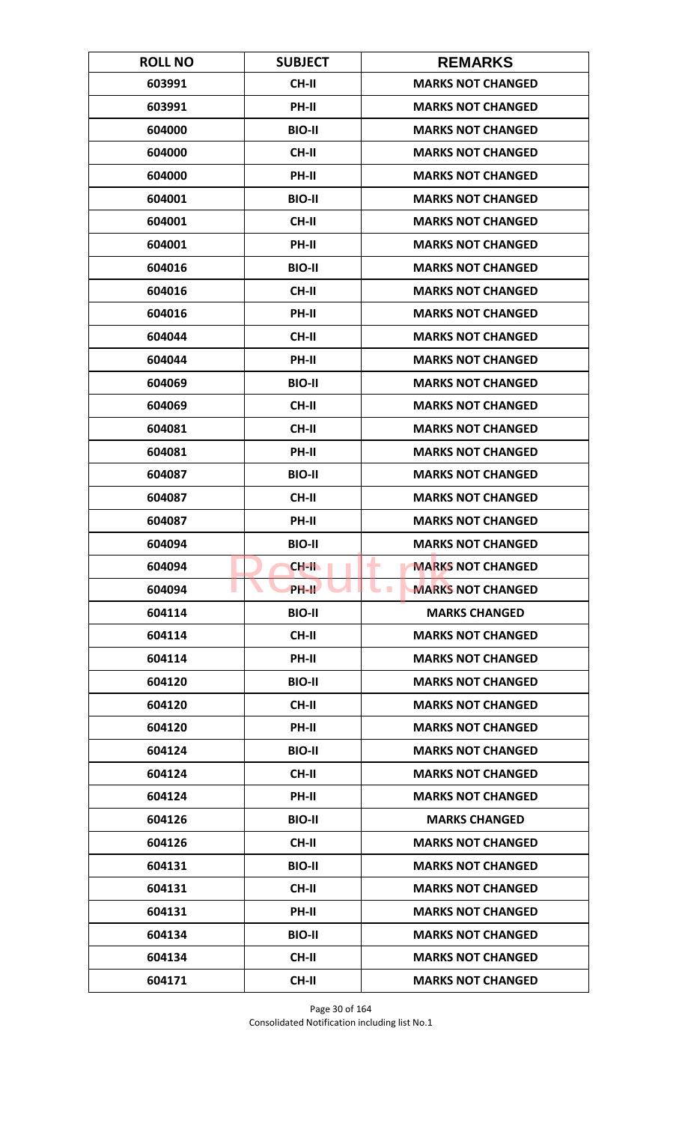| <b>ROLL NO</b> | <b>SUBJECT</b> | <b>REMARKS</b>                               |
|----------------|----------------|----------------------------------------------|
| 603991         | <b>CH-II</b>   | <b>MARKS NOT CHANGED</b>                     |
| 603991         | PH-II          | <b>MARKS NOT CHANGED</b>                     |
| 604000         | <b>BIO-II</b>  | <b>MARKS NOT CHANGED</b>                     |
| 604000         | <b>CH-II</b>   | <b>MARKS NOT CHANGED</b>                     |
| 604000         | PH-II          | <b>MARKS NOT CHANGED</b>                     |
| 604001         | <b>BIO-II</b>  | <b>MARKS NOT CHANGED</b>                     |
| 604001         | <b>CH-II</b>   | <b>MARKS NOT CHANGED</b>                     |
| 604001         | PH-II          | <b>MARKS NOT CHANGED</b>                     |
| 604016         | <b>BIO-II</b>  | <b>MARKS NOT CHANGED</b>                     |
| 604016         | CH-II          | <b>MARKS NOT CHANGED</b>                     |
| 604016         | PH-II          | <b>MARKS NOT CHANGED</b>                     |
| 604044         | <b>CH-II</b>   | <b>MARKS NOT CHANGED</b>                     |
| 604044         | PH-II          | <b>MARKS NOT CHANGED</b>                     |
| 604069         | <b>BIO-II</b>  | <b>MARKS NOT CHANGED</b>                     |
| 604069         | <b>CH-II</b>   | <b>MARKS NOT CHANGED</b>                     |
| 604081         | <b>CH-II</b>   | <b>MARKS NOT CHANGED</b>                     |
| 604081         | PH-II          | <b>MARKS NOT CHANGED</b>                     |
| 604087         | <b>BIO-II</b>  | <b>MARKS NOT CHANGED</b>                     |
| 604087         | <b>CH-II</b>   | <b>MARKS NOT CHANGED</b>                     |
| 604087         | PH-II          | <b>MARKS NOT CHANGED</b>                     |
| 604094         | <b>BIO-II</b>  | <b>MARKS NOT CHANGED</b>                     |
| 604094         | CH-II          | <b>MARKS NOT CHANGED</b><br>٠                |
| 604094         | <b>PH-IL</b>   | <b>MARKS NOT CHANGED</b><br><b>The State</b> |
| 604114         | <b>BIO-II</b>  | <b>MARKS CHANGED</b>                         |
| 604114         | CH-II          | <b>MARKS NOT CHANGED</b>                     |
| 604114         | PH-II          | <b>MARKS NOT CHANGED</b>                     |
| 604120         | <b>BIO-II</b>  | <b>MARKS NOT CHANGED</b>                     |
| 604120         | <b>CH-II</b>   | <b>MARKS NOT CHANGED</b>                     |
| 604120         | PH-II          | <b>MARKS NOT CHANGED</b>                     |
| 604124         | <b>BIO-II</b>  | <b>MARKS NOT CHANGED</b>                     |
| 604124         | <b>CH-II</b>   | <b>MARKS NOT CHANGED</b>                     |
| 604124         | PH-II          | <b>MARKS NOT CHANGED</b>                     |
| 604126         | <b>BIO-II</b>  | <b>MARKS CHANGED</b>                         |
| 604126         | <b>CH-II</b>   | <b>MARKS NOT CHANGED</b>                     |
| 604131         | <b>BIO-II</b>  | <b>MARKS NOT CHANGED</b>                     |
| 604131         | CH-II          | <b>MARKS NOT CHANGED</b>                     |
| 604131         | PH-II          | <b>MARKS NOT CHANGED</b>                     |
| 604134         | <b>BIO-II</b>  | <b>MARKS NOT CHANGED</b>                     |
| 604134         | CH-II          | <b>MARKS NOT CHANGED</b>                     |
| 604171         | <b>CH-II</b>   | <b>MARKS NOT CHANGED</b>                     |

Page 30 of 164 Consolidated Notification including list No.1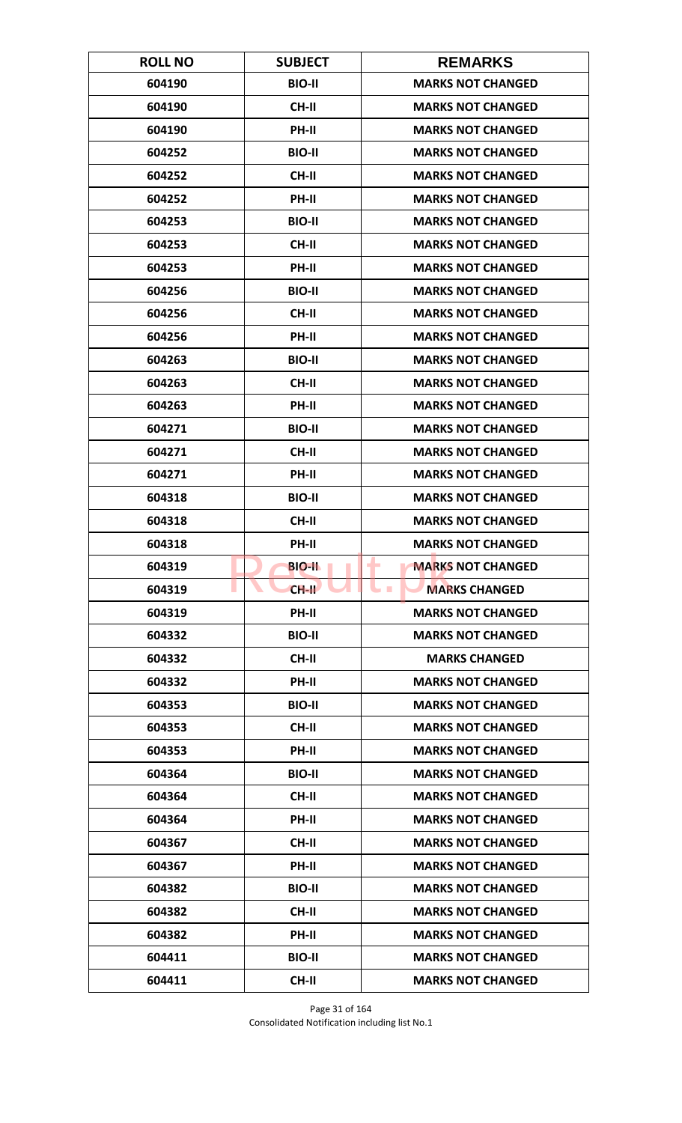| <b>ROLL NO</b> | <b>SUBJECT</b> | <b>REMARKS</b>                |
|----------------|----------------|-------------------------------|
| 604190         | <b>BIO-II</b>  | <b>MARKS NOT CHANGED</b>      |
| 604190         | <b>CH-II</b>   | <b>MARKS NOT CHANGED</b>      |
| 604190         | PH-II          | <b>MARKS NOT CHANGED</b>      |
| 604252         | <b>BIO-II</b>  | <b>MARKS NOT CHANGED</b>      |
| 604252         | <b>CH-II</b>   | <b>MARKS NOT CHANGED</b>      |
| 604252         | PH-II          | <b>MARKS NOT CHANGED</b>      |
| 604253         | <b>BIO-II</b>  | <b>MARKS NOT CHANGED</b>      |
| 604253         | <b>CH-II</b>   | <b>MARKS NOT CHANGED</b>      |
| 604253         | PH-II          | <b>MARKS NOT CHANGED</b>      |
| 604256         | <b>BIO-II</b>  | <b>MARKS NOT CHANGED</b>      |
| 604256         | <b>CH-II</b>   | <b>MARKS NOT CHANGED</b>      |
| 604256         | <b>PH-II</b>   | <b>MARKS NOT CHANGED</b>      |
| 604263         | <b>BIO-II</b>  | <b>MARKS NOT CHANGED</b>      |
| 604263         | <b>CH-II</b>   | <b>MARKS NOT CHANGED</b>      |
| 604263         | <b>PH-II</b>   | <b>MARKS NOT CHANGED</b>      |
| 604271         | <b>BIO-II</b>  | <b>MARKS NOT CHANGED</b>      |
| 604271         | <b>CH-II</b>   | <b>MARKS NOT CHANGED</b>      |
| 604271         | PH-II          | <b>MARKS NOT CHANGED</b>      |
| 604318         | <b>BIO-II</b>  | <b>MARKS NOT CHANGED</b>      |
| 604318         | <b>CH-II</b>   | <b>MARKS NOT CHANGED</b>      |
| 604318         | PH-II          | <b>MARKS NOT CHANGED</b>      |
| 604319         | <b>BIO-II</b>  | <b>MARKS NOT CHANGED</b><br>٠ |
| 604319         | $CH-H$         | <b>MARKS CHANGED</b>          |
| 604319         | <b>PH-II</b>   | <b>MARKS NOT CHANGED</b>      |
| 604332         | <b>BIO-II</b>  | <b>MARKS NOT CHANGED</b>      |
| 604332         | CH-II          | <b>MARKS CHANGED</b>          |
| 604332         | PH-II          | <b>MARKS NOT CHANGED</b>      |
| 604353         | <b>BIO-II</b>  | <b>MARKS NOT CHANGED</b>      |
| 604353         | CH-II          | <b>MARKS NOT CHANGED</b>      |
| 604353         | <b>PH-II</b>   | <b>MARKS NOT CHANGED</b>      |
| 604364         | <b>BIO-II</b>  | <b>MARKS NOT CHANGED</b>      |
| 604364         | CH-II          | <b>MARKS NOT CHANGED</b>      |
| 604364         | PH-II          | <b>MARKS NOT CHANGED</b>      |
| 604367         | CH-II          | <b>MARKS NOT CHANGED</b>      |
| 604367         | <b>PH-II</b>   | <b>MARKS NOT CHANGED</b>      |
| 604382         | <b>BIO-II</b>  | <b>MARKS NOT CHANGED</b>      |
| 604382         | CH-II          | <b>MARKS NOT CHANGED</b>      |
| 604382         | PH-II          | <b>MARKS NOT CHANGED</b>      |
| 604411         | <b>BIO-II</b>  | <b>MARKS NOT CHANGED</b>      |
| 604411         | <b>CH-II</b>   | <b>MARKS NOT CHANGED</b>      |

Page 31 of 164 Consolidated Notification including list No.1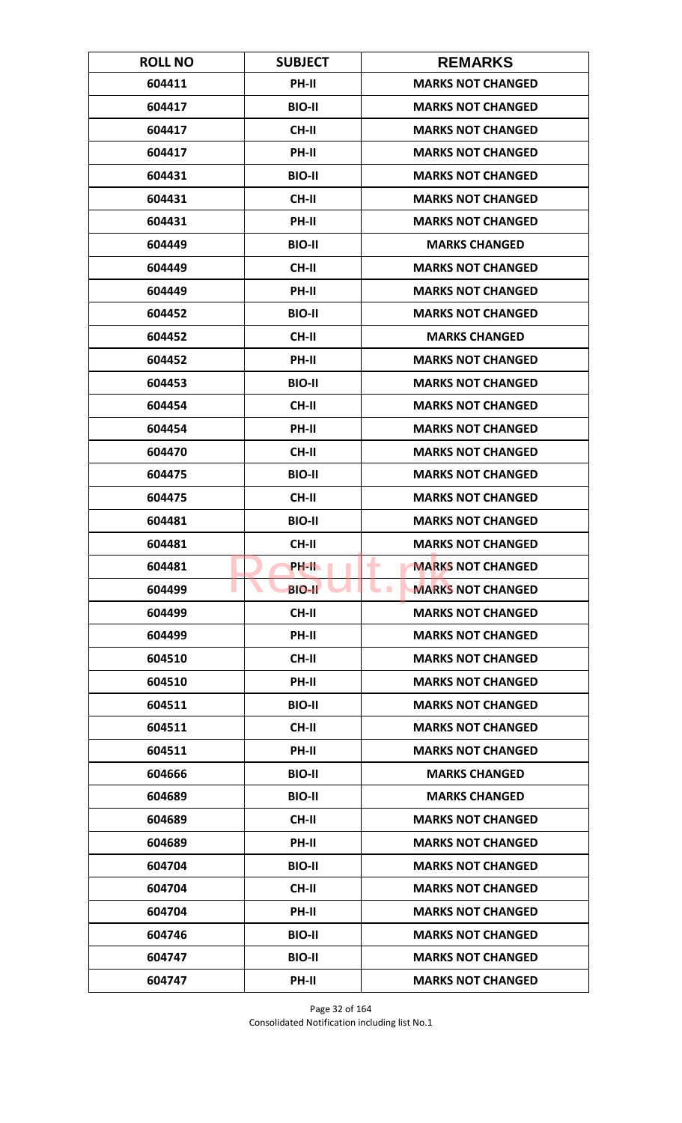| <b>ROLL NO</b> | <b>SUBJECT</b> | <b>REMARKS</b>                       |
|----------------|----------------|--------------------------------------|
| 604411         | <b>PH-II</b>   | <b>MARKS NOT CHANGED</b>             |
| 604417         | <b>BIO-II</b>  | <b>MARKS NOT CHANGED</b>             |
| 604417         | <b>CH-II</b>   | <b>MARKS NOT CHANGED</b>             |
| 604417         | <b>PH-II</b>   | <b>MARKS NOT CHANGED</b>             |
| 604431         | <b>BIO-II</b>  | <b>MARKS NOT CHANGED</b>             |
| 604431         | <b>CH-II</b>   | <b>MARKS NOT CHANGED</b>             |
| 604431         | <b>PH-II</b>   | <b>MARKS NOT CHANGED</b>             |
| 604449         | <b>BIO-II</b>  | <b>MARKS CHANGED</b>                 |
| 604449         | <b>CH-II</b>   | <b>MARKS NOT CHANGED</b>             |
| 604449         | PH-II          | <b>MARKS NOT CHANGED</b>             |
| 604452         | <b>BIO-II</b>  | <b>MARKS NOT CHANGED</b>             |
| 604452         | <b>CH-II</b>   | <b>MARKS CHANGED</b>                 |
| 604452         | PH-II          | <b>MARKS NOT CHANGED</b>             |
| 604453         | <b>BIO-II</b>  | <b>MARKS NOT CHANGED</b>             |
| 604454         | <b>CH-II</b>   | <b>MARKS NOT CHANGED</b>             |
| 604454         | PH-II          | <b>MARKS NOT CHANGED</b>             |
| 604470         | <b>CH-II</b>   | <b>MARKS NOT CHANGED</b>             |
| 604475         | <b>BIO-II</b>  | <b>MARKS NOT CHANGED</b>             |
| 604475         | <b>CH-II</b>   | <b>MARKS NOT CHANGED</b>             |
| 604481         | <b>BIO-II</b>  | <b>MARKS NOT CHANGED</b>             |
| 604481         | <b>CH-II</b>   | <b>MARKS NOT CHANGED</b>             |
| 604481         | PH-IL          | <b>MARKS NOT CHANGED</b><br>٠        |
| 604499         | <b>BIO-II</b>  | <b>MARKS NOT CHANGED</b><br><b>I</b> |
| 604499         | CH-II          | <b>MARKS NOT CHANGED</b>             |
| 604499         | PH-II          | <b>MARKS NOT CHANGED</b>             |
| 604510         | CH-II          | <b>MARKS NOT CHANGED</b>             |
| 604510         | PH-II          | <b>MARKS NOT CHANGED</b>             |
| 604511         | <b>BIO-II</b>  | <b>MARKS NOT CHANGED</b>             |
| 604511         | <b>CH-II</b>   | <b>MARKS NOT CHANGED</b>             |
| 604511         | <b>PH-II</b>   | <b>MARKS NOT CHANGED</b>             |
| 604666         | <b>BIO-II</b>  | <b>MARKS CHANGED</b>                 |
| 604689         | <b>BIO-II</b>  | <b>MARKS CHANGED</b>                 |
| 604689         | CH-II          | <b>MARKS NOT CHANGED</b>             |
| 604689         | PH-II          | <b>MARKS NOT CHANGED</b>             |
| 604704         | <b>BIO-II</b>  | <b>MARKS NOT CHANGED</b>             |
| 604704         | CH-II          | <b>MARKS NOT CHANGED</b>             |
| 604704         | PH-II          | <b>MARKS NOT CHANGED</b>             |
| 604746         | <b>BIO-II</b>  | <b>MARKS NOT CHANGED</b>             |
| 604747         | <b>BIO-II</b>  | <b>MARKS NOT CHANGED</b>             |
| 604747         | PH-II          | <b>MARKS NOT CHANGED</b>             |

Page 32 of 164 Consolidated Notification including list No.1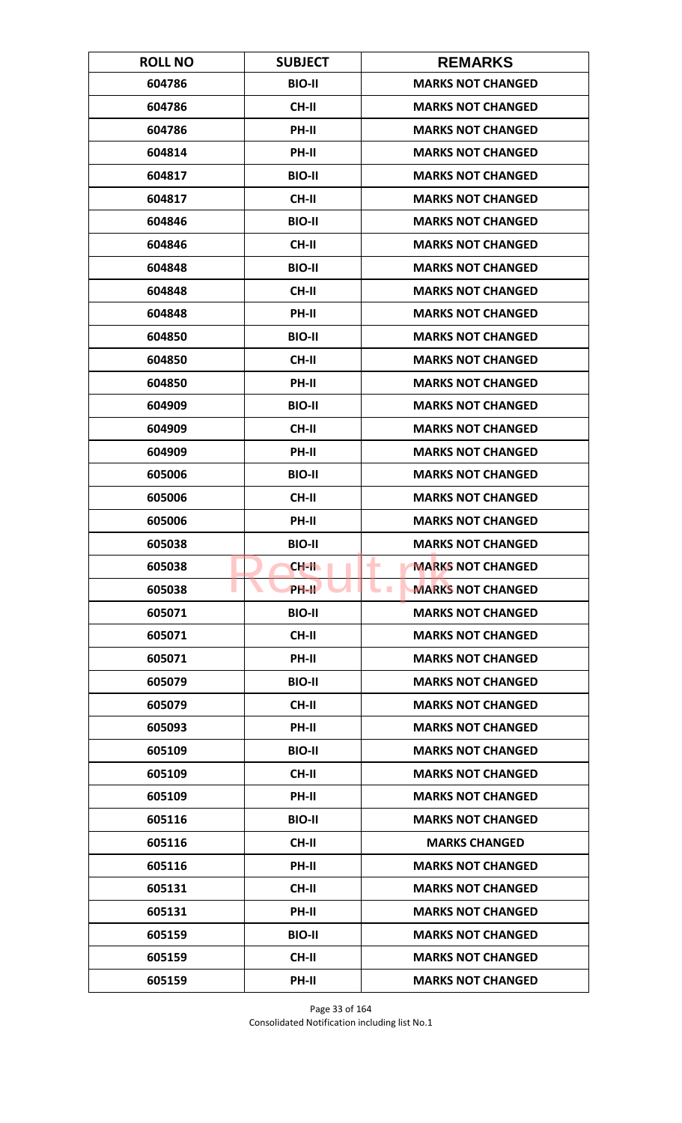| <b>ROLL NO</b> | <b>SUBJECT</b>     | <b>REMARKS</b>                       |
|----------------|--------------------|--------------------------------------|
| 604786         | <b>BIO-II</b>      | <b>MARKS NOT CHANGED</b>             |
| 604786         | <b>CH-II</b>       | <b>MARKS NOT CHANGED</b>             |
| 604786         | PH-II              | <b>MARKS NOT CHANGED</b>             |
| 604814         | PH-II              | <b>MARKS NOT CHANGED</b>             |
| 604817         | <b>BIO-II</b>      | <b>MARKS NOT CHANGED</b>             |
| 604817         | <b>CH-II</b>       | <b>MARKS NOT CHANGED</b>             |
| 604846         | <b>BIO-II</b>      | <b>MARKS NOT CHANGED</b>             |
| 604846         | <b>CH-II</b>       | <b>MARKS NOT CHANGED</b>             |
| 604848         | <b>BIO-II</b>      | <b>MARKS NOT CHANGED</b>             |
| 604848         | CH-II              | <b>MARKS NOT CHANGED</b>             |
| 604848         | PH-II              | <b>MARKS NOT CHANGED</b>             |
| 604850         | <b>BIO-II</b>      | <b>MARKS NOT CHANGED</b>             |
| 604850         | <b>CH-II</b>       | <b>MARKS NOT CHANGED</b>             |
| 604850         | PH-II              | <b>MARKS NOT CHANGED</b>             |
| 604909         | <b>BIO-II</b>      | <b>MARKS NOT CHANGED</b>             |
| 604909         | <b>CH-II</b>       | <b>MARKS NOT CHANGED</b>             |
| 604909         | PH-II              | <b>MARKS NOT CHANGED</b>             |
| 605006         | <b>BIO-II</b>      | <b>MARKS NOT CHANGED</b>             |
| 605006         | <b>CH-II</b>       | <b>MARKS NOT CHANGED</b>             |
| 605006         | PH-II              | <b>MARKS NOT CHANGED</b>             |
| 605038         | <b>BIO-II</b>      | <b>MARKS NOT CHANGED</b>             |
| 605038         | CH-II              | <b>MARKS NOT CHANGED</b><br>٠        |
| 605038         | PH-II <sup>T</sup> | <b>MARKS NOT CHANGED</b><br><b>I</b> |
| 605071         | <b>BIO-II</b>      | <b>MARKS NOT CHANGED</b>             |
| 605071         | CH-II              | <b>MARKS NOT CHANGED</b>             |
| 605071         | PH-II              | <b>MARKS NOT CHANGED</b>             |
| 605079         | <b>BIO-II</b>      | <b>MARKS NOT CHANGED</b>             |
| 605079         | <b>CH-II</b>       | <b>MARKS NOT CHANGED</b>             |
| 605093         | PH-II              | <b>MARKS NOT CHANGED</b>             |
| 605109         | <b>BIO-II</b>      | <b>MARKS NOT CHANGED</b>             |
| 605109         | <b>CH-II</b>       | <b>MARKS NOT CHANGED</b>             |
| 605109         | PH-II              | <b>MARKS NOT CHANGED</b>             |
| 605116         | <b>BIO-II</b>      | <b>MARKS NOT CHANGED</b>             |
| 605116         | CH-II              | <b>MARKS CHANGED</b>                 |
| 605116         | <b>PH-II</b>       | <b>MARKS NOT CHANGED</b>             |
| 605131         | <b>CH-II</b>       | <b>MARKS NOT CHANGED</b>             |
| 605131         | PH-II              | <b>MARKS NOT CHANGED</b>             |
| 605159         | <b>BIO-II</b>      | <b>MARKS NOT CHANGED</b>             |
| 605159         | <b>CH-II</b>       | <b>MARKS NOT CHANGED</b>             |
| 605159         | PH-II              | <b>MARKS NOT CHANGED</b>             |

Page 33 of 164 Consolidated Notification including list No.1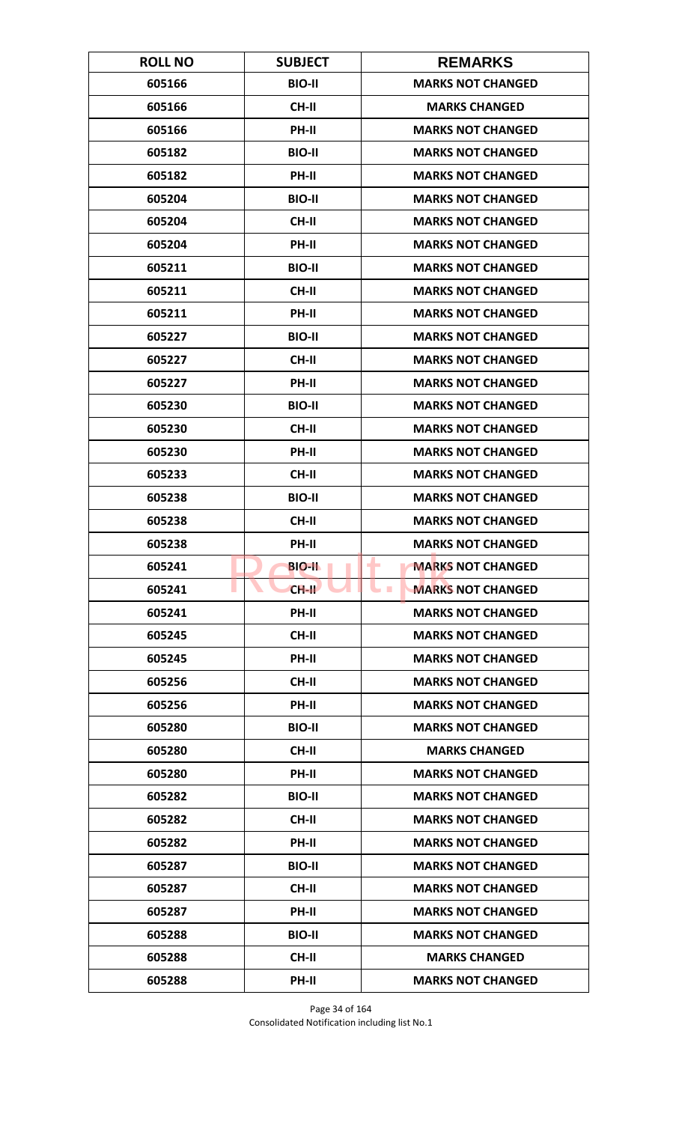| <b>ROLL NO</b> | <b>SUBJECT</b> | <b>REMARKS</b>                       |
|----------------|----------------|--------------------------------------|
| 605166         | <b>BIO-II</b>  | <b>MARKS NOT CHANGED</b>             |
| 605166         | <b>CH-II</b>   | <b>MARKS CHANGED</b>                 |
| 605166         | PH-II          | <b>MARKS NOT CHANGED</b>             |
| 605182         | <b>BIO-II</b>  | <b>MARKS NOT CHANGED</b>             |
| 605182         | PH-II          | <b>MARKS NOT CHANGED</b>             |
| 605204         | <b>BIO-II</b>  | <b>MARKS NOT CHANGED</b>             |
| 605204         | <b>CH-II</b>   | <b>MARKS NOT CHANGED</b>             |
| 605204         | PH-II          | <b>MARKS NOT CHANGED</b>             |
| 605211         | <b>BIO-II</b>  | <b>MARKS NOT CHANGED</b>             |
| 605211         | CH-II          | <b>MARKS NOT CHANGED</b>             |
| 605211         | PH-II          | <b>MARKS NOT CHANGED</b>             |
| 605227         | <b>BIO-II</b>  | <b>MARKS NOT CHANGED</b>             |
| 605227         | <b>CH-II</b>   | <b>MARKS NOT CHANGED</b>             |
| 605227         | PH-II          | <b>MARKS NOT CHANGED</b>             |
| 605230         | <b>BIO-II</b>  | <b>MARKS NOT CHANGED</b>             |
| 605230         | <b>CH-II</b>   | <b>MARKS NOT CHANGED</b>             |
| 605230         | PH-II          | <b>MARKS NOT CHANGED</b>             |
| 605233         | <b>CH-II</b>   | <b>MARKS NOT CHANGED</b>             |
| 605238         | <b>BIO-II</b>  | <b>MARKS NOT CHANGED</b>             |
| 605238         | <b>CH-II</b>   | <b>MARKS NOT CHANGED</b>             |
| 605238         | PH-II          | <b>MARKS NOT CHANGED</b>             |
| 605241         | <b>BIO-II</b>  | <b>MARKS NOT CHANGED</b><br>٠        |
| 605241         | $CH-H$         | <b>MARKS NOT CHANGED</b><br><b>I</b> |
| 605241         | PH-II          | <b>MARKS NOT CHANGED</b>             |
| 605245         | <b>CH-II</b>   | <b>MARKS NOT CHANGED</b>             |
| 605245         | PH-II          | <b>MARKS NOT CHANGED</b>             |
| 605256         | <b>CH-II</b>   | <b>MARKS NOT CHANGED</b>             |
| 605256         | <b>PH-II</b>   | <b>MARKS NOT CHANGED</b>             |
| 605280         | <b>BIO-II</b>  | <b>MARKS NOT CHANGED</b>             |
| 605280         | <b>CH-II</b>   | <b>MARKS CHANGED</b>                 |
| 605280         | <b>PH-II</b>   | <b>MARKS NOT CHANGED</b>             |
| 605282         | <b>BIO-II</b>  | <b>MARKS NOT CHANGED</b>             |
| 605282         | CH-II          | <b>MARKS NOT CHANGED</b>             |
| 605282         | PH-II          | <b>MARKS NOT CHANGED</b>             |
| 605287         | <b>BIO-II</b>  | <b>MARKS NOT CHANGED</b>             |
| 605287         | CH-II          | <b>MARKS NOT CHANGED</b>             |
| 605287         | PH-II          | <b>MARKS NOT CHANGED</b>             |
| 605288         | <b>BIO-II</b>  | <b>MARKS NOT CHANGED</b>             |
| 605288         | <b>CH-II</b>   | <b>MARKS CHANGED</b>                 |
| 605288         | PH-II          | <b>MARKS NOT CHANGED</b>             |

Page 34 of 164 Consolidated Notification including list No.1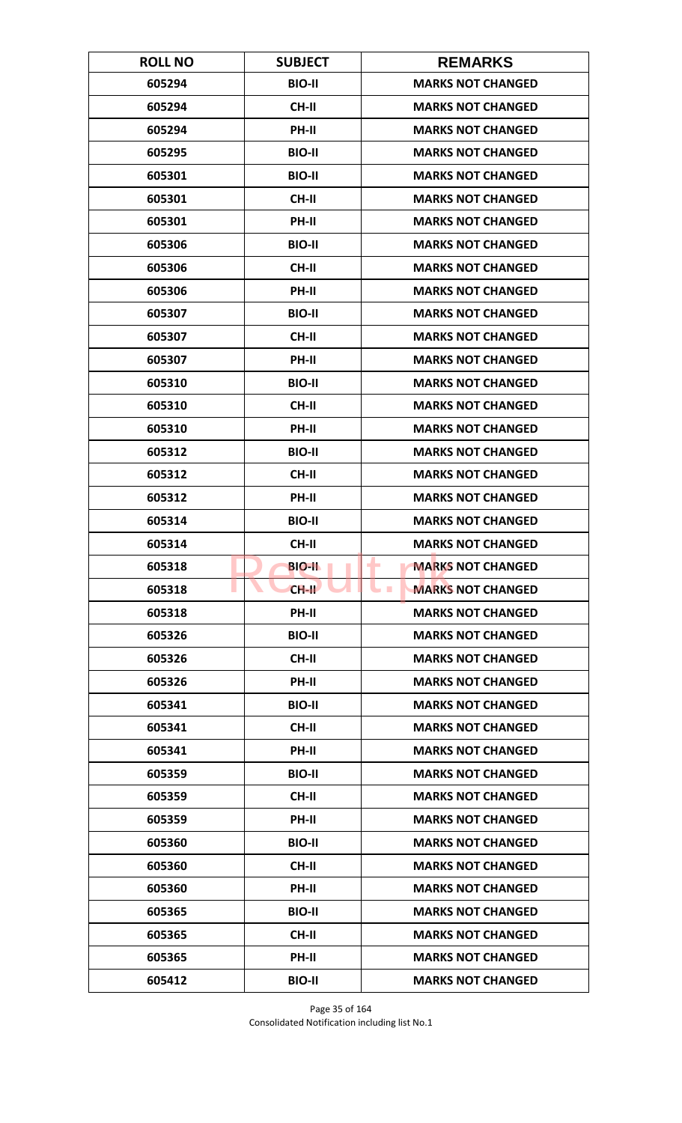| <b>ROLL NO</b> | <b>SUBJECT</b> | <b>REMARKS</b>                         |
|----------------|----------------|----------------------------------------|
| 605294         | <b>BIO-II</b>  | <b>MARKS NOT CHANGED</b>               |
| 605294         | <b>CH-II</b>   | <b>MARKS NOT CHANGED</b>               |
| 605294         | PH-II          | <b>MARKS NOT CHANGED</b>               |
| 605295         | <b>BIO-II</b>  | <b>MARKS NOT CHANGED</b>               |
| 605301         | <b>BIO-II</b>  | <b>MARKS NOT CHANGED</b>               |
| 605301         | <b>CH-II</b>   | <b>MARKS NOT CHANGED</b>               |
| 605301         | PH-II          | <b>MARKS NOT CHANGED</b>               |
| 605306         | <b>BIO-II</b>  | <b>MARKS NOT CHANGED</b>               |
| 605306         | <b>CH-II</b>   | <b>MARKS NOT CHANGED</b>               |
| 605306         | PH-II          | <b>MARKS NOT CHANGED</b>               |
| 605307         | <b>BIO-II</b>  | <b>MARKS NOT CHANGED</b>               |
| 605307         | CH-II          | <b>MARKS NOT CHANGED</b>               |
| 605307         | PH-II          | <b>MARKS NOT CHANGED</b>               |
| 605310         | <b>BIO-II</b>  | <b>MARKS NOT CHANGED</b>               |
| 605310         | <b>CH-II</b>   | <b>MARKS NOT CHANGED</b>               |
| 605310         | PH-II          | <b>MARKS NOT CHANGED</b>               |
| 605312         | <b>BIO-II</b>  | <b>MARKS NOT CHANGED</b>               |
| 605312         | <b>CH-II</b>   | <b>MARKS NOT CHANGED</b>               |
| 605312         | PH-II          | <b>MARKS NOT CHANGED</b>               |
| 605314         | <b>BIO-II</b>  | <b>MARKS NOT CHANGED</b>               |
| 605314         | <b>CH-II</b>   | <b>MARKS NOT CHANGED</b>               |
| 605318         | <b>BIO-II</b>  | <b>MARKS NOT CHANGED</b><br>٠          |
| 605318         | $CH-H$         | <b>MARKS NOT CHANGED</b><br><b>COL</b> |
| 605318         | PH-II          | <b>MARKS NOT CHANGED</b>               |
| 605326         | <b>BIO-II</b>  | <b>MARKS NOT CHANGED</b>               |
| 605326         | CH-II          | <b>MARKS NOT CHANGED</b>               |
| 605326         | PH-II          | <b>MARKS NOT CHANGED</b>               |
| 605341         | <b>BIO-II</b>  | <b>MARKS NOT CHANGED</b>               |
| 605341         | CH-II          | <b>MARKS NOT CHANGED</b>               |
| 605341         | PH-II          | <b>MARKS NOT CHANGED</b>               |
| 605359         | <b>BIO-II</b>  | <b>MARKS NOT CHANGED</b>               |
| 605359         | CH-II          | <b>MARKS NOT CHANGED</b>               |
| 605359         | PH-II          | <b>MARKS NOT CHANGED</b>               |
| 605360         | <b>BIO-II</b>  | <b>MARKS NOT CHANGED</b>               |
| 605360         | CH-II          | <b>MARKS NOT CHANGED</b>               |
| 605360         | PH-II          | <b>MARKS NOT CHANGED</b>               |
| 605365         | <b>BIO-II</b>  | <b>MARKS NOT CHANGED</b>               |
| 605365         | <b>CH-II</b>   | <b>MARKS NOT CHANGED</b>               |
| 605365         | PH-II          | <b>MARKS NOT CHANGED</b>               |
| 605412         | <b>BIO-II</b>  | <b>MARKS NOT CHANGED</b>               |

Page 35 of 164 Consolidated Notification including list No.1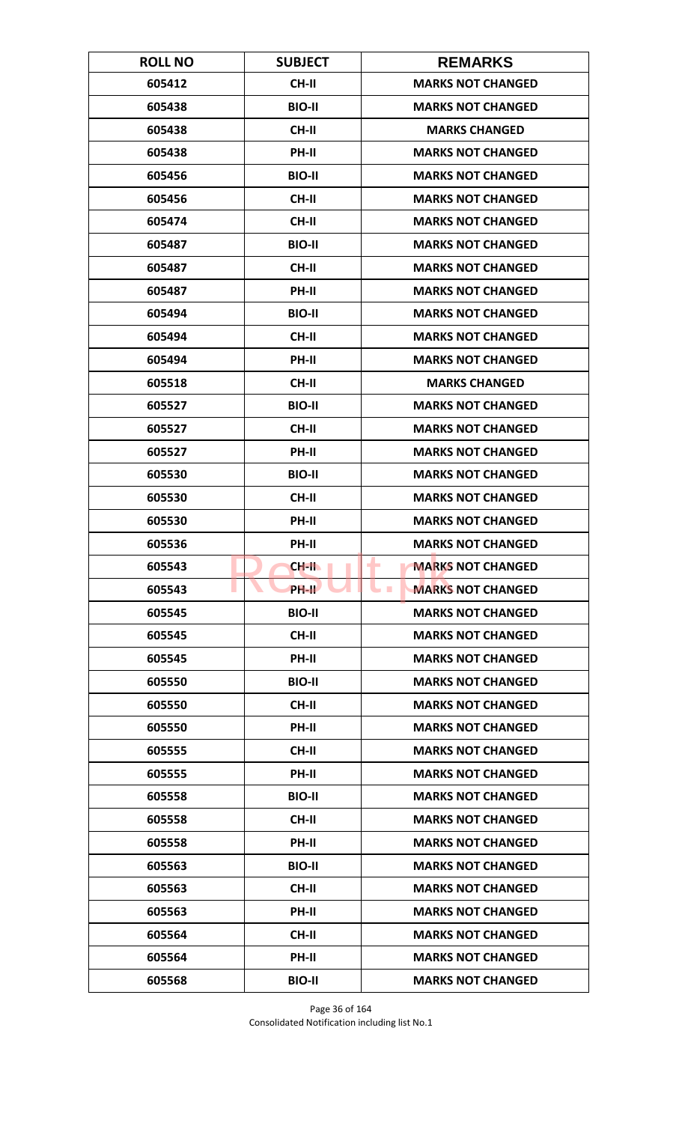| <b>ROLL NO</b> | <b>SUBJECT</b>     | <b>REMARKS</b>                       |
|----------------|--------------------|--------------------------------------|
| 605412         | <b>CH-II</b>       | <b>MARKS NOT CHANGED</b>             |
| 605438         | <b>BIO-II</b>      | <b>MARKS NOT CHANGED</b>             |
| 605438         | <b>CH-II</b>       | <b>MARKS CHANGED</b>                 |
| 605438         | PH-II              | <b>MARKS NOT CHANGED</b>             |
| 605456         | <b>BIO-II</b>      | <b>MARKS NOT CHANGED</b>             |
| 605456         | <b>CH-II</b>       | <b>MARKS NOT CHANGED</b>             |
| 605474         | <b>CH-II</b>       | <b>MARKS NOT CHANGED</b>             |
| 605487         | <b>BIO-II</b>      | <b>MARKS NOT CHANGED</b>             |
| 605487         | <b>CH-II</b>       | <b>MARKS NOT CHANGED</b>             |
| 605487         | PH-II              | <b>MARKS NOT CHANGED</b>             |
| 605494         | <b>BIO-II</b>      | <b>MARKS NOT CHANGED</b>             |
| 605494         | <b>CH-II</b>       | <b>MARKS NOT CHANGED</b>             |
| 605494         | PH-II              | <b>MARKS NOT CHANGED</b>             |
| 605518         | <b>CH-II</b>       | <b>MARKS CHANGED</b>                 |
| 605527         | <b>BIO-II</b>      | <b>MARKS NOT CHANGED</b>             |
| 605527         | <b>CH-II</b>       | <b>MARKS NOT CHANGED</b>             |
| 605527         | PH-II              | <b>MARKS NOT CHANGED</b>             |
| 605530         | <b>BIO-II</b>      | <b>MARKS NOT CHANGED</b>             |
| 605530         | <b>CH-II</b>       | <b>MARKS NOT CHANGED</b>             |
| 605530         | PH-II              | <b>MARKS NOT CHANGED</b>             |
| 605536         | PH-II              | <b>MARKS NOT CHANGED</b>             |
| 605543         | $CH-H$             | <b>MARKS NOT CHANGED</b><br>٠        |
| 605543         | PH-II <sup>T</sup> | <b>MARKS NOT CHANGED</b><br><b>I</b> |
| 605545         | <b>BIO-II</b>      | <b>MARKS NOT CHANGED</b>             |
| 605545         | CH-II              | <b>MARKS NOT CHANGED</b>             |
| 605545         | PH-II              | <b>MARKS NOT CHANGED</b>             |
| 605550         | <b>BIO-II</b>      | <b>MARKS NOT CHANGED</b>             |
| 605550         | <b>CH-II</b>       | <b>MARKS NOT CHANGED</b>             |
| 605550         | PH-II              | <b>MARKS NOT CHANGED</b>             |
| 605555         | <b>CH-II</b>       | <b>MARKS NOT CHANGED</b>             |
| 605555         | PH-II              | <b>MARKS NOT CHANGED</b>             |
| 605558         | <b>BIO-II</b>      | <b>MARKS NOT CHANGED</b>             |
| 605558         | CH-II              | <b>MARKS NOT CHANGED</b>             |
| 605558         | PH-II              | <b>MARKS NOT CHANGED</b>             |
| 605563         | <b>BIO-II</b>      | <b>MARKS NOT CHANGED</b>             |
| 605563         | CH-II              | <b>MARKS NOT CHANGED</b>             |
| 605563         | PH-II              | <b>MARKS NOT CHANGED</b>             |
| 605564         | <b>CH-II</b>       | <b>MARKS NOT CHANGED</b>             |
| 605564         | <b>PH-II</b>       | <b>MARKS NOT CHANGED</b>             |
| 605568         | <b>BIO-II</b>      | <b>MARKS NOT CHANGED</b>             |

Page 36 of 164 Consolidated Notification including list No.1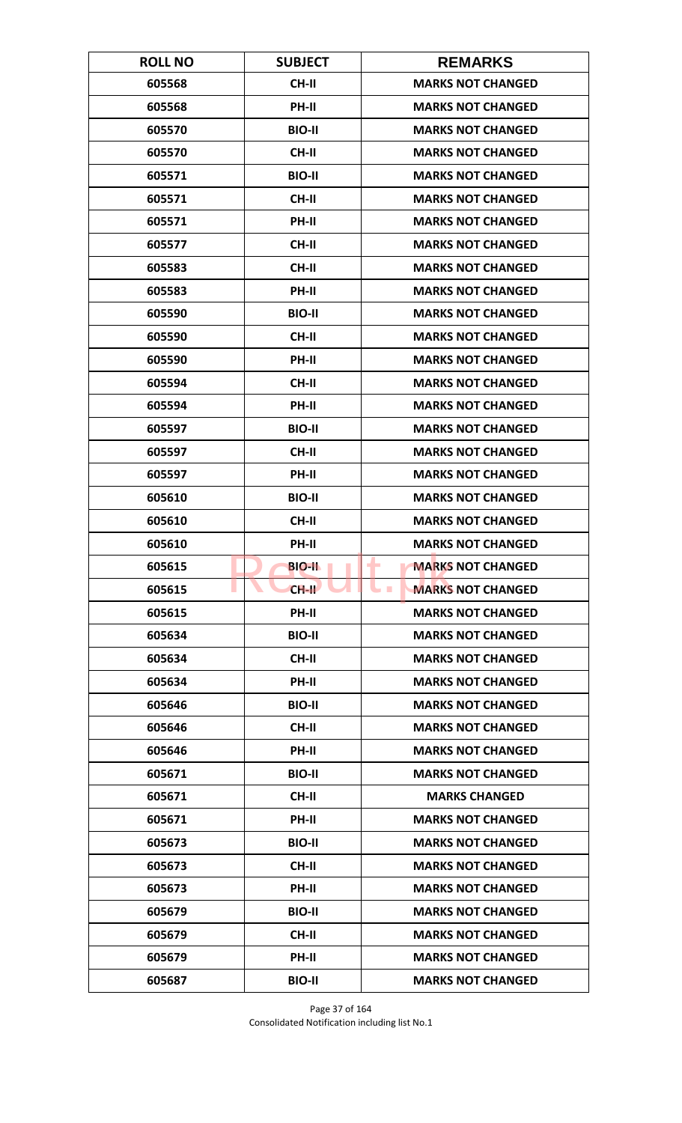| <b>ROLL NO</b> | <b>SUBJECT</b> | <b>REMARKS</b>                       |
|----------------|----------------|--------------------------------------|
| 605568         | <b>CH-II</b>   | <b>MARKS NOT CHANGED</b>             |
| 605568         | PH-II          | <b>MARKS NOT CHANGED</b>             |
| 605570         | <b>BIO-II</b>  | <b>MARKS NOT CHANGED</b>             |
| 605570         | <b>CH-II</b>   | <b>MARKS NOT CHANGED</b>             |
| 605571         | <b>BIO-II</b>  | <b>MARKS NOT CHANGED</b>             |
| 605571         | <b>CH-II</b>   | <b>MARKS NOT CHANGED</b>             |
| 605571         | <b>PH-II</b>   | <b>MARKS NOT CHANGED</b>             |
| 605577         | <b>CH-II</b>   | <b>MARKS NOT CHANGED</b>             |
| 605583         | <b>CH-II</b>   | <b>MARKS NOT CHANGED</b>             |
| 605583         | PH-II          | <b>MARKS NOT CHANGED</b>             |
| 605590         | <b>BIO-II</b>  | <b>MARKS NOT CHANGED</b>             |
| 605590         | <b>CH-II</b>   | <b>MARKS NOT CHANGED</b>             |
| 605590         | PH-II          | <b>MARKS NOT CHANGED</b>             |
| 605594         | <b>CH-II</b>   | <b>MARKS NOT CHANGED</b>             |
| 605594         | <b>PH-II</b>   | <b>MARKS NOT CHANGED</b>             |
| 605597         | <b>BIO-II</b>  | <b>MARKS NOT CHANGED</b>             |
| 605597         | <b>CH-II</b>   | <b>MARKS NOT CHANGED</b>             |
| 605597         | PH-II          | <b>MARKS NOT CHANGED</b>             |
| 605610         | <b>BIO-II</b>  | <b>MARKS NOT CHANGED</b>             |
| 605610         | <b>CH-II</b>   | <b>MARKS NOT CHANGED</b>             |
| 605610         | PH-II          | <b>MARKS NOT CHANGED</b>             |
| 605615         | <b>BIO-II</b>  | <b>MARKS NOT CHANGED</b><br>۰        |
| 605615         | $CH-H$         | <b>MARKS NOT CHANGED</b><br><b>I</b> |
| 605615         | PH-II          | <b>MARKS NOT CHANGED</b>             |
| 605634         | <b>BIO-II</b>  | <b>MARKS NOT CHANGED</b>             |
| 605634         | CH-II          | <b>MARKS NOT CHANGED</b>             |
| 605634         | PH-II          | <b>MARKS NOT CHANGED</b>             |
| 605646         | <b>BIO-II</b>  | <b>MARKS NOT CHANGED</b>             |
| 605646         | CH-II          | <b>MARKS NOT CHANGED</b>             |
| 605646         | <b>PH-II</b>   | <b>MARKS NOT CHANGED</b>             |
| 605671         | <b>BIO-II</b>  | <b>MARKS NOT CHANGED</b>             |
| 605671         | CH-II          | <b>MARKS CHANGED</b>                 |
| 605671         | PH-II          | <b>MARKS NOT CHANGED</b>             |
| 605673         | <b>BIO-II</b>  | <b>MARKS NOT CHANGED</b>             |
| 605673         | CH-II          | <b>MARKS NOT CHANGED</b>             |
| 605673         | PH-II          | <b>MARKS NOT CHANGED</b>             |
| 605679         | <b>BIO-II</b>  | <b>MARKS NOT CHANGED</b>             |
| 605679         | CH-II          | <b>MARKS NOT CHANGED</b>             |
| 605679         | <b>PH-II</b>   | <b>MARKS NOT CHANGED</b>             |
| 605687         | <b>BIO-II</b>  | <b>MARKS NOT CHANGED</b>             |

Page 37 of 164 Consolidated Notification including list No.1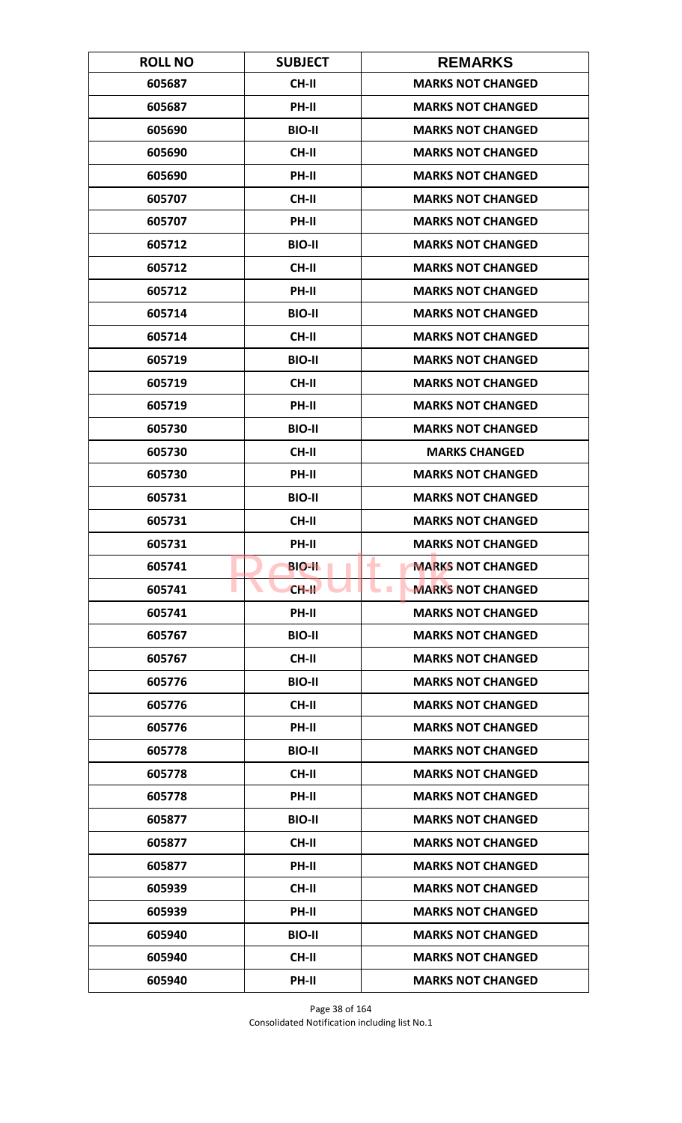| <b>ROLL NO</b> | <b>SUBJECT</b> | <b>REMARKS</b>                       |
|----------------|----------------|--------------------------------------|
| 605687         | <b>CH-II</b>   | <b>MARKS NOT CHANGED</b>             |
| 605687         | PH-II          | <b>MARKS NOT CHANGED</b>             |
| 605690         | <b>BIO-II</b>  | <b>MARKS NOT CHANGED</b>             |
| 605690         | <b>CH-II</b>   | <b>MARKS NOT CHANGED</b>             |
| 605690         | PH-II          | <b>MARKS NOT CHANGED</b>             |
| 605707         | <b>CH-II</b>   | <b>MARKS NOT CHANGED</b>             |
| 605707         | <b>PH-II</b>   | <b>MARKS NOT CHANGED</b>             |
| 605712         | <b>BIO-II</b>  | <b>MARKS NOT CHANGED</b>             |
| 605712         | <b>CH-II</b>   | <b>MARKS NOT CHANGED</b>             |
| 605712         | PH-II          | <b>MARKS NOT CHANGED</b>             |
| 605714         | <b>BIO-II</b>  | <b>MARKS NOT CHANGED</b>             |
| 605714         | <b>CH-II</b>   | <b>MARKS NOT CHANGED</b>             |
| 605719         | <b>BIO-II</b>  | <b>MARKS NOT CHANGED</b>             |
| 605719         | <b>CH-II</b>   | <b>MARKS NOT CHANGED</b>             |
| 605719         | PH-II          | <b>MARKS NOT CHANGED</b>             |
| 605730         | <b>BIO-II</b>  | <b>MARKS NOT CHANGED</b>             |
| 605730         | <b>CH-II</b>   | <b>MARKS CHANGED</b>                 |
| 605730         | PH-II          | <b>MARKS NOT CHANGED</b>             |
| 605731         | <b>BIO-II</b>  | <b>MARKS NOT CHANGED</b>             |
| 605731         | <b>CH-II</b>   | <b>MARKS NOT CHANGED</b>             |
| 605731         | PH-II          | <b>MARKS NOT CHANGED</b>             |
| 605741         | <b>BIO-II</b>  | <b>MARKS NOT CHANGED</b><br>۰        |
| 605741         | $CH-H$         | <b>MARKS NOT CHANGED</b><br><b>I</b> |
| 605741         | PH-II          | <b>MARKS NOT CHANGED</b>             |
| 605767         | <b>BIO-II</b>  | <b>MARKS NOT CHANGED</b>             |
| 605767         | CH-II          | <b>MARKS NOT CHANGED</b>             |
| 605776         | <b>BIO-II</b>  | <b>MARKS NOT CHANGED</b>             |
| 605776         | <b>CH-II</b>   | <b>MARKS NOT CHANGED</b>             |
| 605776         | PH-II          | <b>MARKS NOT CHANGED</b>             |
| 605778         | <b>BIO-II</b>  | <b>MARKS NOT CHANGED</b>             |
| 605778         | <b>CH-II</b>   | <b>MARKS NOT CHANGED</b>             |
| 605778         | PH-II          | <b>MARKS NOT CHANGED</b>             |
| 605877         | <b>BIO-II</b>  | <b>MARKS NOT CHANGED</b>             |
| 605877         | CH-II          | <b>MARKS NOT CHANGED</b>             |
| 605877         | <b>PH-II</b>   | <b>MARKS NOT CHANGED</b>             |
| 605939         | <b>CH-II</b>   | <b>MARKS NOT CHANGED</b>             |
| 605939         | PH-II          | <b>MARKS NOT CHANGED</b>             |
| 605940         | <b>BIO-II</b>  | <b>MARKS NOT CHANGED</b>             |
| 605940         | <b>CH-II</b>   | <b>MARKS NOT CHANGED</b>             |
| 605940         | PH-II          | <b>MARKS NOT CHANGED</b>             |

Page 38 of 164 Consolidated Notification including list No.1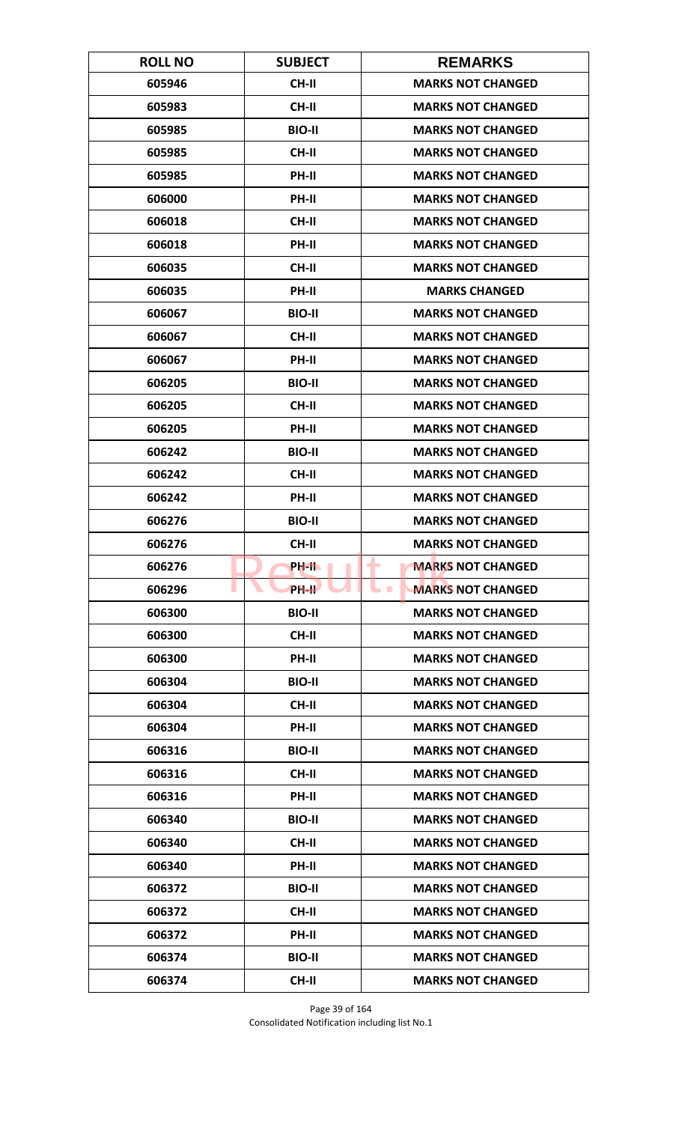| <b>ROLL NO</b> | <b>SUBJECT</b> | <b>REMARKS</b>                       |
|----------------|----------------|--------------------------------------|
| 605946         | <b>CH-II</b>   | <b>MARKS NOT CHANGED</b>             |
| 605983         | <b>CH-II</b>   | <b>MARKS NOT CHANGED</b>             |
| 605985         | <b>BIO-II</b>  | <b>MARKS NOT CHANGED</b>             |
| 605985         | <b>CH-II</b>   | <b>MARKS NOT CHANGED</b>             |
| 605985         | PH-II          | <b>MARKS NOT CHANGED</b>             |
| 606000         | PH-II          | <b>MARKS NOT CHANGED</b>             |
| 606018         | <b>CH-II</b>   | <b>MARKS NOT CHANGED</b>             |
| 606018         | PH-II          | <b>MARKS NOT CHANGED</b>             |
| 606035         | <b>CH-II</b>   | <b>MARKS NOT CHANGED</b>             |
| 606035         | PH-II          | <b>MARKS CHANGED</b>                 |
| 606067         | <b>BIO-II</b>  | <b>MARKS NOT CHANGED</b>             |
| 606067         | <b>CH-II</b>   | <b>MARKS NOT CHANGED</b>             |
| 606067         | PH-II          | <b>MARKS NOT CHANGED</b>             |
| 606205         | <b>BIO-II</b>  | <b>MARKS NOT CHANGED</b>             |
| 606205         | <b>CH-II</b>   | <b>MARKS NOT CHANGED</b>             |
| 606205         | PH-II          | <b>MARKS NOT CHANGED</b>             |
| 606242         | <b>BIO-II</b>  | <b>MARKS NOT CHANGED</b>             |
| 606242         | <b>CH-II</b>   | <b>MARKS NOT CHANGED</b>             |
| 606242         | PH-II          | <b>MARKS NOT CHANGED</b>             |
| 606276         | <b>BIO-II</b>  | <b>MARKS NOT CHANGED</b>             |
| 606276         | <b>CH-II</b>   | <b>MARKS NOT CHANGED</b>             |
| 606276         | PH-II.         | <b>MARKS NOT CHANGED</b><br>۰        |
| 606296         | PH-II          | <b>MARKS NOT CHANGED</b><br><b>I</b> |
| 606300         | <b>BIO-II</b>  | <b>MARKS NOT CHANGED</b>             |
| 606300         | CH-II          | <b>MARKS NOT CHANGED</b>             |
| 606300         | PH-II          | <b>MARKS NOT CHANGED</b>             |
| 606304         | <b>BIO-II</b>  | <b>MARKS NOT CHANGED</b>             |
| 606304         | <b>CH-II</b>   | <b>MARKS NOT CHANGED</b>             |
| 606304         | PH-II          | <b>MARKS NOT CHANGED</b>             |
| 606316         | <b>BIO-II</b>  | <b>MARKS NOT CHANGED</b>             |
| 606316         | <b>CH-II</b>   | <b>MARKS NOT CHANGED</b>             |
| 606316         | PH-II          | <b>MARKS NOT CHANGED</b>             |
| 606340         | <b>BIO-II</b>  | <b>MARKS NOT CHANGED</b>             |
| 606340         | <b>CH-II</b>   | <b>MARKS NOT CHANGED</b>             |
| 606340         | PH-II          | <b>MARKS NOT CHANGED</b>             |
| 606372         | <b>BIO-II</b>  | <b>MARKS NOT CHANGED</b>             |
| 606372         | CH-II          | <b>MARKS NOT CHANGED</b>             |
| 606372         | PH-II          | <b>MARKS NOT CHANGED</b>             |
| 606374         | <b>BIO-II</b>  | <b>MARKS NOT CHANGED</b>             |
| 606374         | <b>CH-II</b>   | <b>MARKS NOT CHANGED</b>             |

Page 39 of 164 Consolidated Notification including list No.1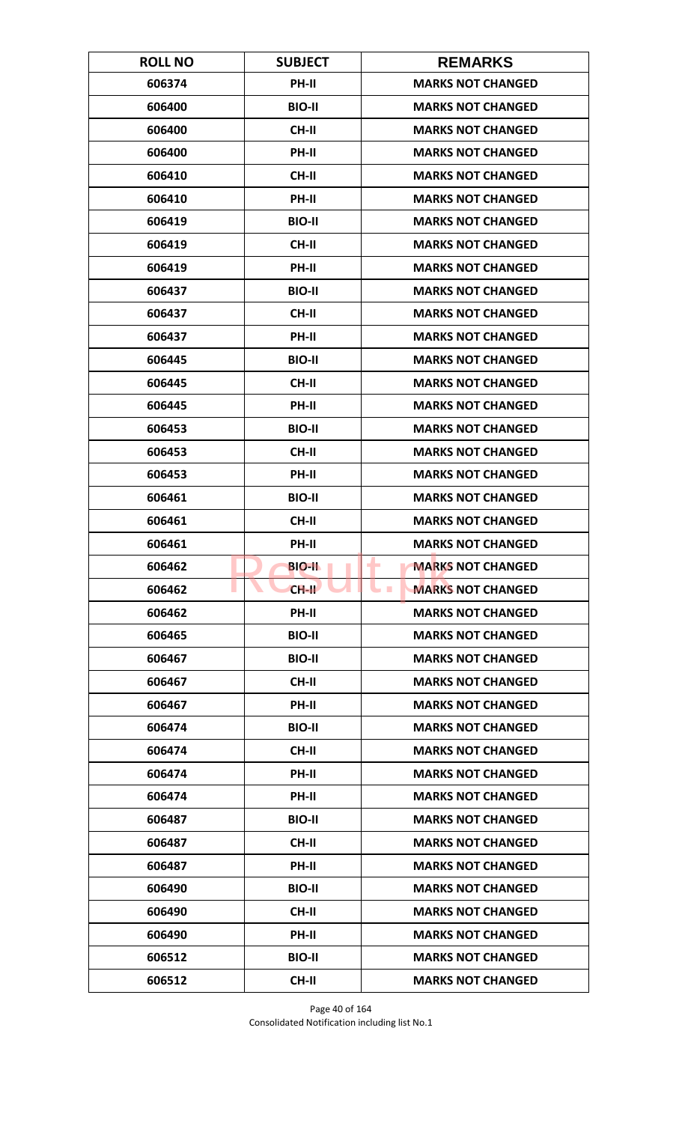| <b>ROLL NO</b> | <b>SUBJECT</b> | <b>REMARKS</b>                       |
|----------------|----------------|--------------------------------------|
| 606374         | PH-II          | <b>MARKS NOT CHANGED</b>             |
| 606400         | <b>BIO-II</b>  | <b>MARKS NOT CHANGED</b>             |
| 606400         | <b>CH-II</b>   | <b>MARKS NOT CHANGED</b>             |
| 606400         | PH-II          | <b>MARKS NOT CHANGED</b>             |
| 606410         | <b>CH-II</b>   | <b>MARKS NOT CHANGED</b>             |
| 606410         | PH-II          | <b>MARKS NOT CHANGED</b>             |
| 606419         | <b>BIO-II</b>  | <b>MARKS NOT CHANGED</b>             |
| 606419         | CH-II          | <b>MARKS NOT CHANGED</b>             |
| 606419         | PH-II          | <b>MARKS NOT CHANGED</b>             |
| 606437         | <b>BIO-II</b>  | <b>MARKS NOT CHANGED</b>             |
| 606437         | <b>CH-II</b>   | <b>MARKS NOT CHANGED</b>             |
| 606437         | <b>PH-II</b>   | <b>MARKS NOT CHANGED</b>             |
| 606445         | <b>BIO-II</b>  | <b>MARKS NOT CHANGED</b>             |
| 606445         | <b>CH-II</b>   | <b>MARKS NOT CHANGED</b>             |
| 606445         | <b>PH-II</b>   | <b>MARKS NOT CHANGED</b>             |
| 606453         | <b>BIO-II</b>  | <b>MARKS NOT CHANGED</b>             |
| 606453         | <b>CH-II</b>   | <b>MARKS NOT CHANGED</b>             |
| 606453         | PH-II          | <b>MARKS NOT CHANGED</b>             |
| 606461         | <b>BIO-II</b>  | <b>MARKS NOT CHANGED</b>             |
| 606461         | <b>CH-II</b>   | <b>MARKS NOT CHANGED</b>             |
| 606461         | PH-II          | <b>MARKS NOT CHANGED</b>             |
| 606462         | <b>BIO-II</b>  | ۰<br><b>MARKS NOT CHANGED</b>        |
| 606462         | $CH-H$         | <b>MARKS NOT CHANGED</b><br><b>I</b> |
| 606462         | <b>PH-II</b>   | <b>MARKS NOT CHANGED</b>             |
| 606465         | <b>BIO-II</b>  | <b>MARKS NOT CHANGED</b>             |
| 606467         | <b>BIO-II</b>  | <b>MARKS NOT CHANGED</b>             |
| 606467         | <b>CH-II</b>   | <b>MARKS NOT CHANGED</b>             |
| 606467         | PH-II          | <b>MARKS NOT CHANGED</b>             |
| 606474         | <b>BIO-II</b>  | <b>MARKS NOT CHANGED</b>             |
| 606474         | <b>CH-II</b>   | <b>MARKS NOT CHANGED</b>             |
| 606474         | <b>PH-II</b>   | <b>MARKS NOT CHANGED</b>             |
| 606474         | PH-II          | <b>MARKS NOT CHANGED</b>             |
| 606487         | <b>BIO-II</b>  | <b>MARKS NOT CHANGED</b>             |
| 606487         | <b>CH-II</b>   | <b>MARKS NOT CHANGED</b>             |
| 606487         | PH-II          | <b>MARKS NOT CHANGED</b>             |
| 606490         | <b>BIO-II</b>  | <b>MARKS NOT CHANGED</b>             |
| 606490         | CH-II          | <b>MARKS NOT CHANGED</b>             |
| 606490         | PH-II          | <b>MARKS NOT CHANGED</b>             |
| 606512         | <b>BIO-II</b>  | <b>MARKS NOT CHANGED</b>             |
| 606512         | <b>CH-II</b>   | <b>MARKS NOT CHANGED</b>             |

Page 40 of 164 Consolidated Notification including list No.1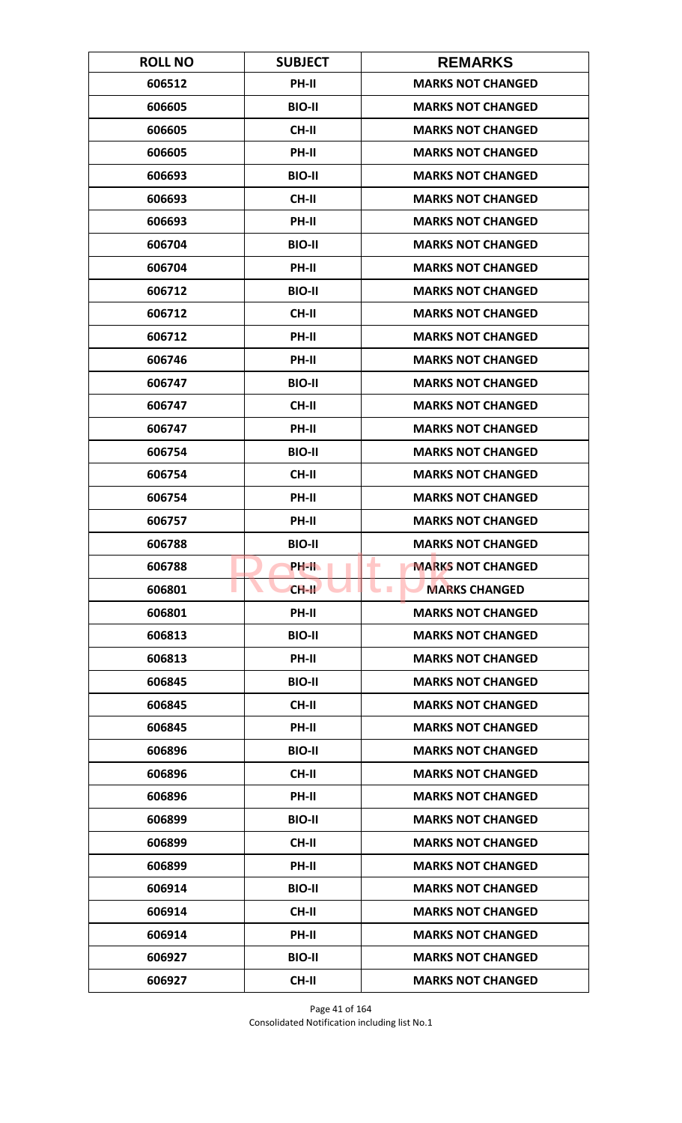| <b>ROLL NO</b> | <b>SUBJECT</b> | <b>REMARKS</b>                          |
|----------------|----------------|-----------------------------------------|
| 606512         | PH-II          | <b>MARKS NOT CHANGED</b>                |
| 606605         | <b>BIO-II</b>  | <b>MARKS NOT CHANGED</b>                |
| 606605         | <b>CH-II</b>   | <b>MARKS NOT CHANGED</b>                |
| 606605         | PH-II          | <b>MARKS NOT CHANGED</b>                |
| 606693         | <b>BIO-II</b>  | <b>MARKS NOT CHANGED</b>                |
| 606693         | CH-II          | <b>MARKS NOT CHANGED</b>                |
| 606693         | <b>PH-II</b>   | <b>MARKS NOT CHANGED</b>                |
| 606704         | <b>BIO-II</b>  | <b>MARKS NOT CHANGED</b>                |
| 606704         | PH-II          | <b>MARKS NOT CHANGED</b>                |
| 606712         | <b>BIO-II</b>  | <b>MARKS NOT CHANGED</b>                |
| 606712         | <b>CH-II</b>   | <b>MARKS NOT CHANGED</b>                |
| 606712         | <b>PH-II</b>   | <b>MARKS NOT CHANGED</b>                |
| 606746         | PH-II          | <b>MARKS NOT CHANGED</b>                |
| 606747         | <b>BIO-II</b>  | <b>MARKS NOT CHANGED</b>                |
| 606747         | CH-II          | <b>MARKS NOT CHANGED</b>                |
| 606747         | PH-II          | <b>MARKS NOT CHANGED</b>                |
| 606754         | <b>BIO-II</b>  | <b>MARKS NOT CHANGED</b>                |
| 606754         | <b>CH-II</b>   | <b>MARKS NOT CHANGED</b>                |
| 606754         | PH-II          | <b>MARKS NOT CHANGED</b>                |
| 606757         | PH-II          | <b>MARKS NOT CHANGED</b>                |
| 606788         | <b>BIO-II</b>  | <b>MARKS NOT CHANGED</b>                |
| 606788         | PH-II.         | <b>MARKS NOT CHANGED</b><br>۰           |
| 606801         | $CH-H$         | <b>MARKS CHANGED</b><br><b>Contract</b> |
| 606801         | PH-II          | <b>MARKS NOT CHANGED</b>                |
| 606813         | <b>BIO-II</b>  | <b>MARKS NOT CHANGED</b>                |
| 606813         | PH-II          | <b>MARKS NOT CHANGED</b>                |
| 606845         | <b>BIO-II</b>  | <b>MARKS NOT CHANGED</b>                |
| 606845         | <b>CH-II</b>   | <b>MARKS NOT CHANGED</b>                |
| 606845         | PH-II          | <b>MARKS NOT CHANGED</b>                |
| 606896         | <b>BIO-II</b>  | <b>MARKS NOT CHANGED</b>                |
| 606896         | <b>CH-II</b>   | <b>MARKS NOT CHANGED</b>                |
| 606896         | PH-II          | <b>MARKS NOT CHANGED</b>                |
| 606899         | <b>BIO-II</b>  | <b>MARKS NOT CHANGED</b>                |
| 606899         | CH-II          | <b>MARKS NOT CHANGED</b>                |
| 606899         | PH-II          | <b>MARKS NOT CHANGED</b>                |
| 606914         | <b>BIO-II</b>  | <b>MARKS NOT CHANGED</b>                |
| 606914         | CH-II          | <b>MARKS NOT CHANGED</b>                |
| 606914         | PH-II          | <b>MARKS NOT CHANGED</b>                |
| 606927         | <b>BIO-II</b>  | <b>MARKS NOT CHANGED</b>                |
| 606927         | <b>CH-II</b>   | <b>MARKS NOT CHANGED</b>                |

Page 41 of 164 Consolidated Notification including list No.1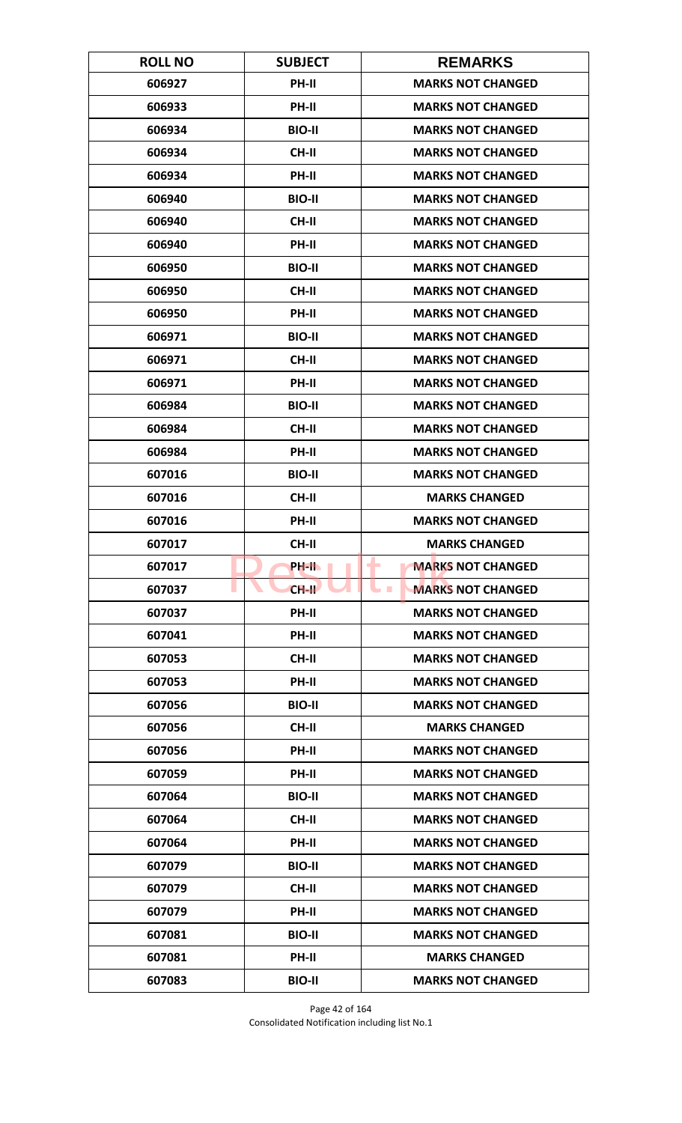| <b>ROLL NO</b> | <b>SUBJECT</b> | <b>REMARKS</b>                       |
|----------------|----------------|--------------------------------------|
| 606927         | <b>PH-II</b>   | <b>MARKS NOT CHANGED</b>             |
| 606933         | PH-II          | <b>MARKS NOT CHANGED</b>             |
| 606934         | <b>BIO-II</b>  | <b>MARKS NOT CHANGED</b>             |
| 606934         | <b>CH-II</b>   | <b>MARKS NOT CHANGED</b>             |
| 606934         | PH-II          | <b>MARKS NOT CHANGED</b>             |
| 606940         | <b>BIO-II</b>  | <b>MARKS NOT CHANGED</b>             |
| 606940         | <b>CH-II</b>   | <b>MARKS NOT CHANGED</b>             |
| 606940         | PH-II          | <b>MARKS NOT CHANGED</b>             |
| 606950         | <b>BIO-II</b>  | <b>MARKS NOT CHANGED</b>             |
| 606950         | CH-II          | <b>MARKS NOT CHANGED</b>             |
| 606950         | PH-II          | <b>MARKS NOT CHANGED</b>             |
| 606971         | <b>BIO-II</b>  | <b>MARKS NOT CHANGED</b>             |
| 606971         | <b>CH-II</b>   | <b>MARKS NOT CHANGED</b>             |
| 606971         | PH-II          | <b>MARKS NOT CHANGED</b>             |
| 606984         | <b>BIO-II</b>  | <b>MARKS NOT CHANGED</b>             |
| 606984         | <b>CH-II</b>   | <b>MARKS NOT CHANGED</b>             |
| 606984         | PH-II          | <b>MARKS NOT CHANGED</b>             |
| 607016         | <b>BIO-II</b>  | <b>MARKS NOT CHANGED</b>             |
| 607016         | <b>CH-II</b>   | <b>MARKS CHANGED</b>                 |
| 607016         | PH-II          | <b>MARKS NOT CHANGED</b>             |
| 607017         | CH-II          | <b>MARKS CHANGED</b>                 |
| 607017         | PH-IL          | ۰<br><b>MARKS NOT CHANGED</b>        |
| 607037         | $CH-H$         | <b>MARKS NOT CHANGED</b><br><b>I</b> |
| 607037         | <b>PH-II</b>   | <b>MARKS NOT CHANGED</b>             |
| 607041         | PH-II          | <b>MARKS NOT CHANGED</b>             |
| 607053         | CH-II          | <b>MARKS NOT CHANGED</b>             |
| 607053         | PH-II          | <b>MARKS NOT CHANGED</b>             |
| 607056         | <b>BIO-II</b>  | <b>MARKS NOT CHANGED</b>             |
| 607056         | <b>CH-II</b>   | <b>MARKS CHANGED</b>                 |
| 607056         | <b>PH-II</b>   | <b>MARKS NOT CHANGED</b>             |
| 607059         | PH-II          | <b>MARKS NOT CHANGED</b>             |
| 607064         | <b>BIO-II</b>  | <b>MARKS NOT CHANGED</b>             |
| 607064         | CH-II          | <b>MARKS NOT CHANGED</b>             |
| 607064         | PH-II          | <b>MARKS NOT CHANGED</b>             |
| 607079         | <b>BIO-II</b>  | <b>MARKS NOT CHANGED</b>             |
| 607079         | <b>CH-II</b>   | <b>MARKS NOT CHANGED</b>             |
| 607079         | PH-II          | <b>MARKS NOT CHANGED</b>             |
| 607081         | <b>BIO-II</b>  | <b>MARKS NOT CHANGED</b>             |
| 607081         | <b>PH-II</b>   | <b>MARKS CHANGED</b>                 |
| 607083         | <b>BIO-II</b>  | <b>MARKS NOT CHANGED</b>             |

Page 42 of 164 Consolidated Notification including list No.1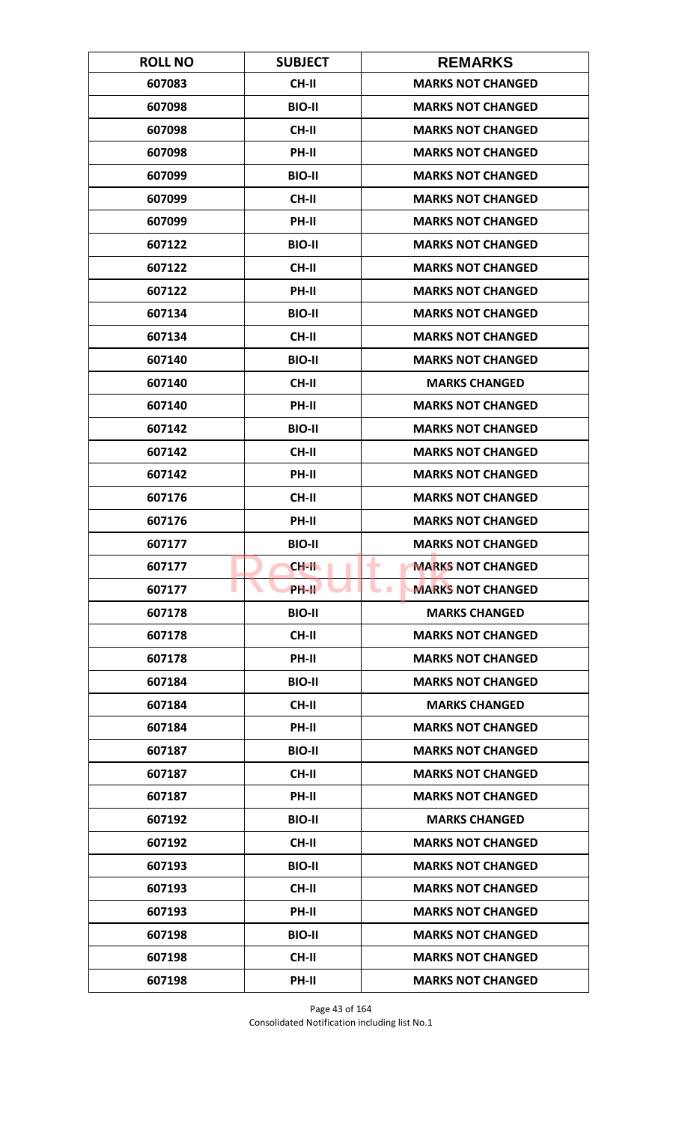| <b>ROLL NO</b> | <b>SUBJECT</b> | <b>REMARKS</b>                         |
|----------------|----------------|----------------------------------------|
| 607083         | <b>CH-II</b>   | <b>MARKS NOT CHANGED</b>               |
| 607098         | <b>BIO-II</b>  | <b>MARKS NOT CHANGED</b>               |
| 607098         | <b>CH-II</b>   | <b>MARKS NOT CHANGED</b>               |
| 607098         | PH-II          | <b>MARKS NOT CHANGED</b>               |
| 607099         | <b>BIO-II</b>  | <b>MARKS NOT CHANGED</b>               |
| 607099         | CH-II          | <b>MARKS NOT CHANGED</b>               |
| 607099         | PH-II          | <b>MARKS NOT CHANGED</b>               |
| 607122         | <b>BIO-II</b>  | <b>MARKS NOT CHANGED</b>               |
| 607122         | <b>CH-II</b>   | <b>MARKS NOT CHANGED</b>               |
| 607122         | PH-II          | <b>MARKS NOT CHANGED</b>               |
| 607134         | <b>BIO-II</b>  | <b>MARKS NOT CHANGED</b>               |
| 607134         | <b>CH-II</b>   | <b>MARKS NOT CHANGED</b>               |
| 607140         | <b>BIO-II</b>  | <b>MARKS NOT CHANGED</b>               |
| 607140         | <b>CH-II</b>   | <b>MARKS CHANGED</b>                   |
| 607140         | PH-II          | <b>MARKS NOT CHANGED</b>               |
| 607142         | <b>BIO-II</b>  | <b>MARKS NOT CHANGED</b>               |
| 607142         | <b>CH-II</b>   | <b>MARKS NOT CHANGED</b>               |
| 607142         | PH-II          | <b>MARKS NOT CHANGED</b>               |
| 607176         | <b>CH-II</b>   | <b>MARKS NOT CHANGED</b>               |
| 607176         | PH-II          | <b>MARKS NOT CHANGED</b>               |
| 607177         | <b>BIO-II</b>  | <b>MARKS NOT CHANGED</b>               |
| 607177         | CH-II          | ۰<br><b>MARKS NOT CHANGED</b>          |
| 607177         | PH-II          | <b>MARKS NOT CHANGED</b><br><b>COL</b> |
| 607178         | <b>BIO-II</b>  | <b>MARKS CHANGED</b>                   |
| 607178         | <b>CH-II</b>   | <b>MARKS NOT CHANGED</b>               |
| 607178         | PH-II          | <b>MARKS NOT CHANGED</b>               |
| 607184         | <b>BIO-II</b>  | <b>MARKS NOT CHANGED</b>               |
| 607184         | <b>CH-II</b>   | <b>MARKS CHANGED</b>                   |
| 607184         | PH-II          | <b>MARKS NOT CHANGED</b>               |
| 607187         | <b>BIO-II</b>  | <b>MARKS NOT CHANGED</b>               |
| 607187         | <b>CH-II</b>   | <b>MARKS NOT CHANGED</b>               |
| 607187         | PH-II          | <b>MARKS NOT CHANGED</b>               |
| 607192         | <b>BIO-II</b>  | <b>MARKS CHANGED</b>                   |
| 607192         | CH-II          | <b>MARKS NOT CHANGED</b>               |
| 607193         | <b>BIO-II</b>  | <b>MARKS NOT CHANGED</b>               |
| 607193         | CH-II          | <b>MARKS NOT CHANGED</b>               |
| 607193         | PH-II          | <b>MARKS NOT CHANGED</b>               |
| 607198         | <b>BIO-II</b>  | <b>MARKS NOT CHANGED</b>               |
| 607198         | <b>CH-II</b>   | <b>MARKS NOT CHANGED</b>               |
| 607198         | PH-II          | <b>MARKS NOT CHANGED</b>               |

Page 43 of 164 Consolidated Notification including list No.1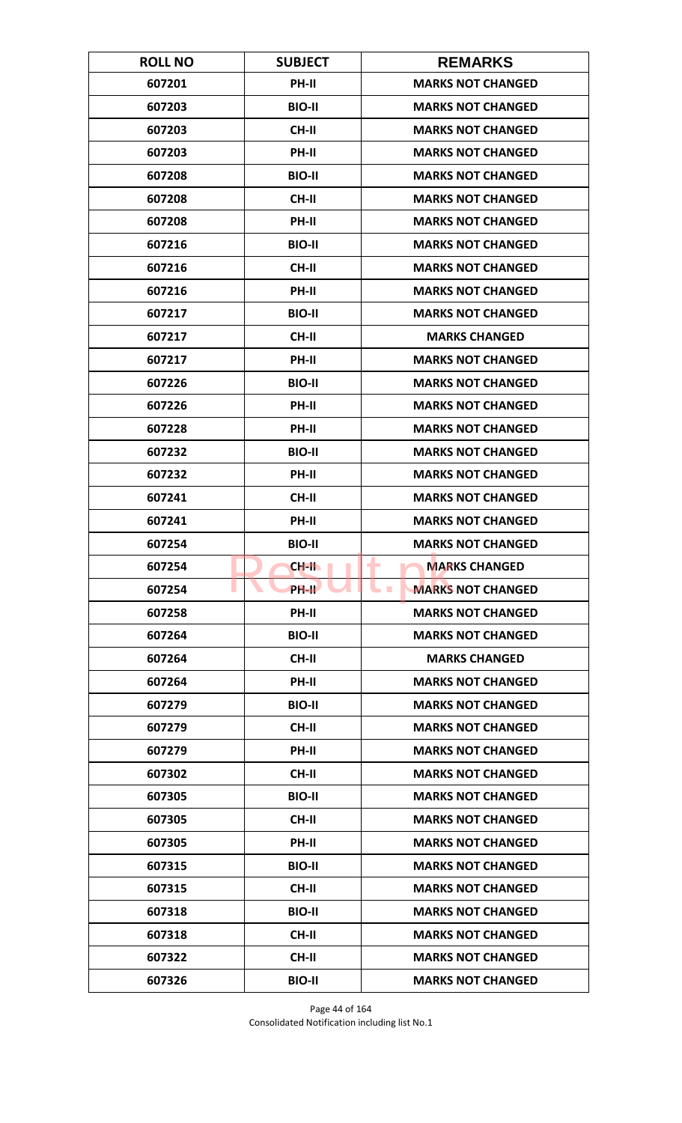| <b>ROLL NO</b> | <b>SUBJECT</b> | <b>REMARKS</b>                         |
|----------------|----------------|----------------------------------------|
| 607201         | PH-II          | <b>MARKS NOT CHANGED</b>               |
| 607203         | <b>BIO-II</b>  | <b>MARKS NOT CHANGED</b>               |
| 607203         | <b>CH-II</b>   | <b>MARKS NOT CHANGED</b>               |
| 607203         | PH-II          | <b>MARKS NOT CHANGED</b>               |
| 607208         | <b>BIO-II</b>  | <b>MARKS NOT CHANGED</b>               |
| 607208         | CH-II          | <b>MARKS NOT CHANGED</b>               |
| 607208         | PH-II          | <b>MARKS NOT CHANGED</b>               |
| 607216         | <b>BIO-II</b>  | <b>MARKS NOT CHANGED</b>               |
| 607216         | <b>CH-II</b>   | <b>MARKS NOT CHANGED</b>               |
| 607216         | PH-II          | <b>MARKS NOT CHANGED</b>               |
| 607217         | <b>BIO-II</b>  | <b>MARKS NOT CHANGED</b>               |
| 607217         | <b>CH-II</b>   | <b>MARKS CHANGED</b>                   |
| 607217         | PH-II          | <b>MARKS NOT CHANGED</b>               |
| 607226         | <b>BIO-II</b>  | <b>MARKS NOT CHANGED</b>               |
| 607226         | <b>PH-II</b>   | <b>MARKS NOT CHANGED</b>               |
| 607228         | PH-II          | <b>MARKS NOT CHANGED</b>               |
| 607232         | <b>BIO-II</b>  | <b>MARKS NOT CHANGED</b>               |
| 607232         | PH-II          | <b>MARKS NOT CHANGED</b>               |
| 607241         | <b>CH-II</b>   | <b>MARKS NOT CHANGED</b>               |
| 607241         | PH-II          | <b>MARKS NOT CHANGED</b>               |
| 607254         | <b>BIO-II</b>  | <b>MARKS NOT CHANGED</b>               |
| 607254         | $CH-H$         | ۰<br><b>MARKS CHANGED</b>              |
| 607254         | <b>PH-IL</b>   | <b>MARKS NOT CHANGED</b><br><b>COL</b> |
| 607258         | PH-II          | <b>MARKS NOT CHANGED</b>               |
| 607264         | <b>BIO-II</b>  | <b>MARKS NOT CHANGED</b>               |
| 607264         | CH-II          | <b>MARKS CHANGED</b>                   |
| 607264         | PH-II          | <b>MARKS NOT CHANGED</b>               |
| 607279         | <b>BIO-II</b>  | <b>MARKS NOT CHANGED</b>               |
| 607279         | <b>CH-II</b>   | <b>MARKS NOT CHANGED</b>               |
| 607279         | <b>PH-II</b>   | <b>MARKS NOT CHANGED</b>               |
| 607302         | <b>CH-II</b>   | <b>MARKS NOT CHANGED</b>               |
| 607305         | <b>BIO-II</b>  | <b>MARKS NOT CHANGED</b>               |
| 607305         | CH-II          | <b>MARKS NOT CHANGED</b>               |
| 607305         | PH-II          | <b>MARKS NOT CHANGED</b>               |
| 607315         | <b>BIO-II</b>  | <b>MARKS NOT CHANGED</b>               |
| 607315         | CH-II          | <b>MARKS NOT CHANGED</b>               |
| 607318         | <b>BIO-II</b>  | <b>MARKS NOT CHANGED</b>               |
| 607318         | CH-II          | <b>MARKS NOT CHANGED</b>               |
| 607322         | <b>CH-II</b>   | <b>MARKS NOT CHANGED</b>               |
| 607326         | <b>BIO-II</b>  | <b>MARKS NOT CHANGED</b>               |

Page 44 of 164 Consolidated Notification including list No.1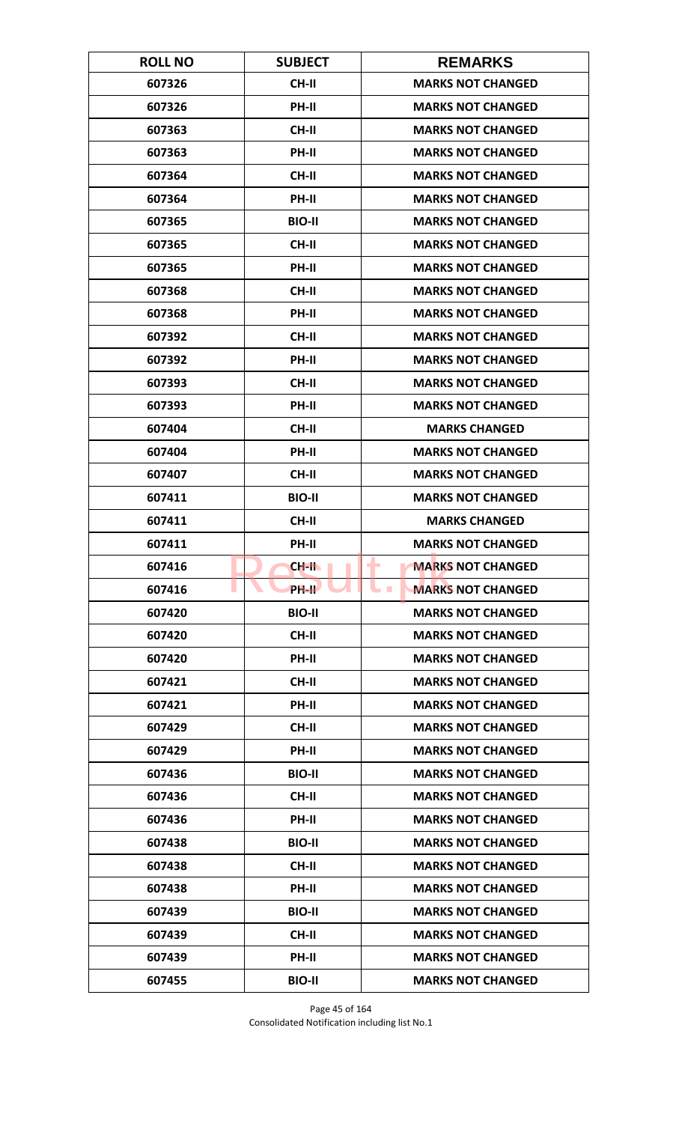| <b>ROLL NO</b> | <b>SUBJECT</b>     | <b>REMARKS</b>                              |
|----------------|--------------------|---------------------------------------------|
| 607326         | CH-II              | <b>MARKS NOT CHANGED</b>                    |
| 607326         | PH-II              | <b>MARKS NOT CHANGED</b>                    |
| 607363         | <b>CH-II</b>       | <b>MARKS NOT CHANGED</b>                    |
| 607363         | PH-II              | <b>MARKS NOT CHANGED</b>                    |
| 607364         | <b>CH-II</b>       | <b>MARKS NOT CHANGED</b>                    |
| 607364         | PH-II              | <b>MARKS NOT CHANGED</b>                    |
| 607365         | <b>BIO-II</b>      | <b>MARKS NOT CHANGED</b>                    |
| 607365         | CH-II              | <b>MARKS NOT CHANGED</b>                    |
| 607365         | PH-II              | <b>MARKS NOT CHANGED</b>                    |
| 607368         | <b>CH-II</b>       | <b>MARKS NOT CHANGED</b>                    |
| 607368         | PH-II              | <b>MARKS NOT CHANGED</b>                    |
| 607392         | <b>CH-II</b>       | <b>MARKS NOT CHANGED</b>                    |
| 607392         | PH-II              | <b>MARKS NOT CHANGED</b>                    |
| 607393         | <b>CH-II</b>       | <b>MARKS NOT CHANGED</b>                    |
| 607393         | <b>PH-II</b>       | <b>MARKS NOT CHANGED</b>                    |
| 607404         | <b>CH-II</b>       | <b>MARKS CHANGED</b>                        |
| 607404         | PH-II              | <b>MARKS NOT CHANGED</b>                    |
| 607407         | <b>CH-II</b>       | <b>MARKS NOT CHANGED</b>                    |
| 607411         | <b>BIO-II</b>      | <b>MARKS NOT CHANGED</b>                    |
| 607411         | <b>CH-II</b>       | <b>MARKS CHANGED</b>                        |
| 607411         | PH-II              | <b>MARKS NOT CHANGED</b>                    |
| 607416         | CH-II              | ۰<br><b>MARKS NOT CHANGED</b>               |
| 607416         | PH-II <sup>T</sup> | <b>MARKS NOT CHANGED</b><br><b>Contract</b> |
| 607420         | <b>BIO-II</b>      | <b>MARKS NOT CHANGED</b>                    |
| 607420         | CH-II              | <b>MARKS NOT CHANGED</b>                    |
| 607420         | PH-II              | <b>MARKS NOT CHANGED</b>                    |
| 607421         | <b>CH-II</b>       | <b>MARKS NOT CHANGED</b>                    |
| 607421         | PH-II              | <b>MARKS NOT CHANGED</b>                    |
| 607429         | <b>CH-II</b>       | <b>MARKS NOT CHANGED</b>                    |
| 607429         | <b>PH-II</b>       | <b>MARKS NOT CHANGED</b>                    |
| 607436         | <b>BIO-II</b>      | <b>MARKS NOT CHANGED</b>                    |
| 607436         | CH-II              | <b>MARKS NOT CHANGED</b>                    |
| 607436         | PH-II              | <b>MARKS NOT CHANGED</b>                    |
| 607438         | <b>BIO-II</b>      | <b>MARKS NOT CHANGED</b>                    |
| 607438         | CH-II              | <b>MARKS NOT CHANGED</b>                    |
| 607438         | PH-II              | <b>MARKS NOT CHANGED</b>                    |
| 607439         | <b>BIO-II</b>      | <b>MARKS NOT CHANGED</b>                    |
| 607439         | <b>CH-II</b>       | <b>MARKS NOT CHANGED</b>                    |
| 607439         | <b>PH-II</b>       | <b>MARKS NOT CHANGED</b>                    |
| 607455         | <b>BIO-II</b>      | <b>MARKS NOT CHANGED</b>                    |

Page 45 of 164 Consolidated Notification including list No.1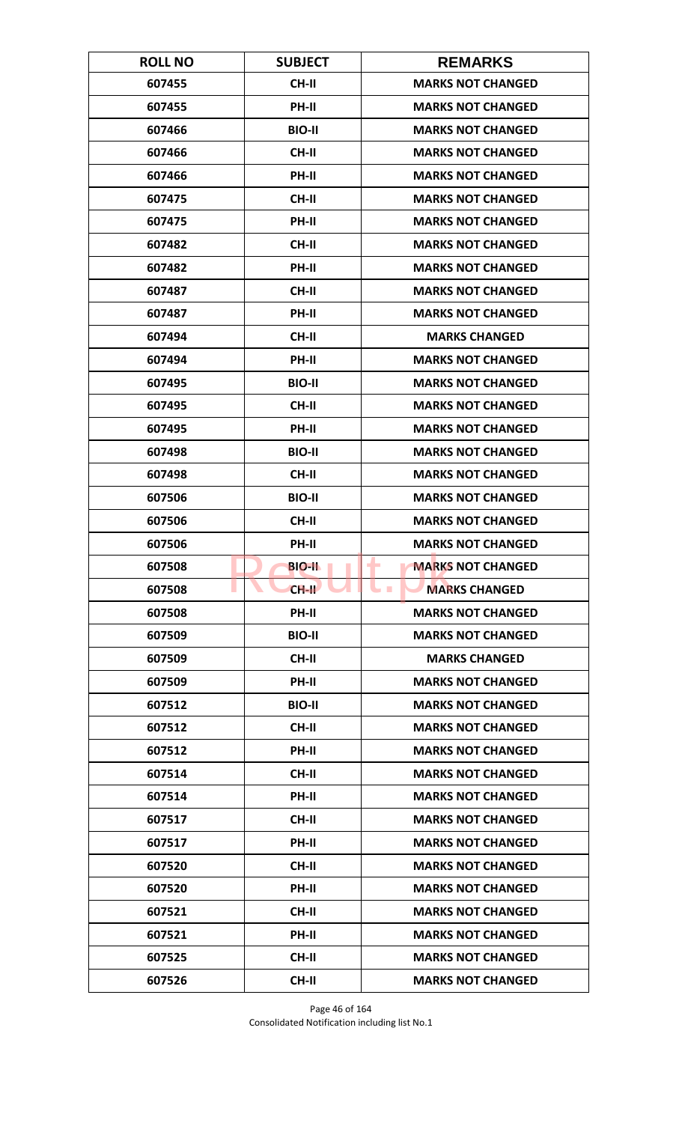| <b>ROLL NO</b> | <b>SUBJECT</b> | <b>REMARKS</b>                     |
|----------------|----------------|------------------------------------|
| 607455         | CH-II          | <b>MARKS NOT CHANGED</b>           |
| 607455         | PH-II          | <b>MARKS NOT CHANGED</b>           |
| 607466         | <b>BIO-II</b>  | <b>MARKS NOT CHANGED</b>           |
| 607466         | <b>CH-II</b>   | <b>MARKS NOT CHANGED</b>           |
| 607466         | PH-II          | <b>MARKS NOT CHANGED</b>           |
| 607475         | CH-II          | <b>MARKS NOT CHANGED</b>           |
| 607475         | <b>PH-II</b>   | <b>MARKS NOT CHANGED</b>           |
| 607482         | CH-II          | <b>MARKS NOT CHANGED</b>           |
| 607482         | PH-II          | <b>MARKS NOT CHANGED</b>           |
| 607487         | <b>CH-II</b>   | <b>MARKS NOT CHANGED</b>           |
| 607487         | PH-II          | <b>MARKS NOT CHANGED</b>           |
| 607494         | <b>CH-II</b>   | <b>MARKS CHANGED</b>               |
| 607494         | PH-II          | <b>MARKS NOT CHANGED</b>           |
| 607495         | <b>BIO-II</b>  | <b>MARKS NOT CHANGED</b>           |
| 607495         | CH-II          | <b>MARKS NOT CHANGED</b>           |
| 607495         | PH-II          | <b>MARKS NOT CHANGED</b>           |
| 607498         | <b>BIO-II</b>  | <b>MARKS NOT CHANGED</b>           |
| 607498         | <b>CH-II</b>   | <b>MARKS NOT CHANGED</b>           |
| 607506         | <b>BIO-II</b>  | <b>MARKS NOT CHANGED</b>           |
| 607506         | <b>CH-II</b>   | <b>MARKS NOT CHANGED</b>           |
| 607506         | PH-II          | <b>MARKS NOT CHANGED</b>           |
| 607508         | <b>BIO-II</b>  | <b>MARKS NOT CHANGED</b><br>۰      |
| 607508         | $CH-H$         | <b>MARKS CHANGED</b><br><b>COL</b> |
| 607508         | <b>PH-II</b>   | <b>MARKS NOT CHANGED</b>           |
| 607509         | <b>BIO-II</b>  | <b>MARKS NOT CHANGED</b>           |
| 607509         | CH-II          | <b>MARKS CHANGED</b>               |
| 607509         | PH-II          | <b>MARKS NOT CHANGED</b>           |
| 607512         | <b>BIO-II</b>  | <b>MARKS NOT CHANGED</b>           |
| 607512         | <b>CH-II</b>   | <b>MARKS NOT CHANGED</b>           |
| 607512         | <b>PH-II</b>   | <b>MARKS NOT CHANGED</b>           |
| 607514         | <b>CH-II</b>   | <b>MARKS NOT CHANGED</b>           |
| 607514         | PH-II          | <b>MARKS NOT CHANGED</b>           |
| 607517         | <b>CH-II</b>   | <b>MARKS NOT CHANGED</b>           |
| 607517         | <b>PH-II</b>   | <b>MARKS NOT CHANGED</b>           |
| 607520         | <b>CH-II</b>   | <b>MARKS NOT CHANGED</b>           |
| 607520         | PH-II          | <b>MARKS NOT CHANGED</b>           |
| 607521         | CH-II          | <b>MARKS NOT CHANGED</b>           |
| 607521         | PH-II          | <b>MARKS NOT CHANGED</b>           |
| 607525         | <b>CH-II</b>   | <b>MARKS NOT CHANGED</b>           |
| 607526         | <b>CH-II</b>   | <b>MARKS NOT CHANGED</b>           |

Page 46 of 164 Consolidated Notification including list No.1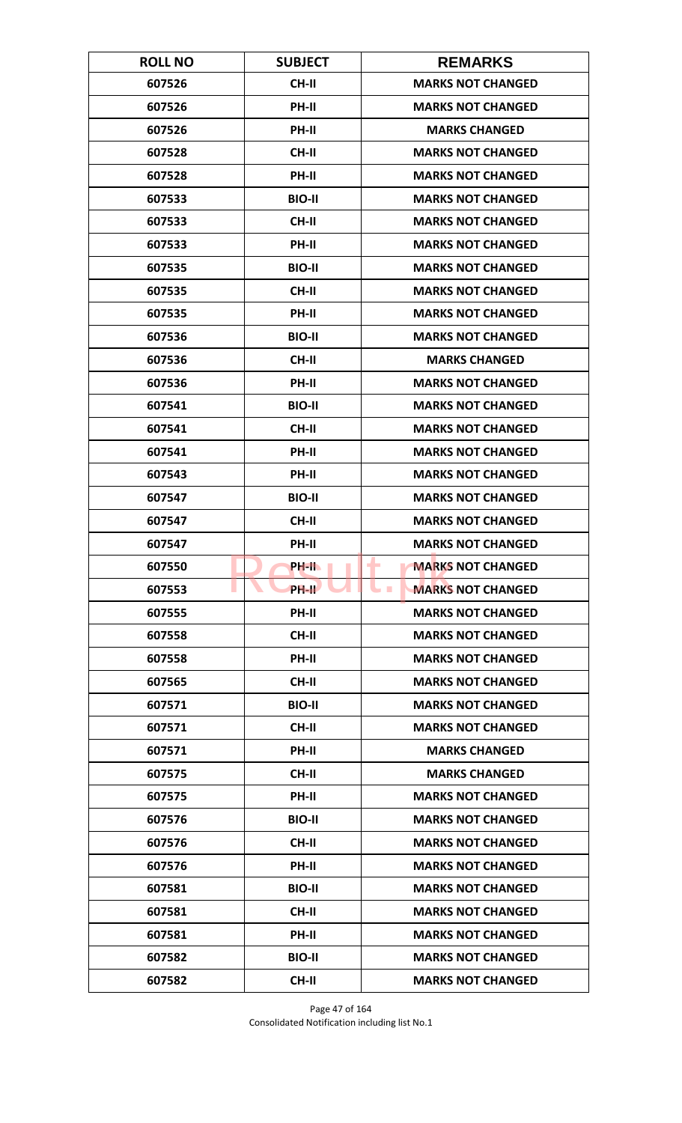| <b>ROLL NO</b> | <b>SUBJECT</b> | <b>REMARKS</b>                              |
|----------------|----------------|---------------------------------------------|
| 607526         | <b>CH-II</b>   | <b>MARKS NOT CHANGED</b>                    |
| 607526         | PH-II          | <b>MARKS NOT CHANGED</b>                    |
| 607526         | PH-II          | <b>MARKS CHANGED</b>                        |
| 607528         | <b>CH-II</b>   | <b>MARKS NOT CHANGED</b>                    |
| 607528         | PH-II          | <b>MARKS NOT CHANGED</b>                    |
| 607533         | <b>BIO-II</b>  | <b>MARKS NOT CHANGED</b>                    |
| 607533         | CH-II          | <b>MARKS NOT CHANGED</b>                    |
| 607533         | PH-II          | <b>MARKS NOT CHANGED</b>                    |
| 607535         | <b>BIO-II</b>  | <b>MARKS NOT CHANGED</b>                    |
| 607535         | CH-II          | <b>MARKS NOT CHANGED</b>                    |
| 607535         | PH-II          | <b>MARKS NOT CHANGED</b>                    |
| 607536         | <b>BIO-II</b>  | <b>MARKS NOT CHANGED</b>                    |
| 607536         | <b>CH-II</b>   | <b>MARKS CHANGED</b>                        |
| 607536         | PH-II          | <b>MARKS NOT CHANGED</b>                    |
| 607541         | <b>BIO-II</b>  | <b>MARKS NOT CHANGED</b>                    |
| 607541         | <b>CH-II</b>   | <b>MARKS NOT CHANGED</b>                    |
| 607541         | PH-II          | <b>MARKS NOT CHANGED</b>                    |
| 607543         | PH-II          | <b>MARKS NOT CHANGED</b>                    |
| 607547         | <b>BIO-II</b>  | <b>MARKS NOT CHANGED</b>                    |
| 607547         | <b>CH-II</b>   | <b>MARKS NOT CHANGED</b>                    |
| 607547         | PH-II          | <b>MARKS NOT CHANGED</b>                    |
| 607550         | PH-II          | <b>MARKS NOT CHANGED</b><br>-               |
| 607553         | <b>PH-IL</b>   | <b>MARKS NOT CHANGED</b><br><b>Contract</b> |
| 607555         | PH-II          | <b>MARKS NOT CHANGED</b>                    |
| 607558         | <b>CH-II</b>   | <b>MARKS NOT CHANGED</b>                    |
| 607558         | PH-II          | <b>MARKS NOT CHANGED</b>                    |
| 607565         | <b>CH-II</b>   | <b>MARKS NOT CHANGED</b>                    |
| 607571         | <b>BIO-II</b>  | <b>MARKS NOT CHANGED</b>                    |
| 607571         | <b>CH-II</b>   | <b>MARKS NOT CHANGED</b>                    |
| 607571         | <b>PH-II</b>   | <b>MARKS CHANGED</b>                        |
| 607575         | <b>CH-II</b>   | <b>MARKS CHANGED</b>                        |
| 607575         | PH-II          | <b>MARKS NOT CHANGED</b>                    |
| 607576         | <b>BIO-II</b>  | <b>MARKS NOT CHANGED</b>                    |
| 607576         | <b>CH-II</b>   | <b>MARKS NOT CHANGED</b>                    |
| 607576         | PH-II          | <b>MARKS NOT CHANGED</b>                    |
| 607581         | <b>BIO-II</b>  | <b>MARKS NOT CHANGED</b>                    |
| 607581         | CH-II          | <b>MARKS NOT CHANGED</b>                    |
| 607581         | PH-II          | <b>MARKS NOT CHANGED</b>                    |
| 607582         | <b>BIO-II</b>  | <b>MARKS NOT CHANGED</b>                    |
| 607582         | <b>CH-II</b>   | <b>MARKS NOT CHANGED</b>                    |

Page 47 of 164 Consolidated Notification including list No.1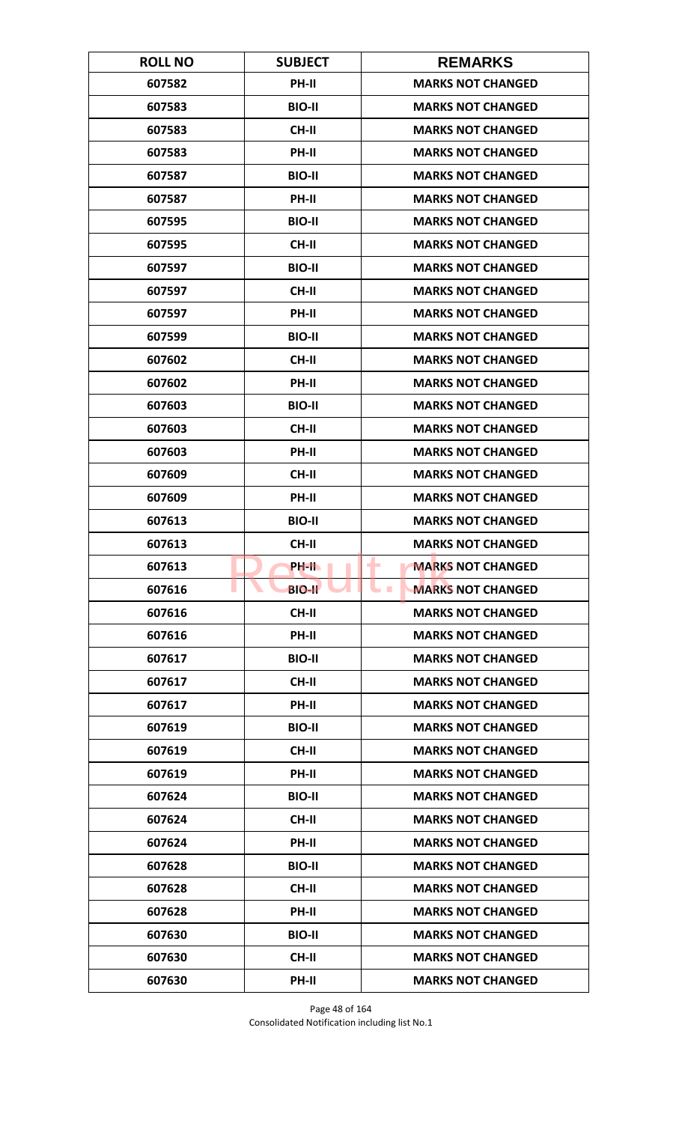| <b>ROLL NO</b> | <b>SUBJECT</b> | <b>REMARKS</b>                              |
|----------------|----------------|---------------------------------------------|
| 607582         | <b>PH-II</b>   | <b>MARKS NOT CHANGED</b>                    |
| 607583         | <b>BIO-II</b>  | <b>MARKS NOT CHANGED</b>                    |
| 607583         | CH-II          | <b>MARKS NOT CHANGED</b>                    |
| 607583         | PH-II          | <b>MARKS NOT CHANGED</b>                    |
| 607587         | <b>BIO-II</b>  | <b>MARKS NOT CHANGED</b>                    |
| 607587         | PH-II          | <b>MARKS NOT CHANGED</b>                    |
| 607595         | <b>BIO-II</b>  | <b>MARKS NOT CHANGED</b>                    |
| 607595         | <b>CH-II</b>   | <b>MARKS NOT CHANGED</b>                    |
| 607597         | <b>BIO-II</b>  | <b>MARKS NOT CHANGED</b>                    |
| 607597         | CH-II          | <b>MARKS NOT CHANGED</b>                    |
| 607597         | PH-II          | <b>MARKS NOT CHANGED</b>                    |
| 607599         | <b>BIO-II</b>  | <b>MARKS NOT CHANGED</b>                    |
| 607602         | <b>CH-II</b>   | <b>MARKS NOT CHANGED</b>                    |
| 607602         | PH-II          | <b>MARKS NOT CHANGED</b>                    |
| 607603         | <b>BIO-II</b>  | <b>MARKS NOT CHANGED</b>                    |
| 607603         | <b>CH-II</b>   | <b>MARKS NOT CHANGED</b>                    |
| 607603         | PH-II          | <b>MARKS NOT CHANGED</b>                    |
| 607609         | <b>CH-II</b>   | <b>MARKS NOT CHANGED</b>                    |
| 607609         | PH-II          | <b>MARKS NOT CHANGED</b>                    |
| 607613         | <b>BIO-II</b>  | <b>MARKS NOT CHANGED</b>                    |
| 607613         | <b>CH-II</b>   | <b>MARKS NOT CHANGED</b>                    |
| 607613         | PH-II          | <b>MARKS NOT CHANGED</b><br>-               |
| 607616         | <b>BIO-II</b>  | <b>MARKS NOT CHANGED</b><br><b>Contract</b> |
| 607616         | <b>CH-II</b>   | <b>MARKS NOT CHANGED</b>                    |
| 607616         | PH-II          | <b>MARKS NOT CHANGED</b>                    |
| 607617         | <b>BIO-II</b>  | <b>MARKS NOT CHANGED</b>                    |
| 607617         | <b>CH-II</b>   | <b>MARKS NOT CHANGED</b>                    |
| 607617         | PH-II          | <b>MARKS NOT CHANGED</b>                    |
| 607619         | <b>BIO-II</b>  | <b>MARKS NOT CHANGED</b>                    |
| 607619         | CH-II          | <b>MARKS NOT CHANGED</b>                    |
| 607619         | <b>PH-II</b>   | <b>MARKS NOT CHANGED</b>                    |
| 607624         | <b>BIO-II</b>  | <b>MARKS NOT CHANGED</b>                    |
| 607624         | CH-II          | <b>MARKS NOT CHANGED</b>                    |
| 607624         | PH-II          | <b>MARKS NOT CHANGED</b>                    |
| 607628         | <b>BIO-II</b>  | <b>MARKS NOT CHANGED</b>                    |
| 607628         | CH-II          | <b>MARKS NOT CHANGED</b>                    |
| 607628         | PH-II          | <b>MARKS NOT CHANGED</b>                    |
| 607630         | <b>BIO-II</b>  | <b>MARKS NOT CHANGED</b>                    |
| 607630         | <b>CH-II</b>   | <b>MARKS NOT CHANGED</b>                    |
| 607630         | PH-II          | <b>MARKS NOT CHANGED</b>                    |

Page 48 of 164 Consolidated Notification including list No.1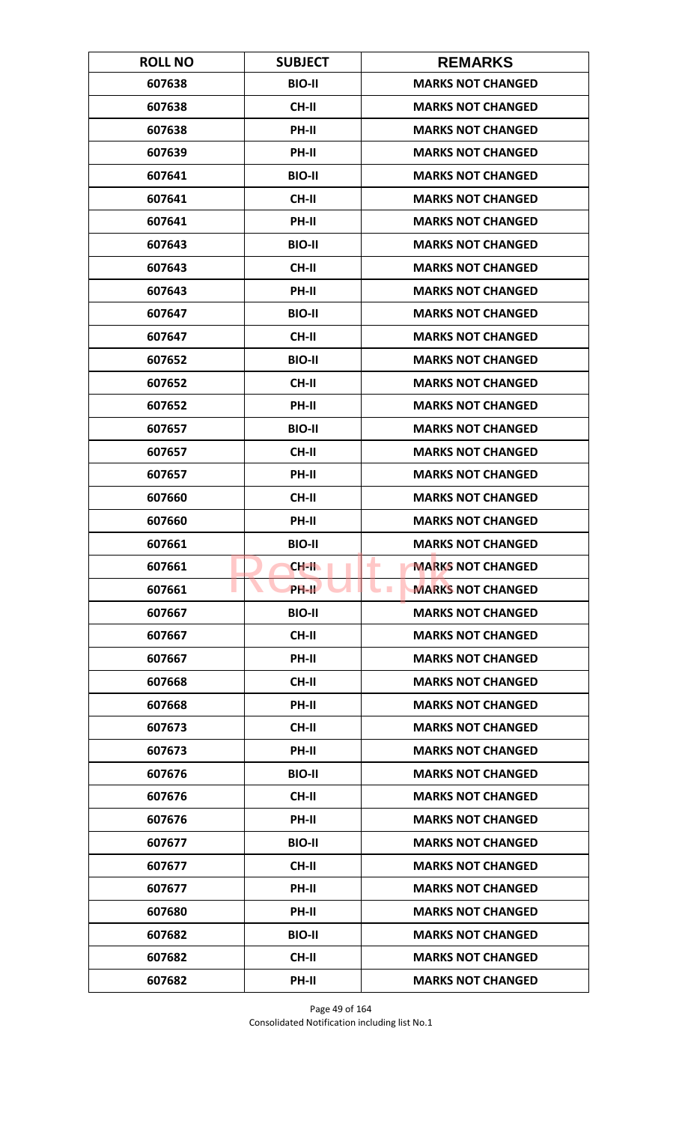| <b>ROLL NO</b> | <b>SUBJECT</b> | <b>REMARKS</b>                       |
|----------------|----------------|--------------------------------------|
| 607638         | <b>BIO-II</b>  | <b>MARKS NOT CHANGED</b>             |
| 607638         | <b>CH-II</b>   | <b>MARKS NOT CHANGED</b>             |
| 607638         | PH-II          | <b>MARKS NOT CHANGED</b>             |
| 607639         | PH-II          | <b>MARKS NOT CHANGED</b>             |
| 607641         | <b>BIO-II</b>  | <b>MARKS NOT CHANGED</b>             |
| 607641         | <b>CH-II</b>   | <b>MARKS NOT CHANGED</b>             |
| 607641         | <b>PH-II</b>   | <b>MARKS NOT CHANGED</b>             |
| 607643         | <b>BIO-II</b>  | <b>MARKS NOT CHANGED</b>             |
| 607643         | <b>CH-II</b>   | <b>MARKS NOT CHANGED</b>             |
| 607643         | PH-II          | <b>MARKS NOT CHANGED</b>             |
| 607647         | <b>BIO-II</b>  | <b>MARKS NOT CHANGED</b>             |
| 607647         | <b>CH-II</b>   | <b>MARKS NOT CHANGED</b>             |
| 607652         | <b>BIO-II</b>  | <b>MARKS NOT CHANGED</b>             |
| 607652         | <b>CH-II</b>   | <b>MARKS NOT CHANGED</b>             |
| 607652         | <b>PH-II</b>   | <b>MARKS NOT CHANGED</b>             |
| 607657         | <b>BIO-II</b>  | <b>MARKS NOT CHANGED</b>             |
| 607657         | <b>CH-II</b>   | <b>MARKS NOT CHANGED</b>             |
| 607657         | PH-II          | <b>MARKS NOT CHANGED</b>             |
| 607660         | <b>CH-II</b>   | <b>MARKS NOT CHANGED</b>             |
| 607660         | PH-II          | <b>MARKS NOT CHANGED</b>             |
| 607661         | <b>BIO-II</b>  | <b>MARKS NOT CHANGED</b>             |
| 607661         | CH-II          | ۰<br><b>MARKS NOT CHANGED</b>        |
| 607661         | PH-II          | <b>MARKS NOT CHANGED</b><br><b>I</b> |
| 607667         | <b>BIO-II</b>  | <b>MARKS NOT CHANGED</b>             |
| 607667         | <b>CH-II</b>   | <b>MARKS NOT CHANGED</b>             |
| 607667         | PH-II          | <b>MARKS NOT CHANGED</b>             |
| 607668         | <b>CH-II</b>   | <b>MARKS NOT CHANGED</b>             |
| 607668         | PH-II          | <b>MARKS NOT CHANGED</b>             |
| 607673         | <b>CH-II</b>   | <b>MARKS NOT CHANGED</b>             |
| 607673         | <b>PH-II</b>   | <b>MARKS NOT CHANGED</b>             |
| 607676         | <b>BIO-II</b>  | <b>MARKS NOT CHANGED</b>             |
| 607676         | CH-II          | <b>MARKS NOT CHANGED</b>             |
| 607676         | PH-II          | <b>MARKS NOT CHANGED</b>             |
| 607677         | <b>BIO-II</b>  | <b>MARKS NOT CHANGED</b>             |
| 607677         | <b>CH-II</b>   | <b>MARKS NOT CHANGED</b>             |
| 607677         | PH-II          | <b>MARKS NOT CHANGED</b>             |
| 607680         | PH-II          | <b>MARKS NOT CHANGED</b>             |
| 607682         | <b>BIO-II</b>  | <b>MARKS NOT CHANGED</b>             |
| 607682         | CH-II          | <b>MARKS NOT CHANGED</b>             |
| 607682         | PH-II          | <b>MARKS NOT CHANGED</b>             |

Page 49 of 164 Consolidated Notification including list No.1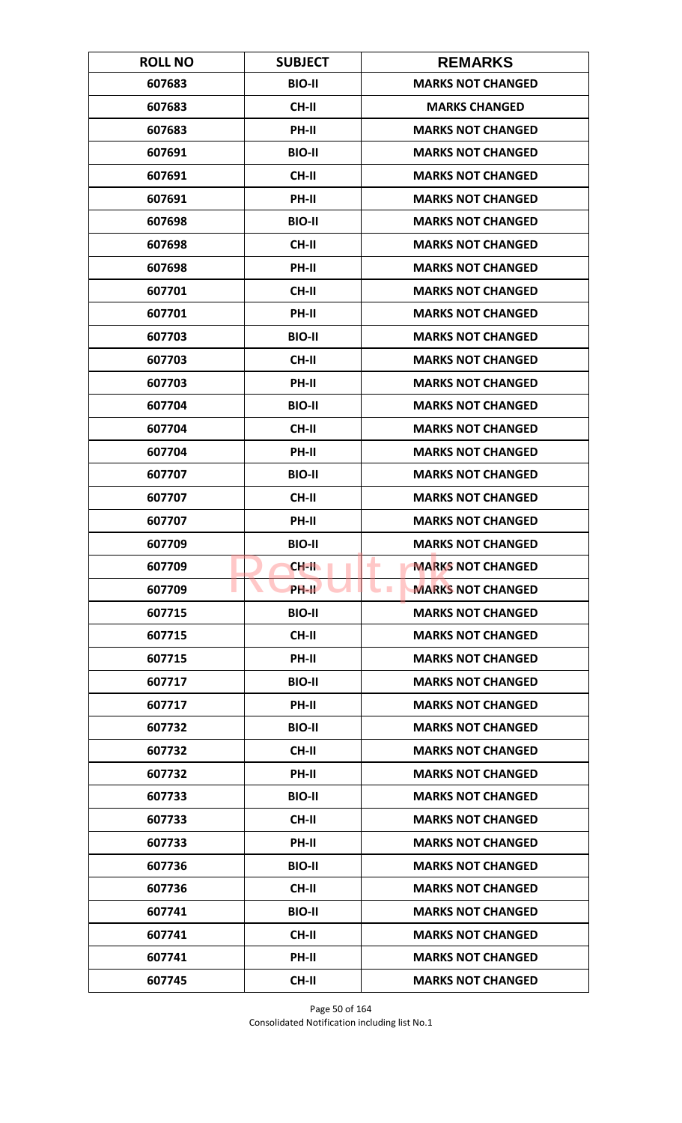| <b>ROLL NO</b> | <b>SUBJECT</b>     | <b>REMARKS</b>                              |
|----------------|--------------------|---------------------------------------------|
| 607683         | <b>BIO-II</b>      | <b>MARKS NOT CHANGED</b>                    |
| 607683         | <b>CH-II</b>       | <b>MARKS CHANGED</b>                        |
| 607683         | PH-II              | <b>MARKS NOT CHANGED</b>                    |
| 607691         | <b>BIO-II</b>      | <b>MARKS NOT CHANGED</b>                    |
| 607691         | <b>CH-II</b>       | <b>MARKS NOT CHANGED</b>                    |
| 607691         | PH-II              | <b>MARKS NOT CHANGED</b>                    |
| 607698         | <b>BIO-II</b>      | <b>MARKS NOT CHANGED</b>                    |
| 607698         | <b>CH-II</b>       | <b>MARKS NOT CHANGED</b>                    |
| 607698         | PH-II              | <b>MARKS NOT CHANGED</b>                    |
| 607701         | <b>CH-II</b>       | <b>MARKS NOT CHANGED</b>                    |
| 607701         | PH-II              | <b>MARKS NOT CHANGED</b>                    |
| 607703         | <b>BIO-II</b>      | <b>MARKS NOT CHANGED</b>                    |
| 607703         | <b>CH-II</b>       | <b>MARKS NOT CHANGED</b>                    |
| 607703         | PH-II              | <b>MARKS NOT CHANGED</b>                    |
| 607704         | <b>BIO-II</b>      | <b>MARKS NOT CHANGED</b>                    |
| 607704         | <b>CH-II</b>       | <b>MARKS NOT CHANGED</b>                    |
| 607704         | PH-II              | <b>MARKS NOT CHANGED</b>                    |
| 607707         | <b>BIO-II</b>      | <b>MARKS NOT CHANGED</b>                    |
| 607707         | <b>CH-II</b>       | <b>MARKS NOT CHANGED</b>                    |
| 607707         | PH-II              | <b>MARKS NOT CHANGED</b>                    |
| 607709         | <b>BIO-II</b>      | <b>MARKS NOT CHANGED</b>                    |
| 607709         | CH-II              | ۰<br><b>MARKS NOT CHANGED</b>               |
| 607709         | PH-II <sup>T</sup> | <b>MARKS NOT CHANGED</b><br><b>Contract</b> |
| 607715         | <b>BIO-II</b>      | <b>MARKS NOT CHANGED</b>                    |
| 607715         | <b>CH-II</b>       | <b>MARKS NOT CHANGED</b>                    |
| 607715         | PH-II              | <b>MARKS NOT CHANGED</b>                    |
| 607717         | <b>BIO-II</b>      | <b>MARKS NOT CHANGED</b>                    |
| 607717         | <b>PH-II</b>       | <b>MARKS NOT CHANGED</b>                    |
| 607732         | <b>BIO-II</b>      | <b>MARKS NOT CHANGED</b>                    |
| 607732         | <b>CH-II</b>       | <b>MARKS NOT CHANGED</b>                    |
| 607732         | PH-II              | <b>MARKS NOT CHANGED</b>                    |
| 607733         | <b>BIO-II</b>      | <b>MARKS NOT CHANGED</b>                    |
| 607733         | CH-II              | <b>MARKS NOT CHANGED</b>                    |
| 607733         | PH-II              | <b>MARKS NOT CHANGED</b>                    |
| 607736         | <b>BIO-II</b>      | <b>MARKS NOT CHANGED</b>                    |
| 607736         | CH-II              | <b>MARKS NOT CHANGED</b>                    |
| 607741         | <b>BIO-II</b>      | <b>MARKS NOT CHANGED</b>                    |
| 607741         | <b>CH-II</b>       | <b>MARKS NOT CHANGED</b>                    |
| 607741         | <b>PH-II</b>       | <b>MARKS NOT CHANGED</b>                    |
| 607745         | <b>CH-II</b>       | <b>MARKS NOT CHANGED</b>                    |

Page 50 of 164 Consolidated Notification including list No.1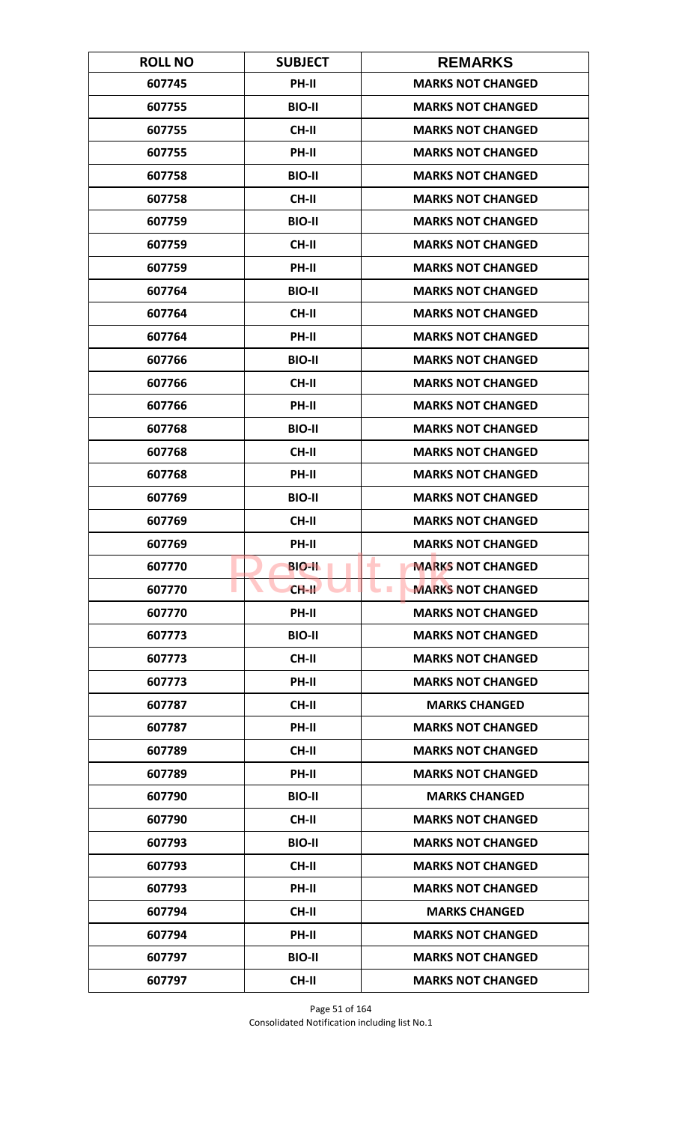| <b>ROLL NO</b> | <b>SUBJECT</b> | <b>REMARKS</b>                               |
|----------------|----------------|----------------------------------------------|
| 607745         | PH-II          | <b>MARKS NOT CHANGED</b>                     |
| 607755         | <b>BIO-II</b>  | <b>MARKS NOT CHANGED</b>                     |
| 607755         | <b>CH-II</b>   | <b>MARKS NOT CHANGED</b>                     |
| 607755         | PH-II          | <b>MARKS NOT CHANGED</b>                     |
| 607758         | <b>BIO-II</b>  | <b>MARKS NOT CHANGED</b>                     |
| 607758         | <b>CH-II</b>   | <b>MARKS NOT CHANGED</b>                     |
| 607759         | <b>BIO-II</b>  | <b>MARKS NOT CHANGED</b>                     |
| 607759         | <b>CH-II</b>   | <b>MARKS NOT CHANGED</b>                     |
| 607759         | PH-II          | <b>MARKS NOT CHANGED</b>                     |
| 607764         | <b>BIO-II</b>  | <b>MARKS NOT CHANGED</b>                     |
| 607764         | <b>CH-II</b>   | <b>MARKS NOT CHANGED</b>                     |
| 607764         | <b>PH-II</b>   | <b>MARKS NOT CHANGED</b>                     |
| 607766         | <b>BIO-II</b>  | <b>MARKS NOT CHANGED</b>                     |
| 607766         | <b>CH-II</b>   | <b>MARKS NOT CHANGED</b>                     |
| 607766         | <b>PH-II</b>   | <b>MARKS NOT CHANGED</b>                     |
| 607768         | <b>BIO-II</b>  | <b>MARKS NOT CHANGED</b>                     |
| 607768         | CH-II          | <b>MARKS NOT CHANGED</b>                     |
| 607768         | PH-II          | <b>MARKS NOT CHANGED</b>                     |
| 607769         | <b>BIO-II</b>  | <b>MARKS NOT CHANGED</b>                     |
| 607769         | <b>CH-II</b>   | <b>MARKS NOT CHANGED</b>                     |
| 607769         | PH-II          | <b>MARKS NOT CHANGED</b>                     |
| 607770         | <b>BIO-II</b>  | <b>MARKS NOT CHANGED</b><br>۰                |
| 607770         | $CH-H$         | <b>MARKS NOT CHANGED</b><br><b>The State</b> |
| 607770         | PH-II          | <b>MARKS NOT CHANGED</b>                     |
| 607773         | <b>BIO-II</b>  | <b>MARKS NOT CHANGED</b>                     |
| 607773         | CH-II          | <b>MARKS NOT CHANGED</b>                     |
| 607773         | PH-II          | <b>MARKS NOT CHANGED</b>                     |
| 607787         | CH-II          | <b>MARKS CHANGED</b>                         |
| 607787         | PH-II          | <b>MARKS NOT CHANGED</b>                     |
| 607789         | CH-II          | <b>MARKS NOT CHANGED</b>                     |
| 607789         | PH-II          | <b>MARKS NOT CHANGED</b>                     |
| 607790         | <b>BIO-II</b>  | <b>MARKS CHANGED</b>                         |
| 607790         | CH-II          | <b>MARKS NOT CHANGED</b>                     |
| 607793         | <b>BIO-II</b>  | <b>MARKS NOT CHANGED</b>                     |
| 607793         | CH-II          | <b>MARKS NOT CHANGED</b>                     |
| 607793         | PH-II          | <b>MARKS NOT CHANGED</b>                     |
| 607794         | CH-II          | <b>MARKS CHANGED</b>                         |
| 607794         | <b>PH-II</b>   | <b>MARKS NOT CHANGED</b>                     |
| 607797         | <b>BIO-II</b>  | <b>MARKS NOT CHANGED</b>                     |
| 607797         | <b>CH-II</b>   | <b>MARKS NOT CHANGED</b>                     |

Page 51 of 164 Consolidated Notification including list No.1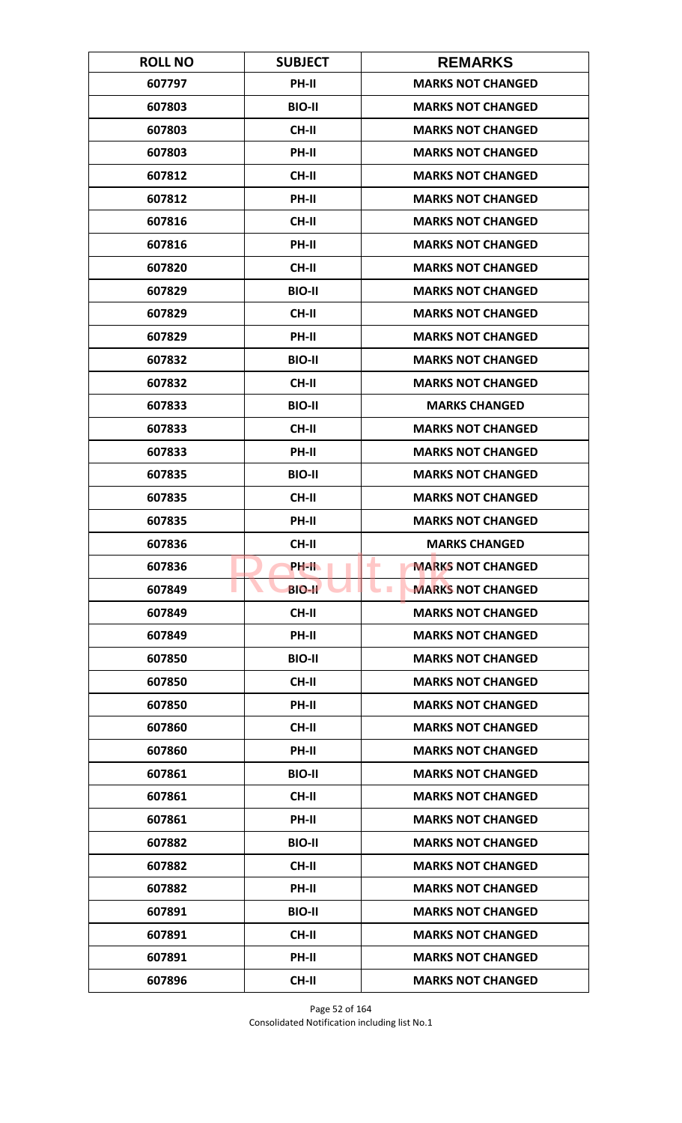| <b>ROLL NO</b> | <b>SUBJECT</b> | <b>REMARKS</b>                              |
|----------------|----------------|---------------------------------------------|
| 607797         | PH-II          | <b>MARKS NOT CHANGED</b>                    |
| 607803         | <b>BIO-II</b>  | <b>MARKS NOT CHANGED</b>                    |
| 607803         | CH-II          | <b>MARKS NOT CHANGED</b>                    |
| 607803         | PH-II          | <b>MARKS NOT CHANGED</b>                    |
| 607812         | <b>CH-II</b>   | <b>MARKS NOT CHANGED</b>                    |
| 607812         | PH-II          | <b>MARKS NOT CHANGED</b>                    |
| 607816         | <b>CH-II</b>   | <b>MARKS NOT CHANGED</b>                    |
| 607816         | <b>PH-II</b>   | <b>MARKS NOT CHANGED</b>                    |
| 607820         | <b>CH-II</b>   | <b>MARKS NOT CHANGED</b>                    |
| 607829         | <b>BIO-II</b>  | <b>MARKS NOT CHANGED</b>                    |
| 607829         | <b>CH-II</b>   | <b>MARKS NOT CHANGED</b>                    |
| 607829         | PH-II          | <b>MARKS NOT CHANGED</b>                    |
| 607832         | <b>BIO-II</b>  | <b>MARKS NOT CHANGED</b>                    |
| 607832         | CH-II          | <b>MARKS NOT CHANGED</b>                    |
| 607833         | <b>BIO-II</b>  | <b>MARKS CHANGED</b>                        |
| 607833         | <b>CH-II</b>   | <b>MARKS NOT CHANGED</b>                    |
| 607833         | PH-II          | <b>MARKS NOT CHANGED</b>                    |
| 607835         | <b>BIO-II</b>  | <b>MARKS NOT CHANGED</b>                    |
| 607835         | <b>CH-II</b>   | <b>MARKS NOT CHANGED</b>                    |
| 607835         | PH-II          | <b>MARKS NOT CHANGED</b>                    |
| 607836         | <b>CH-II</b>   | <b>MARKS CHANGED</b>                        |
| 607836         | PH-II          | <b>MARKS NOT CHANGED</b><br>-               |
| 607849         | <b>BIO-II</b>  | <b>MARKS NOT CHANGED</b><br><b>Contract</b> |
| 607849         | <b>CH-II</b>   | <b>MARKS NOT CHANGED</b>                    |
| 607849         | PH-II          | <b>MARKS NOT CHANGED</b>                    |
| 607850         | <b>BIO-II</b>  | <b>MARKS NOT CHANGED</b>                    |
| 607850         | <b>CH-II</b>   | <b>MARKS NOT CHANGED</b>                    |
| 607850         | PH-II          | <b>MARKS NOT CHANGED</b>                    |
| 607860         | <b>CH-II</b>   | <b>MARKS NOT CHANGED</b>                    |
| 607860         | <b>PH-II</b>   | <b>MARKS NOT CHANGED</b>                    |
| 607861         | <b>BIO-II</b>  | <b>MARKS NOT CHANGED</b>                    |
| 607861         | CH-II          | <b>MARKS NOT CHANGED</b>                    |
| 607861         | PH-II          | <b>MARKS NOT CHANGED</b>                    |
| 607882         | <b>BIO-II</b>  | <b>MARKS NOT CHANGED</b>                    |
| 607882         | <b>CH-II</b>   | <b>MARKS NOT CHANGED</b>                    |
| 607882         | PH-II          | <b>MARKS NOT CHANGED</b>                    |
| 607891         | <b>BIO-II</b>  | <b>MARKS NOT CHANGED</b>                    |
| 607891         | <b>CH-II</b>   | <b>MARKS NOT CHANGED</b>                    |
| 607891         | <b>PH-II</b>   | <b>MARKS NOT CHANGED</b>                    |
| 607896         | <b>CH-II</b>   | <b>MARKS NOT CHANGED</b>                    |

Page 52 of 164 Consolidated Notification including list No.1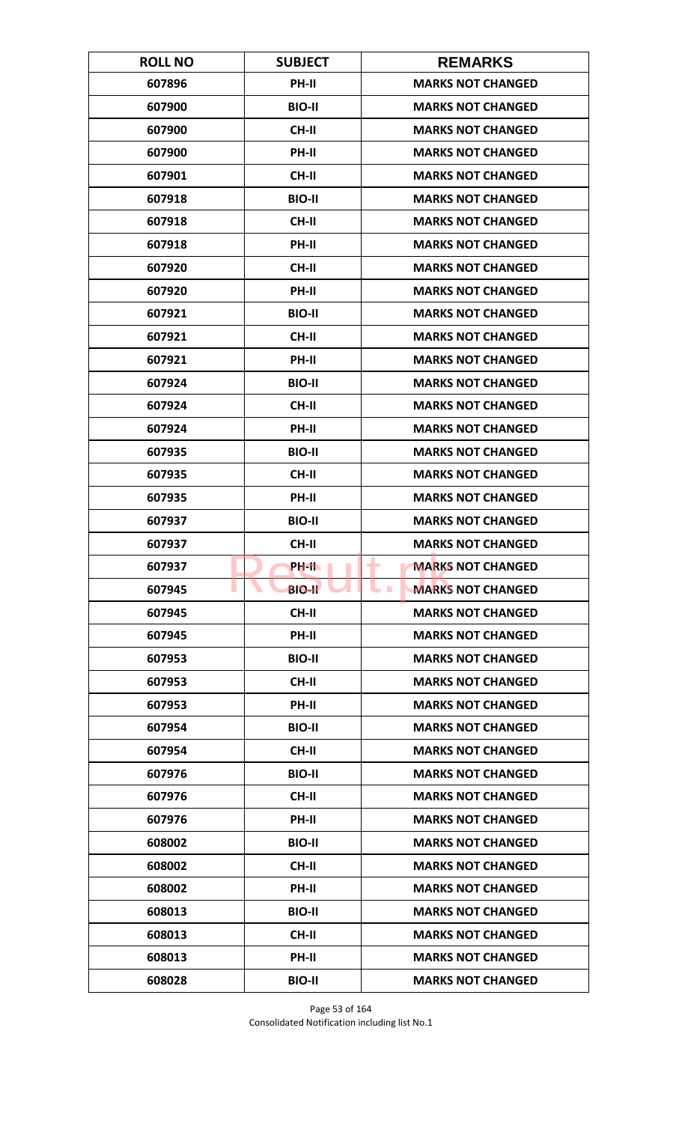| <b>ROLL NO</b> | <b>SUBJECT</b> | <b>REMARKS</b>                       |
|----------------|----------------|--------------------------------------|
| 607896         | <b>PH-II</b>   | <b>MARKS NOT CHANGED</b>             |
| 607900         | <b>BIO-II</b>  | <b>MARKS NOT CHANGED</b>             |
| 607900         | <b>CH-II</b>   | <b>MARKS NOT CHANGED</b>             |
| 607900         | <b>PH-II</b>   | <b>MARKS NOT CHANGED</b>             |
| 607901         | <b>CH-II</b>   | <b>MARKS NOT CHANGED</b>             |
| 607918         | <b>BIO-II</b>  | <b>MARKS NOT CHANGED</b>             |
| 607918         | <b>CH-II</b>   | <b>MARKS NOT CHANGED</b>             |
| 607918         | PH-II          | <b>MARKS NOT CHANGED</b>             |
| 607920         | <b>CH-II</b>   | <b>MARKS NOT CHANGED</b>             |
| 607920         | PH-II          | <b>MARKS NOT CHANGED</b>             |
| 607921         | <b>BIO-II</b>  | <b>MARKS NOT CHANGED</b>             |
| 607921         | <b>CH-II</b>   | <b>MARKS NOT CHANGED</b>             |
| 607921         | PH-II          | <b>MARKS NOT CHANGED</b>             |
| 607924         | <b>BIO-II</b>  | <b>MARKS NOT CHANGED</b>             |
| 607924         | <b>CH-II</b>   | <b>MARKS NOT CHANGED</b>             |
| 607924         | PH-II          | <b>MARKS NOT CHANGED</b>             |
| 607935         | <b>BIO-II</b>  | <b>MARKS NOT CHANGED</b>             |
| 607935         | <b>CH-II</b>   | <b>MARKS NOT CHANGED</b>             |
| 607935         | PH-II          | <b>MARKS NOT CHANGED</b>             |
| 607937         | <b>BIO-II</b>  | <b>MARKS NOT CHANGED</b>             |
| 607937         | <b>CH-II</b>   | <b>MARKS NOT CHANGED</b>             |
| 607937         | PH-IL          | <b>MARKS NOT CHANGED</b><br>۰        |
| 607945         | <b>BIO-II</b>  | <b>MARKS NOT CHANGED</b><br><b>I</b> |
| 607945         | CH-II          | <b>MARKS NOT CHANGED</b>             |
| 607945         | PH-II          | <b>MARKS NOT CHANGED</b>             |
| 607953         | <b>BIO-II</b>  | <b>MARKS NOT CHANGED</b>             |
| 607953         | <b>CH-II</b>   | <b>MARKS NOT CHANGED</b>             |
| 607953         | PH-II          | <b>MARKS NOT CHANGED</b>             |
| 607954         | <b>BIO-II</b>  | <b>MARKS NOT CHANGED</b>             |
| 607954         | <b>CH-II</b>   | <b>MARKS NOT CHANGED</b>             |
| 607976         | <b>BIO-II</b>  | <b>MARKS NOT CHANGED</b>             |
| 607976         | CH-II          | <b>MARKS NOT CHANGED</b>             |
| 607976         | PH-II          | <b>MARKS NOT CHANGED</b>             |
| 608002         | <b>BIO-II</b>  | <b>MARKS NOT CHANGED</b>             |
| 608002         | <b>CH-II</b>   | <b>MARKS NOT CHANGED</b>             |
| 608002         | PH-II          | <b>MARKS NOT CHANGED</b>             |
| 608013         | <b>BIO-II</b>  | <b>MARKS NOT CHANGED</b>             |
| 608013         | <b>CH-II</b>   | <b>MARKS NOT CHANGED</b>             |
| 608013         | <b>PH-II</b>   | <b>MARKS NOT CHANGED</b>             |
| 608028         | <b>BIO-II</b>  | <b>MARKS NOT CHANGED</b>             |

Page 53 of 164 Consolidated Notification including list No.1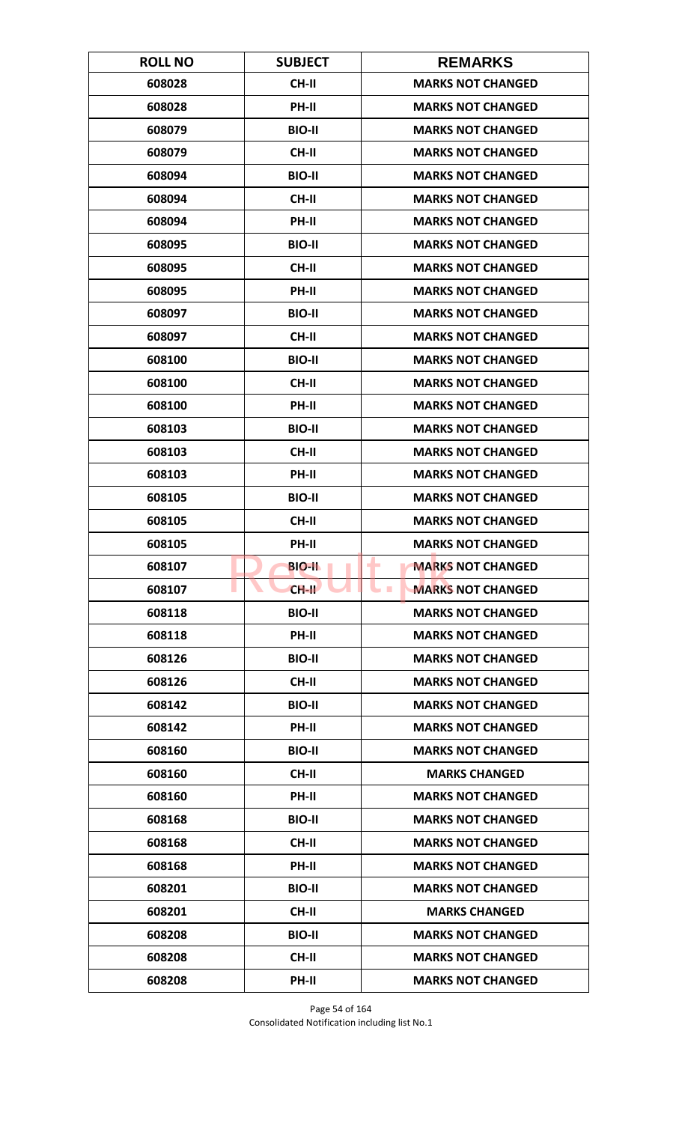| <b>ROLL NO</b> | <b>SUBJECT</b> | <b>REMARKS</b>                               |
|----------------|----------------|----------------------------------------------|
| 608028         | <b>CH-II</b>   | <b>MARKS NOT CHANGED</b>                     |
| 608028         | PH-II          | <b>MARKS NOT CHANGED</b>                     |
| 608079         | <b>BIO-II</b>  | <b>MARKS NOT CHANGED</b>                     |
| 608079         | CH-II          | <b>MARKS NOT CHANGED</b>                     |
| 608094         | <b>BIO-II</b>  | <b>MARKS NOT CHANGED</b>                     |
| 608094         | <b>CH-II</b>   | <b>MARKS NOT CHANGED</b>                     |
| 608094         | <b>PH-II</b>   | <b>MARKS NOT CHANGED</b>                     |
| 608095         | <b>BIO-II</b>  | <b>MARKS NOT CHANGED</b>                     |
| 608095         | <b>CH-II</b>   | <b>MARKS NOT CHANGED</b>                     |
| 608095         | PH-II          | <b>MARKS NOT CHANGED</b>                     |
| 608097         | <b>BIO-II</b>  | <b>MARKS NOT CHANGED</b>                     |
| 608097         | <b>CH-II</b>   | <b>MARKS NOT CHANGED</b>                     |
| 608100         | <b>BIO-II</b>  | <b>MARKS NOT CHANGED</b>                     |
| 608100         | <b>CH-II</b>   | <b>MARKS NOT CHANGED</b>                     |
| 608100         | <b>PH-II</b>   | <b>MARKS NOT CHANGED</b>                     |
| 608103         | <b>BIO-II</b>  | <b>MARKS NOT CHANGED</b>                     |
| 608103         | <b>CH-II</b>   | <b>MARKS NOT CHANGED</b>                     |
| 608103         | PH-II          | <b>MARKS NOT CHANGED</b>                     |
| 608105         | <b>BIO-II</b>  | <b>MARKS NOT CHANGED</b>                     |
| 608105         | <b>CH-II</b>   | <b>MARKS NOT CHANGED</b>                     |
| 608105         | PH-II          | <b>MARKS NOT CHANGED</b>                     |
| 608107         | <b>BIO-II</b>  | <b>MARKS NOT CHANGED</b><br>۰                |
| 608107         | $CH-H$         | <b>MARKS NOT CHANGED</b><br><b>The State</b> |
| 608118         | <b>BIO-II</b>  | <b>MARKS NOT CHANGED</b>                     |
| 608118         | PH-II          | <b>MARKS NOT CHANGED</b>                     |
| 608126         | <b>BIO-II</b>  | <b>MARKS NOT CHANGED</b>                     |
| 608126         | <b>CH-II</b>   | <b>MARKS NOT CHANGED</b>                     |
| 608142         | <b>BIO-II</b>  | <b>MARKS NOT CHANGED</b>                     |
| 608142         | PH-II          | <b>MARKS NOT CHANGED</b>                     |
| 608160         | <b>BIO-II</b>  | <b>MARKS NOT CHANGED</b>                     |
| 608160         | <b>CH-II</b>   | <b>MARKS CHANGED</b>                         |
| 608160         | PH-II          | <b>MARKS NOT CHANGED</b>                     |
| 608168         | <b>BIO-II</b>  | <b>MARKS NOT CHANGED</b>                     |
| 608168         | CH-II          | <b>MARKS NOT CHANGED</b>                     |
| 608168         | PH-II          | <b>MARKS NOT CHANGED</b>                     |
| 608201         | <b>BIO-II</b>  | <b>MARKS NOT CHANGED</b>                     |
| 608201         | CH-II          | <b>MARKS CHANGED</b>                         |
| 608208         | <b>BIO-II</b>  | <b>MARKS NOT CHANGED</b>                     |
| 608208         | CH-II          | <b>MARKS NOT CHANGED</b>                     |
| 608208         | PH-II          | <b>MARKS NOT CHANGED</b>                     |

Page 54 of 164 Consolidated Notification including list No.1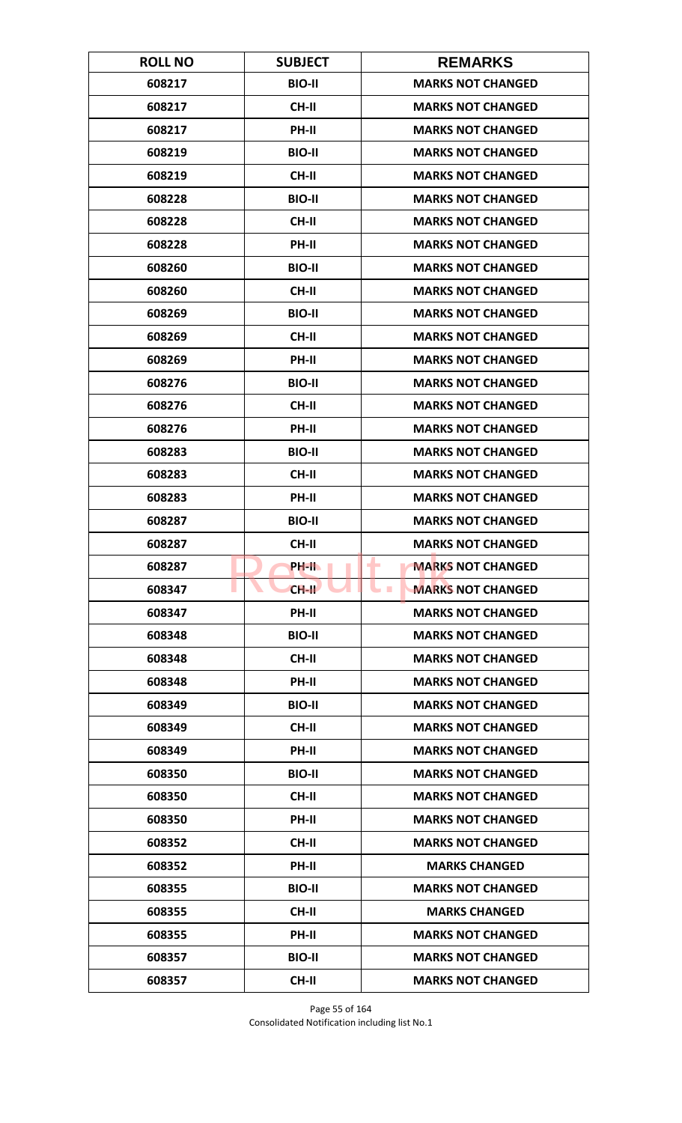| <b>ROLL NO</b> | <b>SUBJECT</b> | <b>REMARKS</b>                               |
|----------------|----------------|----------------------------------------------|
| 608217         | <b>BIO-II</b>  | <b>MARKS NOT CHANGED</b>                     |
| 608217         | CH-II          | <b>MARKS NOT CHANGED</b>                     |
| 608217         | PH-II          | <b>MARKS NOT CHANGED</b>                     |
| 608219         | <b>BIO-II</b>  | <b>MARKS NOT CHANGED</b>                     |
| 608219         | <b>CH-II</b>   | <b>MARKS NOT CHANGED</b>                     |
| 608228         | <b>BIO-II</b>  | <b>MARKS NOT CHANGED</b>                     |
| 608228         | CH-II          | <b>MARKS NOT CHANGED</b>                     |
| 608228         | PH-II          | <b>MARKS NOT CHANGED</b>                     |
| 608260         | <b>BIO-II</b>  | <b>MARKS NOT CHANGED</b>                     |
| 608260         | CH-II          | <b>MARKS NOT CHANGED</b>                     |
| 608269         | <b>BIO-II</b>  | <b>MARKS NOT CHANGED</b>                     |
| 608269         | <b>CH-II</b>   | <b>MARKS NOT CHANGED</b>                     |
| 608269         | PH-II          | <b>MARKS NOT CHANGED</b>                     |
| 608276         | <b>BIO-II</b>  | <b>MARKS NOT CHANGED</b>                     |
| 608276         | CH-II          | <b>MARKS NOT CHANGED</b>                     |
| 608276         | PH-II          | <b>MARKS NOT CHANGED</b>                     |
| 608283         | <b>BIO-II</b>  | <b>MARKS NOT CHANGED</b>                     |
| 608283         | CH-II          | <b>MARKS NOT CHANGED</b>                     |
| 608283         | PH-II          | <b>MARKS NOT CHANGED</b>                     |
| 608287         | <b>BIO-II</b>  | <b>MARKS NOT CHANGED</b>                     |
| 608287         | <b>CH-II</b>   | <b>MARKS NOT CHANGED</b>                     |
| 608287         | PH-II          | <b>MARKS NOT CHANGED</b><br>۰                |
| 608347         | $CH-H$         | <b>MARKS NOT CHANGED</b><br><b>The State</b> |
| 608347         | PH-II          | <b>MARKS NOT CHANGED</b>                     |
| 608348         | <b>BIO-II</b>  | <b>MARKS NOT CHANGED</b>                     |
| 608348         | <b>CH-II</b>   | <b>MARKS NOT CHANGED</b>                     |
| 608348         | PH-II          | <b>MARKS NOT CHANGED</b>                     |
| 608349         | <b>BIO-II</b>  | <b>MARKS NOT CHANGED</b>                     |
| 608349         | CH-II          | <b>MARKS NOT CHANGED</b>                     |
| 608349         | PH-II          | <b>MARKS NOT CHANGED</b>                     |
| 608350         | <b>BIO-II</b>  | <b>MARKS NOT CHANGED</b>                     |
| 608350         | CH-II          | <b>MARKS NOT CHANGED</b>                     |
| 608350         | PH-II          | <b>MARKS NOT CHANGED</b>                     |
| 608352         | <b>CH-II</b>   | <b>MARKS NOT CHANGED</b>                     |
| 608352         | PH-II          | <b>MARKS CHANGED</b>                         |
| 608355         | <b>BIO-II</b>  | <b>MARKS NOT CHANGED</b>                     |
| 608355         | <b>CH-II</b>   | <b>MARKS CHANGED</b>                         |
| 608355         | <b>PH-II</b>   | <b>MARKS NOT CHANGED</b>                     |
| 608357         | <b>BIO-II</b>  | <b>MARKS NOT CHANGED</b>                     |
| 608357         | <b>CH-II</b>   | <b>MARKS NOT CHANGED</b>                     |

Page 55 of 164 Consolidated Notification including list No.1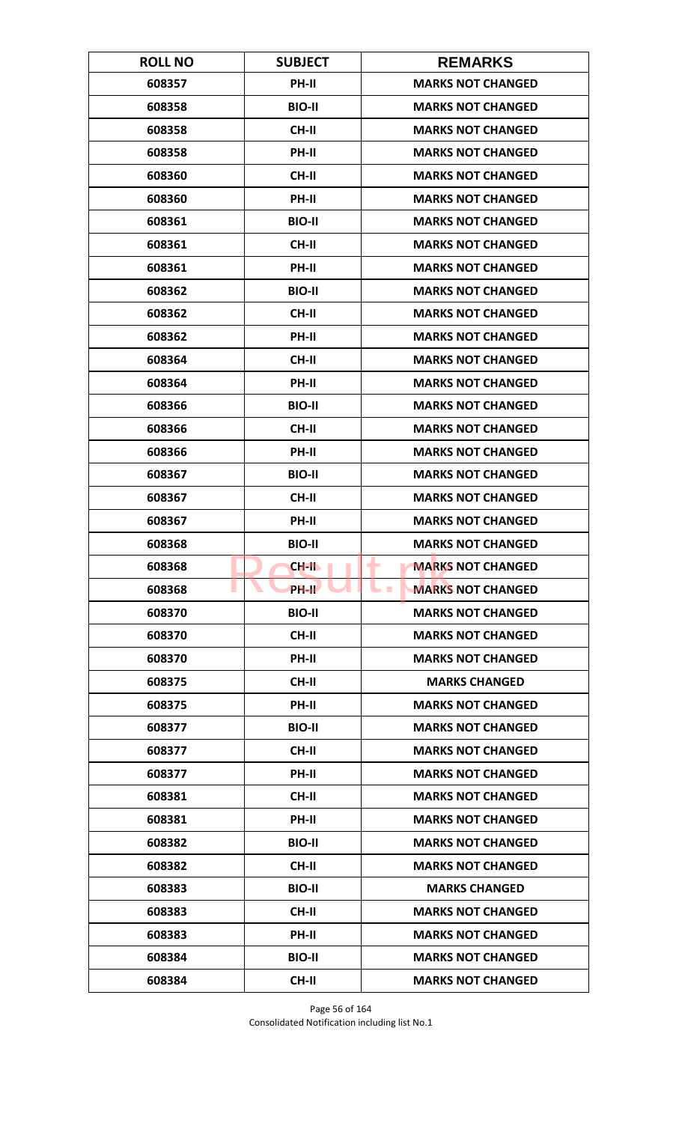| <b>ROLL NO</b> | <b>SUBJECT</b> | <b>REMARKS</b>                               |
|----------------|----------------|----------------------------------------------|
| 608357         | PH-II          | <b>MARKS NOT CHANGED</b>                     |
| 608358         | <b>BIO-II</b>  | <b>MARKS NOT CHANGED</b>                     |
| 608358         | CH-II          | <b>MARKS NOT CHANGED</b>                     |
| 608358         | <b>PH-II</b>   | <b>MARKS NOT CHANGED</b>                     |
| 608360         | <b>CH-II</b>   | <b>MARKS NOT CHANGED</b>                     |
| 608360         | PH-II          | <b>MARKS NOT CHANGED</b>                     |
| 608361         | <b>BIO-II</b>  | <b>MARKS NOT CHANGED</b>                     |
| 608361         | CH-II          | <b>MARKS NOT CHANGED</b>                     |
| 608361         | PH-II          | <b>MARKS NOT CHANGED</b>                     |
| 608362         | <b>BIO-II</b>  | <b>MARKS NOT CHANGED</b>                     |
| 608362         | <b>CH-II</b>   | <b>MARKS NOT CHANGED</b>                     |
| 608362         | <b>PH-II</b>   | <b>MARKS NOT CHANGED</b>                     |
| 608364         | CH-II          | <b>MARKS NOT CHANGED</b>                     |
| 608364         | PH-II          | <b>MARKS NOT CHANGED</b>                     |
| 608366         | <b>BIO-II</b>  | <b>MARKS NOT CHANGED</b>                     |
| 608366         | <b>CH-II</b>   | <b>MARKS NOT CHANGED</b>                     |
| 608366         | PH-II          | <b>MARKS NOT CHANGED</b>                     |
| 608367         | <b>BIO-II</b>  | <b>MARKS NOT CHANGED</b>                     |
| 608367         | <b>CH-II</b>   | <b>MARKS NOT CHANGED</b>                     |
| 608367         | PH-II          | <b>MARKS NOT CHANGED</b>                     |
| 608368         | <b>BIO-II</b>  | <b>MARKS NOT CHANGED</b>                     |
| 608368         | <b>CH-II</b>   | <b>MARKS NOT CHANGED</b><br>٠                |
| 608368         | PH-II          | <b>MARKS NOT CHANGED</b><br><b>The State</b> |
| 608370         | <b>BIO-II</b>  | <b>MARKS NOT CHANGED</b>                     |
| 608370         | CH-II          | <b>MARKS NOT CHANGED</b>                     |
| 608370         | PH-II          | <b>MARKS NOT CHANGED</b>                     |
| 608375         | CH-II          | <b>MARKS CHANGED</b>                         |
| 608375         | PH-II          | <b>MARKS NOT CHANGED</b>                     |
| 608377         | <b>BIO-II</b>  | <b>MARKS NOT CHANGED</b>                     |
| 608377         | <b>CH-II</b>   | <b>MARKS NOT CHANGED</b>                     |
| 608377         | PH-II          | <b>MARKS NOT CHANGED</b>                     |
| 608381         | CH-II          | <b>MARKS NOT CHANGED</b>                     |
| 608381         | PH-II          | <b>MARKS NOT CHANGED</b>                     |
| 608382         | <b>BIO-II</b>  | <b>MARKS NOT CHANGED</b>                     |
| 608382         | CH-II          | <b>MARKS NOT CHANGED</b>                     |
| 608383         | <b>BIO-II</b>  | <b>MARKS CHANGED</b>                         |
| 608383         | <b>CH-II</b>   | <b>MARKS NOT CHANGED</b>                     |
| 608383         | <b>PH-II</b>   | <b>MARKS NOT CHANGED</b>                     |
| 608384         | <b>BIO-II</b>  | <b>MARKS NOT CHANGED</b>                     |
| 608384         | CH-II          | <b>MARKS NOT CHANGED</b>                     |

Page 56 of 164 Consolidated Notification including list No.1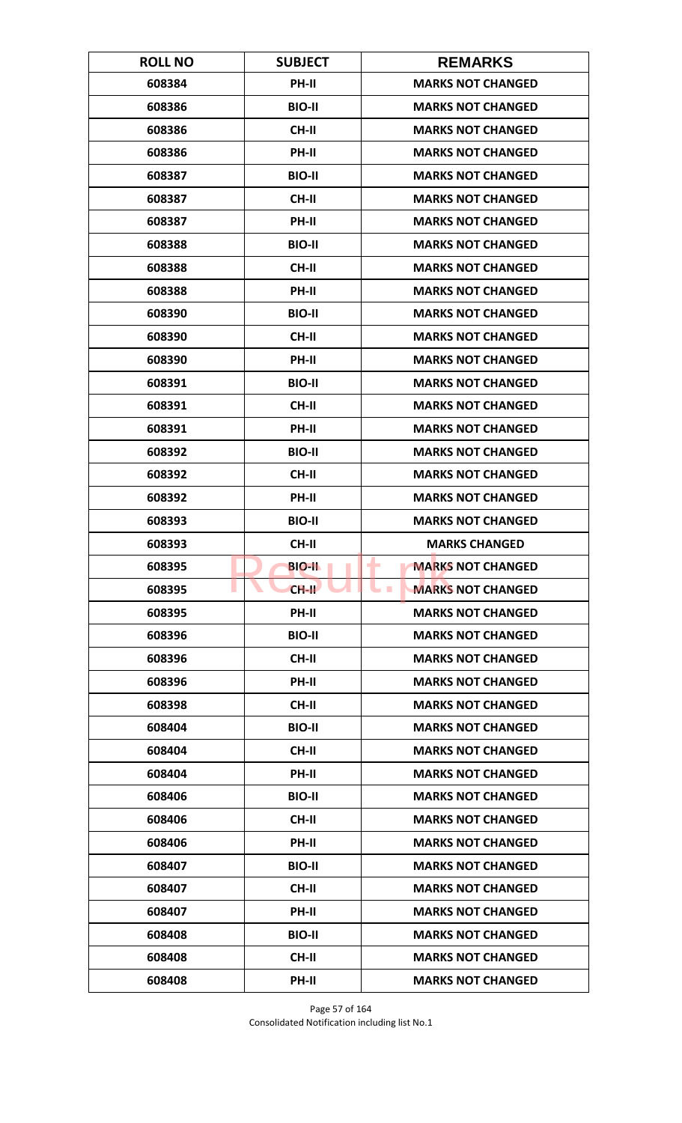| <b>ROLL NO</b> | <b>SUBJECT</b> | <b>REMARKS</b>                       |
|----------------|----------------|--------------------------------------|
| 608384         | <b>PH-II</b>   | <b>MARKS NOT CHANGED</b>             |
| 608386         | <b>BIO-II</b>  | <b>MARKS NOT CHANGED</b>             |
| 608386         | <b>CH-II</b>   | <b>MARKS NOT CHANGED</b>             |
| 608386         | PH-II          | <b>MARKS NOT CHANGED</b>             |
| 608387         | <b>BIO-II</b>  | <b>MARKS NOT CHANGED</b>             |
| 608387         | <b>CH-II</b>   | <b>MARKS NOT CHANGED</b>             |
| 608387         | <b>PH-II</b>   | <b>MARKS NOT CHANGED</b>             |
| 608388         | <b>BIO-II</b>  | <b>MARKS NOT CHANGED</b>             |
| 608388         | <b>CH-II</b>   | <b>MARKS NOT CHANGED</b>             |
| 608388         | PH-II          | <b>MARKS NOT CHANGED</b>             |
| 608390         | <b>BIO-II</b>  | <b>MARKS NOT CHANGED</b>             |
| 608390         | <b>CH-II</b>   | <b>MARKS NOT CHANGED</b>             |
| 608390         | PH-II          | <b>MARKS NOT CHANGED</b>             |
| 608391         | <b>BIO-II</b>  | <b>MARKS NOT CHANGED</b>             |
| 608391         | <b>CH-II</b>   | <b>MARKS NOT CHANGED</b>             |
| 608391         | PH-II          | <b>MARKS NOT CHANGED</b>             |
| 608392         | <b>BIO-II</b>  | <b>MARKS NOT CHANGED</b>             |
| 608392         | <b>CH-II</b>   | <b>MARKS NOT CHANGED</b>             |
| 608392         | PH-II          | <b>MARKS NOT CHANGED</b>             |
| 608393         | <b>BIO-II</b>  | <b>MARKS NOT CHANGED</b>             |
| 608393         | CH-II          | <b>MARKS CHANGED</b>                 |
| 608395         | <b>BIO-II</b>  | <b>MARKS NOT CHANGED</b><br>٠        |
| 608395         | $CH-H$         | <b>MARKS NOT CHANGED</b><br><b>I</b> |
| 608395         | PH-II          | <b>MARKS NOT CHANGED</b>             |
| 608396         | <b>BIO-II</b>  | <b>MARKS NOT CHANGED</b>             |
| 608396         | CH-II          | <b>MARKS NOT CHANGED</b>             |
| 608396         | PH-II          | <b>MARKS NOT CHANGED</b>             |
| 608398         | <b>CH-II</b>   | <b>MARKS NOT CHANGED</b>             |
| 608404         | <b>BIO-II</b>  | <b>MARKS NOT CHANGED</b>             |
| 608404         | <b>CH-II</b>   | <b>MARKS NOT CHANGED</b>             |
| 608404         | <b>PH-II</b>   | <b>MARKS NOT CHANGED</b>             |
| 608406         | <b>BIO-II</b>  | <b>MARKS NOT CHANGED</b>             |
| 608406         | CH-II          | <b>MARKS NOT CHANGED</b>             |
| 608406         | PH-II          | <b>MARKS NOT CHANGED</b>             |
| 608407         | <b>BIO-II</b>  | <b>MARKS NOT CHANGED</b>             |
| 608407         | CH-II          | <b>MARKS NOT CHANGED</b>             |
| 608407         | PH-II          | <b>MARKS NOT CHANGED</b>             |
| 608408         | <b>BIO-II</b>  | <b>MARKS NOT CHANGED</b>             |
| 608408         | <b>CH-II</b>   | <b>MARKS NOT CHANGED</b>             |
| 608408         | PH-II          | <b>MARKS NOT CHANGED</b>             |

Page 57 of 164 Consolidated Notification including list No.1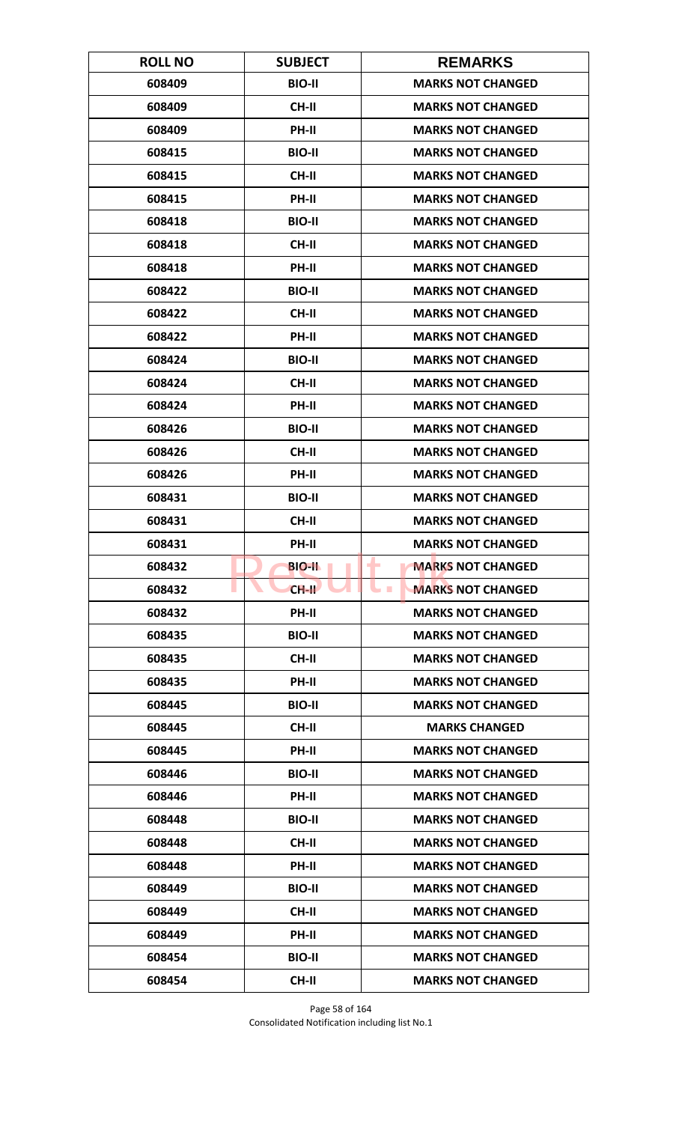| <b>ROLL NO</b> | <b>SUBJECT</b> | <b>REMARKS</b>                       |
|----------------|----------------|--------------------------------------|
| 608409         | <b>BIO-II</b>  | <b>MARKS NOT CHANGED</b>             |
| 608409         | <b>CH-II</b>   | <b>MARKS NOT CHANGED</b>             |
| 608409         | PH-II          | <b>MARKS NOT CHANGED</b>             |
| 608415         | <b>BIO-II</b>  | <b>MARKS NOT CHANGED</b>             |
| 608415         | <b>CH-II</b>   | <b>MARKS NOT CHANGED</b>             |
| 608415         | PH-II          | <b>MARKS NOT CHANGED</b>             |
| 608418         | <b>BIO-II</b>  | <b>MARKS NOT CHANGED</b>             |
| 608418         | <b>CH-II</b>   | <b>MARKS NOT CHANGED</b>             |
| 608418         | PH-II          | <b>MARKS NOT CHANGED</b>             |
| 608422         | <b>BIO-II</b>  | <b>MARKS NOT CHANGED</b>             |
| 608422         | <b>CH-II</b>   | <b>MARKS NOT CHANGED</b>             |
| 608422         | <b>PH-II</b>   | <b>MARKS NOT CHANGED</b>             |
| 608424         | <b>BIO-II</b>  | <b>MARKS NOT CHANGED</b>             |
| 608424         | <b>CH-II</b>   | <b>MARKS NOT CHANGED</b>             |
| 608424         | <b>PH-II</b>   | <b>MARKS NOT CHANGED</b>             |
| 608426         | <b>BIO-II</b>  | <b>MARKS NOT CHANGED</b>             |
| 608426         | <b>CH-II</b>   | <b>MARKS NOT CHANGED</b>             |
| 608426         | PH-II          | <b>MARKS NOT CHANGED</b>             |
| 608431         | <b>BIO-II</b>  | <b>MARKS NOT CHANGED</b>             |
| 608431         | <b>CH-II</b>   | <b>MARKS NOT CHANGED</b>             |
| 608431         | PH-II          | <b>MARKS NOT CHANGED</b>             |
| 608432         | <b>BIO-II</b>  | <b>MARKS NOT CHANGED</b><br>٠        |
| 608432         | $CH-H$         | <b>MARKS NOT CHANGED</b><br><b>I</b> |
| 608432         | <b>PH-II</b>   | <b>MARKS NOT CHANGED</b>             |
| 608435         | <b>BIO-II</b>  | <b>MARKS NOT CHANGED</b>             |
| 608435         | CH-II          | <b>MARKS NOT CHANGED</b>             |
| 608435         | PH-II          | <b>MARKS NOT CHANGED</b>             |
| 608445         | <b>BIO-II</b>  | <b>MARKS NOT CHANGED</b>             |
| 608445         | <b>CH-II</b>   | <b>MARKS CHANGED</b>                 |
| 608445         | <b>PH-II</b>   | <b>MARKS NOT CHANGED</b>             |
| 608446         | <b>BIO-II</b>  | <b>MARKS NOT CHANGED</b>             |
| 608446         | PH-II          | <b>MARKS NOT CHANGED</b>             |
| 608448         | <b>BIO-II</b>  | <b>MARKS NOT CHANGED</b>             |
| 608448         | <b>CH-II</b>   | <b>MARKS NOT CHANGED</b>             |
| 608448         | PH-II          | <b>MARKS NOT CHANGED</b>             |
| 608449         | <b>BIO-II</b>  | <b>MARKS NOT CHANGED</b>             |
| 608449         | CH-II          | <b>MARKS NOT CHANGED</b>             |
| 608449         | PH-II          | <b>MARKS NOT CHANGED</b>             |
| 608454         | <b>BIO-II</b>  | <b>MARKS NOT CHANGED</b>             |
| 608454         | <b>CH-II</b>   | <b>MARKS NOT CHANGED</b>             |

Page 58 of 164 Consolidated Notification including list No.1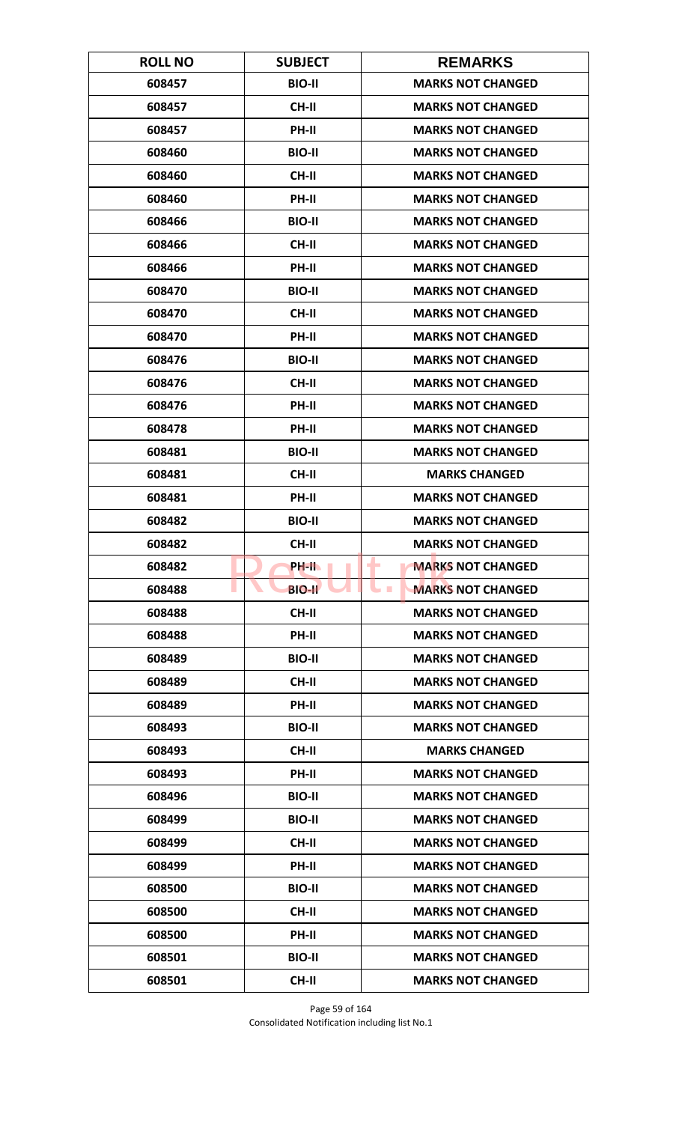| <b>ROLL NO</b> | <b>SUBJECT</b> | <b>REMARKS</b>                       |
|----------------|----------------|--------------------------------------|
| 608457         | <b>BIO-II</b>  | <b>MARKS NOT CHANGED</b>             |
| 608457         | <b>CH-II</b>   | <b>MARKS NOT CHANGED</b>             |
| 608457         | PH-II          | <b>MARKS NOT CHANGED</b>             |
| 608460         | <b>BIO-II</b>  | <b>MARKS NOT CHANGED</b>             |
| 608460         | <b>CH-II</b>   | <b>MARKS NOT CHANGED</b>             |
| 608460         | PH-II          | <b>MARKS NOT CHANGED</b>             |
| 608466         | <b>BIO-II</b>  | <b>MARKS NOT CHANGED</b>             |
| 608466         | <b>CH-II</b>   | <b>MARKS NOT CHANGED</b>             |
| 608466         | PH-II          | <b>MARKS NOT CHANGED</b>             |
| 608470         | <b>BIO-II</b>  | <b>MARKS NOT CHANGED</b>             |
| 608470         | <b>CH-II</b>   | <b>MARKS NOT CHANGED</b>             |
| 608470         | <b>PH-II</b>   | <b>MARKS NOT CHANGED</b>             |
| 608476         | <b>BIO-II</b>  | <b>MARKS NOT CHANGED</b>             |
| 608476         | <b>CH-II</b>   | <b>MARKS NOT CHANGED</b>             |
| 608476         | <b>PH-II</b>   | <b>MARKS NOT CHANGED</b>             |
| 608478         | PH-II          | <b>MARKS NOT CHANGED</b>             |
| 608481         | <b>BIO-II</b>  | <b>MARKS NOT CHANGED</b>             |
| 608481         | <b>CH-II</b>   | <b>MARKS CHANGED</b>                 |
| 608481         | PH-II          | <b>MARKS NOT CHANGED</b>             |
| 608482         | <b>BIO-II</b>  | <b>MARKS NOT CHANGED</b>             |
| 608482         | <b>CH-II</b>   | <b>MARKS NOT CHANGED</b>             |
| 608482         | PH-IL          | <b>MARKS NOT CHANGED</b><br>٠        |
| 608488         | <b>BIO-II</b>  | <b>MARKS NOT CHANGED</b><br><b>I</b> |
| 608488         | <b>CH-II</b>   | <b>MARKS NOT CHANGED</b>             |
| 608488         | PH-II          | <b>MARKS NOT CHANGED</b>             |
| 608489         | <b>BIO-II</b>  | <b>MARKS NOT CHANGED</b>             |
| 608489         | <b>CH-II</b>   | <b>MARKS NOT CHANGED</b>             |
| 608489         | <b>PH-II</b>   | <b>MARKS NOT CHANGED</b>             |
| 608493         | <b>BIO-II</b>  | <b>MARKS NOT CHANGED</b>             |
| 608493         | <b>CH-II</b>   | <b>MARKS CHANGED</b>                 |
| 608493         | <b>PH-II</b>   | <b>MARKS NOT CHANGED</b>             |
| 608496         | <b>BIO-II</b>  | <b>MARKS NOT CHANGED</b>             |
| 608499         | <b>BIO-II</b>  | <b>MARKS NOT CHANGED</b>             |
| 608499         | <b>CH-II</b>   | <b>MARKS NOT CHANGED</b>             |
| 608499         | PH-II          | <b>MARKS NOT CHANGED</b>             |
| 608500         | <b>BIO-II</b>  | <b>MARKS NOT CHANGED</b>             |
| 608500         | CH-II          | <b>MARKS NOT CHANGED</b>             |
| 608500         | PH-II          | <b>MARKS NOT CHANGED</b>             |
| 608501         | <b>BIO-II</b>  | <b>MARKS NOT CHANGED</b>             |
| 608501         | <b>CH-II</b>   | <b>MARKS NOT CHANGED</b>             |

Page 59 of 164 Consolidated Notification including list No.1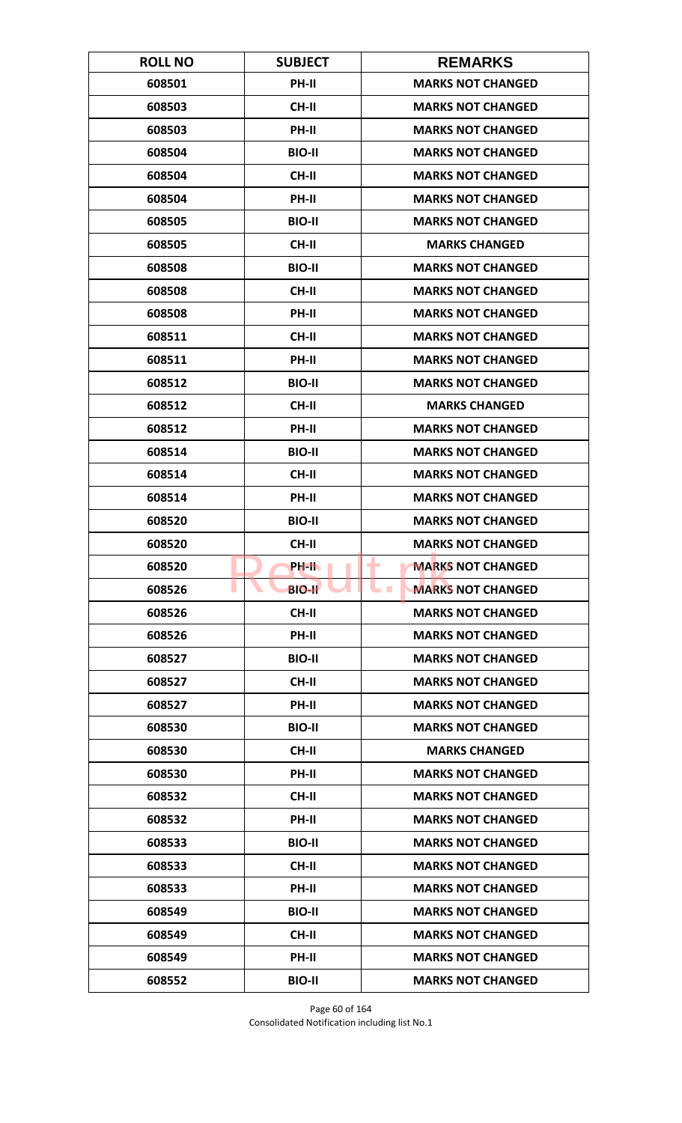| <b>ROLL NO</b> | <b>SUBJECT</b> | <b>REMARKS</b>                       |
|----------------|----------------|--------------------------------------|
| 608501         | <b>PH-II</b>   | <b>MARKS NOT CHANGED</b>             |
| 608503         | <b>CH-II</b>   | <b>MARKS NOT CHANGED</b>             |
| 608503         | PH-II          | <b>MARKS NOT CHANGED</b>             |
| 608504         | <b>BIO-II</b>  | <b>MARKS NOT CHANGED</b>             |
| 608504         | <b>CH-II</b>   | <b>MARKS NOT CHANGED</b>             |
| 608504         | PH-II          | <b>MARKS NOT CHANGED</b>             |
| 608505         | <b>BIO-II</b>  | <b>MARKS NOT CHANGED</b>             |
| 608505         | <b>CH-II</b>   | <b>MARKS CHANGED</b>                 |
| 608508         | <b>BIO-II</b>  | <b>MARKS NOT CHANGED</b>             |
| 608508         | CH-II          | <b>MARKS NOT CHANGED</b>             |
| 608508         | PH-II          | <b>MARKS NOT CHANGED</b>             |
| 608511         | <b>CH-II</b>   | <b>MARKS NOT CHANGED</b>             |
| 608511         | PH-II          | <b>MARKS NOT CHANGED</b>             |
| 608512         | <b>BIO-II</b>  | <b>MARKS NOT CHANGED</b>             |
| 608512         | <b>CH-II</b>   | <b>MARKS CHANGED</b>                 |
| 608512         | PH-II          | <b>MARKS NOT CHANGED</b>             |
| 608514         | <b>BIO-II</b>  | <b>MARKS NOT CHANGED</b>             |
| 608514         | <b>CH-II</b>   | <b>MARKS NOT CHANGED</b>             |
| 608514         | PH-II          | <b>MARKS NOT CHANGED</b>             |
| 608520         | <b>BIO-II</b>  | <b>MARKS NOT CHANGED</b>             |
| 608520         | <b>CH-II</b>   | <b>MARKS NOT CHANGED</b>             |
| 608520         | PH-IL          | <b>MARKS NOT CHANGED</b><br>٠        |
| 608526         | <b>BIO-II</b>  | <b>MARKS NOT CHANGED</b><br><b>I</b> |
| 608526         | CH-II          | <b>MARKS NOT CHANGED</b>             |
| 608526         | PH-II          | <b>MARKS NOT CHANGED</b>             |
| 608527         | <b>BIO-II</b>  | <b>MARKS NOT CHANGED</b>             |
| 608527         | <b>CH-II</b>   | <b>MARKS NOT CHANGED</b>             |
| 608527         | PH-II          | <b>MARKS NOT CHANGED</b>             |
| 608530         | <b>BIO-II</b>  | <b>MARKS NOT CHANGED</b>             |
| 608530         | <b>CH-II</b>   | <b>MARKS CHANGED</b>                 |
| 608530         | <b>PH-II</b>   | <b>MARKS NOT CHANGED</b>             |
| 608532         | CH-II          | <b>MARKS NOT CHANGED</b>             |
| 608532         | PH-II          | <b>MARKS NOT CHANGED</b>             |
| 608533         | <b>BIO-II</b>  | <b>MARKS NOT CHANGED</b>             |
| 608533         | CH-II          | <b>MARKS NOT CHANGED</b>             |
| 608533         | PH-II          | <b>MARKS NOT CHANGED</b>             |
| 608549         | <b>BIO-II</b>  | <b>MARKS NOT CHANGED</b>             |
| 608549         | <b>CH-II</b>   | <b>MARKS NOT CHANGED</b>             |
| 608549         | <b>PH-II</b>   | <b>MARKS NOT CHANGED</b>             |
| 608552         | <b>BIO-II</b>  | <b>MARKS NOT CHANGED</b>             |

Page 60 of 164 Consolidated Notification including list No.1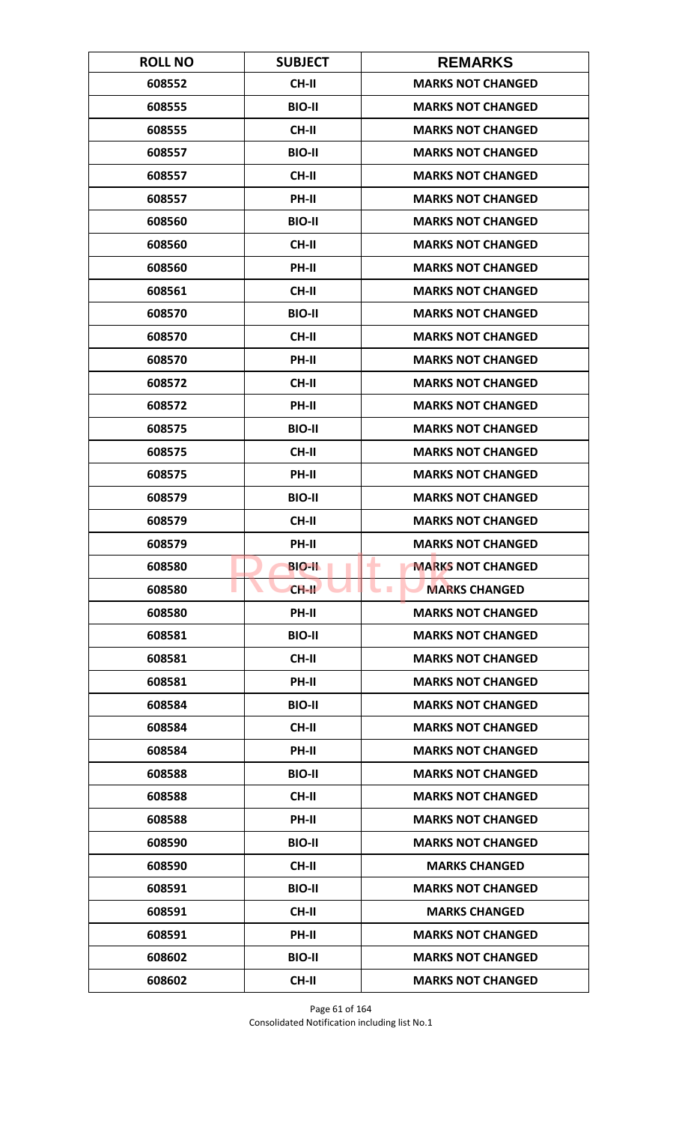| <b>ROLL NO</b> | <b>SUBJECT</b> | <b>REMARKS</b>                           |
|----------------|----------------|------------------------------------------|
| 608552         | <b>CH-II</b>   | <b>MARKS NOT CHANGED</b>                 |
| 608555         | <b>BIO-II</b>  | <b>MARKS NOT CHANGED</b>                 |
| 608555         | <b>CH-II</b>   | <b>MARKS NOT CHANGED</b>                 |
| 608557         | <b>BIO-II</b>  | <b>MARKS NOT CHANGED</b>                 |
| 608557         | <b>CH-II</b>   | <b>MARKS NOT CHANGED</b>                 |
| 608557         | PH-II          | <b>MARKS NOT CHANGED</b>                 |
| 608560         | <b>BIO-II</b>  | <b>MARKS NOT CHANGED</b>                 |
| 608560         | <b>CH-II</b>   | <b>MARKS NOT CHANGED</b>                 |
| 608560         | PH-II          | <b>MARKS NOT CHANGED</b>                 |
| 608561         | <b>CH-II</b>   | <b>MARKS NOT CHANGED</b>                 |
| 608570         | <b>BIO-II</b>  | <b>MARKS NOT CHANGED</b>                 |
| 608570         | CH-II          | <b>MARKS NOT CHANGED</b>                 |
| 608570         | PH-II          | <b>MARKS NOT CHANGED</b>                 |
| 608572         | <b>CH-II</b>   | <b>MARKS NOT CHANGED</b>                 |
| 608572         | PH-II          | <b>MARKS NOT CHANGED</b>                 |
| 608575         | <b>BIO-II</b>  | <b>MARKS NOT CHANGED</b>                 |
| 608575         | CH-II          | <b>MARKS NOT CHANGED</b>                 |
| 608575         | PH-II          | <b>MARKS NOT CHANGED</b>                 |
| 608579         | <b>BIO-II</b>  | <b>MARKS NOT CHANGED</b>                 |
| 608579         | <b>CH-II</b>   | <b>MARKS NOT CHANGED</b>                 |
| 608579         | PH-II          | <b>MARKS NOT CHANGED</b>                 |
| 608580         | <b>BIO-II</b>  | <b>MARKS NOT CHANGED</b>                 |
| 608580         | $CH-H$         | <b>MARKS CHANGED</b><br><b>The State</b> |
| 608580         | PH-II          | <b>MARKS NOT CHANGED</b>                 |
| 608581         | <b>BIO-II</b>  | <b>MARKS NOT CHANGED</b>                 |
| 608581         | CH-II          | <b>MARKS NOT CHANGED</b>                 |
| 608581         | PH-II          | <b>MARKS NOT CHANGED</b>                 |
| 608584         | <b>BIO-II</b>  | <b>MARKS NOT CHANGED</b>                 |
| 608584         | CH-II          | <b>MARKS NOT CHANGED</b>                 |
| 608584         | PH-II          | <b>MARKS NOT CHANGED</b>                 |
| 608588         | <b>BIO-II</b>  | <b>MARKS NOT CHANGED</b>                 |
| 608588         | CH-II          | <b>MARKS NOT CHANGED</b>                 |
| 608588         | PH-II          | <b>MARKS NOT CHANGED</b>                 |
| 608590         | <b>BIO-II</b>  | <b>MARKS NOT CHANGED</b>                 |
| 608590         | CH-II          | <b>MARKS CHANGED</b>                     |
| 608591         | <b>BIO-II</b>  | <b>MARKS NOT CHANGED</b>                 |
| 608591         | CH-II          | <b>MARKS CHANGED</b>                     |
| 608591         | PH-II          | <b>MARKS NOT CHANGED</b>                 |
| 608602         | <b>BIO-II</b>  | <b>MARKS NOT CHANGED</b>                 |
| 608602         | <b>CH-II</b>   | <b>MARKS NOT CHANGED</b>                 |

Page 61 of 164 Consolidated Notification including list No.1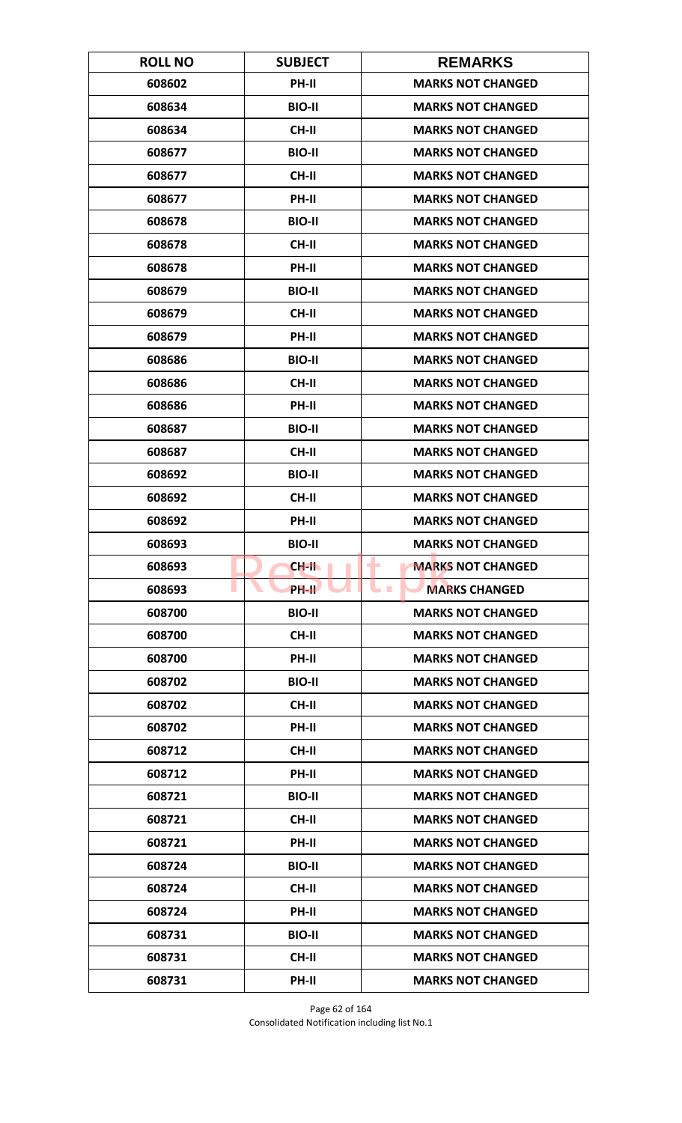| <b>ROLL NO</b> | <b>SUBJECT</b>     | <b>REMARKS</b>                          |
|----------------|--------------------|-----------------------------------------|
| 608602         | PH-II              | <b>MARKS NOT CHANGED</b>                |
| 608634         | <b>BIO-II</b>      | <b>MARKS NOT CHANGED</b>                |
| 608634         | <b>CH-II</b>       | <b>MARKS NOT CHANGED</b>                |
| 608677         | <b>BIO-II</b>      | <b>MARKS NOT CHANGED</b>                |
| 608677         | <b>CH-II</b>       | <b>MARKS NOT CHANGED</b>                |
| 608677         | PH-II              | <b>MARKS NOT CHANGED</b>                |
| 608678         | <b>BIO-II</b>      | <b>MARKS NOT CHANGED</b>                |
| 608678         | <b>CH-II</b>       | <b>MARKS NOT CHANGED</b>                |
| 608678         | PH-II              | <b>MARKS NOT CHANGED</b>                |
| 608679         | <b>BIO-II</b>      | <b>MARKS NOT CHANGED</b>                |
| 608679         | <b>CH-II</b>       | <b>MARKS NOT CHANGED</b>                |
| 608679         | <b>PH-II</b>       | <b>MARKS NOT CHANGED</b>                |
| 608686         | <b>BIO-II</b>      | <b>MARKS NOT CHANGED</b>                |
| 608686         | <b>CH-II</b>       | <b>MARKS NOT CHANGED</b>                |
| 608686         | <b>PH-II</b>       | <b>MARKS NOT CHANGED</b>                |
| 608687         | <b>BIO-II</b>      | <b>MARKS NOT CHANGED</b>                |
| 608687         | <b>CH-II</b>       | <b>MARKS NOT CHANGED</b>                |
| 608692         | <b>BIO-II</b>      | <b>MARKS NOT CHANGED</b>                |
| 608692         | <b>CH-II</b>       | <b>MARKS NOT CHANGED</b>                |
| 608692         | PH-II              | <b>MARKS NOT CHANGED</b>                |
| 608693         | <b>BIO-II</b>      | <b>MARKS NOT CHANGED</b>                |
| 608693         | CH-II              | <b>MARKS NOT CHANGED</b><br>٠           |
| 608693         | PH-II <sup>T</sup> | <b>MARKS CHANGED</b><br><b>Contract</b> |
| 608700         | <b>BIO-II</b>      | <b>MARKS NOT CHANGED</b>                |
| 608700         | <b>CH-II</b>       | <b>MARKS NOT CHANGED</b>                |
| 608700         | PH-II              | <b>MARKS NOT CHANGED</b>                |
| 608702         | <b>BIO-II</b>      | <b>MARKS NOT CHANGED</b>                |
| 608702         | <b>CH-II</b>       | <b>MARKS NOT CHANGED</b>                |
| 608702         | PH-II              | <b>MARKS NOT CHANGED</b>                |
| 608712         | <b>CH-II</b>       | <b>MARKS NOT CHANGED</b>                |
| 608712         | <b>PH-II</b>       | <b>MARKS NOT CHANGED</b>                |
| 608721         | <b>BIO-II</b>      | <b>MARKS NOT CHANGED</b>                |
| 608721         | CH-II              | <b>MARKS NOT CHANGED</b>                |
| 608721         | PH-II              | <b>MARKS NOT CHANGED</b>                |
| 608724         | <b>BIO-II</b>      | <b>MARKS NOT CHANGED</b>                |
| 608724         | CH-II              | <b>MARKS NOT CHANGED</b>                |
| 608724         | PH-II              | <b>MARKS NOT CHANGED</b>                |
| 608731         | <b>BIO-II</b>      | <b>MARKS NOT CHANGED</b>                |
| 608731         | <b>CH-II</b>       | <b>MARKS NOT CHANGED</b>                |
| 608731         | PH-II              | <b>MARKS NOT CHANGED</b>                |

Page 62 of 164 Consolidated Notification including list No.1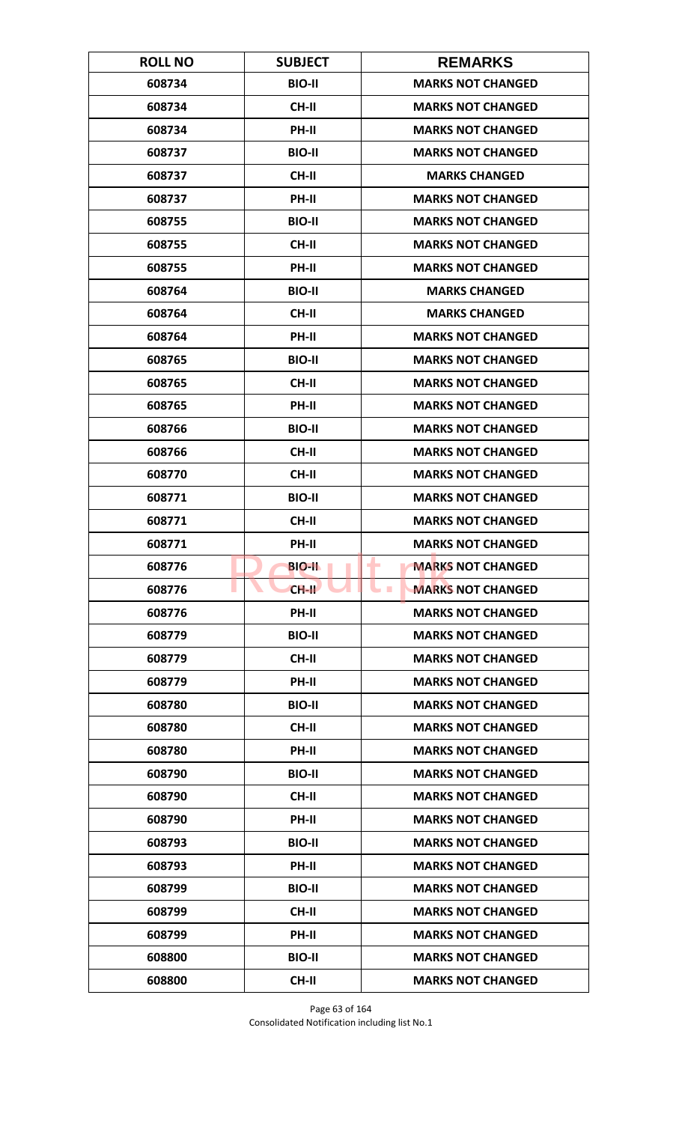| <b>ROLL NO</b> | <b>SUBJECT</b> | <b>REMARKS</b>                       |
|----------------|----------------|--------------------------------------|
| 608734         | <b>BIO-II</b>  | <b>MARKS NOT CHANGED</b>             |
| 608734         | <b>CH-II</b>   | <b>MARKS NOT CHANGED</b>             |
| 608734         | PH-II          | <b>MARKS NOT CHANGED</b>             |
| 608737         | <b>BIO-II</b>  | <b>MARKS NOT CHANGED</b>             |
| 608737         | <b>CH-II</b>   | <b>MARKS CHANGED</b>                 |
| 608737         | PH-II          | <b>MARKS NOT CHANGED</b>             |
| 608755         | <b>BIO-II</b>  | <b>MARKS NOT CHANGED</b>             |
| 608755         | <b>CH-II</b>   | <b>MARKS NOT CHANGED</b>             |
| 608755         | PH-II          | <b>MARKS NOT CHANGED</b>             |
| 608764         | <b>BIO-II</b>  | <b>MARKS CHANGED</b>                 |
| 608764         | <b>CH-II</b>   | <b>MARKS CHANGED</b>                 |
| 608764         | <b>PH-II</b>   | <b>MARKS NOT CHANGED</b>             |
| 608765         | <b>BIO-II</b>  | <b>MARKS NOT CHANGED</b>             |
| 608765         | <b>CH-II</b>   | <b>MARKS NOT CHANGED</b>             |
| 608765         | PH-II          | <b>MARKS NOT CHANGED</b>             |
| 608766         | <b>BIO-II</b>  | <b>MARKS NOT CHANGED</b>             |
| 608766         | <b>CH-II</b>   | <b>MARKS NOT CHANGED</b>             |
| 608770         | <b>CH-II</b>   | <b>MARKS NOT CHANGED</b>             |
| 608771         | <b>BIO-II</b>  | <b>MARKS NOT CHANGED</b>             |
| 608771         | <b>CH-II</b>   | <b>MARKS NOT CHANGED</b>             |
| 608771         | PH-II          | <b>MARKS NOT CHANGED</b>             |
| 608776         | <b>BIO-II</b>  | <b>MARKS NOT CHANGED</b><br>٠        |
| 608776         | $CH-H$         | <b>MARKS NOT CHANGED</b><br><b>I</b> |
| 608776         | PH-II          | <b>MARKS NOT CHANGED</b>             |
| 608779         | <b>BIO-II</b>  | <b>MARKS NOT CHANGED</b>             |
| 608779         | CH-II          | <b>MARKS NOT CHANGED</b>             |
| 608779         | PH-II          | <b>MARKS NOT CHANGED</b>             |
| 608780         | <b>BIO-II</b>  | <b>MARKS NOT CHANGED</b>             |
| 608780         | <b>CH-II</b>   | <b>MARKS NOT CHANGED</b>             |
| 608780         | <b>PH-II</b>   | <b>MARKS NOT CHANGED</b>             |
| 608790         | <b>BIO-II</b>  | <b>MARKS NOT CHANGED</b>             |
| 608790         | CH-II          | <b>MARKS NOT CHANGED</b>             |
| 608790         | PH-II          | <b>MARKS NOT CHANGED</b>             |
| 608793         | <b>BIO-II</b>  | <b>MARKS NOT CHANGED</b>             |
| 608793         | <b>PH-II</b>   | <b>MARKS NOT CHANGED</b>             |
| 608799         | <b>BIO-II</b>  | <b>MARKS NOT CHANGED</b>             |
| 608799         | CH-II          | <b>MARKS NOT CHANGED</b>             |
| 608799         | PH-II          | <b>MARKS NOT CHANGED</b>             |
| 608800         | <b>BIO-II</b>  | <b>MARKS NOT CHANGED</b>             |
| 608800         | <b>CH-II</b>   | <b>MARKS NOT CHANGED</b>             |

Page 63 of 164 Consolidated Notification including list No.1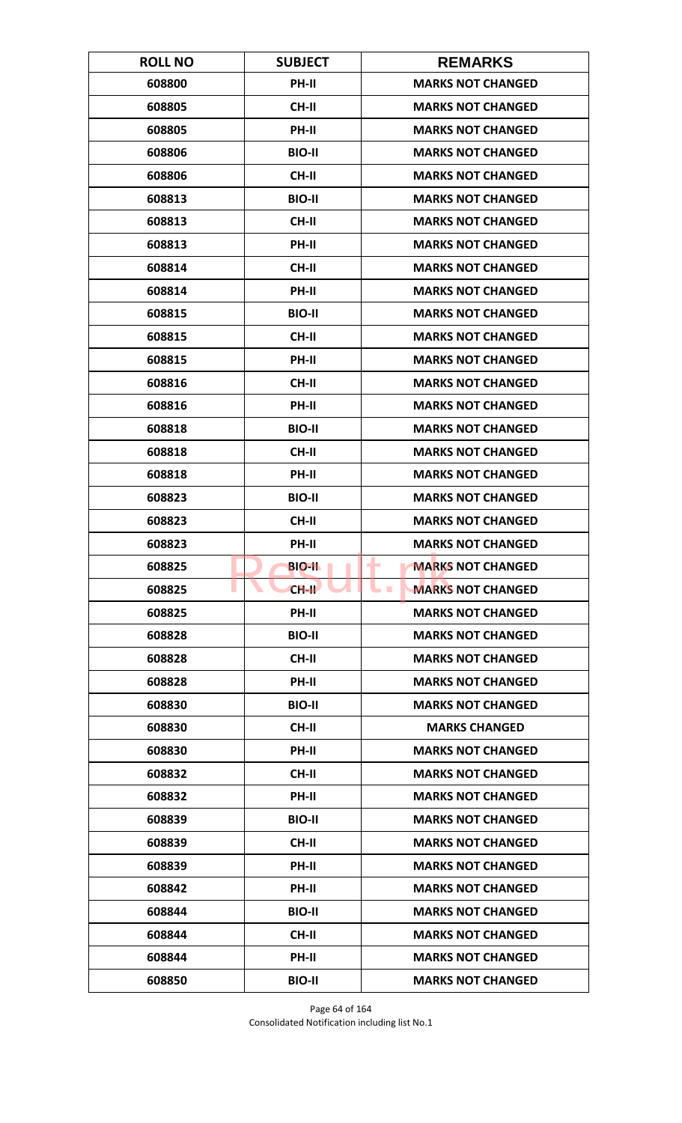| <b>ROLL NO</b> | <b>SUBJECT</b> | <b>REMARKS</b>                       |
|----------------|----------------|--------------------------------------|
| 608800         | <b>PH-II</b>   | <b>MARKS NOT CHANGED</b>             |
| 608805         | <b>CH-II</b>   | <b>MARKS NOT CHANGED</b>             |
| 608805         | PH-II          | <b>MARKS NOT CHANGED</b>             |
| 608806         | <b>BIO-II</b>  | <b>MARKS NOT CHANGED</b>             |
| 608806         | <b>CH-II</b>   | <b>MARKS NOT CHANGED</b>             |
| 608813         | <b>BIO-II</b>  | <b>MARKS NOT CHANGED</b>             |
| 608813         | <b>CH-II</b>   | <b>MARKS NOT CHANGED</b>             |
| 608813         | PH-II          | <b>MARKS NOT CHANGED</b>             |
| 608814         | <b>CH-II</b>   | <b>MARKS NOT CHANGED</b>             |
| 608814         | PH-II          | <b>MARKS NOT CHANGED</b>             |
| 608815         | <b>BIO-II</b>  | <b>MARKS NOT CHANGED</b>             |
| 608815         | <b>CH-II</b>   | <b>MARKS NOT CHANGED</b>             |
| 608815         | PH-II          | <b>MARKS NOT CHANGED</b>             |
| 608816         | <b>CH-II</b>   | <b>MARKS NOT CHANGED</b>             |
| 608816         | <b>PH-II</b>   | <b>MARKS NOT CHANGED</b>             |
| 608818         | <b>BIO-II</b>  | <b>MARKS NOT CHANGED</b>             |
| 608818         | <b>CH-II</b>   | <b>MARKS NOT CHANGED</b>             |
| 608818         | PH-II          | <b>MARKS NOT CHANGED</b>             |
| 608823         | <b>BIO-II</b>  | <b>MARKS NOT CHANGED</b>             |
| 608823         | <b>CH-II</b>   | <b>MARKS NOT CHANGED</b>             |
| 608823         | PH-II          | <b>MARKS NOT CHANGED</b>             |
| 608825         | <b>BIO-II</b>  | <b>MARKS NOT CHANGED</b><br>٠        |
| 608825         | $CH-H$         | <b>MARKS NOT CHANGED</b><br><b>I</b> |
| 608825         | <b>PH-II</b>   | <b>MARKS NOT CHANGED</b>             |
| 608828         | <b>BIO-II</b>  | <b>MARKS NOT CHANGED</b>             |
| 608828         | CH-II          | <b>MARKS NOT CHANGED</b>             |
| 608828         | PH-II          | <b>MARKS NOT CHANGED</b>             |
| 608830         | <b>BIO-II</b>  | <b>MARKS NOT CHANGED</b>             |
| 608830         | <b>CH-II</b>   | <b>MARKS CHANGED</b>                 |
| 608830         | <b>PH-II</b>   | <b>MARKS NOT CHANGED</b>             |
| 608832         | <b>CH-II</b>   | <b>MARKS NOT CHANGED</b>             |
| 608832         | PH-II          | <b>MARKS NOT CHANGED</b>             |
| 608839         | <b>BIO-II</b>  | <b>MARKS NOT CHANGED</b>             |
| 608839         | <b>CH-II</b>   | <b>MARKS NOT CHANGED</b>             |
| 608839         | <b>PH-II</b>   | <b>MARKS NOT CHANGED</b>             |
| 608842         | PH-II          | <b>MARKS NOT CHANGED</b>             |
| 608844         | <b>BIO-II</b>  | <b>MARKS NOT CHANGED</b>             |
| 608844         | <b>CH-II</b>   | <b>MARKS NOT CHANGED</b>             |
| 608844         | <b>PH-II</b>   | <b>MARKS NOT CHANGED</b>             |
| 608850         | <b>BIO-II</b>  | <b>MARKS NOT CHANGED</b>             |

Page 64 of 164 Consolidated Notification including list No.1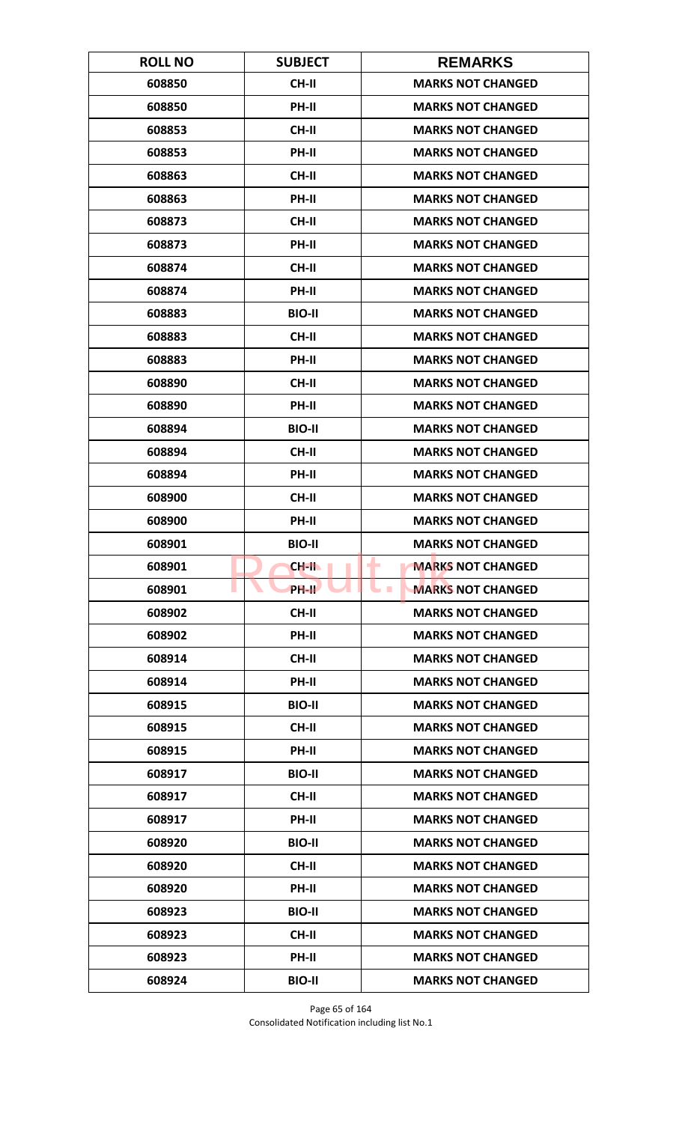| <b>ROLL NO</b> | <b>SUBJECT</b>     | <b>REMARKS</b>                       |
|----------------|--------------------|--------------------------------------|
| 608850         | <b>CH-II</b>       | <b>MARKS NOT CHANGED</b>             |
| 608850         | PH-II              | <b>MARKS NOT CHANGED</b>             |
| 608853         | <b>CH-II</b>       | <b>MARKS NOT CHANGED</b>             |
| 608853         | PH-II              | <b>MARKS NOT CHANGED</b>             |
| 608863         | <b>CH-II</b>       | <b>MARKS NOT CHANGED</b>             |
| 608863         | PH-II              | <b>MARKS NOT CHANGED</b>             |
| 608873         | <b>CH-II</b>       | <b>MARKS NOT CHANGED</b>             |
| 608873         | PH-II              | <b>MARKS NOT CHANGED</b>             |
| 608874         | <b>CH-II</b>       | <b>MARKS NOT CHANGED</b>             |
| 608874         | PH-II              | <b>MARKS NOT CHANGED</b>             |
| 608883         | <b>BIO-II</b>      | <b>MARKS NOT CHANGED</b>             |
| 608883         | <b>CH-II</b>       | <b>MARKS NOT CHANGED</b>             |
| 608883         | PH-II              | <b>MARKS NOT CHANGED</b>             |
| 608890         | <b>CH-II</b>       | <b>MARKS NOT CHANGED</b>             |
| 608890         | <b>PH-II</b>       | <b>MARKS NOT CHANGED</b>             |
| 608894         | <b>BIO-II</b>      | <b>MARKS NOT CHANGED</b>             |
| 608894         | <b>CH-II</b>       | <b>MARKS NOT CHANGED</b>             |
| 608894         | PH-II              | <b>MARKS NOT CHANGED</b>             |
| 608900         | <b>CH-II</b>       | <b>MARKS NOT CHANGED</b>             |
| 608900         | PH-II              | <b>MARKS NOT CHANGED</b>             |
| 608901         | <b>BIO-II</b>      | <b>MARKS NOT CHANGED</b>             |
| 608901         | CH-II              | <b>MARKS NOT CHANGED</b><br>٠        |
| 608901         | PH-II <sup>T</sup> | <b>MARKS NOT CHANGED</b><br><b>I</b> |
| 608902         | <b>CH-II</b>       | <b>MARKS NOT CHANGED</b>             |
| 608902         | PH-II              | <b>MARKS NOT CHANGED</b>             |
| 608914         | CH-II              | <b>MARKS NOT CHANGED</b>             |
| 608914         | PH-II              | <b>MARKS NOT CHANGED</b>             |
| 608915         | <b>BIO-II</b>      | <b>MARKS NOT CHANGED</b>             |
| 608915         | CH-II              | <b>MARKS NOT CHANGED</b>             |
| 608915         | <b>PH-II</b>       | <b>MARKS NOT CHANGED</b>             |
| 608917         | <b>BIO-II</b>      | <b>MARKS NOT CHANGED</b>             |
| 608917         | CH-II              | <b>MARKS NOT CHANGED</b>             |
| 608917         | PH-II              | <b>MARKS NOT CHANGED</b>             |
| 608920         | <b>BIO-II</b>      | <b>MARKS NOT CHANGED</b>             |
| 608920         | CH-II              | <b>MARKS NOT CHANGED</b>             |
| 608920         | PH-II              | <b>MARKS NOT CHANGED</b>             |
| 608923         | <b>BIO-II</b>      | <b>MARKS NOT CHANGED</b>             |
| 608923         | <b>CH-II</b>       | <b>MARKS NOT CHANGED</b>             |
| 608923         | <b>PH-II</b>       | <b>MARKS NOT CHANGED</b>             |
| 608924         | <b>BIO-II</b>      | <b>MARKS NOT CHANGED</b>             |

Page 65 of 164 Consolidated Notification including list No.1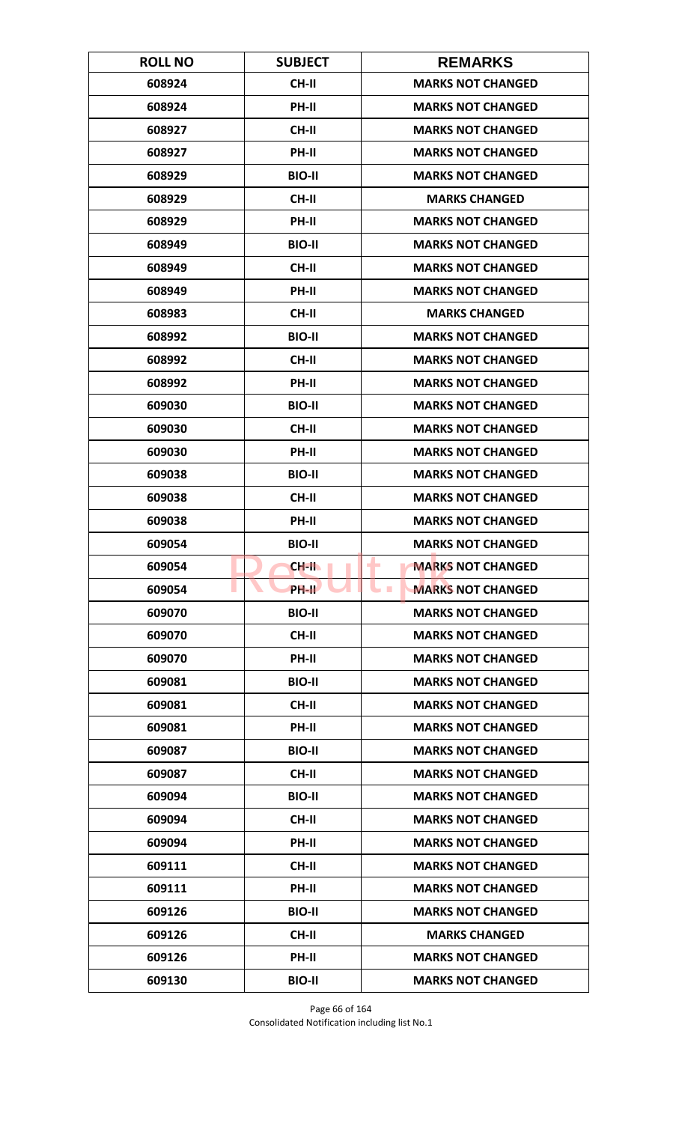| <b>ROLL NO</b> | <b>SUBJECT</b> | <b>REMARKS</b>                              |
|----------------|----------------|---------------------------------------------|
| 608924         | <b>CH-II</b>   | <b>MARKS NOT CHANGED</b>                    |
| 608924         | PH-II          | <b>MARKS NOT CHANGED</b>                    |
| 608927         | <b>CH-II</b>   | <b>MARKS NOT CHANGED</b>                    |
| 608927         | PH-II          | <b>MARKS NOT CHANGED</b>                    |
| 608929         | <b>BIO-II</b>  | <b>MARKS NOT CHANGED</b>                    |
| 608929         | <b>CH-II</b>   | <b>MARKS CHANGED</b>                        |
| 608929         | <b>PH-II</b>   | <b>MARKS NOT CHANGED</b>                    |
| 608949         | <b>BIO-II</b>  | <b>MARKS NOT CHANGED</b>                    |
| 608949         | <b>CH-II</b>   | <b>MARKS NOT CHANGED</b>                    |
| 608949         | PH-II          | <b>MARKS NOT CHANGED</b>                    |
| 608983         | <b>CH-II</b>   | <b>MARKS CHANGED</b>                        |
| 608992         | <b>BIO-II</b>  | <b>MARKS NOT CHANGED</b>                    |
| 608992         | <b>CH-II</b>   | <b>MARKS NOT CHANGED</b>                    |
| 608992         | PH-II          | <b>MARKS NOT CHANGED</b>                    |
| 609030         | <b>BIO-II</b>  | <b>MARKS NOT CHANGED</b>                    |
| 609030         | <b>CH-II</b>   | <b>MARKS NOT CHANGED</b>                    |
| 609030         | PH-II          | <b>MARKS NOT CHANGED</b>                    |
| 609038         | <b>BIO-II</b>  | <b>MARKS NOT CHANGED</b>                    |
| 609038         | <b>CH-II</b>   | <b>MARKS NOT CHANGED</b>                    |
| 609038         | PH-II          | <b>MARKS NOT CHANGED</b>                    |
| 609054         | <b>BIO-II</b>  | <b>MARKS NOT CHANGED</b>                    |
| 609054         | CH-II          | <b>MARKS NOT CHANGED</b><br>۰               |
| 609054         | <b>PH-II</b>   | <b>MARKS NOT CHANGED</b><br><b>Contract</b> |
| 609070         | <b>BIO-II</b>  | <b>MARKS NOT CHANGED</b>                    |
| 609070         | CH-II          | <b>MARKS NOT CHANGED</b>                    |
| 609070         | PH-II          | <b>MARKS NOT CHANGED</b>                    |
| 609081         | <b>BIO-II</b>  | <b>MARKS NOT CHANGED</b>                    |
| 609081         | <b>CH-II</b>   | <b>MARKS NOT CHANGED</b>                    |
| 609081         | PH-II          | <b>MARKS NOT CHANGED</b>                    |
| 609087         | <b>BIO-II</b>  | <b>MARKS NOT CHANGED</b>                    |
| 609087         | <b>CH-II</b>   | <b>MARKS NOT CHANGED</b>                    |
| 609094         | <b>BIO-II</b>  | <b>MARKS NOT CHANGED</b>                    |
| 609094         | <b>CH-II</b>   | <b>MARKS NOT CHANGED</b>                    |
| 609094         | <b>PH-II</b>   | <b>MARKS NOT CHANGED</b>                    |
| 609111         | <b>CH-II</b>   | <b>MARKS NOT CHANGED</b>                    |
| 609111         | PH-II          | <b>MARKS NOT CHANGED</b>                    |
| 609126         | <b>BIO-II</b>  | <b>MARKS NOT CHANGED</b>                    |
| 609126         | <b>CH-II</b>   | <b>MARKS CHANGED</b>                        |
| 609126         | <b>PH-II</b>   | <b>MARKS NOT CHANGED</b>                    |
| 609130         | <b>BIO-II</b>  | <b>MARKS NOT CHANGED</b>                    |

Page 66 of 164 Consolidated Notification including list No.1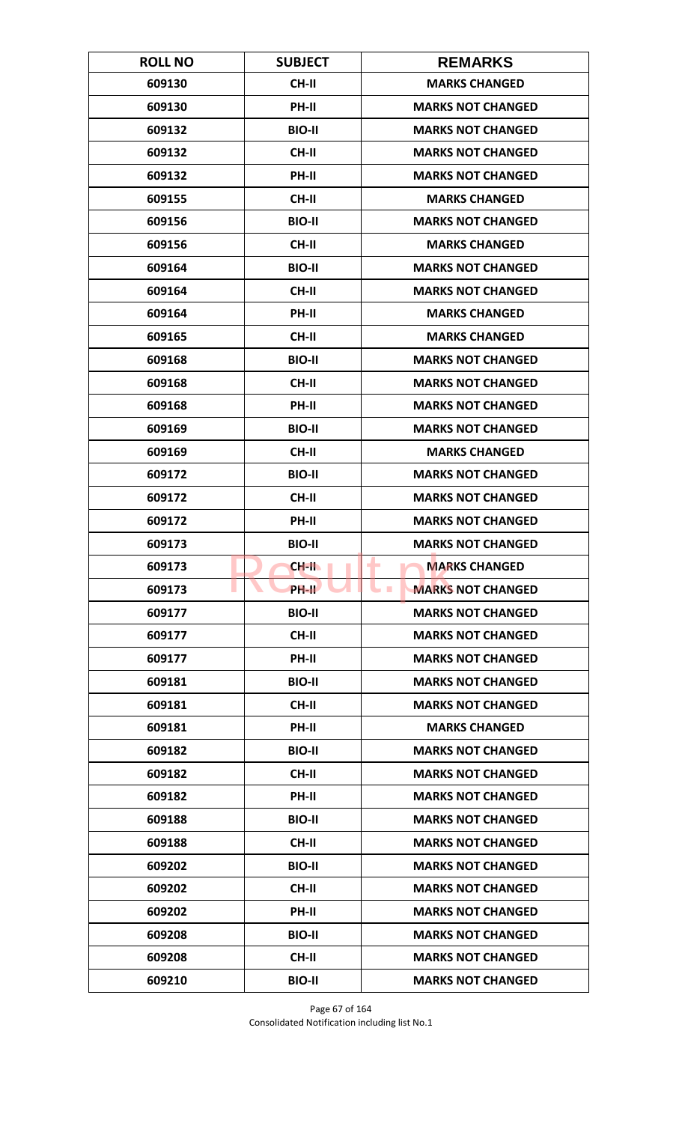| <b>ROLL NO</b> | <b>SUBJECT</b>     | <b>REMARKS</b>                       |
|----------------|--------------------|--------------------------------------|
| 609130         | <b>CH-II</b>       | <b>MARKS CHANGED</b>                 |
| 609130         | PH-II              | <b>MARKS NOT CHANGED</b>             |
| 609132         | <b>BIO-II</b>      | <b>MARKS NOT CHANGED</b>             |
| 609132         | <b>CH-II</b>       | <b>MARKS NOT CHANGED</b>             |
| 609132         | PH-II              | <b>MARKS NOT CHANGED</b>             |
| 609155         | <b>CH-II</b>       | <b>MARKS CHANGED</b>                 |
| 609156         | <b>BIO-II</b>      | <b>MARKS NOT CHANGED</b>             |
| 609156         | <b>CH-II</b>       | <b>MARKS CHANGED</b>                 |
| 609164         | <b>BIO-II</b>      | <b>MARKS NOT CHANGED</b>             |
| 609164         | CH-II              | <b>MARKS NOT CHANGED</b>             |
| 609164         | PH-II              | <b>MARKS CHANGED</b>                 |
| 609165         | <b>CH-II</b>       | <b>MARKS CHANGED</b>                 |
| 609168         | <b>BIO-II</b>      | <b>MARKS NOT CHANGED</b>             |
| 609168         | <b>CH-II</b>       | <b>MARKS NOT CHANGED</b>             |
| 609168         | PH-II              | <b>MARKS NOT CHANGED</b>             |
| 609169         | <b>BIO-II</b>      | <b>MARKS NOT CHANGED</b>             |
| 609169         | <b>CH-II</b>       | <b>MARKS CHANGED</b>                 |
| 609172         | <b>BIO-II</b>      | <b>MARKS NOT CHANGED</b>             |
| 609172         | <b>CH-II</b>       | <b>MARKS NOT CHANGED</b>             |
| 609172         | PH-II              | <b>MARKS NOT CHANGED</b>             |
| 609173         | <b>BIO-II</b>      | <b>MARKS NOT CHANGED</b>             |
| 609173         | CH-II              | <b>MARKS CHANGED</b><br>٠            |
| 609173         | PH-II <sup>T</sup> | <b>MARKS NOT CHANGED</b><br><b>I</b> |
| 609177         | <b>BIO-II</b>      | <b>MARKS NOT CHANGED</b>             |
| 609177         | CH-II              | <b>MARKS NOT CHANGED</b>             |
| 609177         | PH-II              | <b>MARKS NOT CHANGED</b>             |
| 609181         | <b>BIO-II</b>      | <b>MARKS NOT CHANGED</b>             |
| 609181         | <b>CH-II</b>       | <b>MARKS NOT CHANGED</b>             |
| 609181         | PH-II              | <b>MARKS CHANGED</b>                 |
| 609182         | <b>BIO-II</b>      | <b>MARKS NOT CHANGED</b>             |
| 609182         | <b>CH-II</b>       | <b>MARKS NOT CHANGED</b>             |
| 609182         | PH-II              | <b>MARKS NOT CHANGED</b>             |
| 609188         | <b>BIO-II</b>      | <b>MARKS NOT CHANGED</b>             |
| 609188         | CH-II              | <b>MARKS NOT CHANGED</b>             |
| 609202         | <b>BIO-II</b>      | <b>MARKS NOT CHANGED</b>             |
| 609202         | CH-II              | <b>MARKS NOT CHANGED</b>             |
| 609202         | PH-II              | <b>MARKS NOT CHANGED</b>             |
| 609208         | <b>BIO-II</b>      | <b>MARKS NOT CHANGED</b>             |
| 609208         | <b>CH-II</b>       | <b>MARKS NOT CHANGED</b>             |
| 609210         | <b>BIO-II</b>      | <b>MARKS NOT CHANGED</b>             |

Page 67 of 164 Consolidated Notification including list No.1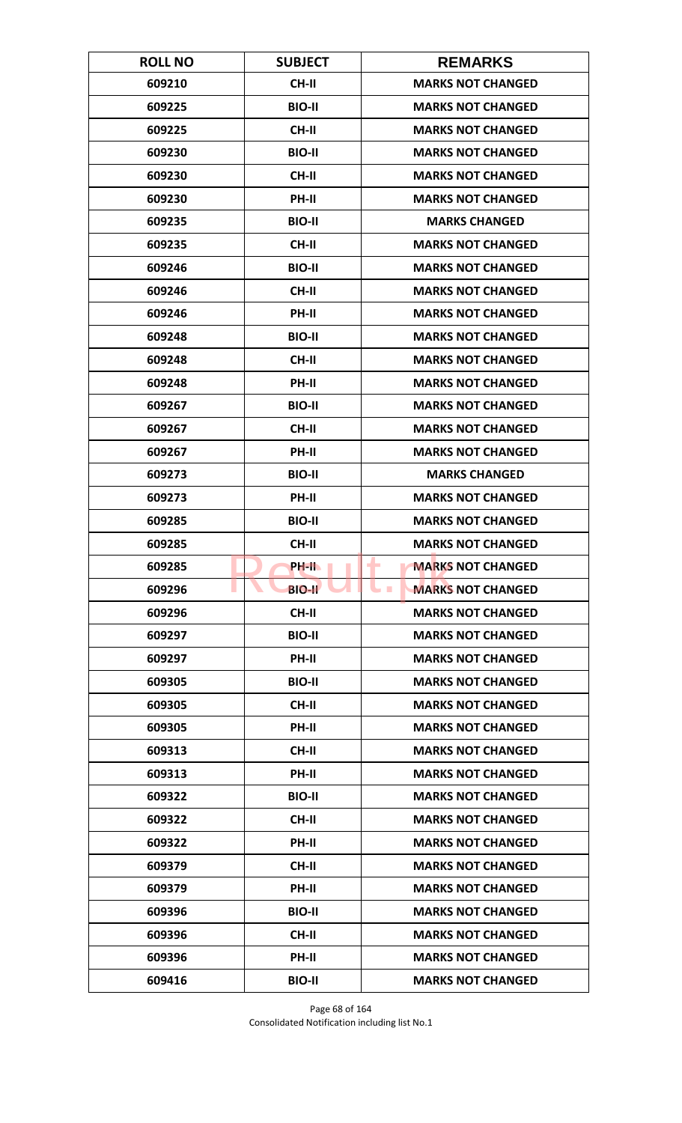| <b>ROLL NO</b> | <b>SUBJECT</b> | <b>REMARKS</b>                       |
|----------------|----------------|--------------------------------------|
| 609210         | <b>CH-II</b>   | <b>MARKS NOT CHANGED</b>             |
| 609225         | <b>BIO-II</b>  | <b>MARKS NOT CHANGED</b>             |
| 609225         | <b>CH-II</b>   | <b>MARKS NOT CHANGED</b>             |
| 609230         | <b>BIO-II</b>  | <b>MARKS NOT CHANGED</b>             |
| 609230         | <b>CH-II</b>   | <b>MARKS NOT CHANGED</b>             |
| 609230         | PH-II          | <b>MARKS NOT CHANGED</b>             |
| 609235         | <b>BIO-II</b>  | <b>MARKS CHANGED</b>                 |
| 609235         | <b>CH-II</b>   | <b>MARKS NOT CHANGED</b>             |
| 609246         | <b>BIO-II</b>  | <b>MARKS NOT CHANGED</b>             |
| 609246         | CH-II          | <b>MARKS NOT CHANGED</b>             |
| 609246         | PH-II          | <b>MARKS NOT CHANGED</b>             |
| 609248         | <b>BIO-II</b>  | <b>MARKS NOT CHANGED</b>             |
| 609248         | <b>CH-II</b>   | <b>MARKS NOT CHANGED</b>             |
| 609248         | PH-II          | <b>MARKS NOT CHANGED</b>             |
| 609267         | <b>BIO-II</b>  | <b>MARKS NOT CHANGED</b>             |
| 609267         | <b>CH-II</b>   | <b>MARKS NOT CHANGED</b>             |
| 609267         | PH-II          | <b>MARKS NOT CHANGED</b>             |
| 609273         | <b>BIO-II</b>  | <b>MARKS CHANGED</b>                 |
| 609273         | <b>PH-II</b>   | <b>MARKS NOT CHANGED</b>             |
| 609285         | <b>BIO-II</b>  | <b>MARKS NOT CHANGED</b>             |
| 609285         | <b>CH-II</b>   | <b>MARKS NOT CHANGED</b>             |
| 609285         | PH-IL          | <b>MARKS NOT CHANGED</b><br>٠        |
| 609296         | <b>BIO-II</b>  | <b>MARKS NOT CHANGED</b><br><b>I</b> |
| 609296         | CH-II          | <b>MARKS NOT CHANGED</b>             |
| 609297         | <b>BIO-II</b>  | <b>MARKS NOT CHANGED</b>             |
| 609297         | PH-II          | <b>MARKS NOT CHANGED</b>             |
| 609305         | <b>BIO-II</b>  | <b>MARKS NOT CHANGED</b>             |
| 609305         | <b>CH-II</b>   | <b>MARKS NOT CHANGED</b>             |
| 609305         | PH-II          | <b>MARKS NOT CHANGED</b>             |
| 609313         | <b>CH-II</b>   | <b>MARKS NOT CHANGED</b>             |
| 609313         | <b>PH-II</b>   | <b>MARKS NOT CHANGED</b>             |
| 609322         | <b>BIO-II</b>  | <b>MARKS NOT CHANGED</b>             |
| 609322         | CH-II          | <b>MARKS NOT CHANGED</b>             |
| 609322         | PH-II          | <b>MARKS NOT CHANGED</b>             |
| 609379         | CH-II          | <b>MARKS NOT CHANGED</b>             |
| 609379         | PH-II          | <b>MARKS NOT CHANGED</b>             |
| 609396         | <b>BIO-II</b>  | <b>MARKS NOT CHANGED</b>             |
| 609396         | <b>CH-II</b>   | <b>MARKS NOT CHANGED</b>             |
| 609396         | <b>PH-II</b>   | <b>MARKS NOT CHANGED</b>             |
| 609416         | <b>BIO-II</b>  | <b>MARKS NOT CHANGED</b>             |

Page 68 of 164 Consolidated Notification including list No.1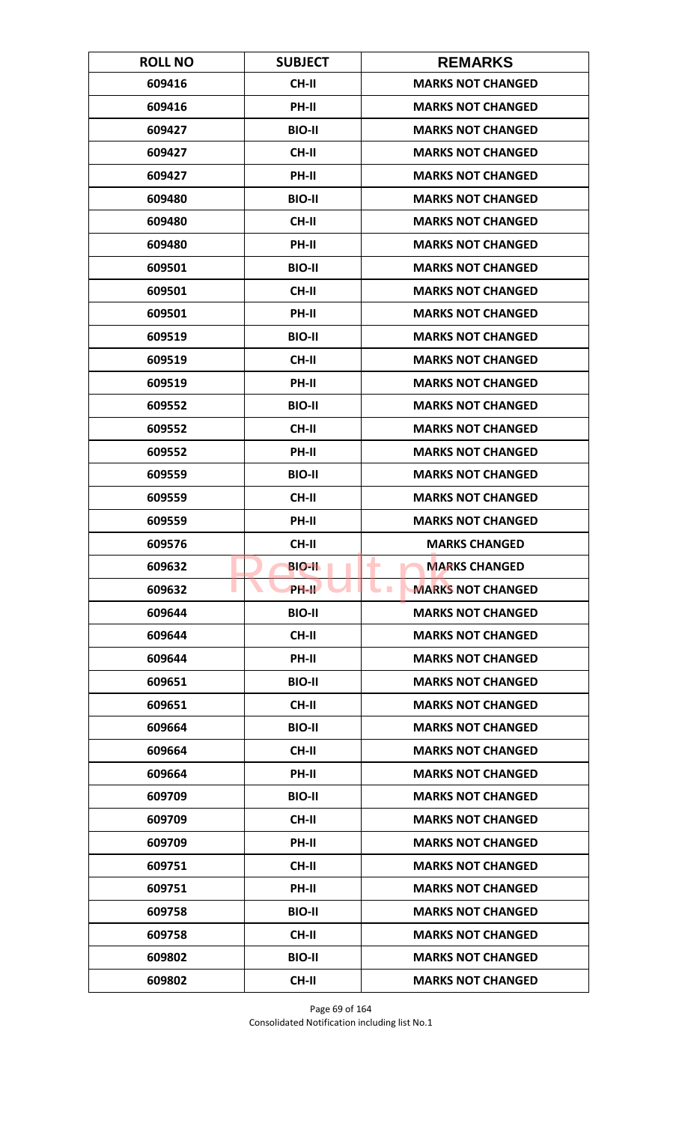| <b>ROLL NO</b> | <b>SUBJECT</b> | <b>REMARKS</b>                              |
|----------------|----------------|---------------------------------------------|
| 609416         | <b>CH-II</b>   | <b>MARKS NOT CHANGED</b>                    |
| 609416         | PH-II          | <b>MARKS NOT CHANGED</b>                    |
| 609427         | <b>BIO-II</b>  | <b>MARKS NOT CHANGED</b>                    |
| 609427         | <b>CH-II</b>   | <b>MARKS NOT CHANGED</b>                    |
| 609427         | <b>PH-II</b>   | <b>MARKS NOT CHANGED</b>                    |
| 609480         | <b>BIO-II</b>  | <b>MARKS NOT CHANGED</b>                    |
| 609480         | <b>CH-II</b>   | <b>MARKS NOT CHANGED</b>                    |
| 609480         | PH-II          | <b>MARKS NOT CHANGED</b>                    |
| 609501         | <b>BIO-II</b>  | <b>MARKS NOT CHANGED</b>                    |
| 609501         | <b>CH-II</b>   | <b>MARKS NOT CHANGED</b>                    |
| 609501         | PH-II          | <b>MARKS NOT CHANGED</b>                    |
| 609519         | <b>BIO-II</b>  | <b>MARKS NOT CHANGED</b>                    |
| 609519         | <b>CH-II</b>   | <b>MARKS NOT CHANGED</b>                    |
| 609519         | PH-II          | <b>MARKS NOT CHANGED</b>                    |
| 609552         | <b>BIO-II</b>  | <b>MARKS NOT CHANGED</b>                    |
| 609552         | <b>CH-II</b>   | <b>MARKS NOT CHANGED</b>                    |
| 609552         | PH-II          | <b>MARKS NOT CHANGED</b>                    |
| 609559         | <b>BIO-II</b>  | <b>MARKS NOT CHANGED</b>                    |
| 609559         | <b>CH-II</b>   | <b>MARKS NOT CHANGED</b>                    |
| 609559         | PH-II          | <b>MARKS NOT CHANGED</b>                    |
| 609576         | <b>CH-II</b>   | <b>MARKS CHANGED</b>                        |
| 609632         | <b>BIO-II</b>  | ٠<br><b>MARKS CHANGED</b>                   |
| 609632         | PH-II          | <b>MARKS NOT CHANGED</b><br><b>Contract</b> |
| 609644         | <b>BIO-II</b>  | <b>MARKS NOT CHANGED</b>                    |
| 609644         | <b>CH-II</b>   | <b>MARKS NOT CHANGED</b>                    |
| 609644         | PH-II          | <b>MARKS NOT CHANGED</b>                    |
| 609651         | <b>BIO-II</b>  | <b>MARKS NOT CHANGED</b>                    |
| 609651         | <b>CH-II</b>   | <b>MARKS NOT CHANGED</b>                    |
| 609664         | <b>BIO-II</b>  | <b>MARKS NOT CHANGED</b>                    |
| 609664         | <b>CH-II</b>   | <b>MARKS NOT CHANGED</b>                    |
| 609664         | PH-II          | <b>MARKS NOT CHANGED</b>                    |
| 609709         | <b>BIO-II</b>  | <b>MARKS NOT CHANGED</b>                    |
| 609709         | <b>CH-II</b>   | <b>MARKS NOT CHANGED</b>                    |
| 609709         | <b>PH-II</b>   | <b>MARKS NOT CHANGED</b>                    |
| 609751         | <b>CH-II</b>   | <b>MARKS NOT CHANGED</b>                    |
| 609751         | PH-II          | <b>MARKS NOT CHANGED</b>                    |
| 609758         | <b>BIO-II</b>  | <b>MARKS NOT CHANGED</b>                    |
| 609758         | <b>CH-II</b>   | <b>MARKS NOT CHANGED</b>                    |
| 609802         | <b>BIO-II</b>  | <b>MARKS NOT CHANGED</b>                    |
| 609802         | <b>CH-II</b>   | <b>MARKS NOT CHANGED</b>                    |

Page 69 of 164 Consolidated Notification including list No.1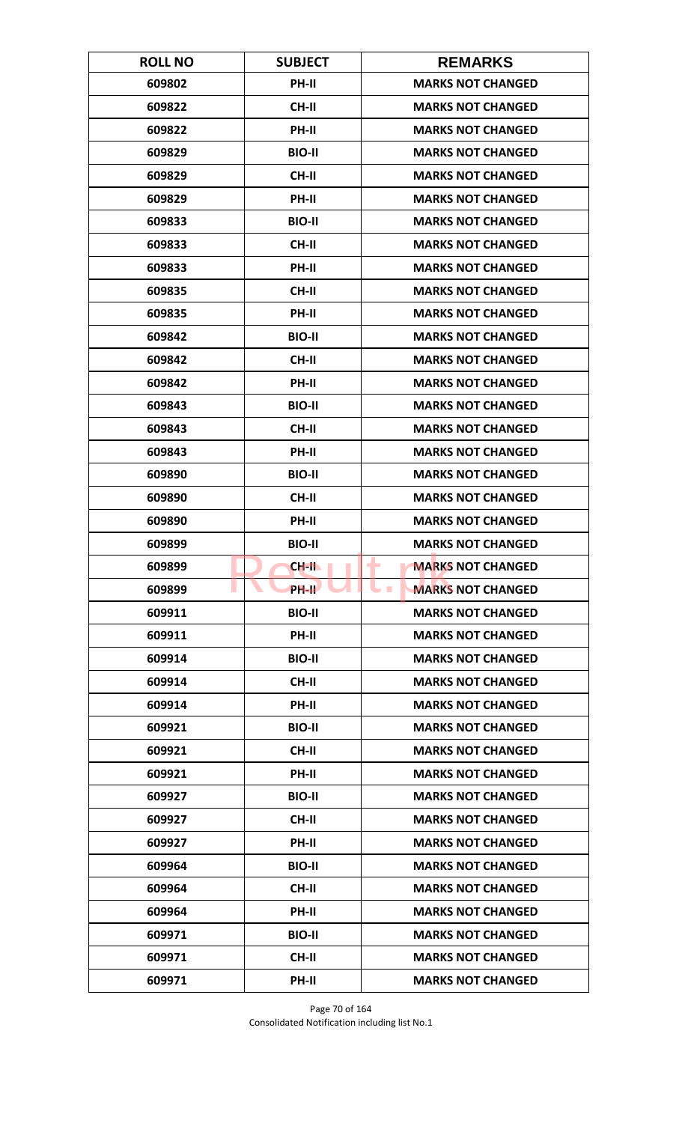| <b>ROLL NO</b> | <b>SUBJECT</b>     | <b>REMARKS</b>                       |
|----------------|--------------------|--------------------------------------|
| 609802         | <b>PH-II</b>       | <b>MARKS NOT CHANGED</b>             |
| 609822         | <b>CH-II</b>       | <b>MARKS NOT CHANGED</b>             |
| 609822         | PH-II              | <b>MARKS NOT CHANGED</b>             |
| 609829         | <b>BIO-II</b>      | <b>MARKS NOT CHANGED</b>             |
| 609829         | <b>CH-II</b>       | <b>MARKS NOT CHANGED</b>             |
| 609829         | PH-II              | <b>MARKS NOT CHANGED</b>             |
| 609833         | <b>BIO-II</b>      | <b>MARKS NOT CHANGED</b>             |
| 609833         | <b>CH-II</b>       | <b>MARKS NOT CHANGED</b>             |
| 609833         | PH-II              | <b>MARKS NOT CHANGED</b>             |
| 609835         | CH-II              | <b>MARKS NOT CHANGED</b>             |
| 609835         | PH-II              | <b>MARKS NOT CHANGED</b>             |
| 609842         | <b>BIO-II</b>      | <b>MARKS NOT CHANGED</b>             |
| 609842         | <b>CH-II</b>       | <b>MARKS NOT CHANGED</b>             |
| 609842         | PH-II              | <b>MARKS NOT CHANGED</b>             |
| 609843         | <b>BIO-II</b>      | <b>MARKS NOT CHANGED</b>             |
| 609843         | <b>CH-II</b>       | <b>MARKS NOT CHANGED</b>             |
| 609843         | PH-II              | <b>MARKS NOT CHANGED</b>             |
| 609890         | <b>BIO-II</b>      | <b>MARKS NOT CHANGED</b>             |
| 609890         | <b>CH-II</b>       | <b>MARKS NOT CHANGED</b>             |
| 609890         | PH-II              | <b>MARKS NOT CHANGED</b>             |
| 609899         | <b>BIO-II</b>      | <b>MARKS NOT CHANGED</b>             |
| 609899         | CH-II              | <b>MARKS NOT CHANGED</b><br>٠        |
| 609899         | PH-II <sup>T</sup> | <b>MARKS NOT CHANGED</b><br><b>I</b> |
| 609911         | <b>BIO-II</b>      | <b>MARKS NOT CHANGED</b>             |
| 609911         | PH-II              | <b>MARKS NOT CHANGED</b>             |
| 609914         | <b>BIO-II</b>      | <b>MARKS NOT CHANGED</b>             |
| 609914         | CH-II              | <b>MARKS NOT CHANGED</b>             |
| 609914         | PH-II              | <b>MARKS NOT CHANGED</b>             |
| 609921         | <b>BIO-II</b>      | <b>MARKS NOT CHANGED</b>             |
| 609921         | <b>CH-II</b>       | <b>MARKS NOT CHANGED</b>             |
| 609921         | <b>PH-II</b>       | <b>MARKS NOT CHANGED</b>             |
| 609927         | <b>BIO-II</b>      | <b>MARKS NOT CHANGED</b>             |
| 609927         | CH-II              | <b>MARKS NOT CHANGED</b>             |
| 609927         | PH-II              | <b>MARKS NOT CHANGED</b>             |
| 609964         | <b>BIO-II</b>      | <b>MARKS NOT CHANGED</b>             |
| 609964         | CH-II              | <b>MARKS NOT CHANGED</b>             |
| 609964         | PH-II              | <b>MARKS NOT CHANGED</b>             |
| 609971         | <b>BIO-II</b>      | <b>MARKS NOT CHANGED</b>             |
| 609971         | CH-II              | <b>MARKS NOT CHANGED</b>             |
| 609971         | PH-II              | <b>MARKS NOT CHANGED</b>             |

Page 70 of 164 Consolidated Notification including list No.1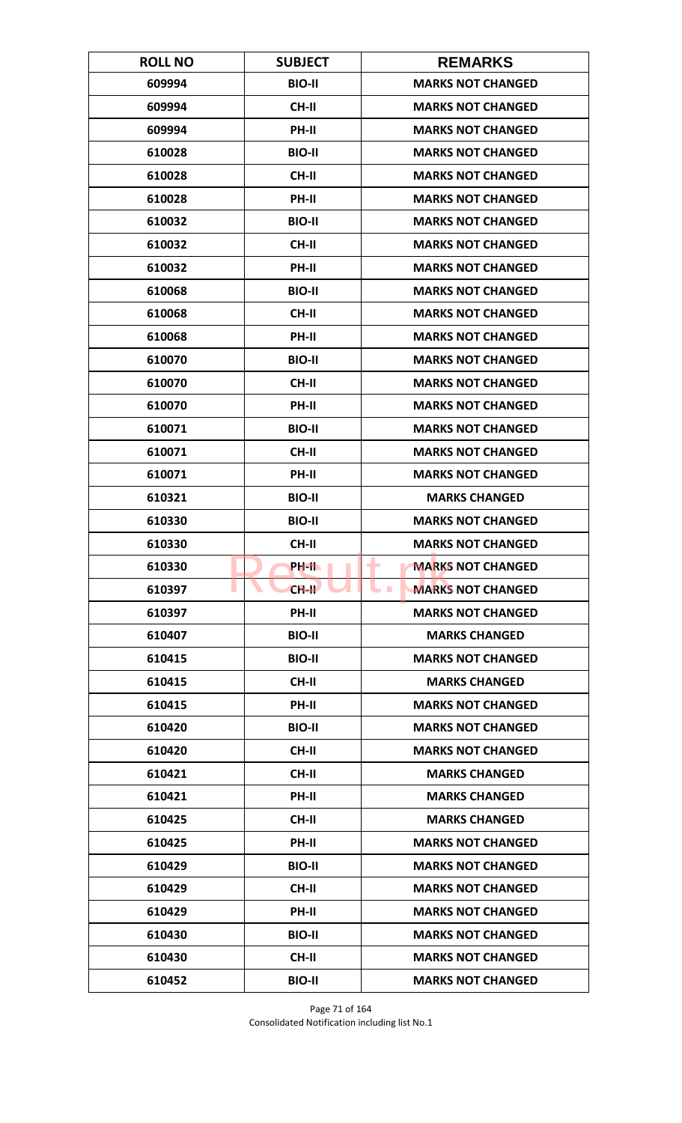| <b>ROLL NO</b> | <b>SUBJECT</b> | <b>REMARKS</b>                               |
|----------------|----------------|----------------------------------------------|
| 609994         | <b>BIO-II</b>  | <b>MARKS NOT CHANGED</b>                     |
| 609994         | <b>CH-II</b>   | <b>MARKS NOT CHANGED</b>                     |
| 609994         | PH-II          | <b>MARKS NOT CHANGED</b>                     |
| 610028         | <b>BIO-II</b>  | <b>MARKS NOT CHANGED</b>                     |
| 610028         | <b>CH-II</b>   | <b>MARKS NOT CHANGED</b>                     |
| 610028         | PH-II          | <b>MARKS NOT CHANGED</b>                     |
| 610032         | <b>BIO-II</b>  | <b>MARKS NOT CHANGED</b>                     |
| 610032         | <b>CH-II</b>   | <b>MARKS NOT CHANGED</b>                     |
| 610032         | PH-II          | <b>MARKS NOT CHANGED</b>                     |
| 610068         | <b>BIO-II</b>  | <b>MARKS NOT CHANGED</b>                     |
| 610068         | <b>CH-II</b>   | <b>MARKS NOT CHANGED</b>                     |
| 610068         | <b>PH-II</b>   | <b>MARKS NOT CHANGED</b>                     |
| 610070         | <b>BIO-II</b>  | <b>MARKS NOT CHANGED</b>                     |
| 610070         | <b>CH-II</b>   | <b>MARKS NOT CHANGED</b>                     |
| 610070         | <b>PH-II</b>   | <b>MARKS NOT CHANGED</b>                     |
| 610071         | <b>BIO-II</b>  | <b>MARKS NOT CHANGED</b>                     |
| 610071         | <b>CH-II</b>   | <b>MARKS NOT CHANGED</b>                     |
| 610071         | PH-II          | <b>MARKS NOT CHANGED</b>                     |
| 610321         | <b>BIO-II</b>  | <b>MARKS CHANGED</b>                         |
| 610330         | <b>BIO-II</b>  | <b>MARKS NOT CHANGED</b>                     |
| 610330         | <b>CH-II</b>   | <b>MARKS NOT CHANGED</b>                     |
| 610330         | PH-IL          | <b>MARKS NOT CHANGED</b><br>٠                |
| 610397         | $CH-H$         | <b>MARKS NOT CHANGED</b><br><b>The State</b> |
| 610397         | PH-II          | <b>MARKS NOT CHANGED</b>                     |
| 610407         | <b>BIO-II</b>  | <b>MARKS CHANGED</b>                         |
| 610415         | <b>BIO-II</b>  | <b>MARKS NOT CHANGED</b>                     |
| 610415         | CH-II          | <b>MARKS CHANGED</b>                         |
| 610415         | PH-II          | <b>MARKS NOT CHANGED</b>                     |
| 610420         | <b>BIO-II</b>  | <b>MARKS NOT CHANGED</b>                     |
| 610420         | <b>CH-II</b>   | <b>MARKS NOT CHANGED</b>                     |
| 610421         | <b>CH-II</b>   | <b>MARKS CHANGED</b>                         |
| 610421         | PH-II          | <b>MARKS CHANGED</b>                         |
| 610425         | <b>CH-II</b>   | <b>MARKS CHANGED</b>                         |
| 610425         | PH-II          | <b>MARKS NOT CHANGED</b>                     |
| 610429         | <b>BIO-II</b>  | <b>MARKS NOT CHANGED</b>                     |
| 610429         | CH-II          | <b>MARKS NOT CHANGED</b>                     |
| 610429         | PH-II          | <b>MARKS NOT CHANGED</b>                     |
| 610430         | <b>BIO-II</b>  | <b>MARKS NOT CHANGED</b>                     |
| 610430         | CH-II          | <b>MARKS NOT CHANGED</b>                     |
| 610452         | <b>BIO-II</b>  | <b>MARKS NOT CHANGED</b>                     |

Page 71 of 164 Consolidated Notification including list No.1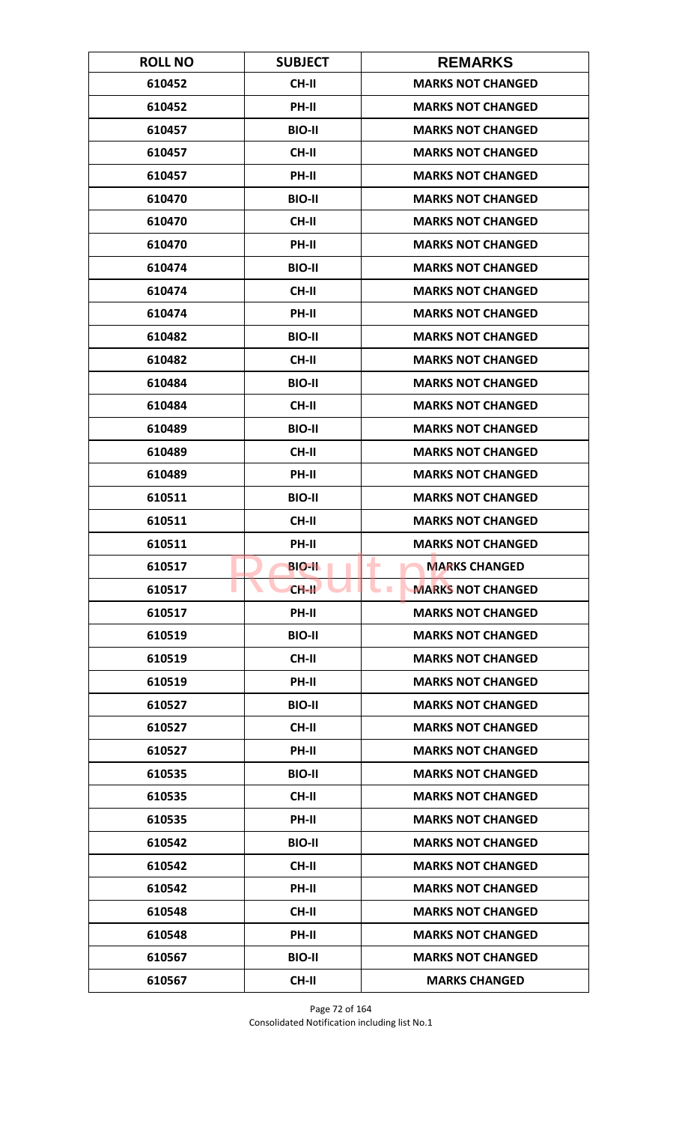| <b>ROLL NO</b> | <b>SUBJECT</b> | <b>REMARKS</b>                         |
|----------------|----------------|----------------------------------------|
| 610452         | <b>CH-II</b>   | <b>MARKS NOT CHANGED</b>               |
| 610452         | PH-II          | <b>MARKS NOT CHANGED</b>               |
| 610457         | <b>BIO-II</b>  | <b>MARKS NOT CHANGED</b>               |
| 610457         | <b>CH-II</b>   | <b>MARKS NOT CHANGED</b>               |
| 610457         | PH-II          | <b>MARKS NOT CHANGED</b>               |
| 610470         | <b>BIO-II</b>  | <b>MARKS NOT CHANGED</b>               |
| 610470         | <b>CH-II</b>   | <b>MARKS NOT CHANGED</b>               |
| 610470         | PH-II          | <b>MARKS NOT CHANGED</b>               |
| 610474         | <b>BIO-II</b>  | <b>MARKS NOT CHANGED</b>               |
| 610474         | CH-II          | <b>MARKS NOT CHANGED</b>               |
| 610474         | PH-II          | <b>MARKS NOT CHANGED</b>               |
| 610482         | <b>BIO-II</b>  | <b>MARKS NOT CHANGED</b>               |
| 610482         | <b>CH-II</b>   | <b>MARKS NOT CHANGED</b>               |
| 610484         | <b>BIO-II</b>  | <b>MARKS NOT CHANGED</b>               |
| 610484         | <b>CH-II</b>   | <b>MARKS NOT CHANGED</b>               |
| 610489         | <b>BIO-II</b>  | <b>MARKS NOT CHANGED</b>               |
| 610489         | <b>CH-II</b>   | <b>MARKS NOT CHANGED</b>               |
| 610489         | PH-II          | <b>MARKS NOT CHANGED</b>               |
| 610511         | <b>BIO-II</b>  | <b>MARKS NOT CHANGED</b>               |
| 610511         | <b>CH-II</b>   | <b>MARKS NOT CHANGED</b>               |
| 610511         | PH-II          | <b>MARKS NOT CHANGED</b>               |
| 610517         | <b>BIO-II</b>  | <b>MARKS CHANGED</b><br>٠              |
| 610517         | $CH-H$         | <b>MARKS NOT CHANGED</b><br><b>COL</b> |
| 610517         | PH-II          | <b>MARKS NOT CHANGED</b>               |
| 610519         | <b>BIO-II</b>  | <b>MARKS NOT CHANGED</b>               |
| 610519         | CH-II          | <b>MARKS NOT CHANGED</b>               |
| 610519         | PH-II          | <b>MARKS NOT CHANGED</b>               |
| 610527         | <b>BIO-II</b>  | <b>MARKS NOT CHANGED</b>               |
| 610527         | <b>CH-II</b>   | <b>MARKS NOT CHANGED</b>               |
| 610527         | <b>PH-II</b>   | <b>MARKS NOT CHANGED</b>               |
| 610535         | <b>BIO-II</b>  | <b>MARKS NOT CHANGED</b>               |
| 610535         | CH-II          | <b>MARKS NOT CHANGED</b>               |
| 610535         | PH-II          | <b>MARKS NOT CHANGED</b>               |
| 610542         | <b>BIO-II</b>  | <b>MARKS NOT CHANGED</b>               |
| 610542         | <b>CH-II</b>   | <b>MARKS NOT CHANGED</b>               |
| 610542         | PH-II          | <b>MARKS NOT CHANGED</b>               |
| 610548         | CH-II          | <b>MARKS NOT CHANGED</b>               |
| 610548         | PH-II          | <b>MARKS NOT CHANGED</b>               |
| 610567         | <b>BIO-II</b>  | <b>MARKS NOT CHANGED</b>               |
| 610567         | CH-II          | <b>MARKS CHANGED</b>                   |

Page 72 of 164 Consolidated Notification including list No.1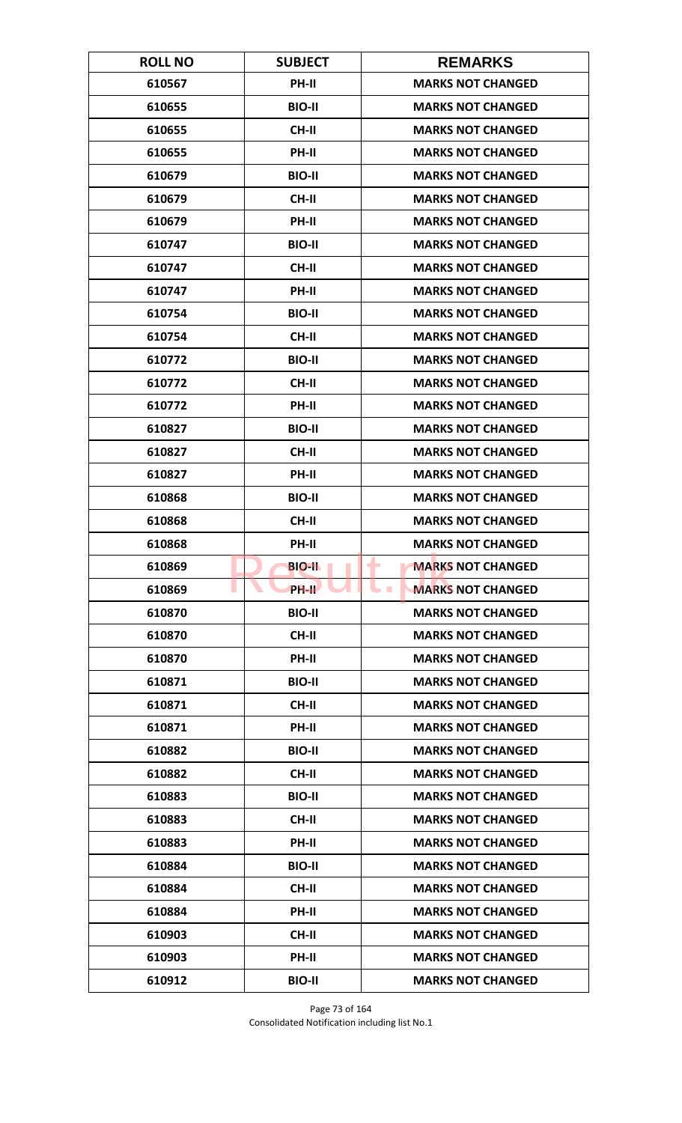| <b>ROLL NO</b> | <b>SUBJECT</b> | <b>REMARKS</b>                               |
|----------------|----------------|----------------------------------------------|
| 610567         | PH-II          | <b>MARKS NOT CHANGED</b>                     |
| 610655         | <b>BIO-II</b>  | <b>MARKS NOT CHANGED</b>                     |
| 610655         | <b>CH-II</b>   | <b>MARKS NOT CHANGED</b>                     |
| 610655         | PH-II          | <b>MARKS NOT CHANGED</b>                     |
| 610679         | <b>BIO-II</b>  | <b>MARKS NOT CHANGED</b>                     |
| 610679         | <b>CH-II</b>   | <b>MARKS NOT CHANGED</b>                     |
| 610679         | <b>PH-II</b>   | <b>MARKS NOT CHANGED</b>                     |
| 610747         | <b>BIO-II</b>  | <b>MARKS NOT CHANGED</b>                     |
| 610747         | <b>CH-II</b>   | <b>MARKS NOT CHANGED</b>                     |
| 610747         | PH-II          | <b>MARKS NOT CHANGED</b>                     |
| 610754         | <b>BIO-II</b>  | <b>MARKS NOT CHANGED</b>                     |
| 610754         | <b>CH-II</b>   | <b>MARKS NOT CHANGED</b>                     |
| 610772         | <b>BIO-II</b>  | <b>MARKS NOT CHANGED</b>                     |
| 610772         | <b>CH-II</b>   | <b>MARKS NOT CHANGED</b>                     |
| 610772         | PH-II          | <b>MARKS NOT CHANGED</b>                     |
| 610827         | <b>BIO-II</b>  | <b>MARKS NOT CHANGED</b>                     |
| 610827         | <b>CH-II</b>   | <b>MARKS NOT CHANGED</b>                     |
| 610827         | PH-II          | <b>MARKS NOT CHANGED</b>                     |
| 610868         | <b>BIO-II</b>  | <b>MARKS NOT CHANGED</b>                     |
| 610868         | <b>CH-II</b>   | <b>MARKS NOT CHANGED</b>                     |
| 610868         | PH-II          | <b>MARKS NOT CHANGED</b>                     |
| 610869         | <b>BIO-II</b>  | <b>MARKS NOT CHANGED</b><br>٠                |
| 610869         | PH-II          | <b>MARKS NOT CHANGED</b><br><b>The State</b> |
| 610870         | <b>BIO-II</b>  | <b>MARKS NOT CHANGED</b>                     |
| 610870         | CH-II          | <b>MARKS NOT CHANGED</b>                     |
| 610870         | PH-II          | <b>MARKS NOT CHANGED</b>                     |
| 610871         | <b>BIO-II</b>  | <b>MARKS NOT CHANGED</b>                     |
| 610871         | <b>CH-II</b>   | <b>MARKS NOT CHANGED</b>                     |
| 610871         | PH-II          | <b>MARKS NOT CHANGED</b>                     |
| 610882         | <b>BIO-II</b>  | <b>MARKS NOT CHANGED</b>                     |
| 610882         | <b>CH-II</b>   | <b>MARKS NOT CHANGED</b>                     |
| 610883         | <b>BIO-II</b>  | <b>MARKS NOT CHANGED</b>                     |
| 610883         | CH-II          | <b>MARKS NOT CHANGED</b>                     |
| 610883         | PH-II          | <b>MARKS NOT CHANGED</b>                     |
| 610884         | <b>BIO-II</b>  | <b>MARKS NOT CHANGED</b>                     |
| 610884         | CH-II          | <b>MARKS NOT CHANGED</b>                     |
| 610884         | PH-II          | <b>MARKS NOT CHANGED</b>                     |
| 610903         | <b>CH-II</b>   | <b>MARKS NOT CHANGED</b>                     |
| 610903         | <b>PH-II</b>   | <b>MARKS NOT CHANGED</b>                     |
| 610912         | <b>BIO-II</b>  | <b>MARKS NOT CHANGED</b>                     |

Page 73 of 164 Consolidated Notification including list No.1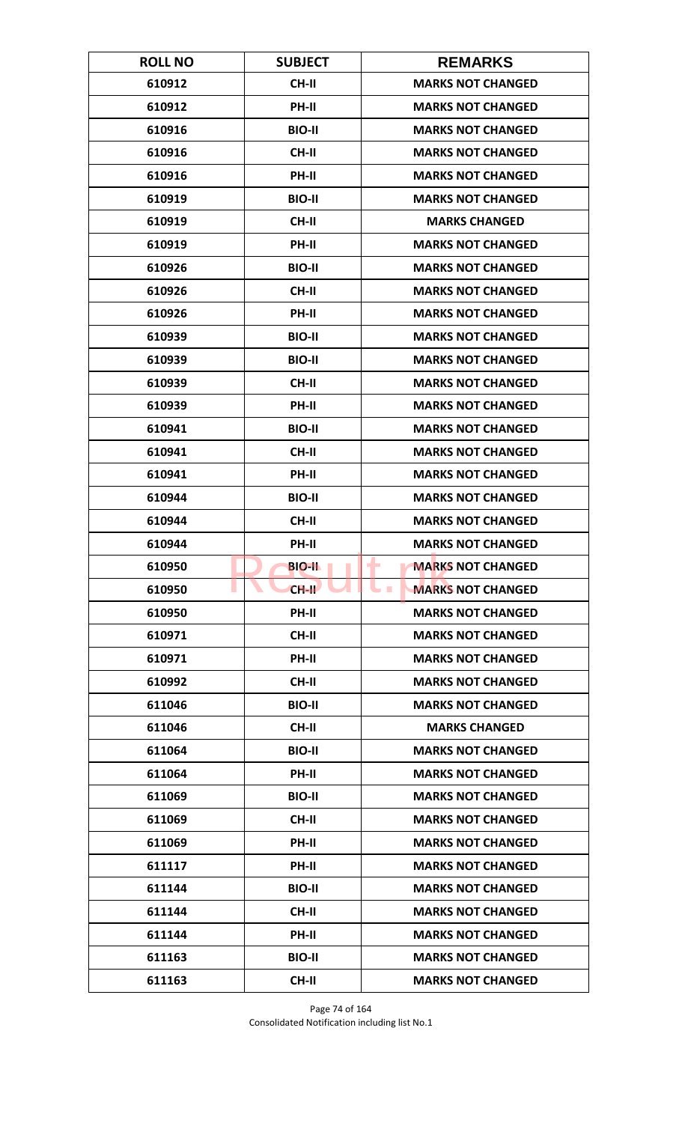| <b>ROLL NO</b> | <b>SUBJECT</b> | <b>REMARKS</b>                              |
|----------------|----------------|---------------------------------------------|
| 610912         | <b>CH-II</b>   | <b>MARKS NOT CHANGED</b>                    |
| 610912         | PH-II          | <b>MARKS NOT CHANGED</b>                    |
| 610916         | <b>BIO-II</b>  | <b>MARKS NOT CHANGED</b>                    |
| 610916         | <b>CH-II</b>   | <b>MARKS NOT CHANGED</b>                    |
| 610916         | PH-II          | <b>MARKS NOT CHANGED</b>                    |
| 610919         | <b>BIO-II</b>  | <b>MARKS NOT CHANGED</b>                    |
| 610919         | CH-II          | <b>MARKS CHANGED</b>                        |
| 610919         | PH-II          | <b>MARKS NOT CHANGED</b>                    |
| 610926         | <b>BIO-II</b>  | <b>MARKS NOT CHANGED</b>                    |
| 610926         | CH-II          | <b>MARKS NOT CHANGED</b>                    |
| 610926         | PH-II          | <b>MARKS NOT CHANGED</b>                    |
| 610939         | <b>BIO-II</b>  | <b>MARKS NOT CHANGED</b>                    |
| 610939         | <b>BIO-II</b>  | <b>MARKS NOT CHANGED</b>                    |
| 610939         | CH-II          | <b>MARKS NOT CHANGED</b>                    |
| 610939         | PH-II          | <b>MARKS NOT CHANGED</b>                    |
| 610941         | <b>BIO-II</b>  | <b>MARKS NOT CHANGED</b>                    |
| 610941         | <b>CH-II</b>   | <b>MARKS NOT CHANGED</b>                    |
| 610941         | PH-II          | <b>MARKS NOT CHANGED</b>                    |
| 610944         | <b>BIO-II</b>  | <b>MARKS NOT CHANGED</b>                    |
| 610944         | <b>CH-II</b>   | <b>MARKS NOT CHANGED</b>                    |
| 610944         | PH-II          | <b>MARKS NOT CHANGED</b>                    |
| 610950         | <b>BIO-IL</b>  | <b>MARKS NOT CHANGED</b><br>۰               |
| 610950         | $CH-H$         | <b>MARKS NOT CHANGED</b><br><b>Contract</b> |
| 610950         | PH-II          | <b>MARKS NOT CHANGED</b>                    |
| 610971         | <b>CH-II</b>   | <b>MARKS NOT CHANGED</b>                    |
| 610971         | PH-II          | <b>MARKS NOT CHANGED</b>                    |
| 610992         | CH-II          | <b>MARKS NOT CHANGED</b>                    |
| 611046         | <b>BIO-II</b>  | <b>MARKS NOT CHANGED</b>                    |
| 611046         | <b>CH-II</b>   | <b>MARKS CHANGED</b>                        |
| 611064         | <b>BIO-II</b>  | <b>MARKS NOT CHANGED</b>                    |
| 611064         | <b>PH-II</b>   | <b>MARKS NOT CHANGED</b>                    |
| 611069         | <b>BIO-II</b>  | <b>MARKS NOT CHANGED</b>                    |
| 611069         | CH-II          | <b>MARKS NOT CHANGED</b>                    |
| 611069         | <b>PH-II</b>   | <b>MARKS NOT CHANGED</b>                    |
| 611117         | <b>PH-II</b>   | <b>MARKS NOT CHANGED</b>                    |
| 611144         | <b>BIO-II</b>  | <b>MARKS NOT CHANGED</b>                    |
| 611144         | CH-II          | <b>MARKS NOT CHANGED</b>                    |
| 611144         | PH-II          | <b>MARKS NOT CHANGED</b>                    |
| 611163         | <b>BIO-II</b>  | <b>MARKS NOT CHANGED</b>                    |
| 611163         | <b>CH-II</b>   | <b>MARKS NOT CHANGED</b>                    |

Page 74 of 164 Consolidated Notification including list No.1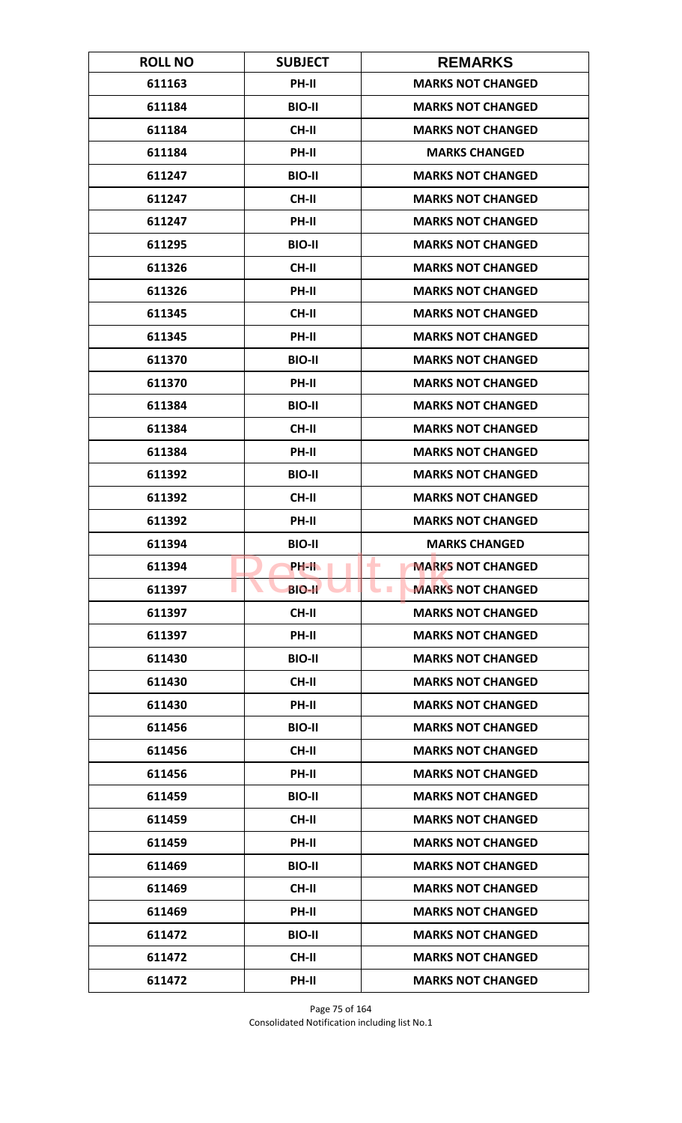| <b>ROLL NO</b> | <b>SUBJECT</b> | <b>REMARKS</b>                         |
|----------------|----------------|----------------------------------------|
| 611163         | PH-II          | <b>MARKS NOT CHANGED</b>               |
| 611184         | <b>BIO-II</b>  | <b>MARKS NOT CHANGED</b>               |
| 611184         | CH-II          | <b>MARKS NOT CHANGED</b>               |
| 611184         | PH-II          | <b>MARKS CHANGED</b>                   |
| 611247         | <b>BIO-II</b>  | <b>MARKS NOT CHANGED</b>               |
| 611247         | <b>CH-II</b>   | <b>MARKS NOT CHANGED</b>               |
| 611247         | PH-II          | <b>MARKS NOT CHANGED</b>               |
| 611295         | <b>BIO-II</b>  | <b>MARKS NOT CHANGED</b>               |
| 611326         | <b>CH-II</b>   | <b>MARKS NOT CHANGED</b>               |
| 611326         | PH-II          | <b>MARKS NOT CHANGED</b>               |
| 611345         | <b>CH-II</b>   | <b>MARKS NOT CHANGED</b>               |
| 611345         | <b>PH-II</b>   | <b>MARKS NOT CHANGED</b>               |
| 611370         | <b>BIO-II</b>  | <b>MARKS NOT CHANGED</b>               |
| 611370         | PH-II          | <b>MARKS NOT CHANGED</b>               |
| 611384         | <b>BIO-II</b>  | <b>MARKS NOT CHANGED</b>               |
| 611384         | <b>CH-II</b>   | <b>MARKS NOT CHANGED</b>               |
| 611384         | PH-II          | <b>MARKS NOT CHANGED</b>               |
| 611392         | <b>BIO-II</b>  | <b>MARKS NOT CHANGED</b>               |
| 611392         | <b>CH-II</b>   | <b>MARKS NOT CHANGED</b>               |
| 611392         | PH-II          | <b>MARKS NOT CHANGED</b>               |
| 611394         | <b>BIO-II</b>  | <b>MARKS CHANGED</b>                   |
| 611394         | PH-II.         | ÷<br><b>MARKS NOT CHANGED</b>          |
| 611397         | <b>BIO-II</b>  | <b>MARKS NOT CHANGED</b><br><b>COL</b> |
| 611397         | CH-II          | <b>MARKS NOT CHANGED</b>               |
| 611397         | PH-II          | <b>MARKS NOT CHANGED</b>               |
| 611430         | <b>BIO-II</b>  | <b>MARKS NOT CHANGED</b>               |
| 611430         | CH-II          | <b>MARKS NOT CHANGED</b>               |
| 611430         | PH-II          | <b>MARKS NOT CHANGED</b>               |
| 611456         | <b>BIO-II</b>  | <b>MARKS NOT CHANGED</b>               |
| 611456         | <b>CH-II</b>   | <b>MARKS NOT CHANGED</b>               |
| 611456         | PH-II          | <b>MARKS NOT CHANGED</b>               |
| 611459         | <b>BIO-II</b>  | <b>MARKS NOT CHANGED</b>               |
| 611459         | CH-II          | <b>MARKS NOT CHANGED</b>               |
| 611459         | PH-II          | <b>MARKS NOT CHANGED</b>               |
| 611469         | <b>BIO-II</b>  | <b>MARKS NOT CHANGED</b>               |
| 611469         | CH-II          | <b>MARKS NOT CHANGED</b>               |
| 611469         | PH-II          | <b>MARKS NOT CHANGED</b>               |
| 611472         | <b>BIO-II</b>  | <b>MARKS NOT CHANGED</b>               |
| 611472         | CH-II          | <b>MARKS NOT CHANGED</b>               |
| 611472         | PH-II          | <b>MARKS NOT CHANGED</b>               |

Page 75 of 164 Consolidated Notification including list No.1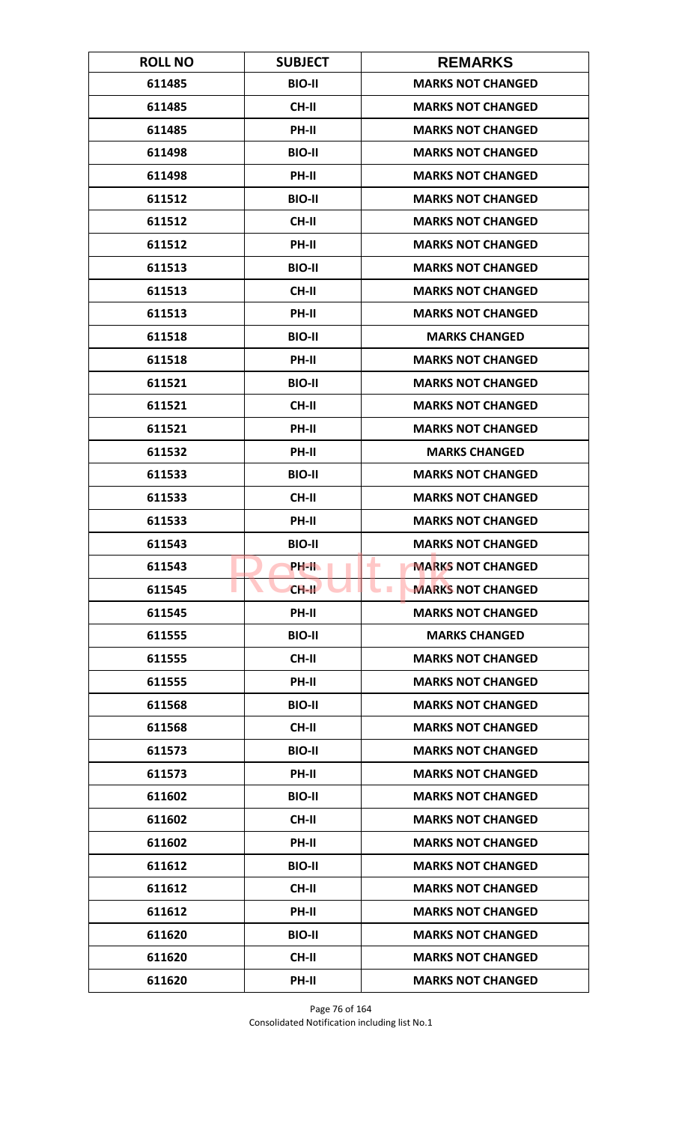| <b>ROLL NO</b> | <b>SUBJECT</b> | <b>REMARKS</b>                             |
|----------------|----------------|--------------------------------------------|
| 611485         | <b>BIO-II</b>  | <b>MARKS NOT CHANGED</b>                   |
| 611485         | CH-II          | <b>MARKS NOT CHANGED</b>                   |
| 611485         | PH-II          | <b>MARKS NOT CHANGED</b>                   |
| 611498         | <b>BIO-II</b>  | <b>MARKS NOT CHANGED</b>                   |
| 611498         | <b>PH-II</b>   | <b>MARKS NOT CHANGED</b>                   |
| 611512         | <b>BIO-II</b>  | <b>MARKS NOT CHANGED</b>                   |
| 611512         | <b>CH-II</b>   | <b>MARKS NOT CHANGED</b>                   |
| 611512         | PH-II          | <b>MARKS NOT CHANGED</b>                   |
| 611513         | <b>BIO-II</b>  | <b>MARKS NOT CHANGED</b>                   |
| 611513         | CH-II          | <b>MARKS NOT CHANGED</b>                   |
| 611513         | PH-II          | <b>MARKS NOT CHANGED</b>                   |
| 611518         | <b>BIO-II</b>  | <b>MARKS CHANGED</b>                       |
| 611518         | PH-II          | <b>MARKS NOT CHANGED</b>                   |
| 611521         | <b>BIO-II</b>  | <b>MARKS NOT CHANGED</b>                   |
| 611521         | <b>CH-II</b>   | <b>MARKS NOT CHANGED</b>                   |
| 611521         | PH-II          | <b>MARKS NOT CHANGED</b>                   |
| 611532         | PH-II          | <b>MARKS CHANGED</b>                       |
| 611533         | <b>BIO-II</b>  | <b>MARKS NOT CHANGED</b>                   |
| 611533         | <b>CH-II</b>   | <b>MARKS NOT CHANGED</b>                   |
| 611533         | PH-II          | <b>MARKS NOT CHANGED</b>                   |
| 611543         | <b>BIO-II</b>  | <b>MARKS NOT CHANGED</b>                   |
| 611543         | PH-II.         | ۰<br><b>MARKS NOT CHANGED</b>              |
| 611545         | $CH-H$         | <b>MARKS NOT CHANGED</b><br><b>College</b> |
| 611545         | PH-II          | <b>MARKS NOT CHANGED</b>                   |
| 611555         | <b>BIO-II</b>  | <b>MARKS CHANGED</b>                       |
| 611555         | CH-II          | <b>MARKS NOT CHANGED</b>                   |
| 611555         | PH-II          | <b>MARKS NOT CHANGED</b>                   |
| 611568         | <b>BIO-II</b>  | <b>MARKS NOT CHANGED</b>                   |
| 611568         | CH-II          | <b>MARKS NOT CHANGED</b>                   |
| 611573         | <b>BIO-II</b>  | <b>MARKS NOT CHANGED</b>                   |
| 611573         | PH-II          | <b>MARKS NOT CHANGED</b>                   |
| 611602         | <b>BIO-II</b>  | <b>MARKS NOT CHANGED</b>                   |
| 611602         | CH-II          | <b>MARKS NOT CHANGED</b>                   |
| 611602         | PH-II          | <b>MARKS NOT CHANGED</b>                   |
| 611612         | <b>BIO-II</b>  | <b>MARKS NOT CHANGED</b>                   |
| 611612         | CH-II          | <b>MARKS NOT CHANGED</b>                   |
| 611612         | PH-II          | <b>MARKS NOT CHANGED</b>                   |
| 611620         | <b>BIO-II</b>  | <b>MARKS NOT CHANGED</b>                   |
| 611620         | CH-II          | <b>MARKS NOT CHANGED</b>                   |
| 611620         | PH-II          | <b>MARKS NOT CHANGED</b>                   |

Page 76 of 164 Consolidated Notification including list No.1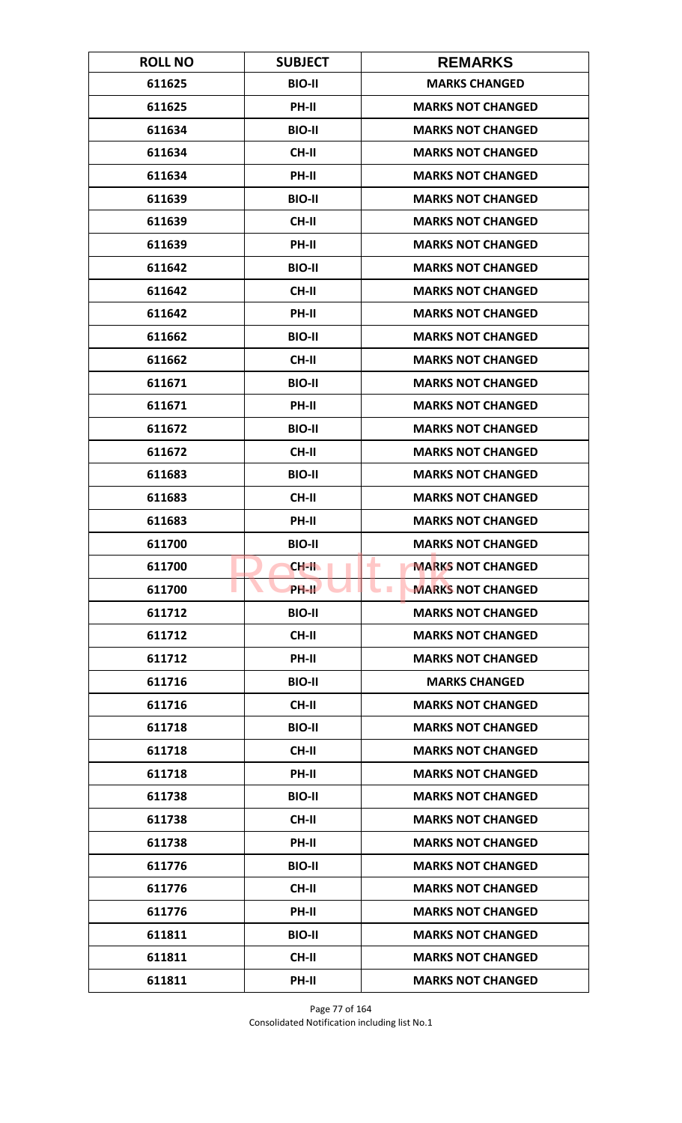| <b>ROLL NO</b> | <b>SUBJECT</b> | <b>REMARKS</b>                         |
|----------------|----------------|----------------------------------------|
| 611625         | <b>BIO-II</b>  | <b>MARKS CHANGED</b>                   |
| 611625         | PH-II          | <b>MARKS NOT CHANGED</b>               |
| 611634         | <b>BIO-II</b>  | <b>MARKS NOT CHANGED</b>               |
| 611634         | <b>CH-II</b>   | <b>MARKS NOT CHANGED</b>               |
| 611634         | <b>PH-II</b>   | <b>MARKS NOT CHANGED</b>               |
| 611639         | <b>BIO-II</b>  | <b>MARKS NOT CHANGED</b>               |
| 611639         | <b>CH-II</b>   | <b>MARKS NOT CHANGED</b>               |
| 611639         | PH-II          | <b>MARKS NOT CHANGED</b>               |
| 611642         | <b>BIO-II</b>  | <b>MARKS NOT CHANGED</b>               |
| 611642         | CH-II          | <b>MARKS NOT CHANGED</b>               |
| 611642         | PH-II          | <b>MARKS NOT CHANGED</b>               |
| 611662         | <b>BIO-II</b>  | <b>MARKS NOT CHANGED</b>               |
| 611662         | <b>CH-II</b>   | <b>MARKS NOT CHANGED</b>               |
| 611671         | <b>BIO-II</b>  | <b>MARKS NOT CHANGED</b>               |
| 611671         | PH-II          | <b>MARKS NOT CHANGED</b>               |
| 611672         | <b>BIO-II</b>  | <b>MARKS NOT CHANGED</b>               |
| 611672         | CH-II          | <b>MARKS NOT CHANGED</b>               |
| 611683         | <b>BIO-II</b>  | <b>MARKS NOT CHANGED</b>               |
| 611683         | <b>CH-II</b>   | <b>MARKS NOT CHANGED</b>               |
| 611683         | PH-II          | <b>MARKS NOT CHANGED</b>               |
| 611700         | <b>BIO-II</b>  | <b>MARKS NOT CHANGED</b>               |
| 611700         | CH-II          | ۰<br><b>MARKS NOT CHANGED</b>          |
| 611700         | PH-II          | <b>MARKS NOT CHANGED</b><br><b>COL</b> |
| 611712         | <b>BIO-II</b>  | <b>MARKS NOT CHANGED</b>               |
| 611712         | CH-II          | <b>MARKS NOT CHANGED</b>               |
| 611712         | PH-II          | <b>MARKS NOT CHANGED</b>               |
| 611716         | <b>BIO-II</b>  | <b>MARKS CHANGED</b>                   |
| 611716         | CH-II          | <b>MARKS NOT CHANGED</b>               |
| 611718         | <b>BIO-II</b>  | <b>MARKS NOT CHANGED</b>               |
| 611718         | <b>CH-II</b>   | <b>MARKS NOT CHANGED</b>               |
| 611718         | PH-II          | <b>MARKS NOT CHANGED</b>               |
| 611738         | <b>BIO-II</b>  | <b>MARKS NOT CHANGED</b>               |
| 611738         | CH-II          | <b>MARKS NOT CHANGED</b>               |
| 611738         | PH-II          | <b>MARKS NOT CHANGED</b>               |
| 611776         | <b>BIO-II</b>  | <b>MARKS NOT CHANGED</b>               |
| 611776         | CH-II          | <b>MARKS NOT CHANGED</b>               |
| 611776         | PH-II          | <b>MARKS NOT CHANGED</b>               |
| 611811         | <b>BIO-II</b>  | <b>MARKS NOT CHANGED</b>               |
| 611811         | <b>CH-II</b>   | <b>MARKS NOT CHANGED</b>               |
| 611811         | PH-II          | <b>MARKS NOT CHANGED</b>               |

Page 77 of 164 Consolidated Notification including list No.1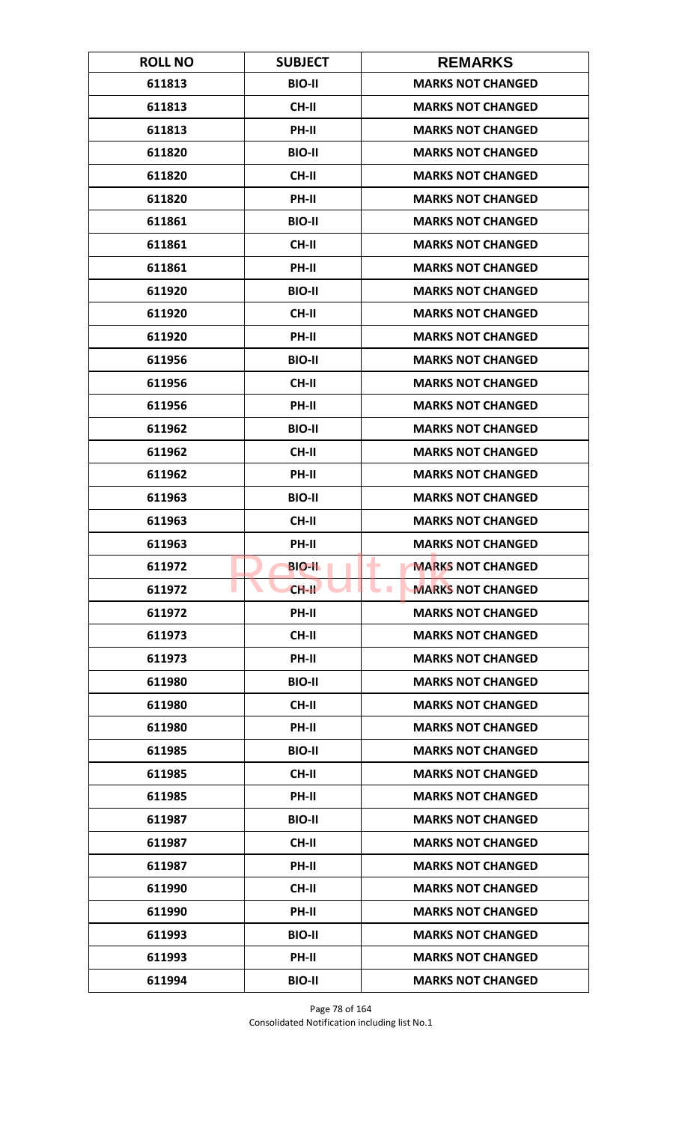| <b>ROLL NO</b> | <b>SUBJECT</b> | <b>REMARKS</b>                       |
|----------------|----------------|--------------------------------------|
| 611813         | <b>BIO-II</b>  | <b>MARKS NOT CHANGED</b>             |
| 611813         | <b>CH-II</b>   | <b>MARKS NOT CHANGED</b>             |
| 611813         | PH-II          | <b>MARKS NOT CHANGED</b>             |
| 611820         | <b>BIO-II</b>  | <b>MARKS NOT CHANGED</b>             |
| 611820         | <b>CH-II</b>   | <b>MARKS NOT CHANGED</b>             |
| 611820         | PH-II          | <b>MARKS NOT CHANGED</b>             |
| 611861         | <b>BIO-II</b>  | <b>MARKS NOT CHANGED</b>             |
| 611861         | <b>CH-II</b>   | <b>MARKS NOT CHANGED</b>             |
| 611861         | PH-II          | <b>MARKS NOT CHANGED</b>             |
| 611920         | <b>BIO-II</b>  | <b>MARKS NOT CHANGED</b>             |
| 611920         | <b>CH-II</b>   | <b>MARKS NOT CHANGED</b>             |
| 611920         | <b>PH-II</b>   | <b>MARKS NOT CHANGED</b>             |
| 611956         | <b>BIO-II</b>  | <b>MARKS NOT CHANGED</b>             |
| 611956         | <b>CH-II</b>   | <b>MARKS NOT CHANGED</b>             |
| 611956         | PH-II          | <b>MARKS NOT CHANGED</b>             |
| 611962         | <b>BIO-II</b>  | <b>MARKS NOT CHANGED</b>             |
| 611962         | <b>CH-II</b>   | <b>MARKS NOT CHANGED</b>             |
| 611962         | PH-II          | <b>MARKS NOT CHANGED</b>             |
| 611963         | <b>BIO-II</b>  | <b>MARKS NOT CHANGED</b>             |
| 611963         | <b>CH-II</b>   | <b>MARKS NOT CHANGED</b>             |
| 611963         | PH-II          | <b>MARKS NOT CHANGED</b>             |
| 611972         | <b>BIO-II</b>  | <b>MARKS NOT CHANGED</b><br>٠        |
| 611972         | $CH-H$         | <b>MARKS NOT CHANGED</b><br><b>I</b> |
| 611972         | <b>PH-II</b>   | <b>MARKS NOT CHANGED</b>             |
| 611973         | <b>CH-II</b>   | <b>MARKS NOT CHANGED</b>             |
| 611973         | PH-II          | <b>MARKS NOT CHANGED</b>             |
| 611980         | <b>BIO-II</b>  | <b>MARKS NOT CHANGED</b>             |
| 611980         | <b>CH-II</b>   | <b>MARKS NOT CHANGED</b>             |
| 611980         | PH-II          | <b>MARKS NOT CHANGED</b>             |
| 611985         | <b>BIO-II</b>  | <b>MARKS NOT CHANGED</b>             |
| 611985         | <b>CH-II</b>   | <b>MARKS NOT CHANGED</b>             |
| 611985         | PH-II          | <b>MARKS NOT CHANGED</b>             |
| 611987         | <b>BIO-II</b>  | <b>MARKS NOT CHANGED</b>             |
| 611987         | <b>CH-II</b>   | <b>MARKS NOT CHANGED</b>             |
| 611987         | <b>PH-II</b>   | <b>MARKS NOT CHANGED</b>             |
| 611990         | <b>CH-II</b>   | <b>MARKS NOT CHANGED</b>             |
| 611990         | PH-II          | <b>MARKS NOT CHANGED</b>             |
| 611993         | <b>BIO-II</b>  | <b>MARKS NOT CHANGED</b>             |
| 611993         | <b>PH-II</b>   | <b>MARKS NOT CHANGED</b>             |
| 611994         | <b>BIO-II</b>  | <b>MARKS NOT CHANGED</b>             |

Page 78 of 164 Consolidated Notification including list No.1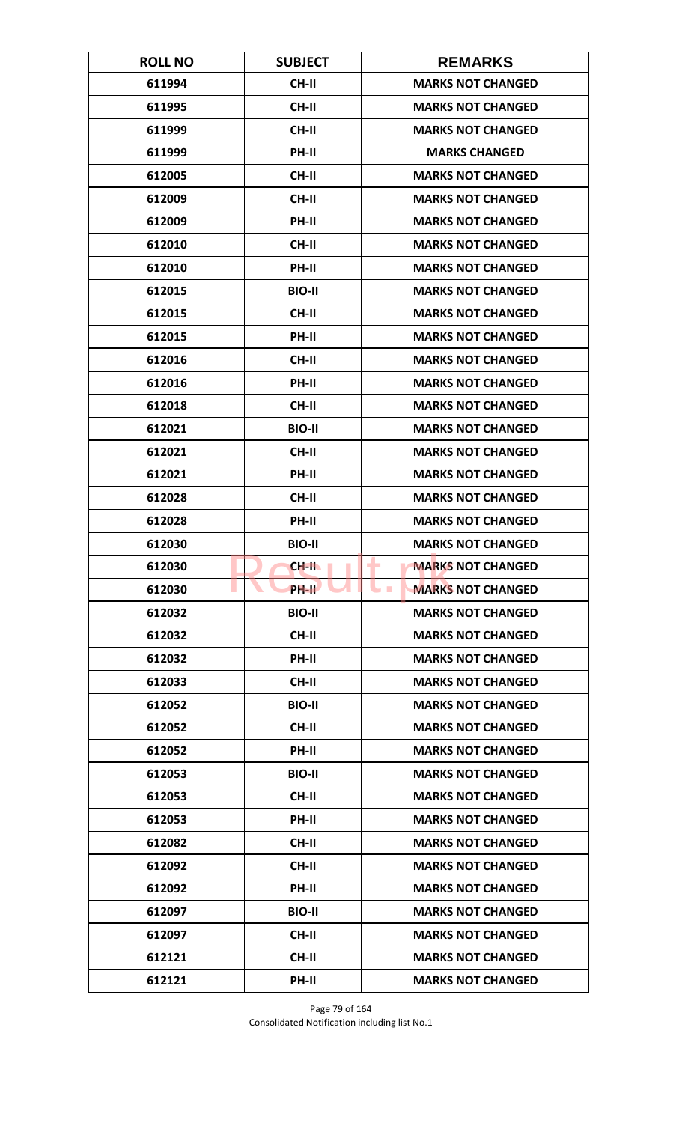| <b>ROLL NO</b> | <b>SUBJECT</b> | <b>REMARKS</b>                              |
|----------------|----------------|---------------------------------------------|
| 611994         | <b>CH-II</b>   | <b>MARKS NOT CHANGED</b>                    |
| 611995         | <b>CH-II</b>   | <b>MARKS NOT CHANGED</b>                    |
| 611999         | CH-II          | <b>MARKS NOT CHANGED</b>                    |
| 611999         | PH-II          | <b>MARKS CHANGED</b>                        |
| 612005         | <b>CH-II</b>   | <b>MARKS NOT CHANGED</b>                    |
| 612009         | <b>CH-II</b>   | <b>MARKS NOT CHANGED</b>                    |
| 612009         | PH-II          | <b>MARKS NOT CHANGED</b>                    |
| 612010         | <b>CH-II</b>   | <b>MARKS NOT CHANGED</b>                    |
| 612010         | PH-II          | <b>MARKS NOT CHANGED</b>                    |
| 612015         | <b>BIO-II</b>  | <b>MARKS NOT CHANGED</b>                    |
| 612015         | <b>CH-II</b>   | <b>MARKS NOT CHANGED</b>                    |
| 612015         | PH-II          | <b>MARKS NOT CHANGED</b>                    |
| 612016         | <b>CH-II</b>   | <b>MARKS NOT CHANGED</b>                    |
| 612016         | PH-II          | <b>MARKS NOT CHANGED</b>                    |
| 612018         | <b>CH-II</b>   | <b>MARKS NOT CHANGED</b>                    |
| 612021         | <b>BIO-II</b>  | <b>MARKS NOT CHANGED</b>                    |
| 612021         | <b>CH-II</b>   | <b>MARKS NOT CHANGED</b>                    |
| 612021         | PH-II          | <b>MARKS NOT CHANGED</b>                    |
| 612028         | <b>CH-II</b>   | <b>MARKS NOT CHANGED</b>                    |
| 612028         | PH-II          | <b>MARKS NOT CHANGED</b>                    |
| 612030         | <b>BIO-II</b>  | <b>MARKS NOT CHANGED</b>                    |
| 612030         | CH-II          | <b>MARKS NOT CHANGED</b><br>۰               |
| 612030         | PH-II          | <b>MARKS NOT CHANGED</b><br><b>Contract</b> |
| 612032         | <b>BIO-II</b>  | <b>MARKS NOT CHANGED</b>                    |
| 612032         | CH-II          | <b>MARKS NOT CHANGED</b>                    |
| 612032         | PH-II          | <b>MARKS NOT CHANGED</b>                    |
| 612033         | CH-II          | <b>MARKS NOT CHANGED</b>                    |
| 612052         | <b>BIO-II</b>  | <b>MARKS NOT CHANGED</b>                    |
| 612052         | CH-II          | <b>MARKS NOT CHANGED</b>                    |
| 612052         | PH-II          | <b>MARKS NOT CHANGED</b>                    |
| 612053         | <b>BIO-II</b>  | <b>MARKS NOT CHANGED</b>                    |
| 612053         | CH-II          | <b>MARKS NOT CHANGED</b>                    |
| 612053         | PH-II          | <b>MARKS NOT CHANGED</b>                    |
| 612082         | CH-II          | <b>MARKS NOT CHANGED</b>                    |
| 612092         | <b>CH-II</b>   | <b>MARKS NOT CHANGED</b>                    |
| 612092         | PH-II          | <b>MARKS NOT CHANGED</b>                    |
| 612097         | <b>BIO-II</b>  | <b>MARKS NOT CHANGED</b>                    |
| 612097         | <b>CH-II</b>   | <b>MARKS NOT CHANGED</b>                    |
| 612121         | <b>CH-II</b>   | <b>MARKS NOT CHANGED</b>                    |
| 612121         | PH-II          | <b>MARKS NOT CHANGED</b>                    |

Page 79 of 164 Consolidated Notification including list No.1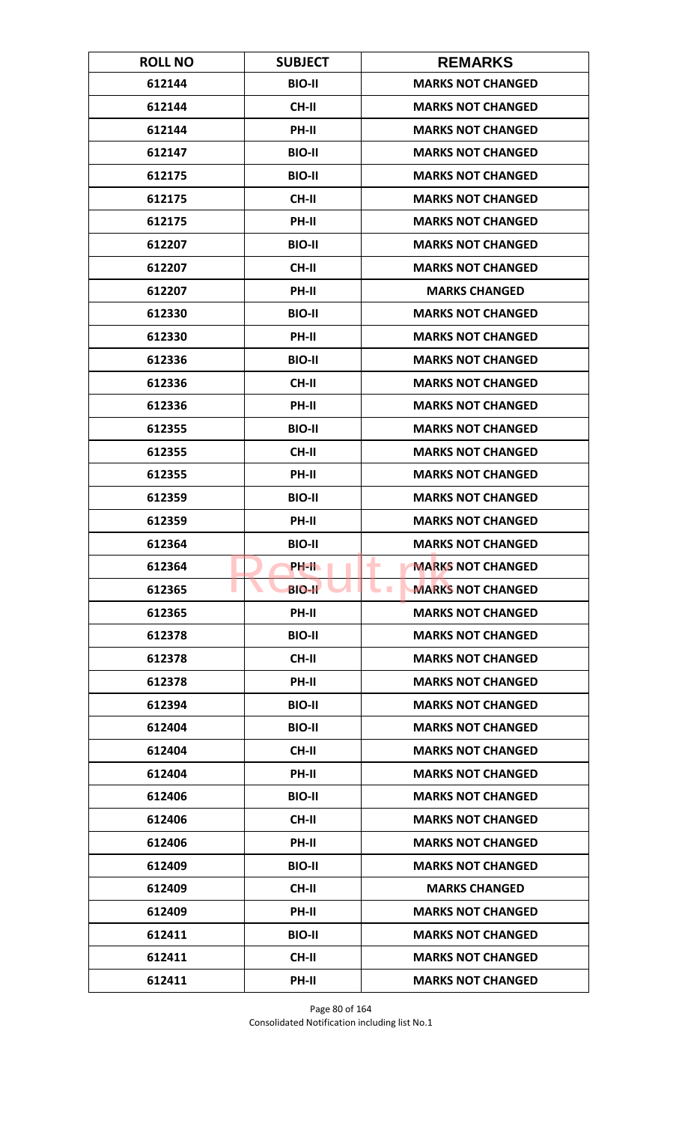| <b>ROLL NO</b> | <b>SUBJECT</b> | <b>REMARKS</b>                               |
|----------------|----------------|----------------------------------------------|
| 612144         | <b>BIO-II</b>  | <b>MARKS NOT CHANGED</b>                     |
| 612144         | <b>CH-II</b>   | <b>MARKS NOT CHANGED</b>                     |
| 612144         | PH-II          | <b>MARKS NOT CHANGED</b>                     |
| 612147         | <b>BIO-II</b>  | <b>MARKS NOT CHANGED</b>                     |
| 612175         | <b>BIO-II</b>  | <b>MARKS NOT CHANGED</b>                     |
| 612175         | <b>CH-II</b>   | <b>MARKS NOT CHANGED</b>                     |
| 612175         | <b>PH-II</b>   | <b>MARKS NOT CHANGED</b>                     |
| 612207         | <b>BIO-II</b>  | <b>MARKS NOT CHANGED</b>                     |
| 612207         | <b>CH-II</b>   | <b>MARKS NOT CHANGED</b>                     |
| 612207         | PH-II          | <b>MARKS CHANGED</b>                         |
| 612330         | <b>BIO-II</b>  | <b>MARKS NOT CHANGED</b>                     |
| 612330         | <b>PH-II</b>   | <b>MARKS NOT CHANGED</b>                     |
| 612336         | <b>BIO-II</b>  | <b>MARKS NOT CHANGED</b>                     |
| 612336         | <b>CH-II</b>   | <b>MARKS NOT CHANGED</b>                     |
| 612336         | <b>PH-II</b>   | <b>MARKS NOT CHANGED</b>                     |
| 612355         | <b>BIO-II</b>  | <b>MARKS NOT CHANGED</b>                     |
| 612355         | <b>CH-II</b>   | <b>MARKS NOT CHANGED</b>                     |
| 612355         | PH-II          | <b>MARKS NOT CHANGED</b>                     |
| 612359         | <b>BIO-II</b>  | <b>MARKS NOT CHANGED</b>                     |
| 612359         | PH-II          | <b>MARKS NOT CHANGED</b>                     |
| 612364         | <b>BIO-II</b>  | <b>MARKS NOT CHANGED</b>                     |
| 612364         | PH-IL          | <b>MARKS NOT CHANGED</b><br>٠                |
| 612365         | <b>BIO-II</b>  | <b>MARKS NOT CHANGED</b><br><b>The State</b> |
| 612365         | PH-II          | <b>MARKS NOT CHANGED</b>                     |
| 612378         | <b>BIO-II</b>  | <b>MARKS NOT CHANGED</b>                     |
| 612378         | CH-II          | <b>MARKS NOT CHANGED</b>                     |
| 612378         | PH-II          | <b>MARKS NOT CHANGED</b>                     |
| 612394         | <b>BIO-II</b>  | <b>MARKS NOT CHANGED</b>                     |
| 612404         | <b>BIO-II</b>  | <b>MARKS NOT CHANGED</b>                     |
| 612404         | <b>CH-II</b>   | <b>MARKS NOT CHANGED</b>                     |
| 612404         | PH-II          | <b>MARKS NOT CHANGED</b>                     |
| 612406         | <b>BIO-II</b>  | <b>MARKS NOT CHANGED</b>                     |
| 612406         | CH-II          | <b>MARKS NOT CHANGED</b>                     |
| 612406         | PH-II          | <b>MARKS NOT CHANGED</b>                     |
| 612409         | <b>BIO-II</b>  | <b>MARKS NOT CHANGED</b>                     |
| 612409         | CH-II          | <b>MARKS CHANGED</b>                         |
| 612409         | PH-II          | <b>MARKS NOT CHANGED</b>                     |
| 612411         | <b>BIO-II</b>  | <b>MARKS NOT CHANGED</b>                     |
| 612411         | <b>CH-II</b>   | <b>MARKS NOT CHANGED</b>                     |
| 612411         | PH-II          | <b>MARKS NOT CHANGED</b>                     |

Page 80 of 164 Consolidated Notification including list No.1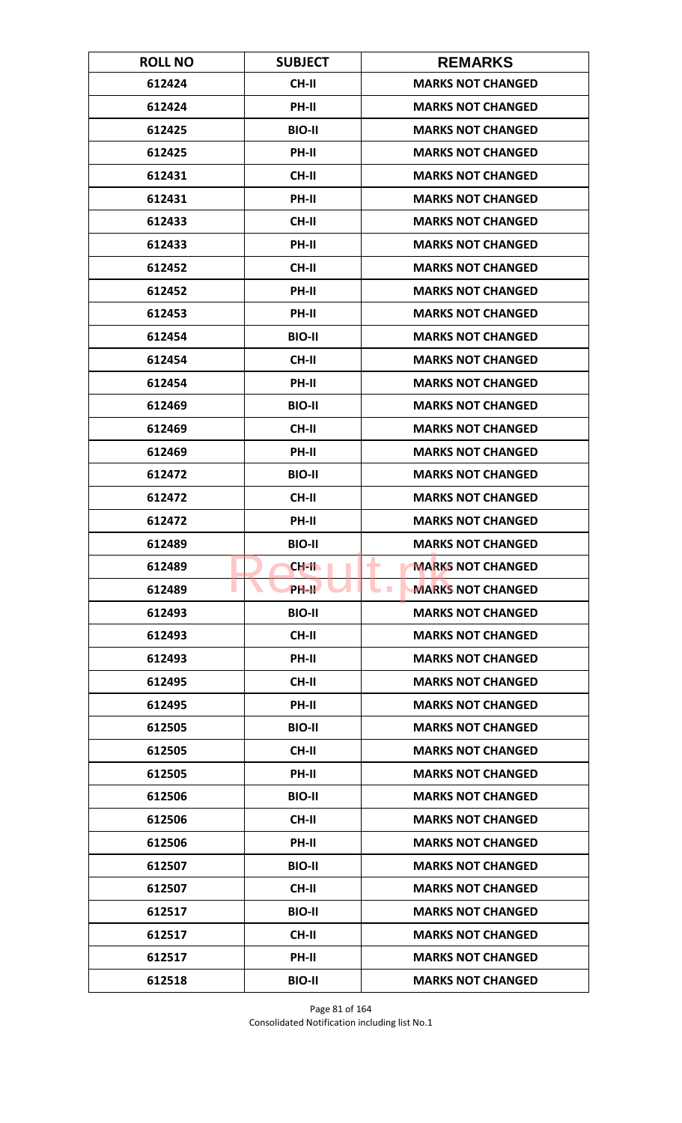| <b>ROLL NO</b> | <b>SUBJECT</b> | <b>REMARKS</b>                               |
|----------------|----------------|----------------------------------------------|
| 612424         | <b>CH-II</b>   | <b>MARKS NOT CHANGED</b>                     |
| 612424         | PH-II          | <b>MARKS NOT CHANGED</b>                     |
| 612425         | <b>BIO-II</b>  | <b>MARKS NOT CHANGED</b>                     |
| 612425         | <b>PH-II</b>   | <b>MARKS NOT CHANGED</b>                     |
| 612431         | <b>CH-II</b>   | <b>MARKS NOT CHANGED</b>                     |
| 612431         | PH-II          | <b>MARKS NOT CHANGED</b>                     |
| 612433         | <b>CH-II</b>   | <b>MARKS NOT CHANGED</b>                     |
| 612433         | PH-II          | <b>MARKS NOT CHANGED</b>                     |
| 612452         | <b>CH-II</b>   | <b>MARKS NOT CHANGED</b>                     |
| 612452         | PH-II          | <b>MARKS NOT CHANGED</b>                     |
| 612453         | PH-II          | <b>MARKS NOT CHANGED</b>                     |
| 612454         | <b>BIO-II</b>  | <b>MARKS NOT CHANGED</b>                     |
| 612454         | <b>CH-II</b>   | <b>MARKS NOT CHANGED</b>                     |
| 612454         | PH-II          | <b>MARKS NOT CHANGED</b>                     |
| 612469         | <b>BIO-II</b>  | <b>MARKS NOT CHANGED</b>                     |
| 612469         | <b>CH-II</b>   | <b>MARKS NOT CHANGED</b>                     |
| 612469         | PH-II          | <b>MARKS NOT CHANGED</b>                     |
| 612472         | <b>BIO-II</b>  | <b>MARKS NOT CHANGED</b>                     |
| 612472         | <b>CH-II</b>   | <b>MARKS NOT CHANGED</b>                     |
| 612472         | PH-II          | <b>MARKS NOT CHANGED</b>                     |
| 612489         | <b>BIO-II</b>  | <b>MARKS NOT CHANGED</b>                     |
| 612489         | $CH-H$         | <b>MARKS NOT CHANGED</b><br>٠                |
| 612489         | PH-II          | <b>MARKS NOT CHANGED</b><br><b>The State</b> |
| 612493         | <b>BIO-II</b>  | <b>MARKS NOT CHANGED</b>                     |
| 612493         | CH-II          | <b>MARKS NOT CHANGED</b>                     |
| 612493         | PH-II          | <b>MARKS NOT CHANGED</b>                     |
| 612495         | CH-II          | <b>MARKS NOT CHANGED</b>                     |
| 612495         | <b>PH-II</b>   | <b>MARKS NOT CHANGED</b>                     |
| 612505         | <b>BIO-II</b>  | <b>MARKS NOT CHANGED</b>                     |
| 612505         | <b>CH-II</b>   | <b>MARKS NOT CHANGED</b>                     |
| 612505         | PH-II          | <b>MARKS NOT CHANGED</b>                     |
| 612506         | <b>BIO-II</b>  | <b>MARKS NOT CHANGED</b>                     |
| 612506         | CH-II          | <b>MARKS NOT CHANGED</b>                     |
| 612506         | PH-II          | <b>MARKS NOT CHANGED</b>                     |
| 612507         | <b>BIO-II</b>  | <b>MARKS NOT CHANGED</b>                     |
| 612507         | CH-II          | <b>MARKS NOT CHANGED</b>                     |
| 612517         | <b>BIO-II</b>  | <b>MARKS NOT CHANGED</b>                     |
| 612517         | <b>CH-II</b>   | <b>MARKS NOT CHANGED</b>                     |
| 612517         | <b>PH-II</b>   | <b>MARKS NOT CHANGED</b>                     |
| 612518         | <b>BIO-II</b>  | <b>MARKS NOT CHANGED</b>                     |

Page 81 of 164 Consolidated Notification including list No.1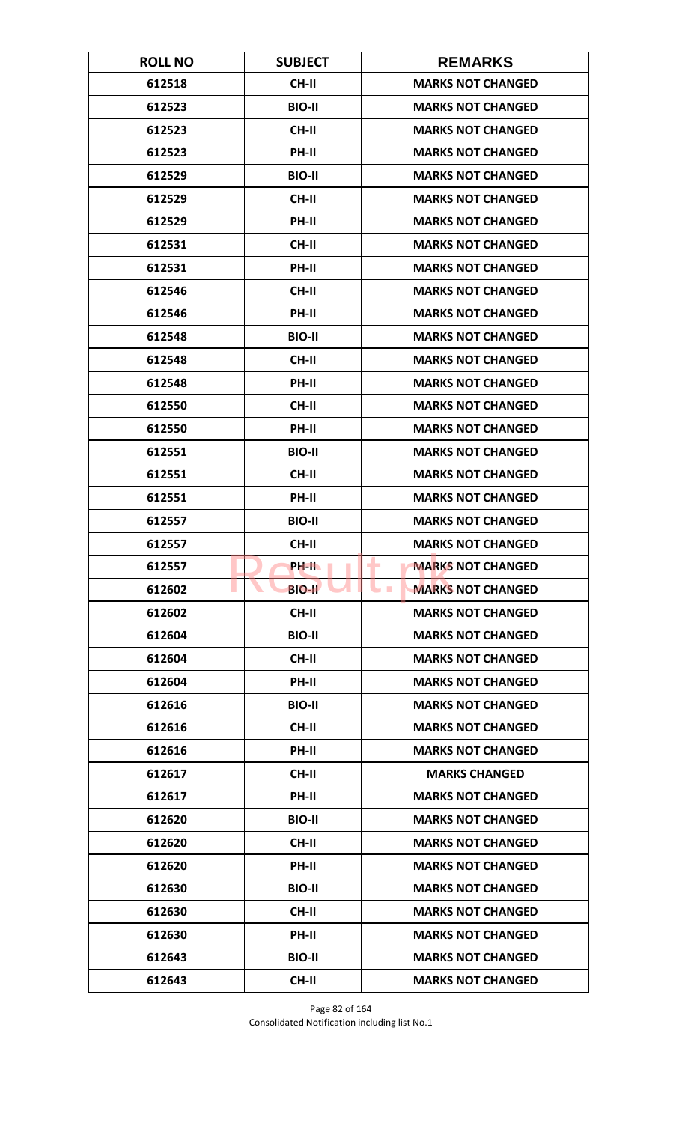| <b>ROLL NO</b> | <b>SUBJECT</b> | <b>REMARKS</b>                       |
|----------------|----------------|--------------------------------------|
| 612518         | <b>CH-II</b>   | <b>MARKS NOT CHANGED</b>             |
| 612523         | <b>BIO-II</b>  | <b>MARKS NOT CHANGED</b>             |
| 612523         | <b>CH-II</b>   | <b>MARKS NOT CHANGED</b>             |
| 612523         | <b>PH-II</b>   | <b>MARKS NOT CHANGED</b>             |
| 612529         | <b>BIO-II</b>  | <b>MARKS NOT CHANGED</b>             |
| 612529         | <b>CH-II</b>   | <b>MARKS NOT CHANGED</b>             |
| 612529         | <b>PH-II</b>   | <b>MARKS NOT CHANGED</b>             |
| 612531         | <b>CH-II</b>   | <b>MARKS NOT CHANGED</b>             |
| 612531         | PH-II          | <b>MARKS NOT CHANGED</b>             |
| 612546         | CH-II          | <b>MARKS NOT CHANGED</b>             |
| 612546         | PH-II          | <b>MARKS NOT CHANGED</b>             |
| 612548         | <b>BIO-II</b>  | <b>MARKS NOT CHANGED</b>             |
| 612548         | <b>CH-II</b>   | <b>MARKS NOT CHANGED</b>             |
| 612548         | PH-II          | <b>MARKS NOT CHANGED</b>             |
| 612550         | <b>CH-II</b>   | <b>MARKS NOT CHANGED</b>             |
| 612550         | PH-II          | <b>MARKS NOT CHANGED</b>             |
| 612551         | <b>BIO-II</b>  | <b>MARKS NOT CHANGED</b>             |
| 612551         | <b>CH-II</b>   | <b>MARKS NOT CHANGED</b>             |
| 612551         | PH-II          | <b>MARKS NOT CHANGED</b>             |
| 612557         | <b>BIO-II</b>  | <b>MARKS NOT CHANGED</b>             |
| 612557         | <b>CH-II</b>   | <b>MARKS NOT CHANGED</b>             |
| 612557         | PH-IL          | <b>MARKS NOT CHANGED</b><br>٠        |
| 612602         | <b>BIO-II</b>  | <b>MARKS NOT CHANGED</b><br><b>I</b> |
| 612602         | CH-II          | <b>MARKS NOT CHANGED</b>             |
| 612604         | <b>BIO-II</b>  | <b>MARKS NOT CHANGED</b>             |
| 612604         | CH-II          | <b>MARKS NOT CHANGED</b>             |
| 612604         | PH-II          | <b>MARKS NOT CHANGED</b>             |
| 612616         | <b>BIO-II</b>  | <b>MARKS NOT CHANGED</b>             |
| 612616         | CH-II          | <b>MARKS NOT CHANGED</b>             |
| 612616         | <b>PH-II</b>   | <b>MARKS NOT CHANGED</b>             |
| 612617         | <b>CH-II</b>   | <b>MARKS CHANGED</b>                 |
| 612617         | PH-II          | <b>MARKS NOT CHANGED</b>             |
| 612620         | <b>BIO-II</b>  | <b>MARKS NOT CHANGED</b>             |
| 612620         | CH-II          | <b>MARKS NOT CHANGED</b>             |
| 612620         | PH-II          | <b>MARKS NOT CHANGED</b>             |
| 612630         | <b>BIO-II</b>  | <b>MARKS NOT CHANGED</b>             |
| 612630         | CH-II          | <b>MARKS NOT CHANGED</b>             |
| 612630         | PH-II          | <b>MARKS NOT CHANGED</b>             |
| 612643         | <b>BIO-II</b>  | <b>MARKS NOT CHANGED</b>             |
| 612643         | <b>CH-II</b>   | <b>MARKS NOT CHANGED</b>             |

Page 82 of 164 Consolidated Notification including list No.1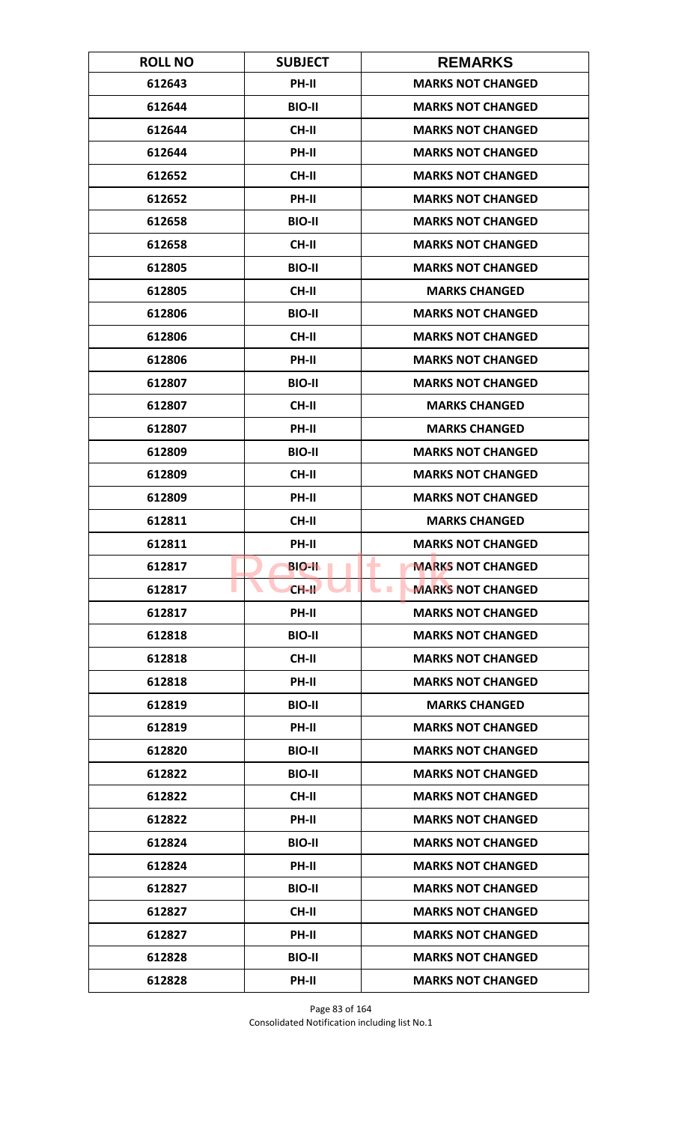| <b>ROLL NO</b> | <b>SUBJECT</b> | <b>REMARKS</b>                       |
|----------------|----------------|--------------------------------------|
| 612643         | PH-II          | <b>MARKS NOT CHANGED</b>             |
| 612644         | <b>BIO-II</b>  | <b>MARKS NOT CHANGED</b>             |
| 612644         | <b>CH-II</b>   | <b>MARKS NOT CHANGED</b>             |
| 612644         | PH-II          | <b>MARKS NOT CHANGED</b>             |
| 612652         | <b>CH-II</b>   | <b>MARKS NOT CHANGED</b>             |
| 612652         | PH-II          | <b>MARKS NOT CHANGED</b>             |
| 612658         | <b>BIO-II</b>  | <b>MARKS NOT CHANGED</b>             |
| 612658         | <b>CH-II</b>   | <b>MARKS NOT CHANGED</b>             |
| 612805         | <b>BIO-II</b>  | <b>MARKS NOT CHANGED</b>             |
| 612805         | CH-II          | <b>MARKS CHANGED</b>                 |
| 612806         | <b>BIO-II</b>  | <b>MARKS NOT CHANGED</b>             |
| 612806         | <b>CH-II</b>   | <b>MARKS NOT CHANGED</b>             |
| 612806         | PH-II          | <b>MARKS NOT CHANGED</b>             |
| 612807         | <b>BIO-II</b>  | <b>MARKS NOT CHANGED</b>             |
| 612807         | <b>CH-II</b>   | <b>MARKS CHANGED</b>                 |
| 612807         | PH-II          | <b>MARKS CHANGED</b>                 |
| 612809         | <b>BIO-II</b>  | <b>MARKS NOT CHANGED</b>             |
| 612809         | <b>CH-II</b>   | <b>MARKS NOT CHANGED</b>             |
| 612809         | PH-II          | <b>MARKS NOT CHANGED</b>             |
| 612811         | <b>CH-II</b>   | <b>MARKS CHANGED</b>                 |
| 612811         | PH-II          | <b>MARKS NOT CHANGED</b>             |
| 612817         | <b>BIO-II</b>  | <b>MARKS NOT CHANGED</b><br>٠        |
| 612817         | $CH-H$         | <b>MARKS NOT CHANGED</b><br><b>I</b> |
| 612817         | PH-II          | <b>MARKS NOT CHANGED</b>             |
| 612818         | <b>BIO-II</b>  | <b>MARKS NOT CHANGED</b>             |
| 612818         | CH-II          | <b>MARKS NOT CHANGED</b>             |
| 612818         | PH-II          | <b>MARKS NOT CHANGED</b>             |
| 612819         | <b>BIO-II</b>  | <b>MARKS CHANGED</b>                 |
| 612819         | PH-II          | <b>MARKS NOT CHANGED</b>             |
| 612820         | <b>BIO-II</b>  | <b>MARKS NOT CHANGED</b>             |
| 612822         | <b>BIO-II</b>  | <b>MARKS NOT CHANGED</b>             |
| 612822         | CH-II          | <b>MARKS NOT CHANGED</b>             |
| 612822         | PH-II          | <b>MARKS NOT CHANGED</b>             |
| 612824         | <b>BIO-II</b>  | <b>MARKS NOT CHANGED</b>             |
| 612824         | <b>PH-II</b>   | <b>MARKS NOT CHANGED</b>             |
| 612827         | <b>BIO-II</b>  | <b>MARKS NOT CHANGED</b>             |
| 612827         | CH-II          | <b>MARKS NOT CHANGED</b>             |
| 612827         | PH-II          | <b>MARKS NOT CHANGED</b>             |
| 612828         | <b>BIO-II</b>  | <b>MARKS NOT CHANGED</b>             |
| 612828         | PH-II          | <b>MARKS NOT CHANGED</b>             |

Page 83 of 164 Consolidated Notification including list No.1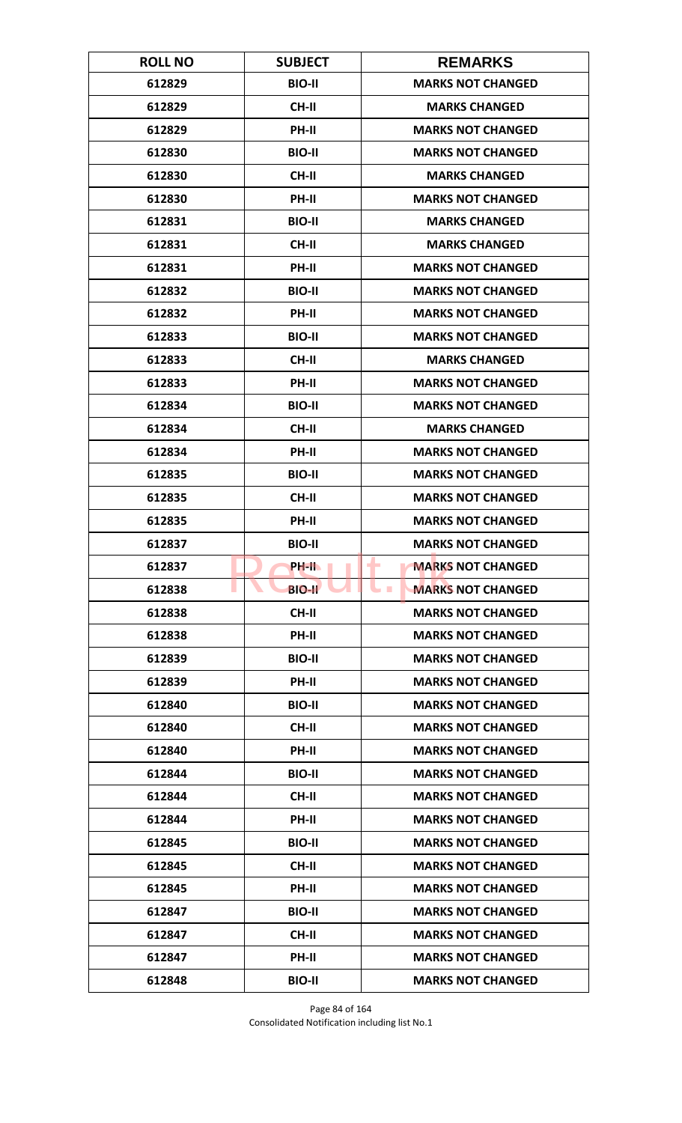| <b>ROLL NO</b> | <b>SUBJECT</b> | <b>REMARKS</b>                         |
|----------------|----------------|----------------------------------------|
| 612829         | <b>BIO-II</b>  | <b>MARKS NOT CHANGED</b>               |
| 612829         | <b>CH-II</b>   | <b>MARKS CHANGED</b>                   |
| 612829         | PH-II          | <b>MARKS NOT CHANGED</b>               |
| 612830         | <b>BIO-II</b>  | <b>MARKS NOT CHANGED</b>               |
| 612830         | <b>CH-II</b>   | <b>MARKS CHANGED</b>                   |
| 612830         | PH-II          | <b>MARKS NOT CHANGED</b>               |
| 612831         | <b>BIO-II</b>  | <b>MARKS CHANGED</b>                   |
| 612831         | <b>CH-II</b>   | <b>MARKS CHANGED</b>                   |
| 612831         | PH-II          | <b>MARKS NOT CHANGED</b>               |
| 612832         | <b>BIO-II</b>  | <b>MARKS NOT CHANGED</b>               |
| 612832         | PH-II          | <b>MARKS NOT CHANGED</b>               |
| 612833         | <b>BIO-II</b>  | <b>MARKS NOT CHANGED</b>               |
| 612833         | <b>CH-II</b>   | <b>MARKS CHANGED</b>                   |
| 612833         | PH-II          | <b>MARKS NOT CHANGED</b>               |
| 612834         | <b>BIO-II</b>  | <b>MARKS NOT CHANGED</b>               |
| 612834         | <b>CH-II</b>   | <b>MARKS CHANGED</b>                   |
| 612834         | PH-II          | <b>MARKS NOT CHANGED</b>               |
| 612835         | <b>BIO-II</b>  | <b>MARKS NOT CHANGED</b>               |
| 612835         | <b>CH-II</b>   | <b>MARKS NOT CHANGED</b>               |
| 612835         | PH-II          | <b>MARKS NOT CHANGED</b>               |
| 612837         | <b>BIO-II</b>  | <b>MARKS NOT CHANGED</b>               |
| 612837         | <b>PH-IL</b>   | ۰<br><b>MARKS NOT CHANGED</b>          |
| 612838         | <b>BIO-II</b>  | <b>MARKS NOT CHANGED</b><br><b>COL</b> |
| 612838         | CH-II          | <b>MARKS NOT CHANGED</b>               |
| 612838         | PH-II          | <b>MARKS NOT CHANGED</b>               |
| 612839         | <b>BIO-II</b>  | <b>MARKS NOT CHANGED</b>               |
| 612839         | PH-II          | <b>MARKS NOT CHANGED</b>               |
| 612840         | <b>BIO-II</b>  | <b>MARKS NOT CHANGED</b>               |
| 612840         | CH-II          | <b>MARKS NOT CHANGED</b>               |
| 612840         | <b>PH-II</b>   | <b>MARKS NOT CHANGED</b>               |
| 612844         | <b>BIO-II</b>  | <b>MARKS NOT CHANGED</b>               |
| 612844         | CH-II          | <b>MARKS NOT CHANGED</b>               |
| 612844         | PH-II          | <b>MARKS NOT CHANGED</b>               |
| 612845         | <b>BIO-II</b>  | <b>MARKS NOT CHANGED</b>               |
| 612845         | CH-II          | <b>MARKS NOT CHANGED</b>               |
| 612845         | PH-II          | <b>MARKS NOT CHANGED</b>               |
| 612847         | <b>BIO-II</b>  | <b>MARKS NOT CHANGED</b>               |
| 612847         | CH-II          | <b>MARKS NOT CHANGED</b>               |
| 612847         | <b>PH-II</b>   | <b>MARKS NOT CHANGED</b>               |
| 612848         | <b>BIO-II</b>  | <b>MARKS NOT CHANGED</b>               |

Page 84 of 164 Consolidated Notification including list No.1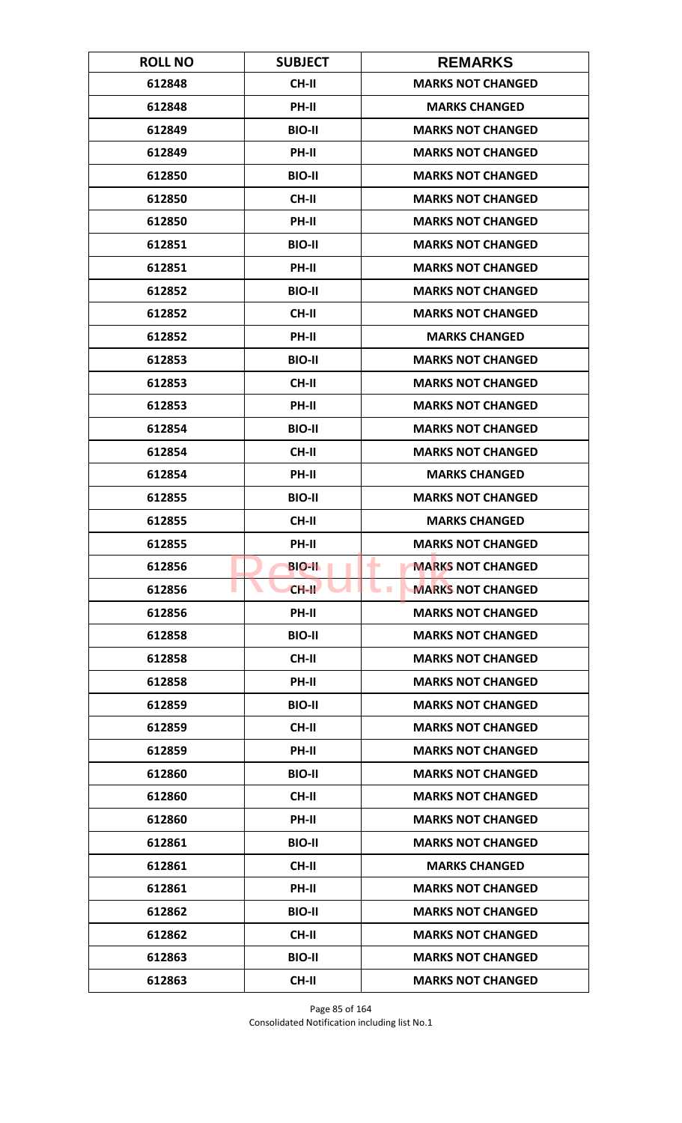| <b>ROLL NO</b> | <b>SUBJECT</b> | <b>REMARKS</b>                         |
|----------------|----------------|----------------------------------------|
| 612848         | <b>CH-II</b>   | <b>MARKS NOT CHANGED</b>               |
| 612848         | PH-II          | <b>MARKS CHANGED</b>                   |
| 612849         | <b>BIO-II</b>  | <b>MARKS NOT CHANGED</b>               |
| 612849         | PH-II          | <b>MARKS NOT CHANGED</b>               |
| 612850         | <b>BIO-II</b>  | <b>MARKS NOT CHANGED</b>               |
| 612850         | <b>CH-II</b>   | <b>MARKS NOT CHANGED</b>               |
| 612850         | PH-II          | <b>MARKS NOT CHANGED</b>               |
| 612851         | <b>BIO-II</b>  | <b>MARKS NOT CHANGED</b>               |
| 612851         | PH-II          | <b>MARKS NOT CHANGED</b>               |
| 612852         | <b>BIO-II</b>  | <b>MARKS NOT CHANGED</b>               |
| 612852         | <b>CH-II</b>   | <b>MARKS NOT CHANGED</b>               |
| 612852         | <b>PH-II</b>   | <b>MARKS CHANGED</b>                   |
| 612853         | <b>BIO-II</b>  | <b>MARKS NOT CHANGED</b>               |
| 612853         | <b>CH-II</b>   | <b>MARKS NOT CHANGED</b>               |
| 612853         | PH-II          | <b>MARKS NOT CHANGED</b>               |
| 612854         | <b>BIO-II</b>  | <b>MARKS NOT CHANGED</b>               |
| 612854         | <b>CH-II</b>   | <b>MARKS NOT CHANGED</b>               |
| 612854         | PH-II          | <b>MARKS CHANGED</b>                   |
| 612855         | <b>BIO-II</b>  | <b>MARKS NOT CHANGED</b>               |
| 612855         | <b>CH-II</b>   | <b>MARKS CHANGED</b>                   |
| 612855         | <b>PH-II</b>   | <b>MARKS NOT CHANGED</b>               |
| 612856         | <b>BIO-IL</b>  | ۰<br><b>MARKS NOT CHANGED</b>          |
| 612856         | $CH-H$         | <b>MARKS NOT CHANGED</b><br><b>COL</b> |
| 612856         | PH-II          | <b>MARKS NOT CHANGED</b>               |
| 612858         | <b>BIO-II</b>  | <b>MARKS NOT CHANGED</b>               |
| 612858         | CH-II          | <b>MARKS NOT CHANGED</b>               |
| 612858         | PH-II          | <b>MARKS NOT CHANGED</b>               |
| 612859         | <b>BIO-II</b>  | <b>MARKS NOT CHANGED</b>               |
| 612859         | CH-II          | <b>MARKS NOT CHANGED</b>               |
| 612859         | <b>PH-II</b>   | <b>MARKS NOT CHANGED</b>               |
| 612860         | <b>BIO-II</b>  | <b>MARKS NOT CHANGED</b>               |
| 612860         | CH-II          | <b>MARKS NOT CHANGED</b>               |
| 612860         | PH-II          | <b>MARKS NOT CHANGED</b>               |
| 612861         | <b>BIO-II</b>  | <b>MARKS NOT CHANGED</b>               |
| 612861         | CH-II          | <b>MARKS CHANGED</b>                   |
| 612861         | PH-II          | <b>MARKS NOT CHANGED</b>               |
| 612862         | <b>BIO-II</b>  | <b>MARKS NOT CHANGED</b>               |
| 612862         | <b>CH-II</b>   | <b>MARKS NOT CHANGED</b>               |
| 612863         | <b>BIO-II</b>  | <b>MARKS NOT CHANGED</b>               |
| 612863         | <b>CH-II</b>   | <b>MARKS NOT CHANGED</b>               |

Page 85 of 164 Consolidated Notification including list No.1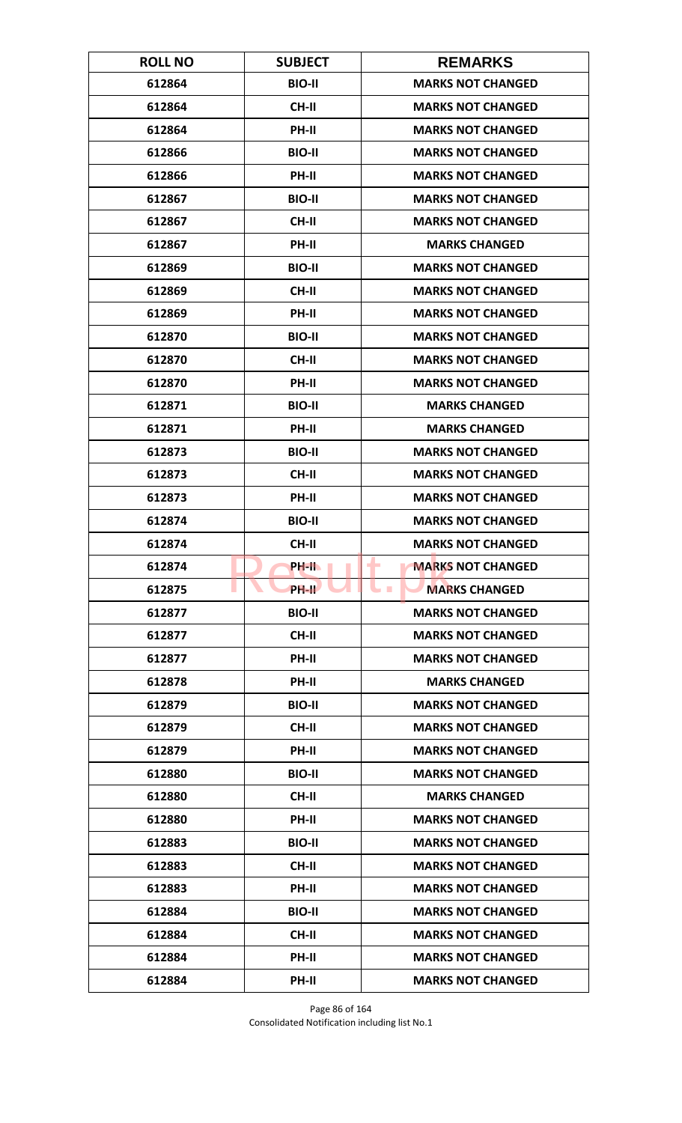| <b>ROLL NO</b> | <b>SUBJECT</b> | <b>REMARKS</b>                |
|----------------|----------------|-------------------------------|
| 612864         | <b>BIO-II</b>  | <b>MARKS NOT CHANGED</b>      |
| 612864         | <b>CH-II</b>   | <b>MARKS NOT CHANGED</b>      |
| 612864         | PH-II          | <b>MARKS NOT CHANGED</b>      |
| 612866         | <b>BIO-II</b>  | <b>MARKS NOT CHANGED</b>      |
| 612866         | <b>PH-II</b>   | <b>MARKS NOT CHANGED</b>      |
| 612867         | <b>BIO-II</b>  | <b>MARKS NOT CHANGED</b>      |
| 612867         | <b>CH-II</b>   | <b>MARKS NOT CHANGED</b>      |
| 612867         | PH-II          | <b>MARKS CHANGED</b>          |
| 612869         | <b>BIO-II</b>  | <b>MARKS NOT CHANGED</b>      |
| 612869         | CH-II          | <b>MARKS NOT CHANGED</b>      |
| 612869         | PH-II          | <b>MARKS NOT CHANGED</b>      |
| 612870         | <b>BIO-II</b>  | <b>MARKS NOT CHANGED</b>      |
| 612870         | <b>CH-II</b>   | <b>MARKS NOT CHANGED</b>      |
| 612870         | PH-II          | <b>MARKS NOT CHANGED</b>      |
| 612871         | <b>BIO-II</b>  | <b>MARKS CHANGED</b>          |
| 612871         | PH-II          | <b>MARKS CHANGED</b>          |
| 612873         | <b>BIO-II</b>  | <b>MARKS NOT CHANGED</b>      |
| 612873         | <b>CH-II</b>   | <b>MARKS NOT CHANGED</b>      |
| 612873         | PH-II          | <b>MARKS NOT CHANGED</b>      |
| 612874         | <b>BIO-II</b>  | <b>MARKS NOT CHANGED</b>      |
| 612874         | <b>CH-II</b>   | <b>MARKS NOT CHANGED</b>      |
| 612874         | <b>PH-IL</b>   | <b>MARKS NOT CHANGED</b><br>٠ |
| 612875         | <b>PH-II</b>   | <b>MARKS CHANGED</b>          |
| 612877         | <b>BIO-II</b>  | <b>MARKS NOT CHANGED</b>      |
| 612877         | CH-II          | <b>MARKS NOT CHANGED</b>      |
| 612877         | PH-II          | <b>MARKS NOT CHANGED</b>      |
| 612878         | PH-II          | <b>MARKS CHANGED</b>          |
| 612879         | <b>BIO-II</b>  | <b>MARKS NOT CHANGED</b>      |
| 612879         | CH-II          | <b>MARKS NOT CHANGED</b>      |
| 612879         | <b>PH-II</b>   | <b>MARKS NOT CHANGED</b>      |
| 612880         | <b>BIO-II</b>  | <b>MARKS NOT CHANGED</b>      |
| 612880         | CH-II          | <b>MARKS CHANGED</b>          |
| 612880         | PH-II          | <b>MARKS NOT CHANGED</b>      |
| 612883         | <b>BIO-II</b>  | <b>MARKS NOT CHANGED</b>      |
| 612883         | CH-II          | <b>MARKS NOT CHANGED</b>      |
| 612883         | PH-II          | <b>MARKS NOT CHANGED</b>      |
| 612884         | <b>BIO-II</b>  | <b>MARKS NOT CHANGED</b>      |
| 612884         | <b>CH-II</b>   | <b>MARKS NOT CHANGED</b>      |
| 612884         | <b>PH-II</b>   | <b>MARKS NOT CHANGED</b>      |
| 612884         | PH-II          | <b>MARKS NOT CHANGED</b>      |

Page 86 of 164 Consolidated Notification including list No.1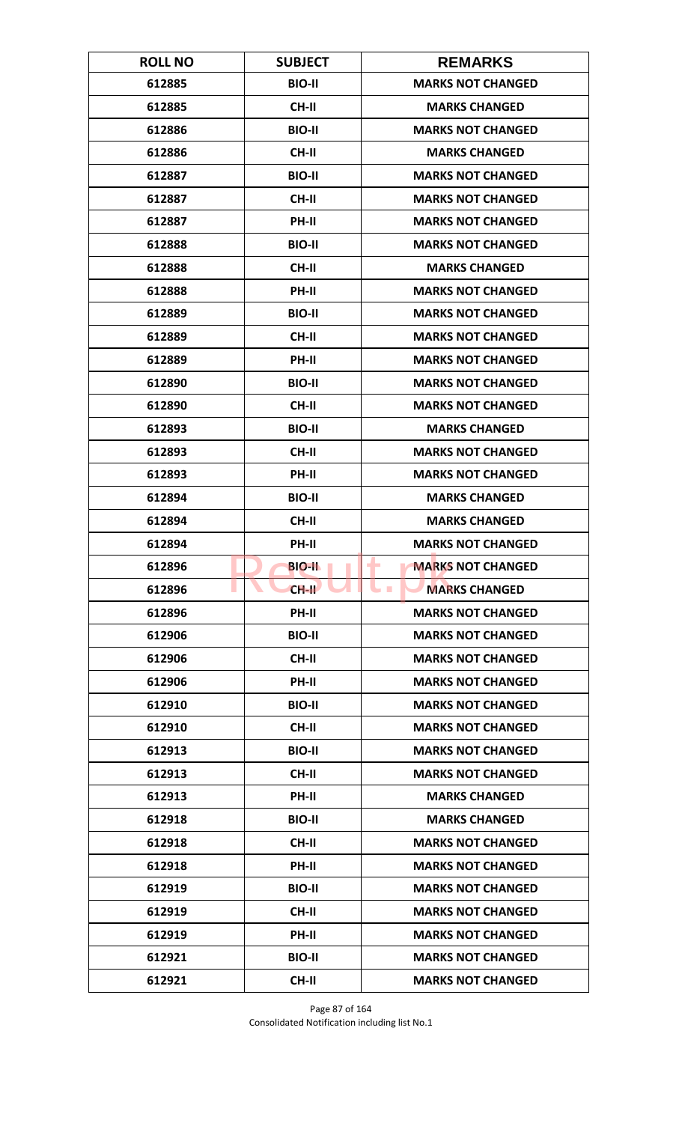| <b>ROLL NO</b> | <b>SUBJECT</b> | <b>REMARKS</b>                           |
|----------------|----------------|------------------------------------------|
| 612885         | <b>BIO-II</b>  | <b>MARKS NOT CHANGED</b>                 |
| 612885         | CH-II          | <b>MARKS CHANGED</b>                     |
| 612886         | <b>BIO-II</b>  | <b>MARKS NOT CHANGED</b>                 |
| 612886         | <b>CH-II</b>   | <b>MARKS CHANGED</b>                     |
| 612887         | <b>BIO-II</b>  | <b>MARKS NOT CHANGED</b>                 |
| 612887         | <b>CH-II</b>   | <b>MARKS NOT CHANGED</b>                 |
| 612887         | PH-II          | <b>MARKS NOT CHANGED</b>                 |
| 612888         | <b>BIO-II</b>  | <b>MARKS NOT CHANGED</b>                 |
| 612888         | <b>CH-II</b>   | <b>MARKS CHANGED</b>                     |
| 612888         | PH-II          | <b>MARKS NOT CHANGED</b>                 |
| 612889         | <b>BIO-II</b>  | <b>MARKS NOT CHANGED</b>                 |
| 612889         | <b>CH-II</b>   | <b>MARKS NOT CHANGED</b>                 |
| 612889         | PH-II          | <b>MARKS NOT CHANGED</b>                 |
| 612890         | <b>BIO-II</b>  | <b>MARKS NOT CHANGED</b>                 |
| 612890         | <b>CH-II</b>   | <b>MARKS NOT CHANGED</b>                 |
| 612893         | <b>BIO-II</b>  | <b>MARKS CHANGED</b>                     |
| 612893         | <b>CH-II</b>   | <b>MARKS NOT CHANGED</b>                 |
| 612893         | PH-II          | <b>MARKS NOT CHANGED</b>                 |
| 612894         | <b>BIO-II</b>  | <b>MARKS CHANGED</b>                     |
| 612894         | <b>CH-II</b>   | <b>MARKS CHANGED</b>                     |
| 612894         | <b>PH-II</b>   | <b>MARKS NOT CHANGED</b>                 |
| 612896         | <b>BIO-IL</b>  | ۰<br><b>MARKS NOT CHANGED</b>            |
| 612896         | $CH-H$         | <b>MARKS CHANGED</b><br><b>The State</b> |
| 612896         | PH-II          | <b>MARKS NOT CHANGED</b>                 |
| 612906         | <b>BIO-II</b>  | <b>MARKS NOT CHANGED</b>                 |
| 612906         | CH-II          | <b>MARKS NOT CHANGED</b>                 |
| 612906         | PH-II          | <b>MARKS NOT CHANGED</b>                 |
| 612910         | <b>BIO-II</b>  | <b>MARKS NOT CHANGED</b>                 |
| 612910         | CH-II          | <b>MARKS NOT CHANGED</b>                 |
| 612913         | <b>BIO-II</b>  | <b>MARKS NOT CHANGED</b>                 |
| 612913         | <b>CH-II</b>   | <b>MARKS NOT CHANGED</b>                 |
| 612913         | PH-II          | <b>MARKS CHANGED</b>                     |
| 612918         | <b>BIO-II</b>  | <b>MARKS CHANGED</b>                     |
| 612918         | CH-II          | <b>MARKS NOT CHANGED</b>                 |
| 612918         | <b>PH-II</b>   | <b>MARKS NOT CHANGED</b>                 |
| 612919         | <b>BIO-II</b>  | <b>MARKS NOT CHANGED</b>                 |
| 612919         | CH-II          | <b>MARKS NOT CHANGED</b>                 |
| 612919         | <b>PH-II</b>   | <b>MARKS NOT CHANGED</b>                 |
| 612921         | <b>BIO-II</b>  | <b>MARKS NOT CHANGED</b>                 |
| 612921         | <b>CH-II</b>   | <b>MARKS NOT CHANGED</b>                 |

Page 87 of 164 Consolidated Notification including list No.1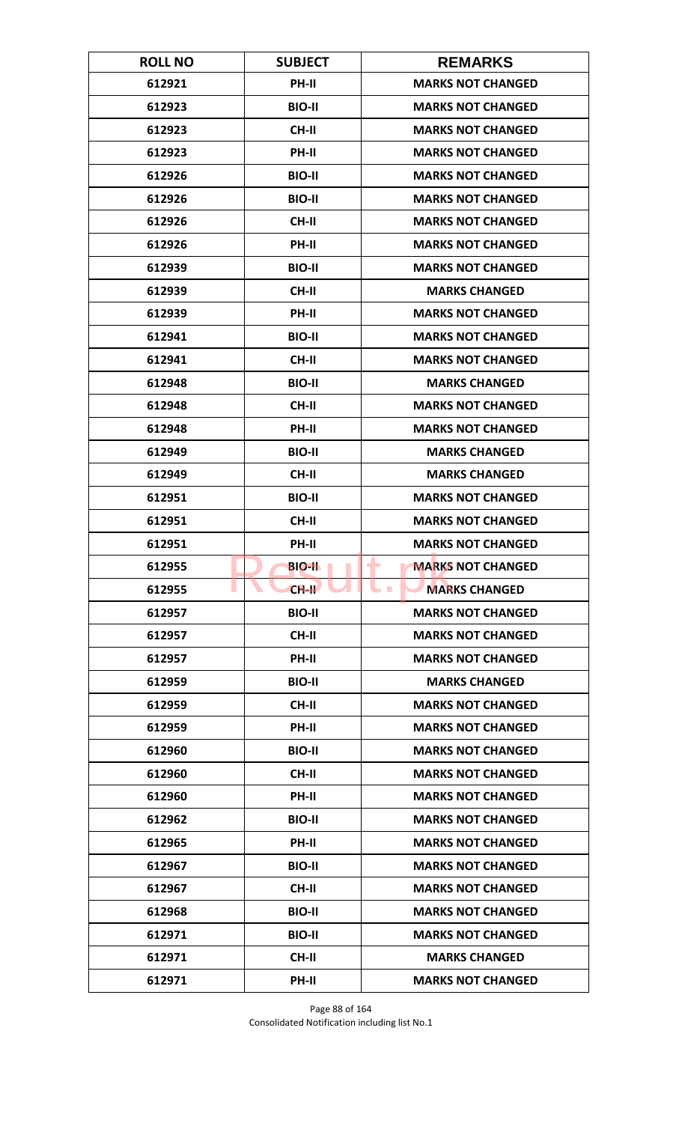| <b>ROLL NO</b> | <b>SUBJECT</b> | <b>REMARKS</b>                           |
|----------------|----------------|------------------------------------------|
| 612921         | PH-II          | <b>MARKS NOT CHANGED</b>                 |
| 612923         | <b>BIO-II</b>  | <b>MARKS NOT CHANGED</b>                 |
| 612923         | <b>CH-II</b>   | <b>MARKS NOT CHANGED</b>                 |
| 612923         | PH-II          | <b>MARKS NOT CHANGED</b>                 |
| 612926         | <b>BIO-II</b>  | <b>MARKS NOT CHANGED</b>                 |
| 612926         | <b>BIO-II</b>  | <b>MARKS NOT CHANGED</b>                 |
| 612926         | <b>CH-II</b>   | <b>MARKS NOT CHANGED</b>                 |
| 612926         | PH-II          | <b>MARKS NOT CHANGED</b>                 |
| 612939         | <b>BIO-II</b>  | <b>MARKS NOT CHANGED</b>                 |
| 612939         | CH-II          | <b>MARKS CHANGED</b>                     |
| 612939         | PH-II          | <b>MARKS NOT CHANGED</b>                 |
| 612941         | <b>BIO-II</b>  | <b>MARKS NOT CHANGED</b>                 |
| 612941         | <b>CH-II</b>   | <b>MARKS NOT CHANGED</b>                 |
| 612948         | <b>BIO-II</b>  | <b>MARKS CHANGED</b>                     |
| 612948         | <b>CH-II</b>   | <b>MARKS NOT CHANGED</b>                 |
| 612948         | PH-II          | <b>MARKS NOT CHANGED</b>                 |
| 612949         | <b>BIO-II</b>  | <b>MARKS CHANGED</b>                     |
| 612949         | <b>CH-II</b>   | <b>MARKS CHANGED</b>                     |
| 612951         | <b>BIO-II</b>  | <b>MARKS NOT CHANGED</b>                 |
| 612951         | <b>CH-II</b>   | <b>MARKS NOT CHANGED</b>                 |
| 612951         | <b>PH-II</b>   | <b>MARKS NOT CHANGED</b>                 |
| 612955         | <b>BIO-IL</b>  | <b>MARKS NOT CHANGED</b><br>٠            |
| 612955         | $CH-H$         | <b>MARKS CHANGED</b><br><b>The State</b> |
| 612957         | <b>BIO-II</b>  | <b>MARKS NOT CHANGED</b>                 |
| 612957         | CH-II          | <b>MARKS NOT CHANGED</b>                 |
| 612957         | PH-II          | <b>MARKS NOT CHANGED</b>                 |
| 612959         | <b>BIO-II</b>  | <b>MARKS CHANGED</b>                     |
| 612959         | <b>CH-II</b>   | <b>MARKS NOT CHANGED</b>                 |
| 612959         | PH-II          | <b>MARKS NOT CHANGED</b>                 |
| 612960         | <b>BIO-II</b>  | <b>MARKS NOT CHANGED</b>                 |
| 612960         | <b>CH-II</b>   | <b>MARKS NOT CHANGED</b>                 |
| 612960         | PH-II          | <b>MARKS NOT CHANGED</b>                 |
| 612962         | <b>BIO-II</b>  | <b>MARKS NOT CHANGED</b>                 |
| 612965         | PH-II          | <b>MARKS NOT CHANGED</b>                 |
| 612967         | <b>BIO-II</b>  | <b>MARKS NOT CHANGED</b>                 |
| 612967         | CH-II          | <b>MARKS NOT CHANGED</b>                 |
| 612968         | <b>BIO-II</b>  | <b>MARKS NOT CHANGED</b>                 |
| 612971         | <b>BIO-II</b>  | <b>MARKS NOT CHANGED</b>                 |
| 612971         | <b>CH-II</b>   | <b>MARKS CHANGED</b>                     |
| 612971         | PH-II          | <b>MARKS NOT CHANGED</b>                 |

Page 88 of 164 Consolidated Notification including list No.1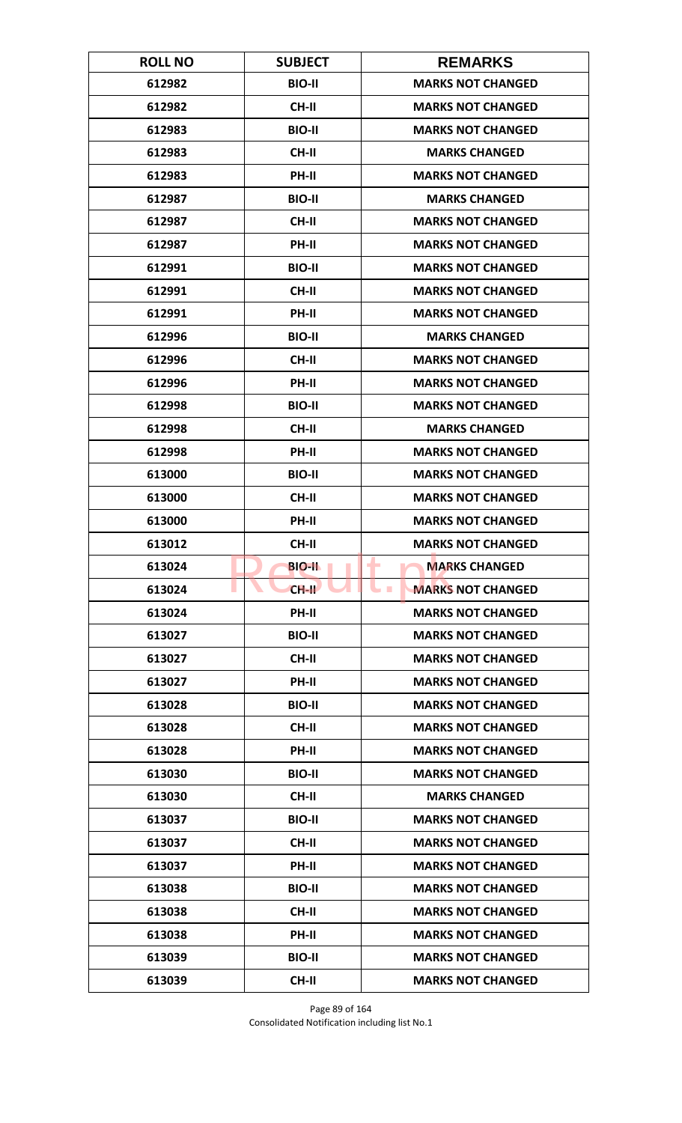| <b>ROLL NO</b> | <b>SUBJECT</b> | <b>REMARKS</b>                         |
|----------------|----------------|----------------------------------------|
| 612982         | <b>BIO-II</b>  | <b>MARKS NOT CHANGED</b>               |
| 612982         | CH-II          | <b>MARKS NOT CHANGED</b>               |
| 612983         | <b>BIO-II</b>  | <b>MARKS NOT CHANGED</b>               |
| 612983         | <b>CH-II</b>   | <b>MARKS CHANGED</b>                   |
| 612983         | PH-II          | <b>MARKS NOT CHANGED</b>               |
| 612987         | <b>BIO-II</b>  | <b>MARKS CHANGED</b>                   |
| 612987         | <b>CH-II</b>   | <b>MARKS NOT CHANGED</b>               |
| 612987         | PH-II          | <b>MARKS NOT CHANGED</b>               |
| 612991         | <b>BIO-II</b>  | <b>MARKS NOT CHANGED</b>               |
| 612991         | CH-II          | <b>MARKS NOT CHANGED</b>               |
| 612991         | PH-II          | <b>MARKS NOT CHANGED</b>               |
| 612996         | <b>BIO-II</b>  | <b>MARKS CHANGED</b>                   |
| 612996         | <b>CH-II</b>   | <b>MARKS NOT CHANGED</b>               |
| 612996         | PH-II          | <b>MARKS NOT CHANGED</b>               |
| 612998         | <b>BIO-II</b>  | <b>MARKS NOT CHANGED</b>               |
| 612998         | <b>CH-II</b>   | <b>MARKS CHANGED</b>                   |
| 612998         | PH-II          | <b>MARKS NOT CHANGED</b>               |
| 613000         | <b>BIO-II</b>  | <b>MARKS NOT CHANGED</b>               |
| 613000         | <b>CH-II</b>   | <b>MARKS NOT CHANGED</b>               |
| 613000         | PH-II          | <b>MARKS NOT CHANGED</b>               |
| 613012         | <b>CH-II</b>   | <b>MARKS NOT CHANGED</b>               |
| 613024         | <b>BIO-II</b>  | ٠<br><b>MARKS CHANGED</b>              |
| 613024         | $CH-H$         | <b>MARKS NOT CHANGED</b><br><b>COL</b> |
| 613024         | PH-II          | <b>MARKS NOT CHANGED</b>               |
| 613027         | <b>BIO-II</b>  | <b>MARKS NOT CHANGED</b>               |
| 613027         | CH-II          | <b>MARKS NOT CHANGED</b>               |
| 613027         | PH-II          | <b>MARKS NOT CHANGED</b>               |
| 613028         | <b>BIO-II</b>  | <b>MARKS NOT CHANGED</b>               |
| 613028         | CH-II          | <b>MARKS NOT CHANGED</b>               |
| 613028         | <b>PH-II</b>   | <b>MARKS NOT CHANGED</b>               |
| 613030         | <b>BIO-II</b>  | <b>MARKS NOT CHANGED</b>               |
| 613030         | CH-II          | <b>MARKS CHANGED</b>                   |
| 613037         | <b>BIO-II</b>  | <b>MARKS NOT CHANGED</b>               |
| 613037         | <b>CH-II</b>   | <b>MARKS NOT CHANGED</b>               |
| 613037         | PH-II          | <b>MARKS NOT CHANGED</b>               |
| 613038         | <b>BIO-II</b>  | <b>MARKS NOT CHANGED</b>               |
| 613038         | CH-II          | <b>MARKS NOT CHANGED</b>               |
| 613038         | PH-II          | <b>MARKS NOT CHANGED</b>               |
| 613039         | <b>BIO-II</b>  | <b>MARKS NOT CHANGED</b>               |
| 613039         | <b>CH-II</b>   | <b>MARKS NOT CHANGED</b>               |

Page 89 of 164 Consolidated Notification including list No.1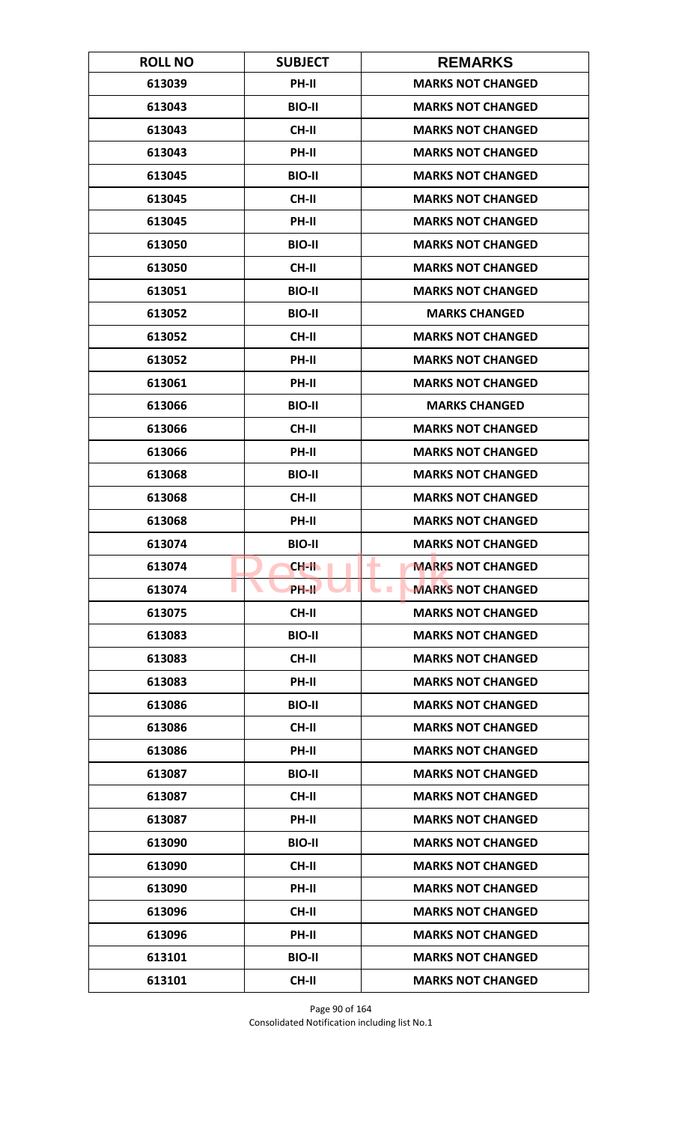| <b>ROLL NO</b> | <b>SUBJECT</b> | <b>REMARKS</b>                               |
|----------------|----------------|----------------------------------------------|
| 613039         | PH-II          | <b>MARKS NOT CHANGED</b>                     |
| 613043         | <b>BIO-II</b>  | <b>MARKS NOT CHANGED</b>                     |
| 613043         | <b>CH-II</b>   | <b>MARKS NOT CHANGED</b>                     |
| 613043         | PH-II          | <b>MARKS NOT CHANGED</b>                     |
| 613045         | <b>BIO-II</b>  | <b>MARKS NOT CHANGED</b>                     |
| 613045         | <b>CH-II</b>   | <b>MARKS NOT CHANGED</b>                     |
| 613045         | <b>PH-II</b>   | <b>MARKS NOT CHANGED</b>                     |
| 613050         | <b>BIO-II</b>  | <b>MARKS NOT CHANGED</b>                     |
| 613050         | <b>CH-II</b>   | <b>MARKS NOT CHANGED</b>                     |
| 613051         | <b>BIO-II</b>  | <b>MARKS NOT CHANGED</b>                     |
| 613052         | <b>BIO-II</b>  | <b>MARKS CHANGED</b>                         |
| 613052         | <b>CH-II</b>   | <b>MARKS NOT CHANGED</b>                     |
| 613052         | PH-II          | <b>MARKS NOT CHANGED</b>                     |
| 613061         | PH-II          | <b>MARKS NOT CHANGED</b>                     |
| 613066         | <b>BIO-II</b>  | <b>MARKS CHANGED</b>                         |
| 613066         | <b>CH-II</b>   | <b>MARKS NOT CHANGED</b>                     |
| 613066         | PH-II          | <b>MARKS NOT CHANGED</b>                     |
| 613068         | <b>BIO-II</b>  | <b>MARKS NOT CHANGED</b>                     |
| 613068         | <b>CH-II</b>   | <b>MARKS NOT CHANGED</b>                     |
| 613068         | PH-II          | <b>MARKS NOT CHANGED</b>                     |
| 613074         | <b>BIO-II</b>  | <b>MARKS NOT CHANGED</b>                     |
| 613074         | CH-II          | <b>MARKS NOT CHANGED</b><br>٠                |
| 613074         | <b>PH-IL</b>   | <b>MARKS NOT CHANGED</b><br><b>The State</b> |
| 613075         | CH-II          | <b>MARKS NOT CHANGED</b>                     |
| 613083         | <b>BIO-II</b>  | <b>MARKS NOT CHANGED</b>                     |
| 613083         | CH-II          | <b>MARKS NOT CHANGED</b>                     |
| 613083         | PH-II          | <b>MARKS NOT CHANGED</b>                     |
| 613086         | <b>BIO-II</b>  | <b>MARKS NOT CHANGED</b>                     |
| 613086         | CH-II          | <b>MARKS NOT CHANGED</b>                     |
| 613086         | <b>PH-II</b>   | <b>MARKS NOT CHANGED</b>                     |
| 613087         | <b>BIO-II</b>  | <b>MARKS NOT CHANGED</b>                     |
| 613087         | CH-II          | <b>MARKS NOT CHANGED</b>                     |
| 613087         | PH-II          | <b>MARKS NOT CHANGED</b>                     |
| 613090         | <b>BIO-II</b>  | <b>MARKS NOT CHANGED</b>                     |
| 613090         | CH-II          | <b>MARKS NOT CHANGED</b>                     |
| 613090         | PH-II          | <b>MARKS NOT CHANGED</b>                     |
| 613096         | CH-II          | <b>MARKS NOT CHANGED</b>                     |
| 613096         | PH-II          | <b>MARKS NOT CHANGED</b>                     |
| 613101         | <b>BIO-II</b>  | <b>MARKS NOT CHANGED</b>                     |
| 613101         | <b>CH-II</b>   | <b>MARKS NOT CHANGED</b>                     |

Page 90 of 164 Consolidated Notification including list No.1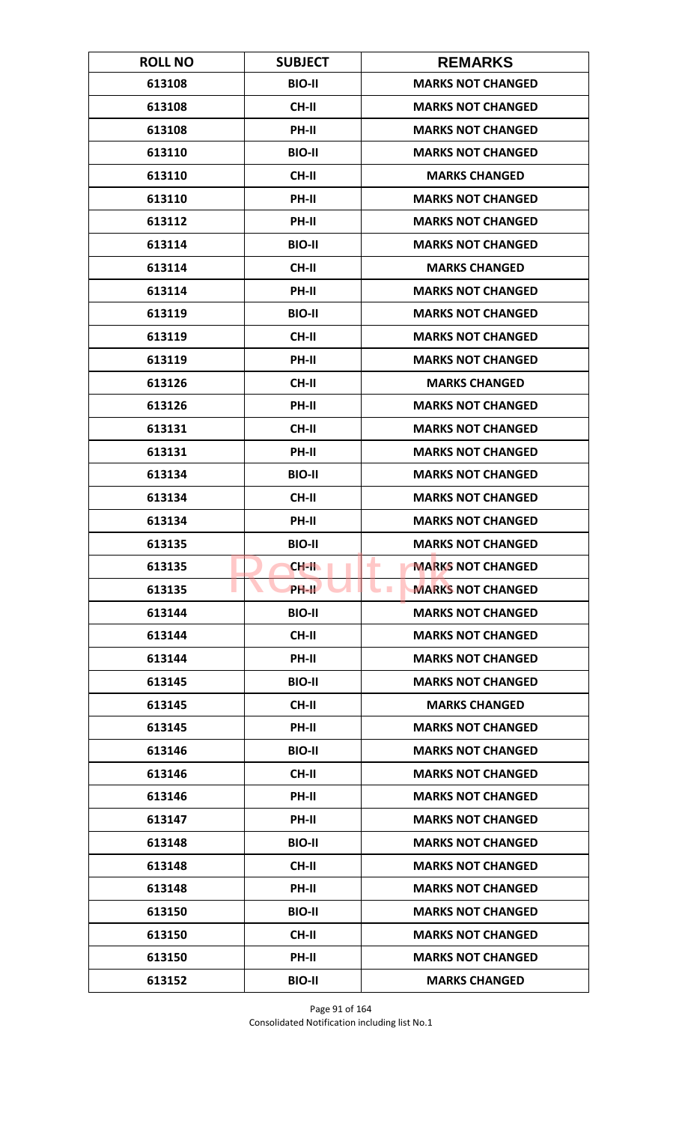| <b>ROLL NO</b> | <b>SUBJECT</b> | <b>REMARKS</b>                             |
|----------------|----------------|--------------------------------------------|
| 613108         | <b>BIO-II</b>  | <b>MARKS NOT CHANGED</b>                   |
| 613108         | CH-II          | <b>MARKS NOT CHANGED</b>                   |
| 613108         | PH-II          | <b>MARKS NOT CHANGED</b>                   |
| 613110         | <b>BIO-II</b>  | <b>MARKS NOT CHANGED</b>                   |
| 613110         | <b>CH-II</b>   | <b>MARKS CHANGED</b>                       |
| 613110         | PH-II          | <b>MARKS NOT CHANGED</b>                   |
| 613112         | PH-II          | <b>MARKS NOT CHANGED</b>                   |
| 613114         | <b>BIO-II</b>  | <b>MARKS NOT CHANGED</b>                   |
| 613114         | <b>CH-II</b>   | <b>MARKS CHANGED</b>                       |
| 613114         | PH-II          | <b>MARKS NOT CHANGED</b>                   |
| 613119         | <b>BIO-II</b>  | <b>MARKS NOT CHANGED</b>                   |
| 613119         | <b>CH-II</b>   | <b>MARKS NOT CHANGED</b>                   |
| 613119         | PH-II          | <b>MARKS NOT CHANGED</b>                   |
| 613126         | <b>CH-II</b>   | <b>MARKS CHANGED</b>                       |
| 613126         | PH-II          | <b>MARKS NOT CHANGED</b>                   |
| 613131         | CH-II          | <b>MARKS NOT CHANGED</b>                   |
| 613131         | PH-II          | <b>MARKS NOT CHANGED</b>                   |
| 613134         | <b>BIO-II</b>  | <b>MARKS NOT CHANGED</b>                   |
| 613134         | <b>CH-II</b>   | <b>MARKS NOT CHANGED</b>                   |
| 613134         | PH-II          | <b>MARKS NOT CHANGED</b>                   |
| 613135         | <b>BIO-II</b>  | <b>MARKS NOT CHANGED</b>                   |
| 613135         | <b>CH-II</b>   | ۰<br><b>MARKS NOT CHANGED</b>              |
| 613135         | <b>PH-IL</b>   | <b>MARKS NOT CHANGED</b><br><b>College</b> |
| 613144         | <b>BIO-II</b>  | <b>MARKS NOT CHANGED</b>                   |
| 613144         | CH-II          | <b>MARKS NOT CHANGED</b>                   |
| 613144         | PH-II          | <b>MARKS NOT CHANGED</b>                   |
| 613145         | <b>BIO-II</b>  | <b>MARKS NOT CHANGED</b>                   |
| 613145         | CH-II          | <b>MARKS CHANGED</b>                       |
| 613145         | PH-II          | <b>MARKS NOT CHANGED</b>                   |
| 613146         | <b>BIO-II</b>  | <b>MARKS NOT CHANGED</b>                   |
| 613146         | CH-II          | <b>MARKS NOT CHANGED</b>                   |
| 613146         | PH-II          | <b>MARKS NOT CHANGED</b>                   |
| 613147         | PH-II          | <b>MARKS NOT CHANGED</b>                   |
| 613148         | <b>BIO-II</b>  | <b>MARKS NOT CHANGED</b>                   |
| 613148         | CH-II          | <b>MARKS NOT CHANGED</b>                   |
| 613148         | PH-II          | <b>MARKS NOT CHANGED</b>                   |
| 613150         | <b>BIO-II</b>  | <b>MARKS NOT CHANGED</b>                   |
| 613150         | CH-II          | <b>MARKS NOT CHANGED</b>                   |
| 613150         | <b>PH-II</b>   | <b>MARKS NOT CHANGED</b>                   |
| 613152         | <b>BIO-II</b>  | <b>MARKS CHANGED</b>                       |

Page 91 of 164 Consolidated Notification including list No.1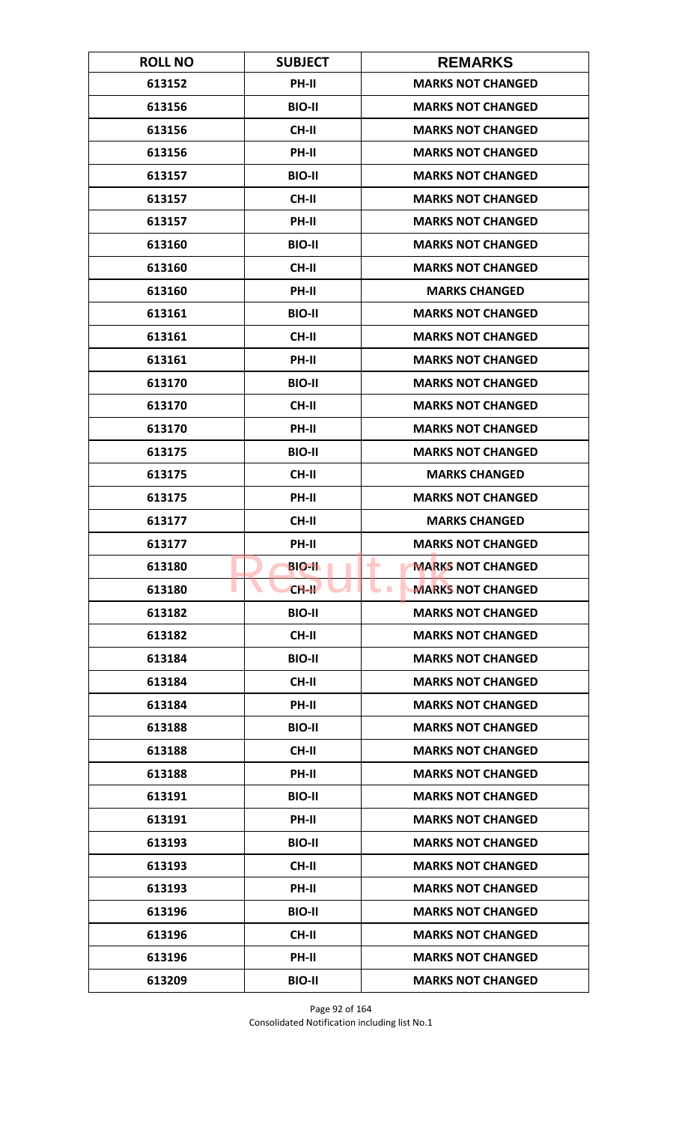| <b>ROLL NO</b> | <b>SUBJECT</b> | <b>REMARKS</b>                               |
|----------------|----------------|----------------------------------------------|
| 613152         | PH-II          | <b>MARKS NOT CHANGED</b>                     |
| 613156         | <b>BIO-II</b>  | <b>MARKS NOT CHANGED</b>                     |
| 613156         | <b>CH-II</b>   | <b>MARKS NOT CHANGED</b>                     |
| 613156         | PH-II          | <b>MARKS NOT CHANGED</b>                     |
| 613157         | <b>BIO-II</b>  | <b>MARKS NOT CHANGED</b>                     |
| 613157         | CH-II          | <b>MARKS NOT CHANGED</b>                     |
| 613157         | PH-II          | <b>MARKS NOT CHANGED</b>                     |
| 613160         | <b>BIO-II</b>  | <b>MARKS NOT CHANGED</b>                     |
| 613160         | <b>CH-II</b>   | <b>MARKS NOT CHANGED</b>                     |
| 613160         | PH-II          | <b>MARKS CHANGED</b>                         |
| 613161         | <b>BIO-II</b>  | <b>MARKS NOT CHANGED</b>                     |
| 613161         | <b>CH-II</b>   | <b>MARKS NOT CHANGED</b>                     |
| 613161         | PH-II          | <b>MARKS NOT CHANGED</b>                     |
| 613170         | <b>BIO-II</b>  | <b>MARKS NOT CHANGED</b>                     |
| 613170         | CH-II          | <b>MARKS NOT CHANGED</b>                     |
| 613170         | PH-II          | <b>MARKS NOT CHANGED</b>                     |
| 613175         | <b>BIO-II</b>  | <b>MARKS NOT CHANGED</b>                     |
| 613175         | <b>CH-II</b>   | <b>MARKS CHANGED</b>                         |
| 613175         | PH-II          | <b>MARKS NOT CHANGED</b>                     |
| 613177         | <b>CH-II</b>   | <b>MARKS CHANGED</b>                         |
| 613177         | <b>PH-II</b>   | <b>MARKS NOT CHANGED</b>                     |
| 613180         | <b>BIO-IL</b>  | ٠<br><b>MARKS NOT CHANGED</b>                |
| 613180         | $CH-H$         | <b>MARKS NOT CHANGED</b><br><b>The State</b> |
| 613182         | <b>BIO-II</b>  | <b>MARKS NOT CHANGED</b>                     |
| 613182         | CH-II          | <b>MARKS NOT CHANGED</b>                     |
| 613184         | <b>BIO-II</b>  | <b>MARKS NOT CHANGED</b>                     |
| 613184         | CH-II          | <b>MARKS NOT CHANGED</b>                     |
| 613184         | PH-II          | <b>MARKS NOT CHANGED</b>                     |
| 613188         | <b>BIO-II</b>  | <b>MARKS NOT CHANGED</b>                     |
| 613188         | <b>CH-II</b>   | <b>MARKS NOT CHANGED</b>                     |
| 613188         | PH-II          | <b>MARKS NOT CHANGED</b>                     |
| 613191         | <b>BIO-II</b>  | <b>MARKS NOT CHANGED</b>                     |
| 613191         | PH-II          | <b>MARKS NOT CHANGED</b>                     |
| 613193         | <b>BIO-II</b>  | <b>MARKS NOT CHANGED</b>                     |
| 613193         | CH-II          | <b>MARKS NOT CHANGED</b>                     |
| 613193         | PH-II          | <b>MARKS NOT CHANGED</b>                     |
| 613196         | <b>BIO-II</b>  | <b>MARKS NOT CHANGED</b>                     |
| 613196         | CH-II          | <b>MARKS NOT CHANGED</b>                     |
| 613196         | <b>PH-II</b>   | <b>MARKS NOT CHANGED</b>                     |
| 613209         | <b>BIO-II</b>  | <b>MARKS NOT CHANGED</b>                     |

Page 92 of 164 Consolidated Notification including list No.1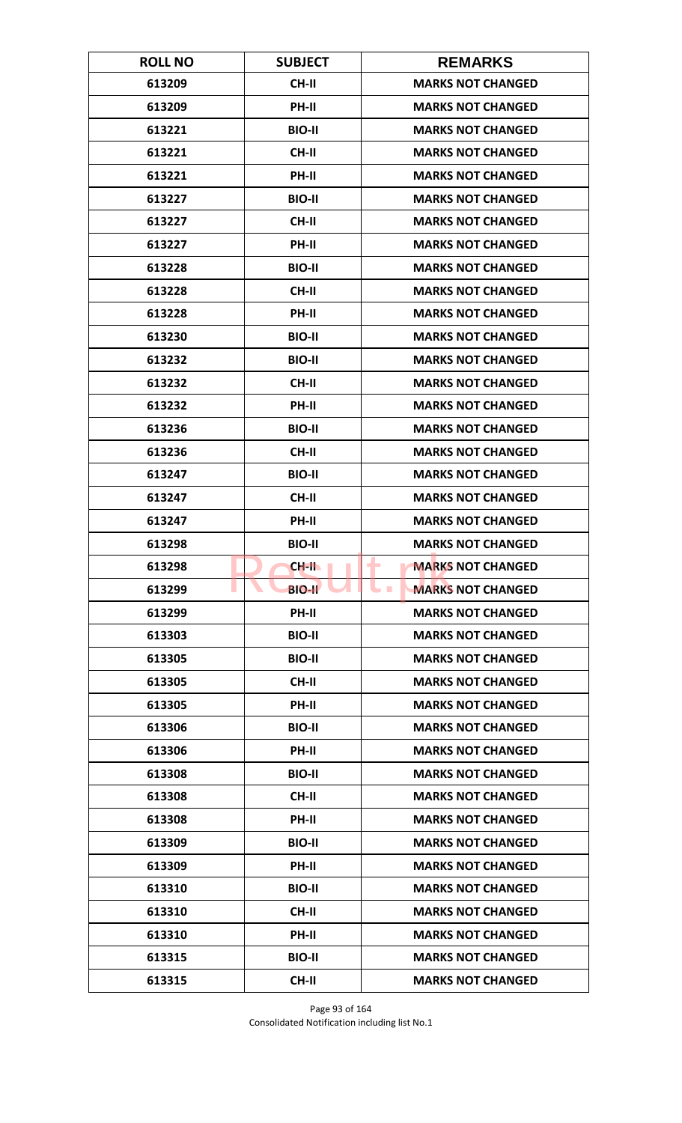| <b>ROLL NO</b> | <b>SUBJECT</b> | <b>REMARKS</b>                               |
|----------------|----------------|----------------------------------------------|
| 613209         | <b>CH-II</b>   | <b>MARKS NOT CHANGED</b>                     |
| 613209         | PH-II          | <b>MARKS NOT CHANGED</b>                     |
| 613221         | <b>BIO-II</b>  | <b>MARKS NOT CHANGED</b>                     |
| 613221         | CH-II          | <b>MARKS NOT CHANGED</b>                     |
| 613221         | PH-II          | <b>MARKS NOT CHANGED</b>                     |
| 613227         | <b>BIO-II</b>  | <b>MARKS NOT CHANGED</b>                     |
| 613227         | <b>CH-II</b>   | <b>MARKS NOT CHANGED</b>                     |
| 613227         | PH-II          | <b>MARKS NOT CHANGED</b>                     |
| 613228         | <b>BIO-II</b>  | <b>MARKS NOT CHANGED</b>                     |
| 613228         | CH-II          | <b>MARKS NOT CHANGED</b>                     |
| 613228         | PH-II          | <b>MARKS NOT CHANGED</b>                     |
| 613230         | <b>BIO-II</b>  | <b>MARKS NOT CHANGED</b>                     |
| 613232         | <b>BIO-II</b>  | <b>MARKS NOT CHANGED</b>                     |
| 613232         | <b>CH-II</b>   | <b>MARKS NOT CHANGED</b>                     |
| 613232         | PH-II          | <b>MARKS NOT CHANGED</b>                     |
| 613236         | <b>BIO-II</b>  | <b>MARKS NOT CHANGED</b>                     |
| 613236         | <b>CH-II</b>   | <b>MARKS NOT CHANGED</b>                     |
| 613247         | <b>BIO-II</b>  | <b>MARKS NOT CHANGED</b>                     |
| 613247         | <b>CH-II</b>   | <b>MARKS NOT CHANGED</b>                     |
| 613247         | PH-II          | <b>MARKS NOT CHANGED</b>                     |
| 613298         | <b>BIO-II</b>  | <b>MARKS NOT CHANGED</b>                     |
| 613298         | $CH-H$         | <b>MARKS NOT CHANGED</b><br>٠                |
| 613299         | <b>BIO-II</b>  | <b>MARKS NOT CHANGED</b><br><b>The State</b> |
| 613299         | PH-II          | <b>MARKS NOT CHANGED</b>                     |
| 613303         | <b>BIO-II</b>  | <b>MARKS NOT CHANGED</b>                     |
| 613305         | <b>BIO-II</b>  | <b>MARKS NOT CHANGED</b>                     |
| 613305         | CH-II          | <b>MARKS NOT CHANGED</b>                     |
| 613305         | <b>PH-II</b>   | <b>MARKS NOT CHANGED</b>                     |
| 613306         | <b>BIO-II</b>  | <b>MARKS NOT CHANGED</b>                     |
| 613306         | <b>PH-II</b>   | <b>MARKS NOT CHANGED</b>                     |
| 613308         | <b>BIO-II</b>  | <b>MARKS NOT CHANGED</b>                     |
| 613308         | CH-II          | <b>MARKS NOT CHANGED</b>                     |
| 613308         | PH-II          | <b>MARKS NOT CHANGED</b>                     |
| 613309         | <b>BIO-II</b>  | <b>MARKS NOT CHANGED</b>                     |
| 613309         | <b>PH-II</b>   | <b>MARKS NOT CHANGED</b>                     |
| 613310         | <b>BIO-II</b>  | <b>MARKS NOT CHANGED</b>                     |
| 613310         | CH-II          | <b>MARKS NOT CHANGED</b>                     |
| 613310         | PH-II          | <b>MARKS NOT CHANGED</b>                     |
| 613315         | <b>BIO-II</b>  | <b>MARKS NOT CHANGED</b>                     |
| 613315         | <b>CH-II</b>   | <b>MARKS NOT CHANGED</b>                     |

Page 93 of 164 Consolidated Notification including list No.1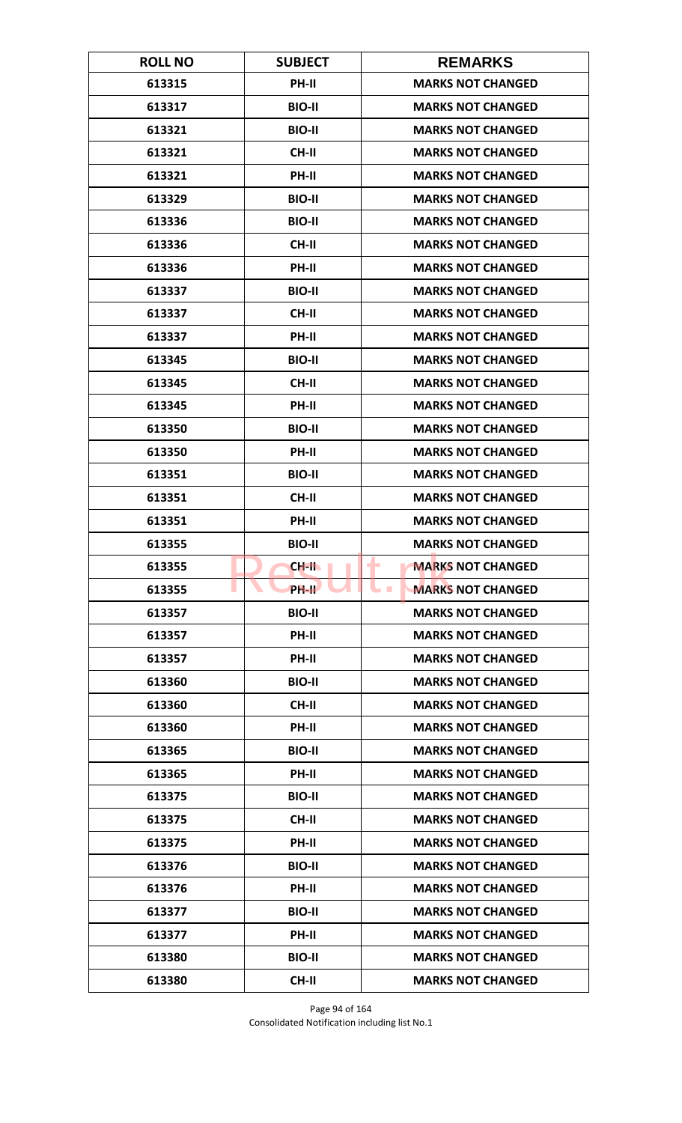| <b>ROLL NO</b> | <b>SUBJECT</b> | <b>REMARKS</b>                               |
|----------------|----------------|----------------------------------------------|
| 613315         | <b>PH-II</b>   | <b>MARKS NOT CHANGED</b>                     |
| 613317         | <b>BIO-II</b>  | <b>MARKS NOT CHANGED</b>                     |
| 613321         | <b>BIO-II</b>  | <b>MARKS NOT CHANGED</b>                     |
| 613321         | <b>CH-II</b>   | <b>MARKS NOT CHANGED</b>                     |
| 613321         | PH-II          | <b>MARKS NOT CHANGED</b>                     |
| 613329         | <b>BIO-II</b>  | <b>MARKS NOT CHANGED</b>                     |
| 613336         | <b>BIO-II</b>  | <b>MARKS NOT CHANGED</b>                     |
| 613336         | <b>CH-II</b>   | <b>MARKS NOT CHANGED</b>                     |
| 613336         | PH-II          | <b>MARKS NOT CHANGED</b>                     |
| 613337         | <b>BIO-II</b>  | <b>MARKS NOT CHANGED</b>                     |
| 613337         | CH-II          | <b>MARKS NOT CHANGED</b>                     |
| 613337         | <b>PH-II</b>   | <b>MARKS NOT CHANGED</b>                     |
| 613345         | <b>BIO-II</b>  | <b>MARKS NOT CHANGED</b>                     |
| 613345         | <b>CH-II</b>   | <b>MARKS NOT CHANGED</b>                     |
| 613345         | PH-II          | <b>MARKS NOT CHANGED</b>                     |
| 613350         | <b>BIO-II</b>  | <b>MARKS NOT CHANGED</b>                     |
| 613350         | PH-II          | <b>MARKS NOT CHANGED</b>                     |
| 613351         | <b>BIO-II</b>  | <b>MARKS NOT CHANGED</b>                     |
| 613351         | <b>CH-II</b>   | <b>MARKS NOT CHANGED</b>                     |
| 613351         | PH-II          | <b>MARKS NOT CHANGED</b>                     |
| 613355         | <b>BIO-II</b>  | <b>MARKS NOT CHANGED</b>                     |
| 613355         | CH-II          | <b>MARKS NOT CHANGED</b><br>٠                |
| 613355         | PH-IL          | <b>MARKS NOT CHANGED</b><br><b>The State</b> |
| 613357         | <b>BIO-II</b>  | <b>MARKS NOT CHANGED</b>                     |
| 613357         | <b>PH-II</b>   | <b>MARKS NOT CHANGED</b>                     |
| 613357         | PH-II          | <b>MARKS NOT CHANGED</b>                     |
| 613360         | <b>BIO-II</b>  | <b>MARKS NOT CHANGED</b>                     |
| 613360         | <b>CH-II</b>   | <b>MARKS NOT CHANGED</b>                     |
| 613360         | PH-II          | <b>MARKS NOT CHANGED</b>                     |
| 613365         | <b>BIO-II</b>  | <b>MARKS NOT CHANGED</b>                     |
| 613365         | PH-II          | <b>MARKS NOT CHANGED</b>                     |
| 613375         | <b>BIO-II</b>  | <b>MARKS NOT CHANGED</b>                     |
| 613375         | CH-II          | <b>MARKS NOT CHANGED</b>                     |
| 613375         | PH-II          | <b>MARKS NOT CHANGED</b>                     |
| 613376         | <b>BIO-II</b>  | <b>MARKS NOT CHANGED</b>                     |
| 613376         | PH-II          | <b>MARKS NOT CHANGED</b>                     |
| 613377         | <b>BIO-II</b>  | <b>MARKS NOT CHANGED</b>                     |
| 613377         | <b>PH-II</b>   | <b>MARKS NOT CHANGED</b>                     |
| 613380         | <b>BIO-II</b>  | <b>MARKS NOT CHANGED</b>                     |
| 613380         | <b>CH-II</b>   | <b>MARKS NOT CHANGED</b>                     |

Page 94 of 164 Consolidated Notification including list No.1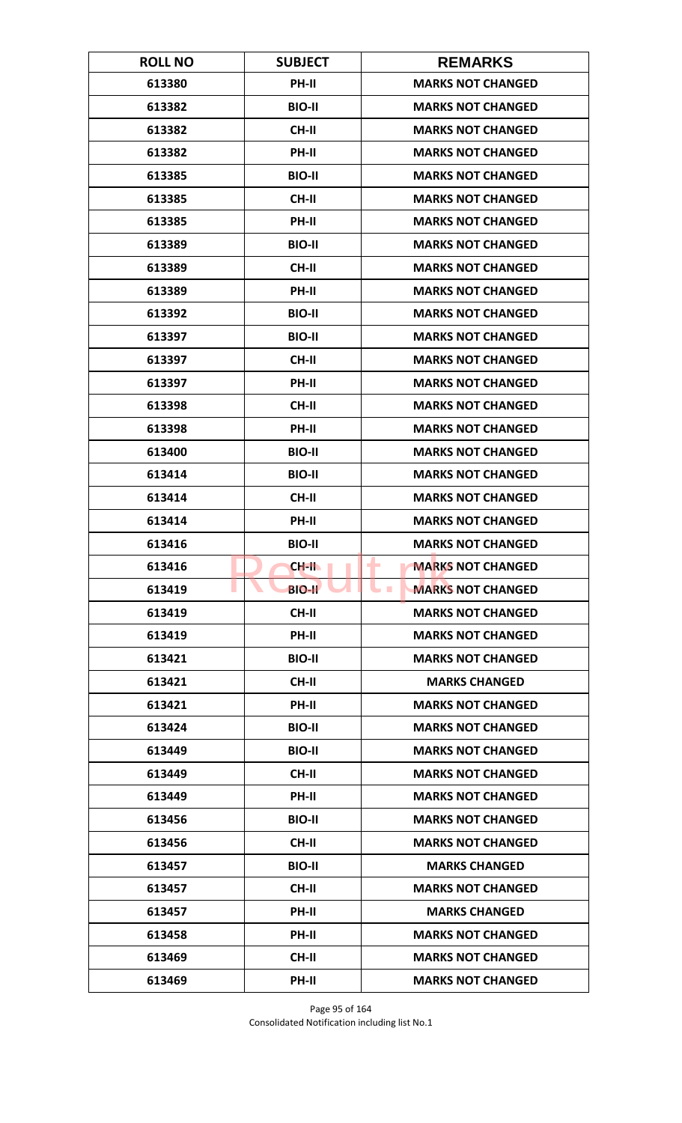| <b>ROLL NO</b> | <b>SUBJECT</b> | <b>REMARKS</b>                               |
|----------------|----------------|----------------------------------------------|
| 613380         | <b>PH-II</b>   | <b>MARKS NOT CHANGED</b>                     |
| 613382         | <b>BIO-II</b>  | <b>MARKS NOT CHANGED</b>                     |
| 613382         | <b>CH-II</b>   | <b>MARKS NOT CHANGED</b>                     |
| 613382         | PH-II          | <b>MARKS NOT CHANGED</b>                     |
| 613385         | <b>BIO-II</b>  | <b>MARKS NOT CHANGED</b>                     |
| 613385         | <b>CH-II</b>   | <b>MARKS NOT CHANGED</b>                     |
| 613385         | <b>PH-II</b>   | <b>MARKS NOT CHANGED</b>                     |
| 613389         | <b>BIO-II</b>  | <b>MARKS NOT CHANGED</b>                     |
| 613389         | <b>CH-II</b>   | <b>MARKS NOT CHANGED</b>                     |
| 613389         | PH-II          | <b>MARKS NOT CHANGED</b>                     |
| 613392         | <b>BIO-II</b>  | <b>MARKS NOT CHANGED</b>                     |
| 613397         | <b>BIO-II</b>  | <b>MARKS NOT CHANGED</b>                     |
| 613397         | <b>CH-II</b>   | <b>MARKS NOT CHANGED</b>                     |
| 613397         | PH-II          | <b>MARKS NOT CHANGED</b>                     |
| 613398         | <b>CH-II</b>   | <b>MARKS NOT CHANGED</b>                     |
| 613398         | PH-II          | <b>MARKS NOT CHANGED</b>                     |
| 613400         | <b>BIO-II</b>  | <b>MARKS NOT CHANGED</b>                     |
| 613414         | <b>BIO-II</b>  | <b>MARKS NOT CHANGED</b>                     |
| 613414         | <b>CH-II</b>   | <b>MARKS NOT CHANGED</b>                     |
| 613414         | PH-II          | <b>MARKS NOT CHANGED</b>                     |
| 613416         | <b>BIO-II</b>  | <b>MARKS NOT CHANGED</b>                     |
| 613416         | CH-II          | <b>MARKS NOT CHANGED</b><br>٠                |
| 613419         | <b>BIO-II</b>  | <b>MARKS NOT CHANGED</b><br><b>The State</b> |
| 613419         | CH-II          | <b>MARKS NOT CHANGED</b>                     |
| 613419         | PH-II          | <b>MARKS NOT CHANGED</b>                     |
| 613421         | <b>BIO-II</b>  | <b>MARKS NOT CHANGED</b>                     |
| 613421         | CH-II          | <b>MARKS CHANGED</b>                         |
| 613421         | <b>PH-II</b>   | <b>MARKS NOT CHANGED</b>                     |
| 613424         | <b>BIO-II</b>  | <b>MARKS NOT CHANGED</b>                     |
| 613449         | <b>BIO-II</b>  | <b>MARKS NOT CHANGED</b>                     |
| 613449         | <b>CH-II</b>   | <b>MARKS NOT CHANGED</b>                     |
| 613449         | PH-II          | <b>MARKS NOT CHANGED</b>                     |
| 613456         | <b>BIO-II</b>  | <b>MARKS NOT CHANGED</b>                     |
| 613456         | <b>CH-II</b>   | <b>MARKS NOT CHANGED</b>                     |
| 613457         | <b>BIO-II</b>  | <b>MARKS CHANGED</b>                         |
| 613457         | CH-II          | <b>MARKS NOT CHANGED</b>                     |
| 613457         | PH-II          | <b>MARKS CHANGED</b>                         |
| 613458         | <b>PH-II</b>   | <b>MARKS NOT CHANGED</b>                     |
| 613469         | <b>CH-II</b>   | <b>MARKS NOT CHANGED</b>                     |
| 613469         | PH-II          | <b>MARKS NOT CHANGED</b>                     |

Page 95 of 164 Consolidated Notification including list No.1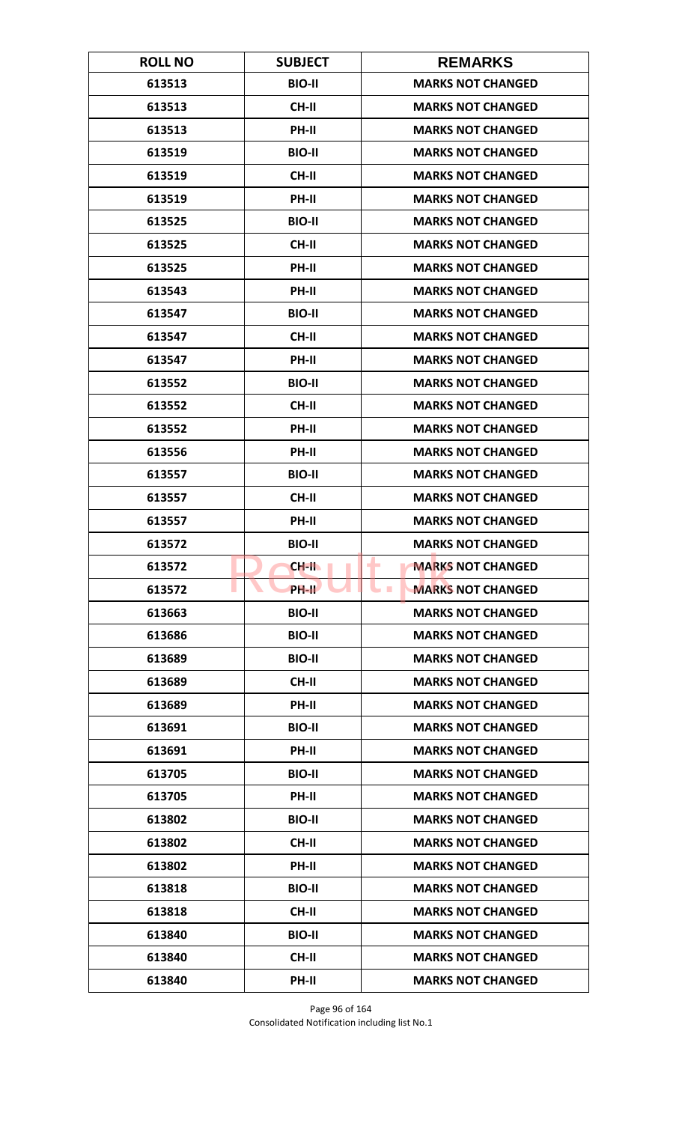| <b>ROLL NO</b> | <b>SUBJECT</b> | <b>REMARKS</b>                               |
|----------------|----------------|----------------------------------------------|
| 613513         | <b>BIO-II</b>  | <b>MARKS NOT CHANGED</b>                     |
| 613513         | <b>CH-II</b>   | <b>MARKS NOT CHANGED</b>                     |
| 613513         | PH-II          | <b>MARKS NOT CHANGED</b>                     |
| 613519         | <b>BIO-II</b>  | <b>MARKS NOT CHANGED</b>                     |
| 613519         | <b>CH-II</b>   | <b>MARKS NOT CHANGED</b>                     |
| 613519         | PH-II          | <b>MARKS NOT CHANGED</b>                     |
| 613525         | <b>BIO-II</b>  | <b>MARKS NOT CHANGED</b>                     |
| 613525         | <b>CH-II</b>   | <b>MARKS NOT CHANGED</b>                     |
| 613525         | PH-II          | <b>MARKS NOT CHANGED</b>                     |
| 613543         | PH-II          | <b>MARKS NOT CHANGED</b>                     |
| 613547         | <b>BIO-II</b>  | <b>MARKS NOT CHANGED</b>                     |
| 613547         | <b>CH-II</b>   | <b>MARKS NOT CHANGED</b>                     |
| 613547         | PH-II          | <b>MARKS NOT CHANGED</b>                     |
| 613552         | <b>BIO-II</b>  | <b>MARKS NOT CHANGED</b>                     |
| 613552         | <b>CH-II</b>   | <b>MARKS NOT CHANGED</b>                     |
| 613552         | PH-II          | <b>MARKS NOT CHANGED</b>                     |
| 613556         | PH-II          | <b>MARKS NOT CHANGED</b>                     |
| 613557         | <b>BIO-II</b>  | <b>MARKS NOT CHANGED</b>                     |
| 613557         | <b>CH-II</b>   | <b>MARKS NOT CHANGED</b>                     |
| 613557         | PH-II          | <b>MARKS NOT CHANGED</b>                     |
| 613572         | <b>BIO-II</b>  | <b>MARKS NOT CHANGED</b>                     |
| 613572         | CH-II          | <b>MARKS NOT CHANGED</b><br>٠                |
| 613572         | <b>PH-IL</b>   | <b>MARKS NOT CHANGED</b><br><b>The State</b> |
| 613663         | <b>BIO-II</b>  | <b>MARKS NOT CHANGED</b>                     |
| 613686         | <b>BIO-II</b>  | <b>MARKS NOT CHANGED</b>                     |
| 613689         | <b>BIO-II</b>  | <b>MARKS NOT CHANGED</b>                     |
| 613689         | <b>CH-II</b>   | <b>MARKS NOT CHANGED</b>                     |
| 613689         | <b>PH-II</b>   | <b>MARKS NOT CHANGED</b>                     |
| 613691         | <b>BIO-II</b>  | <b>MARKS NOT CHANGED</b>                     |
| 613691         | <b>PH-II</b>   | <b>MARKS NOT CHANGED</b>                     |
| 613705         | <b>BIO-II</b>  | <b>MARKS NOT CHANGED</b>                     |
| 613705         | PH-II          | <b>MARKS NOT CHANGED</b>                     |
| 613802         | <b>BIO-II</b>  | <b>MARKS NOT CHANGED</b>                     |
| 613802         | <b>CH-II</b>   | <b>MARKS NOT CHANGED</b>                     |
| 613802         | PH-II          | <b>MARKS NOT CHANGED</b>                     |
| 613818         | <b>BIO-II</b>  | <b>MARKS NOT CHANGED</b>                     |
| 613818         | <b>CH-II</b>   | <b>MARKS NOT CHANGED</b>                     |
| 613840         | <b>BIO-II</b>  | <b>MARKS NOT CHANGED</b>                     |
| 613840         | <b>CH-II</b>   | <b>MARKS NOT CHANGED</b>                     |
| 613840         | PH-II          | <b>MARKS NOT CHANGED</b>                     |

Page 96 of 164 Consolidated Notification including list No.1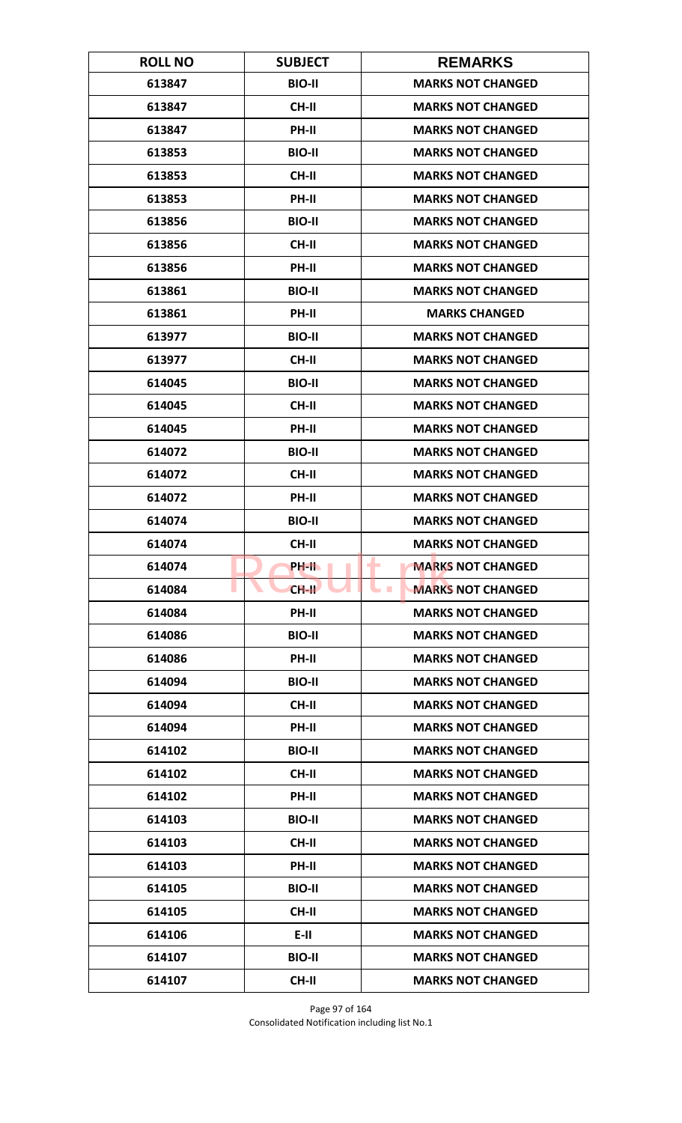| <b>ROLL NO</b> | <b>SUBJECT</b> | <b>REMARKS</b>                               |
|----------------|----------------|----------------------------------------------|
| 613847         | <b>BIO-II</b>  | <b>MARKS NOT CHANGED</b>                     |
| 613847         | <b>CH-II</b>   | <b>MARKS NOT CHANGED</b>                     |
| 613847         | PH-II          | <b>MARKS NOT CHANGED</b>                     |
| 613853         | <b>BIO-II</b>  | <b>MARKS NOT CHANGED</b>                     |
| 613853         | <b>CH-II</b>   | <b>MARKS NOT CHANGED</b>                     |
| 613853         | PH-II          | <b>MARKS NOT CHANGED</b>                     |
| 613856         | <b>BIO-II</b>  | <b>MARKS NOT CHANGED</b>                     |
| 613856         | <b>CH-II</b>   | <b>MARKS NOT CHANGED</b>                     |
| 613856         | PH-II          | <b>MARKS NOT CHANGED</b>                     |
| 613861         | <b>BIO-II</b>  | <b>MARKS NOT CHANGED</b>                     |
| 613861         | <b>PH-II</b>   | <b>MARKS CHANGED</b>                         |
| 613977         | <b>BIO-II</b>  | <b>MARKS NOT CHANGED</b>                     |
| 613977         | <b>CH-II</b>   | <b>MARKS NOT CHANGED</b>                     |
| 614045         | <b>BIO-II</b>  | <b>MARKS NOT CHANGED</b>                     |
| 614045         | <b>CH-II</b>   | <b>MARKS NOT CHANGED</b>                     |
| 614045         | PH-II          | <b>MARKS NOT CHANGED</b>                     |
| 614072         | <b>BIO-II</b>  | <b>MARKS NOT CHANGED</b>                     |
| 614072         | CH-II          | <b>MARKS NOT CHANGED</b>                     |
| 614072         | PH-II          | <b>MARKS NOT CHANGED</b>                     |
| 614074         | <b>BIO-II</b>  | <b>MARKS NOT CHANGED</b>                     |
| 614074         | CH-II          | <b>MARKS NOT CHANGED</b>                     |
| 614074         | PH-IL          | <b>MARKS NOT CHANGED</b><br>٠                |
| 614084         | $CH-H$         | <b>MARKS NOT CHANGED</b><br><b>The State</b> |
| 614084         | PH-II          | <b>MARKS NOT CHANGED</b>                     |
| 614086         | <b>BIO-II</b>  | <b>MARKS NOT CHANGED</b>                     |
| 614086         | PH-II          | <b>MARKS NOT CHANGED</b>                     |
| 614094         | <b>BIO-II</b>  | <b>MARKS NOT CHANGED</b>                     |
| 614094         | <b>CH-II</b>   | <b>MARKS NOT CHANGED</b>                     |
| 614094         | PH-II          | <b>MARKS NOT CHANGED</b>                     |
| 614102         | <b>BIO-II</b>  | <b>MARKS NOT CHANGED</b>                     |
| 614102         | <b>CH-II</b>   | <b>MARKS NOT CHANGED</b>                     |
| 614102         | PH-II          | <b>MARKS NOT CHANGED</b>                     |
| 614103         | <b>BIO-II</b>  | <b>MARKS NOT CHANGED</b>                     |
| 614103         | <b>CH-II</b>   | <b>MARKS NOT CHANGED</b>                     |
| 614103         | PH-II          | <b>MARKS NOT CHANGED</b>                     |
| 614105         | <b>BIO-II</b>  | <b>MARKS NOT CHANGED</b>                     |
| 614105         | CH-II          | <b>MARKS NOT CHANGED</b>                     |
| 614106         | $E-H$          | <b>MARKS NOT CHANGED</b>                     |
| 614107         | <b>BIO-II</b>  | <b>MARKS NOT CHANGED</b>                     |
| 614107         | <b>CH-II</b>   | <b>MARKS NOT CHANGED</b>                     |

Page 97 of 164 Consolidated Notification including list No.1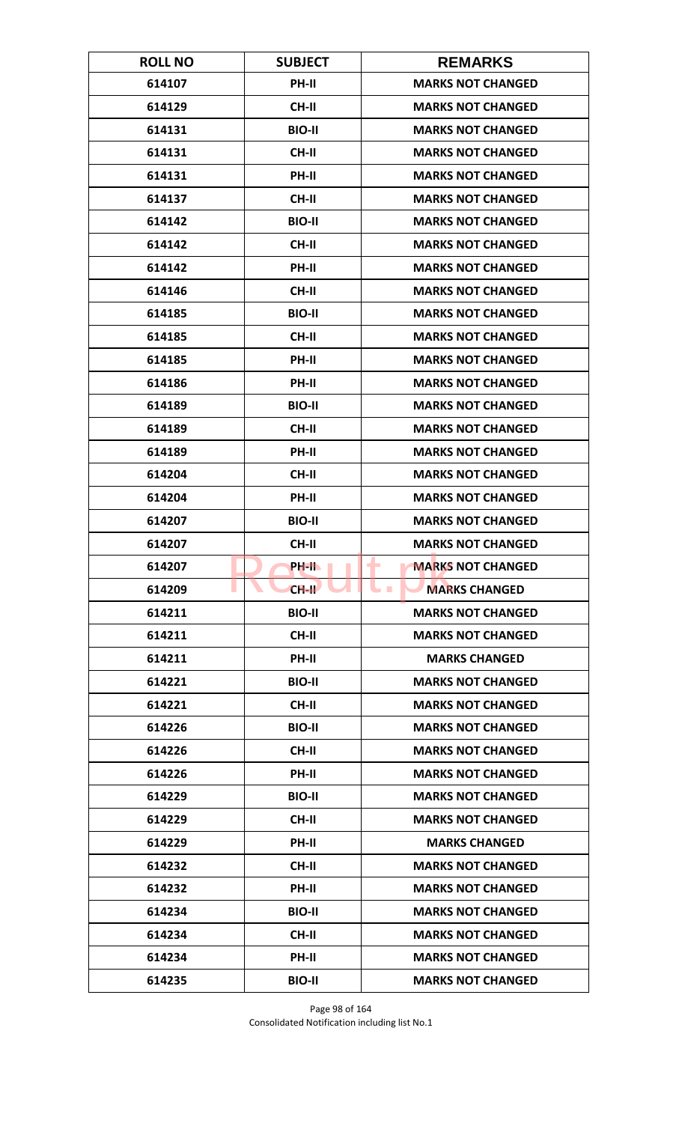| <b>ROLL NO</b> | <b>SUBJECT</b> | <b>REMARKS</b>                |
|----------------|----------------|-------------------------------|
| 614107         | <b>PH-II</b>   | <b>MARKS NOT CHANGED</b>      |
| 614129         | <b>CH-II</b>   | <b>MARKS NOT CHANGED</b>      |
| 614131         | <b>BIO-II</b>  | <b>MARKS NOT CHANGED</b>      |
| 614131         | <b>CH-II</b>   | <b>MARKS NOT CHANGED</b>      |
| 614131         | PH-II          | <b>MARKS NOT CHANGED</b>      |
| 614137         | <b>CH-II</b>   | <b>MARKS NOT CHANGED</b>      |
| 614142         | <b>BIO-II</b>  | <b>MARKS NOT CHANGED</b>      |
| 614142         | CH-II          | <b>MARKS NOT CHANGED</b>      |
| 614142         | PH-II          | <b>MARKS NOT CHANGED</b>      |
| 614146         | CH-II          | <b>MARKS NOT CHANGED</b>      |
| 614185         | <b>BIO-II</b>  | <b>MARKS NOT CHANGED</b>      |
| 614185         | <b>CH-II</b>   | <b>MARKS NOT CHANGED</b>      |
| 614185         | PH-II          | <b>MARKS NOT CHANGED</b>      |
| 614186         | PH-II          | <b>MARKS NOT CHANGED</b>      |
| 614189         | <b>BIO-II</b>  | <b>MARKS NOT CHANGED</b>      |
| 614189         | <b>CH-II</b>   | <b>MARKS NOT CHANGED</b>      |
| 614189         | PH-II          | <b>MARKS NOT CHANGED</b>      |
| 614204         | <b>CH-II</b>   | <b>MARKS NOT CHANGED</b>      |
| 614204         | PH-II          | <b>MARKS NOT CHANGED</b>      |
| 614207         | <b>BIO-II</b>  | <b>MARKS NOT CHANGED</b>      |
| 614207         | CH-II          | <b>MARKS NOT CHANGED</b>      |
| 614207         | PH-II.         | <b>MARKS NOT CHANGED</b><br>٠ |
| 614209         | $CH-H$         | <b>MARKS CHANGED</b>          |
| 614211         | <b>BIO-II</b>  | <b>MARKS NOT CHANGED</b>      |
| 614211         | CH-II          | <b>MARKS NOT CHANGED</b>      |
| 614211         | PH-II          | <b>MARKS CHANGED</b>          |
| 614221         | <b>BIO-II</b>  | <b>MARKS NOT CHANGED</b>      |
| 614221         | <b>CH-II</b>   | <b>MARKS NOT CHANGED</b>      |
| 614226         | <b>BIO-II</b>  | <b>MARKS NOT CHANGED</b>      |
| 614226         | <b>CH-II</b>   | <b>MARKS NOT CHANGED</b>      |
| 614226         | PH-II          | <b>MARKS NOT CHANGED</b>      |
| 614229         | <b>BIO-II</b>  | <b>MARKS NOT CHANGED</b>      |
| 614229         | CH-II          | <b>MARKS NOT CHANGED</b>      |
| 614229         | PH-II          | <b>MARKS CHANGED</b>          |
| 614232         | <b>CH-II</b>   | <b>MARKS NOT CHANGED</b>      |
| 614232         | PH-II          | <b>MARKS NOT CHANGED</b>      |
| 614234         | <b>BIO-II</b>  | <b>MARKS NOT CHANGED</b>      |
| 614234         | <b>CH-II</b>   | <b>MARKS NOT CHANGED</b>      |
| 614234         | <b>PH-II</b>   | <b>MARKS NOT CHANGED</b>      |
| 614235         | <b>BIO-II</b>  | <b>MARKS NOT CHANGED</b>      |

Page 98 of 164 Consolidated Notification including list No.1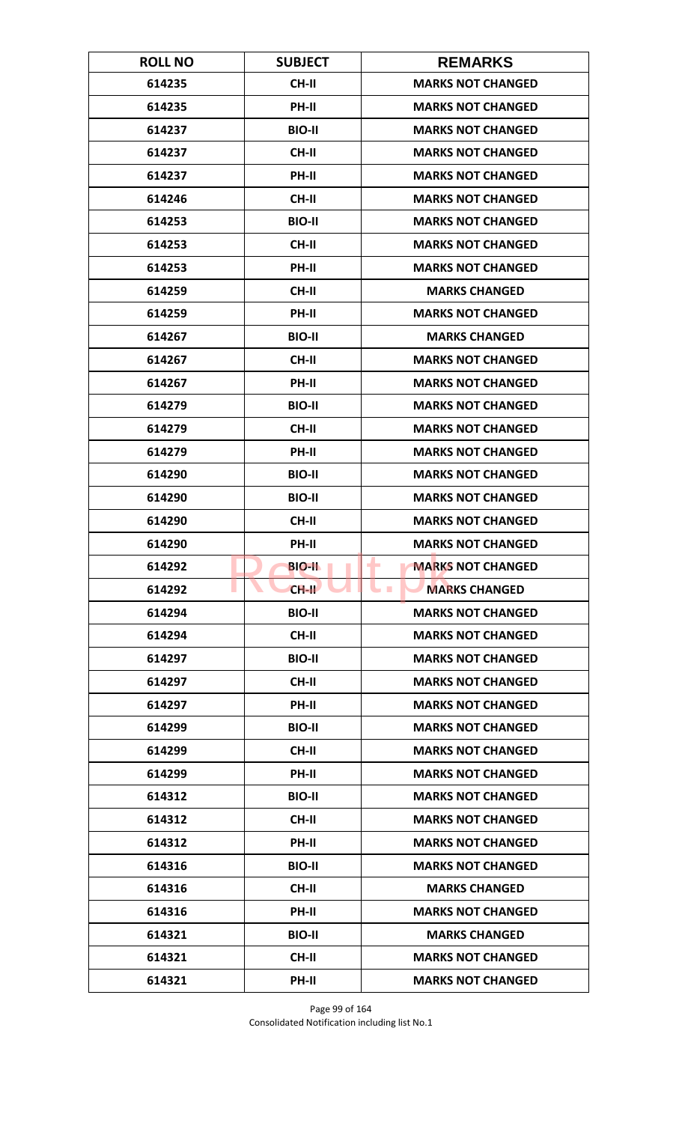| <b>ROLL NO</b> | <b>SUBJECT</b> | <b>REMARKS</b>                           |
|----------------|----------------|------------------------------------------|
| 614235         | <b>CH-II</b>   | <b>MARKS NOT CHANGED</b>                 |
| 614235         | PH-II          | <b>MARKS NOT CHANGED</b>                 |
| 614237         | <b>BIO-II</b>  | <b>MARKS NOT CHANGED</b>                 |
| 614237         | CH-II          | <b>MARKS NOT CHANGED</b>                 |
| 614237         | PH-II          | <b>MARKS NOT CHANGED</b>                 |
| 614246         | <b>CH-II</b>   | <b>MARKS NOT CHANGED</b>                 |
| 614253         | <b>BIO-II</b>  | <b>MARKS NOT CHANGED</b>                 |
| 614253         | CH-II          | <b>MARKS NOT CHANGED</b>                 |
| 614253         | PH-II          | <b>MARKS NOT CHANGED</b>                 |
| 614259         | <b>CH-II</b>   | <b>MARKS CHANGED</b>                     |
| 614259         | PH-II          | <b>MARKS NOT CHANGED</b>                 |
| 614267         | <b>BIO-II</b>  | <b>MARKS CHANGED</b>                     |
| 614267         | <b>CH-II</b>   | <b>MARKS NOT CHANGED</b>                 |
| 614267         | PH-II          | <b>MARKS NOT CHANGED</b>                 |
| 614279         | <b>BIO-II</b>  | <b>MARKS NOT CHANGED</b>                 |
| 614279         | <b>CH-II</b>   | <b>MARKS NOT CHANGED</b>                 |
| 614279         | PH-II          | <b>MARKS NOT CHANGED</b>                 |
| 614290         | <b>BIO-II</b>  | <b>MARKS NOT CHANGED</b>                 |
| 614290         | <b>BIO-II</b>  | <b>MARKS NOT CHANGED</b>                 |
| 614290         | <b>CH-II</b>   | <b>MARKS NOT CHANGED</b>                 |
| 614290         | <b>PH-II</b>   | <b>MARKS NOT CHANGED</b>                 |
| 614292         | <b>BIO-IL</b>  | ۰<br><b>MARKS NOT CHANGED</b>            |
| 614292         | $CH-H$         | <b>MARKS CHANGED</b><br><b>The State</b> |
| 614294         | <b>BIO-II</b>  | <b>MARKS NOT CHANGED</b>                 |
| 614294         | CH-II          | <b>MARKS NOT CHANGED</b>                 |
| 614297         | <b>BIO-II</b>  | <b>MARKS NOT CHANGED</b>                 |
| 614297         | CH-II          | <b>MARKS NOT CHANGED</b>                 |
| 614297         | PH-II          | <b>MARKS NOT CHANGED</b>                 |
| 614299         | <b>BIO-II</b>  | <b>MARKS NOT CHANGED</b>                 |
| 614299         | <b>CH-II</b>   | <b>MARKS NOT CHANGED</b>                 |
| 614299         | PH-II          | <b>MARKS NOT CHANGED</b>                 |
| 614312         | <b>BIO-II</b>  | <b>MARKS NOT CHANGED</b>                 |
| 614312         | CH-II          | <b>MARKS NOT CHANGED</b>                 |
| 614312         | <b>PH-II</b>   | <b>MARKS NOT CHANGED</b>                 |
| 614316         | <b>BIO-II</b>  | <b>MARKS NOT CHANGED</b>                 |
| 614316         | CH-II          | <b>MARKS CHANGED</b>                     |
| 614316         | PH-II          | <b>MARKS NOT CHANGED</b>                 |
| 614321         | <b>BIO-II</b>  | <b>MARKS CHANGED</b>                     |
| 614321         | <b>CH-II</b>   | <b>MARKS NOT CHANGED</b>                 |
| 614321         | PH-II          | <b>MARKS NOT CHANGED</b>                 |

Page 99 of 164 Consolidated Notification including list No.1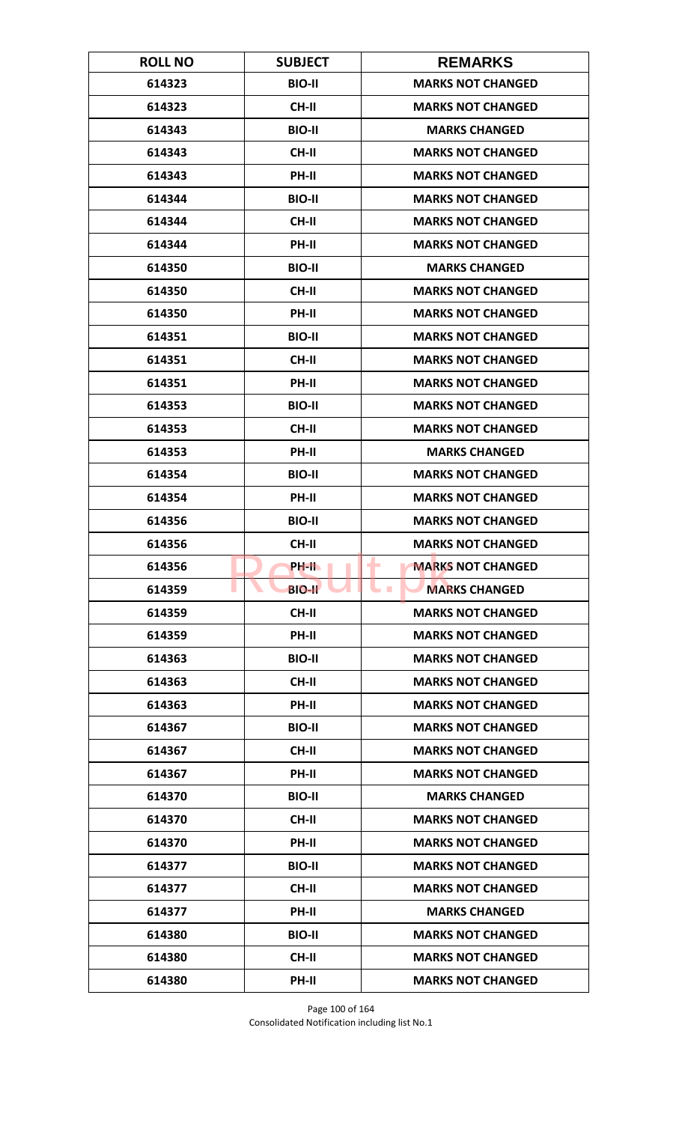| <b>ROLL NO</b> | <b>SUBJECT</b> | <b>REMARKS</b>                     |
|----------------|----------------|------------------------------------|
| 614323         | <b>BIO-II</b>  | <b>MARKS NOT CHANGED</b>           |
| 614323         | CH-II          | <b>MARKS NOT CHANGED</b>           |
| 614343         | <b>BIO-II</b>  | <b>MARKS CHANGED</b>               |
| 614343         | CH-II          | <b>MARKS NOT CHANGED</b>           |
| 614343         | <b>PH-II</b>   | <b>MARKS NOT CHANGED</b>           |
| 614344         | <b>BIO-II</b>  | <b>MARKS NOT CHANGED</b>           |
| 614344         | <b>CH-II</b>   | <b>MARKS NOT CHANGED</b>           |
| 614344         | PH-II          | <b>MARKS NOT CHANGED</b>           |
| 614350         | <b>BIO-II</b>  | <b>MARKS CHANGED</b>               |
| 614350         | CH-II          | <b>MARKS NOT CHANGED</b>           |
| 614350         | PH-II          | <b>MARKS NOT CHANGED</b>           |
| 614351         | <b>BIO-II</b>  | <b>MARKS NOT CHANGED</b>           |
| 614351         | <b>CH-II</b>   | <b>MARKS NOT CHANGED</b>           |
| 614351         | PH-II          | <b>MARKS NOT CHANGED</b>           |
| 614353         | <b>BIO-II</b>  | <b>MARKS NOT CHANGED</b>           |
| 614353         | <b>CH-II</b>   | <b>MARKS NOT CHANGED</b>           |
| 614353         | PH-II          | <b>MARKS CHANGED</b>               |
| 614354         | <b>BIO-II</b>  | <b>MARKS NOT CHANGED</b>           |
| 614354         | <b>PH-II</b>   | <b>MARKS NOT CHANGED</b>           |
| 614356         | <b>BIO-II</b>  | <b>MARKS NOT CHANGED</b>           |
| 614356         | <b>CH-II</b>   | <b>MARKS NOT CHANGED</b>           |
| 614356         | <b>PH-IL</b>   | ۰<br><b>MARKS NOT CHANGED</b>      |
| 614359         | <b>BIO-II</b>  | <b>MARKS CHANGED</b><br><b>COL</b> |
| 614359         | CH-II          | <b>MARKS NOT CHANGED</b>           |
| 614359         | PH-II          | <b>MARKS NOT CHANGED</b>           |
| 614363         | <b>BIO-II</b>  | <b>MARKS NOT CHANGED</b>           |
| 614363         | CH-II          | <b>MARKS NOT CHANGED</b>           |
| 614363         | PH-II          | <b>MARKS NOT CHANGED</b>           |
| 614367         | <b>BIO-II</b>  | <b>MARKS NOT CHANGED</b>           |
| 614367         | <b>CH-II</b>   | <b>MARKS NOT CHANGED</b>           |
| 614367         | PH-II          | <b>MARKS NOT CHANGED</b>           |
| 614370         | <b>BIO-II</b>  | <b>MARKS CHANGED</b>               |
| 614370         | CH-II          | <b>MARKS NOT CHANGED</b>           |
| 614370         | <b>PH-II</b>   | <b>MARKS NOT CHANGED</b>           |
| 614377         | <b>BIO-II</b>  | <b>MARKS NOT CHANGED</b>           |
| 614377         | CH-II          | <b>MARKS NOT CHANGED</b>           |
| 614377         | PH-II          | <b>MARKS CHANGED</b>               |
| 614380         | <b>BIO-II</b>  | <b>MARKS NOT CHANGED</b>           |
| 614380         | <b>CH-II</b>   | <b>MARKS NOT CHANGED</b>           |
| 614380         | PH-II          | <b>MARKS NOT CHANGED</b>           |

Page 100 of 164 Consolidated Notification including list No.1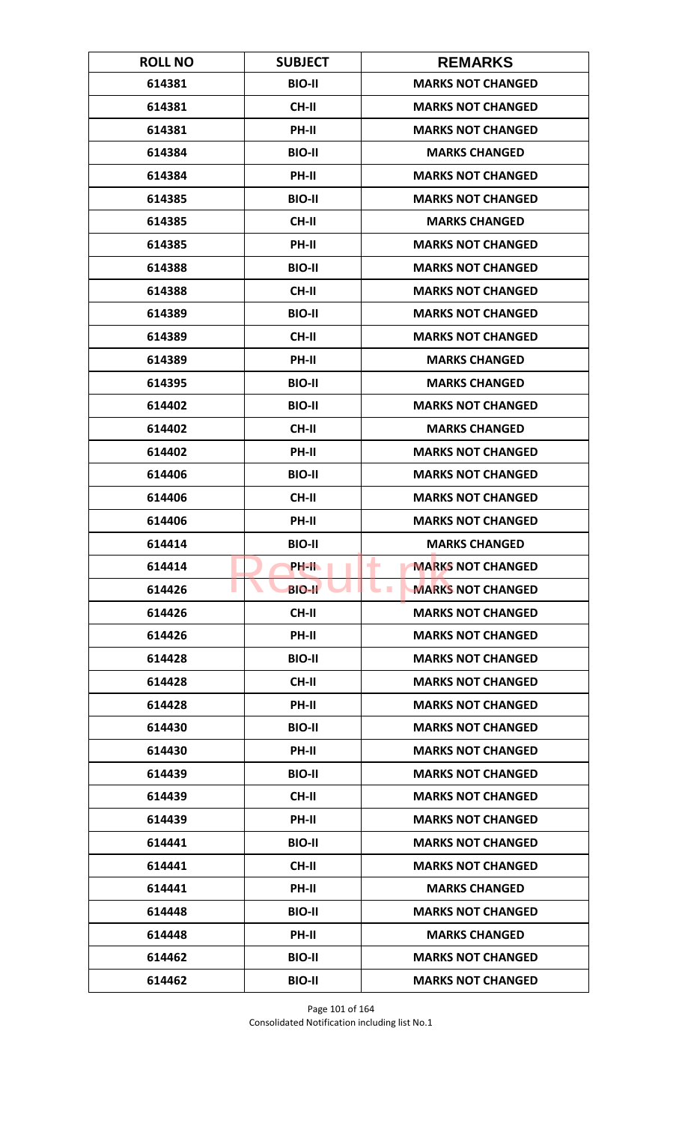| <b>ROLL NO</b> | <b>SUBJECT</b> | <b>REMARKS</b>                             |
|----------------|----------------|--------------------------------------------|
| 614381         | <b>BIO-II</b>  | <b>MARKS NOT CHANGED</b>                   |
| 614381         | <b>CH-II</b>   | <b>MARKS NOT CHANGED</b>                   |
| 614381         | PH-II          | <b>MARKS NOT CHANGED</b>                   |
| 614384         | <b>BIO-II</b>  | <b>MARKS CHANGED</b>                       |
| 614384         | <b>PH-II</b>   | <b>MARKS NOT CHANGED</b>                   |
| 614385         | <b>BIO-II</b>  | <b>MARKS NOT CHANGED</b>                   |
| 614385         | <b>CH-II</b>   | <b>MARKS CHANGED</b>                       |
| 614385         | PH-II          | <b>MARKS NOT CHANGED</b>                   |
| 614388         | <b>BIO-II</b>  | <b>MARKS NOT CHANGED</b>                   |
| 614388         | CH-II          | <b>MARKS NOT CHANGED</b>                   |
| 614389         | <b>BIO-II</b>  | <b>MARKS NOT CHANGED</b>                   |
| 614389         | <b>CH-II</b>   | <b>MARKS NOT CHANGED</b>                   |
| 614389         | PH-II          | <b>MARKS CHANGED</b>                       |
| 614395         | <b>BIO-II</b>  | <b>MARKS CHANGED</b>                       |
| 614402         | <b>BIO-II</b>  | <b>MARKS NOT CHANGED</b>                   |
| 614402         | CH-II          | <b>MARKS CHANGED</b>                       |
| 614402         | PH-II          | <b>MARKS NOT CHANGED</b>                   |
| 614406         | <b>BIO-II</b>  | <b>MARKS NOT CHANGED</b>                   |
| 614406         | CH-II          | <b>MARKS NOT CHANGED</b>                   |
| 614406         | PH-II          | <b>MARKS NOT CHANGED</b>                   |
| 614414         | <b>BIO-II</b>  | <b>MARKS CHANGED</b>                       |
| 614414         | <b>PH-IL</b>   | ۰<br><b>MARKS NOT CHANGED</b>              |
| 614426         | <b>BIO-II</b>  | <b>MARKS NOT CHANGED</b><br><b>College</b> |
| 614426         | CH-II          | <b>MARKS NOT CHANGED</b>                   |
| 614426         | PH-II          | <b>MARKS NOT CHANGED</b>                   |
| 614428         | <b>BIO-II</b>  | <b>MARKS NOT CHANGED</b>                   |
| 614428         | CH-II          | <b>MARKS NOT CHANGED</b>                   |
| 614428         | PH-II          | <b>MARKS NOT CHANGED</b>                   |
| 614430         | <b>BIO-II</b>  | <b>MARKS NOT CHANGED</b>                   |
| 614430         | <b>PH-II</b>   | <b>MARKS NOT CHANGED</b>                   |
| 614439         | <b>BIO-II</b>  | <b>MARKS NOT CHANGED</b>                   |
| 614439         | CH-II          | <b>MARKS NOT CHANGED</b>                   |
| 614439         | PH-II          | <b>MARKS NOT CHANGED</b>                   |
| 614441         | <b>BIO-II</b>  | <b>MARKS NOT CHANGED</b>                   |
| 614441         | <b>CH-II</b>   | <b>MARKS NOT CHANGED</b>                   |
| 614441         | PH-II          | <b>MARKS CHANGED</b>                       |
| 614448         | <b>BIO-II</b>  | <b>MARKS NOT CHANGED</b>                   |
| 614448         | <b>PH-II</b>   | <b>MARKS CHANGED</b>                       |
| 614462         | <b>BIO-II</b>  | <b>MARKS NOT CHANGED</b>                   |
| 614462         | <b>BIO-II</b>  | <b>MARKS NOT CHANGED</b>                   |

Page 101 of 164 Consolidated Notification including list No.1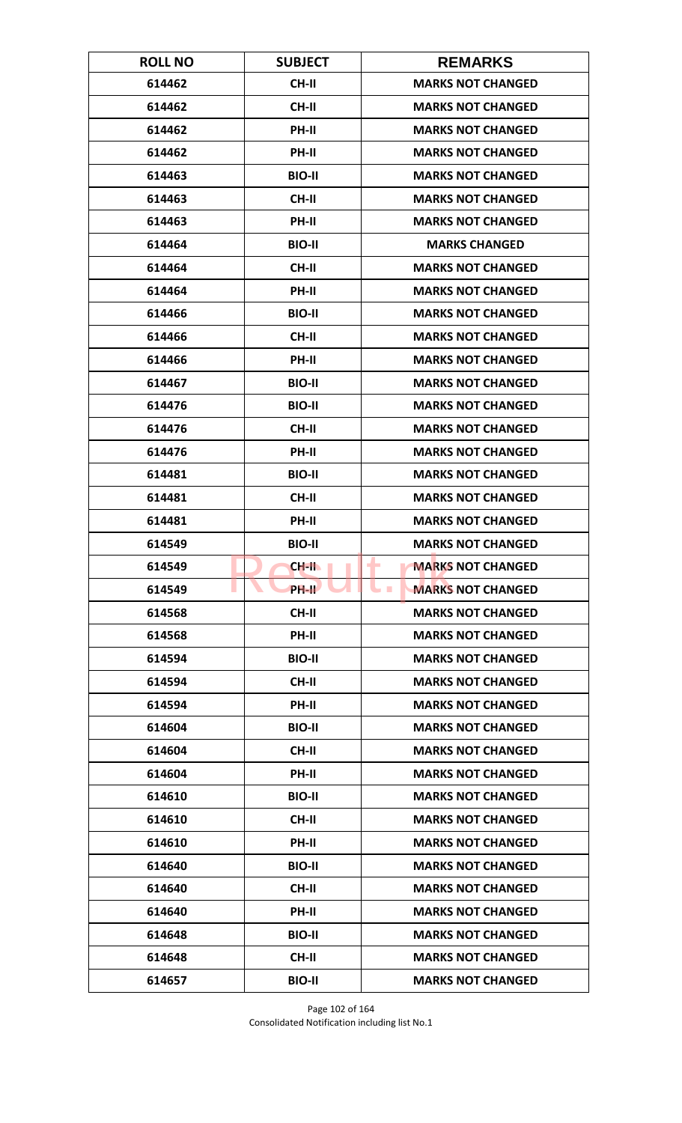| <b>ROLL NO</b> | <b>SUBJECT</b> | <b>REMARKS</b>                               |
|----------------|----------------|----------------------------------------------|
| 614462         | <b>CH-II</b>   | <b>MARKS NOT CHANGED</b>                     |
| 614462         | <b>CH-II</b>   | <b>MARKS NOT CHANGED</b>                     |
| 614462         | PH-II          | <b>MARKS NOT CHANGED</b>                     |
| 614462         | PH-II          | <b>MARKS NOT CHANGED</b>                     |
| 614463         | <b>BIO-II</b>  | <b>MARKS NOT CHANGED</b>                     |
| 614463         | <b>CH-II</b>   | <b>MARKS NOT CHANGED</b>                     |
| 614463         | PH-II          | <b>MARKS NOT CHANGED</b>                     |
| 614464         | <b>BIO-II</b>  | <b>MARKS CHANGED</b>                         |
| 614464         | <b>CH-II</b>   | <b>MARKS NOT CHANGED</b>                     |
| 614464         | <b>PH-II</b>   | <b>MARKS NOT CHANGED</b>                     |
| 614466         | <b>BIO-II</b>  | <b>MARKS NOT CHANGED</b>                     |
| 614466         | <b>CH-II</b>   | <b>MARKS NOT CHANGED</b>                     |
| 614466         | PH-II          | <b>MARKS NOT CHANGED</b>                     |
| 614467         | <b>BIO-II</b>  | <b>MARKS NOT CHANGED</b>                     |
| 614476         | <b>BIO-II</b>  | <b>MARKS NOT CHANGED</b>                     |
| 614476         | <b>CH-II</b>   | <b>MARKS NOT CHANGED</b>                     |
| 614476         | PH-II          | <b>MARKS NOT CHANGED</b>                     |
| 614481         | <b>BIO-II</b>  | <b>MARKS NOT CHANGED</b>                     |
| 614481         | <b>CH-II</b>   | <b>MARKS NOT CHANGED</b>                     |
| 614481         | PH-II          | <b>MARKS NOT CHANGED</b>                     |
| 614549         | <b>BIO-II</b>  | <b>MARKS NOT CHANGED</b>                     |
| 614549         | <b>CH-II</b>   | <b>MARKS NOT CHANGED</b><br>۰                |
| 614549         | <b>PH-IL</b>   | <b>MARKS NOT CHANGED</b><br><b>The State</b> |
| 614568         | <b>CH-II</b>   | <b>MARKS NOT CHANGED</b>                     |
| 614568         | PH-II          | <b>MARKS NOT CHANGED</b>                     |
| 614594         | <b>BIO-II</b>  | <b>MARKS NOT CHANGED</b>                     |
| 614594         | <b>CH-II</b>   | <b>MARKS NOT CHANGED</b>                     |
| 614594         | PH-II          | <b>MARKS NOT CHANGED</b>                     |
| 614604         | <b>BIO-II</b>  | <b>MARKS NOT CHANGED</b>                     |
| 614604         | <b>CH-II</b>   | <b>MARKS NOT CHANGED</b>                     |
| 614604         | <b>PH-II</b>   | <b>MARKS NOT CHANGED</b>                     |
| 614610         | <b>BIO-II</b>  | <b>MARKS NOT CHANGED</b>                     |
| 614610         | CH-II          | <b>MARKS NOT CHANGED</b>                     |
| 614610         | PH-II          | <b>MARKS NOT CHANGED</b>                     |
| 614640         | <b>BIO-II</b>  | <b>MARKS NOT CHANGED</b>                     |
| 614640         | CH-II          | <b>MARKS NOT CHANGED</b>                     |
| 614640         | PH-II          | <b>MARKS NOT CHANGED</b>                     |
| 614648         | <b>BIO-II</b>  | <b>MARKS NOT CHANGED</b>                     |
| 614648         | <b>CH-II</b>   | <b>MARKS NOT CHANGED</b>                     |
| 614657         | <b>BIO-II</b>  | <b>MARKS NOT CHANGED</b>                     |

Page 102 of 164 Consolidated Notification including list No.1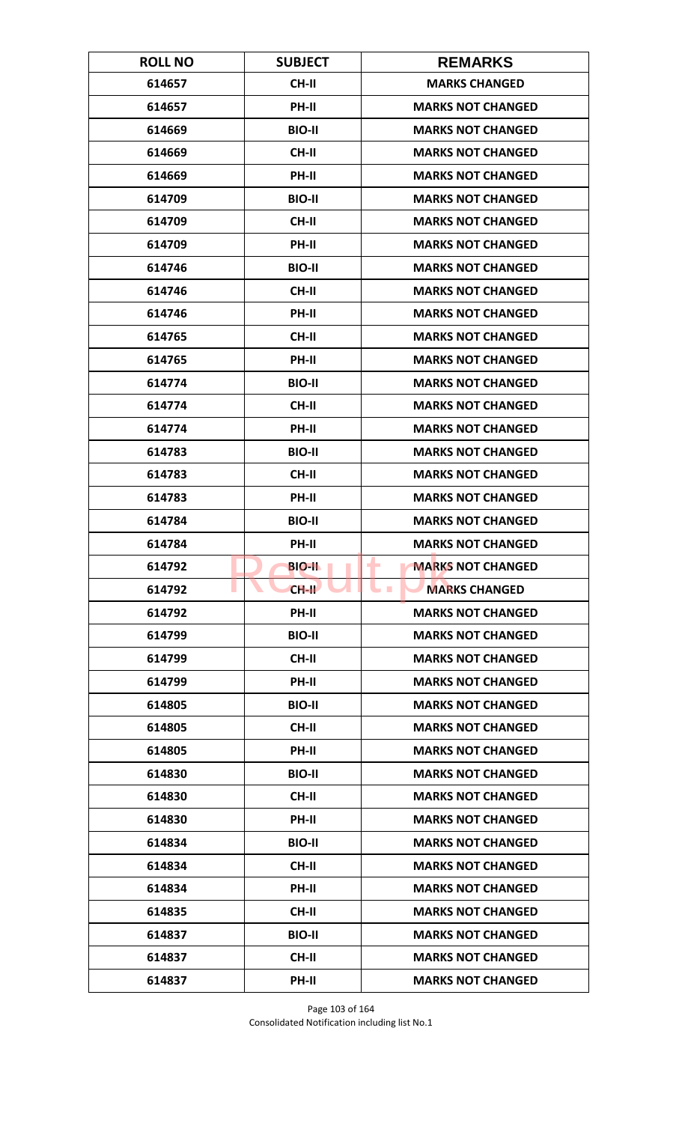| <b>ROLL NO</b> | <b>SUBJECT</b> | <b>REMARKS</b>                |
|----------------|----------------|-------------------------------|
| 614657         | <b>CH-II</b>   | <b>MARKS CHANGED</b>          |
| 614657         | PH-II          | <b>MARKS NOT CHANGED</b>      |
| 614669         | <b>BIO-II</b>  | <b>MARKS NOT CHANGED</b>      |
| 614669         | <b>CH-II</b>   | <b>MARKS NOT CHANGED</b>      |
| 614669         | PH-II          | <b>MARKS NOT CHANGED</b>      |
| 614709         | <b>BIO-II</b>  | <b>MARKS NOT CHANGED</b>      |
| 614709         | <b>CH-II</b>   | <b>MARKS NOT CHANGED</b>      |
| 614709         | PH-II          | <b>MARKS NOT CHANGED</b>      |
| 614746         | <b>BIO-II</b>  | <b>MARKS NOT CHANGED</b>      |
| 614746         | CH-II          | <b>MARKS NOT CHANGED</b>      |
| 614746         | PH-II          | <b>MARKS NOT CHANGED</b>      |
| 614765         | <b>CH-II</b>   | <b>MARKS NOT CHANGED</b>      |
| 614765         | PH-II          | <b>MARKS NOT CHANGED</b>      |
| 614774         | <b>BIO-II</b>  | <b>MARKS NOT CHANGED</b>      |
| 614774         | <b>CH-II</b>   | <b>MARKS NOT CHANGED</b>      |
| 614774         | PH-II          | <b>MARKS NOT CHANGED</b>      |
| 614783         | <b>BIO-II</b>  | <b>MARKS NOT CHANGED</b>      |
| 614783         | CH-II          | <b>MARKS NOT CHANGED</b>      |
| 614783         | PH-II          | <b>MARKS NOT CHANGED</b>      |
| 614784         | <b>BIO-II</b>  | <b>MARKS NOT CHANGED</b>      |
| 614784         | PH-II          | <b>MARKS NOT CHANGED</b>      |
| 614792         | <b>BIO-II</b>  | <b>MARKS NOT CHANGED</b><br>٠ |
| 614792         | $CH-H$         | <b>MARKS CHANGED</b>          |
| 614792         | <b>PH-II</b>   | <b>MARKS NOT CHANGED</b>      |
| 614799         | <b>BIO-II</b>  | <b>MARKS NOT CHANGED</b>      |
| 614799         | CH-II          | <b>MARKS NOT CHANGED</b>      |
| 614799         | PH-II          | <b>MARKS NOT CHANGED</b>      |
| 614805         | <b>BIO-II</b>  | <b>MARKS NOT CHANGED</b>      |
| 614805         | CH-II          | <b>MARKS NOT CHANGED</b>      |
| 614805         | <b>PH-II</b>   | <b>MARKS NOT CHANGED</b>      |
| 614830         | <b>BIO-II</b>  | <b>MARKS NOT CHANGED</b>      |
| 614830         | CH-II          | <b>MARKS NOT CHANGED</b>      |
| 614830         | PH-II          | <b>MARKS NOT CHANGED</b>      |
| 614834         | <b>BIO-II</b>  | <b>MARKS NOT CHANGED</b>      |
| 614834         | <b>CH-II</b>   | <b>MARKS NOT CHANGED</b>      |
| 614834         | PH-II          | <b>MARKS NOT CHANGED</b>      |
| 614835         | CH-II          | <b>MARKS NOT CHANGED</b>      |
| 614837         | <b>BIO-II</b>  | <b>MARKS NOT CHANGED</b>      |
| 614837         | CH-II          | <b>MARKS NOT CHANGED</b>      |
| 614837         | PH-II          | <b>MARKS NOT CHANGED</b>      |

Page 103 of 164 Consolidated Notification including list No.1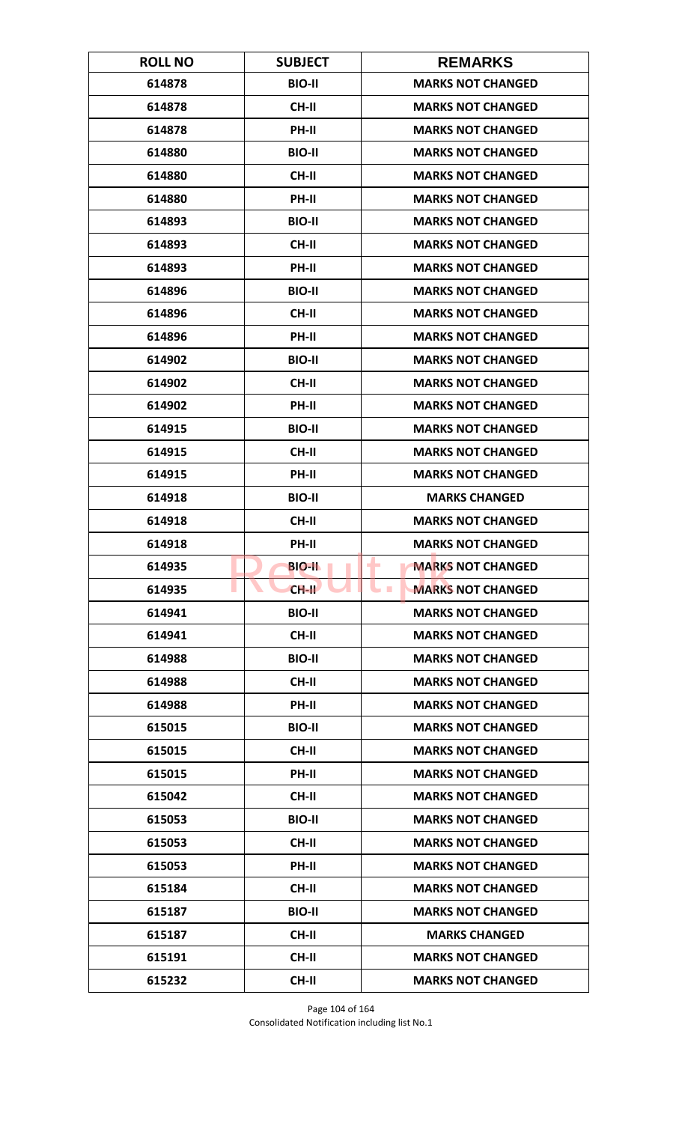| <b>ROLL NO</b> | <b>SUBJECT</b> | <b>REMARKS</b>                             |
|----------------|----------------|--------------------------------------------|
| 614878         | <b>BIO-II</b>  | <b>MARKS NOT CHANGED</b>                   |
| 614878         | CH-II          | <b>MARKS NOT CHANGED</b>                   |
| 614878         | PH-II          | <b>MARKS NOT CHANGED</b>                   |
| 614880         | <b>BIO-II</b>  | <b>MARKS NOT CHANGED</b>                   |
| 614880         | CH-II          | <b>MARKS NOT CHANGED</b>                   |
| 614880         | PH-II          | <b>MARKS NOT CHANGED</b>                   |
| 614893         | <b>BIO-II</b>  | <b>MARKS NOT CHANGED</b>                   |
| 614893         | <b>CH-II</b>   | <b>MARKS NOT CHANGED</b>                   |
| 614893         | PH-II          | <b>MARKS NOT CHANGED</b>                   |
| 614896         | <b>BIO-II</b>  | <b>MARKS NOT CHANGED</b>                   |
| 614896         | <b>CH-II</b>   | <b>MARKS NOT CHANGED</b>                   |
| 614896         | <b>PH-II</b>   | <b>MARKS NOT CHANGED</b>                   |
| 614902         | <b>BIO-II</b>  | <b>MARKS NOT CHANGED</b>                   |
| 614902         | <b>CH-II</b>   | <b>MARKS NOT CHANGED</b>                   |
| 614902         | PH-II          | <b>MARKS NOT CHANGED</b>                   |
| 614915         | <b>BIO-II</b>  | <b>MARKS NOT CHANGED</b>                   |
| 614915         | <b>CH-II</b>   | <b>MARKS NOT CHANGED</b>                   |
| 614915         | PH-II          | <b>MARKS NOT CHANGED</b>                   |
| 614918         | <b>BIO-II</b>  | <b>MARKS CHANGED</b>                       |
| 614918         | <b>CH-II</b>   | <b>MARKS NOT CHANGED</b>                   |
| 614918         | <b>PH-II</b>   | <b>MARKS NOT CHANGED</b>                   |
| 614935         | <b>BIO-IL</b>  | ۰<br><b>MARKS NOT CHANGED</b>              |
| 614935         | $CH-H$         | <b>MARKS NOT CHANGED</b><br><b>College</b> |
| 614941         | <b>BIO-II</b>  | <b>MARKS NOT CHANGED</b>                   |
| 614941         | CH-II          | <b>MARKS NOT CHANGED</b>                   |
| 614988         | <b>BIO-II</b>  | <b>MARKS NOT CHANGED</b>                   |
| 614988         | CH-II          | <b>MARKS NOT CHANGED</b>                   |
| 614988         | PH-II          | <b>MARKS NOT CHANGED</b>                   |
| 615015         | <b>BIO-II</b>  | <b>MARKS NOT CHANGED</b>                   |
| 615015         | <b>CH-II</b>   | <b>MARKS NOT CHANGED</b>                   |
| 615015         | PH-II          | <b>MARKS NOT CHANGED</b>                   |
| 615042         | CH-II          | <b>MARKS NOT CHANGED</b>                   |
| 615053         | <b>BIO-II</b>  | <b>MARKS NOT CHANGED</b>                   |
| 615053         | CH-II          | <b>MARKS NOT CHANGED</b>                   |
| 615053         | PH-II          | <b>MARKS NOT CHANGED</b>                   |
| 615184         | CH-II          | <b>MARKS NOT CHANGED</b>                   |
| 615187         | <b>BIO-II</b>  | <b>MARKS NOT CHANGED</b>                   |
| 615187         | <b>CH-II</b>   | <b>MARKS CHANGED</b>                       |
| 615191         | CH-II          | <b>MARKS NOT CHANGED</b>                   |
| 615232         | CH-II          | <b>MARKS NOT CHANGED</b>                   |

Page 104 of 164 Consolidated Notification including list No.1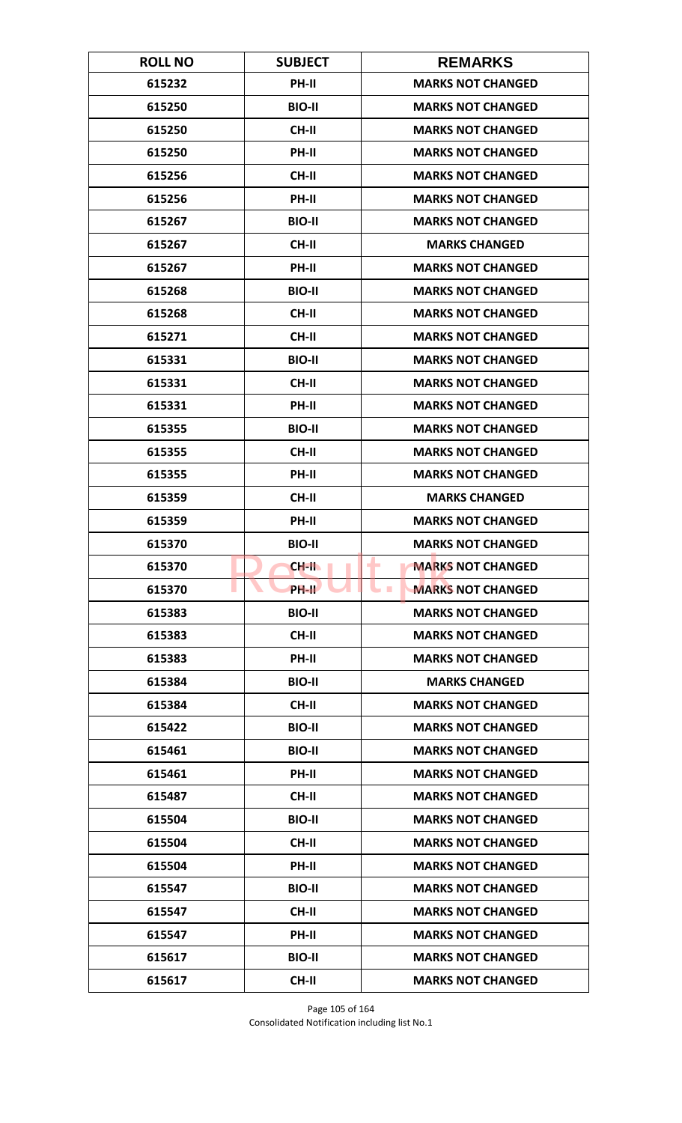| <b>ROLL NO</b> | <b>SUBJECT</b>     | <b>REMARKS</b>                               |
|----------------|--------------------|----------------------------------------------|
| 615232         | <b>PH-II</b>       | <b>MARKS NOT CHANGED</b>                     |
| 615250         | <b>BIO-II</b>      | <b>MARKS NOT CHANGED</b>                     |
| 615250         | <b>CH-II</b>       | <b>MARKS NOT CHANGED</b>                     |
| 615250         | PH-II              | <b>MARKS NOT CHANGED</b>                     |
| 615256         | <b>CH-II</b>       | <b>MARKS NOT CHANGED</b>                     |
| 615256         | PH-II              | <b>MARKS NOT CHANGED</b>                     |
| 615267         | <b>BIO-II</b>      | <b>MARKS NOT CHANGED</b>                     |
| 615267         | <b>CH-II</b>       | <b>MARKS CHANGED</b>                         |
| 615267         | PH-II              | <b>MARKS NOT CHANGED</b>                     |
| 615268         | <b>BIO-II</b>      | <b>MARKS NOT CHANGED</b>                     |
| 615268         | <b>CH-II</b>       | <b>MARKS NOT CHANGED</b>                     |
| 615271         | <b>CH-II</b>       | <b>MARKS NOT CHANGED</b>                     |
| 615331         | <b>BIO-II</b>      | <b>MARKS NOT CHANGED</b>                     |
| 615331         | <b>CH-II</b>       | <b>MARKS NOT CHANGED</b>                     |
| 615331         | PH-II              | <b>MARKS NOT CHANGED</b>                     |
| 615355         | <b>BIO-II</b>      | <b>MARKS NOT CHANGED</b>                     |
| 615355         | <b>CH-II</b>       | <b>MARKS NOT CHANGED</b>                     |
| 615355         | PH-II              | <b>MARKS NOT CHANGED</b>                     |
| 615359         | <b>CH-II</b>       | <b>MARKS CHANGED</b>                         |
| 615359         | PH-II              | <b>MARKS NOT CHANGED</b>                     |
| 615370         | <b>BIO-II</b>      | <b>MARKS NOT CHANGED</b>                     |
| 615370         | CH-II              | <b>MARKS NOT CHANGED</b><br>٠                |
| 615370         | PH-II <sup>T</sup> | <b>MARKS NOT CHANGED</b><br><b>The State</b> |
| 615383         | <b>BIO-II</b>      | <b>MARKS NOT CHANGED</b>                     |
| 615383         | CH-II              | <b>MARKS NOT CHANGED</b>                     |
| 615383         | PH-II              | <b>MARKS NOT CHANGED</b>                     |
| 615384         | <b>BIO-II</b>      | <b>MARKS CHANGED</b>                         |
| 615384         | <b>CH-II</b>       | <b>MARKS NOT CHANGED</b>                     |
| 615422         | <b>BIO-II</b>      | <b>MARKS NOT CHANGED</b>                     |
| 615461         | <b>BIO-II</b>      | <b>MARKS NOT CHANGED</b>                     |
| 615461         | PH-II              | <b>MARKS NOT CHANGED</b>                     |
| 615487         | CH-II              | <b>MARKS NOT CHANGED</b>                     |
| 615504         | <b>BIO-II</b>      | <b>MARKS NOT CHANGED</b>                     |
| 615504         | CH-II              | <b>MARKS NOT CHANGED</b>                     |
| 615504         | PH-II              | <b>MARKS NOT CHANGED</b>                     |
| 615547         | <b>BIO-II</b>      | <b>MARKS NOT CHANGED</b>                     |
| 615547         | CH-II              | <b>MARKS NOT CHANGED</b>                     |
| 615547         | PH-II              | <b>MARKS NOT CHANGED</b>                     |
| 615617         | <b>BIO-II</b>      | <b>MARKS NOT CHANGED</b>                     |
| 615617         | CH-II              | <b>MARKS NOT CHANGED</b>                     |

Page 105 of 164 Consolidated Notification including list No.1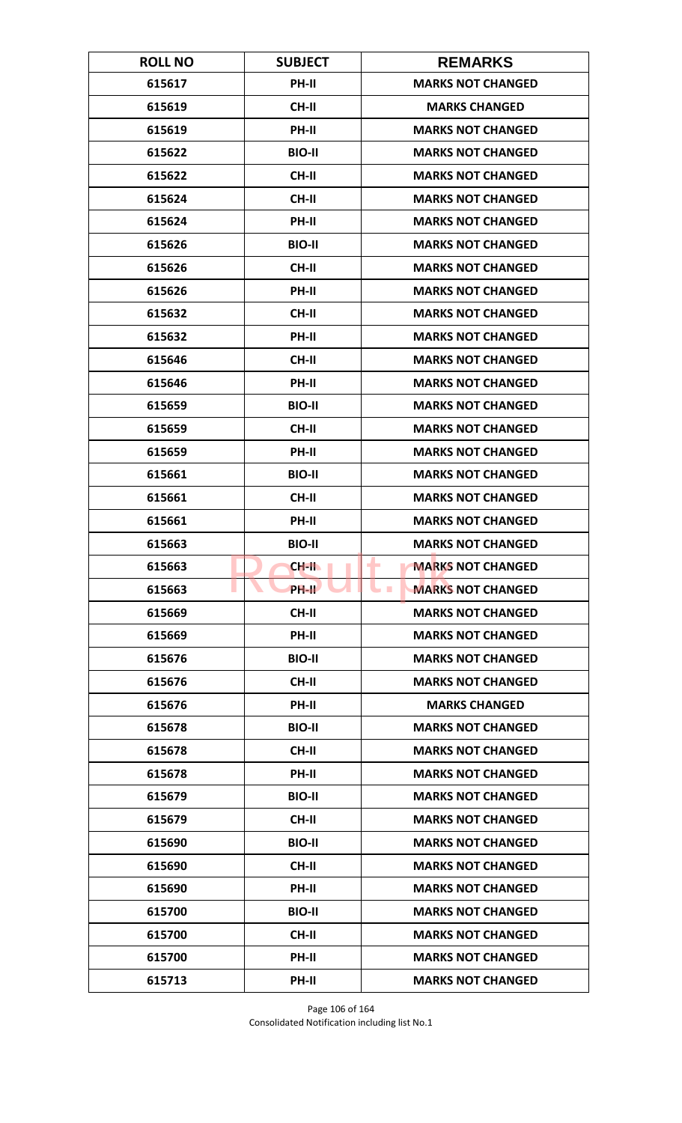| <b>ROLL NO</b> | <b>SUBJECT</b> | <b>REMARKS</b>                       |
|----------------|----------------|--------------------------------------|
| 615617         | <b>PH-II</b>   | <b>MARKS NOT CHANGED</b>             |
| 615619         | <b>CH-II</b>   | <b>MARKS CHANGED</b>                 |
| 615619         | PH-II          | <b>MARKS NOT CHANGED</b>             |
| 615622         | <b>BIO-II</b>  | <b>MARKS NOT CHANGED</b>             |
| 615622         | <b>CH-II</b>   | <b>MARKS NOT CHANGED</b>             |
| 615624         | <b>CH-II</b>   | <b>MARKS NOT CHANGED</b>             |
| 615624         | <b>PH-II</b>   | <b>MARKS NOT CHANGED</b>             |
| 615626         | <b>BIO-II</b>  | <b>MARKS NOT CHANGED</b>             |
| 615626         | <b>CH-II</b>   | <b>MARKS NOT CHANGED</b>             |
| 615626         | PH-II          | <b>MARKS NOT CHANGED</b>             |
| 615632         | <b>CH-II</b>   | <b>MARKS NOT CHANGED</b>             |
| 615632         | <b>PH-II</b>   | <b>MARKS NOT CHANGED</b>             |
| 615646         | CH-II          | <b>MARKS NOT CHANGED</b>             |
| 615646         | PH-II          | <b>MARKS NOT CHANGED</b>             |
| 615659         | <b>BIO-II</b>  | <b>MARKS NOT CHANGED</b>             |
| 615659         | <b>CH-II</b>   | <b>MARKS NOT CHANGED</b>             |
| 615659         | PH-II          | <b>MARKS NOT CHANGED</b>             |
| 615661         | <b>BIO-II</b>  | <b>MARKS NOT CHANGED</b>             |
| 615661         | <b>CH-II</b>   | <b>MARKS NOT CHANGED</b>             |
| 615661         | PH-II          | <b>MARKS NOT CHANGED</b>             |
| 615663         | <b>BIO-II</b>  | <b>MARKS NOT CHANGED</b>             |
| 615663         | $CH-H$         | <b>MARKS NOT CHANGED</b><br>٠        |
| 615663         | PH-II          | <b>MARKS NOT CHANGED</b><br><b>I</b> |
| 615669         | <b>CH-II</b>   | <b>MARKS NOT CHANGED</b>             |
| 615669         | PH-II          | <b>MARKS NOT CHANGED</b>             |
| 615676         | <b>BIO-II</b>  | <b>MARKS NOT CHANGED</b>             |
| 615676         | CH-II          | <b>MARKS NOT CHANGED</b>             |
| 615676         | PH-II          | <b>MARKS CHANGED</b>                 |
| 615678         | <b>BIO-II</b>  | <b>MARKS NOT CHANGED</b>             |
| 615678         | <b>CH-II</b>   | <b>MARKS NOT CHANGED</b>             |
| 615678         | PH-II          | <b>MARKS NOT CHANGED</b>             |
| 615679         | <b>BIO-II</b>  | <b>MARKS NOT CHANGED</b>             |
| 615679         | CH-II          | <b>MARKS NOT CHANGED</b>             |
| 615690         | <b>BIO-II</b>  | <b>MARKS NOT CHANGED</b>             |
| 615690         | <b>CH-II</b>   | <b>MARKS NOT CHANGED</b>             |
| 615690         | PH-II          | <b>MARKS NOT CHANGED</b>             |
| 615700         | <b>BIO-II</b>  | <b>MARKS NOT CHANGED</b>             |
| 615700         | CH-II          | <b>MARKS NOT CHANGED</b>             |
| 615700         | <b>PH-II</b>   | <b>MARKS NOT CHANGED</b>             |
| 615713         | PH-II          | <b>MARKS NOT CHANGED</b>             |

Page 106 of 164 Consolidated Notification including list No.1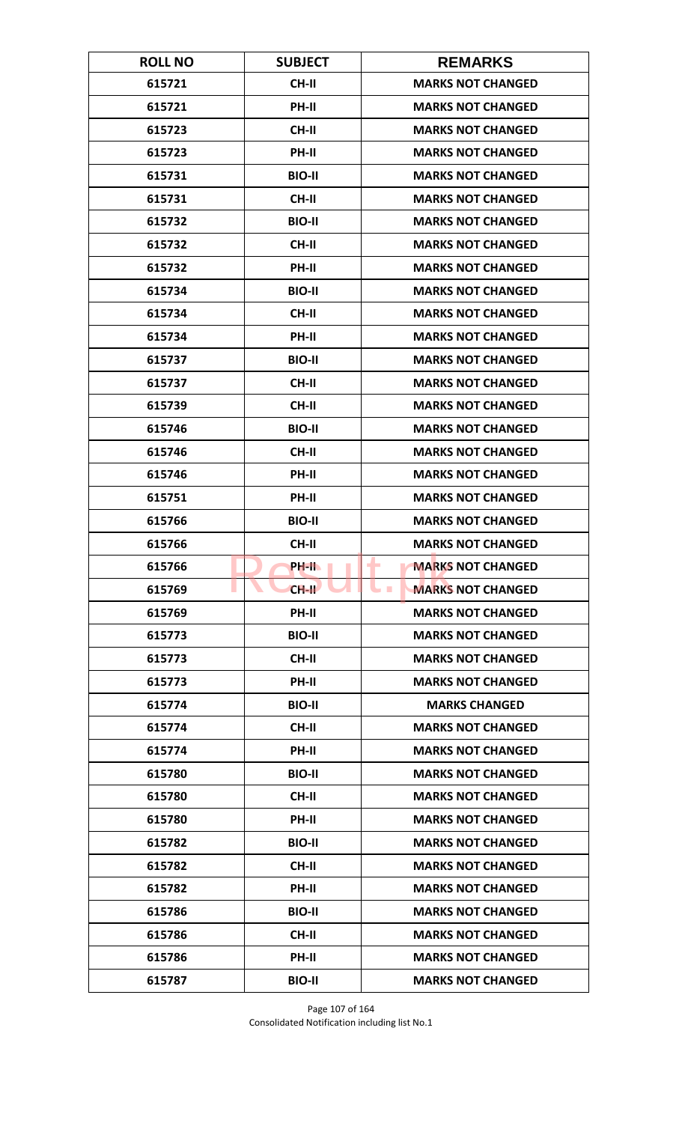| <b>ROLL NO</b> | <b>SUBJECT</b> | <b>REMARKS</b>                               |
|----------------|----------------|----------------------------------------------|
| 615721         | <b>CH-II</b>   | <b>MARKS NOT CHANGED</b>                     |
| 615721         | PH-II          | <b>MARKS NOT CHANGED</b>                     |
| 615723         | <b>CH-II</b>   | <b>MARKS NOT CHANGED</b>                     |
| 615723         | PH-II          | <b>MARKS NOT CHANGED</b>                     |
| 615731         | <b>BIO-II</b>  | <b>MARKS NOT CHANGED</b>                     |
| 615731         | <b>CH-II</b>   | <b>MARKS NOT CHANGED</b>                     |
| 615732         | <b>BIO-II</b>  | <b>MARKS NOT CHANGED</b>                     |
| 615732         | <b>CH-II</b>   | <b>MARKS NOT CHANGED</b>                     |
| 615732         | PH-II          | <b>MARKS NOT CHANGED</b>                     |
| 615734         | <b>BIO-II</b>  | <b>MARKS NOT CHANGED</b>                     |
| 615734         | CH-II          | <b>MARKS NOT CHANGED</b>                     |
| 615734         | PH-II          | <b>MARKS NOT CHANGED</b>                     |
| 615737         | <b>BIO-II</b>  | <b>MARKS NOT CHANGED</b>                     |
| 615737         | <b>CH-II</b>   | <b>MARKS NOT CHANGED</b>                     |
| 615739         | <b>CH-II</b>   | <b>MARKS NOT CHANGED</b>                     |
| 615746         | <b>BIO-II</b>  | <b>MARKS NOT CHANGED</b>                     |
| 615746         | <b>CH-II</b>   | <b>MARKS NOT CHANGED</b>                     |
| 615746         | PH-II          | <b>MARKS NOT CHANGED</b>                     |
| 615751         | PH-II          | <b>MARKS NOT CHANGED</b>                     |
| 615766         | <b>BIO-II</b>  | <b>MARKS NOT CHANGED</b>                     |
| 615766         | <b>CH-II</b>   | <b>MARKS NOT CHANGED</b>                     |
| 615766         | PH-II.         | <b>MARKS NOT CHANGED</b><br>۰                |
| 615769         | $CH-H$         | <b>MARKS NOT CHANGED</b><br><b>The State</b> |
| 615769         | PH-II          | <b>MARKS NOT CHANGED</b>                     |
| 615773         | <b>BIO-II</b>  | <b>MARKS NOT CHANGED</b>                     |
| 615773         | <b>CH-II</b>   | <b>MARKS NOT CHANGED</b>                     |
| 615773         | PH-II          | <b>MARKS NOT CHANGED</b>                     |
| 615774         | <b>BIO-II</b>  | <b>MARKS CHANGED</b>                         |
| 615774         | CH-II          | <b>MARKS NOT CHANGED</b>                     |
| 615774         | PH-II          | <b>MARKS NOT CHANGED</b>                     |
| 615780         | <b>BIO-II</b>  | <b>MARKS NOT CHANGED</b>                     |
| 615780         | <b>CH-II</b>   | <b>MARKS NOT CHANGED</b>                     |
| 615780         | PH-II          | <b>MARKS NOT CHANGED</b>                     |
| 615782         | <b>BIO-II</b>  | <b>MARKS NOT CHANGED</b>                     |
| 615782         | <b>CH-II</b>   | <b>MARKS NOT CHANGED</b>                     |
| 615782         | PH-II          | <b>MARKS NOT CHANGED</b>                     |
| 615786         | <b>BIO-II</b>  | <b>MARKS NOT CHANGED</b>                     |
| 615786         | <b>CH-II</b>   | <b>MARKS NOT CHANGED</b>                     |
| 615786         | <b>PH-II</b>   | <b>MARKS NOT CHANGED</b>                     |
| 615787         | <b>BIO-II</b>  | <b>MARKS NOT CHANGED</b>                     |

Page 107 of 164 Consolidated Notification including list No.1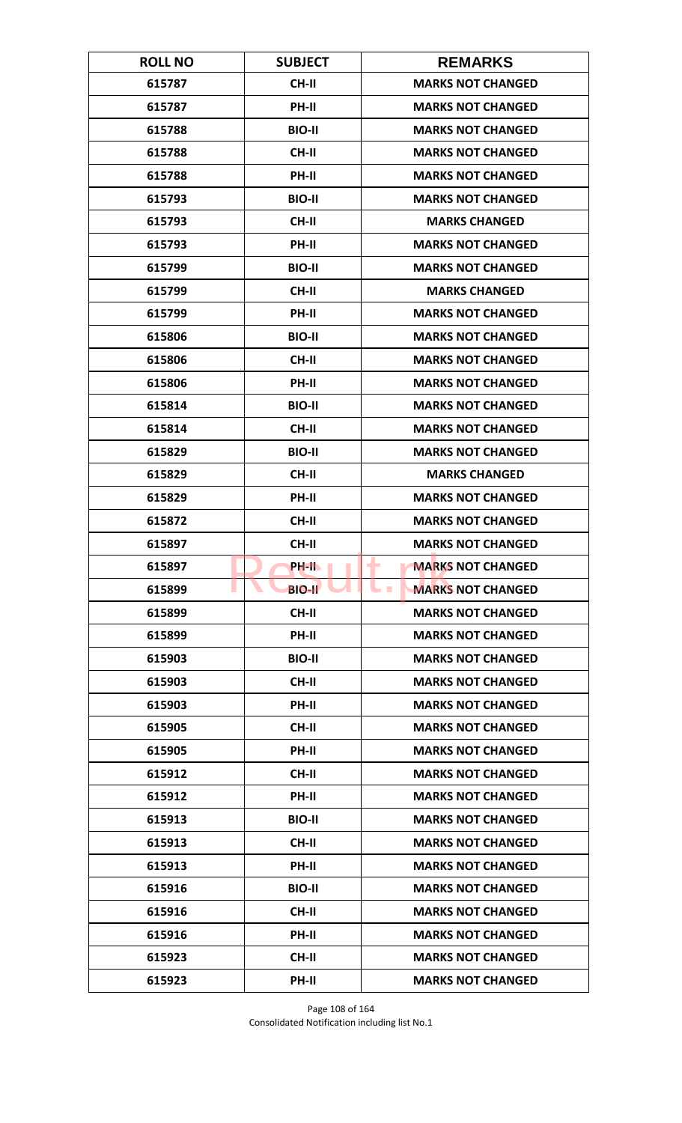| <b>ROLL NO</b> | <b>SUBJECT</b> | <b>REMARKS</b>                               |
|----------------|----------------|----------------------------------------------|
| 615787         | <b>CH-II</b>   | <b>MARKS NOT CHANGED</b>                     |
| 615787         | PH-II          | <b>MARKS NOT CHANGED</b>                     |
| 615788         | <b>BIO-II</b>  | <b>MARKS NOT CHANGED</b>                     |
| 615788         | <b>CH-II</b>   | <b>MARKS NOT CHANGED</b>                     |
| 615788         | PH-II          | <b>MARKS NOT CHANGED</b>                     |
| 615793         | <b>BIO-II</b>  | <b>MARKS NOT CHANGED</b>                     |
| 615793         | <b>CH-II</b>   | <b>MARKS CHANGED</b>                         |
| 615793         | <b>PH-II</b>   | <b>MARKS NOT CHANGED</b>                     |
| 615799         | <b>BIO-II</b>  | <b>MARKS NOT CHANGED</b>                     |
| 615799         | CH-II          | <b>MARKS CHANGED</b>                         |
| 615799         | PH-II          | <b>MARKS NOT CHANGED</b>                     |
| 615806         | <b>BIO-II</b>  | <b>MARKS NOT CHANGED</b>                     |
| 615806         | <b>CH-II</b>   | <b>MARKS NOT CHANGED</b>                     |
| 615806         | PH-II          | <b>MARKS NOT CHANGED</b>                     |
| 615814         | <b>BIO-II</b>  | <b>MARKS NOT CHANGED</b>                     |
| 615814         | <b>CH-II</b>   | <b>MARKS NOT CHANGED</b>                     |
| 615829         | <b>BIO-II</b>  | <b>MARKS NOT CHANGED</b>                     |
| 615829         | <b>CH-II</b>   | <b>MARKS CHANGED</b>                         |
| 615829         | PH-II          | <b>MARKS NOT CHANGED</b>                     |
| 615872         | <b>CH-II</b>   | <b>MARKS NOT CHANGED</b>                     |
| 615897         | <b>CH-II</b>   | <b>MARKS NOT CHANGED</b>                     |
| 615897         | PH-IL          | <b>MARKS NOT CHANGED</b><br>٠                |
| 615899         | <b>BIO-II</b>  | <b>MARKS NOT CHANGED</b><br><b>The State</b> |
| 615899         | CH-II          | <b>MARKS NOT CHANGED</b>                     |
| 615899         | PH-II          | <b>MARKS NOT CHANGED</b>                     |
| 615903         | <b>BIO-II</b>  | <b>MARKS NOT CHANGED</b>                     |
| 615903         | <b>CH-II</b>   | <b>MARKS NOT CHANGED</b>                     |
| 615903         | PH-II          | <b>MARKS NOT CHANGED</b>                     |
| 615905         | <b>CH-II</b>   | <b>MARKS NOT CHANGED</b>                     |
| 615905         | <b>PH-II</b>   | <b>MARKS NOT CHANGED</b>                     |
| 615912         | <b>CH-II</b>   | <b>MARKS NOT CHANGED</b>                     |
| 615912         | PH-II          | <b>MARKS NOT CHANGED</b>                     |
| 615913         | <b>BIO-II</b>  | <b>MARKS NOT CHANGED</b>                     |
| 615913         | CH-II          | <b>MARKS NOT CHANGED</b>                     |
| 615913         | PH-II          | <b>MARKS NOT CHANGED</b>                     |
| 615916         | <b>BIO-II</b>  | <b>MARKS NOT CHANGED</b>                     |
| 615916         | CH-II          | <b>MARKS NOT CHANGED</b>                     |
| 615916         | PH-II          | <b>MARKS NOT CHANGED</b>                     |
| 615923         | <b>CH-II</b>   | <b>MARKS NOT CHANGED</b>                     |
| 615923         | PH-II          | <b>MARKS NOT CHANGED</b>                     |

Page 108 of 164 Consolidated Notification including list No.1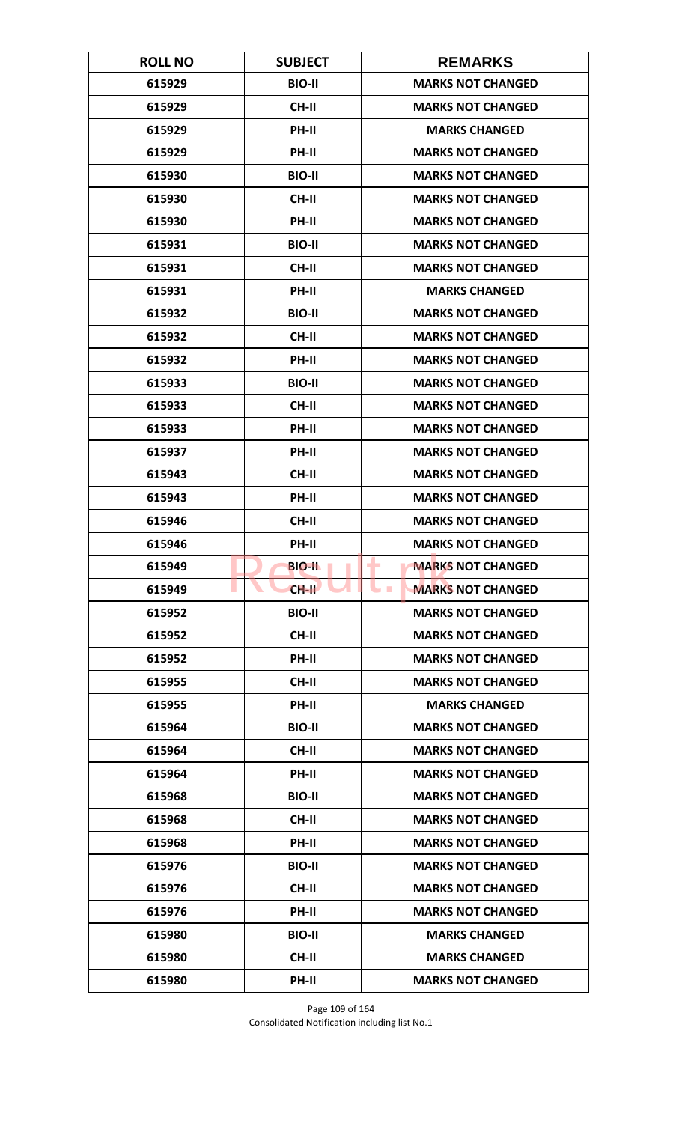| <b>ROLL NO</b> | <b>SUBJECT</b> | <b>REMARKS</b>                         |
|----------------|----------------|----------------------------------------|
| 615929         | <b>BIO-II</b>  | <b>MARKS NOT CHANGED</b>               |
| 615929         | <b>CH-II</b>   | <b>MARKS NOT CHANGED</b>               |
| 615929         | PH-II          | <b>MARKS CHANGED</b>                   |
| 615929         | PH-II          | <b>MARKS NOT CHANGED</b>               |
| 615930         | <b>BIO-II</b>  | <b>MARKS NOT CHANGED</b>               |
| 615930         | <b>CH-II</b>   | <b>MARKS NOT CHANGED</b>               |
| 615930         | PH-II          | <b>MARKS NOT CHANGED</b>               |
| 615931         | <b>BIO-II</b>  | <b>MARKS NOT CHANGED</b>               |
| 615931         | <b>CH-II</b>   | <b>MARKS NOT CHANGED</b>               |
| 615931         | PH-II          | <b>MARKS CHANGED</b>                   |
| 615932         | <b>BIO-II</b>  | <b>MARKS NOT CHANGED</b>               |
| 615932         | <b>CH-II</b>   | <b>MARKS NOT CHANGED</b>               |
| 615932         | PH-II          | <b>MARKS NOT CHANGED</b>               |
| 615933         | <b>BIO-II</b>  | <b>MARKS NOT CHANGED</b>               |
| 615933         | <b>CH-II</b>   | <b>MARKS NOT CHANGED</b>               |
| 615933         | PH-II          | <b>MARKS NOT CHANGED</b>               |
| 615937         | PH-II          | <b>MARKS NOT CHANGED</b>               |
| 615943         | <b>CH-II</b>   | <b>MARKS NOT CHANGED</b>               |
| 615943         | PH-II          | <b>MARKS NOT CHANGED</b>               |
| 615946         | <b>CH-II</b>   | <b>MARKS NOT CHANGED</b>               |
| 615946         | PH-II          | <b>MARKS NOT CHANGED</b>               |
| 615949         | <b>BIO-IL</b>  | ۰<br><b>MARKS NOT CHANGED</b>          |
| 615949         | $CH-H$         | <b>MARKS NOT CHANGED</b><br><b>COL</b> |
| 615952         | <b>BIO-II</b>  | <b>MARKS NOT CHANGED</b>               |
| 615952         | <b>CH-II</b>   | <b>MARKS NOT CHANGED</b>               |
| 615952         | PH-II          | <b>MARKS NOT CHANGED</b>               |
| 615955         | CH-II          | <b>MARKS NOT CHANGED</b>               |
| 615955         | PH-II          | <b>MARKS CHANGED</b>                   |
| 615964         | <b>BIO-II</b>  | <b>MARKS NOT CHANGED</b>               |
| 615964         | <b>CH-II</b>   | <b>MARKS NOT CHANGED</b>               |
| 615964         | PH-II          | <b>MARKS NOT CHANGED</b>               |
| 615968         | <b>BIO-II</b>  | <b>MARKS NOT CHANGED</b>               |
| 615968         | CH-II          | <b>MARKS NOT CHANGED</b>               |
| 615968         | PH-II          | <b>MARKS NOT CHANGED</b>               |
| 615976         | <b>BIO-II</b>  | <b>MARKS NOT CHANGED</b>               |
| 615976         | CH-II          | <b>MARKS NOT CHANGED</b>               |
| 615976         | PH-II          | <b>MARKS NOT CHANGED</b>               |
| 615980         | <b>BIO-II</b>  | <b>MARKS CHANGED</b>                   |
| 615980         | <b>CH-II</b>   | <b>MARKS CHANGED</b>                   |
| 615980         | PH-II          | <b>MARKS NOT CHANGED</b>               |

Page 109 of 164 Consolidated Notification including list No.1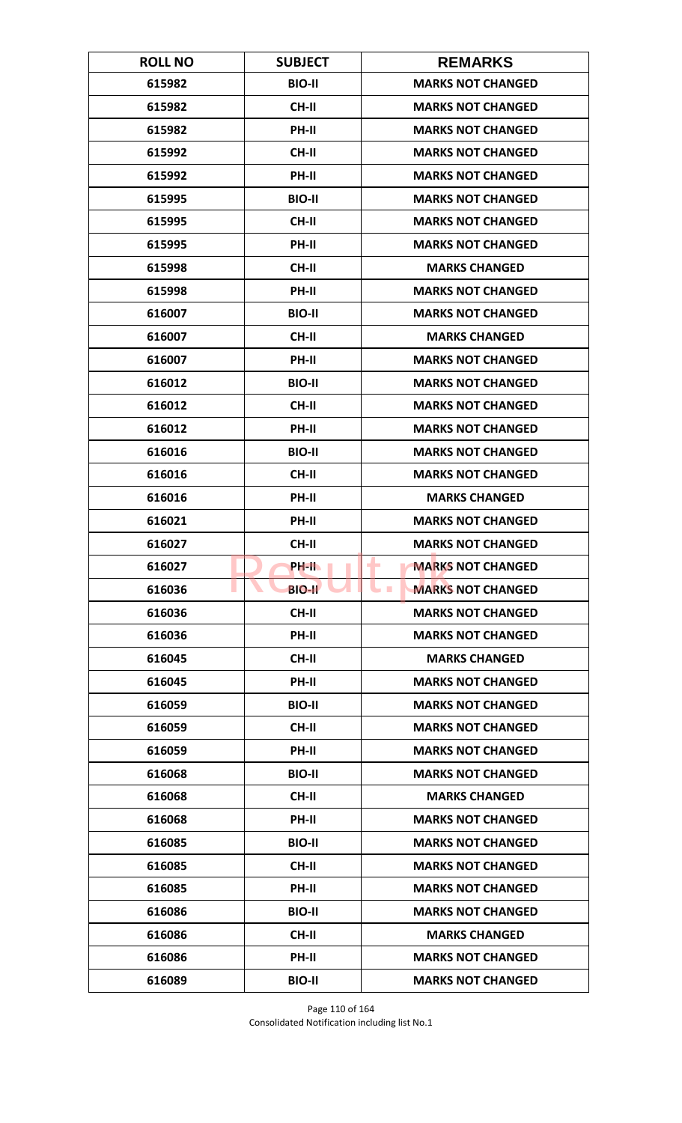| <b>ROLL NO</b> | <b>SUBJECT</b> | <b>REMARKS</b>                               |
|----------------|----------------|----------------------------------------------|
| 615982         | <b>BIO-II</b>  | <b>MARKS NOT CHANGED</b>                     |
| 615982         | <b>CH-II</b>   | <b>MARKS NOT CHANGED</b>                     |
| 615982         | PH-II          | <b>MARKS NOT CHANGED</b>                     |
| 615992         | <b>CH-II</b>   | <b>MARKS NOT CHANGED</b>                     |
| 615992         | PH-II          | <b>MARKS NOT CHANGED</b>                     |
| 615995         | <b>BIO-II</b>  | <b>MARKS NOT CHANGED</b>                     |
| 615995         | <b>CH-II</b>   | <b>MARKS NOT CHANGED</b>                     |
| 615995         | PH-II          | <b>MARKS NOT CHANGED</b>                     |
| 615998         | <b>CH-II</b>   | <b>MARKS CHANGED</b>                         |
| 615998         | PH-II          | <b>MARKS NOT CHANGED</b>                     |
| 616007         | <b>BIO-II</b>  | <b>MARKS NOT CHANGED</b>                     |
| 616007         | <b>CH-II</b>   | <b>MARKS CHANGED</b>                         |
| 616007         | PH-II          | <b>MARKS NOT CHANGED</b>                     |
| 616012         | <b>BIO-II</b>  | <b>MARKS NOT CHANGED</b>                     |
| 616012         | <b>CH-II</b>   | <b>MARKS NOT CHANGED</b>                     |
| 616012         | PH-II          | <b>MARKS NOT CHANGED</b>                     |
| 616016         | <b>BIO-II</b>  | <b>MARKS NOT CHANGED</b>                     |
| 616016         | <b>CH-II</b>   | <b>MARKS NOT CHANGED</b>                     |
| 616016         | PH-II          | <b>MARKS CHANGED</b>                         |
| 616021         | PH-II          | <b>MARKS NOT CHANGED</b>                     |
| 616027         | <b>CH-II</b>   | <b>MARKS NOT CHANGED</b>                     |
| 616027         | PH-IL          | <b>MARKS NOT CHANGED</b><br>٠                |
| 616036         | <b>BIO-II</b>  | <b>MARKS NOT CHANGED</b><br><b>The State</b> |
| 616036         | CH-II          | <b>MARKS NOT CHANGED</b>                     |
| 616036         | PH-II          | <b>MARKS NOT CHANGED</b>                     |
| 616045         | CH-II          | <b>MARKS CHANGED</b>                         |
| 616045         | PH-II          | <b>MARKS NOT CHANGED</b>                     |
| 616059         | <b>BIO-II</b>  | <b>MARKS NOT CHANGED</b>                     |
| 616059         | <b>CH-II</b>   | <b>MARKS NOT CHANGED</b>                     |
| 616059         | <b>PH-II</b>   | <b>MARKS NOT CHANGED</b>                     |
| 616068         | <b>BIO-II</b>  | <b>MARKS NOT CHANGED</b>                     |
| 616068         | CH-II          | <b>MARKS CHANGED</b>                         |
| 616068         | PH-II          | <b>MARKS NOT CHANGED</b>                     |
| 616085         | <b>BIO-II</b>  | <b>MARKS NOT CHANGED</b>                     |
| 616085         | <b>CH-II</b>   | <b>MARKS NOT CHANGED</b>                     |
| 616085         | PH-II          | <b>MARKS NOT CHANGED</b>                     |
| 616086         | <b>BIO-II</b>  | <b>MARKS NOT CHANGED</b>                     |
| 616086         | <b>CH-II</b>   | <b>MARKS CHANGED</b>                         |
| 616086         | <b>PH-II</b>   | <b>MARKS NOT CHANGED</b>                     |
| 616089         | <b>BIO-II</b>  | <b>MARKS NOT CHANGED</b>                     |

Page 110 of 164 Consolidated Notification including list No.1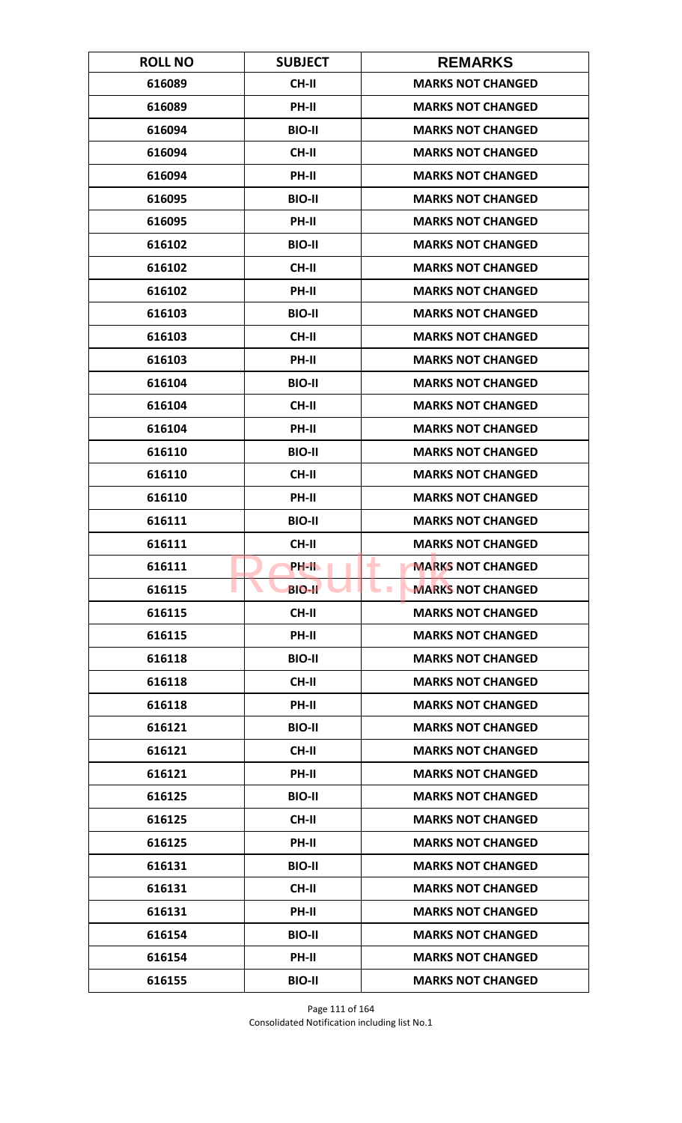| <b>ROLL NO</b> | <b>SUBJECT</b> | <b>REMARKS</b>                               |
|----------------|----------------|----------------------------------------------|
| 616089         | <b>CH-II</b>   | <b>MARKS NOT CHANGED</b>                     |
| 616089         | PH-II          | <b>MARKS NOT CHANGED</b>                     |
| 616094         | <b>BIO-II</b>  | <b>MARKS NOT CHANGED</b>                     |
| 616094         | <b>CH-II</b>   | <b>MARKS NOT CHANGED</b>                     |
| 616094         | PH-II          | <b>MARKS NOT CHANGED</b>                     |
| 616095         | <b>BIO-II</b>  | <b>MARKS NOT CHANGED</b>                     |
| 616095         | <b>PH-II</b>   | <b>MARKS NOT CHANGED</b>                     |
| 616102         | <b>BIO-II</b>  | <b>MARKS NOT CHANGED</b>                     |
| 616102         | <b>CH-II</b>   | <b>MARKS NOT CHANGED</b>                     |
| 616102         | PH-II          | <b>MARKS NOT CHANGED</b>                     |
| 616103         | <b>BIO-II</b>  | <b>MARKS NOT CHANGED</b>                     |
| 616103         | <b>CH-II</b>   | <b>MARKS NOT CHANGED</b>                     |
| 616103         | PH-II          | <b>MARKS NOT CHANGED</b>                     |
| 616104         | <b>BIO-II</b>  | <b>MARKS NOT CHANGED</b>                     |
| 616104         | <b>CH-II</b>   | <b>MARKS NOT CHANGED</b>                     |
| 616104         | PH-II          | <b>MARKS NOT CHANGED</b>                     |
| 616110         | <b>BIO-II</b>  | <b>MARKS NOT CHANGED</b>                     |
| 616110         | <b>CH-II</b>   | <b>MARKS NOT CHANGED</b>                     |
| 616110         | PH-II          | <b>MARKS NOT CHANGED</b>                     |
| 616111         | <b>BIO-II</b>  | <b>MARKS NOT CHANGED</b>                     |
| 616111         | <b>CH-II</b>   | <b>MARKS NOT CHANGED</b>                     |
| 616111         | PH-IL          | <b>MARKS NOT CHANGED</b><br>٠                |
| 616115         | <b>BIO-II</b>  | <b>MARKS NOT CHANGED</b><br><b>The State</b> |
| 616115         | CH-II          | <b>MARKS NOT CHANGED</b>                     |
| 616115         | PH-II          | <b>MARKS NOT CHANGED</b>                     |
| 616118         | <b>BIO-II</b>  | <b>MARKS NOT CHANGED</b>                     |
| 616118         | CH-II          | <b>MARKS NOT CHANGED</b>                     |
| 616118         | PH-II          | <b>MARKS NOT CHANGED</b>                     |
| 616121         | <b>BIO-II</b>  | <b>MARKS NOT CHANGED</b>                     |
| 616121         | <b>CH-II</b>   | <b>MARKS NOT CHANGED</b>                     |
| 616121         | <b>PH-II</b>   | <b>MARKS NOT CHANGED</b>                     |
| 616125         | <b>BIO-II</b>  | <b>MARKS NOT CHANGED</b>                     |
| 616125         | CH-II          | <b>MARKS NOT CHANGED</b>                     |
| 616125         | PH-II          | <b>MARKS NOT CHANGED</b>                     |
| 616131         | <b>BIO-II</b>  | <b>MARKS NOT CHANGED</b>                     |
| 616131         | CH-II          | <b>MARKS NOT CHANGED</b>                     |
| 616131         | PH-II          | <b>MARKS NOT CHANGED</b>                     |
| 616154         | <b>BIO-II</b>  | <b>MARKS NOT CHANGED</b>                     |
| 616154         | <b>PH-II</b>   | <b>MARKS NOT CHANGED</b>                     |
| 616155         | <b>BIO-II</b>  | <b>MARKS NOT CHANGED</b>                     |

Page 111 of 164 Consolidated Notification including list No.1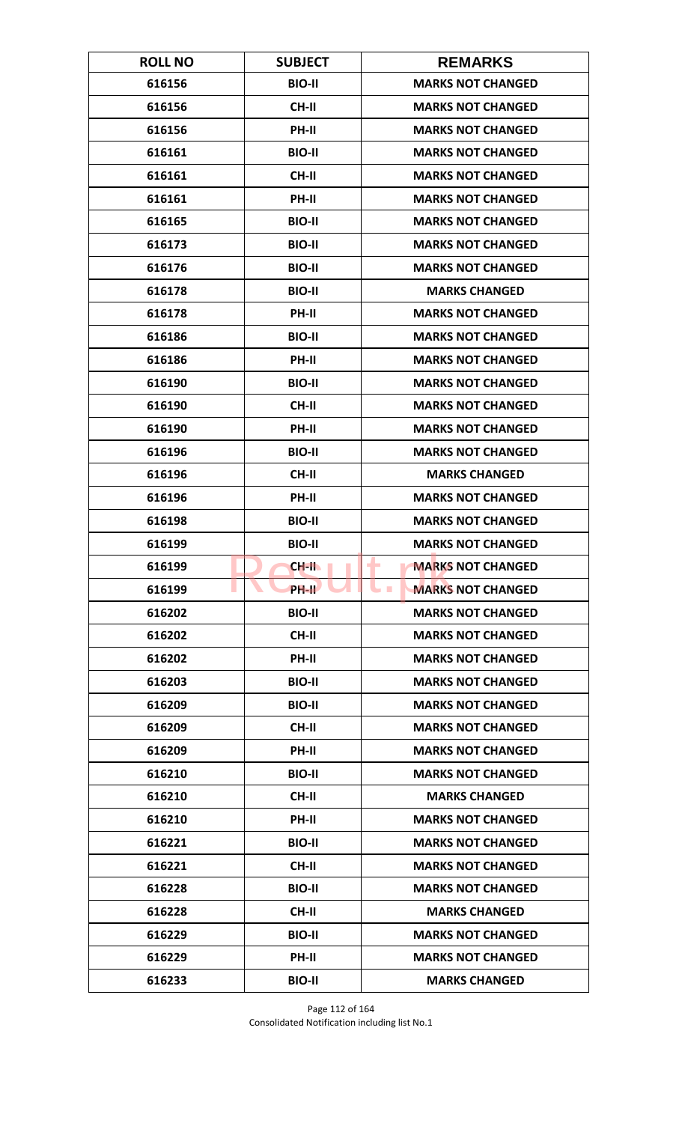| <b>ROLL NO</b> | <b>SUBJECT</b> | <b>REMARKS</b>                       |
|----------------|----------------|--------------------------------------|
| 616156         | <b>BIO-II</b>  | <b>MARKS NOT CHANGED</b>             |
| 616156         | <b>CH-II</b>   | <b>MARKS NOT CHANGED</b>             |
| 616156         | PH-II          | <b>MARKS NOT CHANGED</b>             |
| 616161         | <b>BIO-II</b>  | <b>MARKS NOT CHANGED</b>             |
| 616161         | <b>CH-II</b>   | <b>MARKS NOT CHANGED</b>             |
| 616161         | PH-II          | <b>MARKS NOT CHANGED</b>             |
| 616165         | <b>BIO-II</b>  | <b>MARKS NOT CHANGED</b>             |
| 616173         | <b>BIO-II</b>  | <b>MARKS NOT CHANGED</b>             |
| 616176         | <b>BIO-II</b>  | <b>MARKS NOT CHANGED</b>             |
| 616178         | <b>BIO-II</b>  | <b>MARKS CHANGED</b>                 |
| 616178         | PH-II          | <b>MARKS NOT CHANGED</b>             |
| 616186         | <b>BIO-II</b>  | <b>MARKS NOT CHANGED</b>             |
| 616186         | PH-II          | <b>MARKS NOT CHANGED</b>             |
| 616190         | <b>BIO-II</b>  | <b>MARKS NOT CHANGED</b>             |
| 616190         | <b>CH-II</b>   | <b>MARKS NOT CHANGED</b>             |
| 616190         | PH-II          | <b>MARKS NOT CHANGED</b>             |
| 616196         | <b>BIO-II</b>  | <b>MARKS NOT CHANGED</b>             |
| 616196         | <b>CH-II</b>   | <b>MARKS CHANGED</b>                 |
| 616196         | PH-II          | <b>MARKS NOT CHANGED</b>             |
| 616198         | <b>BIO-II</b>  | <b>MARKS NOT CHANGED</b>             |
| 616199         | <b>BIO-II</b>  | <b>MARKS NOT CHANGED</b>             |
| 616199         | <b>CH-II</b>   | ٠<br><b>MARKS NOT CHANGED</b>        |
| 616199         | PH-II          | <b>MARKS NOT CHANGED</b><br><b>I</b> |
| 616202         | <b>BIO-II</b>  | <b>MARKS NOT CHANGED</b>             |
| 616202         | CH-II          | <b>MARKS NOT CHANGED</b>             |
| 616202         | PH-II          | <b>MARKS NOT CHANGED</b>             |
| 616203         | <b>BIO-II</b>  | <b>MARKS NOT CHANGED</b>             |
| 616209         | <b>BIO-II</b>  | <b>MARKS NOT CHANGED</b>             |
| 616209         | CH-II          | <b>MARKS NOT CHANGED</b>             |
| 616209         | PH-II          | <b>MARKS NOT CHANGED</b>             |
| 616210         | <b>BIO-II</b>  | <b>MARKS NOT CHANGED</b>             |
| 616210         | CH-II          | <b>MARKS CHANGED</b>                 |
| 616210         | PH-II          | <b>MARKS NOT CHANGED</b>             |
| 616221         | <b>BIO-II</b>  | <b>MARKS NOT CHANGED</b>             |
| 616221         | CH-II          | <b>MARKS NOT CHANGED</b>             |
| 616228         | <b>BIO-II</b>  | <b>MARKS NOT CHANGED</b>             |
| 616228         | CH-II          | <b>MARKS CHANGED</b>                 |
| 616229         | <b>BIO-II</b>  | <b>MARKS NOT CHANGED</b>             |
| 616229         | <b>PH-II</b>   | <b>MARKS NOT CHANGED</b>             |
| 616233         | <b>BIO-II</b>  | <b>MARKS CHANGED</b>                 |

Page 112 of 164 Consolidated Notification including list No.1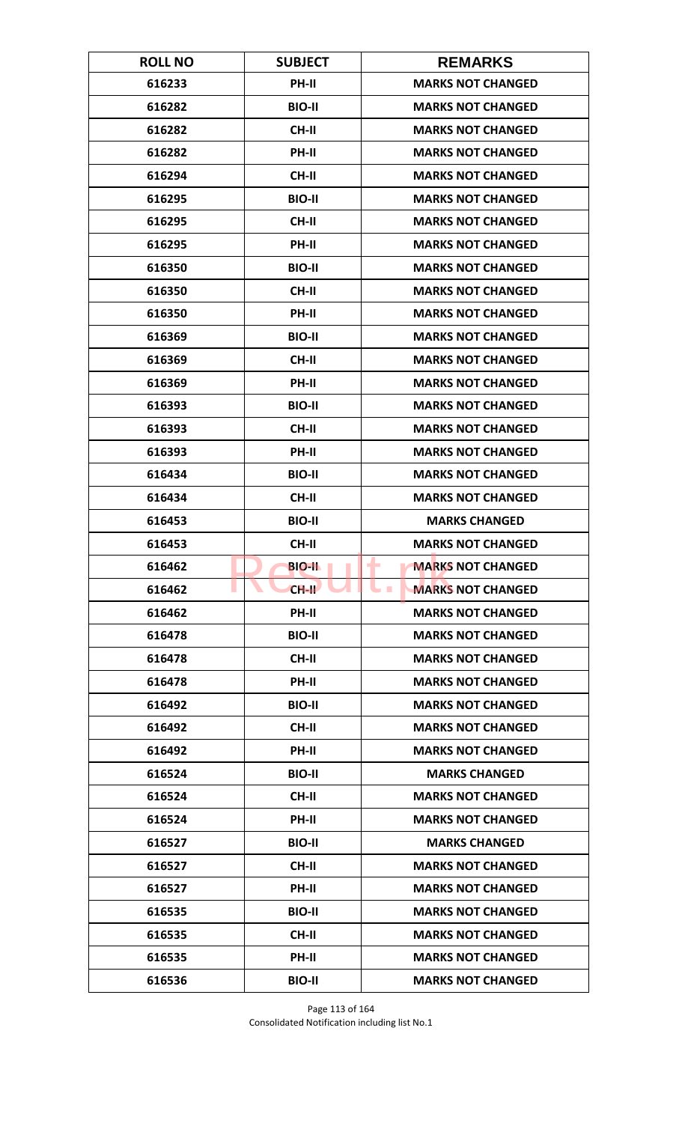| <b>ROLL NO</b> | <b>SUBJECT</b> | <b>REMARKS</b>                       |
|----------------|----------------|--------------------------------------|
| 616233         | PH-II          | <b>MARKS NOT CHANGED</b>             |
| 616282         | <b>BIO-II</b>  | <b>MARKS NOT CHANGED</b>             |
| 616282         | <b>CH-II</b>   | <b>MARKS NOT CHANGED</b>             |
| 616282         | PH-II          | <b>MARKS NOT CHANGED</b>             |
| 616294         | <b>CH-II</b>   | <b>MARKS NOT CHANGED</b>             |
| 616295         | <b>BIO-II</b>  | <b>MARKS NOT CHANGED</b>             |
| 616295         | <b>CH-II</b>   | <b>MARKS NOT CHANGED</b>             |
| 616295         | PH-II          | <b>MARKS NOT CHANGED</b>             |
| 616350         | <b>BIO-II</b>  | <b>MARKS NOT CHANGED</b>             |
| 616350         | CH-II          | <b>MARKS NOT CHANGED</b>             |
| 616350         | PH-II          | <b>MARKS NOT CHANGED</b>             |
| 616369         | <b>BIO-II</b>  | <b>MARKS NOT CHANGED</b>             |
| 616369         | <b>CH-II</b>   | <b>MARKS NOT CHANGED</b>             |
| 616369         | PH-II          | <b>MARKS NOT CHANGED</b>             |
| 616393         | <b>BIO-II</b>  | <b>MARKS NOT CHANGED</b>             |
| 616393         | <b>CH-II</b>   | <b>MARKS NOT CHANGED</b>             |
| 616393         | PH-II          | <b>MARKS NOT CHANGED</b>             |
| 616434         | <b>BIO-II</b>  | <b>MARKS NOT CHANGED</b>             |
| 616434         | <b>CH-II</b>   | <b>MARKS NOT CHANGED</b>             |
| 616453         | <b>BIO-II</b>  | <b>MARKS CHANGED</b>                 |
| 616453         | CH-II          | <b>MARKS NOT CHANGED</b>             |
| 616462         | <b>BIO-II</b>  | <b>MARKS NOT CHANGED</b><br>٠        |
| 616462         | $CH-H$         | <b>MARKS NOT CHANGED</b><br><b>I</b> |
| 616462         | PH-II          | <b>MARKS NOT CHANGED</b>             |
| 616478         | <b>BIO-II</b>  | <b>MARKS NOT CHANGED</b>             |
| 616478         | CH-II          | <b>MARKS NOT CHANGED</b>             |
| 616478         | PH-II          | <b>MARKS NOT CHANGED</b>             |
| 616492         | <b>BIO-II</b>  | <b>MARKS NOT CHANGED</b>             |
| 616492         | CH-II          | <b>MARKS NOT CHANGED</b>             |
| 616492         | <b>PH-II</b>   | <b>MARKS NOT CHANGED</b>             |
| 616524         | <b>BIO-II</b>  | <b>MARKS CHANGED</b>                 |
| 616524         | CH-II          | <b>MARKS NOT CHANGED</b>             |
| 616524         | PH-II          | <b>MARKS NOT CHANGED</b>             |
| 616527         | <b>BIO-II</b>  | <b>MARKS CHANGED</b>                 |
| 616527         | CH-II          | <b>MARKS NOT CHANGED</b>             |
| 616527         | PH-II          | <b>MARKS NOT CHANGED</b>             |
| 616535         | <b>BIO-II</b>  | <b>MARKS NOT CHANGED</b>             |
| 616535         | <b>CH-II</b>   | <b>MARKS NOT CHANGED</b>             |
| 616535         | <b>PH-II</b>   | <b>MARKS NOT CHANGED</b>             |
| 616536         | <b>BIO-II</b>  | <b>MARKS NOT CHANGED</b>             |

Page 113 of 164 Consolidated Notification including list No.1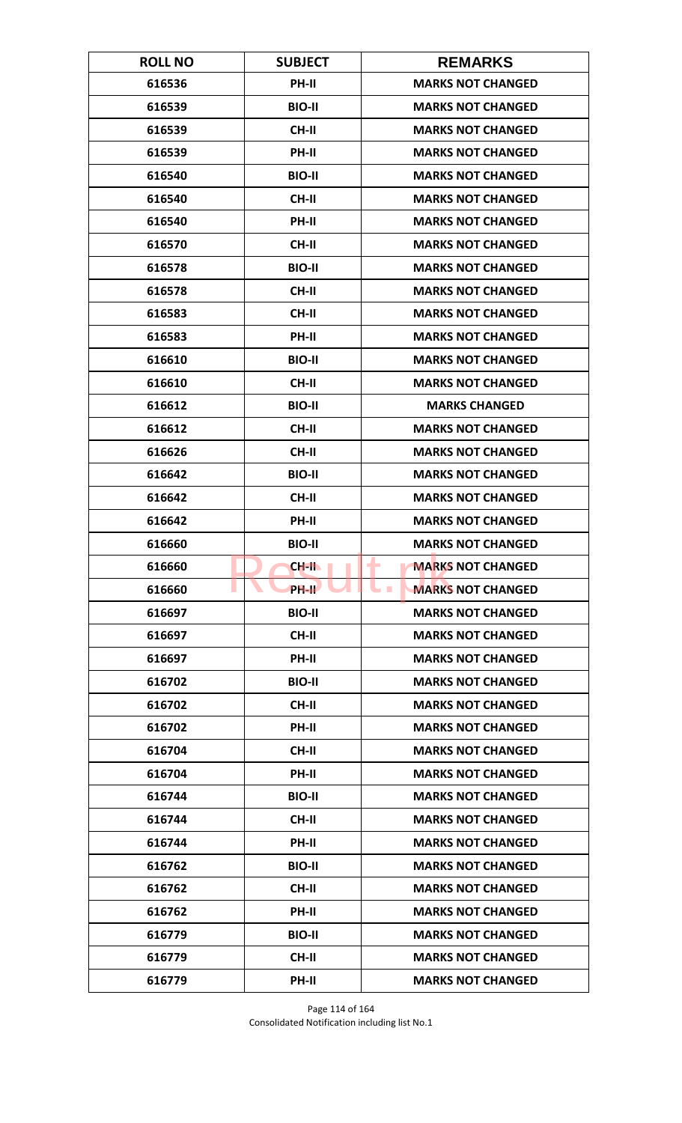| <b>ROLL NO</b> | <b>SUBJECT</b> | <b>REMARKS</b>                       |
|----------------|----------------|--------------------------------------|
| 616536         | PH-II          | <b>MARKS NOT CHANGED</b>             |
| 616539         | <b>BIO-II</b>  | <b>MARKS NOT CHANGED</b>             |
| 616539         | <b>CH-II</b>   | <b>MARKS NOT CHANGED</b>             |
| 616539         | PH-II          | <b>MARKS NOT CHANGED</b>             |
| 616540         | <b>BIO-II</b>  | <b>MARKS NOT CHANGED</b>             |
| 616540         | <b>CH-II</b>   | <b>MARKS NOT CHANGED</b>             |
| 616540         | <b>PH-II</b>   | <b>MARKS NOT CHANGED</b>             |
| 616570         | <b>CH-II</b>   | <b>MARKS NOT CHANGED</b>             |
| 616578         | <b>BIO-II</b>  | <b>MARKS NOT CHANGED</b>             |
| 616578         | CH-II          | <b>MARKS NOT CHANGED</b>             |
| 616583         | <b>CH-II</b>   | <b>MARKS NOT CHANGED</b>             |
| 616583         | <b>PH-II</b>   | <b>MARKS NOT CHANGED</b>             |
| 616610         | <b>BIO-II</b>  | <b>MARKS NOT CHANGED</b>             |
| 616610         | <b>CH-II</b>   | <b>MARKS NOT CHANGED</b>             |
| 616612         | <b>BIO-II</b>  | <b>MARKS CHANGED</b>                 |
| 616612         | <b>CH-II</b>   | <b>MARKS NOT CHANGED</b>             |
| 616626         | <b>CH-II</b>   | <b>MARKS NOT CHANGED</b>             |
| 616642         | <b>BIO-II</b>  | <b>MARKS NOT CHANGED</b>             |
| 616642         | <b>CH-II</b>   | <b>MARKS NOT CHANGED</b>             |
| 616642         | PH-II          | <b>MARKS NOT CHANGED</b>             |
| 616660         | <b>BIO-II</b>  | <b>MARKS NOT CHANGED</b>             |
| 616660         | CH-II          | <b>MARKS NOT CHANGED</b><br>٠        |
| 616660         | PH-II          | <b>MARKS NOT CHANGED</b><br><b>I</b> |
| 616697         | <b>BIO-II</b>  | <b>MARKS NOT CHANGED</b>             |
| 616697         | CH-II          | <b>MARKS NOT CHANGED</b>             |
| 616697         | PH-II          | <b>MARKS NOT CHANGED</b>             |
| 616702         | <b>BIO-II</b>  | <b>MARKS NOT CHANGED</b>             |
| 616702         | <b>CH-II</b>   | <b>MARKS NOT CHANGED</b>             |
| 616702         | PH-II          | <b>MARKS NOT CHANGED</b>             |
| 616704         | <b>CH-II</b>   | <b>MARKS NOT CHANGED</b>             |
| 616704         | <b>PH-II</b>   | <b>MARKS NOT CHANGED</b>             |
| 616744         | <b>BIO-II</b>  | <b>MARKS NOT CHANGED</b>             |
| 616744         | CH-II          | <b>MARKS NOT CHANGED</b>             |
| 616744         | PH-II          | <b>MARKS NOT CHANGED</b>             |
| 616762         | <b>BIO-II</b>  | <b>MARKS NOT CHANGED</b>             |
| 616762         | CH-II          | <b>MARKS NOT CHANGED</b>             |
| 616762         | PH-II          | <b>MARKS NOT CHANGED</b>             |
| 616779         | <b>BIO-II</b>  | <b>MARKS NOT CHANGED</b>             |
| 616779         | CH-II          | <b>MARKS NOT CHANGED</b>             |
| 616779         | PH-II          | <b>MARKS NOT CHANGED</b>             |

Page 114 of 164 Consolidated Notification including list No.1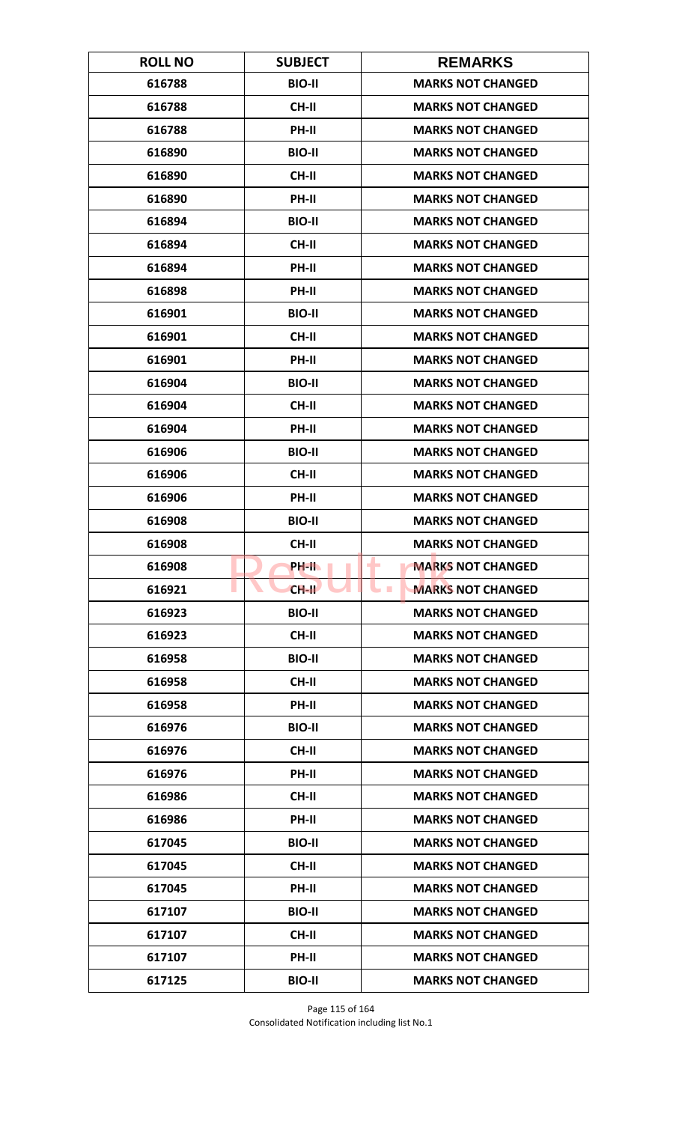| <b>ROLL NO</b> | <b>SUBJECT</b> | <b>REMARKS</b>                               |
|----------------|----------------|----------------------------------------------|
| 616788         | <b>BIO-II</b>  | <b>MARKS NOT CHANGED</b>                     |
| 616788         | <b>CH-II</b>   | <b>MARKS NOT CHANGED</b>                     |
| 616788         | PH-II          | <b>MARKS NOT CHANGED</b>                     |
| 616890         | <b>BIO-II</b>  | <b>MARKS NOT CHANGED</b>                     |
| 616890         | <b>CH-II</b>   | <b>MARKS NOT CHANGED</b>                     |
| 616890         | PH-II          | <b>MARKS NOT CHANGED</b>                     |
| 616894         | <b>BIO-II</b>  | <b>MARKS NOT CHANGED</b>                     |
| 616894         | <b>CH-II</b>   | <b>MARKS NOT CHANGED</b>                     |
| 616894         | PH-II          | <b>MARKS NOT CHANGED</b>                     |
| 616898         | PH-II          | <b>MARKS NOT CHANGED</b>                     |
| 616901         | <b>BIO-II</b>  | <b>MARKS NOT CHANGED</b>                     |
| 616901         | <b>CH-II</b>   | <b>MARKS NOT CHANGED</b>                     |
| 616901         | PH-II          | <b>MARKS NOT CHANGED</b>                     |
| 616904         | <b>BIO-II</b>  | <b>MARKS NOT CHANGED</b>                     |
| 616904         | <b>CH-II</b>   | <b>MARKS NOT CHANGED</b>                     |
| 616904         | PH-II          | <b>MARKS NOT CHANGED</b>                     |
| 616906         | <b>BIO-II</b>  | <b>MARKS NOT CHANGED</b>                     |
| 616906         | <b>CH-II</b>   | <b>MARKS NOT CHANGED</b>                     |
| 616906         | PH-II          | <b>MARKS NOT CHANGED</b>                     |
| 616908         | <b>BIO-II</b>  | <b>MARKS NOT CHANGED</b>                     |
| 616908         | <b>CH-II</b>   | <b>MARKS NOT CHANGED</b>                     |
| 616908         | PH-IL          | <b>MARKS NOT CHANGED</b><br>٠                |
| 616921         | $CH-H$         | <b>MARKS NOT CHANGED</b><br><b>The State</b> |
| 616923         | <b>BIO-II</b>  | <b>MARKS NOT CHANGED</b>                     |
| 616923         | CH-II          | <b>MARKS NOT CHANGED</b>                     |
| 616958         | <b>BIO-II</b>  | <b>MARKS NOT CHANGED</b>                     |
| 616958         | CH-II          | <b>MARKS NOT CHANGED</b>                     |
| 616958         | PH-II          | <b>MARKS NOT CHANGED</b>                     |
| 616976         | <b>BIO-II</b>  | <b>MARKS NOT CHANGED</b>                     |
| 616976         | <b>CH-II</b>   | <b>MARKS NOT CHANGED</b>                     |
| 616976         | <b>PH-II</b>   | <b>MARKS NOT CHANGED</b>                     |
| 616986         | CH-II          | <b>MARKS NOT CHANGED</b>                     |
| 616986         | PH-II          | <b>MARKS NOT CHANGED</b>                     |
| 617045         | <b>BIO-II</b>  | <b>MARKS NOT CHANGED</b>                     |
| 617045         | CH-II          | <b>MARKS NOT CHANGED</b>                     |
| 617045         | PH-II          | <b>MARKS NOT CHANGED</b>                     |
| 617107         | <b>BIO-II</b>  | <b>MARKS NOT CHANGED</b>                     |
| 617107         | <b>CH-II</b>   | <b>MARKS NOT CHANGED</b>                     |
| 617107         | <b>PH-II</b>   | <b>MARKS NOT CHANGED</b>                     |
| 617125         | <b>BIO-II</b>  | <b>MARKS NOT CHANGED</b>                     |

Page 115 of 164 Consolidated Notification including list No.1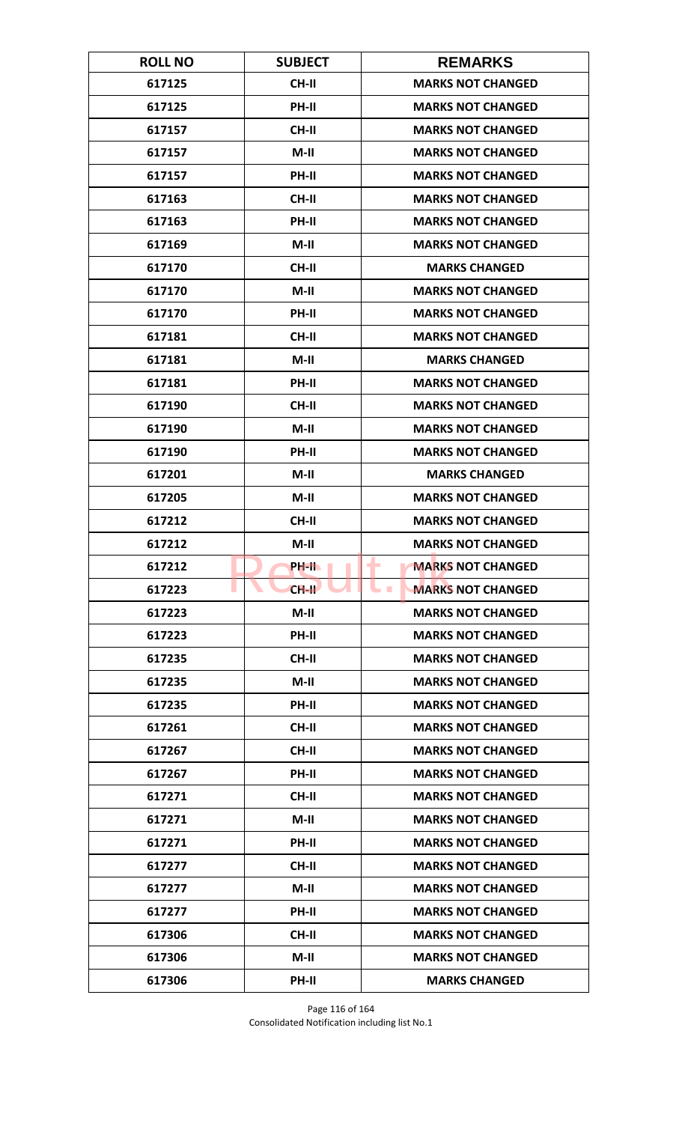| <b>ROLL NO</b> | <b>SUBJECT</b> | <b>REMARKS</b>                             |
|----------------|----------------|--------------------------------------------|
| 617125         | <b>CH-II</b>   | <b>MARKS NOT CHANGED</b>                   |
| 617125         | PH-II          | <b>MARKS NOT CHANGED</b>                   |
| 617157         | <b>CH-II</b>   | <b>MARKS NOT CHANGED</b>                   |
| 617157         | $M-II$         | <b>MARKS NOT CHANGED</b>                   |
| 617157         | PH-II          | <b>MARKS NOT CHANGED</b>                   |
| 617163         | <b>CH-II</b>   | <b>MARKS NOT CHANGED</b>                   |
| 617163         | <b>PH-II</b>   | <b>MARKS NOT CHANGED</b>                   |
| 617169         | $M-II$         | <b>MARKS NOT CHANGED</b>                   |
| 617170         | <b>CH-II</b>   | <b>MARKS CHANGED</b>                       |
| 617170         | $M-II$         | <b>MARKS NOT CHANGED</b>                   |
| 617170         | PH-II          | <b>MARKS NOT CHANGED</b>                   |
| 617181         | <b>CH-II</b>   | <b>MARKS NOT CHANGED</b>                   |
| 617181         | $M-II$         | <b>MARKS CHANGED</b>                       |
| 617181         | PH-II          | <b>MARKS NOT CHANGED</b>                   |
| 617190         | <b>CH-II</b>   | <b>MARKS NOT CHANGED</b>                   |
| 617190         | $M-II$         | <b>MARKS NOT CHANGED</b>                   |
| 617190         | PH-II          | <b>MARKS NOT CHANGED</b>                   |
| 617201         | $M-II$         | <b>MARKS CHANGED</b>                       |
| 617205         | $M-II$         | <b>MARKS NOT CHANGED</b>                   |
| 617212         | <b>CH-II</b>   | <b>MARKS NOT CHANGED</b>                   |
| 617212         | $M-II$         | <b>MARKS NOT CHANGED</b>                   |
| 617212         | PH-II.         | <b>MARKS NOT CHANGED</b><br>٠              |
| 617223         | $CH-H$         | <b>MARKS NOT CHANGED</b><br><b>College</b> |
| 617223         | $M-II$         | <b>MARKS NOT CHANGED</b>                   |
| 617223         | PH-II          | <b>MARKS NOT CHANGED</b>                   |
| 617235         | CH-II          | <b>MARKS NOT CHANGED</b>                   |
| 617235         | $M-II$         | <b>MARKS NOT CHANGED</b>                   |
| 617235         | PH-II          | <b>MARKS NOT CHANGED</b>                   |
| 617261         | <b>CH-II</b>   | <b>MARKS NOT CHANGED</b>                   |
| 617267         | <b>CH-II</b>   | <b>MARKS NOT CHANGED</b>                   |
| 617267         | PH-II          | <b>MARKS NOT CHANGED</b>                   |
| 617271         | CH-II          | <b>MARKS NOT CHANGED</b>                   |
| 617271         | $M-II$         | <b>MARKS NOT CHANGED</b>                   |
| 617271         | PH-II          | <b>MARKS NOT CHANGED</b>                   |
| 617277         | <b>CH-II</b>   | <b>MARKS NOT CHANGED</b>                   |
| 617277         | $M-II$         | <b>MARKS NOT CHANGED</b>                   |
| 617277         | PH-II          | <b>MARKS NOT CHANGED</b>                   |
| 617306         | <b>CH-II</b>   | <b>MARKS NOT CHANGED</b>                   |
| 617306         | $M-H$          | <b>MARKS NOT CHANGED</b>                   |
| 617306         | PH-II          | <b>MARKS CHANGED</b>                       |

Page 116 of 164 Consolidated Notification including list No.1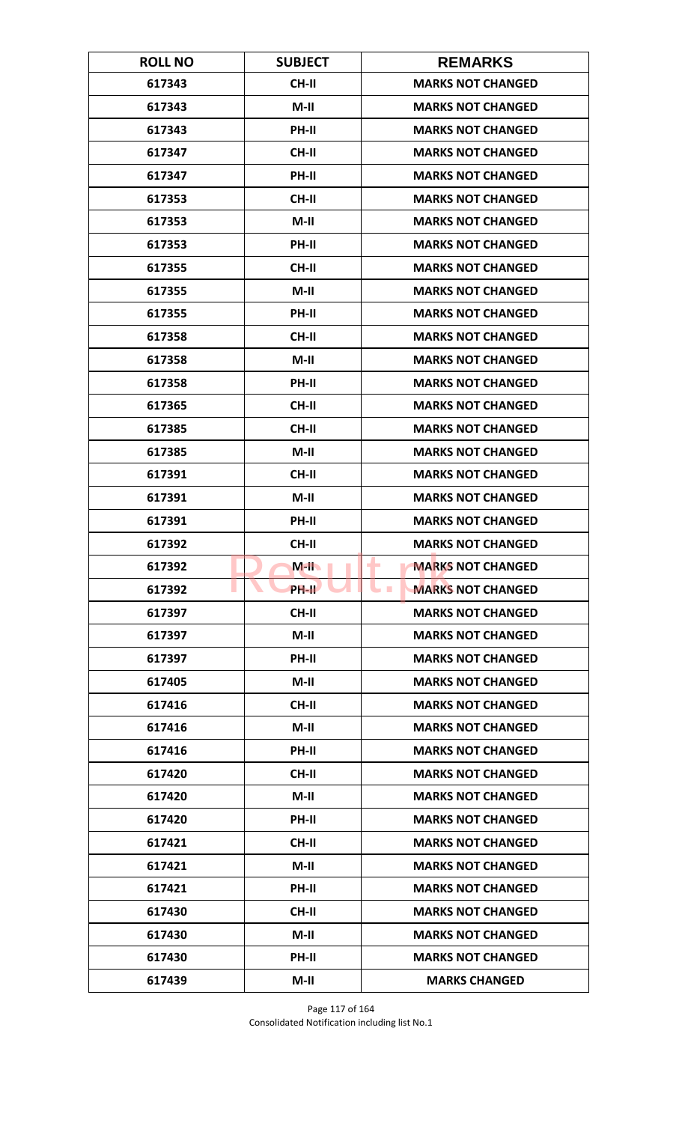| <b>ROLL NO</b> | <b>SUBJECT</b> | <b>REMARKS</b>                       |
|----------------|----------------|--------------------------------------|
| 617343         | <b>CH-II</b>   | <b>MARKS NOT CHANGED</b>             |
| 617343         | $M-II$         | <b>MARKS NOT CHANGED</b>             |
| 617343         | PH-II          | <b>MARKS NOT CHANGED</b>             |
| 617347         | <b>CH-II</b>   | <b>MARKS NOT CHANGED</b>             |
| 617347         | PH-II          | <b>MARKS NOT CHANGED</b>             |
| 617353         | <b>CH-II</b>   | <b>MARKS NOT CHANGED</b>             |
| 617353         | $M-II$         | <b>MARKS NOT CHANGED</b>             |
| 617353         | PH-II          | <b>MARKS NOT CHANGED</b>             |
| 617355         | <b>CH-II</b>   | <b>MARKS NOT CHANGED</b>             |
| 617355         | $M-II$         | <b>MARKS NOT CHANGED</b>             |
| 617355         | PH-II          | <b>MARKS NOT CHANGED</b>             |
| 617358         | <b>CH-II</b>   | <b>MARKS NOT CHANGED</b>             |
| 617358         | $M-II$         | <b>MARKS NOT CHANGED</b>             |
| 617358         | PH-II          | <b>MARKS NOT CHANGED</b>             |
| 617365         | <b>CH-II</b>   | <b>MARKS NOT CHANGED</b>             |
| 617385         | <b>CH-II</b>   | <b>MARKS NOT CHANGED</b>             |
| 617385         | $M-II$         | <b>MARKS NOT CHANGED</b>             |
| 617391         | <b>CH-II</b>   | <b>MARKS NOT CHANGED</b>             |
| 617391         | $M-II$         | <b>MARKS NOT CHANGED</b>             |
| 617391         | PH-II          | <b>MARKS NOT CHANGED</b>             |
| 617392         | <b>CH-II</b>   | <b>MARKS NOT CHANGED</b>             |
| 617392         | $M-H$          | <b>MARKS NOT CHANGED</b><br>٠        |
| 617392         | <b>PH-II</b>   | <b>MARKS NOT CHANGED</b><br><b>I</b> |
| 617397         | <b>CH-II</b>   | <b>MARKS NOT CHANGED</b>             |
| 617397         | $M-II$         | <b>MARKS NOT CHANGED</b>             |
| 617397         | PH-II          | <b>MARKS NOT CHANGED</b>             |
| 617405         | $M-II$         | <b>MARKS NOT CHANGED</b>             |
| 617416         | <b>CH-II</b>   | <b>MARKS NOT CHANGED</b>             |
| 617416         | $M-II$         | <b>MARKS NOT CHANGED</b>             |
| 617416         | <b>PH-II</b>   | <b>MARKS NOT CHANGED</b>             |
| 617420         | <b>CH-II</b>   | <b>MARKS NOT CHANGED</b>             |
| 617420         | $M-II$         | <b>MARKS NOT CHANGED</b>             |
| 617420         | PH-II          | <b>MARKS NOT CHANGED</b>             |
| 617421         | <b>CH-II</b>   | <b>MARKS NOT CHANGED</b>             |
| 617421         | $M-H$          | <b>MARKS NOT CHANGED</b>             |
| 617421         | PH-II          | <b>MARKS NOT CHANGED</b>             |
| 617430         | CH-II          | <b>MARKS NOT CHANGED</b>             |
| 617430         | $M-II$         | <b>MARKS NOT CHANGED</b>             |
| 617430         | <b>PH-II</b>   | <b>MARKS NOT CHANGED</b>             |
| 617439         | $M-II$         | <b>MARKS CHANGED</b>                 |

Page 117 of 164 Consolidated Notification including list No.1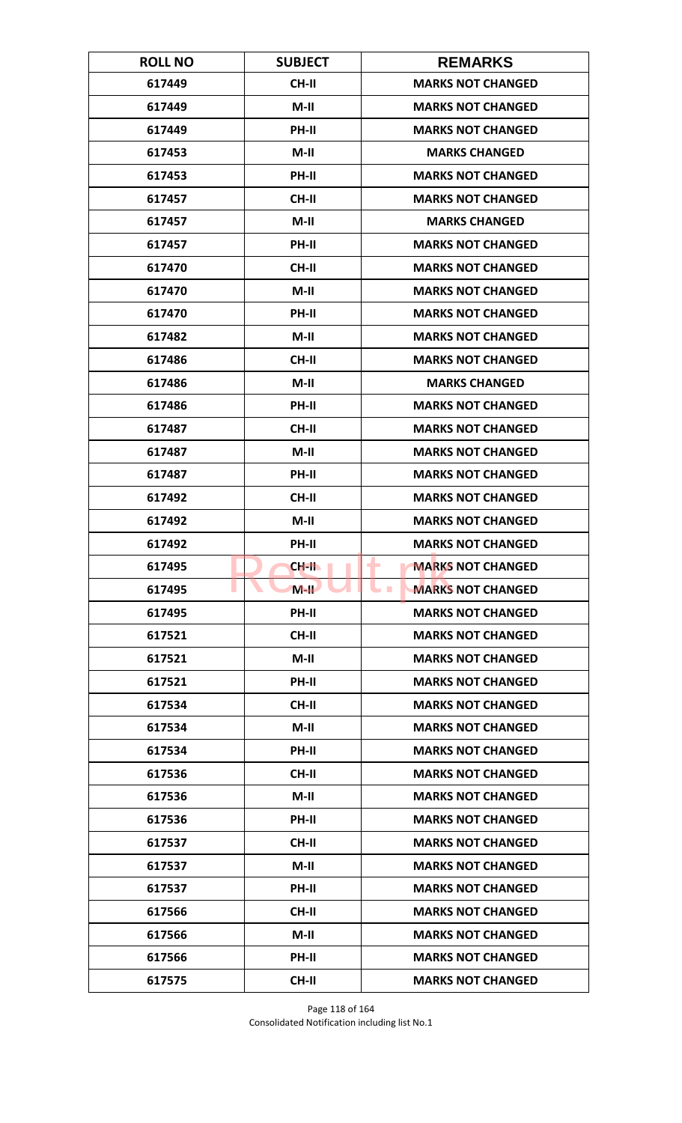| <b>ROLL NO</b> | <b>SUBJECT</b> | <b>REMARKS</b>                       |
|----------------|----------------|--------------------------------------|
| 617449         | <b>CH-II</b>   | <b>MARKS NOT CHANGED</b>             |
| 617449         | $M-II$         | <b>MARKS NOT CHANGED</b>             |
| 617449         | PH-II          | <b>MARKS NOT CHANGED</b>             |
| 617453         | $M-II$         | <b>MARKS CHANGED</b>                 |
| 617453         | <b>PH-II</b>   | <b>MARKS NOT CHANGED</b>             |
| 617457         | CH-II          | <b>MARKS NOT CHANGED</b>             |
| 617457         | $M-II$         | <b>MARKS CHANGED</b>                 |
| 617457         | PH-II          | <b>MARKS NOT CHANGED</b>             |
| 617470         | CH-II          | <b>MARKS NOT CHANGED</b>             |
| 617470         | $M-II$         | <b>MARKS NOT CHANGED</b>             |
| 617470         | PH-II          | <b>MARKS NOT CHANGED</b>             |
| 617482         | M-II           | <b>MARKS NOT CHANGED</b>             |
| 617486         | <b>CH-II</b>   | <b>MARKS NOT CHANGED</b>             |
| 617486         | $M-II$         | <b>MARKS CHANGED</b>                 |
| 617486         | <b>PH-II</b>   | <b>MARKS NOT CHANGED</b>             |
| 617487         | <b>CH-II</b>   | <b>MARKS NOT CHANGED</b>             |
| 617487         | $M-II$         | <b>MARKS NOT CHANGED</b>             |
| 617487         | PH-II          | <b>MARKS NOT CHANGED</b>             |
| 617492         | <b>CH-II</b>   | <b>MARKS NOT CHANGED</b>             |
| 617492         | $M-II$         | <b>MARKS NOT CHANGED</b>             |
| 617492         | PH-II          | <b>MARKS NOT CHANGED</b>             |
| 617495         | CH-II          | <b>MARKS NOT CHANGED</b><br>٠        |
| 617495         | $M-H$          | <b>MARKS NOT CHANGED</b><br><b>I</b> |
| 617495         | PH-II          | <b>MARKS NOT CHANGED</b>             |
| 617521         | <b>CH-II</b>   | <b>MARKS NOT CHANGED</b>             |
| 617521         | $M-H$          | <b>MARKS NOT CHANGED</b>             |
| 617521         | PH-II          | <b>MARKS NOT CHANGED</b>             |
| 617534         | <b>CH-II</b>   | <b>MARKS NOT CHANGED</b>             |
| 617534         | $M-II$         | <b>MARKS NOT CHANGED</b>             |
| 617534         | <b>PH-II</b>   | <b>MARKS NOT CHANGED</b>             |
| 617536         | <b>CH-II</b>   | <b>MARKS NOT CHANGED</b>             |
| 617536         | $M-II$         | <b>MARKS NOT CHANGED</b>             |
| 617536         | PH-II          | <b>MARKS NOT CHANGED</b>             |
| 617537         | CH-II          | <b>MARKS NOT CHANGED</b>             |
| 617537         | $M-H$          | <b>MARKS NOT CHANGED</b>             |
| 617537         | PH-II          | <b>MARKS NOT CHANGED</b>             |
| 617566         | CH-II          | <b>MARKS NOT CHANGED</b>             |
| 617566         | $M-II$         | <b>MARKS NOT CHANGED</b>             |
| 617566         | <b>PH-II</b>   | <b>MARKS NOT CHANGED</b>             |
| 617575         | <b>CH-II</b>   | <b>MARKS NOT CHANGED</b>             |

Page 118 of 164 Consolidated Notification including list No.1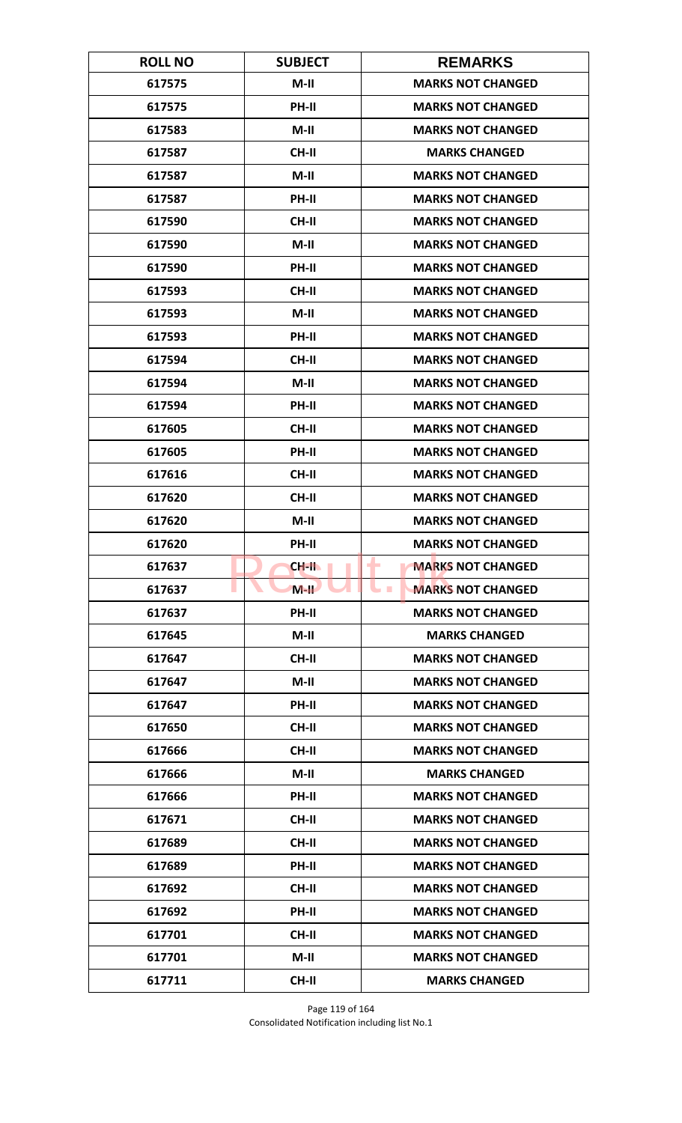| <b>ROLL NO</b> | <b>SUBJECT</b> | <b>REMARKS</b>                             |
|----------------|----------------|--------------------------------------------|
| 617575         | $M-II$         | <b>MARKS NOT CHANGED</b>                   |
| 617575         | PH-II          | <b>MARKS NOT CHANGED</b>                   |
| 617583         | $M-II$         | <b>MARKS NOT CHANGED</b>                   |
| 617587         | CH-II          | <b>MARKS CHANGED</b>                       |
| 617587         | $M-II$         | <b>MARKS NOT CHANGED</b>                   |
| 617587         | PH-II          | <b>MARKS NOT CHANGED</b>                   |
| 617590         | <b>CH-II</b>   | <b>MARKS NOT CHANGED</b>                   |
| 617590         | $M-II$         | <b>MARKS NOT CHANGED</b>                   |
| 617590         | PH-II          | <b>MARKS NOT CHANGED</b>                   |
| 617593         | <b>CH-II</b>   | <b>MARKS NOT CHANGED</b>                   |
| 617593         | $M-II$         | <b>MARKS NOT CHANGED</b>                   |
| 617593         | PH-II          | <b>MARKS NOT CHANGED</b>                   |
| 617594         | <b>CH-II</b>   | <b>MARKS NOT CHANGED</b>                   |
| 617594         | $M-II$         | <b>MARKS NOT CHANGED</b>                   |
| 617594         | <b>PH-II</b>   | <b>MARKS NOT CHANGED</b>                   |
| 617605         | <b>CH-II</b>   | <b>MARKS NOT CHANGED</b>                   |
| 617605         | PH-II          | <b>MARKS NOT CHANGED</b>                   |
| 617616         | <b>CH-II</b>   | <b>MARKS NOT CHANGED</b>                   |
| 617620         | <b>CH-II</b>   | <b>MARKS NOT CHANGED</b>                   |
| 617620         | $M-II$         | <b>MARKS NOT CHANGED</b>                   |
| 617620         | PH-II          | <b>MARKS NOT CHANGED</b>                   |
| 617637         | CH-II          | <b>MARKS NOT CHANGED</b><br>-              |
| 617637         | $M-H$          | <b>MARKS NOT CHANGED</b><br><b>College</b> |
| 617637         | PH-II          | <b>MARKS NOT CHANGED</b>                   |
| 617645         | $M-II$         | <b>MARKS CHANGED</b>                       |
| 617647         | <b>CH-II</b>   | <b>MARKS NOT CHANGED</b>                   |
| 617647         | $M-II$         | <b>MARKS NOT CHANGED</b>                   |
| 617647         | PH-II          | <b>MARKS NOT CHANGED</b>                   |
| 617650         | <b>CH-II</b>   | <b>MARKS NOT CHANGED</b>                   |
| 617666         | <b>CH-II</b>   | <b>MARKS NOT CHANGED</b>                   |
| 617666         | $M-II$         | <b>MARKS CHANGED</b>                       |
| 617666         | PH-II          | <b>MARKS NOT CHANGED</b>                   |
| 617671         | <b>CH-II</b>   | <b>MARKS NOT CHANGED</b>                   |
| 617689         | <b>CH-II</b>   | <b>MARKS NOT CHANGED</b>                   |
| 617689         | PH-II          | <b>MARKS NOT CHANGED</b>                   |
| 617692         | <b>CH-II</b>   | <b>MARKS NOT CHANGED</b>                   |
| 617692         | PH-II          | <b>MARKS NOT CHANGED</b>                   |
| 617701         | <b>CH-II</b>   | <b>MARKS NOT CHANGED</b>                   |
| 617701         | M-II           | <b>MARKS NOT CHANGED</b>                   |
| 617711         | CH-II          | <b>MARKS CHANGED</b>                       |

Page 119 of 164 Consolidated Notification including list No.1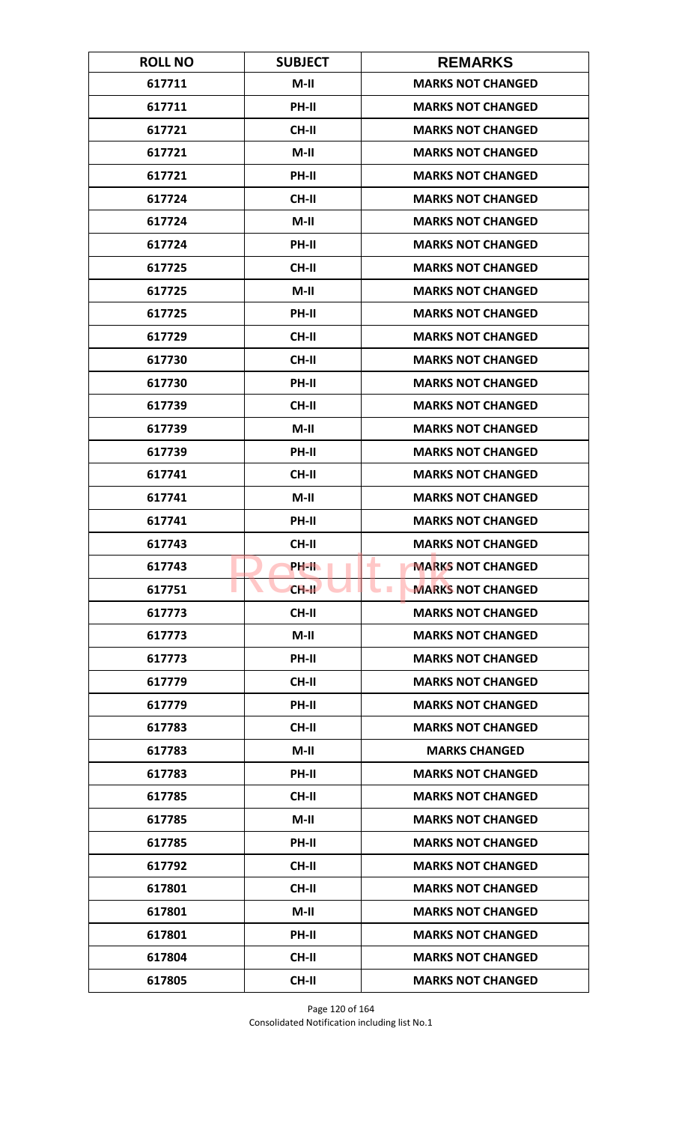| <b>ROLL NO</b> | <b>SUBJECT</b> | <b>REMARKS</b>                             |
|----------------|----------------|--------------------------------------------|
| 617711         | $M-II$         | <b>MARKS NOT CHANGED</b>                   |
| 617711         | PH-II          | <b>MARKS NOT CHANGED</b>                   |
| 617721         | CH-II          | <b>MARKS NOT CHANGED</b>                   |
| 617721         | $M-H$          | <b>MARKS NOT CHANGED</b>                   |
| 617721         | PH-II          | <b>MARKS NOT CHANGED</b>                   |
| 617724         | CH-II          | <b>MARKS NOT CHANGED</b>                   |
| 617724         | $M-II$         | <b>MARKS NOT CHANGED</b>                   |
| 617724         | PH-II          | <b>MARKS NOT CHANGED</b>                   |
| 617725         | <b>CH-II</b>   | <b>MARKS NOT CHANGED</b>                   |
| 617725         | $M-II$         | <b>MARKS NOT CHANGED</b>                   |
| 617725         | PH-II          | <b>MARKS NOT CHANGED</b>                   |
| 617729         | <b>CH-II</b>   | <b>MARKS NOT CHANGED</b>                   |
| 617730         | <b>CH-II</b>   | <b>MARKS NOT CHANGED</b>                   |
| 617730         | PH-II          | <b>MARKS NOT CHANGED</b>                   |
| 617739         | <b>CH-II</b>   | <b>MARKS NOT CHANGED</b>                   |
| 617739         | $M-H$          | <b>MARKS NOT CHANGED</b>                   |
| 617739         | PH-II          | <b>MARKS NOT CHANGED</b>                   |
| 617741         | <b>CH-II</b>   | <b>MARKS NOT CHANGED</b>                   |
| 617741         | $M-II$         | <b>MARKS NOT CHANGED</b>                   |
| 617741         | PH-II          | <b>MARKS NOT CHANGED</b>                   |
| 617743         | <b>CH-II</b>   | <b>MARKS NOT CHANGED</b>                   |
| 617743         | PH-II          | <b>MARKS NOT CHANGED</b><br>-              |
| 617751         | $CH-H$         | <b>MARKS NOT CHANGED</b><br><b>College</b> |
| 617773         | CH-II          | <b>MARKS NOT CHANGED</b>                   |
| 617773         | $M-H$          | <b>MARKS NOT CHANGED</b>                   |
| 617773         | PH-II          | <b>MARKS NOT CHANGED</b>                   |
| 617779         | <b>CH-II</b>   | <b>MARKS NOT CHANGED</b>                   |
| 617779         | PH-II          | <b>MARKS NOT CHANGED</b>                   |
| 617783         | <b>CH-II</b>   | <b>MARKS NOT CHANGED</b>                   |
| 617783         | M-II           | <b>MARKS CHANGED</b>                       |
| 617783         | <b>PH-II</b>   | <b>MARKS NOT CHANGED</b>                   |
| 617785         | CH-II          | <b>MARKS NOT CHANGED</b>                   |
| 617785         | $M-II$         | <b>MARKS NOT CHANGED</b>                   |
| 617785         | <b>PH-II</b>   | <b>MARKS NOT CHANGED</b>                   |
| 617792         | <b>CH-II</b>   | <b>MARKS NOT CHANGED</b>                   |
| 617801         | <b>CH-II</b>   | <b>MARKS NOT CHANGED</b>                   |
| 617801         | $M-II$         | <b>MARKS NOT CHANGED</b>                   |
| 617801         | PH-II          | <b>MARKS NOT CHANGED</b>                   |
| 617804         | CH-II          | <b>MARKS NOT CHANGED</b>                   |
| 617805         | <b>CH-II</b>   | <b>MARKS NOT CHANGED</b>                   |

Page 120 of 164 Consolidated Notification including list No.1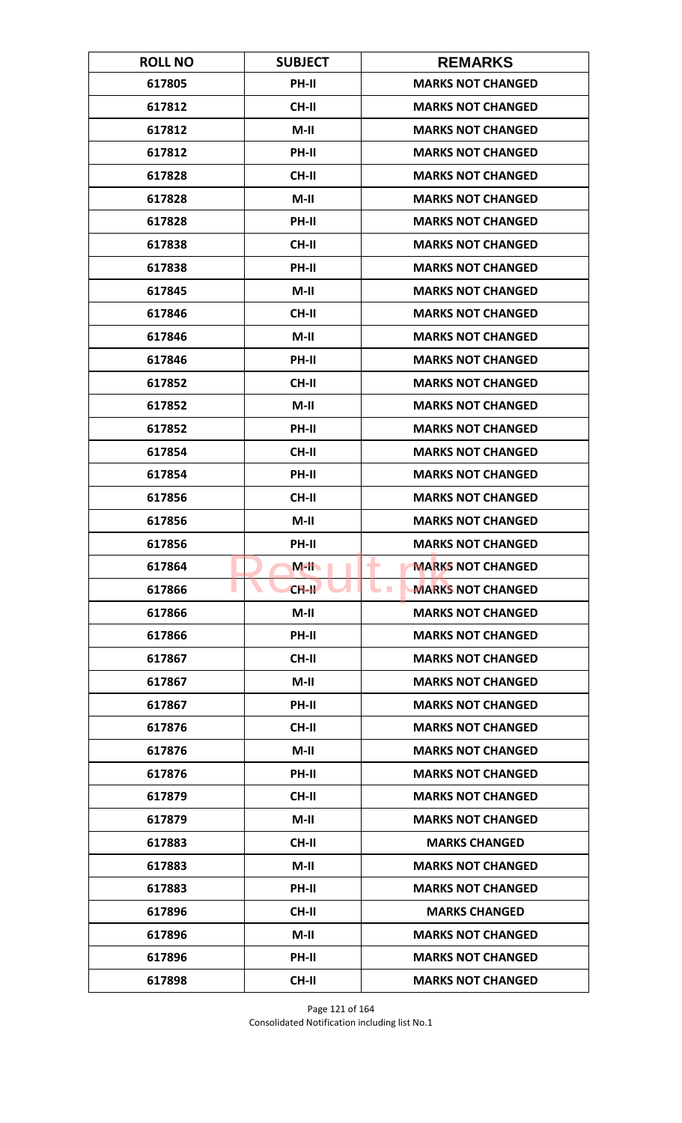| <b>ROLL NO</b> | <b>SUBJECT</b> | <b>REMARKS</b>                              |
|----------------|----------------|---------------------------------------------|
| 617805         | PH-II          | <b>MARKS NOT CHANGED</b>                    |
| 617812         | <b>CH-II</b>   | <b>MARKS NOT CHANGED</b>                    |
| 617812         | $M-II$         | <b>MARKS NOT CHANGED</b>                    |
| 617812         | PH-II          | <b>MARKS NOT CHANGED</b>                    |
| 617828         | <b>CH-II</b>   | <b>MARKS NOT CHANGED</b>                    |
| 617828         | $M-II$         | <b>MARKS NOT CHANGED</b>                    |
| 617828         | PH-II          | <b>MARKS NOT CHANGED</b>                    |
| 617838         | <b>CH-II</b>   | <b>MARKS NOT CHANGED</b>                    |
| 617838         | PH-II          | <b>MARKS NOT CHANGED</b>                    |
| 617845         | $M-II$         | <b>MARKS NOT CHANGED</b>                    |
| 617846         | <b>CH-II</b>   | <b>MARKS NOT CHANGED</b>                    |
| 617846         | $M-II$         | <b>MARKS NOT CHANGED</b>                    |
| 617846         | PH-II          | <b>MARKS NOT CHANGED</b>                    |
| 617852         | <b>CH-II</b>   | <b>MARKS NOT CHANGED</b>                    |
| 617852         | $M-II$         | <b>MARKS NOT CHANGED</b>                    |
| 617852         | <b>PH-II</b>   | <b>MARKS NOT CHANGED</b>                    |
| 617854         | <b>CH-II</b>   | <b>MARKS NOT CHANGED</b>                    |
| 617854         | PH-II          | <b>MARKS NOT CHANGED</b>                    |
| 617856         | <b>CH-II</b>   | <b>MARKS NOT CHANGED</b>                    |
| 617856         | $M-II$         | <b>MARKS NOT CHANGED</b>                    |
| 617856         | PH-II          | <b>MARKS NOT CHANGED</b>                    |
| 617864         | $M-H$          | <b>MARKS NOT CHANGED</b><br>-               |
| 617866         | $CH-H$         | <b>MARKS NOT CHANGED</b><br><b>Contract</b> |
| 617866         | $M-II$         | <b>MARKS NOT CHANGED</b>                    |
| 617866         | <b>PH-II</b>   | <b>MARKS NOT CHANGED</b>                    |
| 617867         | <b>CH-II</b>   | <b>MARKS NOT CHANGED</b>                    |
| 617867         | $M-II$         | <b>MARKS NOT CHANGED</b>                    |
| 617867         | PH-II          | <b>MARKS NOT CHANGED</b>                    |
| 617876         | <b>CH-II</b>   | <b>MARKS NOT CHANGED</b>                    |
| 617876         | M-II           | <b>MARKS NOT CHANGED</b>                    |
| 617876         | <b>PH-II</b>   | <b>MARKS NOT CHANGED</b>                    |
| 617879         | CH-II          | <b>MARKS NOT CHANGED</b>                    |
| 617879         | $M-II$         | <b>MARKS NOT CHANGED</b>                    |
| 617883         | <b>CH-II</b>   | <b>MARKS CHANGED</b>                        |
| 617883         | $M-II$         | <b>MARKS NOT CHANGED</b>                    |
| 617883         | PH-II          | <b>MARKS NOT CHANGED</b>                    |
| 617896         | CH-II          | <b>MARKS CHANGED</b>                        |
| 617896         | $M-II$         | <b>MARKS NOT CHANGED</b>                    |
| 617896         | <b>PH-II</b>   | <b>MARKS NOT CHANGED</b>                    |
| 617898         | <b>CH-II</b>   | <b>MARKS NOT CHANGED</b>                    |

Page 121 of 164 Consolidated Notification including list No.1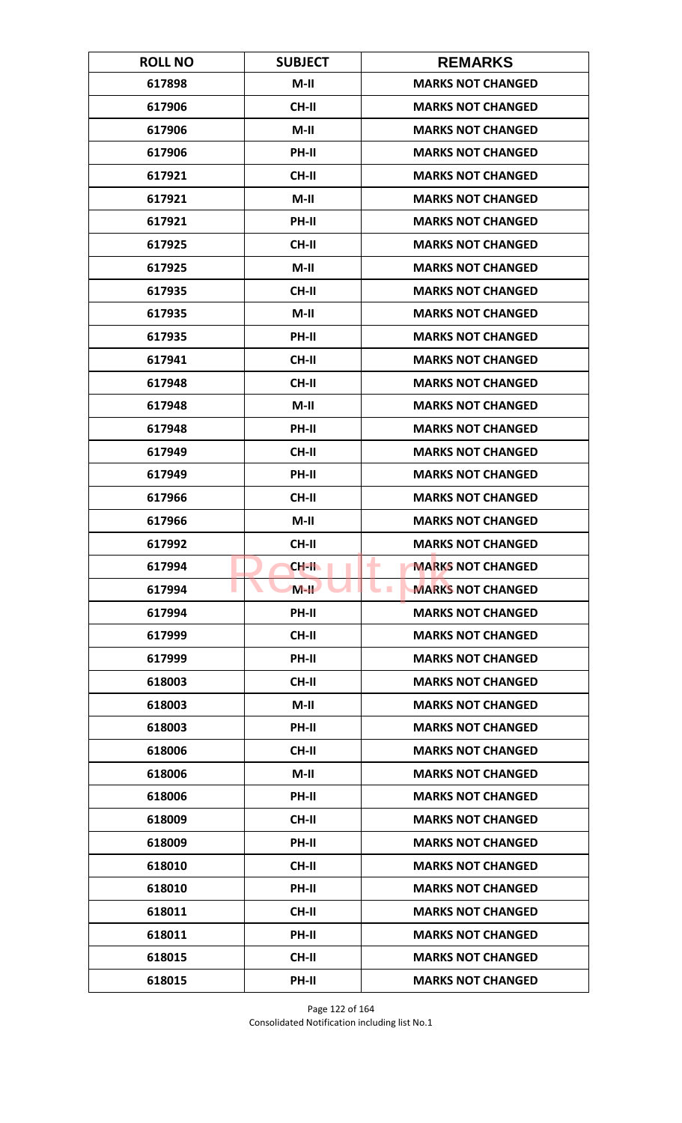| <b>ROLL NO</b> | <b>SUBJECT</b> | <b>REMARKS</b>                              |
|----------------|----------------|---------------------------------------------|
| 617898         | $M-II$         | <b>MARKS NOT CHANGED</b>                    |
| 617906         | <b>CH-II</b>   | <b>MARKS NOT CHANGED</b>                    |
| 617906         | $M-II$         | <b>MARKS NOT CHANGED</b>                    |
| 617906         | PH-II          | <b>MARKS NOT CHANGED</b>                    |
| 617921         | CH-II          | <b>MARKS NOT CHANGED</b>                    |
| 617921         | $M-II$         | <b>MARKS NOT CHANGED</b>                    |
| 617921         | PH-II          | <b>MARKS NOT CHANGED</b>                    |
| 617925         | CH-II          | <b>MARKS NOT CHANGED</b>                    |
| 617925         | $M-II$         | <b>MARKS NOT CHANGED</b>                    |
| 617935         | <b>CH-II</b>   | <b>MARKS NOT CHANGED</b>                    |
| 617935         | $M-II$         | <b>MARKS NOT CHANGED</b>                    |
| 617935         | PH-II          | <b>MARKS NOT CHANGED</b>                    |
| 617941         | <b>CH-II</b>   | <b>MARKS NOT CHANGED</b>                    |
| 617948         | <b>CH-II</b>   | <b>MARKS NOT CHANGED</b>                    |
| 617948         | $M-II$         | <b>MARKS NOT CHANGED</b>                    |
| 617948         | <b>PH-II</b>   | <b>MARKS NOT CHANGED</b>                    |
| 617949         | <b>CH-II</b>   | <b>MARKS NOT CHANGED</b>                    |
| 617949         | PH-II          | <b>MARKS NOT CHANGED</b>                    |
| 617966         | <b>CH-II</b>   | <b>MARKS NOT CHANGED</b>                    |
| 617966         | $M-II$         | <b>MARKS NOT CHANGED</b>                    |
| 617992         | <b>CH-II</b>   | <b>MARKS NOT CHANGED</b>                    |
| 617994         | CH-II          | <b>MARKS NOT CHANGED</b><br>۰               |
| 617994         | $M-H$          | <b>MARKS NOT CHANGED</b><br><b>Contract</b> |
| 617994         | PH-II          | <b>MARKS NOT CHANGED</b>                    |
| 617999         | <b>CH-II</b>   | <b>MARKS NOT CHANGED</b>                    |
| 617999         | PH-II          | <b>MARKS NOT CHANGED</b>                    |
| 618003         | CH-II          | <b>MARKS NOT CHANGED</b>                    |
| 618003         | $M-II$         | <b>MARKS NOT CHANGED</b>                    |
| 618003         | PH-II          | <b>MARKS NOT CHANGED</b>                    |
| 618006         | <b>CH-II</b>   | <b>MARKS NOT CHANGED</b>                    |
| 618006         | $M-II$         | <b>MARKS NOT CHANGED</b>                    |
| 618006         | PH-II          | <b>MARKS NOT CHANGED</b>                    |
| 618009         | <b>CH-II</b>   | <b>MARKS NOT CHANGED</b>                    |
| 618009         | <b>PH-II</b>   | <b>MARKS NOT CHANGED</b>                    |
| 618010         | <b>CH-II</b>   | <b>MARKS NOT CHANGED</b>                    |
| 618010         | PH-II          | <b>MARKS NOT CHANGED</b>                    |
| 618011         | CH-II          | <b>MARKS NOT CHANGED</b>                    |
| 618011         | PH-II          | <b>MARKS NOT CHANGED</b>                    |
| 618015         | <b>CH-II</b>   | <b>MARKS NOT CHANGED</b>                    |
| 618015         | PH-II          | <b>MARKS NOT CHANGED</b>                    |

Page 122 of 164 Consolidated Notification including list No.1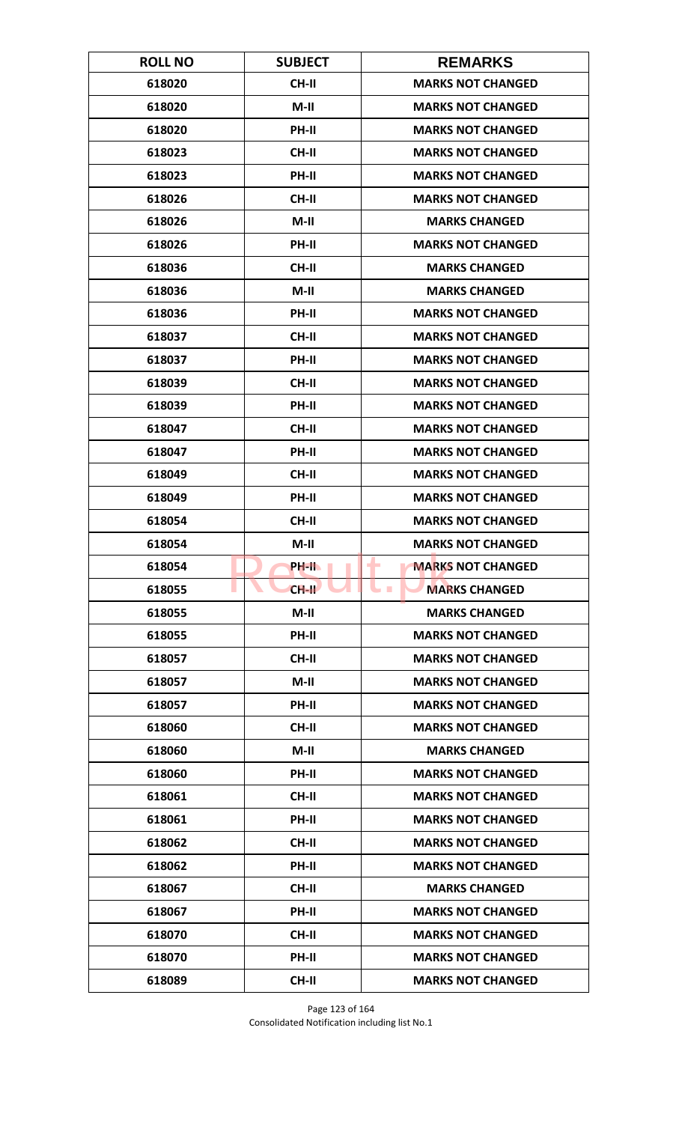| <b>ROLL NO</b> | <b>SUBJECT</b> | <b>REMARKS</b>                |
|----------------|----------------|-------------------------------|
| 618020         | CH-II          | <b>MARKS NOT CHANGED</b>      |
| 618020         | $M-II$         | <b>MARKS NOT CHANGED</b>      |
| 618020         | PH-II          | <b>MARKS NOT CHANGED</b>      |
| 618023         | <b>CH-II</b>   | <b>MARKS NOT CHANGED</b>      |
| 618023         | PH-II          | <b>MARKS NOT CHANGED</b>      |
| 618026         | CH-II          | <b>MARKS NOT CHANGED</b>      |
| 618026         | $M-II$         | <b>MARKS CHANGED</b>          |
| 618026         | PH-II          | <b>MARKS NOT CHANGED</b>      |
| 618036         | CH-II          | <b>MARKS CHANGED</b>          |
| 618036         | $M-II$         | <b>MARKS CHANGED</b>          |
| 618036         | PH-II          | <b>MARKS NOT CHANGED</b>      |
| 618037         | <b>CH-II</b>   | <b>MARKS NOT CHANGED</b>      |
| 618037         | PH-II          | <b>MARKS NOT CHANGED</b>      |
| 618039         | <b>CH-II</b>   | <b>MARKS NOT CHANGED</b>      |
| 618039         | <b>PH-II</b>   | <b>MARKS NOT CHANGED</b>      |
| 618047         | <b>CH-II</b>   | <b>MARKS NOT CHANGED</b>      |
| 618047         | PH-II          | <b>MARKS NOT CHANGED</b>      |
| 618049         | <b>CH-II</b>   | <b>MARKS NOT CHANGED</b>      |
| 618049         | PH-II          | <b>MARKS NOT CHANGED</b>      |
| 618054         | <b>CH-II</b>   | <b>MARKS NOT CHANGED</b>      |
| 618054         | $M-II$         | <b>MARKS NOT CHANGED</b>      |
| 618054         | PH-IL          | <b>MARKS NOT CHANGED</b><br>٠ |
| 618055         | $CH-H$         | <b>MARKS CHANGED</b>          |
| 618055         | $M-II$         | <b>MARKS CHANGED</b>          |
| 618055         | PH-II          | <b>MARKS NOT CHANGED</b>      |
| 618057         | CH-II          | <b>MARKS NOT CHANGED</b>      |
| 618057         | $M-II$         | <b>MARKS NOT CHANGED</b>      |
| 618057         | <b>PH-II</b>   | <b>MARKS NOT CHANGED</b>      |
| 618060         | <b>CH-II</b>   | <b>MARKS NOT CHANGED</b>      |
| 618060         | $M-II$         | <b>MARKS CHANGED</b>          |
| 618060         | <b>PH-II</b>   | <b>MARKS NOT CHANGED</b>      |
| 618061         | CH-II          | <b>MARKS NOT CHANGED</b>      |
| 618061         | PH-II          | <b>MARKS NOT CHANGED</b>      |
| 618062         | CH-II          | <b>MARKS NOT CHANGED</b>      |
| 618062         | <b>PH-II</b>   | <b>MARKS NOT CHANGED</b>      |
| 618067         | <b>CH-II</b>   | <b>MARKS CHANGED</b>          |
| 618067         | PH-II          | <b>MARKS NOT CHANGED</b>      |
| 618070         | <b>CH-II</b>   | <b>MARKS NOT CHANGED</b>      |
| 618070         | <b>PH-II</b>   | <b>MARKS NOT CHANGED</b>      |
| 618089         | <b>CH-II</b>   | <b>MARKS NOT CHANGED</b>      |

Page 123 of 164 Consolidated Notification including list No.1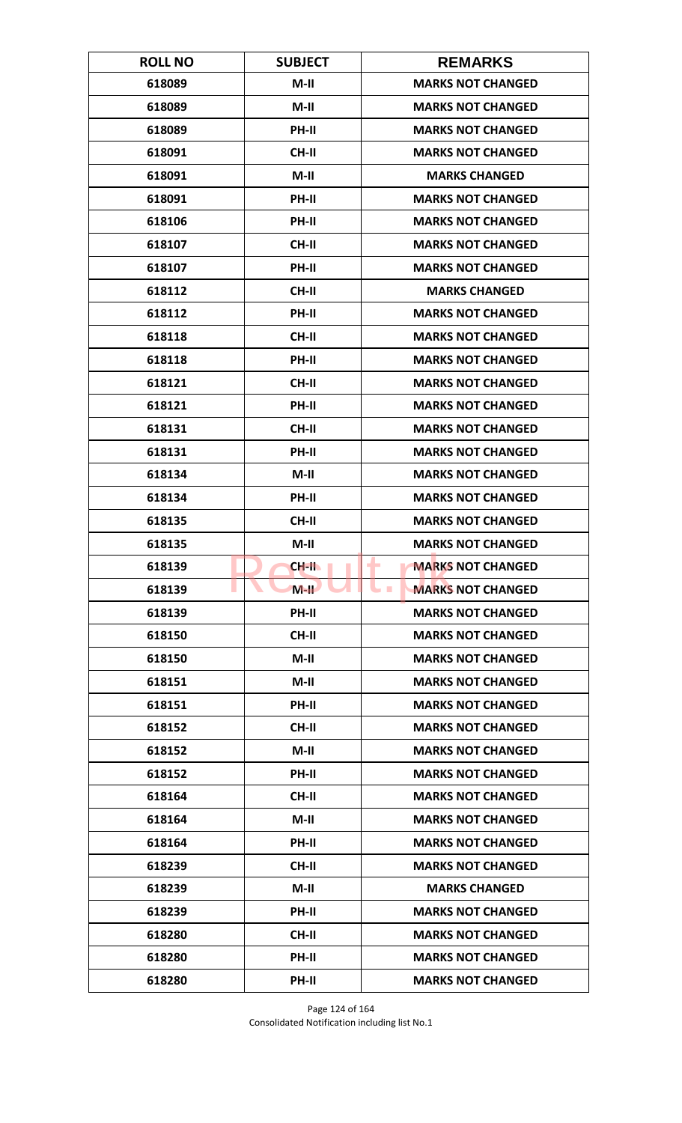| <b>ROLL NO</b> | <b>SUBJECT</b> | <b>REMARKS</b>                             |
|----------------|----------------|--------------------------------------------|
| 618089         | $M-II$         | <b>MARKS NOT CHANGED</b>                   |
| 618089         | $M-II$         | <b>MARKS NOT CHANGED</b>                   |
| 618089         | PH-II          | <b>MARKS NOT CHANGED</b>                   |
| 618091         | <b>CH-II</b>   | <b>MARKS NOT CHANGED</b>                   |
| 618091         | $M-II$         | <b>MARKS CHANGED</b>                       |
| 618091         | PH-II          | <b>MARKS NOT CHANGED</b>                   |
| 618106         | PH-II          | <b>MARKS NOT CHANGED</b>                   |
| 618107         | <b>CH-II</b>   | <b>MARKS NOT CHANGED</b>                   |
| 618107         | PH-II          | <b>MARKS NOT CHANGED</b>                   |
| 618112         | CH-II          | <b>MARKS CHANGED</b>                       |
| 618112         | PH-II          | <b>MARKS NOT CHANGED</b>                   |
| 618118         | <b>CH-II</b>   | <b>MARKS NOT CHANGED</b>                   |
| 618118         | PH-II          | <b>MARKS NOT CHANGED</b>                   |
| 618121         | <b>CH-II</b>   | <b>MARKS NOT CHANGED</b>                   |
| 618121         | PH-II          | <b>MARKS NOT CHANGED</b>                   |
| 618131         | <b>CH-II</b>   | <b>MARKS NOT CHANGED</b>                   |
| 618131         | PH-II          | <b>MARKS NOT CHANGED</b>                   |
| 618134         | $M-H$          | <b>MARKS NOT CHANGED</b>                   |
| 618134         | <b>PH-II</b>   | <b>MARKS NOT CHANGED</b>                   |
| 618135         | <b>CH-II</b>   | <b>MARKS NOT CHANGED</b>                   |
| 618135         | M-II           | <b>MARKS NOT CHANGED</b>                   |
| 618139         | CH-II          | ÷<br><b>MARKS NOT CHANGED</b>              |
| 618139         | $M-H$          | <b>MARKS NOT CHANGED</b><br><b>College</b> |
| 618139         | PH-II          | <b>MARKS NOT CHANGED</b>                   |
| 618150         | <b>CH-II</b>   | <b>MARKS NOT CHANGED</b>                   |
| 618150         | $M-II$         | <b>MARKS NOT CHANGED</b>                   |
| 618151         | $M-II$         | <b>MARKS NOT CHANGED</b>                   |
| 618151         | PH-II          | <b>MARKS NOT CHANGED</b>                   |
| 618152         | <b>CH-II</b>   | <b>MARKS NOT CHANGED</b>                   |
| 618152         | $M-II$         | <b>MARKS NOT CHANGED</b>                   |
| 618152         | PH-II          | <b>MARKS NOT CHANGED</b>                   |
| 618164         | CH-II          | <b>MARKS NOT CHANGED</b>                   |
| 618164         | $M-II$         | <b>MARKS NOT CHANGED</b>                   |
| 618164         | <b>PH-II</b>   | <b>MARKS NOT CHANGED</b>                   |
| 618239         | <b>CH-II</b>   | <b>MARKS NOT CHANGED</b>                   |
| 618239         | $M-II$         | <b>MARKS CHANGED</b>                       |
| 618239         | PH-II          | <b>MARKS NOT CHANGED</b>                   |
| 618280         | <b>CH-II</b>   | <b>MARKS NOT CHANGED</b>                   |
| 618280         | <b>PH-II</b>   | <b>MARKS NOT CHANGED</b>                   |
| 618280         | PH-II          | <b>MARKS NOT CHANGED</b>                   |

Page 124 of 164 Consolidated Notification including list No.1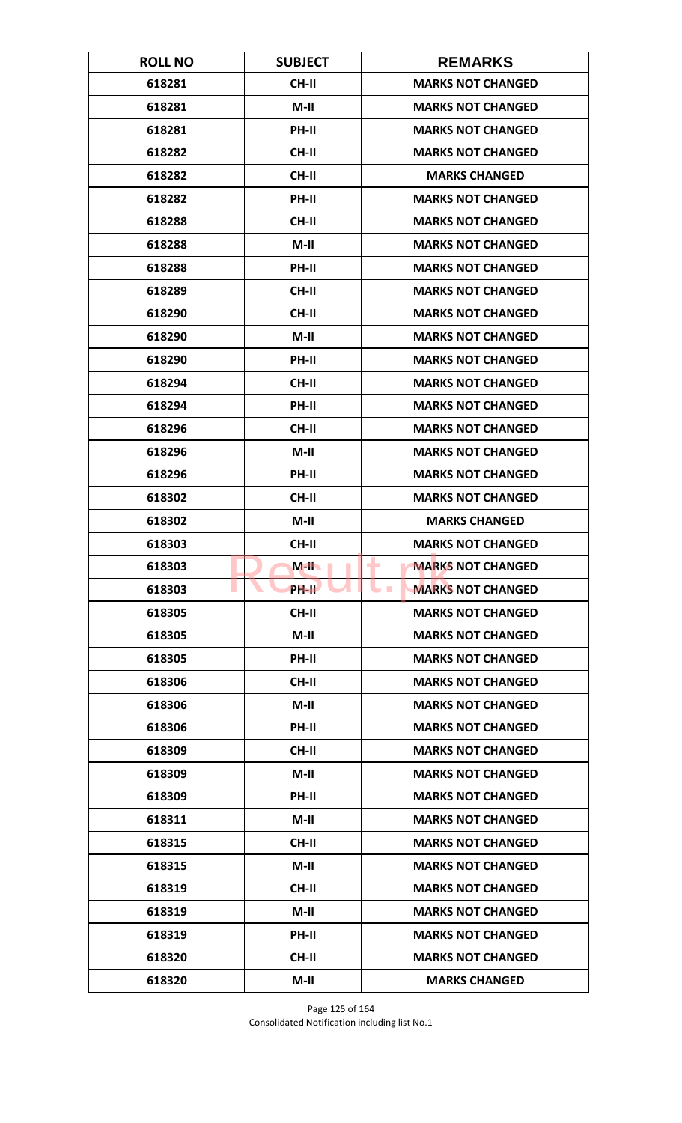| <b>ROLL NO</b> | <b>SUBJECT</b> | <b>REMARKS</b>                             |
|----------------|----------------|--------------------------------------------|
| 618281         | <b>CH-II</b>   | <b>MARKS NOT CHANGED</b>                   |
| 618281         | $M-II$         | <b>MARKS NOT CHANGED</b>                   |
| 618281         | PH-II          | <b>MARKS NOT CHANGED</b>                   |
| 618282         | <b>CH-II</b>   | <b>MARKS NOT CHANGED</b>                   |
| 618282         | <b>CH-II</b>   | <b>MARKS CHANGED</b>                       |
| 618282         | PH-II          | <b>MARKS NOT CHANGED</b>                   |
| 618288         | <b>CH-II</b>   | <b>MARKS NOT CHANGED</b>                   |
| 618288         | $M-II$         | <b>MARKS NOT CHANGED</b>                   |
| 618288         | PH-II          | <b>MARKS NOT CHANGED</b>                   |
| 618289         | CH-II          | <b>MARKS NOT CHANGED</b>                   |
| 618290         | <b>CH-II</b>   | <b>MARKS NOT CHANGED</b>                   |
| 618290         | $M-II$         | <b>MARKS NOT CHANGED</b>                   |
| 618290         | PH-II          | <b>MARKS NOT CHANGED</b>                   |
| 618294         | <b>CH-II</b>   | <b>MARKS NOT CHANGED</b>                   |
| 618294         | PH-II          | <b>MARKS NOT CHANGED</b>                   |
| 618296         | <b>CH-II</b>   | <b>MARKS NOT CHANGED</b>                   |
| 618296         | $M-II$         | <b>MARKS NOT CHANGED</b>                   |
| 618296         | PH-II          | <b>MARKS NOT CHANGED</b>                   |
| 618302         | <b>CH-II</b>   | <b>MARKS NOT CHANGED</b>                   |
| 618302         | $M-II$         | <b>MARKS CHANGED</b>                       |
| 618303         | <b>CH-II</b>   | <b>MARKS NOT CHANGED</b>                   |
| 618303         | $M-H$          | ÷<br><b>MARKS NOT CHANGED</b>              |
| 618303         | <b>PH-IL</b>   | <b>MARKS NOT CHANGED</b><br><b>College</b> |
| 618305         | CH-II          | <b>MARKS NOT CHANGED</b>                   |
| 618305         | $M-II$         | <b>MARKS NOT CHANGED</b>                   |
| 618305         | PH-II          | <b>MARKS NOT CHANGED</b>                   |
| 618306         | CH-II          | <b>MARKS NOT CHANGED</b>                   |
| 618306         | $M-II$         | <b>MARKS NOT CHANGED</b>                   |
| 618306         | PH-II          | <b>MARKS NOT CHANGED</b>                   |
| 618309         | CH-II          | <b>MARKS NOT CHANGED</b>                   |
| 618309         | $M-II$         | <b>MARKS NOT CHANGED</b>                   |
| 618309         | PH-II          | <b>MARKS NOT CHANGED</b>                   |
| 618311         | $M-II$         | <b>MARKS NOT CHANGED</b>                   |
| 618315         | CH-II          | <b>MARKS NOT CHANGED</b>                   |
| 618315         | $M-II$         | <b>MARKS NOT CHANGED</b>                   |
| 618319         | CH-II          | <b>MARKS NOT CHANGED</b>                   |
| 618319         | $M-II$         | <b>MARKS NOT CHANGED</b>                   |
| 618319         | PH-II          | <b>MARKS NOT CHANGED</b>                   |
| 618320         | CH-II          | <b>MARKS NOT CHANGED</b>                   |
| 618320         | $M-II$         | <b>MARKS CHANGED</b>                       |

Page 125 of 164 Consolidated Notification including list No.1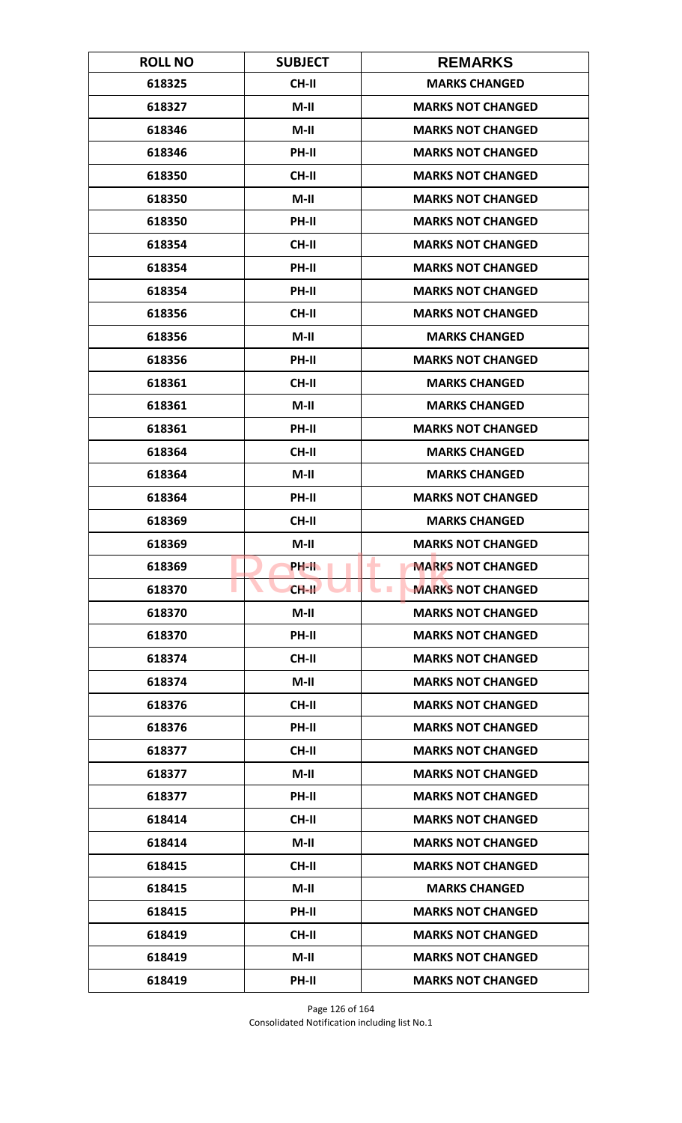| <b>ROLL NO</b> | <b>SUBJECT</b> | <b>REMARKS</b>                               |
|----------------|----------------|----------------------------------------------|
| 618325         | CH-II          | <b>MARKS CHANGED</b>                         |
| 618327         | $M-II$         | <b>MARKS NOT CHANGED</b>                     |
| 618346         | $M-II$         | <b>MARKS NOT CHANGED</b>                     |
| 618346         | PH-II          | <b>MARKS NOT CHANGED</b>                     |
| 618350         | <b>CH-II</b>   | <b>MARKS NOT CHANGED</b>                     |
| 618350         | $M-II$         | <b>MARKS NOT CHANGED</b>                     |
| 618350         | PH-II          | <b>MARKS NOT CHANGED</b>                     |
| 618354         | CH-II          | <b>MARKS NOT CHANGED</b>                     |
| 618354         | PH-II          | <b>MARKS NOT CHANGED</b>                     |
| 618354         | PH-II          | <b>MARKS NOT CHANGED</b>                     |
| 618356         | CH-II          | <b>MARKS NOT CHANGED</b>                     |
| 618356         | M-II           | <b>MARKS CHANGED</b>                         |
| 618356         | PH-II          | <b>MARKS NOT CHANGED</b>                     |
| 618361         | <b>CH-II</b>   | <b>MARKS CHANGED</b>                         |
| 618361         | $M-II$         | <b>MARKS CHANGED</b>                         |
| 618361         | PH-II          | <b>MARKS NOT CHANGED</b>                     |
| 618364         | <b>CH-II</b>   | <b>MARKS CHANGED</b>                         |
| 618364         | $M-H$          | <b>MARKS CHANGED</b>                         |
| 618364         | <b>PH-II</b>   | <b>MARKS NOT CHANGED</b>                     |
| 618369         | <b>CH-II</b>   | <b>MARKS CHANGED</b>                         |
| 618369         | $M-II$         | <b>MARKS NOT CHANGED</b>                     |
| 618369         | PH-II.         | <b>MARKS NOT CHANGED</b><br>٠                |
| 618370         | $CH-H$         | <b>MARKS NOT CHANGED</b><br><b>The State</b> |
| 618370         | $M-II$         | <b>MARKS NOT CHANGED</b>                     |
| 618370         | PH-II          | <b>MARKS NOT CHANGED</b>                     |
| 618374         | CH-II          | <b>MARKS NOT CHANGED</b>                     |
| 618374         | $M-II$         | <b>MARKS NOT CHANGED</b>                     |
| 618376         | <b>CH-II</b>   | <b>MARKS NOT CHANGED</b>                     |
| 618376         | PH-II          | <b>MARKS NOT CHANGED</b>                     |
| 618377         | <b>CH-II</b>   | <b>MARKS NOT CHANGED</b>                     |
| 618377         | $M-H$          | <b>MARKS NOT CHANGED</b>                     |
| 618377         | PH-II          | <b>MARKS NOT CHANGED</b>                     |
| 618414         | CH-II          | <b>MARKS NOT CHANGED</b>                     |
| 618414         | $M-H$          | <b>MARKS NOT CHANGED</b>                     |
| 618415         | <b>CH-II</b>   | <b>MARKS NOT CHANGED</b>                     |
| 618415         | $M-II$         | <b>MARKS CHANGED</b>                         |
| 618415         | PH-II          | <b>MARKS NOT CHANGED</b>                     |
| 618419         | <b>CH-II</b>   | <b>MARKS NOT CHANGED</b>                     |
| 618419         | $M-H$          | <b>MARKS NOT CHANGED</b>                     |
| 618419         | PH-II          | <b>MARKS NOT CHANGED</b>                     |

Page 126 of 164 Consolidated Notification including list No.1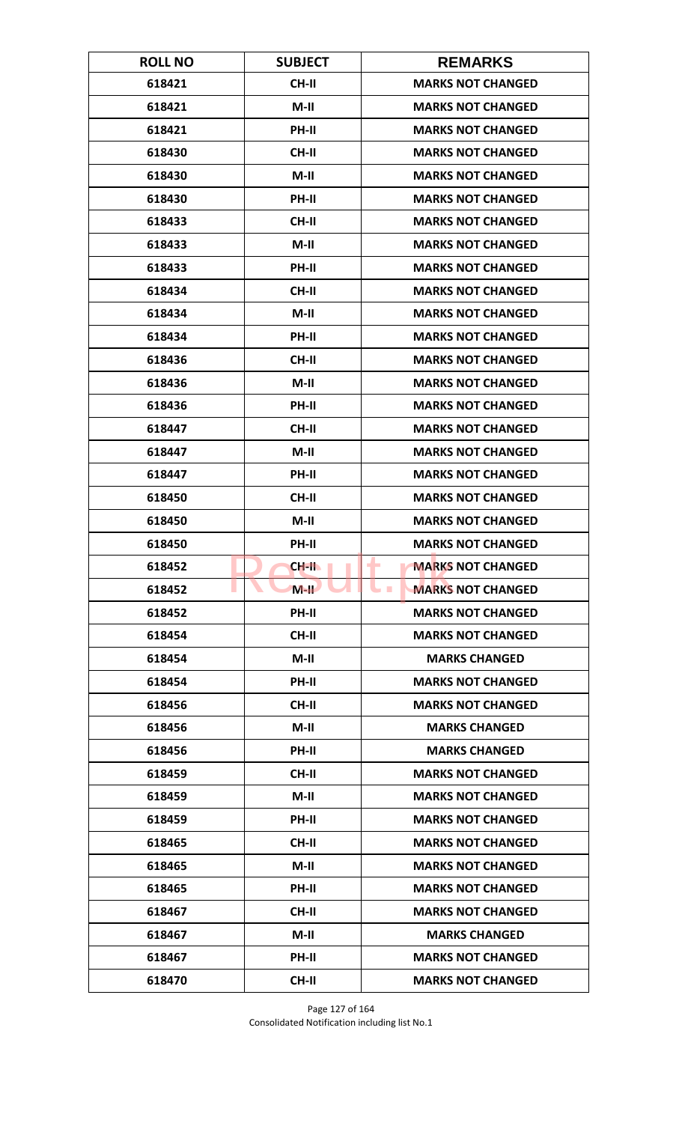| <b>ROLL NO</b> | <b>SUBJECT</b> | <b>REMARKS</b>                               |
|----------------|----------------|----------------------------------------------|
| 618421         | CH-II          | <b>MARKS NOT CHANGED</b>                     |
| 618421         | $M-H$          | <b>MARKS NOT CHANGED</b>                     |
| 618421         | PH-II          | <b>MARKS NOT CHANGED</b>                     |
| 618430         | <b>CH-II</b>   | <b>MARKS NOT CHANGED</b>                     |
| 618430         | $M-II$         | <b>MARKS NOT CHANGED</b>                     |
| 618430         | PH-II          | <b>MARKS NOT CHANGED</b>                     |
| 618433         | <b>CH-II</b>   | <b>MARKS NOT CHANGED</b>                     |
| 618433         | M-II           | <b>MARKS NOT CHANGED</b>                     |
| 618433         | PH-II          | <b>MARKS NOT CHANGED</b>                     |
| 618434         | CH-II          | <b>MARKS NOT CHANGED</b>                     |
| 618434         | $M-II$         | <b>MARKS NOT CHANGED</b>                     |
| 618434         | <b>PH-II</b>   | <b>MARKS NOT CHANGED</b>                     |
| 618436         | <b>CH-II</b>   | <b>MARKS NOT CHANGED</b>                     |
| 618436         | $M-II$         | <b>MARKS NOT CHANGED</b>                     |
| 618436         | PH-II          | <b>MARKS NOT CHANGED</b>                     |
| 618447         | <b>CH-II</b>   | <b>MARKS NOT CHANGED</b>                     |
| 618447         | $M-II$         | <b>MARKS NOT CHANGED</b>                     |
| 618447         | PH-II          | <b>MARKS NOT CHANGED</b>                     |
| 618450         | <b>CH-II</b>   | <b>MARKS NOT CHANGED</b>                     |
| 618450         | $M-II$         | <b>MARKS NOT CHANGED</b>                     |
| 618450         | <b>PH-II</b>   | <b>MARKS NOT CHANGED</b>                     |
| 618452         | CH-II          | <b>MARKS NOT CHANGED</b><br>٠                |
| 618452         | $M-H$          | <b>MARKS NOT CHANGED</b><br><b>The State</b> |
| 618452         | PH-II          | <b>MARKS NOT CHANGED</b>                     |
| 618454         | <b>CH-II</b>   | <b>MARKS NOT CHANGED</b>                     |
| 618454         | $M-H$          | <b>MARKS CHANGED</b>                         |
| 618454         | PH-II          | <b>MARKS NOT CHANGED</b>                     |
| 618456         | <b>CH-II</b>   | <b>MARKS NOT CHANGED</b>                     |
| 618456         | $M-II$         | <b>MARKS CHANGED</b>                         |
| 618456         | <b>PH-II</b>   | <b>MARKS CHANGED</b>                         |
| 618459         | <b>CH-II</b>   | <b>MARKS NOT CHANGED</b>                     |
| 618459         | $M-H$          | <b>MARKS NOT CHANGED</b>                     |
| 618459         | PH-II          | <b>MARKS NOT CHANGED</b>                     |
| 618465         | <b>CH-II</b>   | <b>MARKS NOT CHANGED</b>                     |
| 618465         | $M-H$          | <b>MARKS NOT CHANGED</b>                     |
| 618465         | PH-II          | <b>MARKS NOT CHANGED</b>                     |
| 618467         | CH-II          | <b>MARKS NOT CHANGED</b>                     |
| 618467         | M-II           | <b>MARKS CHANGED</b>                         |
| 618467         | <b>PH-II</b>   | <b>MARKS NOT CHANGED</b>                     |
| 618470         | <b>CH-II</b>   | <b>MARKS NOT CHANGED</b>                     |

Page 127 of 164 Consolidated Notification including list No.1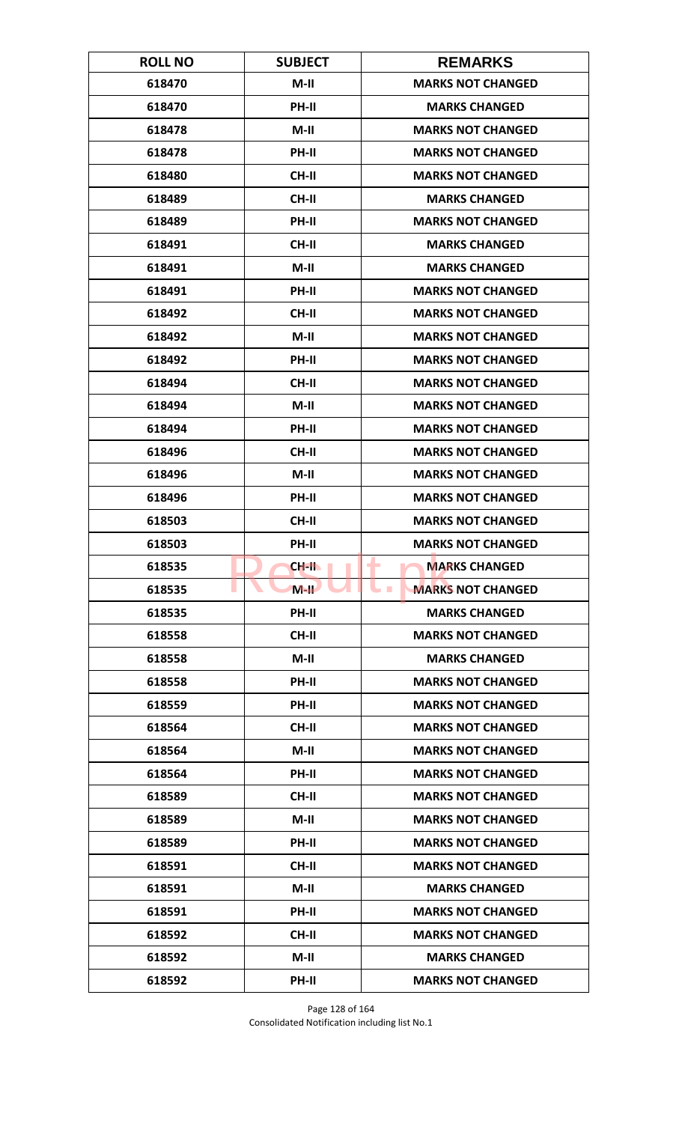| <b>ROLL NO</b> | <b>SUBJECT</b> | <b>REMARKS</b>            |
|----------------|----------------|---------------------------|
| 618470         | $M-II$         | <b>MARKS NOT CHANGED</b>  |
| 618470         | PH-II          | <b>MARKS CHANGED</b>      |
| 618478         | $M-II$         | <b>MARKS NOT CHANGED</b>  |
| 618478         | PH-II          | <b>MARKS NOT CHANGED</b>  |
| 618480         | <b>CH-II</b>   | <b>MARKS NOT CHANGED</b>  |
| 618489         | <b>CH-II</b>   | <b>MARKS CHANGED</b>      |
| 618489         | <b>PH-II</b>   | <b>MARKS NOT CHANGED</b>  |
| 618491         | <b>CH-II</b>   | <b>MARKS CHANGED</b>      |
| 618491         | $M-II$         | <b>MARKS CHANGED</b>      |
| 618491         | PH-II          | <b>MARKS NOT CHANGED</b>  |
| 618492         | <b>CH-II</b>   | <b>MARKS NOT CHANGED</b>  |
| 618492         | $M-II$         | <b>MARKS NOT CHANGED</b>  |
| 618492         | PH-II          | <b>MARKS NOT CHANGED</b>  |
| 618494         | <b>CH-II</b>   | <b>MARKS NOT CHANGED</b>  |
| 618494         | $M-II$         | <b>MARKS NOT CHANGED</b>  |
| 618494         | <b>PH-II</b>   | <b>MARKS NOT CHANGED</b>  |
| 618496         | CH-II          | <b>MARKS NOT CHANGED</b>  |
| 618496         | $M-II$         | <b>MARKS NOT CHANGED</b>  |
| 618496         | <b>PH-II</b>   | <b>MARKS NOT CHANGED</b>  |
| 618503         | <b>CH-II</b>   | <b>MARKS NOT CHANGED</b>  |
| 618503         | PH-II          | <b>MARKS NOT CHANGED</b>  |
| 618535         | CH-II          | <b>MARKS CHANGED</b><br>۰ |
| 618535         | $M-H$          | <b>MARKS NOT CHANGED</b>  |
| 618535         | PH-II          | <b>MARKS CHANGED</b>      |
| 618558         | <b>CH-II</b>   | <b>MARKS NOT CHANGED</b>  |
| 618558         | $M-II$         | <b>MARKS CHANGED</b>      |
| 618558         | PH-II          | <b>MARKS NOT CHANGED</b>  |
| 618559         | <b>PH-II</b>   | <b>MARKS NOT CHANGED</b>  |
| 618564         | <b>CH-II</b>   | <b>MARKS NOT CHANGED</b>  |
| 618564         | $M-II$         | <b>MARKS NOT CHANGED</b>  |
| 618564         | PH-II          | <b>MARKS NOT CHANGED</b>  |
| 618589         | <b>CH-II</b>   | <b>MARKS NOT CHANGED</b>  |
| 618589         | $M-II$         | <b>MARKS NOT CHANGED</b>  |
| 618589         | PH-II          | <b>MARKS NOT CHANGED</b>  |
| 618591         | <b>CH-II</b>   | <b>MARKS NOT CHANGED</b>  |
| 618591         | $M-II$         | <b>MARKS CHANGED</b>      |
| 618591         | PH-II          | <b>MARKS NOT CHANGED</b>  |
| 618592         | <b>CH-II</b>   | <b>MARKS NOT CHANGED</b>  |
| 618592         | $M-H$          | <b>MARKS CHANGED</b>      |
| 618592         | PH-II          | <b>MARKS NOT CHANGED</b>  |

Page 128 of 164 Consolidated Notification including list No.1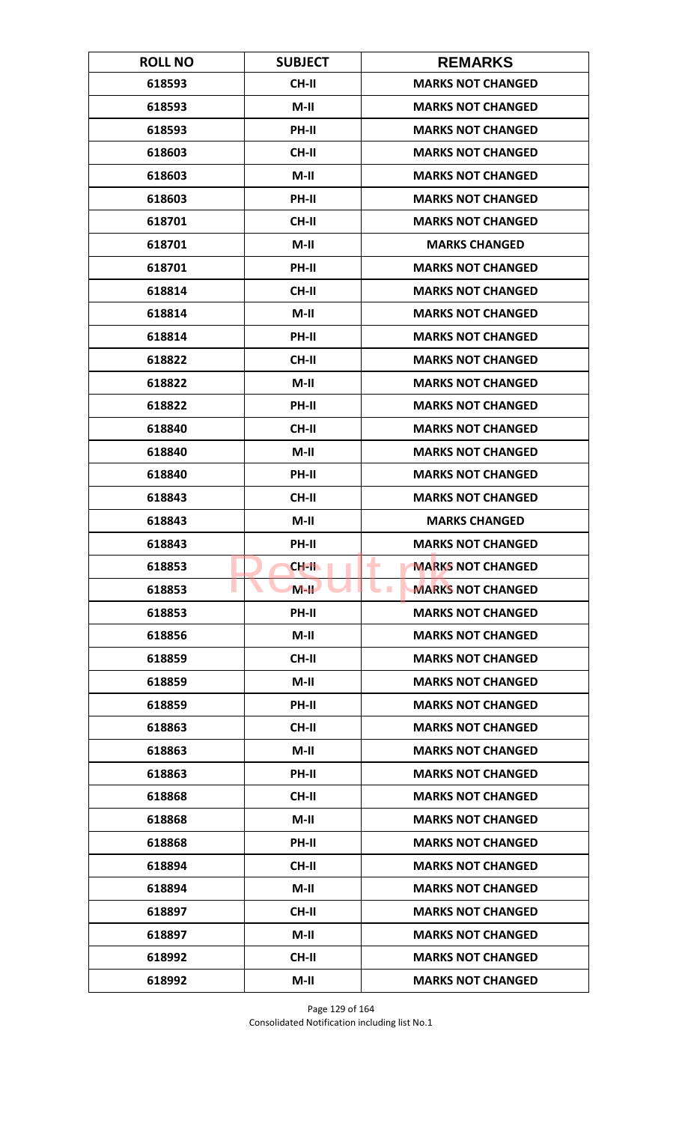| <b>ROLL NO</b> | <b>SUBJECT</b> | <b>REMARKS</b>                               |
|----------------|----------------|----------------------------------------------|
| 618593         | CH-II          | <b>MARKS NOT CHANGED</b>                     |
| 618593         | $M-H$          | <b>MARKS NOT CHANGED</b>                     |
| 618593         | PH-II          | <b>MARKS NOT CHANGED</b>                     |
| 618603         | <b>CH-II</b>   | <b>MARKS NOT CHANGED</b>                     |
| 618603         | $M-II$         | <b>MARKS NOT CHANGED</b>                     |
| 618603         | PH-II          | <b>MARKS NOT CHANGED</b>                     |
| 618701         | <b>CH-II</b>   | <b>MARKS NOT CHANGED</b>                     |
| 618701         | M-II           | <b>MARKS CHANGED</b>                         |
| 618701         | PH-II          | <b>MARKS NOT CHANGED</b>                     |
| 618814         | CH-II          | <b>MARKS NOT CHANGED</b>                     |
| 618814         | $M-II$         | <b>MARKS NOT CHANGED</b>                     |
| 618814         | <b>PH-II</b>   | <b>MARKS NOT CHANGED</b>                     |
| 618822         | <b>CH-II</b>   | <b>MARKS NOT CHANGED</b>                     |
| 618822         | $M-II$         | <b>MARKS NOT CHANGED</b>                     |
| 618822         | <b>PH-II</b>   | <b>MARKS NOT CHANGED</b>                     |
| 618840         | <b>CH-II</b>   | <b>MARKS NOT CHANGED</b>                     |
| 618840         | $M-II$         | <b>MARKS NOT CHANGED</b>                     |
| 618840         | PH-II          | <b>MARKS NOT CHANGED</b>                     |
| 618843         | <b>CH-II</b>   | <b>MARKS NOT CHANGED</b>                     |
| 618843         | $M-II$         | <b>MARKS CHANGED</b>                         |
| 618843         | <b>PH-II</b>   | <b>MARKS NOT CHANGED</b>                     |
| 618853         | CH-II          | <b>MARKS NOT CHANGED</b><br>٠                |
| 618853         | $M-H$          | <b>MARKS NOT CHANGED</b><br><b>The State</b> |
| 618853         | PH-II          | <b>MARKS NOT CHANGED</b>                     |
| 618856         | $M-II$         | <b>MARKS NOT CHANGED</b>                     |
| 618859         | CH-II          | <b>MARKS NOT CHANGED</b>                     |
| 618859         | $M-II$         | <b>MARKS NOT CHANGED</b>                     |
| 618859         | <b>PH-II</b>   | <b>MARKS NOT CHANGED</b>                     |
| 618863         | <b>CH-II</b>   | <b>MARKS NOT CHANGED</b>                     |
| 618863         | $M-II$         | <b>MARKS NOT CHANGED</b>                     |
| 618863         | <b>PH-II</b>   | <b>MARKS NOT CHANGED</b>                     |
| 618868         | CH-II          | <b>MARKS NOT CHANGED</b>                     |
| 618868         | $M-II$         | <b>MARKS NOT CHANGED</b>                     |
| 618868         | PH-II          | <b>MARKS NOT CHANGED</b>                     |
| 618894         | <b>CH-II</b>   | <b>MARKS NOT CHANGED</b>                     |
| 618894         | $M-II$         | <b>MARKS NOT CHANGED</b>                     |
| 618897         | CH-II          | <b>MARKS NOT CHANGED</b>                     |
| 618897         | $M-II$         | <b>MARKS NOT CHANGED</b>                     |
| 618992         | <b>CH-II</b>   | <b>MARKS NOT CHANGED</b>                     |
| 618992         | $M-II$         | <b>MARKS NOT CHANGED</b>                     |

Page 129 of 164 Consolidated Notification including list No.1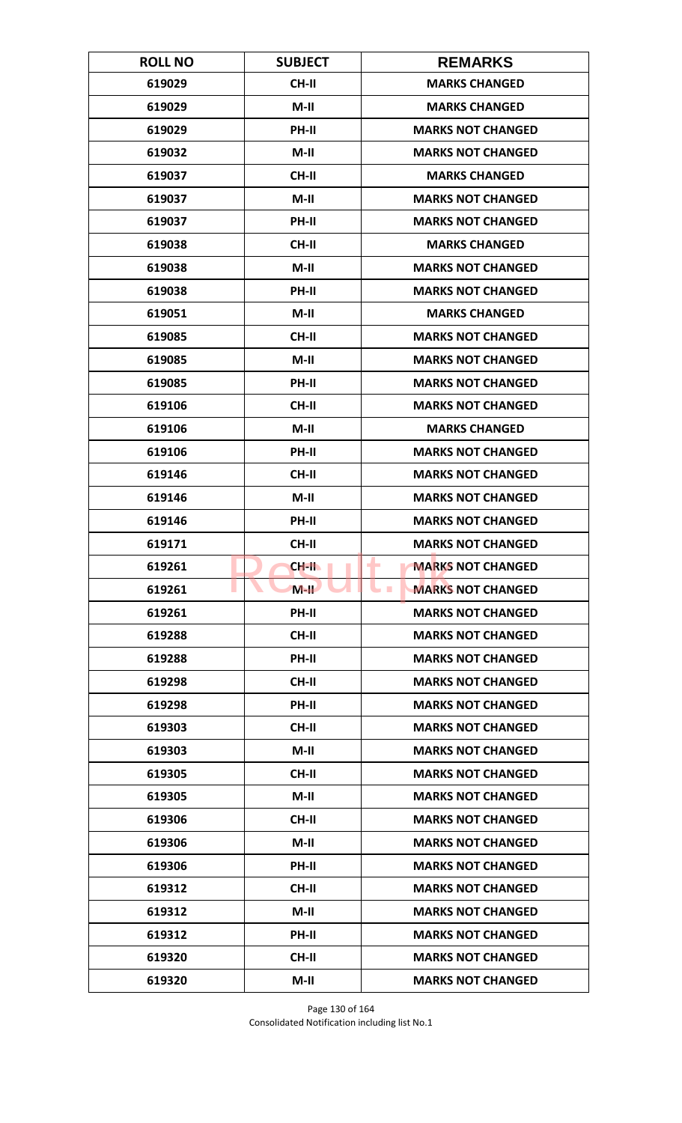| <b>ROLL NO</b> | <b>SUBJECT</b> | <b>REMARKS</b>                               |
|----------------|----------------|----------------------------------------------|
| 619029         | CH-II          | <b>MARKS CHANGED</b>                         |
| 619029         | $M-II$         | <b>MARKS CHANGED</b>                         |
| 619029         | PH-II          | <b>MARKS NOT CHANGED</b>                     |
| 619032         | $M-II$         | <b>MARKS NOT CHANGED</b>                     |
| 619037         | <b>CH-II</b>   | <b>MARKS CHANGED</b>                         |
| 619037         | $M-II$         | <b>MARKS NOT CHANGED</b>                     |
| 619037         | PH-II          | <b>MARKS NOT CHANGED</b>                     |
| 619038         | CH-II          | <b>MARKS CHANGED</b>                         |
| 619038         | $M-II$         | <b>MARKS NOT CHANGED</b>                     |
| 619038         | PH-II          | <b>MARKS NOT CHANGED</b>                     |
| 619051         | $M-II$         | <b>MARKS CHANGED</b>                         |
| 619085         | <b>CH-II</b>   | <b>MARKS NOT CHANGED</b>                     |
| 619085         | $M-II$         | <b>MARKS NOT CHANGED</b>                     |
| 619085         | PH-II          | <b>MARKS NOT CHANGED</b>                     |
| 619106         | <b>CH-II</b>   | <b>MARKS NOT CHANGED</b>                     |
| 619106         | $M-II$         | <b>MARKS CHANGED</b>                         |
| 619106         | PH-II          | <b>MARKS NOT CHANGED</b>                     |
| 619146         | <b>CH-II</b>   | <b>MARKS NOT CHANGED</b>                     |
| 619146         | $M-II$         | <b>MARKS NOT CHANGED</b>                     |
| 619146         | PH-II          | <b>MARKS NOT CHANGED</b>                     |
| 619171         | <b>CH-II</b>   | <b>MARKS NOT CHANGED</b>                     |
| 619261         | CH-II          | <b>MARKS NOT CHANGED</b><br>٠                |
| 619261         | $M-H$          | <b>MARKS NOT CHANGED</b><br><b>The State</b> |
| 619261         | <b>PH-II</b>   | <b>MARKS NOT CHANGED</b>                     |
| 619288         | <b>CH-II</b>   | <b>MARKS NOT CHANGED</b>                     |
| 619288         | PH-II          | <b>MARKS NOT CHANGED</b>                     |
| 619298         | CH-II          | <b>MARKS NOT CHANGED</b>                     |
| 619298         | PH-II          | <b>MARKS NOT CHANGED</b>                     |
| 619303         | <b>CH-II</b>   | <b>MARKS NOT CHANGED</b>                     |
| 619303         | $M-II$         | <b>MARKS NOT CHANGED</b>                     |
| 619305         | <b>CH-II</b>   | <b>MARKS NOT CHANGED</b>                     |
| 619305         | $M-II$         | <b>MARKS NOT CHANGED</b>                     |
| 619306         | CH-II          | <b>MARKS NOT CHANGED</b>                     |
| 619306         | $M-II$         | <b>MARKS NOT CHANGED</b>                     |
| 619306         | <b>PH-II</b>   | <b>MARKS NOT CHANGED</b>                     |
| 619312         | <b>CH-II</b>   | <b>MARKS NOT CHANGED</b>                     |
| 619312         | $M-II$         | <b>MARKS NOT CHANGED</b>                     |
| 619312         | PH-II          | <b>MARKS NOT CHANGED</b>                     |
| 619320         | <b>CH-II</b>   | <b>MARKS NOT CHANGED</b>                     |
| 619320         | $M-II$         | <b>MARKS NOT CHANGED</b>                     |

Page 130 of 164 Consolidated Notification including list No.1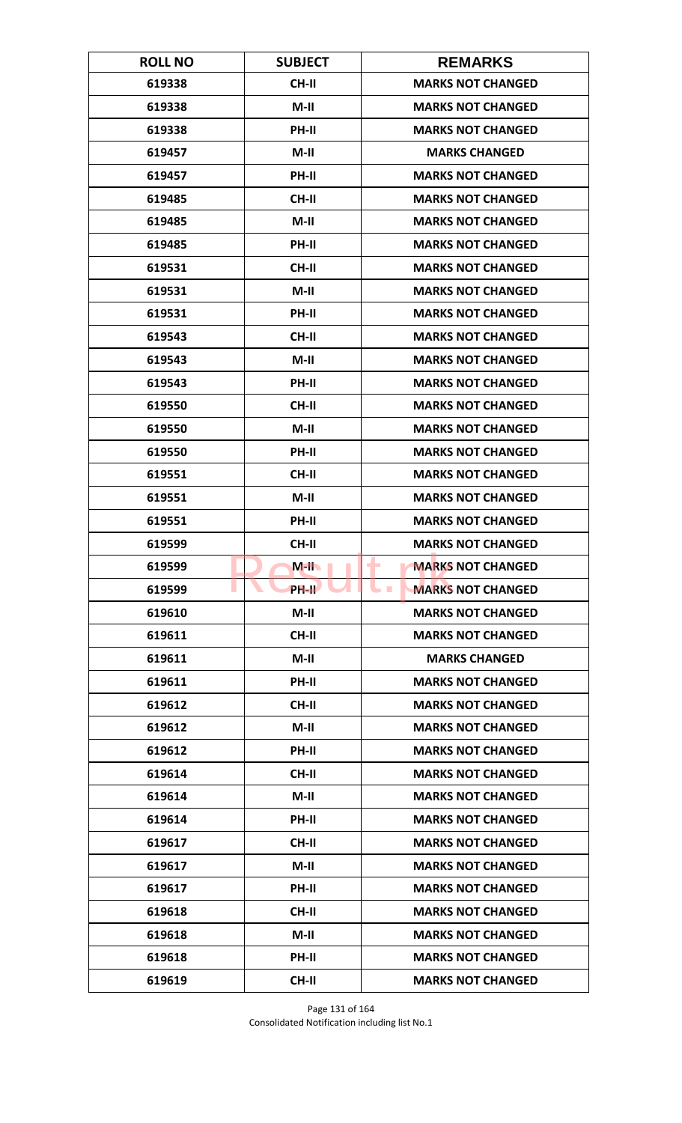| <b>ROLL NO</b> | <b>SUBJECT</b> | <b>REMARKS</b>                              |
|----------------|----------------|---------------------------------------------|
| 619338         | <b>CH-II</b>   | <b>MARKS NOT CHANGED</b>                    |
| 619338         | $M-II$         | <b>MARKS NOT CHANGED</b>                    |
| 619338         | PH-II          | <b>MARKS NOT CHANGED</b>                    |
| 619457         | $M-II$         | <b>MARKS CHANGED</b>                        |
| 619457         | <b>PH-II</b>   | <b>MARKS NOT CHANGED</b>                    |
| 619485         | CH-II          | <b>MARKS NOT CHANGED</b>                    |
| 619485         | $M-H$          | <b>MARKS NOT CHANGED</b>                    |
| 619485         | PH-II          | <b>MARKS NOT CHANGED</b>                    |
| 619531         | <b>CH-II</b>   | <b>MARKS NOT CHANGED</b>                    |
| 619531         | $M-II$         | <b>MARKS NOT CHANGED</b>                    |
| 619531         | PH-II          | <b>MARKS NOT CHANGED</b>                    |
| 619543         | <b>CH-II</b>   | <b>MARKS NOT CHANGED</b>                    |
| 619543         | $M-II$         | <b>MARKS NOT CHANGED</b>                    |
| 619543         | PH-II          | <b>MARKS NOT CHANGED</b>                    |
| 619550         | <b>CH-II</b>   | <b>MARKS NOT CHANGED</b>                    |
| 619550         | $M-H$          | <b>MARKS NOT CHANGED</b>                    |
| 619550         | PH-II          | <b>MARKS NOT CHANGED</b>                    |
| 619551         | <b>CH-II</b>   | <b>MARKS NOT CHANGED</b>                    |
| 619551         | $M-II$         | <b>MARKS NOT CHANGED</b>                    |
| 619551         | PH-II          | <b>MARKS NOT CHANGED</b>                    |
| 619599         | <b>CH-II</b>   | <b>MARKS NOT CHANGED</b>                    |
| 619599         | $M-H$          | <b>MARKS NOT CHANGED</b><br>۰               |
| 619599         | <b>PH-IL</b>   | <b>MARKS NOT CHANGED</b><br><b>Contract</b> |
| 619610         | $M-II$         | <b>MARKS NOT CHANGED</b>                    |
| 619611         | <b>CH-II</b>   | <b>MARKS NOT CHANGED</b>                    |
| 619611         | $M-II$         | <b>MARKS CHANGED</b>                        |
| 619611         | PH-II          | <b>MARKS NOT CHANGED</b>                    |
| 619612         | <b>CH-II</b>   | <b>MARKS NOT CHANGED</b>                    |
| 619612         | $M-H$          | <b>MARKS NOT CHANGED</b>                    |
| 619612         | <b>PH-II</b>   | <b>MARKS NOT CHANGED</b>                    |
| 619614         | <b>CH-II</b>   | <b>MARKS NOT CHANGED</b>                    |
| 619614         | $M-H$          | <b>MARKS NOT CHANGED</b>                    |
| 619614         | PH-II          | <b>MARKS NOT CHANGED</b>                    |
| 619617         | <b>CH-II</b>   | <b>MARKS NOT CHANGED</b>                    |
| 619617         | $M-II$         | <b>MARKS NOT CHANGED</b>                    |
| 619617         | PH-II          | <b>MARKS NOT CHANGED</b>                    |
| 619618         | CH-II          | <b>MARKS NOT CHANGED</b>                    |
| 619618         | $M-II$         | <b>MARKS NOT CHANGED</b>                    |
| 619618         | <b>PH-II</b>   | <b>MARKS NOT CHANGED</b>                    |
| 619619         | <b>CH-II</b>   | <b>MARKS NOT CHANGED</b>                    |

Page 131 of 164 Consolidated Notification including list No.1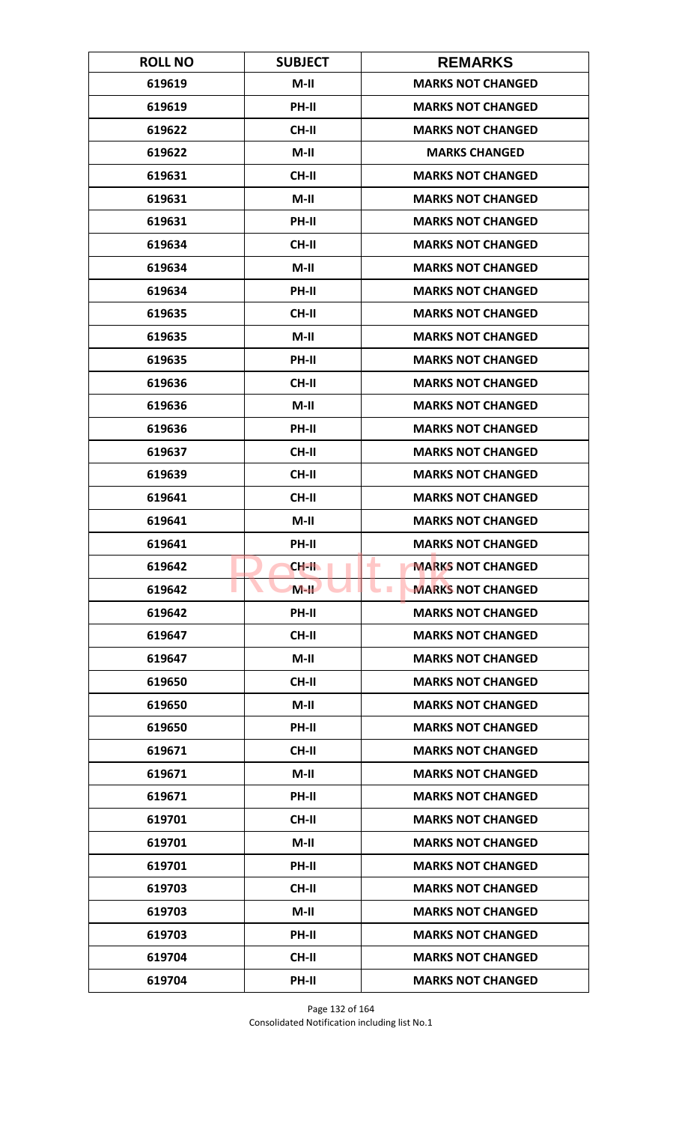| <b>ROLL NO</b> | <b>SUBJECT</b> | <b>REMARKS</b>                       |
|----------------|----------------|--------------------------------------|
| 619619         | $M-II$         | <b>MARKS NOT CHANGED</b>             |
| 619619         | PH-II          | <b>MARKS NOT CHANGED</b>             |
| 619622         | <b>CH-II</b>   | <b>MARKS NOT CHANGED</b>             |
| 619622         | $M-II$         | <b>MARKS CHANGED</b>                 |
| 619631         | <b>CH-II</b>   | <b>MARKS NOT CHANGED</b>             |
| 619631         | $M-II$         | <b>MARKS NOT CHANGED</b>             |
| 619631         | <b>PH-II</b>   | <b>MARKS NOT CHANGED</b>             |
| 619634         | <b>CH-II</b>   | <b>MARKS NOT CHANGED</b>             |
| 619634         | $M-II$         | <b>MARKS NOT CHANGED</b>             |
| 619634         | PH-II          | <b>MARKS NOT CHANGED</b>             |
| 619635         | <b>CH-II</b>   | <b>MARKS NOT CHANGED</b>             |
| 619635         | M-II           | <b>MARKS NOT CHANGED</b>             |
| 619635         | PH-II          | <b>MARKS NOT CHANGED</b>             |
| 619636         | <b>CH-II</b>   | <b>MARKS NOT CHANGED</b>             |
| 619636         | $M-II$         | <b>MARKS NOT CHANGED</b>             |
| 619636         | PH-II          | <b>MARKS NOT CHANGED</b>             |
| 619637         | <b>CH-II</b>   | <b>MARKS NOT CHANGED</b>             |
| 619639         | <b>CH-II</b>   | <b>MARKS NOT CHANGED</b>             |
| 619641         | <b>CH-II</b>   | <b>MARKS NOT CHANGED</b>             |
| 619641         | $M-II$         | <b>MARKS NOT CHANGED</b>             |
| 619641         | PH-II          | <b>MARKS NOT CHANGED</b>             |
| 619642         | CH-II          | <b>MARKS NOT CHANGED</b><br>٠        |
| 619642         | $M-H$          | <b>MARKS NOT CHANGED</b><br><b>I</b> |
| 619642         | <b>PH-II</b>   | <b>MARKS NOT CHANGED</b>             |
| 619647         | <b>CH-II</b>   | <b>MARKS NOT CHANGED</b>             |
| 619647         | $M-H$          | <b>MARKS NOT CHANGED</b>             |
| 619650         | CH-II          | <b>MARKS NOT CHANGED</b>             |
| 619650         | $M-II$         | <b>MARKS NOT CHANGED</b>             |
| 619650         | PH-II          | <b>MARKS NOT CHANGED</b>             |
| 619671         | <b>CH-II</b>   | <b>MARKS NOT CHANGED</b>             |
| 619671         | $M-II$         | <b>MARKS NOT CHANGED</b>             |
| 619671         | PH-II          | <b>MARKS NOT CHANGED</b>             |
| 619701         | <b>CH-II</b>   | <b>MARKS NOT CHANGED</b>             |
| 619701         | $M-H$          | <b>MARKS NOT CHANGED</b>             |
| 619701         | <b>PH-II</b>   | <b>MARKS NOT CHANGED</b>             |
| 619703         | <b>CH-II</b>   | <b>MARKS NOT CHANGED</b>             |
| 619703         | $M-II$         | <b>MARKS NOT CHANGED</b>             |
| 619703         | PH-II          | <b>MARKS NOT CHANGED</b>             |
| 619704         | CH-II          | <b>MARKS NOT CHANGED</b>             |
| 619704         | PH-II          | <b>MARKS NOT CHANGED</b>             |

Page 132 of 164 Consolidated Notification including list No.1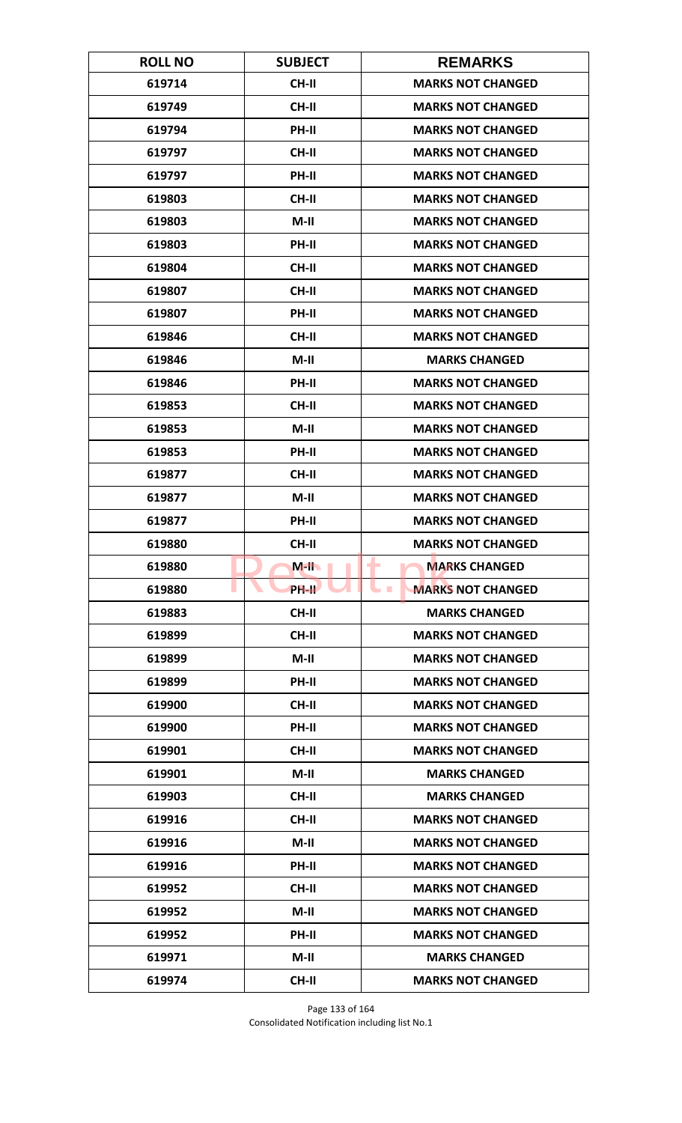| <b>ROLL NO</b> | <b>SUBJECT</b> | <b>REMARKS</b>                               |
|----------------|----------------|----------------------------------------------|
| 619714         | <b>CH-II</b>   | <b>MARKS NOT CHANGED</b>                     |
| 619749         | <b>CH-II</b>   | <b>MARKS NOT CHANGED</b>                     |
| 619794         | PH-II          | <b>MARKS NOT CHANGED</b>                     |
| 619797         | <b>CH-II</b>   | <b>MARKS NOT CHANGED</b>                     |
| 619797         | PH-II          | <b>MARKS NOT CHANGED</b>                     |
| 619803         | <b>CH-II</b>   | <b>MARKS NOT CHANGED</b>                     |
| 619803         | $M-II$         | <b>MARKS NOT CHANGED</b>                     |
| 619803         | PH-II          | <b>MARKS NOT CHANGED</b>                     |
| 619804         | <b>CH-II</b>   | <b>MARKS NOT CHANGED</b>                     |
| 619807         | CH-II          | <b>MARKS NOT CHANGED</b>                     |
| 619807         | PH-II          | <b>MARKS NOT CHANGED</b>                     |
| 619846         | <b>CH-II</b>   | <b>MARKS NOT CHANGED</b>                     |
| 619846         | $M-II$         | <b>MARKS CHANGED</b>                         |
| 619846         | PH-II          | <b>MARKS NOT CHANGED</b>                     |
| 619853         | <b>CH-II</b>   | <b>MARKS NOT CHANGED</b>                     |
| 619853         | $M-II$         | <b>MARKS NOT CHANGED</b>                     |
| 619853         | PH-II          | <b>MARKS NOT CHANGED</b>                     |
| 619877         | <b>CH-II</b>   | <b>MARKS NOT CHANGED</b>                     |
| 619877         | $M-II$         | <b>MARKS NOT CHANGED</b>                     |
| 619877         | PH-II          | <b>MARKS NOT CHANGED</b>                     |
| 619880         | CH-II          | <b>MARKS NOT CHANGED</b>                     |
| 619880         | $M$ -II        | <b>MARKS CHANGED</b><br>٠                    |
| 619880         | <b>PH-II</b>   | <b>MARKS NOT CHANGED</b><br><b>The State</b> |
| 619883         | CH-II          | <b>MARKS CHANGED</b>                         |
| 619899         | CH-II          | <b>MARKS NOT CHANGED</b>                     |
| 619899         | $M-H$          | <b>MARKS NOT CHANGED</b>                     |
| 619899         | PH-II          | <b>MARKS NOT CHANGED</b>                     |
| 619900         | CH-II          | <b>MARKS NOT CHANGED</b>                     |
| 619900         | PH-II          | <b>MARKS NOT CHANGED</b>                     |
| 619901         | <b>CH-II</b>   | <b>MARKS NOT CHANGED</b>                     |
| 619901         | $M-II$         | <b>MARKS CHANGED</b>                         |
| 619903         | CH-II          | <b>MARKS CHANGED</b>                         |
| 619916         | CH-II          | <b>MARKS NOT CHANGED</b>                     |
| 619916         | $M-II$         | <b>MARKS NOT CHANGED</b>                     |
| 619916         | <b>PH-II</b>   | <b>MARKS NOT CHANGED</b>                     |
| 619952         | CH-II          | <b>MARKS NOT CHANGED</b>                     |
| 619952         | $M-II$         | <b>MARKS NOT CHANGED</b>                     |
| 619952         | PH-II          | <b>MARKS NOT CHANGED</b>                     |
| 619971         | $M-II$         | <b>MARKS CHANGED</b>                         |
| 619974         | <b>CH-II</b>   | <b>MARKS NOT CHANGED</b>                     |

Page 133 of 164 Consolidated Notification including list No.1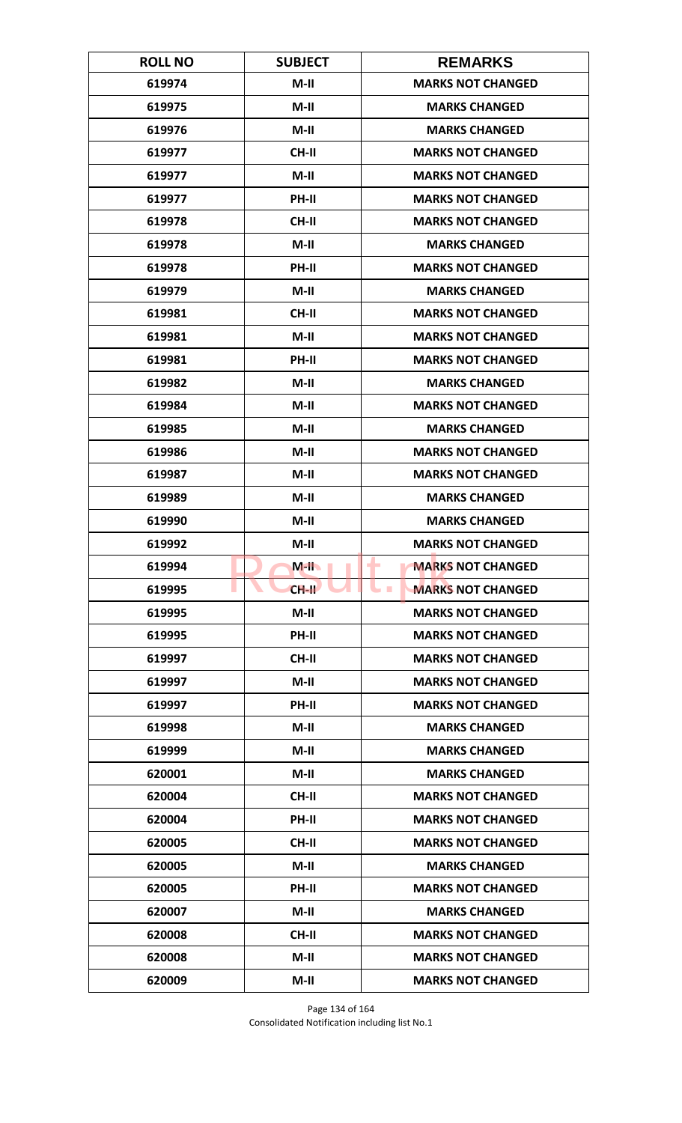| <b>ROLL NO</b> | <b>SUBJECT</b> | <b>REMARKS</b>                              |
|----------------|----------------|---------------------------------------------|
| 619974         | $M-II$         | <b>MARKS NOT CHANGED</b>                    |
| 619975         | $M-II$         | <b>MARKS CHANGED</b>                        |
| 619976         | $M-II$         | <b>MARKS CHANGED</b>                        |
| 619977         | <b>CH-II</b>   | <b>MARKS NOT CHANGED</b>                    |
| 619977         | $M-II$         | <b>MARKS NOT CHANGED</b>                    |
| 619977         | PH-II          | <b>MARKS NOT CHANGED</b>                    |
| 619978         | CH-II          | <b>MARKS NOT CHANGED</b>                    |
| 619978         | $M-II$         | <b>MARKS CHANGED</b>                        |
| 619978         | PH-II          | <b>MARKS NOT CHANGED</b>                    |
| 619979         | $M-II$         | <b>MARKS CHANGED</b>                        |
| 619981         | CH-II          | <b>MARKS NOT CHANGED</b>                    |
| 619981         | $M-II$         | <b>MARKS NOT CHANGED</b>                    |
| 619981         | PH-II          | <b>MARKS NOT CHANGED</b>                    |
| 619982         | $M-II$         | <b>MARKS CHANGED</b>                        |
| 619984         | $M-II$         | <b>MARKS NOT CHANGED</b>                    |
| 619985         | $M-II$         | <b>MARKS CHANGED</b>                        |
| 619986         | $M-II$         | <b>MARKS NOT CHANGED</b>                    |
| 619987         | $M-II$         | <b>MARKS NOT CHANGED</b>                    |
| 619989         | $M-II$         | <b>MARKS CHANGED</b>                        |
| 619990         | $M-II$         | <b>MARKS CHANGED</b>                        |
| 619992         | $M-II$         | <b>MARKS NOT CHANGED</b>                    |
| 619994         | $M-H$          | <b>MARKS NOT CHANGED</b><br>-               |
| 619995         | $CH-H$         | <b>MARKS NOT CHANGED</b><br><b>Contract</b> |
| 619995         | $M-II$         | <b>MARKS NOT CHANGED</b>                    |
| 619995         | PH-II          | <b>MARKS NOT CHANGED</b>                    |
| 619997         | CH-II          | <b>MARKS NOT CHANGED</b>                    |
| 619997         | $M-II$         | <b>MARKS NOT CHANGED</b>                    |
| 619997         | PH-II          | <b>MARKS NOT CHANGED</b>                    |
| 619998         | $M-H$          | <b>MARKS CHANGED</b>                        |
| 619999         | $M-II$         | <b>MARKS CHANGED</b>                        |
| 620001         | $M-II$         | <b>MARKS CHANGED</b>                        |
| 620004         | CH-II          | <b>MARKS NOT CHANGED</b>                    |
| 620004         | PH-II          | <b>MARKS NOT CHANGED</b>                    |
| 620005         | CH-II          | <b>MARKS NOT CHANGED</b>                    |
| 620005         | $M-II$         | <b>MARKS CHANGED</b>                        |
| 620005         | PH-II          | <b>MARKS NOT CHANGED</b>                    |
| 620007         | $M-II$         | <b>MARKS CHANGED</b>                        |
| 620008         | <b>CH-II</b>   | <b>MARKS NOT CHANGED</b>                    |
| 620008         | $M-II$         | <b>MARKS NOT CHANGED</b>                    |
| 620009         | $M-II$         | <b>MARKS NOT CHANGED</b>                    |

Page 134 of 164 Consolidated Notification including list No.1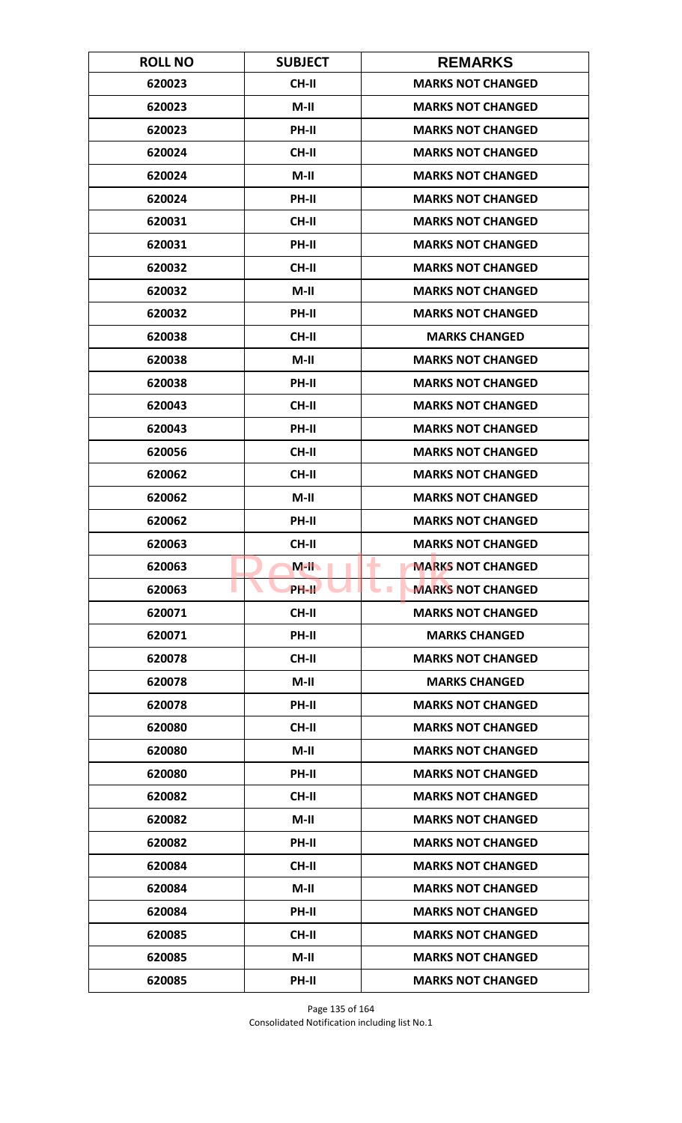| <b>ROLL NO</b> | <b>SUBJECT</b> | <b>REMARKS</b>                              |
|----------------|----------------|---------------------------------------------|
| 620023         | <b>CH-II</b>   | <b>MARKS NOT CHANGED</b>                    |
| 620023         | $M-II$         | <b>MARKS NOT CHANGED</b>                    |
| 620023         | PH-II          | <b>MARKS NOT CHANGED</b>                    |
| 620024         | <b>CH-II</b>   | <b>MARKS NOT CHANGED</b>                    |
| 620024         | $M-II$         | <b>MARKS NOT CHANGED</b>                    |
| 620024         | PH-II          | <b>MARKS NOT CHANGED</b>                    |
| 620031         | CH-II          | <b>MARKS NOT CHANGED</b>                    |
| 620031         | PH-II          | <b>MARKS NOT CHANGED</b>                    |
| 620032         | <b>CH-II</b>   | <b>MARKS NOT CHANGED</b>                    |
| 620032         | $M-II$         | <b>MARKS NOT CHANGED</b>                    |
| 620032         | PH-II          | <b>MARKS NOT CHANGED</b>                    |
| 620038         | <b>CH-II</b>   | <b>MARKS CHANGED</b>                        |
| 620038         | $M-II$         | <b>MARKS NOT CHANGED</b>                    |
| 620038         | PH-II          | <b>MARKS NOT CHANGED</b>                    |
| 620043         | <b>CH-II</b>   | <b>MARKS NOT CHANGED</b>                    |
| 620043         | PH-II          | <b>MARKS NOT CHANGED</b>                    |
| 620056         | CH-II          | <b>MARKS NOT CHANGED</b>                    |
| 620062         | CH-II          | <b>MARKS NOT CHANGED</b>                    |
| 620062         | $M-II$         | <b>MARKS NOT CHANGED</b>                    |
| 620062         | PH-II          | <b>MARKS NOT CHANGED</b>                    |
| 620063         | CH-II          | <b>MARKS NOT CHANGED</b>                    |
| 620063         | $M-H$          | <b>MARKS NOT CHANGED</b><br>٠               |
| 620063         | <b>PH-IL</b>   | <b>MARKS NOT CHANGED</b><br><b>Contract</b> |
| 620071         | CH-II          | <b>MARKS NOT CHANGED</b>                    |
| 620071         | PH-II          | <b>MARKS CHANGED</b>                        |
| 620078         | CH-II          | <b>MARKS NOT CHANGED</b>                    |
| 620078         | $M-II$         | <b>MARKS CHANGED</b>                        |
| 620078         | PH-II          | <b>MARKS NOT CHANGED</b>                    |
| 620080         | <b>CH-II</b>   | <b>MARKS NOT CHANGED</b>                    |
| 620080         | $M-II$         | <b>MARKS NOT CHANGED</b>                    |
| 620080         | <b>PH-II</b>   | <b>MARKS NOT CHANGED</b>                    |
| 620082         | CH-II          | <b>MARKS NOT CHANGED</b>                    |
| 620082         | $M-II$         | <b>MARKS NOT CHANGED</b>                    |
| 620082         | <b>PH-II</b>   | <b>MARKS NOT CHANGED</b>                    |
| 620084         | CH-II          | <b>MARKS NOT CHANGED</b>                    |
| 620084         | $M-II$         | <b>MARKS NOT CHANGED</b>                    |
| 620084         | PH-II          | <b>MARKS NOT CHANGED</b>                    |
| 620085         | <b>CH-II</b>   | <b>MARKS NOT CHANGED</b>                    |
| 620085         | $M-H$          | <b>MARKS NOT CHANGED</b>                    |
| 620085         | PH-II          | <b>MARKS NOT CHANGED</b>                    |

Page 135 of 164 Consolidated Notification including list No.1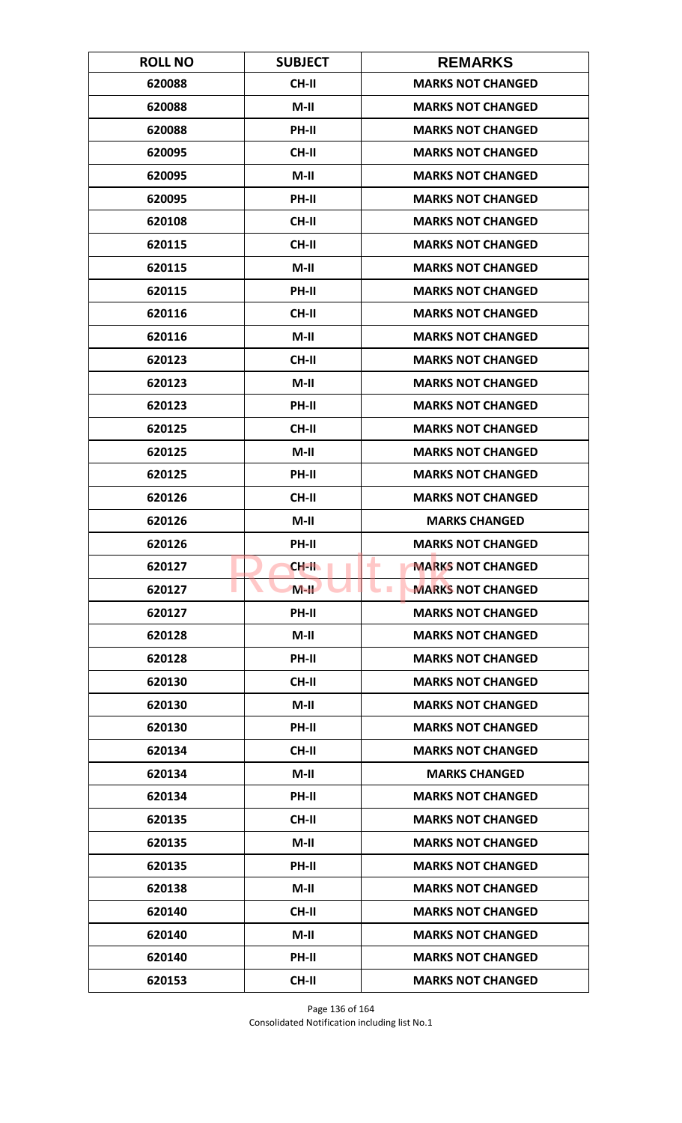| <b>ROLL NO</b> | <b>SUBJECT</b> | <b>REMARKS</b>                              |
|----------------|----------------|---------------------------------------------|
| 620088         | <b>CH-II</b>   | <b>MARKS NOT CHANGED</b>                    |
| 620088         | $M-II$         | <b>MARKS NOT CHANGED</b>                    |
| 620088         | PH-II          | <b>MARKS NOT CHANGED</b>                    |
| 620095         | <b>CH-II</b>   | <b>MARKS NOT CHANGED</b>                    |
| 620095         | $M-II$         | <b>MARKS NOT CHANGED</b>                    |
| 620095         | PH-II          | <b>MARKS NOT CHANGED</b>                    |
| 620108         | CH-II          | <b>MARKS NOT CHANGED</b>                    |
| 620115         | <b>CH-II</b>   | <b>MARKS NOT CHANGED</b>                    |
| 620115         | $M-II$         | <b>MARKS NOT CHANGED</b>                    |
| 620115         | PH-II          | <b>MARKS NOT CHANGED</b>                    |
| 620116         | CH-II          | <b>MARKS NOT CHANGED</b>                    |
| 620116         | $M-II$         | <b>MARKS NOT CHANGED</b>                    |
| 620123         | <b>CH-II</b>   | <b>MARKS NOT CHANGED</b>                    |
| 620123         | $M-II$         | <b>MARKS NOT CHANGED</b>                    |
| 620123         | <b>PH-II</b>   | <b>MARKS NOT CHANGED</b>                    |
| 620125         | CH-II          | <b>MARKS NOT CHANGED</b>                    |
| 620125         | $M-II$         | <b>MARKS NOT CHANGED</b>                    |
| 620125         | PH-II          | <b>MARKS NOT CHANGED</b>                    |
| 620126         | CH-II          | <b>MARKS NOT CHANGED</b>                    |
| 620126         | $M-II$         | <b>MARKS CHANGED</b>                        |
| 620126         | PH-II          | <b>MARKS NOT CHANGED</b>                    |
| 620127         | CH-II          | <b>MARKS NOT CHANGED</b>                    |
| 620127         | $M-H$          | <b>MARKS NOT CHANGED</b><br><b>Contract</b> |
| 620127         | PH-II          | <b>MARKS NOT CHANGED</b>                    |
| 620128         | $M-II$         | <b>MARKS NOT CHANGED</b>                    |
| 620128         | PH-II          | <b>MARKS NOT CHANGED</b>                    |
| 620130         | <b>CH-II</b>   | <b>MARKS NOT CHANGED</b>                    |
| 620130         | $M-II$         | <b>MARKS NOT CHANGED</b>                    |
| 620130         | PH-II          | <b>MARKS NOT CHANGED</b>                    |
| 620134         | <b>CH-II</b>   | <b>MARKS NOT CHANGED</b>                    |
| 620134         | $M-II$         | <b>MARKS CHANGED</b>                        |
| 620134         | PH-II          | <b>MARKS NOT CHANGED</b>                    |
| 620135         | CH-II          | <b>MARKS NOT CHANGED</b>                    |
| 620135         | $M-II$         | <b>MARKS NOT CHANGED</b>                    |
| 620135         | PH-II          | <b>MARKS NOT CHANGED</b>                    |
| 620138         | $M-II$         | <b>MARKS NOT CHANGED</b>                    |
| 620140         | CH-II          | <b>MARKS NOT CHANGED</b>                    |
| 620140         | $M-II$         | <b>MARKS NOT CHANGED</b>                    |
| 620140         | <b>PH-II</b>   | <b>MARKS NOT CHANGED</b>                    |
| 620153         | CH-II          | <b>MARKS NOT CHANGED</b>                    |

Page 136 of 164 Consolidated Notification including list No.1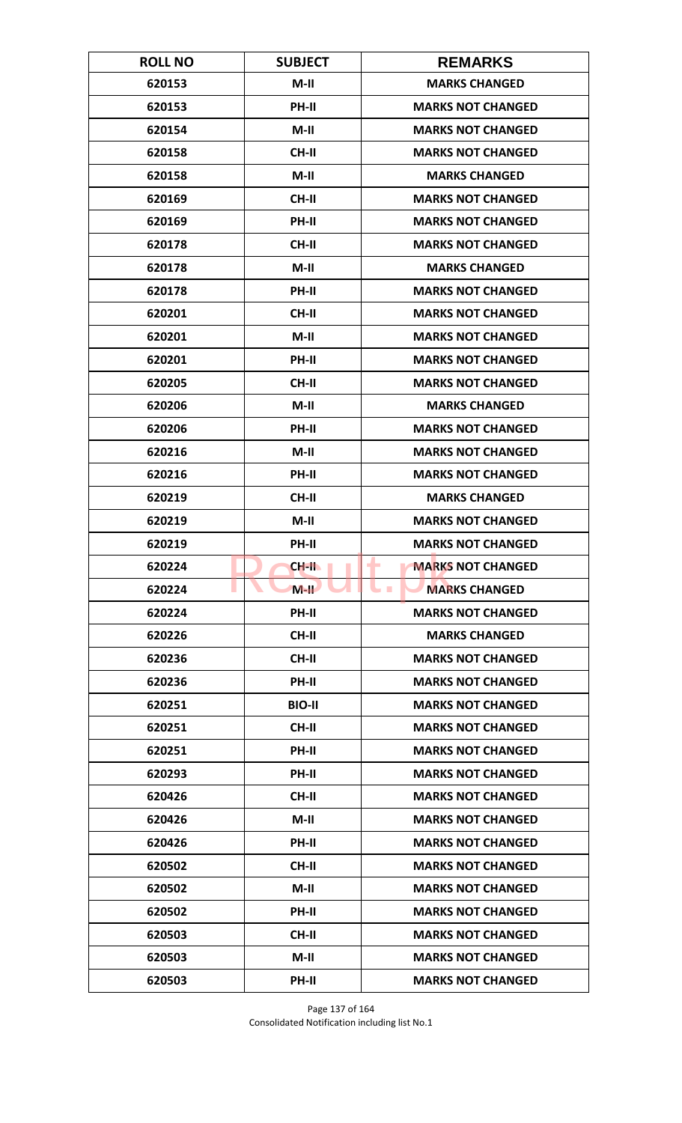| <b>ROLL NO</b> | <b>SUBJECT</b> | <b>REMARKS</b>                |
|----------------|----------------|-------------------------------|
| 620153         | $M-II$         | <b>MARKS CHANGED</b>          |
| 620153         | PH-II          | <b>MARKS NOT CHANGED</b>      |
| 620154         | $M-II$         | <b>MARKS NOT CHANGED</b>      |
| 620158         | <b>CH-II</b>   | <b>MARKS NOT CHANGED</b>      |
| 620158         | $M-II$         | <b>MARKS CHANGED</b>          |
| 620169         | <b>CH-II</b>   | <b>MARKS NOT CHANGED</b>      |
| 620169         | <b>PH-II</b>   | <b>MARKS NOT CHANGED</b>      |
| 620178         | <b>CH-II</b>   | <b>MARKS NOT CHANGED</b>      |
| 620178         | $M-II$         | <b>MARKS CHANGED</b>          |
| 620178         | PH-II          | <b>MARKS NOT CHANGED</b>      |
| 620201         | <b>CH-II</b>   | <b>MARKS NOT CHANGED</b>      |
| 620201         | M-II           | <b>MARKS NOT CHANGED</b>      |
| 620201         | PH-II          | <b>MARKS NOT CHANGED</b>      |
| 620205         | CH-II          | <b>MARKS NOT CHANGED</b>      |
| 620206         | $M-II$         | <b>MARKS CHANGED</b>          |
| 620206         | PH-II          | <b>MARKS NOT CHANGED</b>      |
| 620216         | $M-II$         | <b>MARKS NOT CHANGED</b>      |
| 620216         | PH-II          | <b>MARKS NOT CHANGED</b>      |
| 620219         | CH-II          | <b>MARKS CHANGED</b>          |
| 620219         | $M-II$         | <b>MARKS NOT CHANGED</b>      |
| 620219         | PH-II          | <b>MARKS NOT CHANGED</b>      |
| 620224         | CH-II          | <b>MARKS NOT CHANGED</b><br>٠ |
| 620224         | $M-H$          | <b>MARKS CHANGED</b>          |
| 620224         | <b>PH-II</b>   | <b>MARKS NOT CHANGED</b>      |
| 620226         | CH-II          | <b>MARKS CHANGED</b>          |
| 620236         | CH-II          | <b>MARKS NOT CHANGED</b>      |
| 620236         | PH-II          | <b>MARKS NOT CHANGED</b>      |
| 620251         | <b>BIO-II</b>  | <b>MARKS NOT CHANGED</b>      |
| 620251         | CH-II          | <b>MARKS NOT CHANGED</b>      |
| 620251         | <b>PH-II</b>   | <b>MARKS NOT CHANGED</b>      |
| 620293         | <b>PH-II</b>   | <b>MARKS NOT CHANGED</b>      |
| 620426         | CH-II          | <b>MARKS NOT CHANGED</b>      |
| 620426         | $M-II$         | <b>MARKS NOT CHANGED</b>      |
| 620426         | PH-II          | <b>MARKS NOT CHANGED</b>      |
| 620502         | CH-II          | <b>MARKS NOT CHANGED</b>      |
| 620502         | $M-II$         | <b>MARKS NOT CHANGED</b>      |
| 620502         | PH-II          | <b>MARKS NOT CHANGED</b>      |
| 620503         | <b>CH-II</b>   | <b>MARKS NOT CHANGED</b>      |
| 620503         | $M-H$          | <b>MARKS NOT CHANGED</b>      |
| 620503         | PH-II          | <b>MARKS NOT CHANGED</b>      |

Page 137 of 164 Consolidated Notification including list No.1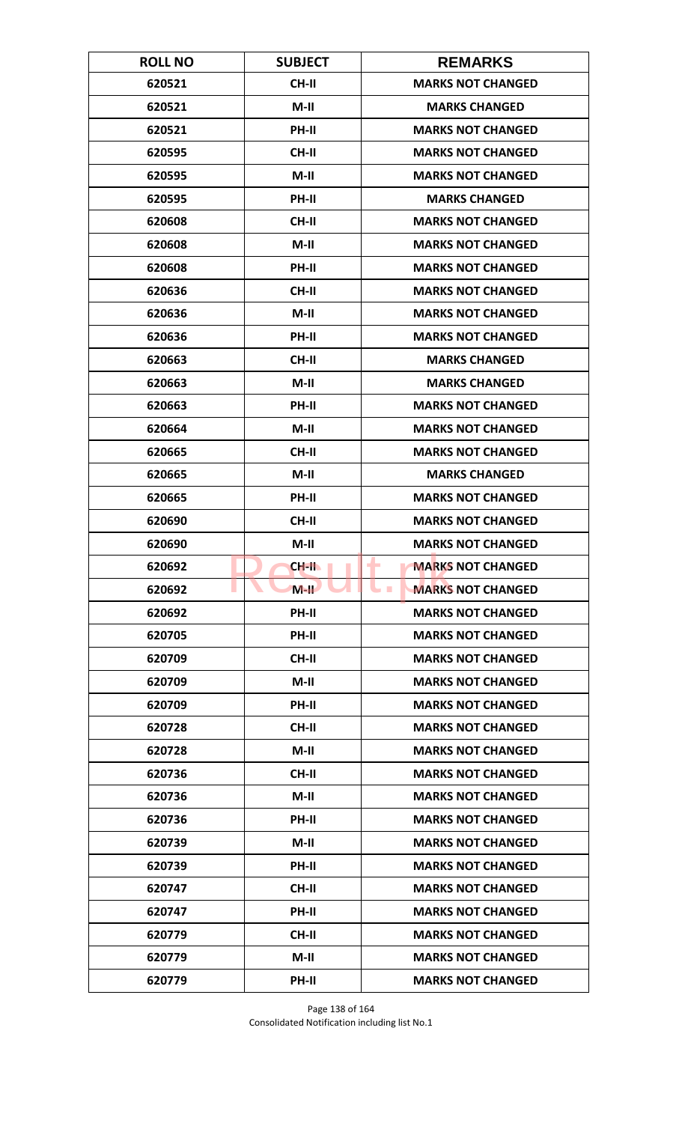| <b>ROLL NO</b> | <b>SUBJECT</b> | <b>REMARKS</b>                       |
|----------------|----------------|--------------------------------------|
| 620521         | <b>CH-II</b>   | <b>MARKS NOT CHANGED</b>             |
| 620521         | $M-II$         | <b>MARKS CHANGED</b>                 |
| 620521         | PH-II          | <b>MARKS NOT CHANGED</b>             |
| 620595         | <b>CH-II</b>   | <b>MARKS NOT CHANGED</b>             |
| 620595         | $M-II$         | <b>MARKS NOT CHANGED</b>             |
| 620595         | PH-II          | <b>MARKS CHANGED</b>                 |
| 620608         | CH-II          | <b>MARKS NOT CHANGED</b>             |
| 620608         | M-II           | <b>MARKS NOT CHANGED</b>             |
| 620608         | PH-II          | <b>MARKS NOT CHANGED</b>             |
| 620636         | CH-II          | <b>MARKS NOT CHANGED</b>             |
| 620636         | $M-II$         | <b>MARKS NOT CHANGED</b>             |
| 620636         | <b>PH-II</b>   | <b>MARKS NOT CHANGED</b>             |
| 620663         | CH-II          | <b>MARKS CHANGED</b>                 |
| 620663         | $M-II$         | <b>MARKS CHANGED</b>                 |
| 620663         | <b>PH-II</b>   | <b>MARKS NOT CHANGED</b>             |
| 620664         | $M-II$         | <b>MARKS NOT CHANGED</b>             |
| 620665         | CH-II          | <b>MARKS NOT CHANGED</b>             |
| 620665         | $M-H$          | <b>MARKS CHANGED</b>                 |
| 620665         | <b>PH-II</b>   | <b>MARKS NOT CHANGED</b>             |
| 620690         | <b>CH-II</b>   | <b>MARKS NOT CHANGED</b>             |
| 620690         | $M-II$         | <b>MARKS NOT CHANGED</b>             |
| 620692         | $CH-H$         | <b>MARKS NOT CHANGED</b><br>٠        |
| 620692         | $M-H$          | <b>MARKS NOT CHANGED</b><br><b>I</b> |
| 620692         | <b>PH-II</b>   | <b>MARKS NOT CHANGED</b>             |
| 620705         | PH-II          | <b>MARKS NOT CHANGED</b>             |
| 620709         | CH-II          | <b>MARKS NOT CHANGED</b>             |
| 620709         | $M-II$         | <b>MARKS NOT CHANGED</b>             |
| 620709         | PH-II          | <b>MARKS NOT CHANGED</b>             |
| 620728         | <b>CH-II</b>   | <b>MARKS NOT CHANGED</b>             |
| 620728         | $M-II$         | <b>MARKS NOT CHANGED</b>             |
| 620736         | CH-II          | <b>MARKS NOT CHANGED</b>             |
| 620736         | $M-II$         | <b>MARKS NOT CHANGED</b>             |
| 620736         | PH-II          | <b>MARKS NOT CHANGED</b>             |
| 620739         | $M-II$         | <b>MARKS NOT CHANGED</b>             |
| 620739         | PH-II          | <b>MARKS NOT CHANGED</b>             |
| 620747         | CH-II          | <b>MARKS NOT CHANGED</b>             |
| 620747         | PH-II          | <b>MARKS NOT CHANGED</b>             |
| 620779         | <b>CH-II</b>   | <b>MARKS NOT CHANGED</b>             |
| 620779         | $M-H$          | <b>MARKS NOT CHANGED</b>             |
| 620779         | PH-II          | <b>MARKS NOT CHANGED</b>             |

Page 138 of 164 Consolidated Notification including list No.1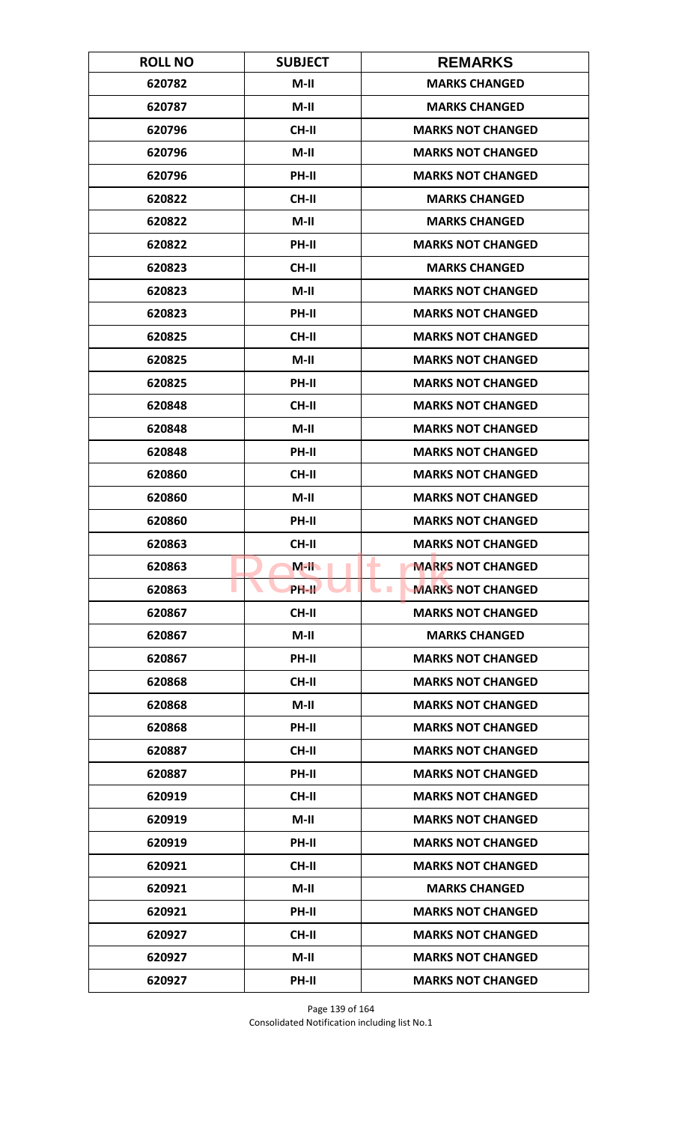| <b>ROLL NO</b> | <b>SUBJECT</b> | <b>REMARKS</b>                       |
|----------------|----------------|--------------------------------------|
| 620782         | $M-II$         | <b>MARKS CHANGED</b>                 |
| 620787         | $M-II$         | <b>MARKS CHANGED</b>                 |
| 620796         | CH-II          | <b>MARKS NOT CHANGED</b>             |
| 620796         | $M-II$         | <b>MARKS NOT CHANGED</b>             |
| 620796         | <b>PH-II</b>   | <b>MARKS NOT CHANGED</b>             |
| 620822         | CH-II          | <b>MARKS CHANGED</b>                 |
| 620822         | $M-II$         | <b>MARKS CHANGED</b>                 |
| 620822         | PH-II          | <b>MARKS NOT CHANGED</b>             |
| 620823         | CH-II          | <b>MARKS CHANGED</b>                 |
| 620823         | $M-II$         | <b>MARKS NOT CHANGED</b>             |
| 620823         | PH-II          | <b>MARKS NOT CHANGED</b>             |
| 620825         | <b>CH-II</b>   | <b>MARKS NOT CHANGED</b>             |
| 620825         | $M-II$         | <b>MARKS NOT CHANGED</b>             |
| 620825         | PH-II          | <b>MARKS NOT CHANGED</b>             |
| 620848         | <b>CH-II</b>   | <b>MARKS NOT CHANGED</b>             |
| 620848         | $M-II$         | <b>MARKS NOT CHANGED</b>             |
| 620848         | PH-II          | <b>MARKS NOT CHANGED</b>             |
| 620860         | CH-II          | <b>MARKS NOT CHANGED</b>             |
| 620860         | $M-II$         | <b>MARKS NOT CHANGED</b>             |
| 620860         | PH-II          | <b>MARKS NOT CHANGED</b>             |
| 620863         | CH-II          | <b>MARKS NOT CHANGED</b>             |
| 620863         | $M-H$          | <b>MARKS NOT CHANGED</b><br>٠        |
| 620863         | <b>PH-IL</b>   | <b>MARKS NOT CHANGED</b><br><b>I</b> |
| 620867         | CH-II          | <b>MARKS NOT CHANGED</b>             |
| 620867         | $M-II$         | <b>MARKS CHANGED</b>                 |
| 620867         | PH-II          | <b>MARKS NOT CHANGED</b>             |
| 620868         | CH-II          | <b>MARKS NOT CHANGED</b>             |
| 620868         | $M-II$         | <b>MARKS NOT CHANGED</b>             |
| 620868         | PH-II          | <b>MARKS NOT CHANGED</b>             |
| 620887         | <b>CH-II</b>   | <b>MARKS NOT CHANGED</b>             |
| 620887         | <b>PH-II</b>   | <b>MARKS NOT CHANGED</b>             |
| 620919         | CH-II          | <b>MARKS NOT CHANGED</b>             |
| 620919         | $M-II$         | <b>MARKS NOT CHANGED</b>             |
| 620919         | <b>PH-II</b>   | <b>MARKS NOT CHANGED</b>             |
| 620921         | CH-II          | <b>MARKS NOT CHANGED</b>             |
| 620921         | $M-II$         | <b>MARKS CHANGED</b>                 |
| 620921         | PH-II          | <b>MARKS NOT CHANGED</b>             |
| 620927         | <b>CH-II</b>   | <b>MARKS NOT CHANGED</b>             |
| 620927         | $M-H$          | <b>MARKS NOT CHANGED</b>             |
| 620927         | PH-II          | <b>MARKS NOT CHANGED</b>             |

Page 139 of 164 Consolidated Notification including list No.1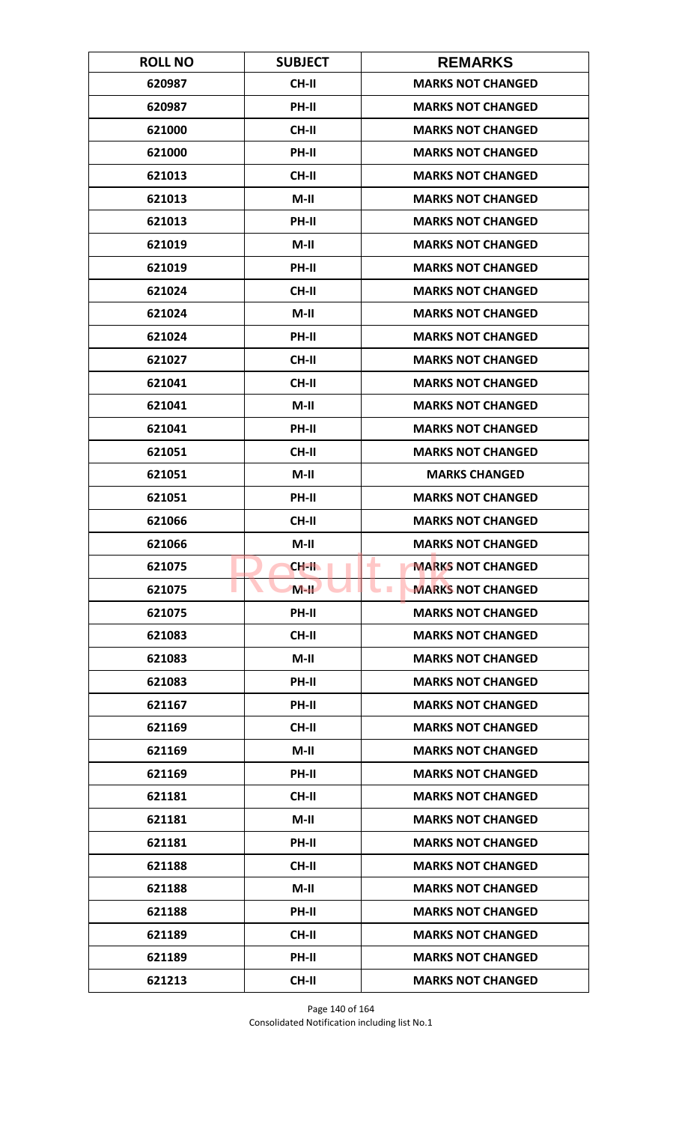| <b>ROLL NO</b> | <b>SUBJECT</b> | <b>REMARKS</b>                         |
|----------------|----------------|----------------------------------------|
| 620987         | CH-II          | <b>MARKS NOT CHANGED</b>               |
| 620987         | PH-II          | <b>MARKS NOT CHANGED</b>               |
| 621000         | <b>CH-II</b>   | <b>MARKS NOT CHANGED</b>               |
| 621000         | PH-II          | <b>MARKS NOT CHANGED</b>               |
| 621013         | CH-II          | <b>MARKS NOT CHANGED</b>               |
| 621013         | $M-II$         | <b>MARKS NOT CHANGED</b>               |
| 621013         | PH-II          | <b>MARKS NOT CHANGED</b>               |
| 621019         | $M-II$         | <b>MARKS NOT CHANGED</b>               |
| 621019         | PH-II          | <b>MARKS NOT CHANGED</b>               |
| 621024         | CH-II          | <b>MARKS NOT CHANGED</b>               |
| 621024         | $M-II$         | <b>MARKS NOT CHANGED</b>               |
| 621024         | <b>PH-II</b>   | <b>MARKS NOT CHANGED</b>               |
| 621027         | CH-II          | <b>MARKS NOT CHANGED</b>               |
| 621041         | <b>CH-II</b>   | <b>MARKS NOT CHANGED</b>               |
| 621041         | $M-II$         | <b>MARKS NOT CHANGED</b>               |
| 621041         | PH-II          | <b>MARKS NOT CHANGED</b>               |
| 621051         | CH-II          | <b>MARKS NOT CHANGED</b>               |
| 621051         | $M-II$         | <b>MARKS CHANGED</b>                   |
| 621051         | PH-II          | <b>MARKS NOT CHANGED</b>               |
| 621066         | <b>CH-II</b>   | <b>MARKS NOT CHANGED</b>               |
| 621066         | $M-II$         | <b>MARKS NOT CHANGED</b>               |
| 621075         | CH-II          | ۰<br><b>MARKS NOT CHANGED</b>          |
| 621075         | $M-H$          | <b>MARKS NOT CHANGED</b><br><b>COL</b> |
| 621075         | PH-II          | <b>MARKS NOT CHANGED</b>               |
| 621083         | <b>CH-II</b>   | <b>MARKS NOT CHANGED</b>               |
| 621083         | $M-II$         | <b>MARKS NOT CHANGED</b>               |
| 621083         | PH-II          | <b>MARKS NOT CHANGED</b>               |
| 621167         | PH-II          | <b>MARKS NOT CHANGED</b>               |
| 621169         | <b>CH-II</b>   | <b>MARKS NOT CHANGED</b>               |
| 621169         | $M-II$         | <b>MARKS NOT CHANGED</b>               |
| 621169         | PH-II          | <b>MARKS NOT CHANGED</b>               |
| 621181         | CH-II          | <b>MARKS NOT CHANGED</b>               |
| 621181         | $M-II$         | <b>MARKS NOT CHANGED</b>               |
| 621181         | PH-II          | <b>MARKS NOT CHANGED</b>               |
| 621188         | CH-II          | <b>MARKS NOT CHANGED</b>               |
| 621188         | $M-II$         | <b>MARKS NOT CHANGED</b>               |
| 621188         | PH-II          | <b>MARKS NOT CHANGED</b>               |
| 621189         | <b>CH-II</b>   | <b>MARKS NOT CHANGED</b>               |
| 621189         | <b>PH-II</b>   | <b>MARKS NOT CHANGED</b>               |
| 621213         | CH-II          | <b>MARKS NOT CHANGED</b>               |

Page 140 of 164 Consolidated Notification including list No.1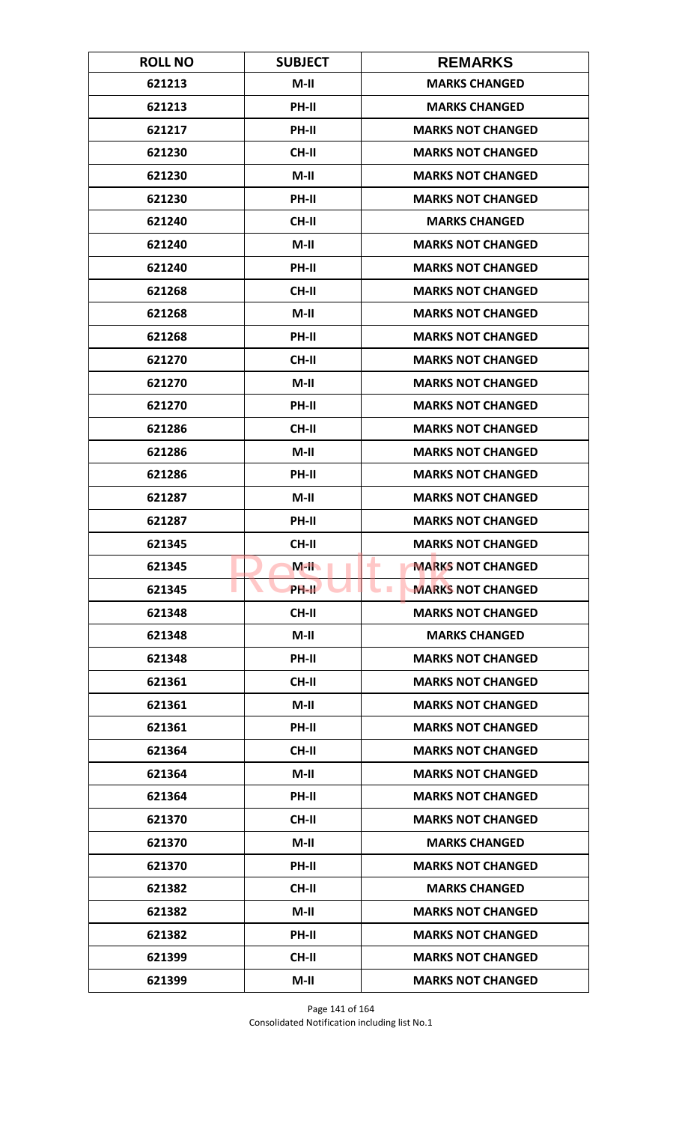| <b>ROLL NO</b> | <b>SUBJECT</b> | <b>REMARKS</b>                       |
|----------------|----------------|--------------------------------------|
| 621213         | $M-II$         | <b>MARKS CHANGED</b>                 |
| 621213         | PH-II          | <b>MARKS CHANGED</b>                 |
| 621217         | PH-II          | <b>MARKS NOT CHANGED</b>             |
| 621230         | CH-II          | <b>MARKS NOT CHANGED</b>             |
| 621230         | $M-II$         | <b>MARKS NOT CHANGED</b>             |
| 621230         | PH-II          | <b>MARKS NOT CHANGED</b>             |
| 621240         | <b>CH-II</b>   | <b>MARKS CHANGED</b>                 |
| 621240         | M-II           | <b>MARKS NOT CHANGED</b>             |
| 621240         | PH-II          | <b>MARKS NOT CHANGED</b>             |
| 621268         | CH-II          | <b>MARKS NOT CHANGED</b>             |
| 621268         | $M-II$         | <b>MARKS NOT CHANGED</b>             |
| 621268         | <b>PH-II</b>   | <b>MARKS NOT CHANGED</b>             |
| 621270         | CH-II          | <b>MARKS NOT CHANGED</b>             |
| 621270         | $M-II$         | <b>MARKS NOT CHANGED</b>             |
| 621270         | PH-II          | <b>MARKS NOT CHANGED</b>             |
| 621286         | <b>CH-II</b>   | <b>MARKS NOT CHANGED</b>             |
| 621286         | $M-II$         | <b>MARKS NOT CHANGED</b>             |
| 621286         | <b>PH-II</b>   | <b>MARKS NOT CHANGED</b>             |
| 621287         | M-II           | <b>MARKS NOT CHANGED</b>             |
| 621287         | PH-II          | <b>MARKS NOT CHANGED</b>             |
| 621345         | <b>CH-II</b>   | <b>MARKS NOT CHANGED</b>             |
| 621345         | $M-H$          | <b>MARKS NOT CHANGED</b><br>٠        |
| 621345         | <b>PH-II</b>   | <b>MARKS NOT CHANGED</b><br><b>I</b> |
| 621348         | <b>CH-II</b>   | <b>MARKS NOT CHANGED</b>             |
| 621348         | $M-II$         | <b>MARKS CHANGED</b>                 |
| 621348         | PH-II          | <b>MARKS NOT CHANGED</b>             |
| 621361         | <b>CH-II</b>   | <b>MARKS NOT CHANGED</b>             |
| 621361         | $M-II$         | <b>MARKS NOT CHANGED</b>             |
| 621361         | PH-II          | <b>MARKS NOT CHANGED</b>             |
| 621364         | <b>CH-II</b>   | <b>MARKS NOT CHANGED</b>             |
| 621364         | $M-II$         | <b>MARKS NOT CHANGED</b>             |
| 621364         | PH-II          | <b>MARKS NOT CHANGED</b>             |
| 621370         | CH-II          | <b>MARKS NOT CHANGED</b>             |
| 621370         | $M-H$          | <b>MARKS CHANGED</b>                 |
| 621370         | <b>PH-II</b>   | <b>MARKS NOT CHANGED</b>             |
| 621382         | <b>CH-II</b>   | <b>MARKS CHANGED</b>                 |
| 621382         | $M-II$         | <b>MARKS NOT CHANGED</b>             |
| 621382         | <b>PH-II</b>   | <b>MARKS NOT CHANGED</b>             |
| 621399         | CH-II          | <b>MARKS NOT CHANGED</b>             |
| 621399         | $M-II$         | <b>MARKS NOT CHANGED</b>             |

Page 141 of 164 Consolidated Notification including list No.1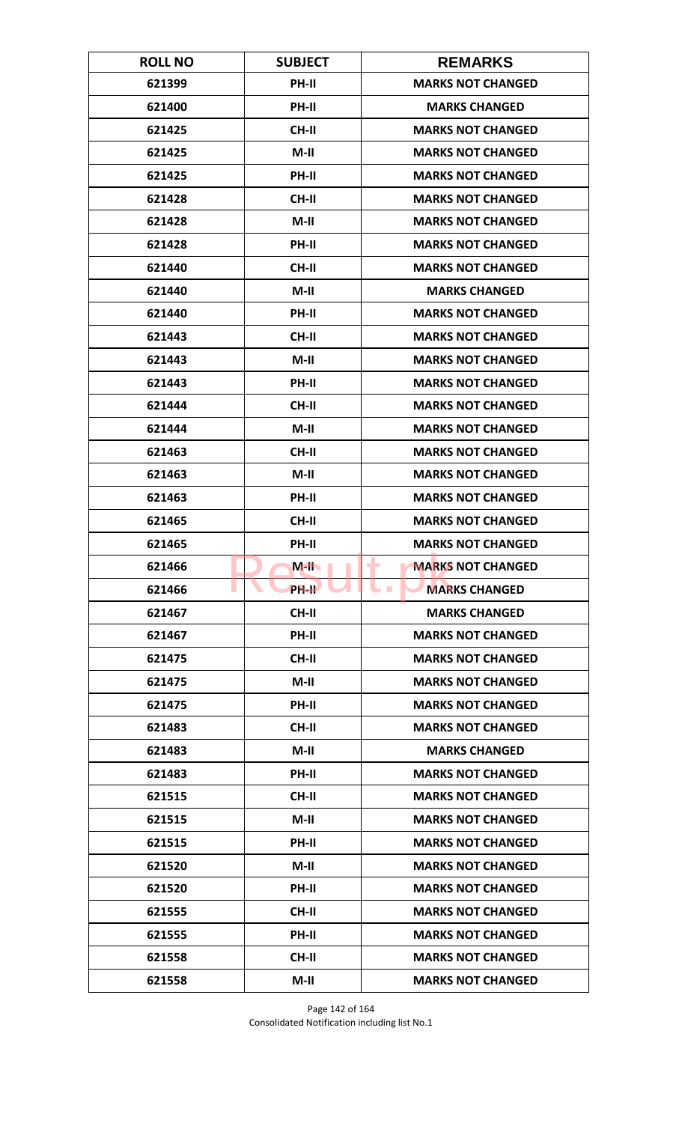| <b>ROLL NO</b> | <b>SUBJECT</b> | <b>REMARKS</b>                |
|----------------|----------------|-------------------------------|
| 621399         | PH-II          | <b>MARKS NOT CHANGED</b>      |
| 621400         | PH-II          | <b>MARKS CHANGED</b>          |
| 621425         | <b>CH-II</b>   | <b>MARKS NOT CHANGED</b>      |
| 621425         | $M-II$         | <b>MARKS NOT CHANGED</b>      |
| 621425         | <b>PH-II</b>   | <b>MARKS NOT CHANGED</b>      |
| 621428         | CH-II          | <b>MARKS NOT CHANGED</b>      |
| 621428         | $M-II$         | <b>MARKS NOT CHANGED</b>      |
| 621428         | PH-II          | <b>MARKS NOT CHANGED</b>      |
| 621440         | <b>CH-II</b>   | <b>MARKS NOT CHANGED</b>      |
| 621440         | $M-II$         | <b>MARKS CHANGED</b>          |
| 621440         | PH-II          | <b>MARKS NOT CHANGED</b>      |
| 621443         | <b>CH-II</b>   | <b>MARKS NOT CHANGED</b>      |
| 621443         | $M-II$         | <b>MARKS NOT CHANGED</b>      |
| 621443         | PH-II          | <b>MARKS NOT CHANGED</b>      |
| 621444         | CH-II          | <b>MARKS NOT CHANGED</b>      |
| 621444         | $M-II$         | <b>MARKS NOT CHANGED</b>      |
| 621463         | <b>CH-II</b>   | <b>MARKS NOT CHANGED</b>      |
| 621463         | $M-II$         | <b>MARKS NOT CHANGED</b>      |
| 621463         | <b>PH-II</b>   | <b>MARKS NOT CHANGED</b>      |
| 621465         | <b>CH-II</b>   | <b>MARKS NOT CHANGED</b>      |
| 621465         | <b>PH-II</b>   | <b>MARKS NOT CHANGED</b>      |
| 621466         | $M-H$          | ۰<br><b>MARKS NOT CHANGED</b> |
| 621466         | <b>PH-IL</b>   | <b>MARKS CHANGED</b><br>a m   |
| 621467         | <b>CH-II</b>   | <b>MARKS CHANGED</b>          |
| 621467         | PH-II          | <b>MARKS NOT CHANGED</b>      |
| 621475         | CH-II          | <b>MARKS NOT CHANGED</b>      |
| 621475         | $M-II$         | <b>MARKS NOT CHANGED</b>      |
| 621475         | PH-II          | <b>MARKS NOT CHANGED</b>      |
| 621483         | <b>CH-II</b>   | <b>MARKS NOT CHANGED</b>      |
| 621483         | $M-II$         | <b>MARKS CHANGED</b>          |
| 621483         | PH-II          | <b>MARKS NOT CHANGED</b>      |
| 621515         | CH-II          | <b>MARKS NOT CHANGED</b>      |
| 621515         | $M-II$         | <b>MARKS NOT CHANGED</b>      |
| 621515         | <b>PH-II</b>   | <b>MARKS NOT CHANGED</b>      |
| 621520         | M-II           | <b>MARKS NOT CHANGED</b>      |
| 621520         | PH-II          | <b>MARKS NOT CHANGED</b>      |
| 621555         | CH-II          | <b>MARKS NOT CHANGED</b>      |
| 621555         | PH-II          | <b>MARKS NOT CHANGED</b>      |
| 621558         | <b>CH-II</b>   | <b>MARKS NOT CHANGED</b>      |
| 621558         | $M-II$         | <b>MARKS NOT CHANGED</b>      |

Page 142 of 164 Consolidated Notification including list No.1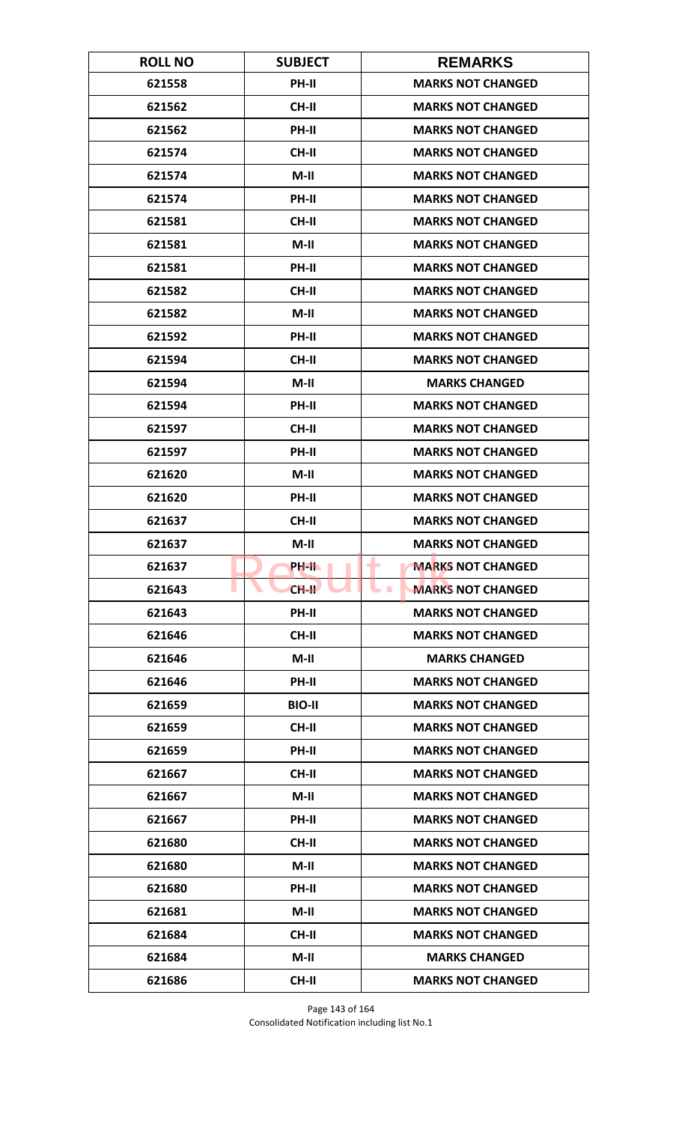| <b>ROLL NO</b> | <b>SUBJECT</b> | <b>REMARKS</b>                         |
|----------------|----------------|----------------------------------------|
| 621558         | PH-II          | <b>MARKS NOT CHANGED</b>               |
| 621562         | <b>CH-II</b>   | <b>MARKS NOT CHANGED</b>               |
| 621562         | PH-II          | <b>MARKS NOT CHANGED</b>               |
| 621574         | CH-II          | <b>MARKS NOT CHANGED</b>               |
| 621574         | $M-II$         | <b>MARKS NOT CHANGED</b>               |
| 621574         | PH-II          | <b>MARKS NOT CHANGED</b>               |
| 621581         | <b>CH-II</b>   | <b>MARKS NOT CHANGED</b>               |
| 621581         | $M-II$         | <b>MARKS NOT CHANGED</b>               |
| 621581         | PH-II          | <b>MARKS NOT CHANGED</b>               |
| 621582         | CH-II          | <b>MARKS NOT CHANGED</b>               |
| 621582         | $M-II$         | <b>MARKS NOT CHANGED</b>               |
| 621592         | <b>PH-II</b>   | <b>MARKS NOT CHANGED</b>               |
| 621594         | CH-II          | <b>MARKS NOT CHANGED</b>               |
| 621594         | $M-H$          | <b>MARKS CHANGED</b>                   |
| 621594         | PH-II          | <b>MARKS NOT CHANGED</b>               |
| 621597         | CH-II          | <b>MARKS NOT CHANGED</b>               |
| 621597         | PH-II          | <b>MARKS NOT CHANGED</b>               |
| 621620         | $M-II$         | <b>MARKS NOT CHANGED</b>               |
| 621620         | PH-II          | <b>MARKS NOT CHANGED</b>               |
| 621637         | <b>CH-II</b>   | <b>MARKS NOT CHANGED</b>               |
| 621637         | $M-II$         | <b>MARKS NOT CHANGED</b>               |
| 621637         | PH-II          | ۰<br><b>MARKS NOT CHANGED</b>          |
| 621643         | $CH-H$         | <b>MARKS NOT CHANGED</b><br><b>COL</b> |
| 621643         | PH-II          | <b>MARKS NOT CHANGED</b>               |
| 621646         | <b>CH-II</b>   | <b>MARKS NOT CHANGED</b>               |
| 621646         | $M-II$         | <b>MARKS CHANGED</b>                   |
| 621646         | PH-II          | <b>MARKS NOT CHANGED</b>               |
| 621659         | <b>BIO-II</b>  | <b>MARKS NOT CHANGED</b>               |
| 621659         | CH-II          | <b>MARKS NOT CHANGED</b>               |
| 621659         | PH-II          | <b>MARKS NOT CHANGED</b>               |
| 621667         | <b>CH-II</b>   | <b>MARKS NOT CHANGED</b>               |
| 621667         | $M-II$         | <b>MARKS NOT CHANGED</b>               |
| 621667         | PH-II          | <b>MARKS NOT CHANGED</b>               |
| 621680         | CH-II          | <b>MARKS NOT CHANGED</b>               |
| 621680         | $M-II$         | <b>MARKS NOT CHANGED</b>               |
| 621680         | PH-II          | <b>MARKS NOT CHANGED</b>               |
| 621681         | $M-II$         | <b>MARKS NOT CHANGED</b>               |
| 621684         | <b>CH-II</b>   | <b>MARKS NOT CHANGED</b>               |
| 621684         | $M-II$         | <b>MARKS CHANGED</b>                   |
| 621686         | CH-II          | <b>MARKS NOT CHANGED</b>               |

Page 143 of 164 Consolidated Notification including list No.1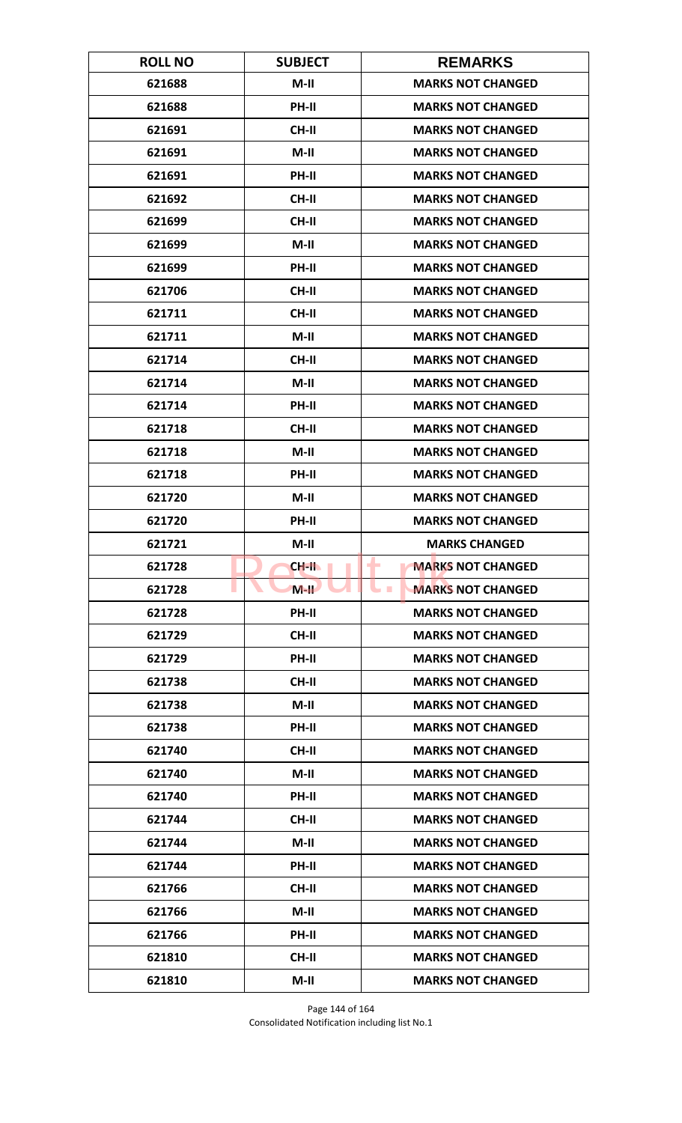| <b>ROLL NO</b> | <b>SUBJECT</b> | <b>REMARKS</b>                         |
|----------------|----------------|----------------------------------------|
| 621688         | $M-II$         | <b>MARKS NOT CHANGED</b>               |
| 621688         | PH-II          | <b>MARKS NOT CHANGED</b>               |
| 621691         | <b>CH-II</b>   | <b>MARKS NOT CHANGED</b>               |
| 621691         | $M-II$         | <b>MARKS NOT CHANGED</b>               |
| 621691         | <b>PH-II</b>   | <b>MARKS NOT CHANGED</b>               |
| 621692         | CH-II          | <b>MARKS NOT CHANGED</b>               |
| 621699         | CH-II          | <b>MARKS NOT CHANGED</b>               |
| 621699         | $M-II$         | <b>MARKS NOT CHANGED</b>               |
| 621699         | PH-II          | <b>MARKS NOT CHANGED</b>               |
| 621706         | CH-II          | <b>MARKS NOT CHANGED</b>               |
| 621711         | CH-II          | <b>MARKS NOT CHANGED</b>               |
| 621711         | $M-II$         | <b>MARKS NOT CHANGED</b>               |
| 621714         | CH-II          | <b>MARKS NOT CHANGED</b>               |
| 621714         | $M-II$         | <b>MARKS NOT CHANGED</b>               |
| 621714         | <b>PH-II</b>   | <b>MARKS NOT CHANGED</b>               |
| 621718         | CH-II          | <b>MARKS NOT CHANGED</b>               |
| 621718         | $M-II$         | <b>MARKS NOT CHANGED</b>               |
| 621718         | <b>PH-II</b>   | <b>MARKS NOT CHANGED</b>               |
| 621720         | M-II           | <b>MARKS NOT CHANGED</b>               |
| 621720         | PH-II          | <b>MARKS NOT CHANGED</b>               |
| 621721         | $M-II$         | <b>MARKS CHANGED</b>                   |
| 621728         | CH-II          | ٠<br><b>MARKS NOT CHANGED</b>          |
| 621728         | $M-H$          | <b>MARKS NOT CHANGED</b><br><b>COL</b> |
| 621728         | PH-II          | <b>MARKS NOT CHANGED</b>               |
| 621729         | CH-II          | <b>MARKS NOT CHANGED</b>               |
| 621729         | PH-II          | <b>MARKS NOT CHANGED</b>               |
| 621738         | CH-II          | <b>MARKS NOT CHANGED</b>               |
| 621738         | $M-H$          | <b>MARKS NOT CHANGED</b>               |
| 621738         | PH-II          | <b>MARKS NOT CHANGED</b>               |
| 621740         | <b>CH-II</b>   | <b>MARKS NOT CHANGED</b>               |
| 621740         | $M-H$          | <b>MARKS NOT CHANGED</b>               |
| 621740         | PH-II          | <b>MARKS NOT CHANGED</b>               |
| 621744         | CH-II          | <b>MARKS NOT CHANGED</b>               |
| 621744         | $M-H$          | <b>MARKS NOT CHANGED</b>               |
| 621744         | <b>PH-II</b>   | <b>MARKS NOT CHANGED</b>               |
| 621766         | CH-II          | <b>MARKS NOT CHANGED</b>               |
| 621766         | $M-II$         | <b>MARKS NOT CHANGED</b>               |
| 621766         | PH-II          | <b>MARKS NOT CHANGED</b>               |
| 621810         | <b>CH-II</b>   | <b>MARKS NOT CHANGED</b>               |
| 621810         | $M-II$         | <b>MARKS NOT CHANGED</b>               |

Page 144 of 164 Consolidated Notification including list No.1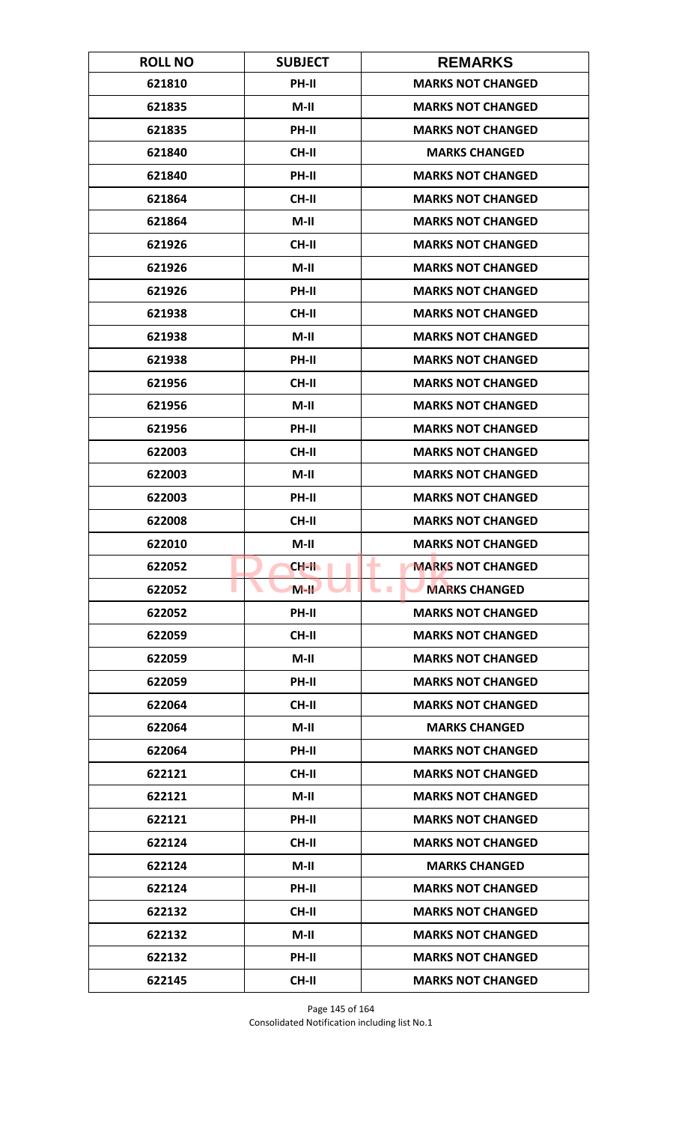| <b>ROLL NO</b> | <b>SUBJECT</b> | <b>REMARKS</b>                |
|----------------|----------------|-------------------------------|
| 621810         | <b>PH-II</b>   | <b>MARKS NOT CHANGED</b>      |
| 621835         | $M-H$          | <b>MARKS NOT CHANGED</b>      |
| 621835         | PH-II          | <b>MARKS NOT CHANGED</b>      |
| 621840         | CH-II          | <b>MARKS CHANGED</b>          |
| 621840         | PH-II          | <b>MARKS NOT CHANGED</b>      |
| 621864         | <b>CH-II</b>   | <b>MARKS NOT CHANGED</b>      |
| 621864         | $M-II$         | <b>MARKS NOT CHANGED</b>      |
| 621926         | <b>CH-II</b>   | <b>MARKS NOT CHANGED</b>      |
| 621926         | $M-II$         | <b>MARKS NOT CHANGED</b>      |
| 621926         | PH-II          | <b>MARKS NOT CHANGED</b>      |
| 621938         | <b>CH-II</b>   | <b>MARKS NOT CHANGED</b>      |
| 621938         | $M-II$         | <b>MARKS NOT CHANGED</b>      |
| 621938         | PH-II          | <b>MARKS NOT CHANGED</b>      |
| 621956         | <b>CH-II</b>   | <b>MARKS NOT CHANGED</b>      |
| 621956         | $M-II$         | <b>MARKS NOT CHANGED</b>      |
| 621956         | PH-II          | <b>MARKS NOT CHANGED</b>      |
| 622003         | <b>CH-II</b>   | <b>MARKS NOT CHANGED</b>      |
| 622003         | $M-H$          | <b>MARKS NOT CHANGED</b>      |
| 622003         | <b>PH-II</b>   | <b>MARKS NOT CHANGED</b>      |
| 622008         | CH-II          | <b>MARKS NOT CHANGED</b>      |
| 622010         | $M-II$         | <b>MARKS NOT CHANGED</b>      |
| 622052         | CH-II          | <b>MARKS NOT CHANGED</b><br>٠ |
| 622052         | $M-H$          | <b>MARKS CHANGED</b>          |
| 622052         | <b>PH-II</b>   | <b>MARKS NOT CHANGED</b>      |
| 622059         | <b>CH-II</b>   | <b>MARKS NOT CHANGED</b>      |
| 622059         | $M-H$          | <b>MARKS NOT CHANGED</b>      |
| 622059         | PH-II          | <b>MARKS NOT CHANGED</b>      |
| 622064         | <b>CH-II</b>   | <b>MARKS NOT CHANGED</b>      |
| 622064         | $M-II$         | <b>MARKS CHANGED</b>          |
| 622064         | <b>PH-II</b>   | <b>MARKS NOT CHANGED</b>      |
| 622121         | <b>CH-II</b>   | <b>MARKS NOT CHANGED</b>      |
| 622121         | $M-H$          | <b>MARKS NOT CHANGED</b>      |
| 622121         | PH-II          | <b>MARKS NOT CHANGED</b>      |
| 622124         | <b>CH-II</b>   | <b>MARKS NOT CHANGED</b>      |
| 622124         | $M-H$          | <b>MARKS CHANGED</b>          |
| 622124         | PH-II          | <b>MARKS NOT CHANGED</b>      |
| 622132         | CH-II          | <b>MARKS NOT CHANGED</b>      |
| 622132         | M-II           | <b>MARKS NOT CHANGED</b>      |
| 622132         | <b>PH-II</b>   | <b>MARKS NOT CHANGED</b>      |
| 622145         | <b>CH-II</b>   | <b>MARKS NOT CHANGED</b>      |

Page 145 of 164 Consolidated Notification including list No.1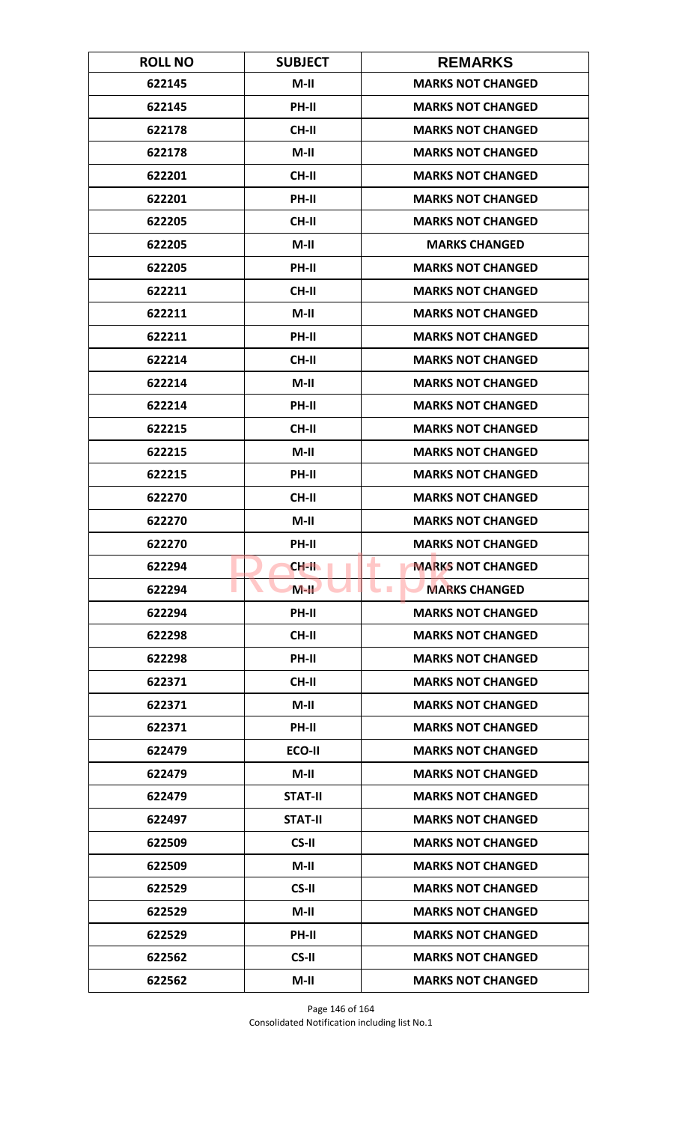| <b>ROLL NO</b> | <b>SUBJECT</b> | <b>REMARKS</b>           |
|----------------|----------------|--------------------------|
| 622145         | $M-II$         | <b>MARKS NOT CHANGED</b> |
| 622145         | PH-II          | <b>MARKS NOT CHANGED</b> |
| 622178         | CH-II          | <b>MARKS NOT CHANGED</b> |
| 622178         | $M-H$          | <b>MARKS NOT CHANGED</b> |
| 622201         | <b>CH-II</b>   | <b>MARKS NOT CHANGED</b> |
| 622201         | PH-II          | <b>MARKS NOT CHANGED</b> |
| 622205         | CH-II          | <b>MARKS NOT CHANGED</b> |
| 622205         | $M-II$         | <b>MARKS CHANGED</b>     |
| 622205         | PH-II          | <b>MARKS NOT CHANGED</b> |
| 622211         | <b>CH-II</b>   | <b>MARKS NOT CHANGED</b> |
| 622211         | $M-II$         | <b>MARKS NOT CHANGED</b> |
| 622211         | <b>PH-II</b>   | <b>MARKS NOT CHANGED</b> |
| 622214         | <b>CH-II</b>   | <b>MARKS NOT CHANGED</b> |
| 622214         | $M-II$         | <b>MARKS NOT CHANGED</b> |
| 622214         | PH-II          | <b>MARKS NOT CHANGED</b> |
| 622215         | <b>CH-II</b>   | <b>MARKS NOT CHANGED</b> |
| 622215         | $M-II$         | <b>MARKS NOT CHANGED</b> |
| 622215         | PH-II          | <b>MARKS NOT CHANGED</b> |
| 622270         | <b>CH-II</b>   | <b>MARKS NOT CHANGED</b> |
| 622270         | $M-II$         | <b>MARKS NOT CHANGED</b> |
| 622270         | PH-II          | <b>MARKS NOT CHANGED</b> |
| 622294         | CH-II          | <b>MARKS NOT CHANGED</b> |
| 622294         | $M-H$          | <b>MARKS CHANGED</b>     |
| 622294         | PH-II          | <b>MARKS NOT CHANGED</b> |
| 622298         | CH-II          | <b>MARKS NOT CHANGED</b> |
| 622298         | PH-II          | <b>MARKS NOT CHANGED</b> |
| 622371         | <b>CH-II</b>   | <b>MARKS NOT CHANGED</b> |
| 622371         | $M-H$          | <b>MARKS NOT CHANGED</b> |
| 622371         | PH-II          | <b>MARKS NOT CHANGED</b> |
| 622479         | ECO-II         | <b>MARKS NOT CHANGED</b> |
| 622479         | M-II           | <b>MARKS NOT CHANGED</b> |
| 622479         | <b>STAT-II</b> | <b>MARKS NOT CHANGED</b> |
| 622497         | <b>STAT-II</b> | <b>MARKS NOT CHANGED</b> |
| 622509         | CS-II          | <b>MARKS NOT CHANGED</b> |
| 622509         | $M-II$         | <b>MARKS NOT CHANGED</b> |
| 622529         | CS-II          | <b>MARKS NOT CHANGED</b> |
| 622529         | $M-II$         | <b>MARKS NOT CHANGED</b> |
| 622529         | PH-II          | <b>MARKS NOT CHANGED</b> |
| 622562         | CS-II          | <b>MARKS NOT CHANGED</b> |
| 622562         | $M-II$         | <b>MARKS NOT CHANGED</b> |

Page 146 of 164 Consolidated Notification including list No.1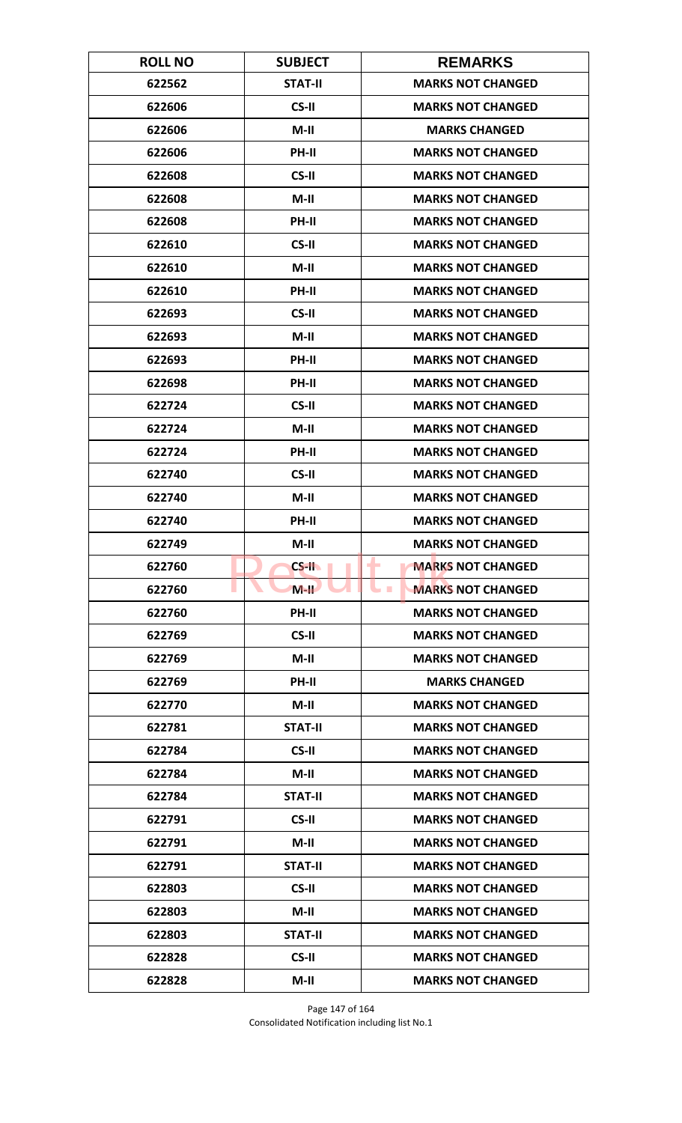| <b>ROLL NO</b> | <b>SUBJECT</b> | <b>REMARKS</b>                             |
|----------------|----------------|--------------------------------------------|
| 622562         | <b>STAT-II</b> | <b>MARKS NOT CHANGED</b>                   |
| 622606         | CS-II          | <b>MARKS NOT CHANGED</b>                   |
| 622606         | $M-II$         | <b>MARKS CHANGED</b>                       |
| 622606         | PH-II          | <b>MARKS NOT CHANGED</b>                   |
| 622608         | CS-II          | <b>MARKS NOT CHANGED</b>                   |
| 622608         | $M-II$         | <b>MARKS NOT CHANGED</b>                   |
| 622608         | PH-II          | <b>MARKS NOT CHANGED</b>                   |
| 622610         | CS-II          | <b>MARKS NOT CHANGED</b>                   |
| 622610         | $M-II$         | <b>MARKS NOT CHANGED</b>                   |
| 622610         | PH-II          | <b>MARKS NOT CHANGED</b>                   |
| 622693         | CS-II          | <b>MARKS NOT CHANGED</b>                   |
| 622693         | $M-II$         | <b>MARKS NOT CHANGED</b>                   |
| 622693         | PH-II          | <b>MARKS NOT CHANGED</b>                   |
| 622698         | PH-II          | <b>MARKS NOT CHANGED</b>                   |
| 622724         | CS-II          | <b>MARKS NOT CHANGED</b>                   |
| 622724         | $M-II$         | <b>MARKS NOT CHANGED</b>                   |
| 622724         | PH-II          | <b>MARKS NOT CHANGED</b>                   |
| 622740         | CS-II          | <b>MARKS NOT CHANGED</b>                   |
| 622740         | $M-II$         | <b>MARKS NOT CHANGED</b>                   |
| 622740         | PH-II          | <b>MARKS NOT CHANGED</b>                   |
| 622749         | $M-II$         | <b>MARKS NOT CHANGED</b>                   |
| 622760         | $CS-H$         | ٠<br><b>MARKS NOT CHANGED</b>              |
| 622760         | $M-H$          | <b>MARKS NOT CHANGED</b><br><b>College</b> |
| 622760         | <b>PH-II</b>   | <b>MARKS NOT CHANGED</b>                   |
| 622769         | CS-II          | <b>MARKS NOT CHANGED</b>                   |
| 622769         | $M-H$          | <b>MARKS NOT CHANGED</b>                   |
| 622769         | PH-II          | <b>MARKS CHANGED</b>                       |
| 622770         | M-II           | <b>MARKS NOT CHANGED</b>                   |
| 622781         | <b>STAT-II</b> | <b>MARKS NOT CHANGED</b>                   |
| 622784         | CS-II          | <b>MARKS NOT CHANGED</b>                   |
| 622784         | $M-II$         | <b>MARKS NOT CHANGED</b>                   |
| 622784         | <b>STAT-II</b> | <b>MARKS NOT CHANGED</b>                   |
| 622791         | CS-II          | <b>MARKS NOT CHANGED</b>                   |
| 622791         | M-II           | <b>MARKS NOT CHANGED</b>                   |
| 622791         | <b>STAT-II</b> | <b>MARKS NOT CHANGED</b>                   |
| 622803         | CS-II          | <b>MARKS NOT CHANGED</b>                   |
| 622803         | $M-II$         | <b>MARKS NOT CHANGED</b>                   |
| 622803         | <b>STAT-II</b> | <b>MARKS NOT CHANGED</b>                   |
| 622828         | CS-II          | <b>MARKS NOT CHANGED</b>                   |
| 622828         | $M-II$         | <b>MARKS NOT CHANGED</b>                   |

Page 147 of 164 Consolidated Notification including list No.1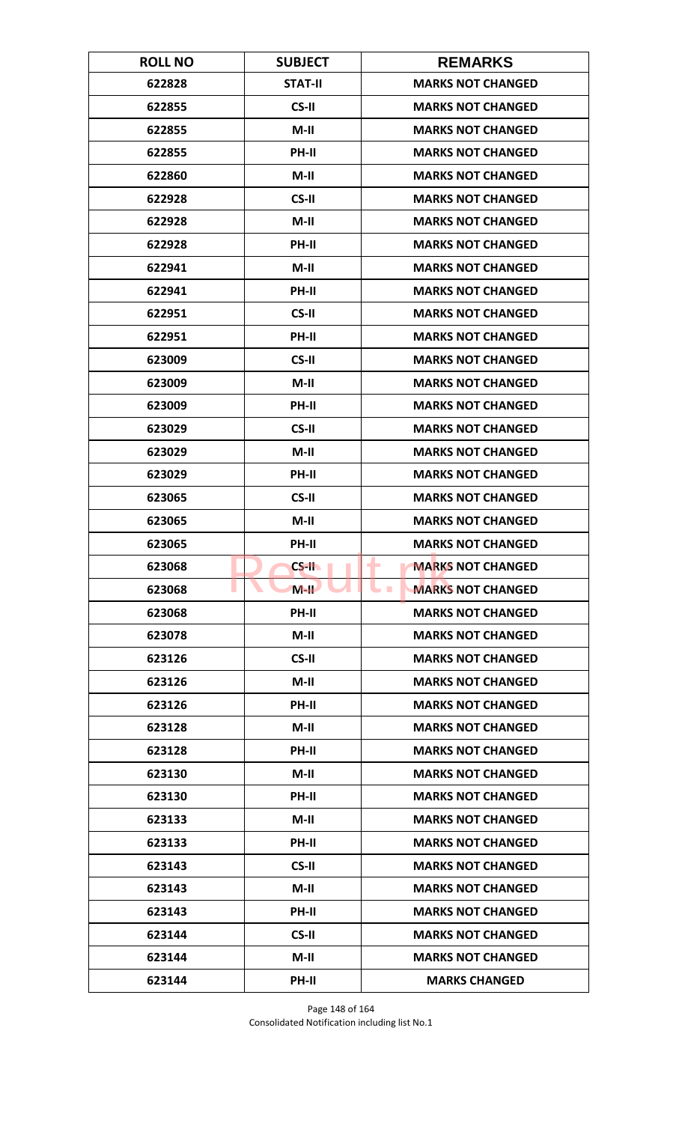| <b>ROLL NO</b> | <b>SUBJECT</b> | <b>REMARKS</b>                       |
|----------------|----------------|--------------------------------------|
| 622828         | <b>STAT-II</b> | <b>MARKS NOT CHANGED</b>             |
| 622855         | CS-II          | <b>MARKS NOT CHANGED</b>             |
| 622855         | $M-II$         | <b>MARKS NOT CHANGED</b>             |
| 622855         | PH-II          | <b>MARKS NOT CHANGED</b>             |
| 622860         | $M-II$         | <b>MARKS NOT CHANGED</b>             |
| 622928         | CS-II          | <b>MARKS NOT CHANGED</b>             |
| 622928         | $M-II$         | <b>MARKS NOT CHANGED</b>             |
| 622928         | PH-II          | <b>MARKS NOT CHANGED</b>             |
| 622941         | $M-H$          | <b>MARKS NOT CHANGED</b>             |
| 622941         | PH-II          | <b>MARKS NOT CHANGED</b>             |
| 622951         | CS-II          | <b>MARKS NOT CHANGED</b>             |
| 622951         | <b>PH-II</b>   | <b>MARKS NOT CHANGED</b>             |
| 623009         | CS-II          | <b>MARKS NOT CHANGED</b>             |
| 623009         | $M-II$         | <b>MARKS NOT CHANGED</b>             |
| 623009         | PH-II          | <b>MARKS NOT CHANGED</b>             |
| 623029         | CS-II          | <b>MARKS NOT CHANGED</b>             |
| 623029         | $M-II$         | <b>MARKS NOT CHANGED</b>             |
| 623029         | <b>PH-II</b>   | <b>MARKS NOT CHANGED</b>             |
| 623065         | CS-II          | <b>MARKS NOT CHANGED</b>             |
| 623065         | $M-II$         | <b>MARKS NOT CHANGED</b>             |
| 623065         | PH-II          | <b>MARKS NOT CHANGED</b>             |
| 623068         | $CS-H$         | <b>MARKS NOT CHANGED</b><br>٠        |
| 623068         | $M-H$          | <b>MARKS NOT CHANGED</b><br><b>I</b> |
| 623068         | PH-II          | <b>MARKS NOT CHANGED</b>             |
| 623078         | $M-II$         | <b>MARKS NOT CHANGED</b>             |
| 623126         | CS-II          | <b>MARKS NOT CHANGED</b>             |
| 623126         | $M-II$         | <b>MARKS NOT CHANGED</b>             |
| 623126         | <b>PH-II</b>   | <b>MARKS NOT CHANGED</b>             |
| 623128         | $M-II$         | <b>MARKS NOT CHANGED</b>             |
| 623128         | <b>PH-II</b>   | <b>MARKS NOT CHANGED</b>             |
| 623130         | $M-II$         | <b>MARKS NOT CHANGED</b>             |
| 623130         | PH-II          | <b>MARKS NOT CHANGED</b>             |
| 623133         | $M-II$         | <b>MARKS NOT CHANGED</b>             |
| 623133         | PH-II          | <b>MARKS NOT CHANGED</b>             |
| 623143         | CS-II          | <b>MARKS NOT CHANGED</b>             |
| 623143         | $M-II$         | <b>MARKS NOT CHANGED</b>             |
| 623143         | PH-II          | <b>MARKS NOT CHANGED</b>             |
| 623144         | CS-II          | <b>MARKS NOT CHANGED</b>             |
| 623144         | $M-II$         | <b>MARKS NOT CHANGED</b>             |
| 623144         | PH-II          | <b>MARKS CHANGED</b>                 |

Page 148 of 164 Consolidated Notification including list No.1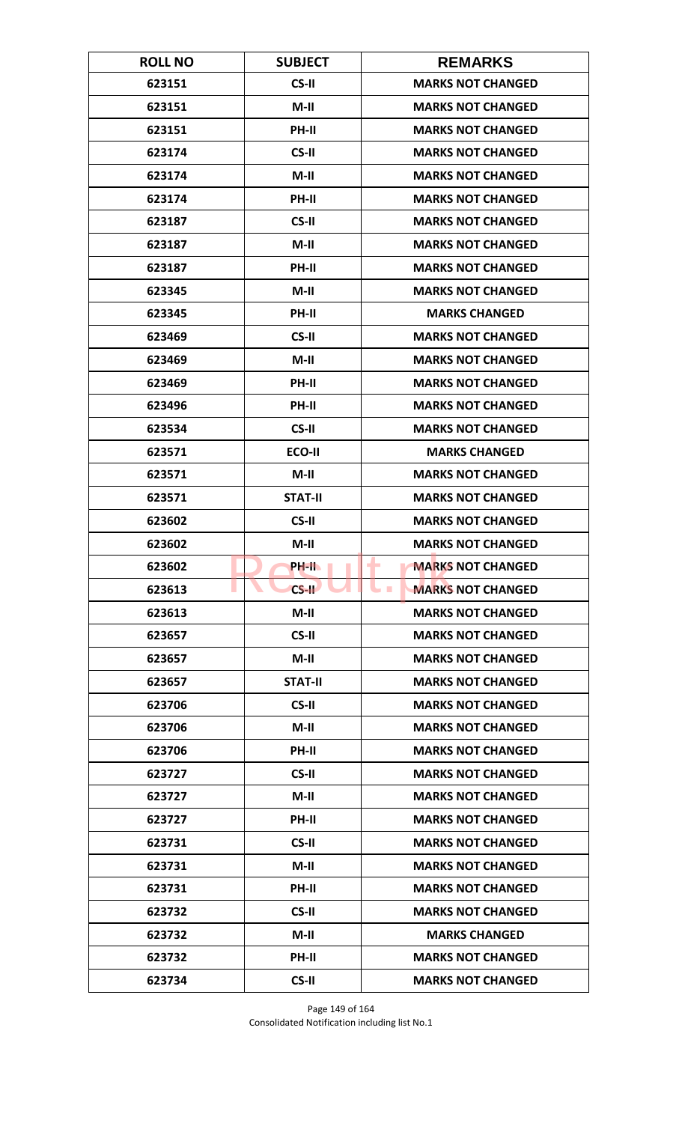| <b>ROLL NO</b> | <b>SUBJECT</b> | <b>REMARKS</b>                       |
|----------------|----------------|--------------------------------------|
| 623151         | CS-II          | <b>MARKS NOT CHANGED</b>             |
| 623151         | $M-II$         | <b>MARKS NOT CHANGED</b>             |
| 623151         | PH-II          | <b>MARKS NOT CHANGED</b>             |
| 623174         | CS-II          | <b>MARKS NOT CHANGED</b>             |
| 623174         | $M-II$         | <b>MARKS NOT CHANGED</b>             |
| 623174         | PH-II          | <b>MARKS NOT CHANGED</b>             |
| 623187         | CS-II          | <b>MARKS NOT CHANGED</b>             |
| 623187         | $M-II$         | <b>MARKS NOT CHANGED</b>             |
| 623187         | PH-II          | <b>MARKS NOT CHANGED</b>             |
| 623345         | $M-II$         | <b>MARKS NOT CHANGED</b>             |
| 623345         | PH-II          | <b>MARKS CHANGED</b>                 |
| 623469         | CS-II          | <b>MARKS NOT CHANGED</b>             |
| 623469         | $M-II$         | <b>MARKS NOT CHANGED</b>             |
| 623469         | PH-II          | <b>MARKS NOT CHANGED</b>             |
| 623496         | <b>PH-II</b>   | <b>MARKS NOT CHANGED</b>             |
| 623534         | CS-II          | <b>MARKS NOT CHANGED</b>             |
| 623571         | ECO-II         | <b>MARKS CHANGED</b>                 |
| 623571         | $M-H$          | <b>MARKS NOT CHANGED</b>             |
| 623571         | <b>STAT-II</b> | <b>MARKS NOT CHANGED</b>             |
| 623602         | CS-II          | <b>MARKS NOT CHANGED</b>             |
| 623602         | $M-II$         | <b>MARKS NOT CHANGED</b>             |
| 623602         | PH-II.         | <b>MARKS NOT CHANGED</b><br>٠        |
| 623613         | $CS-H$         | <b>MARKS NOT CHANGED</b><br><b>I</b> |
| 623613         | $M-II$         | <b>MARKS NOT CHANGED</b>             |
| 623657         | CS-II          | <b>MARKS NOT CHANGED</b>             |
| 623657         | $M-H$          | <b>MARKS NOT CHANGED</b>             |
| 623657         | <b>STAT-II</b> | <b>MARKS NOT CHANGED</b>             |
| 623706         | CS-II          | <b>MARKS NOT CHANGED</b>             |
| 623706         | $M-II$         | <b>MARKS NOT CHANGED</b>             |
| 623706         | <b>PH-II</b>   | <b>MARKS NOT CHANGED</b>             |
| 623727         | CS-II          | <b>MARKS NOT CHANGED</b>             |
| 623727         | $M-II$         | <b>MARKS NOT CHANGED</b>             |
| 623727         | PH-II          | <b>MARKS NOT CHANGED</b>             |
| 623731         | CS-II          | <b>MARKS NOT CHANGED</b>             |
| 623731         | $M-H$          | <b>MARKS NOT CHANGED</b>             |
| 623731         | PH-II          | <b>MARKS NOT CHANGED</b>             |
| 623732         | CS-II          | <b>MARKS NOT CHANGED</b>             |
| 623732         | $M-II$         | <b>MARKS CHANGED</b>                 |
| 623732         | <b>PH-II</b>   | <b>MARKS NOT CHANGED</b>             |
| 623734         | CS-II          | <b>MARKS NOT CHANGED</b>             |

Page 149 of 164 Consolidated Notification including list No.1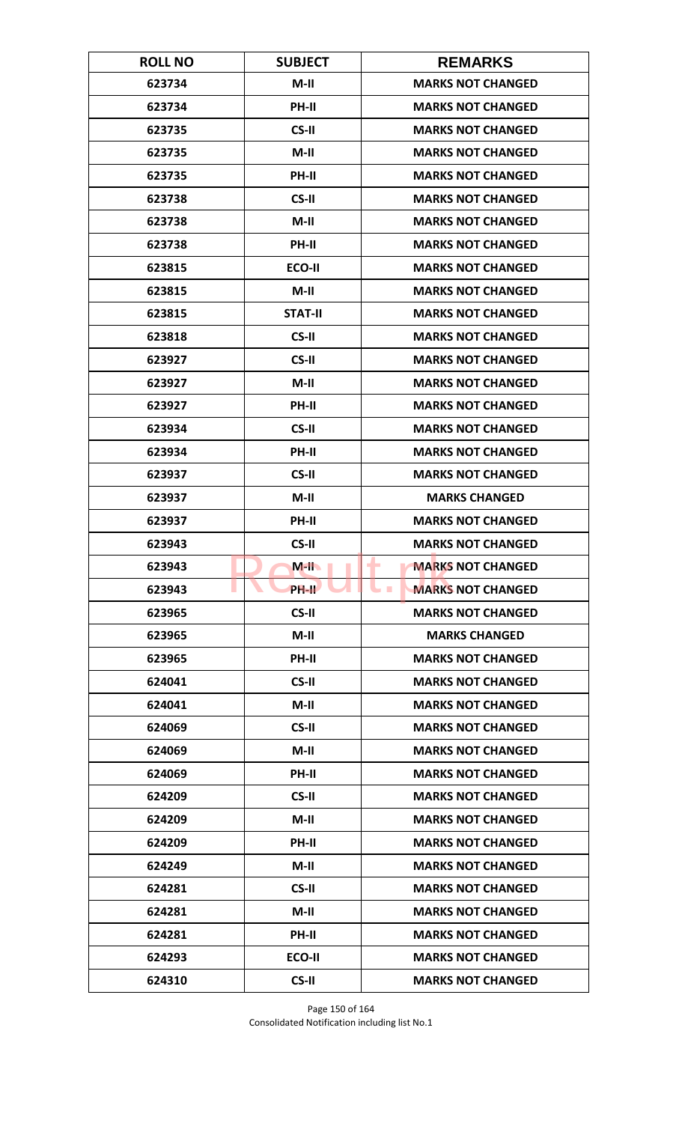| <b>ROLL NO</b> | <b>SUBJECT</b> | <b>REMARKS</b>                               |
|----------------|----------------|----------------------------------------------|
| 623734         | $M-II$         | <b>MARKS NOT CHANGED</b>                     |
| 623734         | PH-II          | <b>MARKS NOT CHANGED</b>                     |
| 623735         | CS-II          | <b>MARKS NOT CHANGED</b>                     |
| 623735         | $M-II$         | <b>MARKS NOT CHANGED</b>                     |
| 623735         | <b>PH-II</b>   | <b>MARKS NOT CHANGED</b>                     |
| 623738         | CS-II          | <b>MARKS NOT CHANGED</b>                     |
| 623738         | $M-II$         | <b>MARKS NOT CHANGED</b>                     |
| 623738         | PH-II          | <b>MARKS NOT CHANGED</b>                     |
| 623815         | ECO-II         | <b>MARKS NOT CHANGED</b>                     |
| 623815         | $M-II$         | <b>MARKS NOT CHANGED</b>                     |
| 623815         | <b>STAT-II</b> | <b>MARKS NOT CHANGED</b>                     |
| 623818         | CS-II          | <b>MARKS NOT CHANGED</b>                     |
| 623927         | CS-II          | <b>MARKS NOT CHANGED</b>                     |
| 623927         | $M-II$         | <b>MARKS NOT CHANGED</b>                     |
| 623927         | <b>PH-II</b>   | <b>MARKS NOT CHANGED</b>                     |
| 623934         | CS-II          | <b>MARKS NOT CHANGED</b>                     |
| 623934         | PH-II          | <b>MARKS NOT CHANGED</b>                     |
| 623937         | CS-II          | <b>MARKS NOT CHANGED</b>                     |
| 623937         | $M-II$         | <b>MARKS CHANGED</b>                         |
| 623937         | PH-II          | <b>MARKS NOT CHANGED</b>                     |
| 623943         | CS-II          | <b>MARKS NOT CHANGED</b>                     |
| 623943         | $M-H$          | <b>MARKS NOT CHANGED</b><br>٠                |
| 623943         | <b>PH-IL</b>   | <b>MARKS NOT CHANGED</b><br><b>The State</b> |
| 623965         | CS-II          | <b>MARKS NOT CHANGED</b>                     |
| 623965         | $M-II$         | <b>MARKS CHANGED</b>                         |
| 623965         | PH-II          | <b>MARKS NOT CHANGED</b>                     |
| 624041         | CS-II          | <b>MARKS NOT CHANGED</b>                     |
| 624041         | $M-II$         | <b>MARKS NOT CHANGED</b>                     |
| 624069         | CS-II          | <b>MARKS NOT CHANGED</b>                     |
| 624069         | $M-II$         | <b>MARKS NOT CHANGED</b>                     |
| 624069         | PH-II          | <b>MARKS NOT CHANGED</b>                     |
| 624209         | CS-II          | <b>MARKS NOT CHANGED</b>                     |
| 624209         | $M-II$         | <b>MARKS NOT CHANGED</b>                     |
| 624209         | PH-II          | <b>MARKS NOT CHANGED</b>                     |
| 624249         | M-II           | <b>MARKS NOT CHANGED</b>                     |
| 624281         | CS-II          | <b>MARKS NOT CHANGED</b>                     |
| 624281         | $M-II$         | <b>MARKS NOT CHANGED</b>                     |
| 624281         | PH-II          | <b>MARKS NOT CHANGED</b>                     |
| 624293         | ECO-II         | <b>MARKS NOT CHANGED</b>                     |
| 624310         | CS-II          | <b>MARKS NOT CHANGED</b>                     |

Page 150 of 164 Consolidated Notification including list No.1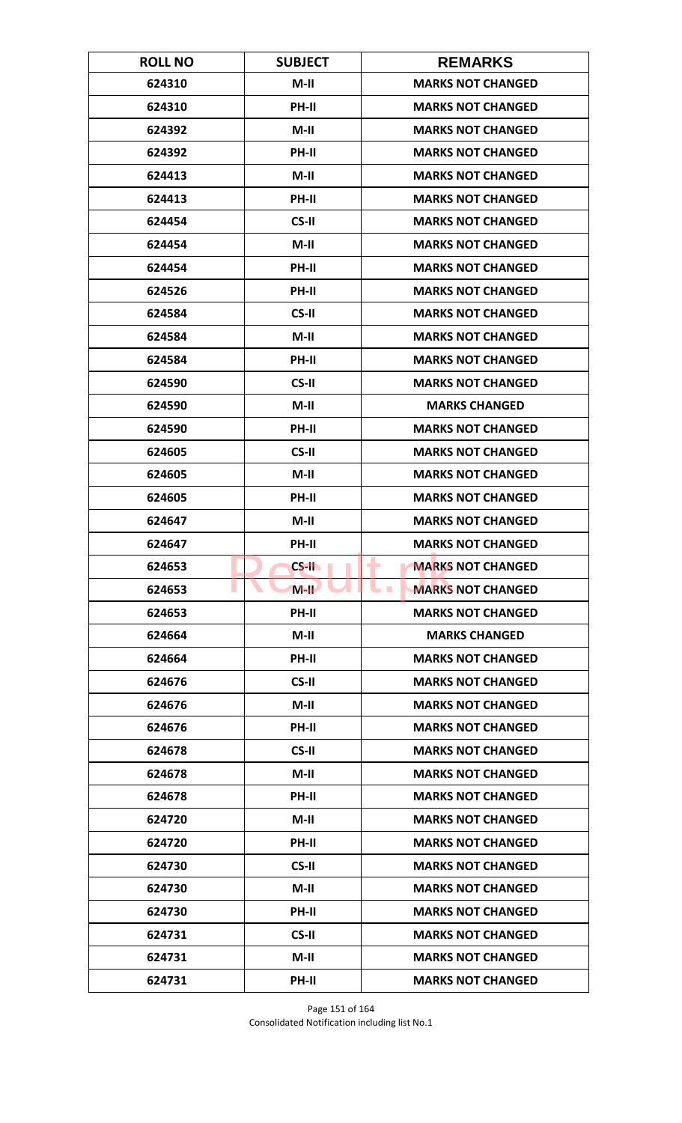| <b>ROLL NO</b> | <b>SUBJECT</b> | <b>REMARKS</b>                       |
|----------------|----------------|--------------------------------------|
| 624310         | $M-II$         | <b>MARKS NOT CHANGED</b>             |
| 624310         | PH-II          | <b>MARKS NOT CHANGED</b>             |
| 624392         | $M-II$         | <b>MARKS NOT CHANGED</b>             |
| 624392         | PH-II          | <b>MARKS NOT CHANGED</b>             |
| 624413         | $M-II$         | <b>MARKS NOT CHANGED</b>             |
| 624413         | PH-II          | <b>MARKS NOT CHANGED</b>             |
| 624454         | CS-II          | <b>MARKS NOT CHANGED</b>             |
| 624454         | $M-II$         | <b>MARKS NOT CHANGED</b>             |
| 624454         | PH-II          | <b>MARKS NOT CHANGED</b>             |
| 624526         | PH-II          | <b>MARKS NOT CHANGED</b>             |
| 624584         | CS-II          | <b>MARKS NOT CHANGED</b>             |
| 624584         | $M-II$         | <b>MARKS NOT CHANGED</b>             |
| 624584         | PH-II          | <b>MARKS NOT CHANGED</b>             |
| 624590         | CS-II          | <b>MARKS NOT CHANGED</b>             |
| 624590         | $M-II$         | <b>MARKS CHANGED</b>                 |
| 624590         | PH-II          | <b>MARKS NOT CHANGED</b>             |
| 624605         | CS-II          | <b>MARKS NOT CHANGED</b>             |
| 624605         | $M-H$          | <b>MARKS NOT CHANGED</b>             |
| 624605         | <b>PH-II</b>   | <b>MARKS NOT CHANGED</b>             |
| 624647         | $M-II$         | <b>MARKS NOT CHANGED</b>             |
| 624647         | <b>PH-II</b>   | <b>MARKS NOT CHANGED</b>             |
| 624653         | $CS-H$         | ٠<br><b>MARKS NOT CHANGED</b>        |
| 624653         | $M-H$          | <b>MARKS NOT CHANGED</b><br><b>I</b> |
| 624653         | PH-II          | <b>MARKS NOT CHANGED</b>             |
| 624664         | $M-II$         | <b>MARKS CHANGED</b>                 |
| 624664         | PH-II          | <b>MARKS NOT CHANGED</b>             |
| 624676         | CS-II          | <b>MARKS NOT CHANGED</b>             |
| 624676         | $M-II$         | <b>MARKS NOT CHANGED</b>             |
| 624676         | PH-II          | <b>MARKS NOT CHANGED</b>             |
| 624678         | CS-II          | <b>MARKS NOT CHANGED</b>             |
| 624678         | $M-II$         | <b>MARKS NOT CHANGED</b>             |
| 624678         | PH-II          | <b>MARKS NOT CHANGED</b>             |
| 624720         | $M-II$         | <b>MARKS NOT CHANGED</b>             |
| 624720         | <b>PH-II</b>   | <b>MARKS NOT CHANGED</b>             |
| 624730         | CS-II          | <b>MARKS NOT CHANGED</b>             |
| 624730         | $M-II$         | <b>MARKS NOT CHANGED</b>             |
| 624730         | PH-II          | <b>MARKS NOT CHANGED</b>             |
| 624731         | CS-II          | <b>MARKS NOT CHANGED</b>             |
| 624731         | $M-II$         | <b>MARKS NOT CHANGED</b>             |
| 624731         | PH-II          | <b>MARKS NOT CHANGED</b>             |

Page 151 of 164 Consolidated Notification including list No.1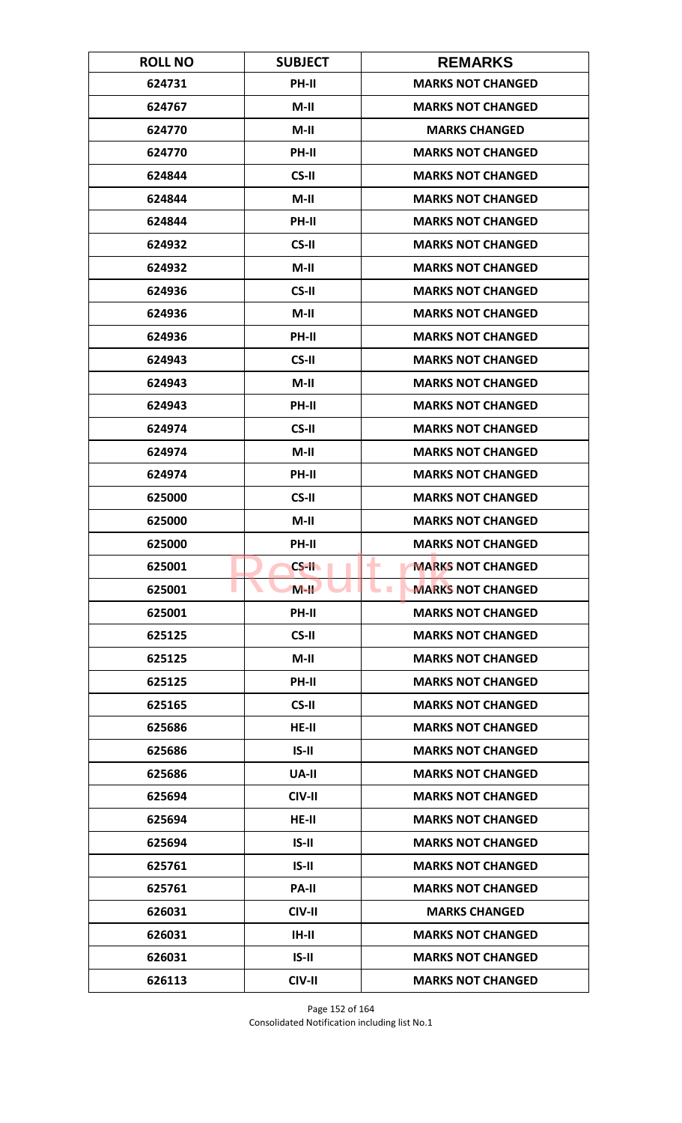| <b>ROLL NO</b> | <b>SUBJECT</b> | <b>REMARKS</b>                             |
|----------------|----------------|--------------------------------------------|
| 624731         | PH-II          | <b>MARKS NOT CHANGED</b>                   |
| 624767         | $M-II$         | <b>MARKS NOT CHANGED</b>                   |
| 624770         | $M-II$         | <b>MARKS CHANGED</b>                       |
| 624770         | PH-II          | <b>MARKS NOT CHANGED</b>                   |
| 624844         | CS-II          | <b>MARKS NOT CHANGED</b>                   |
| 624844         | $M-II$         | <b>MARKS NOT CHANGED</b>                   |
| 624844         | <b>PH-II</b>   | <b>MARKS NOT CHANGED</b>                   |
| 624932         | CS-II          | <b>MARKS NOT CHANGED</b>                   |
| 624932         | $M-II$         | <b>MARKS NOT CHANGED</b>                   |
| 624936         | CS-II          | <b>MARKS NOT CHANGED</b>                   |
| 624936         | $M-II$         | <b>MARKS NOT CHANGED</b>                   |
| 624936         | <b>PH-II</b>   | <b>MARKS NOT CHANGED</b>                   |
| 624943         | CS-II          | <b>MARKS NOT CHANGED</b>                   |
| 624943         | $M-II$         | <b>MARKS NOT CHANGED</b>                   |
| 624943         | PH-II          | <b>MARKS NOT CHANGED</b>                   |
| 624974         | CS-II          | <b>MARKS NOT CHANGED</b>                   |
| 624974         | $M-II$         | <b>MARKS NOT CHANGED</b>                   |
| 624974         | PH-II          | <b>MARKS NOT CHANGED</b>                   |
| 625000         | CS-II          | <b>MARKS NOT CHANGED</b>                   |
| 625000         | $M-II$         | <b>MARKS NOT CHANGED</b>                   |
| 625000         | PH-II          | <b>MARKS NOT CHANGED</b>                   |
| 625001         | $CS-H$         | <b>MARKS NOT CHANGED</b><br>۰              |
| 625001         | $M-H$          | <b>MARKS NOT CHANGED</b><br><b>College</b> |
| 625001         | PH-II          | <b>MARKS NOT CHANGED</b>                   |
| 625125         | CS-II          | <b>MARKS NOT CHANGED</b>                   |
| 625125         | $M-II$         | <b>MARKS NOT CHANGED</b>                   |
| 625125         | PH-II          | <b>MARKS NOT CHANGED</b>                   |
| 625165         | CS-II          | <b>MARKS NOT CHANGED</b>                   |
| 625686         | $HE-II$        | <b>MARKS NOT CHANGED</b>                   |
| 625686         | $IS-II$        | <b>MARKS NOT CHANGED</b>                   |
| 625686         | UA-II          | <b>MARKS NOT CHANGED</b>                   |
| 625694         | CIV-II         | <b>MARKS NOT CHANGED</b>                   |
| 625694         | $HE-II$        | <b>MARKS NOT CHANGED</b>                   |
| 625694         | $IS-II$        | <b>MARKS NOT CHANGED</b>                   |
| 625761         | $IS-II$        | <b>MARKS NOT CHANGED</b>                   |
| 625761         | <b>PA-II</b>   | <b>MARKS NOT CHANGED</b>                   |
| 626031         | CIV-II         | <b>MARKS CHANGED</b>                       |
| 626031         | $IH-II$        | <b>MARKS NOT CHANGED</b>                   |
| 626031         | $IS-II$        | <b>MARKS NOT CHANGED</b>                   |
| 626113         | CIV-II         | <b>MARKS NOT CHANGED</b>                   |

Page 152 of 164 Consolidated Notification including list No.1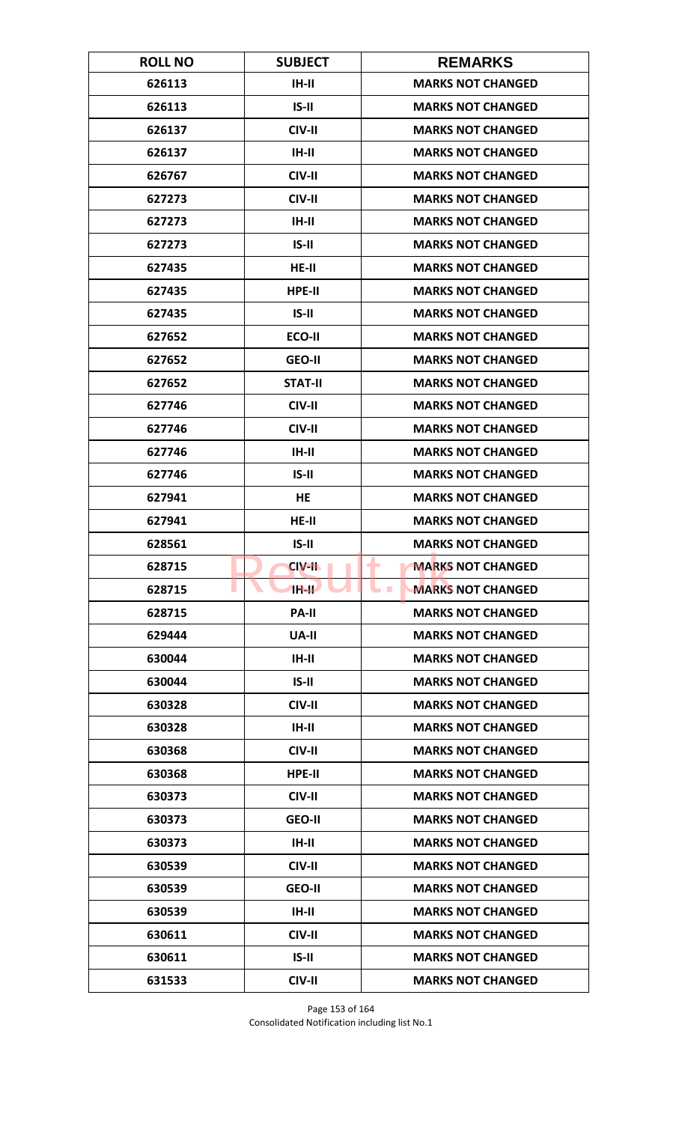| <b>ROLL NO</b> | <b>SUBJECT</b> | <b>REMARKS</b>                       |
|----------------|----------------|--------------------------------------|
| 626113         | $IH-II$        | <b>MARKS NOT CHANGED</b>             |
| 626113         | $IS-II$        | <b>MARKS NOT CHANGED</b>             |
| 626137         | CIV-II         | <b>MARKS NOT CHANGED</b>             |
| 626137         | $IH-II$        | <b>MARKS NOT CHANGED</b>             |
| 626767         | CIV-II         | <b>MARKS NOT CHANGED</b>             |
| 627273         | CIV-II         | <b>MARKS NOT CHANGED</b>             |
| 627273         | $IH-II$        | <b>MARKS NOT CHANGED</b>             |
| 627273         | $IS-II$        | <b>MARKS NOT CHANGED</b>             |
| 627435         | $HE-II$        | <b>MARKS NOT CHANGED</b>             |
| 627435         | HPE-II         | <b>MARKS NOT CHANGED</b>             |
| 627435         | $IS-II$        | <b>MARKS NOT CHANGED</b>             |
| 627652         | ECO-II         | <b>MARKS NOT CHANGED</b>             |
| 627652         | <b>GEO-II</b>  | <b>MARKS NOT CHANGED</b>             |
| 627652         | <b>STAT-II</b> | <b>MARKS NOT CHANGED</b>             |
| 627746         | CIV-II         | <b>MARKS NOT CHANGED</b>             |
| 627746         | CIV-II         | <b>MARKS NOT CHANGED</b>             |
| 627746         | $IH-II$        | <b>MARKS NOT CHANGED</b>             |
| 627746         | $IS-II$        | <b>MARKS NOT CHANGED</b>             |
| 627941         | <b>HE</b>      | <b>MARKS NOT CHANGED</b>             |
| 627941         | HE-II          | <b>MARKS NOT CHANGED</b>             |
| 628561         | $IS-II$        | <b>MARKS NOT CHANGED</b>             |
| 628715         | <b>CIV-II</b>  | <b>MARKS NOT CHANGED</b><br>٠        |
| 628715         | <b>TH-TL</b>   | <b>MARKS NOT CHANGED</b><br><b>I</b> |
| 628715         | <b>PA-II</b>   | <b>MARKS NOT CHANGED</b>             |
| 629444         | <b>UA-II</b>   | <b>MARKS NOT CHANGED</b>             |
| 630044         | $IH-II$        | <b>MARKS NOT CHANGED</b>             |
| 630044         | $IS-II$        | <b>MARKS NOT CHANGED</b>             |
| 630328         | CIV-II         | <b>MARKS NOT CHANGED</b>             |
| 630328         | $IH-II$        | <b>MARKS NOT CHANGED</b>             |
| 630368         | CIV-II         | <b>MARKS NOT CHANGED</b>             |
| 630368         | HPE-II         | <b>MARKS NOT CHANGED</b>             |
| 630373         | CIV-II         | <b>MARKS NOT CHANGED</b>             |
| 630373         | <b>GEO-II</b>  | <b>MARKS NOT CHANGED</b>             |
| 630373         | $IH-II$        | <b>MARKS NOT CHANGED</b>             |
| 630539         | CIV-II         | <b>MARKS NOT CHANGED</b>             |
| 630539         | <b>GEO-II</b>  | <b>MARKS NOT CHANGED</b>             |
| 630539         | $IH-II$        | <b>MARKS NOT CHANGED</b>             |
| 630611         | CIV-II         | <b>MARKS NOT CHANGED</b>             |
| 630611         | $IS-II$        | <b>MARKS NOT CHANGED</b>             |
| 631533         | CIV-II         | <b>MARKS NOT CHANGED</b>             |

Page 153 of 164 Consolidated Notification including list No.1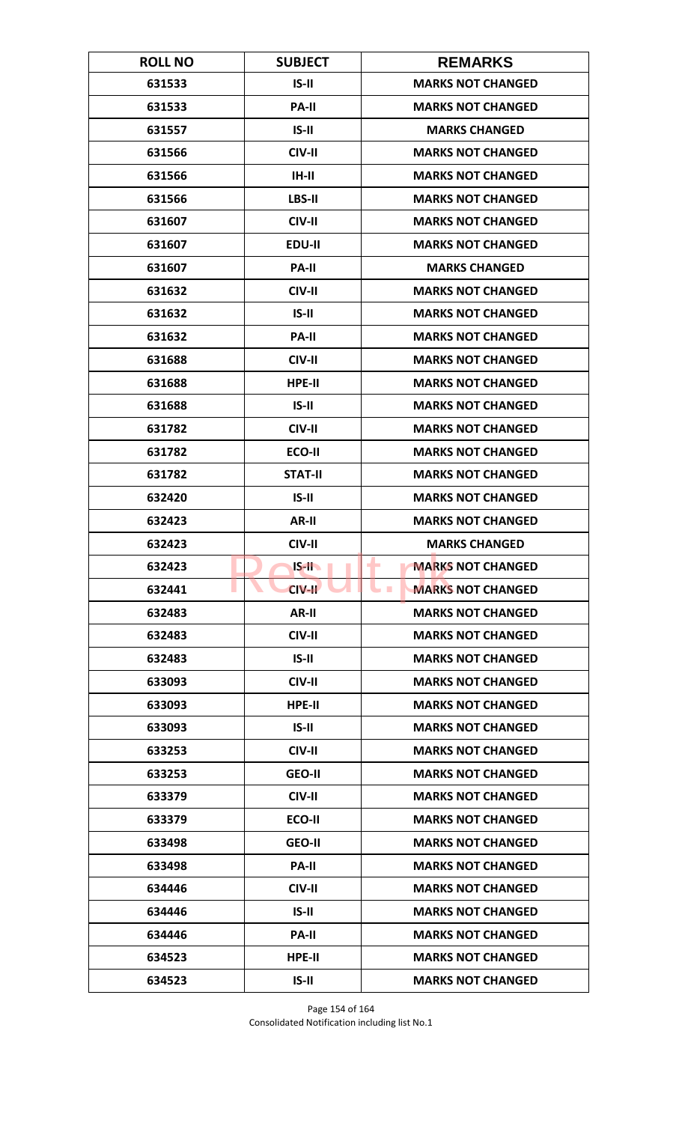| <b>ROLL NO</b> | <b>SUBJECT</b> | <b>REMARKS</b>                             |
|----------------|----------------|--------------------------------------------|
| 631533         | $IS-II$        | <b>MARKS NOT CHANGED</b>                   |
| 631533         | PA-II          | <b>MARKS NOT CHANGED</b>                   |
| 631557         | $IS-II$        | <b>MARKS CHANGED</b>                       |
| 631566         | CIV-II         | <b>MARKS NOT CHANGED</b>                   |
| 631566         | IH-II          | <b>MARKS NOT CHANGED</b>                   |
| 631566         | LBS-II         | <b>MARKS NOT CHANGED</b>                   |
| 631607         | CIV-II         | <b>MARKS NOT CHANGED</b>                   |
| 631607         | EDU-II         | <b>MARKS NOT CHANGED</b>                   |
| 631607         | <b>PA-II</b>   | <b>MARKS CHANGED</b>                       |
| 631632         | CIV-II         | <b>MARKS NOT CHANGED</b>                   |
| 631632         | $IS-II$        | <b>MARKS NOT CHANGED</b>                   |
| 631632         | <b>PA-II</b>   | <b>MARKS NOT CHANGED</b>                   |
| 631688         | CIV-II         | <b>MARKS NOT CHANGED</b>                   |
| 631688         | HPE-II         | <b>MARKS NOT CHANGED</b>                   |
| 631688         | $IS-II$        | <b>MARKS NOT CHANGED</b>                   |
| 631782         | CIV-II         | <b>MARKS NOT CHANGED</b>                   |
| 631782         | ECO-II         | <b>MARKS NOT CHANGED</b>                   |
| 631782         | <b>STAT-II</b> | <b>MARKS NOT CHANGED</b>                   |
| 632420         | $IS-II$        | <b>MARKS NOT CHANGED</b>                   |
| 632423         | AR-II          | <b>MARKS NOT CHANGED</b>                   |
| 632423         | CIV-II         | <b>MARKS CHANGED</b>                       |
| 632423         | $IS-H$         | <b>MARKS NOT CHANGED</b><br>۰              |
| 632441         | CIV-II         | <b>MARKS NOT CHANGED</b><br><b>College</b> |
| 632483         | AR-II          | <b>MARKS NOT CHANGED</b>                   |
| 632483         | CIV-II         | <b>MARKS NOT CHANGED</b>                   |
| 632483         | $IS-II$        | <b>MARKS NOT CHANGED</b>                   |
| 633093         | CIV-II         | <b>MARKS NOT CHANGED</b>                   |
| 633093         | HPE-II         | <b>MARKS NOT CHANGED</b>                   |
| 633093         | $IS-II$        | <b>MARKS NOT CHANGED</b>                   |
| 633253         | CIV-II         | <b>MARKS NOT CHANGED</b>                   |
| 633253         | <b>GEO-II</b>  | <b>MARKS NOT CHANGED</b>                   |
| 633379         | CIV-II         | <b>MARKS NOT CHANGED</b>                   |
| 633379         | ECO-II         | <b>MARKS NOT CHANGED</b>                   |
| 633498         | <b>GEO-II</b>  | <b>MARKS NOT CHANGED</b>                   |
| 633498         | <b>PA-II</b>   | <b>MARKS NOT CHANGED</b>                   |
| 634446         | CIV-II         | <b>MARKS NOT CHANGED</b>                   |
| 634446         | $IS-II$        | <b>MARKS NOT CHANGED</b>                   |
| 634446         | PA-II          | <b>MARKS NOT CHANGED</b>                   |
| 634523         | HPE-II         | <b>MARKS NOT CHANGED</b>                   |
| 634523         | $IS-II$        | <b>MARKS NOT CHANGED</b>                   |

Page 154 of 164 Consolidated Notification including list No.1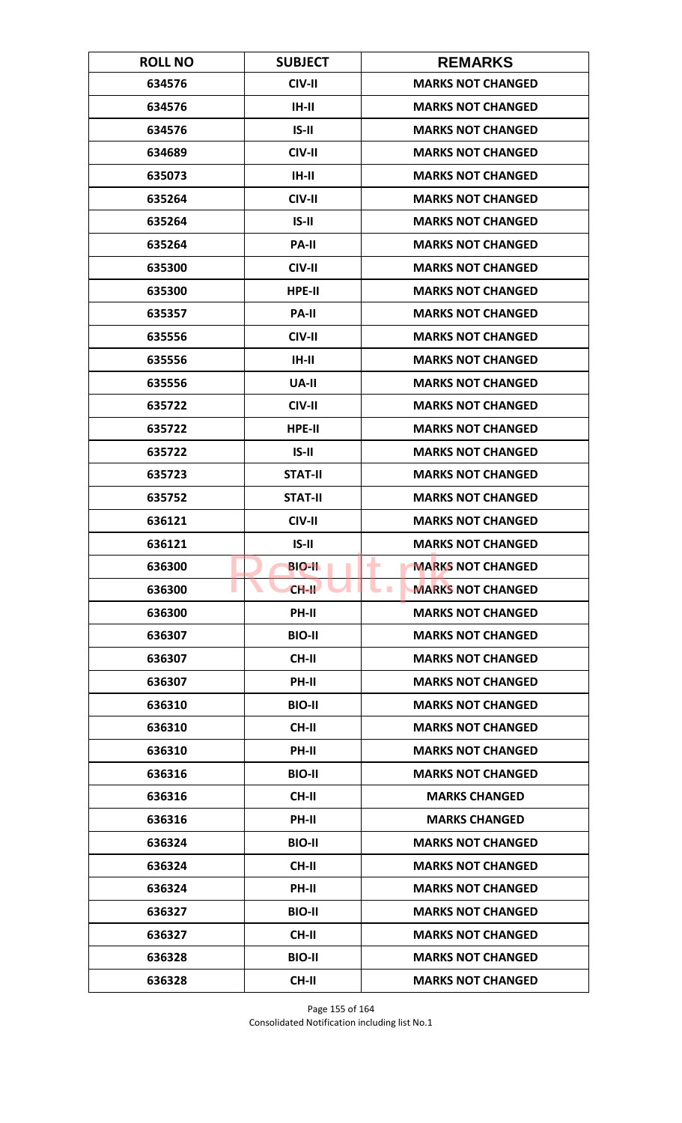| <b>ROLL NO</b> | <b>SUBJECT</b> | <b>REMARKS</b>                       |
|----------------|----------------|--------------------------------------|
| 634576         | CIV-II         | <b>MARKS NOT CHANGED</b>             |
| 634576         | $IH-II$        | <b>MARKS NOT CHANGED</b>             |
| 634576         | $IS-II$        | <b>MARKS NOT CHANGED</b>             |
| 634689         | CIV-II         | <b>MARKS NOT CHANGED</b>             |
| 635073         | IH-II          | <b>MARKS NOT CHANGED</b>             |
| 635264         | CIV-II         | <b>MARKS NOT CHANGED</b>             |
| 635264         | $IS-II$        | <b>MARKS NOT CHANGED</b>             |
| 635264         | <b>PA-II</b>   | <b>MARKS NOT CHANGED</b>             |
| 635300         | CIV-II         | <b>MARKS NOT CHANGED</b>             |
| 635300         | HPE-II         | <b>MARKS NOT CHANGED</b>             |
| 635357         | <b>PA-II</b>   | <b>MARKS NOT CHANGED</b>             |
| 635556         | CIV-II         | <b>MARKS NOT CHANGED</b>             |
| 635556         | $IH-II$        | <b>MARKS NOT CHANGED</b>             |
| 635556         | <b>UA-II</b>   | <b>MARKS NOT CHANGED</b>             |
| 635722         | CIV-II         | <b>MARKS NOT CHANGED</b>             |
| 635722         | HPE-II         | <b>MARKS NOT CHANGED</b>             |
| 635722         | $IS-II$        | <b>MARKS NOT CHANGED</b>             |
| 635723         | <b>STAT-II</b> | <b>MARKS NOT CHANGED</b>             |
| 635752         | <b>STAT-II</b> | <b>MARKS NOT CHANGED</b>             |
| 636121         | CIV-II         | <b>MARKS NOT CHANGED</b>             |
| 636121         | $IS-II$        | <b>MARKS NOT CHANGED</b>             |
| 636300         | <b>BIO-II</b>  | <b>MARKS NOT CHANGED</b><br>٠        |
| 636300         | $CH-H$         | <b>MARKS NOT CHANGED</b><br><b>I</b> |
| 636300         | <b>PH-II</b>   | <b>MARKS NOT CHANGED</b>             |
| 636307         | <b>BIO-II</b>  | <b>MARKS NOT CHANGED</b>             |
| 636307         | CH-II          | <b>MARKS NOT CHANGED</b>             |
| 636307         | PH-II          | <b>MARKS NOT CHANGED</b>             |
| 636310         | <b>BIO-II</b>  | <b>MARKS NOT CHANGED</b>             |
| 636310         | CH-II          | <b>MARKS NOT CHANGED</b>             |
| 636310         | <b>PH-II</b>   | <b>MARKS NOT CHANGED</b>             |
| 636316         | <b>BIO-II</b>  | <b>MARKS NOT CHANGED</b>             |
| 636316         | CH-II          | <b>MARKS CHANGED</b>                 |
| 636316         | PH-II          | <b>MARKS CHANGED</b>                 |
| 636324         | <b>BIO-II</b>  | <b>MARKS NOT CHANGED</b>             |
| 636324         | CH-II          | <b>MARKS NOT CHANGED</b>             |
| 636324         | PH-II          | <b>MARKS NOT CHANGED</b>             |
| 636327         | <b>BIO-II</b>  | <b>MARKS NOT CHANGED</b>             |
| 636327         | <b>CH-II</b>   | <b>MARKS NOT CHANGED</b>             |
| 636328         | <b>BIO-II</b>  | <b>MARKS NOT CHANGED</b>             |
| 636328         | <b>CH-II</b>   | <b>MARKS NOT CHANGED</b>             |

Page 155 of 164 Consolidated Notification including list No.1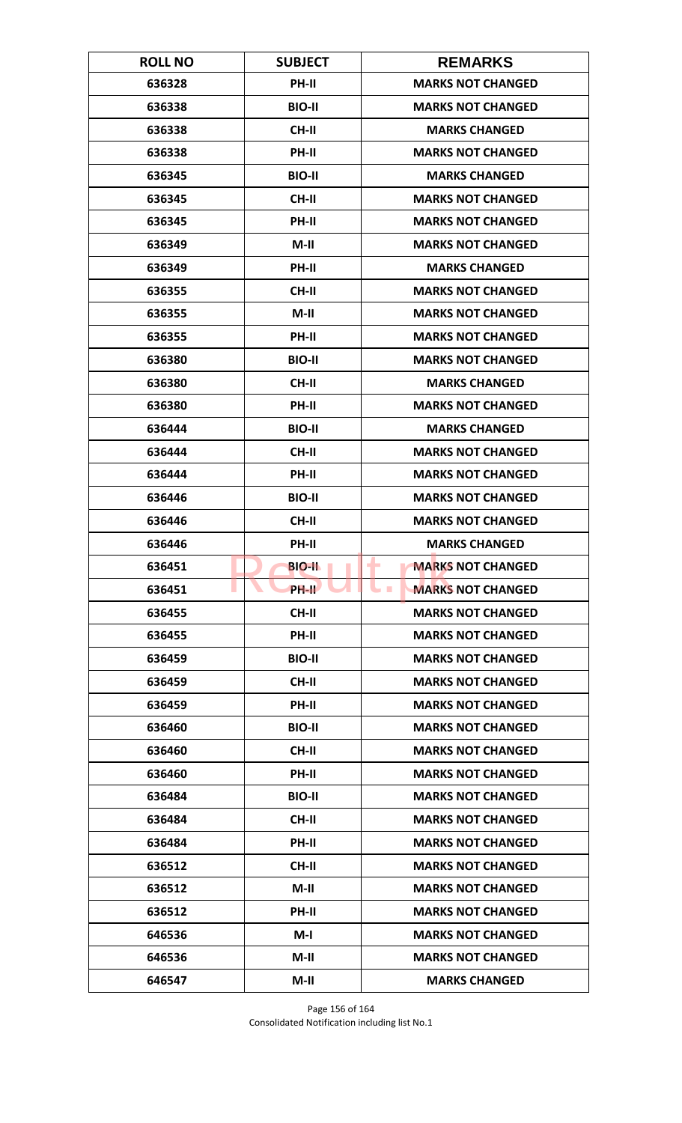| <b>ROLL NO</b> | <b>SUBJECT</b> | <b>REMARKS</b>                       |
|----------------|----------------|--------------------------------------|
| 636328         | PH-II          | <b>MARKS NOT CHANGED</b>             |
| 636338         | <b>BIO-II</b>  | <b>MARKS NOT CHANGED</b>             |
| 636338         | <b>CH-II</b>   | <b>MARKS CHANGED</b>                 |
| 636338         | <b>PH-II</b>   | <b>MARKS NOT CHANGED</b>             |
| 636345         | <b>BIO-II</b>  | <b>MARKS CHANGED</b>                 |
| 636345         | <b>CH-II</b>   | <b>MARKS NOT CHANGED</b>             |
| 636345         | <b>PH-II</b>   | <b>MARKS NOT CHANGED</b>             |
| 636349         | M-II           | <b>MARKS NOT CHANGED</b>             |
| 636349         | PH-II          | <b>MARKS CHANGED</b>                 |
| 636355         | <b>CH-II</b>   | <b>MARKS NOT CHANGED</b>             |
| 636355         | $M-II$         | <b>MARKS NOT CHANGED</b>             |
| 636355         | <b>PH-II</b>   | <b>MARKS NOT CHANGED</b>             |
| 636380         | <b>BIO-II</b>  | <b>MARKS NOT CHANGED</b>             |
| 636380         | <b>CH-II</b>   | <b>MARKS CHANGED</b>                 |
| 636380         | <b>PH-II</b>   | <b>MARKS NOT CHANGED</b>             |
| 636444         | <b>BIO-II</b>  | <b>MARKS CHANGED</b>                 |
| 636444         | <b>CH-II</b>   | <b>MARKS NOT CHANGED</b>             |
| 636444         | PH-II          | <b>MARKS NOT CHANGED</b>             |
| 636446         | <b>BIO-II</b>  | <b>MARKS NOT CHANGED</b>             |
| 636446         | <b>CH-II</b>   | <b>MARKS NOT CHANGED</b>             |
| 636446         | <b>PH-II</b>   | <b>MARKS CHANGED</b>                 |
| 636451         | <b>BIO-II</b>  | <b>MARKS NOT CHANGED</b><br>٠        |
| 636451         | PH-IL          | <b>MARKS NOT CHANGED</b><br><b>I</b> |
| 636455         | <b>CH-II</b>   | <b>MARKS NOT CHANGED</b>             |
| 636455         | PH-II          | <b>MARKS NOT CHANGED</b>             |
| 636459         | <b>BIO-II</b>  | <b>MARKS NOT CHANGED</b>             |
| 636459         | <b>CH-II</b>   | <b>MARKS NOT CHANGED</b>             |
| 636459         | <b>PH-II</b>   | <b>MARKS NOT CHANGED</b>             |
| 636460         | <b>BIO-II</b>  | <b>MARKS NOT CHANGED</b>             |
| 636460         | <b>CH-II</b>   | <b>MARKS NOT CHANGED</b>             |
| 636460         | PH-II          | <b>MARKS NOT CHANGED</b>             |
| 636484         | <b>BIO-II</b>  | <b>MARKS NOT CHANGED</b>             |
| 636484         | CH-II          | <b>MARKS NOT CHANGED</b>             |
| 636484         | PH-II          | <b>MARKS NOT CHANGED</b>             |
| 636512         | CH-II          | <b>MARKS NOT CHANGED</b>             |
| 636512         | $M-II$         | <b>MARKS NOT CHANGED</b>             |
| 636512         | PH-II          | <b>MARKS NOT CHANGED</b>             |
| 646536         | M-I            | <b>MARKS NOT CHANGED</b>             |
| 646536         | $M-II$         | <b>MARKS NOT CHANGED</b>             |
| 646547         | $M-II$         | <b>MARKS CHANGED</b>                 |

Page 156 of 164 Consolidated Notification including list No.1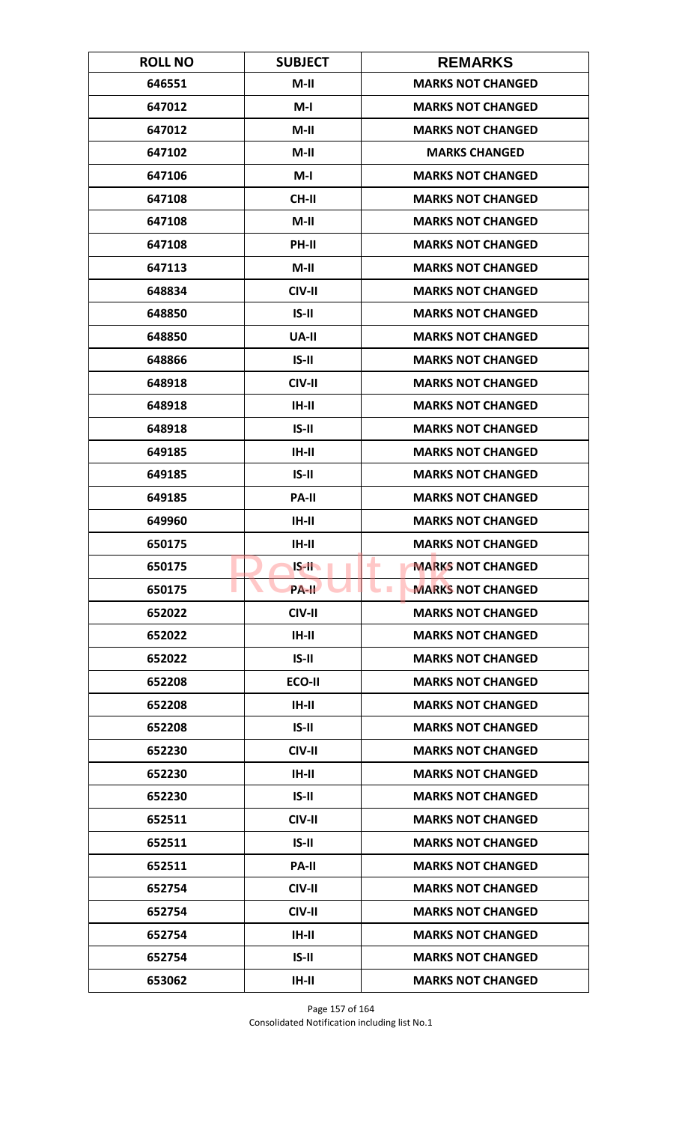| <b>ROLL NO</b> | <b>SUBJECT</b> | <b>REMARKS</b>                             |
|----------------|----------------|--------------------------------------------|
| 646551         | $M-II$         | <b>MARKS NOT CHANGED</b>                   |
| 647012         | $M-I$          | <b>MARKS NOT CHANGED</b>                   |
| 647012         | $M-II$         | <b>MARKS NOT CHANGED</b>                   |
| 647102         | $M-II$         | <b>MARKS CHANGED</b>                       |
| 647106         | $M-I$          | <b>MARKS NOT CHANGED</b>                   |
| 647108         | CH-II          | <b>MARKS NOT CHANGED</b>                   |
| 647108         | $M-II$         | <b>MARKS NOT CHANGED</b>                   |
| 647108         | <b>PH-II</b>   | <b>MARKS NOT CHANGED</b>                   |
| 647113         | $M-II$         | <b>MARKS NOT CHANGED</b>                   |
| 648834         | CIV-II         | <b>MARKS NOT CHANGED</b>                   |
| 648850         | $IS-II$        | <b>MARKS NOT CHANGED</b>                   |
| 648850         | <b>UA-II</b>   | <b>MARKS NOT CHANGED</b>                   |
| 648866         | $IS-II$        | <b>MARKS NOT CHANGED</b>                   |
| 648918         | CIV-II         | <b>MARKS NOT CHANGED</b>                   |
| 648918         | $IH-II$        | <b>MARKS NOT CHANGED</b>                   |
| 648918         | $IS-II$        | <b>MARKS NOT CHANGED</b>                   |
| 649185         | $IH-II$        | <b>MARKS NOT CHANGED</b>                   |
| 649185         | $IS-II$        | <b>MARKS NOT CHANGED</b>                   |
| 649185         | <b>PA-II</b>   | <b>MARKS NOT CHANGED</b>                   |
| 649960         | $IH-II$        | <b>MARKS NOT CHANGED</b>                   |
| 650175         | IH-II          | <b>MARKS NOT CHANGED</b>                   |
| 650175         | $IS-H$         | <b>MARKS NOT CHANGED</b>                   |
| 650175         | <b>PA-II</b>   | <b>MARKS NOT CHANGED</b><br><b>College</b> |
| 652022         | CIV-II         | <b>MARKS NOT CHANGED</b>                   |
| 652022         | $IH-II$        | <b>MARKS NOT CHANGED</b>                   |
| 652022         | $IS-II$        | <b>MARKS NOT CHANGED</b>                   |
| 652208         | ECO-II         | <b>MARKS NOT CHANGED</b>                   |
| 652208         | $IH-II$        | <b>MARKS NOT CHANGED</b>                   |
| 652208         | $IS-II$        | <b>MARKS NOT CHANGED</b>                   |
| 652230         | CIV-II         | <b>MARKS NOT CHANGED</b>                   |
| 652230         | IH-II          | <b>MARKS NOT CHANGED</b>                   |
| 652230         | $IS-II$        | <b>MARKS NOT CHANGED</b>                   |
| 652511         | CIV-II         | <b>MARKS NOT CHANGED</b>                   |
| 652511         | $IS-II$        | <b>MARKS NOT CHANGED</b>                   |
| 652511         | <b>PA-II</b>   | <b>MARKS NOT CHANGED</b>                   |
| 652754         | CIV-II         | <b>MARKS NOT CHANGED</b>                   |
| 652754         | CIV-II         | <b>MARKS NOT CHANGED</b>                   |
| 652754         | $IH-II$        | <b>MARKS NOT CHANGED</b>                   |
| 652754         | $IS-II$        | <b>MARKS NOT CHANGED</b>                   |
| 653062         | $IH-II$        | <b>MARKS NOT CHANGED</b>                   |

Page 157 of 164 Consolidated Notification including list No.1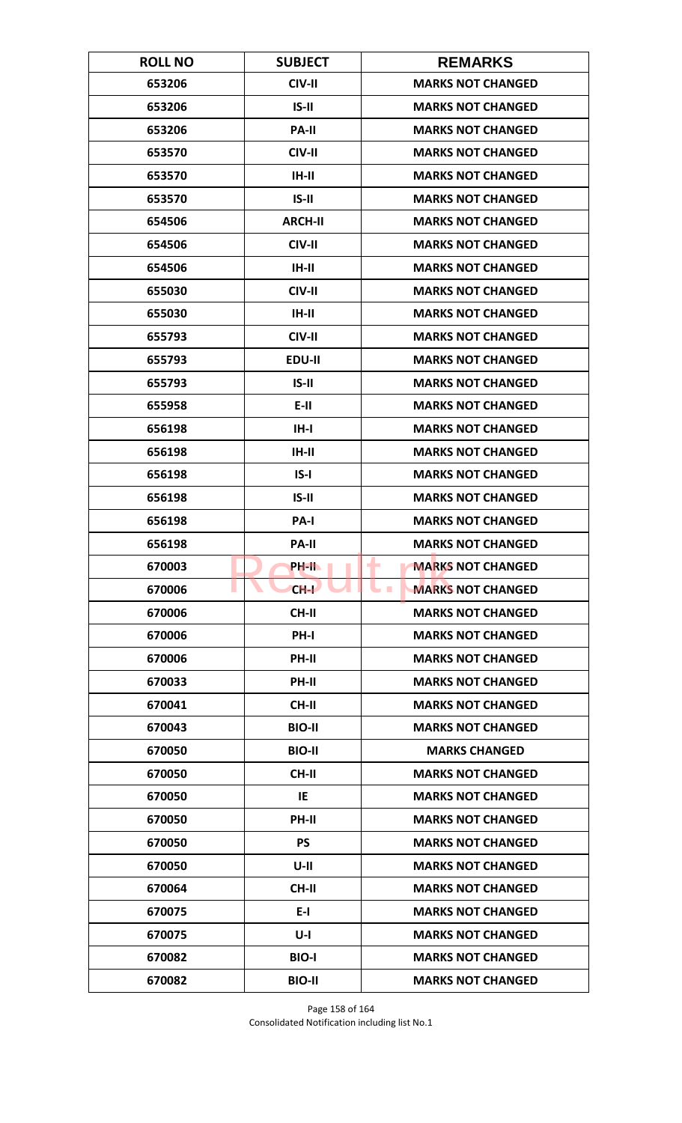| <b>ROLL NO</b> | <b>SUBJECT</b> | <b>REMARKS</b>                       |
|----------------|----------------|--------------------------------------|
| 653206         | CIV-II         | <b>MARKS NOT CHANGED</b>             |
| 653206         | $IS-II$        | <b>MARKS NOT CHANGED</b>             |
| 653206         | <b>PA-II</b>   | <b>MARKS NOT CHANGED</b>             |
| 653570         | CIV-II         | <b>MARKS NOT CHANGED</b>             |
| 653570         | IH-II          | <b>MARKS NOT CHANGED</b>             |
| 653570         | $IS-II$        | <b>MARKS NOT CHANGED</b>             |
| 654506         | <b>ARCH-II</b> | <b>MARKS NOT CHANGED</b>             |
| 654506         | CIV-II         | <b>MARKS NOT CHANGED</b>             |
| 654506         | $IH-II$        | <b>MARKS NOT CHANGED</b>             |
| 655030         | CIV-II         | <b>MARKS NOT CHANGED</b>             |
| 655030         | IH-II          | <b>MARKS NOT CHANGED</b>             |
| 655793         | CIV-II         | <b>MARKS NOT CHANGED</b>             |
| 655793         | EDU-II         | <b>MARKS NOT CHANGED</b>             |
| 655793         | $IS-II$        | <b>MARKS NOT CHANGED</b>             |
| 655958         | E-II           | <b>MARKS NOT CHANGED</b>             |
| 656198         | $IH - I$       | <b>MARKS NOT CHANGED</b>             |
| 656198         | $IH-II$        | <b>MARKS NOT CHANGED</b>             |
| 656198         | $IS-I$         | <b>MARKS NOT CHANGED</b>             |
| 656198         | $IS-II$        | <b>MARKS NOT CHANGED</b>             |
| 656198         | PA-I           | <b>MARKS NOT CHANGED</b>             |
| 656198         | <b>PA-II</b>   | <b>MARKS NOT CHANGED</b>             |
| 670003         | PH-IL          | <b>MARKS NOT CHANGED</b><br>٠        |
| 670006         | $CH-I$         | <b>MARKS NOT CHANGED</b><br><b>I</b> |
| 670006         | <b>CH-II</b>   | <b>MARKS NOT CHANGED</b>             |
| 670006         | PH-I           | <b>MARKS NOT CHANGED</b>             |
| 670006         | <b>PH-II</b>   | <b>MARKS NOT CHANGED</b>             |
| 670033         | PH-II          | <b>MARKS NOT CHANGED</b>             |
| 670041         | <b>CH-II</b>   | <b>MARKS NOT CHANGED</b>             |
| 670043         | <b>BIO-II</b>  | <b>MARKS NOT CHANGED</b>             |
| 670050         | <b>BIO-II</b>  | <b>MARKS CHANGED</b>                 |
| 670050         | <b>CH-II</b>   | <b>MARKS NOT CHANGED</b>             |
| 670050         | IE             | <b>MARKS NOT CHANGED</b>             |
| 670050         | PH-II          | <b>MARKS NOT CHANGED</b>             |
| 670050         | <b>PS</b>      | <b>MARKS NOT CHANGED</b>             |
| 670050         | $U-II$         | <b>MARKS NOT CHANGED</b>             |
| 670064         | <b>CH-II</b>   | <b>MARKS NOT CHANGED</b>             |
| 670075         | $E-I$          | <b>MARKS NOT CHANGED</b>             |
| 670075         | $U-I$          | <b>MARKS NOT CHANGED</b>             |
| 670082         | <b>BIO-I</b>   | <b>MARKS NOT CHANGED</b>             |
| 670082         | <b>BIO-II</b>  | <b>MARKS NOT CHANGED</b>             |

Page 158 of 164 Consolidated Notification including list No.1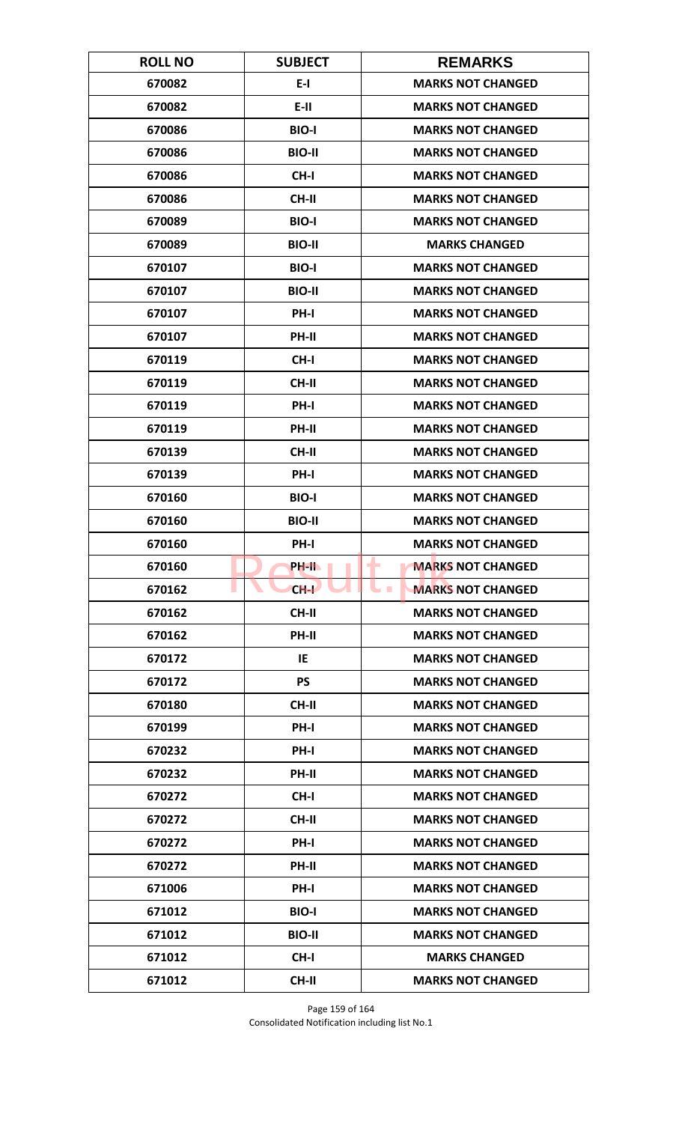| <b>ROLL NO</b> | <b>SUBJECT</b> | <b>REMARKS</b>                       |
|----------------|----------------|--------------------------------------|
| 670082         | $E-I$          | <b>MARKS NOT CHANGED</b>             |
| 670082         | $E-H$          | <b>MARKS NOT CHANGED</b>             |
| 670086         | <b>BIO-I</b>   | <b>MARKS NOT CHANGED</b>             |
| 670086         | <b>BIO-II</b>  | <b>MARKS NOT CHANGED</b>             |
| 670086         | CH-I           | <b>MARKS NOT CHANGED</b>             |
| 670086         | CH-II          | <b>MARKS NOT CHANGED</b>             |
| 670089         | <b>BIO-I</b>   | <b>MARKS NOT CHANGED</b>             |
| 670089         | <b>BIO-II</b>  | <b>MARKS CHANGED</b>                 |
| 670107         | <b>BIO-I</b>   | <b>MARKS NOT CHANGED</b>             |
| 670107         | <b>BIO-II</b>  | <b>MARKS NOT CHANGED</b>             |
| 670107         | <b>PH-I</b>    | <b>MARKS NOT CHANGED</b>             |
| 670107         | PH-II          | <b>MARKS NOT CHANGED</b>             |
| 670119         | CH-I           | <b>MARKS NOT CHANGED</b>             |
| 670119         | CH-II          | <b>MARKS NOT CHANGED</b>             |
| 670119         | PH-I           | <b>MARKS NOT CHANGED</b>             |
| 670119         | PH-II          | <b>MARKS NOT CHANGED</b>             |
| 670139         | <b>CH-II</b>   | <b>MARKS NOT CHANGED</b>             |
| 670139         | PH-I           | <b>MARKS NOT CHANGED</b>             |
| 670160         | <b>BIO-I</b>   | <b>MARKS NOT CHANGED</b>             |
| 670160         | <b>BIO-II</b>  | <b>MARKS NOT CHANGED</b>             |
| 670160         | PH-I           | <b>MARKS NOT CHANGED</b>             |
| 670160         | PH-II.         | ۰<br><b>MARKS NOT CHANGED</b>        |
| 670162         | $CH-I$         | <b>MARKS NOT CHANGED</b><br><b>I</b> |
| 670162         | <b>CH-II</b>   | <b>MARKS NOT CHANGED</b>             |
| 670162         | PH-II          | <b>MARKS NOT CHANGED</b>             |
| 670172         | IE             | <b>MARKS NOT CHANGED</b>             |
| 670172         | <b>PS</b>      | <b>MARKS NOT CHANGED</b>             |
| 670180         | <b>CH-II</b>   | <b>MARKS NOT CHANGED</b>             |
| 670199         | PH-I           | <b>MARKS NOT CHANGED</b>             |
| 670232         | PH-I           | <b>MARKS NOT CHANGED</b>             |
| 670232         | PH-II          | <b>MARKS NOT CHANGED</b>             |
| 670272         | CH-I           | <b>MARKS NOT CHANGED</b>             |
| 670272         | <b>CH-II</b>   | <b>MARKS NOT CHANGED</b>             |
| 670272         | <b>PH-I</b>    | <b>MARKS NOT CHANGED</b>             |
| 670272         | PH-II          | <b>MARKS NOT CHANGED</b>             |
| 671006         | PH-I           | <b>MARKS NOT CHANGED</b>             |
| 671012         | <b>BIO-I</b>   | <b>MARKS NOT CHANGED</b>             |
| 671012         | <b>BIO-II</b>  | <b>MARKS NOT CHANGED</b>             |
| 671012         | $CH-I$         | <b>MARKS CHANGED</b>                 |
| 671012         | <b>CH-II</b>   | <b>MARKS NOT CHANGED</b>             |

Page 159 of 164 Consolidated Notification including list No.1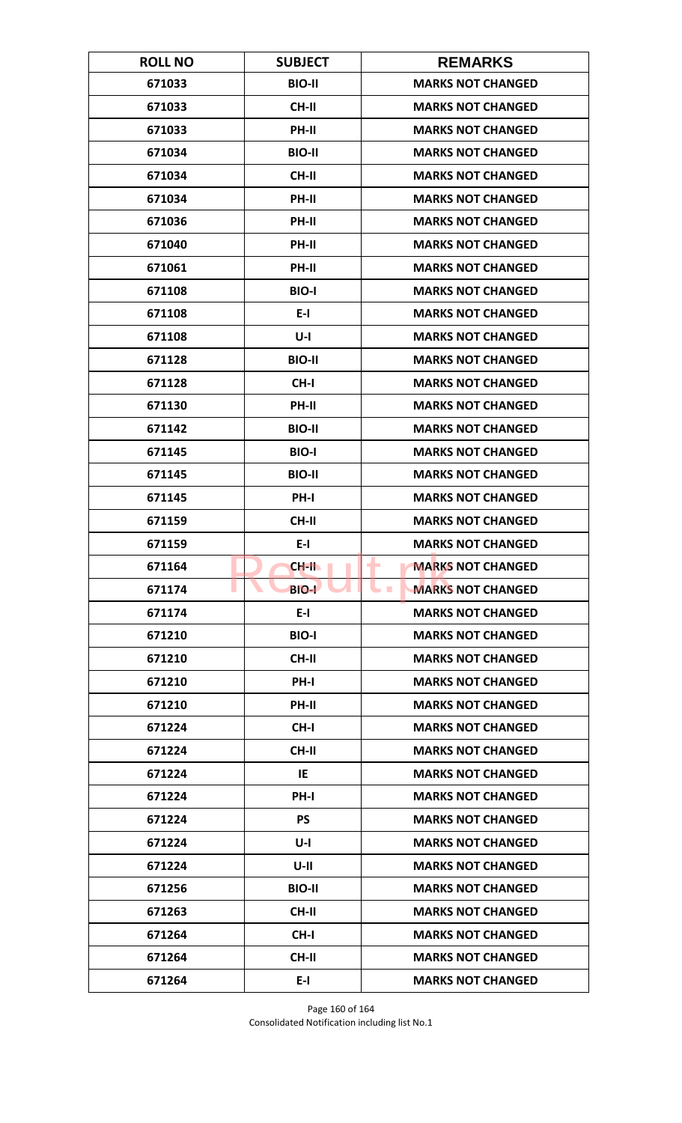| <b>ROLL NO</b> | <b>SUBJECT</b> | <b>REMARKS</b>                       |
|----------------|----------------|--------------------------------------|
| 671033         | <b>BIO-II</b>  | <b>MARKS NOT CHANGED</b>             |
| 671033         | <b>CH-II</b>   | <b>MARKS NOT CHANGED</b>             |
| 671033         | PH-II          | <b>MARKS NOT CHANGED</b>             |
| 671034         | <b>BIO-II</b>  | <b>MARKS NOT CHANGED</b>             |
| 671034         | <b>CH-II</b>   | <b>MARKS NOT CHANGED</b>             |
| 671034         | PH-II          | <b>MARKS NOT CHANGED</b>             |
| 671036         | <b>PH-II</b>   | <b>MARKS NOT CHANGED</b>             |
| 671040         | PH-II          | <b>MARKS NOT CHANGED</b>             |
| 671061         | PH-II          | <b>MARKS NOT CHANGED</b>             |
| 671108         | <b>BIO-I</b>   | <b>MARKS NOT CHANGED</b>             |
| 671108         | E-I            | <b>MARKS NOT CHANGED</b>             |
| 671108         | $U-I$          | <b>MARKS NOT CHANGED</b>             |
| 671128         | <b>BIO-II</b>  | <b>MARKS NOT CHANGED</b>             |
| 671128         | CH-I           | <b>MARKS NOT CHANGED</b>             |
| 671130         | PH-II          | <b>MARKS NOT CHANGED</b>             |
| 671142         | <b>BIO-II</b>  | <b>MARKS NOT CHANGED</b>             |
| 671145         | <b>BIO-I</b>   | <b>MARKS NOT CHANGED</b>             |
| 671145         | <b>BIO-II</b>  | <b>MARKS NOT CHANGED</b>             |
| 671145         | PH-I           | <b>MARKS NOT CHANGED</b>             |
| 671159         | <b>CH-II</b>   | <b>MARKS NOT CHANGED</b>             |
| 671159         | $E-I$          | <b>MARKS NOT CHANGED</b>             |
| 671164         | CH-II          | <b>MARKS NOT CHANGED</b><br>٠        |
| 671174         | <b>BIO-L</b>   | <b>MARKS NOT CHANGED</b><br><b>I</b> |
| 671174         | $E-I$          | <b>MARKS NOT CHANGED</b>             |
| 671210         | <b>BIO-I</b>   | <b>MARKS NOT CHANGED</b>             |
| 671210         | CH-II          | <b>MARKS NOT CHANGED</b>             |
| 671210         | PH-I           | <b>MARKS NOT CHANGED</b>             |
| 671210         | <b>PH-II</b>   | <b>MARKS NOT CHANGED</b>             |
| 671224         | CH-I           | <b>MARKS NOT CHANGED</b>             |
| 671224         | <b>CH-II</b>   | <b>MARKS NOT CHANGED</b>             |
| 671224         | IE             | <b>MARKS NOT CHANGED</b>             |
| 671224         | <b>PH-I</b>    | <b>MARKS NOT CHANGED</b>             |
| 671224         | <b>PS</b>      | <b>MARKS NOT CHANGED</b>             |
| 671224         | U-I            | <b>MARKS NOT CHANGED</b>             |
| 671224         | $U-II$         | <b>MARKS NOT CHANGED</b>             |
| 671256         | <b>BIO-II</b>  | <b>MARKS NOT CHANGED</b>             |
| 671263         | CH-II          | <b>MARKS NOT CHANGED</b>             |
| 671264         | CH-I           | <b>MARKS NOT CHANGED</b>             |
| 671264         | CH-II          | <b>MARKS NOT CHANGED</b>             |
| 671264         | $E-I$          | <b>MARKS NOT CHANGED</b>             |

Page 160 of 164 Consolidated Notification including list No.1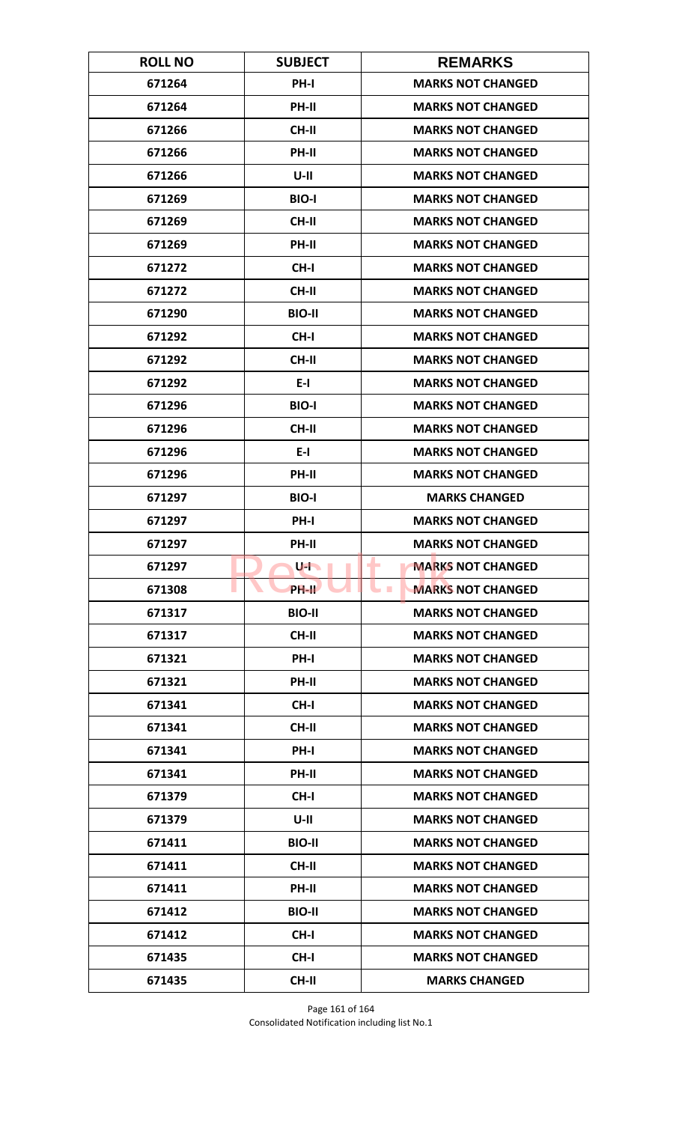| <b>ROLL NO</b> | <b>SUBJECT</b>       | <b>REMARKS</b>                         |
|----------------|----------------------|----------------------------------------|
| 671264         | PH-I                 | <b>MARKS NOT CHANGED</b>               |
| 671264         | PH-II                | <b>MARKS NOT CHANGED</b>               |
| 671266         | <b>CH-II</b>         | <b>MARKS NOT CHANGED</b>               |
| 671266         | PH-II                | <b>MARKS NOT CHANGED</b>               |
| 671266         | $U-II$               | <b>MARKS NOT CHANGED</b>               |
| 671269         | <b>BIO-I</b>         | <b>MARKS NOT CHANGED</b>               |
| 671269         | <b>CH-II</b>         | <b>MARKS NOT CHANGED</b>               |
| 671269         | PH-II                | <b>MARKS NOT CHANGED</b>               |
| 671272         | CH-I                 | <b>MARKS NOT CHANGED</b>               |
| 671272         | CH-II                | <b>MARKS NOT CHANGED</b>               |
| 671290         | <b>BIO-II</b>        | <b>MARKS NOT CHANGED</b>               |
| 671292         | CH-I                 | <b>MARKS NOT CHANGED</b>               |
| 671292         | CH-II                | <b>MARKS NOT CHANGED</b>               |
| 671292         | $E-I$                | <b>MARKS NOT CHANGED</b>               |
| 671296         | <b>BIO-I</b>         | <b>MARKS NOT CHANGED</b>               |
| 671296         | CH-II                | <b>MARKS NOT CHANGED</b>               |
| 671296         | $E-I$                | <b>MARKS NOT CHANGED</b>               |
| 671296         | PH-II                | <b>MARKS NOT CHANGED</b>               |
| 671297         | <b>BIO-I</b>         | <b>MARKS CHANGED</b>                   |
| 671297         | PH-I                 | <b>MARKS NOT CHANGED</b>               |
| 671297         | PH-II                | <b>MARKS NOT CHANGED</b>               |
| 671297         | $U$ - $\blacksquare$ | ۰<br><b>MARKS NOT CHANGED</b>          |
| 671308         | <b>PH-IL</b>         | <b>MARKS NOT CHANGED</b><br><b>COL</b> |
| 671317         | <b>BIO-II</b>        | <b>MARKS NOT CHANGED</b>               |
| 671317         | CH-II                | <b>MARKS NOT CHANGED</b>               |
| 671321         | <b>PH-I</b>          | <b>MARKS NOT CHANGED</b>               |
| 671321         | PH-II                | <b>MARKS NOT CHANGED</b>               |
| 671341         | CH-I                 | <b>MARKS NOT CHANGED</b>               |
| 671341         | <b>CH-II</b>         | <b>MARKS NOT CHANGED</b>               |
| 671341         | PH-I                 | <b>MARKS NOT CHANGED</b>               |
| 671341         | PH-II                | <b>MARKS NOT CHANGED</b>               |
| 671379         | CH-I                 | <b>MARKS NOT CHANGED</b>               |
| 671379         | U-II                 | <b>MARKS NOT CHANGED</b>               |
| 671411         | <b>BIO-II</b>        | <b>MARKS NOT CHANGED</b>               |
| 671411         | CH-II                | <b>MARKS NOT CHANGED</b>               |
| 671411         | PH-II                | <b>MARKS NOT CHANGED</b>               |
| 671412         | <b>BIO-II</b>        | <b>MARKS NOT CHANGED</b>               |
| 671412         | CH-I                 | <b>MARKS NOT CHANGED</b>               |
| 671435         | CH-I                 | <b>MARKS NOT CHANGED</b>               |
| 671435         | CH-II                | <b>MARKS CHANGED</b>                   |

Page 161 of 164 Consolidated Notification including list No.1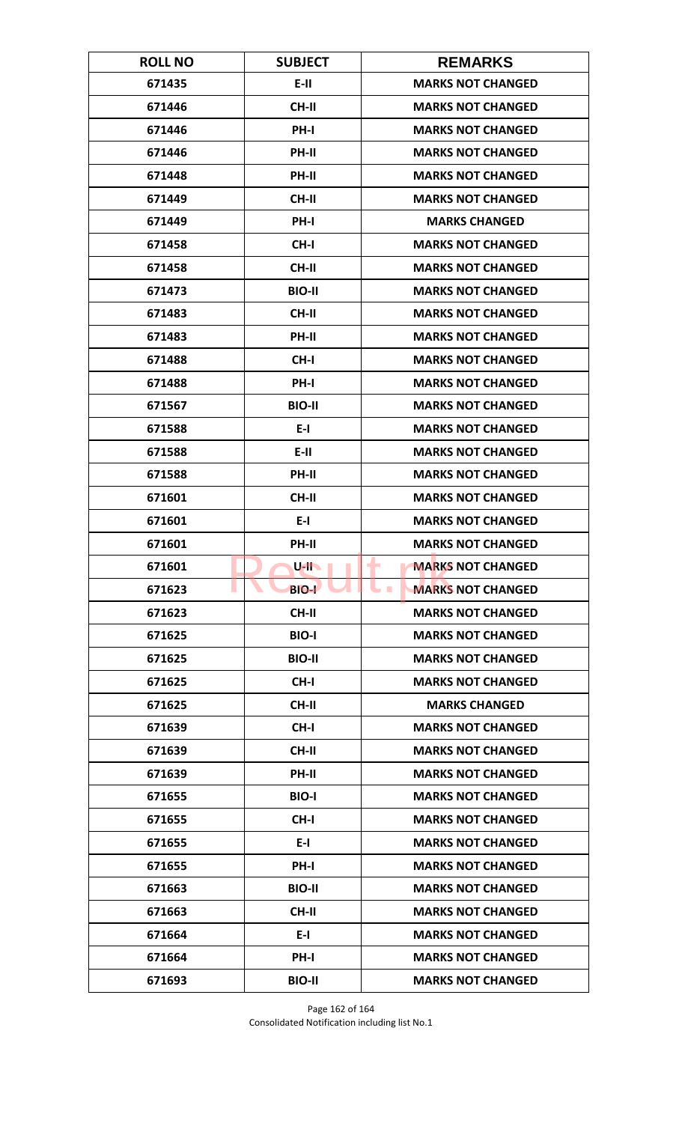| <b>ROLL NO</b> | <b>SUBJECT</b> | <b>REMARKS</b>                         |
|----------------|----------------|----------------------------------------|
| 671435         | E-II           | <b>MARKS NOT CHANGED</b>               |
| 671446         | <b>CH-II</b>   | <b>MARKS NOT CHANGED</b>               |
| 671446         | PH-I           | <b>MARKS NOT CHANGED</b>               |
| 671446         | PH-II          | <b>MARKS NOT CHANGED</b>               |
| 671448         | <b>PH-II</b>   | <b>MARKS NOT CHANGED</b>               |
| 671449         | <b>CH-II</b>   | <b>MARKS NOT CHANGED</b>               |
| 671449         | <b>PH-I</b>    | <b>MARKS CHANGED</b>                   |
| 671458         | CH-I           | <b>MARKS NOT CHANGED</b>               |
| 671458         | <b>CH-II</b>   | <b>MARKS NOT CHANGED</b>               |
| 671473         | <b>BIO-II</b>  | <b>MARKS NOT CHANGED</b>               |
| 671483         | <b>CH-II</b>   | <b>MARKS NOT CHANGED</b>               |
| 671483         | <b>PH-II</b>   | <b>MARKS NOT CHANGED</b>               |
| 671488         | CH-I           | <b>MARKS NOT CHANGED</b>               |
| 671488         | PH-I           | <b>MARKS NOT CHANGED</b>               |
| 671567         | <b>BIO-II</b>  | <b>MARKS NOT CHANGED</b>               |
| 671588         | $E-I$          | <b>MARKS NOT CHANGED</b>               |
| 671588         | $E-II$         | <b>MARKS NOT CHANGED</b>               |
| 671588         | PH-II          | <b>MARKS NOT CHANGED</b>               |
| 671601         | <b>CH-II</b>   | <b>MARKS NOT CHANGED</b>               |
| 671601         | $E-I$          | <b>MARKS NOT CHANGED</b>               |
| 671601         | PH-II          | <b>MARKS NOT CHANGED</b>               |
| 671601         | $U$ -ll        | <b>MARKS NOT CHANGED</b><br>٠          |
| 671623         | <b>BIO-L</b>   | <b>MARKS NOT CHANGED</b><br><b>COL</b> |
| 671623         | CH-II          | <b>MARKS NOT CHANGED</b>               |
| 671625         | <b>BIO-I</b>   | <b>MARKS NOT CHANGED</b>               |
| 671625         | <b>BIO-II</b>  | <b>MARKS NOT CHANGED</b>               |
| 671625         | CH-I           | <b>MARKS NOT CHANGED</b>               |
| 671625         | <b>CH-II</b>   | <b>MARKS CHANGED</b>                   |
| 671639         | CH-I           | <b>MARKS NOT CHANGED</b>               |
| 671639         | <b>CH-II</b>   | <b>MARKS NOT CHANGED</b>               |
| 671639         | <b>PH-II</b>   | <b>MARKS NOT CHANGED</b>               |
| 671655         | <b>BIO-I</b>   | <b>MARKS NOT CHANGED</b>               |
| 671655         | CH-I           | <b>MARKS NOT CHANGED</b>               |
| 671655         | E-I            | <b>MARKS NOT CHANGED</b>               |
| 671655         | <b>PH-I</b>    | <b>MARKS NOT CHANGED</b>               |
| 671663         | <b>BIO-II</b>  | <b>MARKS NOT CHANGED</b>               |
| 671663         | CH-II          | <b>MARKS NOT CHANGED</b>               |
| 671664         | $E-I$          | <b>MARKS NOT CHANGED</b>               |
| 671664         | <b>PH-I</b>    | <b>MARKS NOT CHANGED</b>               |
| 671693         | <b>BIO-II</b>  | <b>MARKS NOT CHANGED</b>               |

Page 162 of 164 Consolidated Notification including list No.1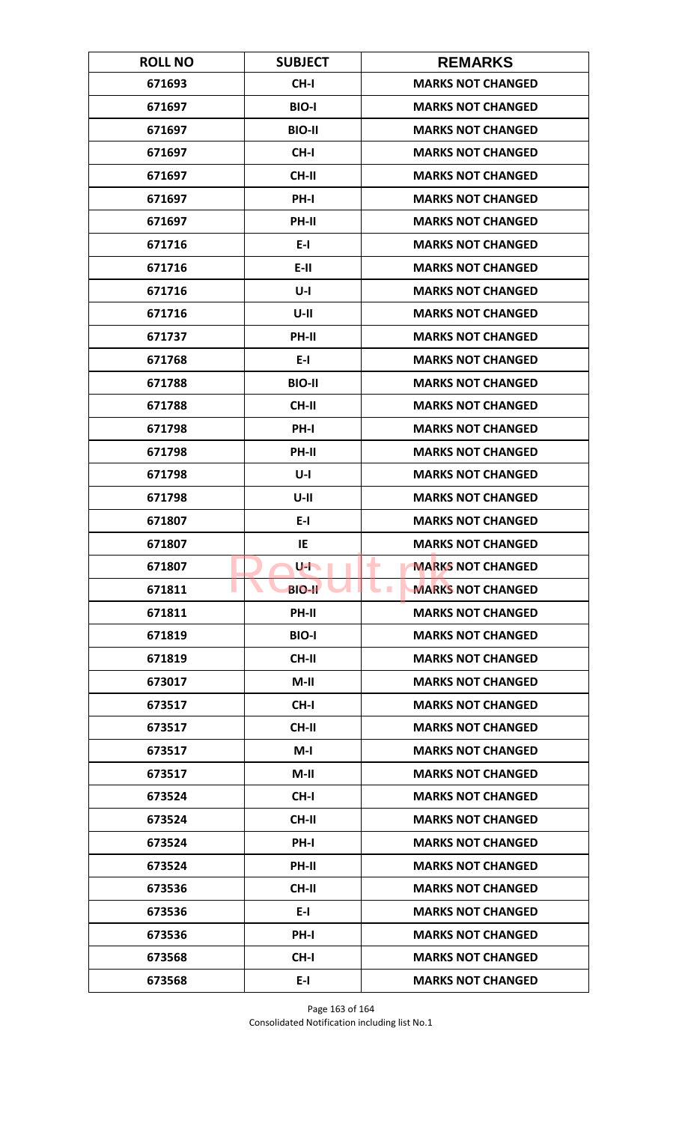| <b>ROLL NO</b> | <b>SUBJECT</b> | <b>REMARKS</b>                         |
|----------------|----------------|----------------------------------------|
| 671693         | CH-I           | <b>MARKS NOT CHANGED</b>               |
| 671697         | <b>BIO-I</b>   | <b>MARKS NOT CHANGED</b>               |
| 671697         | <b>BIO-II</b>  | <b>MARKS NOT CHANGED</b>               |
| 671697         | CH-I           | <b>MARKS NOT CHANGED</b>               |
| 671697         | CH-II          | <b>MARKS NOT CHANGED</b>               |
| 671697         | PH-I           | <b>MARKS NOT CHANGED</b>               |
| 671697         | <b>PH-II</b>   | <b>MARKS NOT CHANGED</b>               |
| 671716         | $E-I$          | <b>MARKS NOT CHANGED</b>               |
| 671716         | $E-H$          | <b>MARKS NOT CHANGED</b>               |
| 671716         | $U-I$          | <b>MARKS NOT CHANGED</b>               |
| 671716         | $U-II$         | <b>MARKS NOT CHANGED</b>               |
| 671737         | <b>PH-II</b>   | <b>MARKS NOT CHANGED</b>               |
| 671768         | $E-I$          | <b>MARKS NOT CHANGED</b>               |
| 671788         | <b>BIO-II</b>  | <b>MARKS NOT CHANGED</b>               |
| 671788         | <b>CH-II</b>   | <b>MARKS NOT CHANGED</b>               |
| 671798         | PH-I           | <b>MARKS NOT CHANGED</b>               |
| 671798         | PH-II          | <b>MARKS NOT CHANGED</b>               |
| 671798         | $U-I$          | <b>MARKS NOT CHANGED</b>               |
| 671798         | $U-II$         | <b>MARKS NOT CHANGED</b>               |
| 671807         | $E-I$          | <b>MARKS NOT CHANGED</b>               |
| 671807         | IE             | <b>MARKS NOT CHANGED</b>               |
| 671807         | U-La           | <b>MARKS NOT CHANGED</b><br>٠          |
| 671811         | <b>BIO-II</b>  | <b>MARKS NOT CHANGED</b><br><b>COL</b> |
| 671811         | PH-II          | <b>MARKS NOT CHANGED</b>               |
| 671819         | <b>BIO-I</b>   | <b>MARKS NOT CHANGED</b>               |
| 671819         | CH-II          | <b>MARKS NOT CHANGED</b>               |
| 673017         | $M-II$         | <b>MARKS NOT CHANGED</b>               |
| 673517         | CH-I           | <b>MARKS NOT CHANGED</b>               |
| 673517         | <b>CH-II</b>   | <b>MARKS NOT CHANGED</b>               |
| 673517         | $M-I$          | <b>MARKS NOT CHANGED</b>               |
| 673517         | $M-II$         | <b>MARKS NOT CHANGED</b>               |
| 673524         | CH-I           | <b>MARKS NOT CHANGED</b>               |
| 673524         | <b>CH-II</b>   | <b>MARKS NOT CHANGED</b>               |
| 673524         | PH-I           | <b>MARKS NOT CHANGED</b>               |
| 673524         | <b>PH-II</b>   | <b>MARKS NOT CHANGED</b>               |
| 673536         | <b>CH-II</b>   | <b>MARKS NOT CHANGED</b>               |
| 673536         | $E-I$          | <b>MARKS NOT CHANGED</b>               |
| 673536         | PH-I           | <b>MARKS NOT CHANGED</b>               |
| 673568         | CH-I           | <b>MARKS NOT CHANGED</b>               |
| 673568         | $E-I$          | <b>MARKS NOT CHANGED</b>               |

Page 163 of 164 Consolidated Notification including list No.1